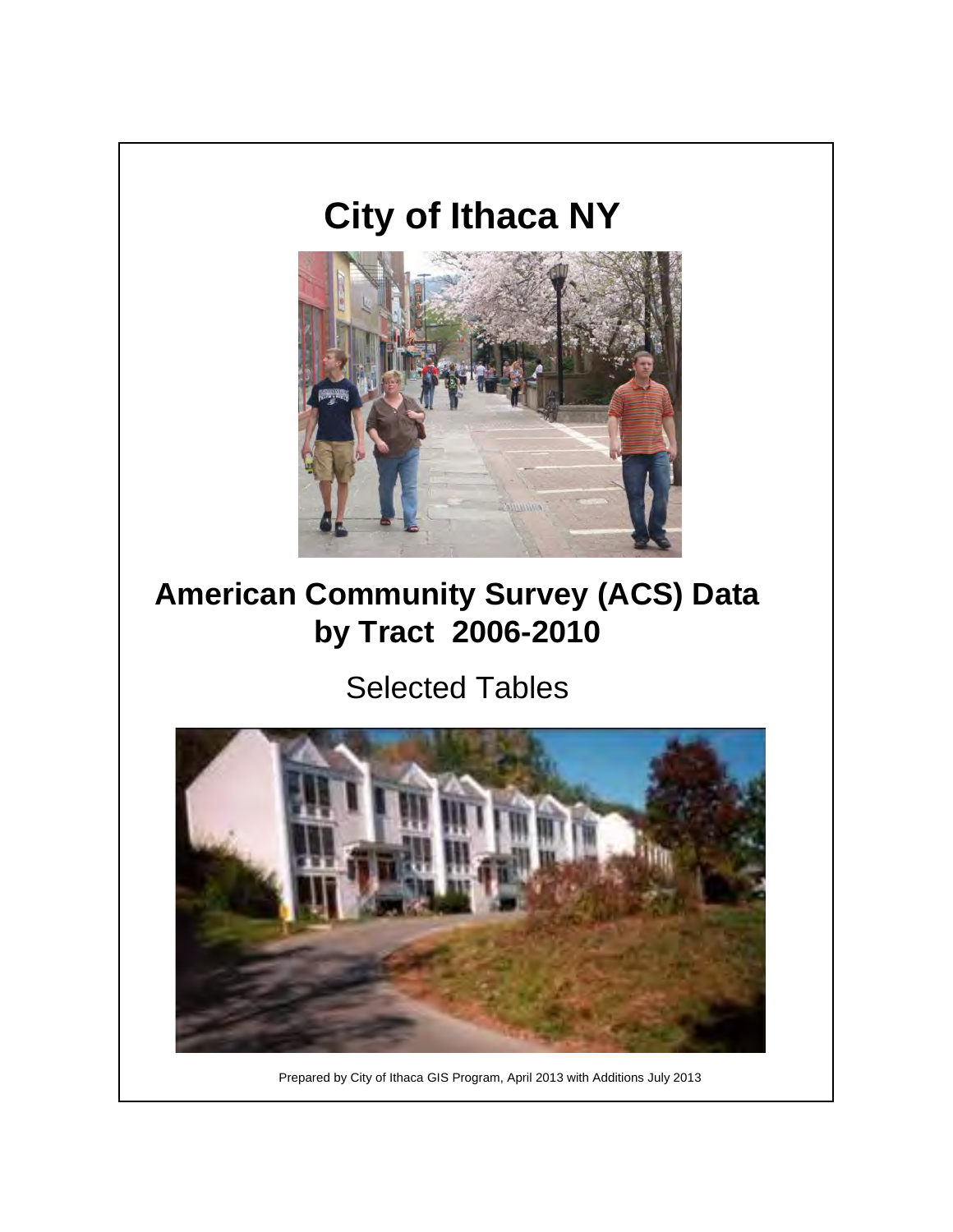# **City of Ithaca NY**



### **American Community Survey (ACS) Data by Tract 2006-2010**

### Selected Tables



Prepared by City of Ithaca GIS Program, April 2013 with Additions July 2013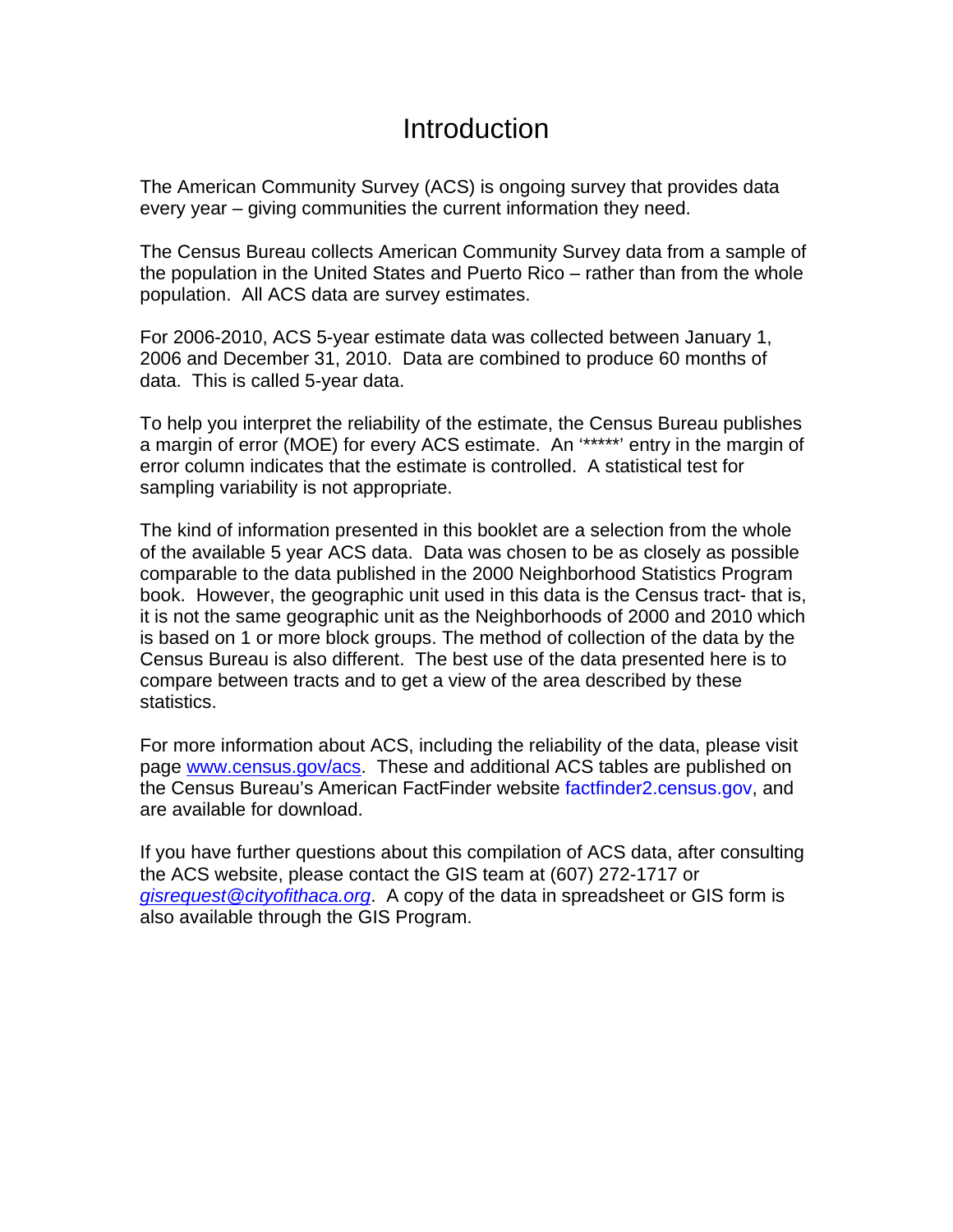### **Introduction**

The American Community Survey (ACS) is ongoing survey that provides data every year – giving communities the current information they need.

The Census Bureau collects American Community Survey data from a sample of the population in the United States and Puerto Rico – rather than from the whole population. All ACS data are survey estimates.

For 2006-2010, ACS 5-year estimate data was collected between January 1, 2006 and December 31, 2010. Data are combined to produce 60 months of data. This is called 5-year data.

To help you interpret the reliability of the estimate, the Census Bureau publishes a margin of error (MOE) for every ACS estimate. An '\*\*\*\*\*' entry in the margin of error column indicates that the estimate is controlled. A statistical test for sampling variability is not appropriate.

The kind of information presented in this booklet are a selection from the whole of the available 5 year ACS data. Data was chosen to be as closely as possible comparable to the data published in the 2000 Neighborhood Statistics Program book. However, the geographic unit used in this data is the Census tract- that is, it is not the same geographic unit as the Neighborhoods of 2000 and 2010 which is based on 1 or more block groups. The method of collection of the data by the Census Bureau is also different. The best use of the data presented here is to compare between tracts and to get a view of the area described by these statistics.

For more information about ACS, including the reliability of the data, please visit page [www.census.gov/acs](http://www.census.gov/acs). These and additional ACS tables are published on the Census Bureau's American FactFinder website factfinder2.census.gov, and are available for download.

If you have further questions about this compilation of ACS data, after consulting the ACS website, please contact the GIS team at (607) 272-1717 or *[gisrequest@cityofithaca.org](mailto:gisrequest@cityofithaca.org)*. A copy of the data in spreadsheet or GIS form is also available through the GIS Program.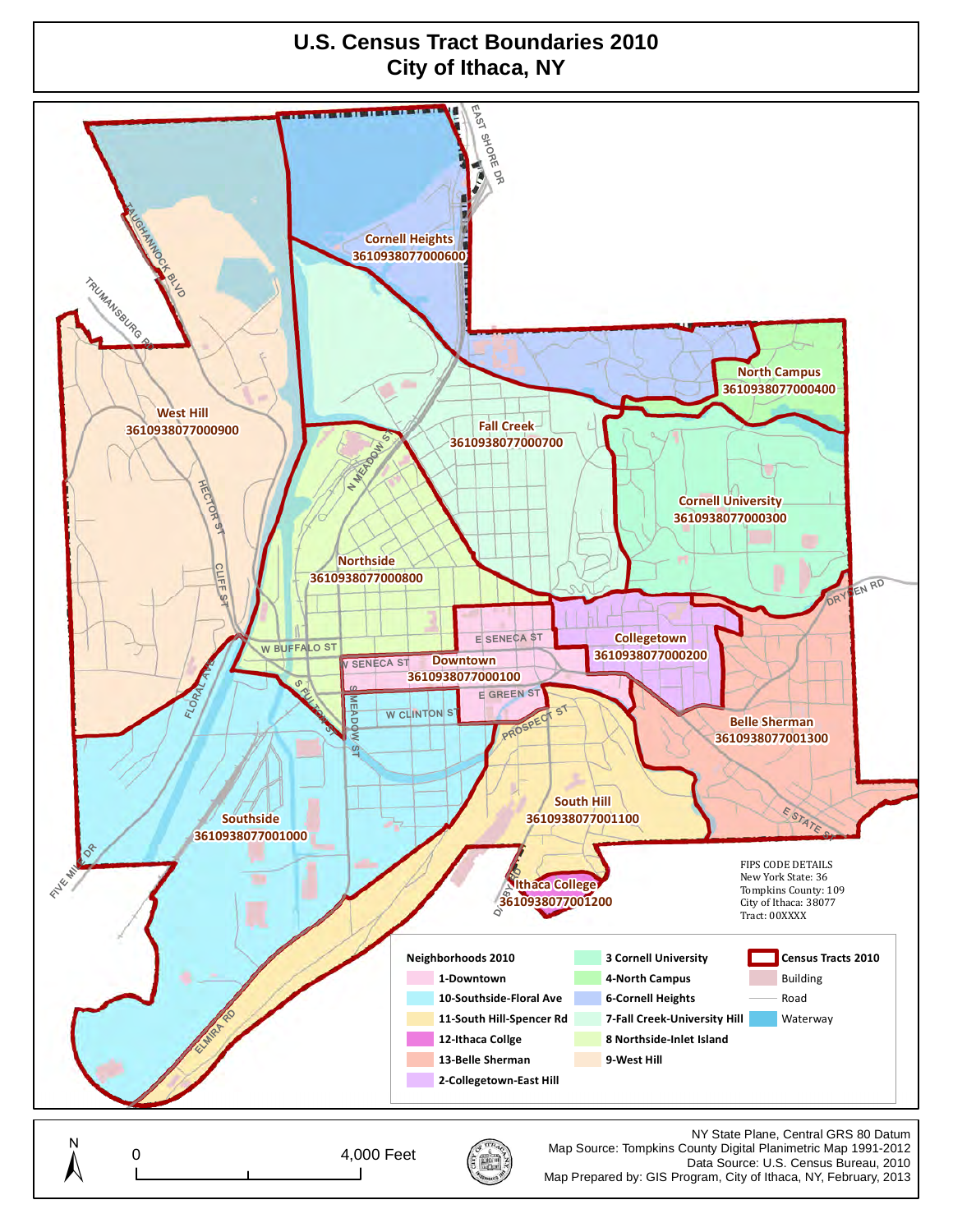#### **U.S. Census Tract Boundaries 2010 City of Ithaca, NY**

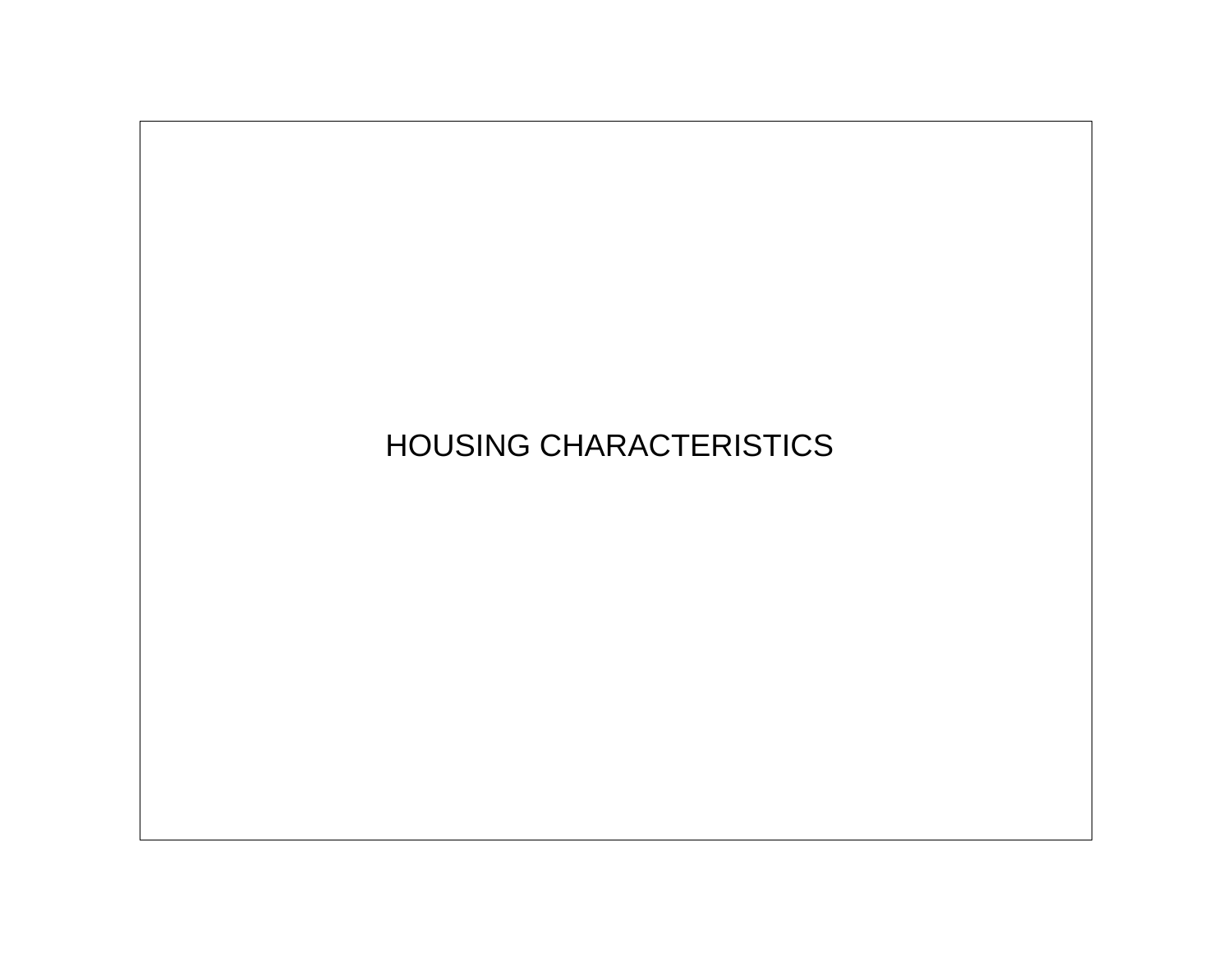## HOUSING CHARACTERISTICS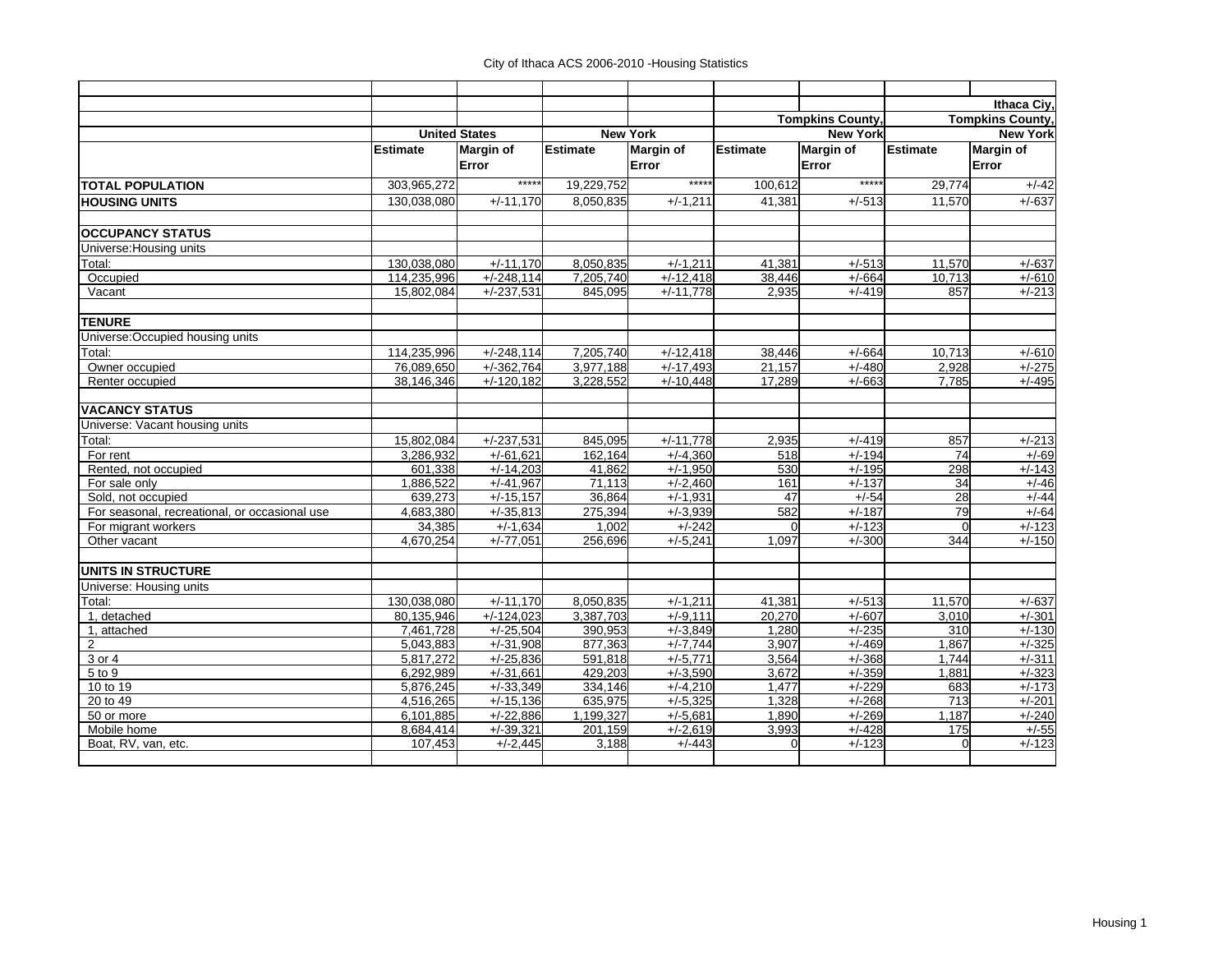|                                                                                                                                                |                 | Ithaca Ciy,             |
|------------------------------------------------------------------------------------------------------------------------------------------------|-----------------|-------------------------|
| <b>Tompkins County,</b>                                                                                                                        |                 | <b>Tompkins County,</b> |
| <b>New York</b><br><b>New York</b><br><b>United States</b>                                                                                     |                 | <b>New York</b>         |
| Estimate<br>Estimate<br>Margin of<br><b>Margin of</b><br><b>Margin of</b><br><b>Estimate</b><br><b>Estimate</b>                                |                 | <b>Margin of</b>        |
| Error<br>Error<br>Error                                                                                                                        |                 | Error                   |
| *****<br>*****<br>*****<br>303,965,272<br>19,229,752<br>100.612<br><b>TOTAL POPULATION</b>                                                     | 29,774          | $+/-42$                 |
| 130,038,080<br>$+/-11.170$<br>8,050,835<br>$+/-1.211$<br>41.381<br>$+/-513$<br><b>HOUSING UNITS</b>                                            | 11,570          | $+/-637$                |
| <b>OCCUPANCY STATUS</b>                                                                                                                        |                 |                         |
| Universe: Housing units                                                                                                                        |                 |                         |
| 130,038,080<br>$+/-11.170$<br>8,050,835<br>$+/-1,211$<br>41.381<br>$+/-513$<br>Total:                                                          | 11,570          | $+/-637$                |
| 114.235.996<br>$+/-248.114$<br>Occupied<br>7.205.740<br>$+/-12,418$<br>38.446<br>$+/-664$                                                      | 10.713          | $+/-610$                |
| 15,802,084<br>$+/-237,531$<br>$+/-11,778$<br>2,935<br>Vacant<br>845,095<br>$+/-419$                                                            | 857             | $+/-213$                |
| <b>TENURE</b>                                                                                                                                  |                 |                         |
| Universe: Occupied housing units                                                                                                               |                 |                         |
| Total:<br>114,235,996<br>$+/-248,114$<br>7,205,740<br>$+/-12,418$<br>38,446<br>$+/-664$                                                        | 10,713          | $+/-610$                |
| Owner occupied<br>76,089,650<br>$+/-362,764$<br>3,977,188<br>$+/-17,493$<br>21,157<br>$+/-480$                                                 | 2,928           | $+/-275$                |
| Renter occupied<br>38,146,346<br>$+/-120,182$<br>3,228,552<br>$+/-10,448$<br>17,289<br>$+/-663$                                                | 7.785           | $+/-495$                |
| <b>VACANCY STATUS</b>                                                                                                                          |                 |                         |
| Universe: Vacant housing units                                                                                                                 |                 |                         |
| $+/-11,778$<br>Total:<br>15,802,084<br>$+/-237,531$<br>845,095<br>2,935<br>$+/-419$                                                            | 857             | $+/-213$                |
| 3,286,932<br>$+/-4,360$<br>$+/-194$<br>$+/-61.621$<br>162,164<br>For rent<br>518                                                               | 74              | $+/-69$                 |
| Rented, not occupied<br>$+/-1,950$<br>530<br>601,338<br>$+/-14,203$<br>41,862<br>$+/-195$                                                      | 298             | $+/-143$                |
| 1,886,522<br>$+/-41,967$<br>71.113<br>$+/-2,460$<br>161<br>$+/-137$<br>For sale only                                                           | 34              | $+/-46$                 |
| $+/-15,157$<br>36,864<br>$\overline{47}$<br>$+/-54$<br>Sold, not occupied<br>639,273<br>$+/-1,931$                                             | $\overline{28}$ | $+/-44$                 |
| For seasonal, recreational, or occasional use<br>4,683,380<br>$+/-35,813$<br>275,394<br>$+/-3,939$<br>582<br>$+/-187$                          | 79              | $+/-64$                 |
| $+/-242$<br>34,385<br>$+/-1,634$<br>1.002<br>$+/-123$<br>For migrant workers<br>$\Omega$                                                       | $\Omega$        | $+/-123$                |
| Other vacant<br>4,670,254<br>$+/-77,051$<br>$+/-5,241$<br>$+/-300$<br>256,696<br>1,097                                                         | 344             | $+/-150$                |
| <b>UNITS IN STRUCTURE</b>                                                                                                                      |                 |                         |
| Universe: Housing units                                                                                                                        |                 |                         |
| $+/-1,211$<br>41,381<br>130,038,080<br>$+/-11,170$<br>8,050,835<br>$+/-513$<br>Total:                                                          | 11,570          | $+/-637$                |
| 1, detached<br>80,135,946<br>$+/-124,023$<br>3,387,703<br>$+/-9,111$<br>20,270<br>$+/-607$                                                     | 3,010           | $+/-301$                |
| 7,461,728<br>$+/-25,504$<br>1,280<br>$+/-235$<br>1, attached<br>390,953<br>$+/-3.849$                                                          | 310             | $+/-130$                |
| $\overline{2}$<br>5,043,883<br>$+/-31,908$<br>877,363<br>$+/-7,744$<br>3.907<br>$+/-469$                                                       | 1.867           | $+/-325$                |
| $+/-25,836$<br>3,564<br>$+/-368$<br>5,817,272<br>591,818<br>$+/-5,771$<br>3 or 4<br>6.292.989<br>429.203                                       | 1,744           | $+/-311$                |
| $+/-3.590$<br>5 to 9<br>$+/-31.661$<br>3.672<br>$+/-359$<br>$+/-33,349$<br>$+/-229$<br>10 to 19<br>5,876,245<br>334,146<br>$+/-4,210$<br>1,477 | 1.881<br>683    | $+/-323$<br>$+/-173$    |
| $+/-5,325$<br>20 to 49<br>4,516,265<br>$+/-15.136$<br>635,975<br>1.328<br>$+/-268$                                                             | 713             | $+/-201$                |
| 6.101.885<br>$+/-22,886$<br>$+/-5,681$<br>$+/-269$<br>50 or more<br>1,199,327<br>1,890                                                         | 1.187           | $+/-240$                |
| Mobile home<br>$+/-39,321$<br>201, 159<br>$+/-2,619$<br>3,993<br>$+/-428$<br>8,684,414                                                         | 175             | $+/-55$                 |
| Boat, RV, van, etc.<br>107,453<br>$+/-2,445$<br>3,188<br>$+/-443$<br>$+/-123$<br>$\Omega$                                                      | $\Omega$        | $+/-123$                |
|                                                                                                                                                |                 |                         |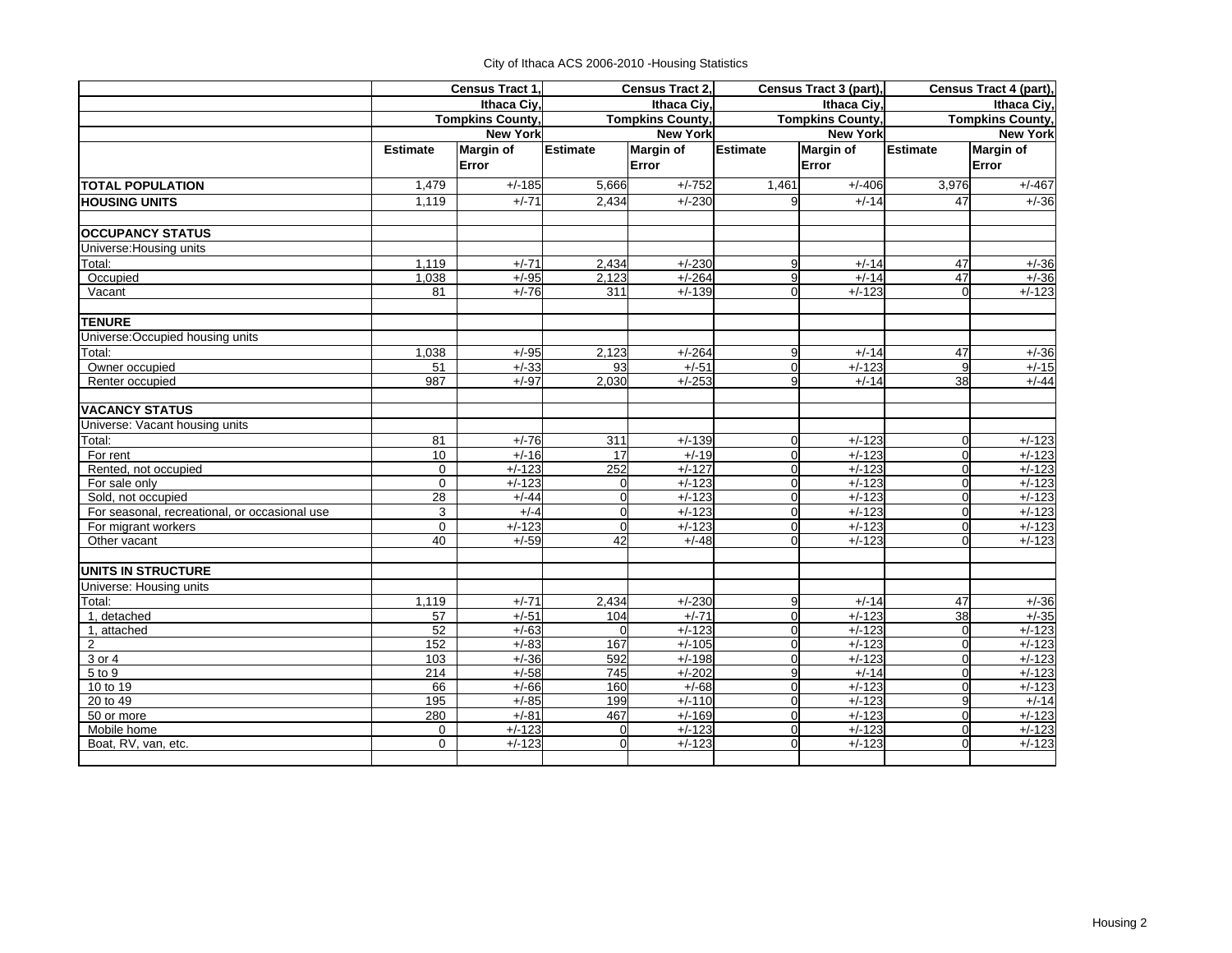City of Ithaca ACS 2006-2010 -Housing Statistics

|                                               |                 | Census Tract 1,         |                    | Census Tract 2,         |                                  | Census Tract 3 (part),  |                         | Census Tract 4 (part), |  |
|-----------------------------------------------|-----------------|-------------------------|--------------------|-------------------------|----------------------------------|-------------------------|-------------------------|------------------------|--|
|                                               |                 | Ithaca Civ.             |                    | Ithaca Civ.             |                                  | Ithaca Civ.             |                         | Ithaca Ciy,            |  |
|                                               |                 | <b>Tompkins County,</b> |                    | <b>Tompkins County,</b> |                                  | <b>Tompkins County,</b> | <b>Tompkins County,</b> |                        |  |
|                                               |                 | <b>New York</b>         |                    | <b>New York</b>         |                                  | <b>New York</b>         |                         | <b>New York</b>        |  |
|                                               | <b>Estimate</b> | <b>Margin of</b>        | Estimate           | <b>Margin of</b>        | <b>Estimate</b>                  | <b>Margin of</b>        | Estimate                | <b>Margin of</b>       |  |
|                                               |                 | Error                   |                    | Error                   |                                  | Error                   |                         | Error                  |  |
| <b>TOTAL POPULATION</b>                       | 1,479           | $+/-185$                | 5,666              | $+/-752$                | 1,461                            | $+/-406$                | 3,976                   | $+/-467$               |  |
| <b>HOUSING UNITS</b>                          | 1,119           | $+/-71$                 | 2,434              | $+/-230$                | 9                                | $+/-14$                 | 47                      | $+/-36$                |  |
| <b>OCCUPANCY STATUS</b>                       |                 |                         |                    |                         |                                  |                         |                         |                        |  |
| Universe: Housing units                       |                 |                         |                    |                         |                                  |                         |                         |                        |  |
| Total:                                        | 1.119           | $+/-71$                 | 2,434              | $+/-230$                | 9                                | $+/-14$                 | 47                      | $+/-36$                |  |
| Occupied                                      | 1.038           | $+/-95$                 | 2,123              | $+/-264$                | 9                                | $+/-14$                 | 47                      | $+/-36$                |  |
| Vacant                                        | 81              | $+/-76$                 | 311                | $+/-139$                | $\Omega$                         | $+/-123$                | $\Omega$                | $+/-123$               |  |
| <b>TENURE</b>                                 |                 |                         |                    |                         |                                  |                         |                         |                        |  |
| Universe: Occupied housing units              |                 |                         |                    |                         |                                  |                         |                         |                        |  |
| Total:                                        | 1,038           | $+/-95$                 | 2,123              | $+/-264$                | 9                                | $+/-14$                 | 47                      | $+/-36$                |  |
| Owner occupied                                | 51              | $+/-33$                 | 93                 | $+/-51$                 | $\overline{0}$                   | $+/-123$                | 9                       | $+/-15$                |  |
| Renter occupied                               | 987             | $+/-97$                 | 2,030              | $+/-253$                | 9                                | $+/-14$                 | 38                      | $+/-44$                |  |
| <b>VACANCY STATUS</b>                         |                 |                         |                    |                         |                                  |                         |                         |                        |  |
| Universe: Vacant housing units                |                 |                         |                    |                         |                                  |                         |                         |                        |  |
| Total:                                        | 81              | $+/-76$                 | 311                | $+/-139$                | $\overline{0}$                   | $+/-123$                | $\Omega$                | $+/-123$               |  |
| For rent                                      | $\overline{10}$ | $+/-16$                 | 17                 | $+/-19$                 | $\mathbf 0$                      | $+/-123$                | $\Omega$                | $+/-123$               |  |
| Rented, not occupied                          | $\Omega$        | $+/-123$                | 252                | $+/-127$                | $\overline{0}$                   | $+/-123$                | $\Omega$                | $+/-123$               |  |
| For sale only                                 | $\Omega$        | $+/-123$                | $\Omega$           | $+/-123$                | $\overline{0}$                   | $+/-123$                | $\Omega$                | $+/-123$               |  |
| Sold, not occupied                            | 28              | $+/-44$                 | $\Omega$           | $+/-123$                | $\overline{0}$                   | $+/-123$                | $\Omega$                | $+/-123$               |  |
| For seasonal, recreational, or occasional use | 3               | $+/-4$                  | $\mathbf 0$        | $+/-123$                | $\overline{0}$                   | $+/-123$                | $\mathbf 0$             | $+/-123$               |  |
| For migrant workers<br>Other vacant           | $\Omega$<br>40  | $+/-123$<br>$+/-59$     | $\mathbf{0}$<br>42 | $+/-123$<br>$+/-48$     | $\overline{0}$<br>$\mathbf 0$    | $+/-123$<br>$+/-123$    | $\Omega$<br>$\mathbf 0$ | $+/-123$<br>$+/-123$   |  |
|                                               |                 |                         |                    |                         |                                  |                         |                         |                        |  |
| <b>UNITS IN STRUCTURE</b>                     |                 |                         |                    |                         |                                  |                         |                         |                        |  |
| Universe: Housing units                       |                 |                         |                    |                         |                                  |                         |                         |                        |  |
| Total:                                        | 1,119           | $+/-71$                 | 2,434              | $+/-230$                | 9                                | $+/-14$                 | 47                      | $+/-36$                |  |
| 1, detached                                   | 57<br>52        | $+/-51$<br>$+/-63$      | 104<br>$\Omega$    | $+/-71$<br>$+/-123$     | $\overline{0}$<br>$\overline{0}$ | $+/-123$<br>$+/-123$    | 38                      | $+/-35$                |  |
| 1, attached<br>$\overline{2}$                 | 152             | $+/-83$                 | 167                | $+/-105$                | $\overline{0}$                   | $+/-123$                | $\Omega$<br>$\Omega$    | $+/-123$<br>$+/-123$   |  |
| 3 or 4                                        | 103             | $+/-36$                 | 592                | $+/-198$                | $\overline{0}$                   | $+/-123$                | $\mathbf 0$             | $+/-123$               |  |
| 5 to 9                                        | 214             | $+/-58$                 | $\overline{745}$   | $+/-202$                | 9                                | $+/-14$                 | $\Omega$                | $+/-123$               |  |
| 10 to 19                                      | 66              | $+/-66$                 | 160                | $+/-68$                 | $\overline{0}$                   | $+/-123$                | $\mathbf 0$             | $+/-123$               |  |
| 20 to 49                                      | 195             | $+/-85$                 | 199                | $+/-110$                | $\overline{0}$                   | $+/-123$                | 9                       | $+/-14$                |  |
| 50 or more                                    | 280             | $+/-81$                 | 467                | $+/-169$                | $\overline{0}$                   | $+/-123$                | $\Omega$                | $+/-123$               |  |
| Mobile home                                   | $\mathbf 0$     | $+/-123$                | $\mathbf 0$        | $+/-123$                | $\overline{0}$                   | $+/-123$                | $\Omega$                | $+/-123$               |  |
| Boat, RV, van, etc.                           | $\Omega$        | $+/-123$                | $\Omega$           | $+/-123$                | $\Omega$                         | $+/-123$                | $\Omega$                | $+/-123$               |  |
|                                               |                 |                         |                    |                         |                                  |                         |                         |                        |  |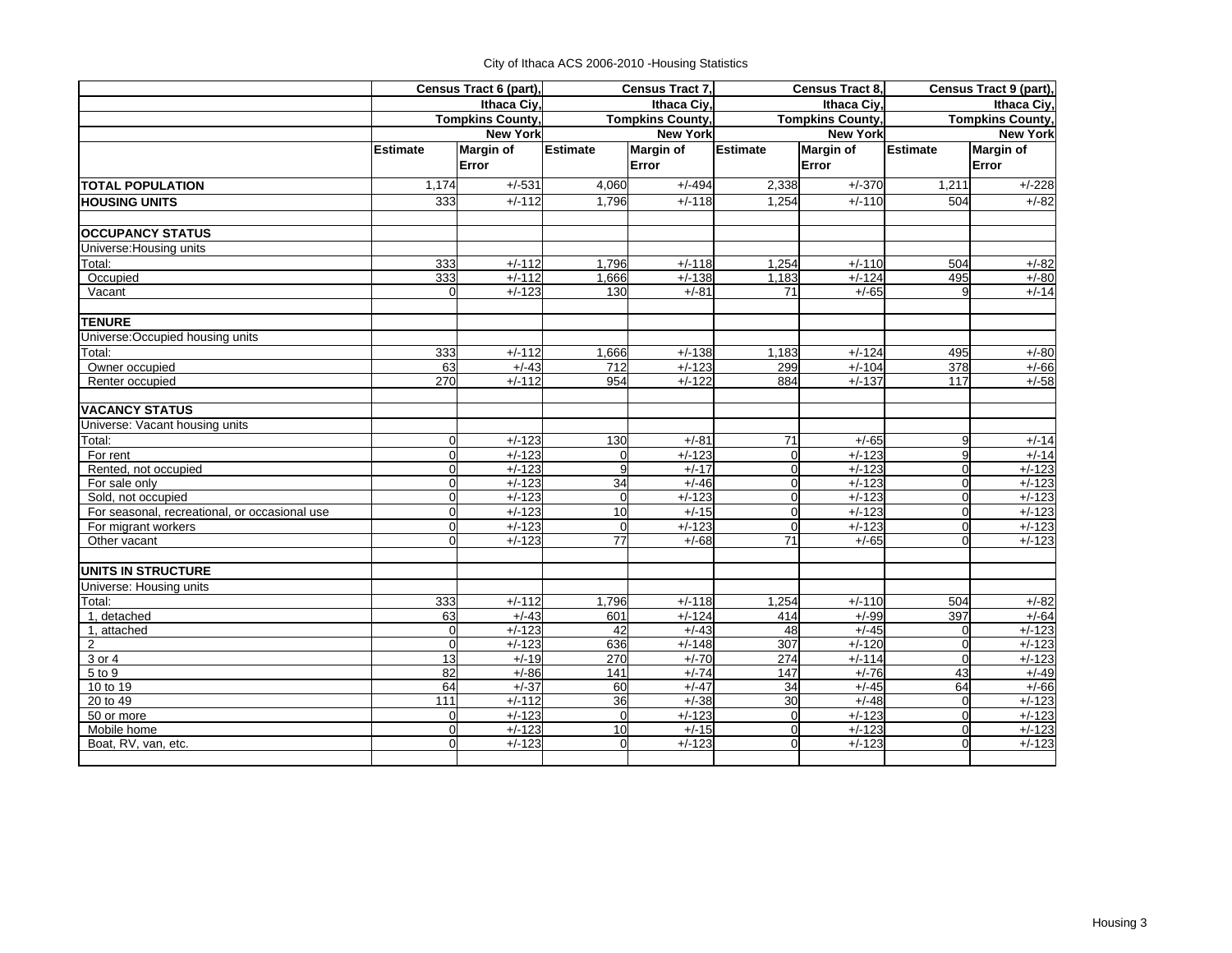|  | City of Ithaca ACS 2006-2010 - Housing Statistics |  |  |
|--|---------------------------------------------------|--|--|
|--|---------------------------------------------------|--|--|

|                                                                     |                         | Census Tract 6 (part),  |                 | Census Tract 7,         |                            | Census Tract 8,         |                         | Census Tract 9 (part), |
|---------------------------------------------------------------------|-------------------------|-------------------------|-----------------|-------------------------|----------------------------|-------------------------|-------------------------|------------------------|
|                                                                     |                         | Ithaca Civ.             |                 | Ithaca Civ.             |                            | Ithaca Ciy,             |                         | Ithaca Ciy,            |
|                                                                     |                         | <b>Tompkins County,</b> |                 | <b>Tompkins County.</b> |                            | <b>Tompkins County,</b> | <b>Tompkins County,</b> |                        |
|                                                                     |                         | <b>New York</b>         |                 | <b>New York</b>         |                            | <b>New York</b>         |                         | <b>New York</b>        |
|                                                                     | Estimate                | Margin of               | <b>Estimate</b> | <b>Margin of</b>        | <b>Estimate</b>            | <b>Margin of</b>        | Estimate                | <b>Margin of</b>       |
|                                                                     |                         | Error                   |                 | Error                   |                            | Error                   |                         | Error                  |
| <b>TOTAL POPULATION</b>                                             | 1,174                   | $+/-531$                | 4,060           | $+/-494$                | 2,338                      | $+/-370$                | 1,211                   | $+/-228$               |
| <b>HOUSING UNITS</b>                                                | 333                     | $+/-112$                | 1,796           | $+/-118$                | 1,254                      | $+/-110$                | 504                     | $+/-82$                |
| <b>OCCUPANCY STATUS</b>                                             |                         |                         |                 |                         |                            |                         |                         |                        |
| Universe: Housing units                                             |                         |                         |                 |                         |                            |                         |                         |                        |
| Total:                                                              | 333                     | $+/-112$                | 1,796           | $+/-118$                | 1,254                      | $+/-110$                | 504                     | $+/-82$                |
| Occupied                                                            | 333                     | $+/-112$                | 1,666           | $+/-138$                | 1,183                      | $+/-124$                | 495                     | $+/-80$                |
| Vacant                                                              | $\mathbf 0$             | $+/-123$                | 130             | $+/-81$                 | 71                         | $+/-65$                 | $\mathbf{Q}$            | $+/-14$                |
| <b>TENURE</b>                                                       |                         |                         |                 |                         |                            |                         |                         |                        |
| Universe: Occupied housing units                                    |                         |                         |                 |                         |                            |                         |                         |                        |
| Total:                                                              | 333                     | $+/-112$                | 1,666           | $+/-138$                | 1,183                      | $+/-124$                | 495                     | $+/-80$                |
| Owner occupied                                                      | 63                      | $+/-43$                 | 712             | $+/-123$                | 299                        | $+/-104$                | 378                     | $+/-66$                |
| Renter occupied                                                     | 270                     | $+/-112$                | 954             | $+/-122$                | 884                        | $+/-137$                | 117                     | $+/-58$                |
| <b>VACANCY STATUS</b>                                               |                         |                         |                 |                         |                            |                         |                         |                        |
| Universe: Vacant housing units                                      |                         |                         |                 |                         |                            |                         |                         |                        |
| Total:                                                              | $\mathbf 0$             | $+/-123$                | 130             | $+/-81$                 | 71                         | $+/-65$                 | 9                       | $+/-14$                |
| For rent                                                            | $\overline{0}$          | $+/-123$                |                 | $+/-123$                | $\overline{0}$             | $+/-123$                | 9                       | $+/-14$                |
| Rented, not occupied                                                | $\mathbf{0}$            | $+/-123$                | q               | $+/-17$                 | $\overline{0}$             | $+/-123$                | $\Omega$                | $+/-123$               |
| For sale only                                                       | $\mathbf{0}$            | $+/-123$                | 34              | $+/-46$                 | $\overline{0}$             | $+/-123$                | $\mathbf 0$             | $+/-123$               |
| Sold, not occupied<br>For seasonal, recreational, or occasional use | $\Omega$<br>$\mathbf 0$ | $+/-123$<br>$+/-123$    | $\Omega$<br>10  | $+/-123$<br>$+/-15$     | $\Omega$<br>$\overline{0}$ | $+/-123$<br>$+/-123$    | $\Omega$<br>$\mathbf 0$ | $+/-123$               |
| For migrant workers                                                 | $\mathbf{0}$            | $+/-123$                | $\overline{0}$  | $+/-123$                | $\overline{0}$             | $+/-123$                | $\mathbf 0$             | $+/-123$<br>$+/-123$   |
| Other vacant                                                        | $\Omega$                | $+/-123$                | 77              | $+/-68$                 | 71                         | $+/-65$                 | $\Omega$                | $+/-123$               |
| <b>UNITS IN STRUCTURE</b>                                           |                         |                         |                 |                         |                            |                         |                         |                        |
| Universe: Housing units                                             |                         |                         |                 |                         |                            |                         |                         |                        |
| Total:                                                              | 333                     | $+/-112$                | 1,796           | $+/-118$                | 1,254                      | $+/-110$                | 504                     | $+/-82$                |
| 1, detached                                                         | 63                      | $+/-43$                 | 601             | $+/-124$                | 414                        | $+/-99$                 | 397                     | $+/-64$                |
| 1, attached                                                         | $\overline{0}$          | $+/-123$                | 42              | $+/-43$                 | 48                         | $+/-45$                 | $\Omega$                | $+/-123$               |
| $\overline{c}$                                                      | $\mathbf 0$             | $+/-123$                | 636             | $+/-148$                | 307                        | $+/-120$                | $\Omega$                | $+/-123$               |
| 3 or 4                                                              | 13                      | $+/-19$                 | 270             | $+/-70$                 | 274                        | $+/-114$                | $\Omega$                | $+/-123$               |
| 5 to 9                                                              | 82                      | $+/-86$                 | 141             | $+/-74$                 | 147                        | $+/-76$                 | 43                      | $+/-49$                |
| 10 to 19                                                            | 64                      | $+/-37$                 | 60              | $+/-47$                 | 34                         | $+/-45$                 | 64                      | $+/-66$                |
| 20 to 49                                                            | $\frac{111}{11}$        | $+/-112$                | 36              | $+/-38$                 | 30                         | $+/-48$                 | $\Omega$                | $+/-123$               |
| 50 or more                                                          | $\mathbf 0$             | $+/-123$                | $\mathbf 0$     | $+/-123$                | $\overline{0}$             | $+/-123$                | $\Omega$                | $+/-123$               |
| Mobile home                                                         | $\mathbf 0$             | $+/-123$                | 10              | $+/-15$                 | $\overline{0}$             | $+/-123$                | $\Omega$                | $+/-123$               |
| Boat, RV, van, etc.                                                 | $\Omega$                | $+/-123$                | $\Omega$        | $+/-123$                | $\mathbf 0$                | $+/-123$                | $\Omega$                | $+/-123$               |
|                                                                     |                         |                         |                 |                         |                            |                         |                         |                        |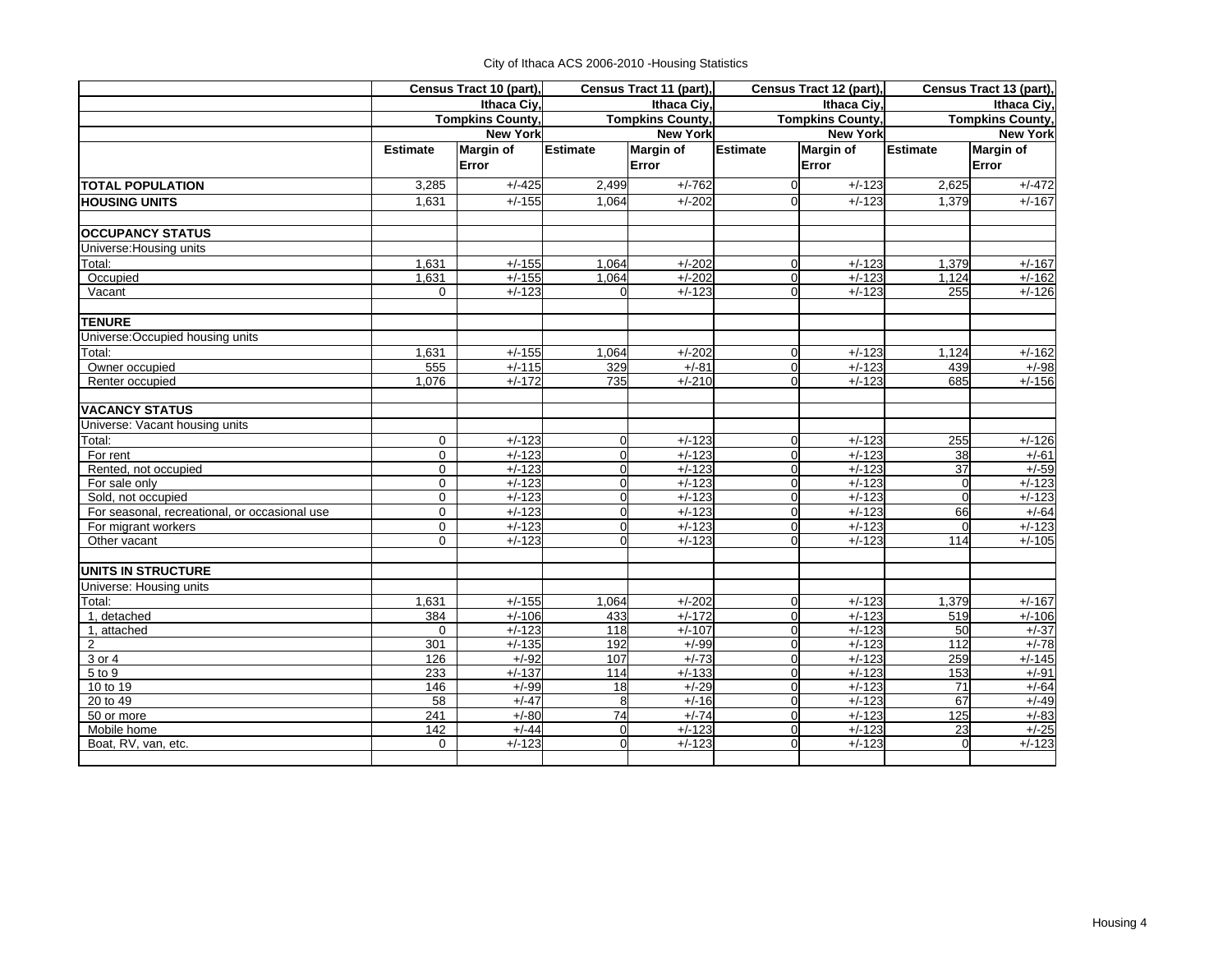|  | City of Ithaca ACS 2006-2010 - Housing Statistics |  |  |
|--|---------------------------------------------------|--|--|
|--|---------------------------------------------------|--|--|

|                                               |                 | Census Tract 10 (part), |                 | Census Tract 11 (part), |                 | Census Tract 12 (part), |                                        | Census Tract 13 (part), |
|-----------------------------------------------|-----------------|-------------------------|-----------------|-------------------------|-----------------|-------------------------|----------------------------------------|-------------------------|
|                                               |                 | Ithaca Ciy,             |                 | Ithaca Ciy,             |                 | Ithaca Ciy,             | Ithaca Ciy,<br><b>Tompkins County,</b> |                         |
|                                               |                 | <b>Tompkins County,</b> |                 | <b>Tompkins County,</b> |                 | <b>Tompkins County,</b> |                                        |                         |
|                                               |                 | <b>New York</b>         |                 | <b>New York</b>         |                 | <b>New York</b>         |                                        | <b>New York</b>         |
|                                               | <b>Estimate</b> | <b>Margin of</b>        | <b>Estimate</b> | <b>Margin of</b>        | <b>Estimate</b> | Margin of               | <b>Estimate</b>                        | <b>Margin of</b>        |
|                                               |                 | Error                   |                 | Error                   |                 | Error                   |                                        | Error                   |
| <b>TOTAL POPULATION</b>                       | 3.285           | $+/-425$                | 2,499           | $+/-762$                | $\overline{0}$  | $+/-123$                | 2,625                                  | $+/-472$                |
| <b>HOUSING UNITS</b>                          | 1.631           | $+/-155$                | 1,064           | $+/-202$                | $\Omega$        | $+/-123$                | 1,379                                  | $+/-167$                |
| <b>OCCUPANCY STATUS</b>                       |                 |                         |                 |                         |                 |                         |                                        |                         |
| Universe: Housing units                       |                 |                         |                 |                         |                 |                         |                                        |                         |
| Total:                                        | 1,631           | $+/-155$                | 1,064           | $+/-202$                | 0               | $+/-123$                | 1,379                                  | $+/-167$                |
| Occupied                                      | 1.631           | $+/-155$                | 1,064           | $+/-202$                | $\Omega$        | $+/-123$                | 1.124                                  | $+/-162$                |
| Vacant                                        | $\Omega$        | $+/-123$                | $\Omega$        | $+/-123$                | 0               | $+/-123$                | 255                                    | $\frac{1}{+}$ -126      |
| <b>TENURE</b>                                 |                 |                         |                 |                         |                 |                         |                                        |                         |
| Universe: Occupied housing units              |                 |                         |                 |                         |                 |                         |                                        |                         |
| Total:                                        | 1,631           | $+/-155$                | 1,064           | $+/-202$                | 0               | $+/-123$                | 1,124                                  | $+/-162$                |
| Owner occupied                                | 555             | $+/-115$                | 329             | $+/-81$                 | 0               | $+/-123$                | 439                                    | $+/-98$                 |
| Renter occupied                               | 1,076           | $+/-172$                | 735             | $+/-210$                | $\Omega$        | $+/-123$                | 685                                    | $+/-156$                |
| <b>VACANCY STATUS</b>                         |                 |                         |                 |                         |                 |                         |                                        |                         |
| Universe: Vacant housing units                |                 |                         |                 |                         |                 |                         |                                        |                         |
| Total:                                        | $\Omega$        | $+/-123$                | $\mathbf 0$     | $+/-123$                | 0               | $+/-123$                | 255                                    | $+/-126$                |
| For rent                                      | $\Omega$        | $+/-123$                | $\Omega$        | $+/-123$                | 0               | $+/-123$                | 38                                     | $+/-61$                 |
| Rented, not occupied                          | $\Omega$        | $+/-123$                | $\Omega$        | $+\sqrt{-123}$          | $\overline{0}$  | $+/-123$                | 37                                     | $+/-59$                 |
| For sale only                                 | $\mathbf 0$     | $+/-123$                | $\Omega$        | $+/-123$                | $\mathbf 0$     | $+/-123$                | $\Omega$                               | $+/-123$                |
| Sold, not occupied                            | $\mathbf 0$     | $+/-123$                | $\mathbf 0$     | $+/-123$                | $\Omega$        | $+/-123$                | $\Omega$                               | $+/-123$                |
| For seasonal, recreational, or occasional use | $\mathbf 0$     | $+/-123$                | $\overline{0}$  | $+/-123$                | $\overline{0}$  | $+/-123$                | 66                                     | $+/-64$                 |
| For migrant workers                           | $\mathbf 0$     | $+/-123$                | $\mathbf 0$     | $+/-123$                | $\Omega$        | $+/-123$                |                                        | $+/-123$                |
| Other vacant                                  | $\Omega$        | $+/-123$                | $\Omega$        | $+/-123$                | $\Omega$        | $+/-123$                | 114                                    | $+/-105$                |
| <b>UNITS IN STRUCTURE</b>                     |                 |                         |                 |                         |                 |                         |                                        |                         |
| <b>Universe: Housing units</b>                |                 |                         |                 |                         |                 |                         |                                        |                         |
| Total:                                        | 1,631           | $+/-155$                | 1,064           | $+/-202$                | 0               | $+/-123$                | 1,379                                  | $+/-167$                |
| 1, detached                                   | 384             | $+/-106$                | 433             | $+/-172$                | $\overline{0}$  | $+/-123$                | 519                                    | $+/-106$                |
| 1, attached                                   | $\mathbf 0$     | $+/-123$                | 118             | $+/-107$                | $\mathbf 0$     | $+/-123$                | 50                                     | $+/-37$                 |
| $\overline{2}$                                | 301<br>126      | $+/-135$<br>$+/-92$     | 192<br>107      | $+/-99$<br>$+/-73$      | $\Omega$        | $+/-123$<br>$+/-123$    | $\overline{112}$<br>259                | $+/-78$<br>$+/-145$     |
| 3 or 4<br>5 to 9                              | 233             | $+/-137$                | 114             | $+/-133$                | 0<br>$\Omega$   | $+/-123$                | 153                                    | $+/-91$                 |
| 10 to 19                                      | 146             | $+/-99$                 | 18              | $+/-29$                 | $\mathbf 0$     | $+/-123$                | 71                                     | $+/-64$                 |
| 20 to 49                                      | $\overline{58}$ | $+/-47$                 | 8               | $+/-16$                 | $\Omega$        | $+/-123$                | 67                                     | $+/-49$                 |
| $\overline{50}$ or more                       | 241             | $+/-80$                 | 74              | $+/-74$                 | $\overline{0}$  | $+/-123$                | 125                                    | $+/-83$                 |
| Mobile home                                   | 142             | $+/-44$                 | $\mathbf 0$     | $+/-123$                | 0               | $+/-123$                | 23                                     | $+/-25$                 |
| Boat, RV, van, etc.                           | $\Omega$        | $+/-123$                | $\Omega$        | $+/-123$                | $\Omega$        | $+/-123$                | $\Omega$                               | $+/-123$                |
|                                               |                 |                         |                 |                         |                 |                         |                                        |                         |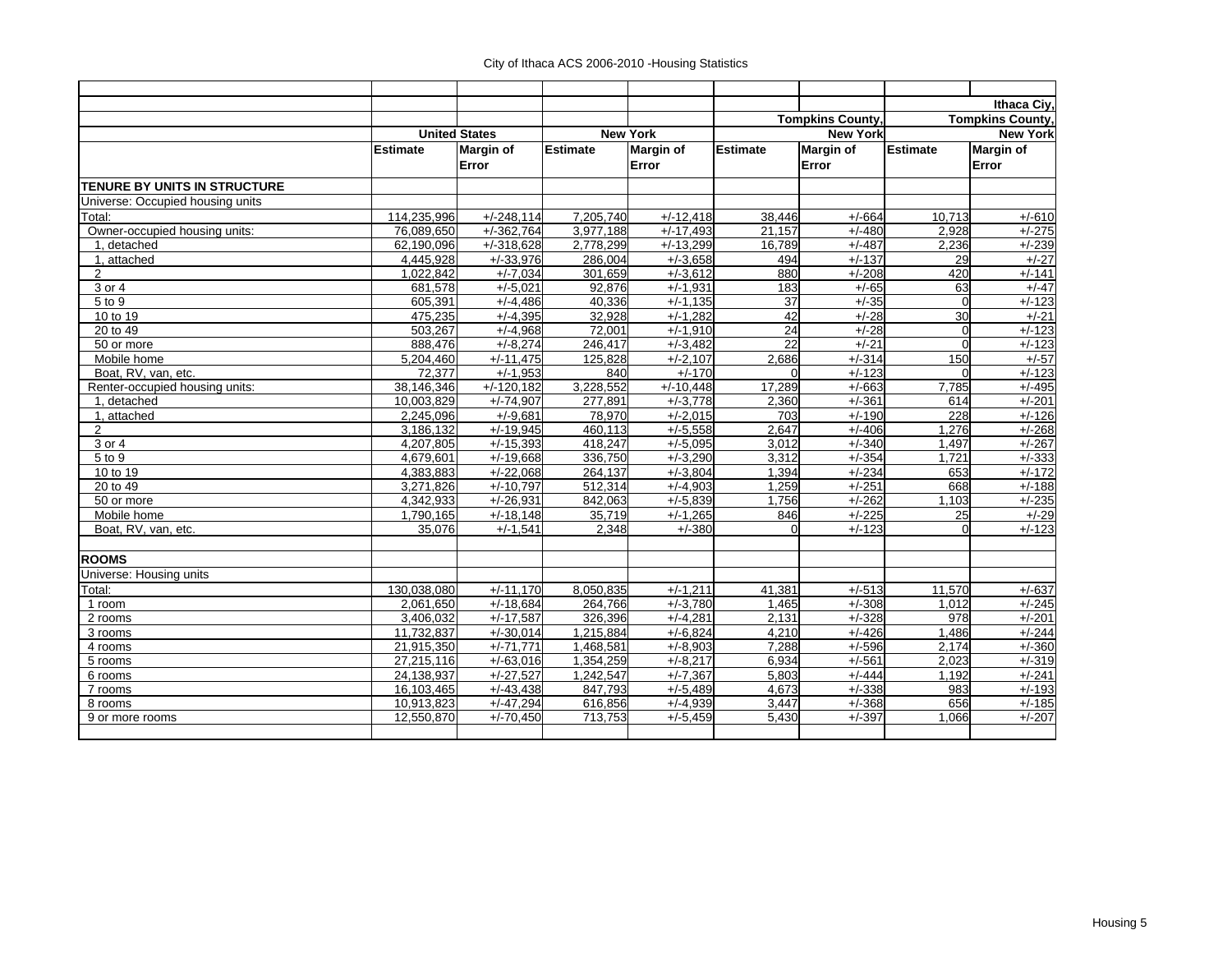|                                     |                 |                      |                 |                  |                 |                         |          | Ithaca Ciy,             |
|-------------------------------------|-----------------|----------------------|-----------------|------------------|-----------------|-------------------------|----------|-------------------------|
|                                     |                 |                      |                 |                  |                 | <b>Tompkins County,</b> |          | <b>Tompkins County,</b> |
|                                     |                 | <b>United States</b> |                 | <b>New York</b>  |                 | <b>New York</b>         |          | <b>New York</b>         |
|                                     | <b>Estimate</b> | <b>Margin of</b>     | <b>Estimate</b> | <b>Margin of</b> | <b>Estimate</b> | <b>Margin of</b>        | Estimate | <b>Margin of</b>        |
|                                     |                 | Error                |                 | Error            |                 | Error                   |          | Error                   |
| <b>TENURE BY UNITS IN STRUCTURE</b> |                 |                      |                 |                  |                 |                         |          |                         |
| Universe: Occupied housing units    |                 |                      |                 |                  |                 |                         |          |                         |
| Total:                              | 114,235,996     | $+/-248,114$         | 7,205,740       | $+/-12,418$      | 38,446          | $+/-664$                | 10.713   | $+/-610$                |
| Owner-occupied housing units:       | 76,089,650      | $+/-362,764$         | 3,977,188       | $+/-17,493$      | 21,157          | $+/-480$                | 2,928    | $+/-275$                |
| 1. detached                         | 62.190.096      | $+/-318.628$         | 2,778,299       | $+/-13,299$      | 16.789          | $+/-487$                | 2,236    | $+/-239$                |
| 1, attached                         | 4,445,928       | $+/-33,976$          | 286,004         | $+/-3,658$       | 494             | $+/-137$                | 29       | $+/-27$                 |
| $\overline{2}$                      | 1,022,842       | $+/-7,034$           | 301,659         | $+/-3,612$       | 880             | $+/-208$                | 420      | $+/-141$                |
| 3 or 4                              | 681,578         | $+/-5.021$           | 92.876          | $+/-1,931$       | 183             | $+/-65$                 | 63       | $+/-47$                 |
| 5 to 9                              | 605,391         | $+/-4,486$           | 40,336          | $+/-1,135$       | $\overline{37}$ | $+/-35$                 | $\Omega$ | $+/-123$                |
| 10 to 19                            | 475,235         | $+/-4,395$           | 32,928          | $+/-1,282$       | 42              | $+/-28$                 | 30       | $+/-21$                 |
| 20 to 49                            | 503,267         | $+/-4,968$           | 72,001          | $+/-1,910$       | 24              | $+/-28$                 | $\Omega$ | $+/-123$                |
| 50 or more                          | 888,476         | $+/-8,274$           | 246,417         | $+/-3,482$       | 22              | $+/-21$                 | $\Omega$ | $+/-123$                |
| Mobile home                         | 5,204,460       | $+/-11,475$          | 125,828         | $+/-2,107$       | 2,686           | $+/-314$                | 150      | $+/-57$                 |
| Boat, RV, van, etc.                 | 72.377          | $+/-1,953$           | 840             | $+/-170$         | $\Omega$        | $+/-123$                | $\Omega$ | $+/-123$                |
| Renter-occupied housing units:      | 38.146.346      | $+/-120,182$         | 3,228,552       | $+/-10,448$      | 17,289          | $+/-663$                | 7,785    | $+/-495$                |
| 1, detached                         | 10,003,829      | $+/-74,907$          | 277,891         | $+/-3,778$       | 2,360           | $+/-361$                | 614      | $+/-201$                |
| 1, attached                         | 2.245.096       | $+/-9.681$           | 78,970          | $+/-2,015$       | 703             | $+/-190$                | 228      | $+/-126$                |
| $\overline{2}$                      | 3,186,132       | $+/-19,945$          | 460,113         | $+/-5,558$       | 2,647           | $+/-406$                | 1,276    | $+/-268$                |
| 3 or 4                              | 4,207,805       | $+/-15,393$          | 418,247         | $+/-5,095$       | 3,012           | $+/-340$                | 1,497    | $+/-267$                |
| 5 to 9                              | 4,679,601       | $+/-19,668$          | 336,750         | $+/-3,290$       | 3,312           | $+/-354$                | 1.721    | $+/-333$                |
| 10 to 19                            | 4,383,883       | $+/-22,068$          | 264,137         | $+/-3,804$       | 1,394           | $+/-234$                | 653      | $+/-172$                |
| 20 to 49                            | 3.271.826       | $+/-10.797$          | 512,314         | $+/-4,903$       | 1,259           | $+/-251$                | 668      | $+/-188$                |
| 50 or more                          | 4.342.933       | $+/-26.931$          | 842.063         | $+/-5.839$       | 1.756           | $+/-262$                | 1.103    | $+/-235$                |
| Mobile home                         | 1,790,165       | $+/-18,148$          | 35,719          | $+/-1,265$       | 846             | $+/-225$                | 25       | $+/-29$                 |
| Boat, RV, van, etc.                 | 35.076          | $+/-1.541$           | 2.348           | $+/-380$         | $\Omega$        | $+/-123$                | $\Omega$ | $+/-123$                |
| <b>ROOMS</b>                        |                 |                      |                 |                  |                 |                         |          |                         |
| Universe: Housing units             |                 |                      |                 |                  |                 |                         |          |                         |
| Total:                              | 130,038,080     | $+/-11.170$          | 8,050,835       | $+/-1,211$       | 41,381          | $+/-513$                | 11,570   | $+/-637$                |
| 1 room                              | 2,061,650       | $+/-18,684$          | 264,766         | $+/-3,780$       | 1,465           | $+/-308$                | 1,012    | $+/-245$                |
| 2 rooms                             | 3,406,032       | $+/-17,587$          | 326,396         | $+/-4,281$       | 2,131           | $+/-328$                | 978      | $+/-201$                |
| 3 rooms                             | 11,732,837      | $+/-30,014$          | 1,215,884       | $+/-6,824$       | 4,210           | $+/-426$                | 1,486    | $+/-244$                |
| 4 rooms                             | 21,915,350      | $+/-71.771$          | 1,468,581       | $+/-8,903$       | 7,288           | $+/-596$                | 2,174    | $+/-360$                |
| 5 rooms                             | 27,215,116      | $+/-63,016$          | 1,354,259       | $+/-8,217$       | 6,934           | $+/-561$                | 2,023    | $+/-319$                |
| 6 rooms                             | 24,138,937      | $+/-27,527$          | 1,242,547       | $+/-7,367$       | 5,803           | $+/-444$                | 1,192    | $+/-241$                |
| 7 rooms                             | 16,103,465      | $+/-43,438$          | 847.793         | $+/-5,489$       | 4,673           | $+/-338$                | 983      | $+/-193$                |
| 8 rooms                             | 10,913,823      | $+/-47,294$          | 616,856         | $+/-4,939$       | 3,447           | $+/-368$                | 656      | $+/-185$                |
| 9 or more rooms                     | 12,550,870      | $+/-70,450$          | 713,753         | $+/-5,459$       | 5.430           | $+/-397$                | 1.066    | $+/-207$                |
|                                     |                 |                      |                 |                  |                 |                         |          |                         |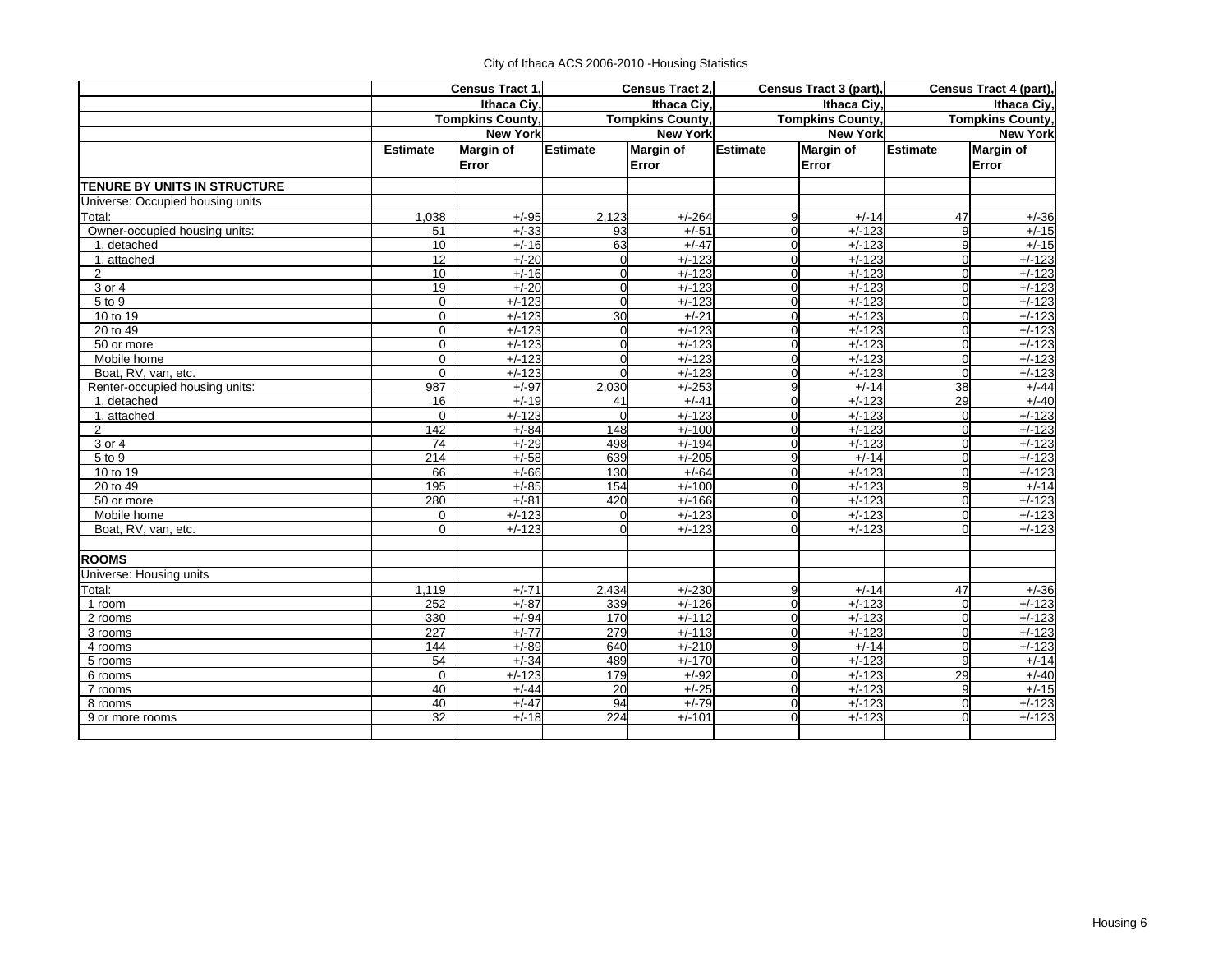|  | City of Ithaca ACS 2006-2010 - Housing Statistics |  |  |
|--|---------------------------------------------------|--|--|
|--|---------------------------------------------------|--|--|

|                                  |                  | Census Tract 1,         |                  | Census Tract 2,         |                 | Census Tract 3 (part),  |                         | Census Tract 4 (part), |
|----------------------------------|------------------|-------------------------|------------------|-------------------------|-----------------|-------------------------|-------------------------|------------------------|
|                                  |                  | Ithaca Civ.             |                  | Ithaca Civ.             | Ithaca Civ.     |                         | Ithaca Civ.             |                        |
|                                  |                  | <b>Tompkins County,</b> |                  | <b>Tompkins County,</b> |                 | <b>Tompkins County,</b> | <b>Tompkins County,</b> |                        |
|                                  |                  | <b>New York</b>         |                  | <b>New York</b>         |                 | <b>New York</b>         |                         | <b>New York</b>        |
|                                  | <b>Estimate</b>  | Margin of               | <b>Estimate</b>  | <b>Margin of</b>        | <b>Estimate</b> | <b>Margin of</b>        | <b>Estimate</b>         | <b>Margin of</b>       |
|                                  |                  | Error                   |                  | Error                   |                 | Error                   |                         | Error                  |
| TENURE BY UNITS IN STRUCTURE     |                  |                         |                  |                         |                 |                         |                         |                        |
| Universe: Occupied housing units |                  |                         |                  |                         |                 |                         |                         |                        |
| Total:                           | 1.038            | $+/-95$                 | 2.123            | $+/-264$                | 9               | $+/-14$                 | 47                      | $+/-36$                |
| Owner-occupied housing units:    | 51               | $+/-33$                 | 93               | $+/-51$                 | $\overline{0}$  | $+/-123$                | 9                       | $+/-15$                |
| 1, detached                      | 10               | $+/-16$                 | 63               | $+/-47$                 | $\mathbf 0$     | $+/-123$                | 9                       | $+/-15$                |
| 1, attached                      | 12               | $+/-20$                 | $\Omega$         | $+/-123$                | $\overline{0}$  | $+/-123$                | $\mathbf 0$             | $+/-123$               |
| $\overline{2}$                   | 10               | $+/-16$                 | 0                | $+/-123$                | $\overline{0}$  | $+/-123$                | $\Omega$                | $+/-123$               |
| 3 or 4                           | 19               | $+/-20$                 | $\Omega$         | $+/-123$                | $\overline{0}$  | $+/-123$                | $\Omega$                | $+/-123$               |
| 5 to 9                           | $\mathbf 0$      | $+/-123$                | 0                | $+/-123$                | $\overline{0}$  | $+/-123$                | $\mathbf 0$             | $+/-123$               |
| 10 to 19                         | $\mathbf 0$      | $+/-123$                | $\overline{30}$  | $+/-21$                 | $\overline{0}$  | $+/-123$                | $\Omega$                | $+/-123$               |
| $20$ to $49$                     | $\mathbf 0$      | $+/-123$                | 0                | $+/-123$                | $\overline{0}$  | $+/-123$                | $\Omega$                | $+/-123$               |
| 50 or more                       | $\mathbf 0$      | $+/-123$                | 0                | $+/-123$                | $\overline{0}$  | $+/-123$                | $\Omega$                | $+/-123$               |
| Mobile home                      | $\Omega$         | $+/-123$                | 0                | $+/-123$                | $\overline{0}$  | $+/-123$                | $\Omega$                | $+/-123$               |
| Boat, RV, van, etc.              | $\Omega$         | $+/-123$                | $\Omega$         | $+/-123$                | $\overline{0}$  | $+/-123$                | $\Omega$                | $+/-123$               |
| Renter-occupied housing units:   | 987              | $+/-97$                 | 2,030            | $+/-253$                | 9               | $+/-14$                 | $\overline{38}$         | $+/-44$                |
| 1, detached                      | 16               | $+/-19$                 | 41               | $+/-41$                 | $\overline{0}$  | $+/-123$                | 29                      | $+/-40$                |
| 1, attached                      | $\mathbf 0$      | $+/-123$                | $\Omega$         | $+/-123$                | $\overline{0}$  | $+/-123$                | $\Omega$                | $+/-123$               |
| 2                                | $\overline{142}$ | $+/-84$                 | 148              | $+/-100$                | $\overline{0}$  | $+/-123$                | $\Omega$                | $+/-123$               |
| 3 or 4                           | 74               | $+/-29$                 | 498              | $+/-194$                | $\overline{0}$  | $+/-123$                | $\Omega$                | $+/-123$               |
| 5 to 9                           | 214              | $+/-58$                 | 639              | $+/-205$                | 9               | $+/-14$                 | $\Omega$                | $+/-123$               |
| 10 to 19                         | 66               | $+/-66$                 | 130              | $+/-64$                 | $\overline{0}$  | $+/-123$                | $\Omega$                | $+/-123$               |
| 20 to 49                         | 195              | $+/-85$                 | 154              | $+/-100$                | $\overline{0}$  | $+/-123$                | 9                       | $+/-14$                |
| 50 or more                       | 280              | $+/-81$                 | 420              | $+/-166$                | $\mathbf 0$     | $+/-123$                | $\Omega$                | $+/-123$               |
| Mobile home                      | $\Omega$         | $+/-123$                | $\Omega$         | $+/-123$                | $\Omega$        | $+/-123$                | $\Omega$                | $+/-123$               |
| Boat, RV, van, etc.              | $\Omega$         | $+/-123$                | $\Omega$         | $+/-123$                | $\Omega$        | $+/-123$                | $\Omega$                | $+/-123$               |
| <b>ROOMS</b>                     |                  |                         |                  |                         |                 |                         |                         |                        |
| Universe: Housing units          |                  |                         |                  |                         |                 |                         |                         |                        |
| Total:                           | 1,119            | $+/-71$                 | 2,434            | $+/-230$                | 9               | $+/-14$                 | 47                      | $+/-36$                |
| 1 room                           | 252              | $+/-87$                 | 339              | $+/-126$                | $\overline{0}$  | $+/-123$                | $\Omega$                | $+/-123$               |
| 2 rooms                          | 330              | $+/-94$                 | 170              | $+/-112$                | $\overline{0}$  | $+/-123$                | $\mathbf 0$             | $+/-123$               |
| 3 rooms                          | 227              | $+/-77$                 | 279              | $+/-113$                | $\overline{0}$  | $+/-123$                | $\Omega$                | $+/-123$               |
| 4 rooms                          | 144              | $+/-89$                 | 640              | $+/-210$                | 9               | $+/-14$                 | $\mathbf 0$             | $+/-123$               |
| 5 rooms                          | 54               | $+/-34$                 | 489              | $+/-170$                | $\overline{0}$  | $+/-123$                | 9                       | $+/-14$                |
| 6 rooms                          | $\mathbf 0$      | $+/-123$                | 179              | $+/-92$                 | $\overline{0}$  | $+/-123$                | 29                      | $+/-40$                |
| 7 rooms                          | 40               | $+/-44$                 | 20               | $+/-25$                 | $\overline{0}$  | $+/-123$                | 9                       | $+/-15$                |
| 8 rooms                          | 40               | $+/-47$                 | 94               | $+/-79$                 | $\mathbf 0$     | $+/-123$                | $\mathbf 0$             | $+/-123$               |
| 9 or more rooms                  | $\overline{32}$  | $+/-18$                 | $\overline{224}$ | $+/-101$                | $\mathbf{0}$    | $+/-123$                | $\Omega$                | $+/-123$               |
|                                  |                  |                         |                  |                         |                 |                         |                         |                        |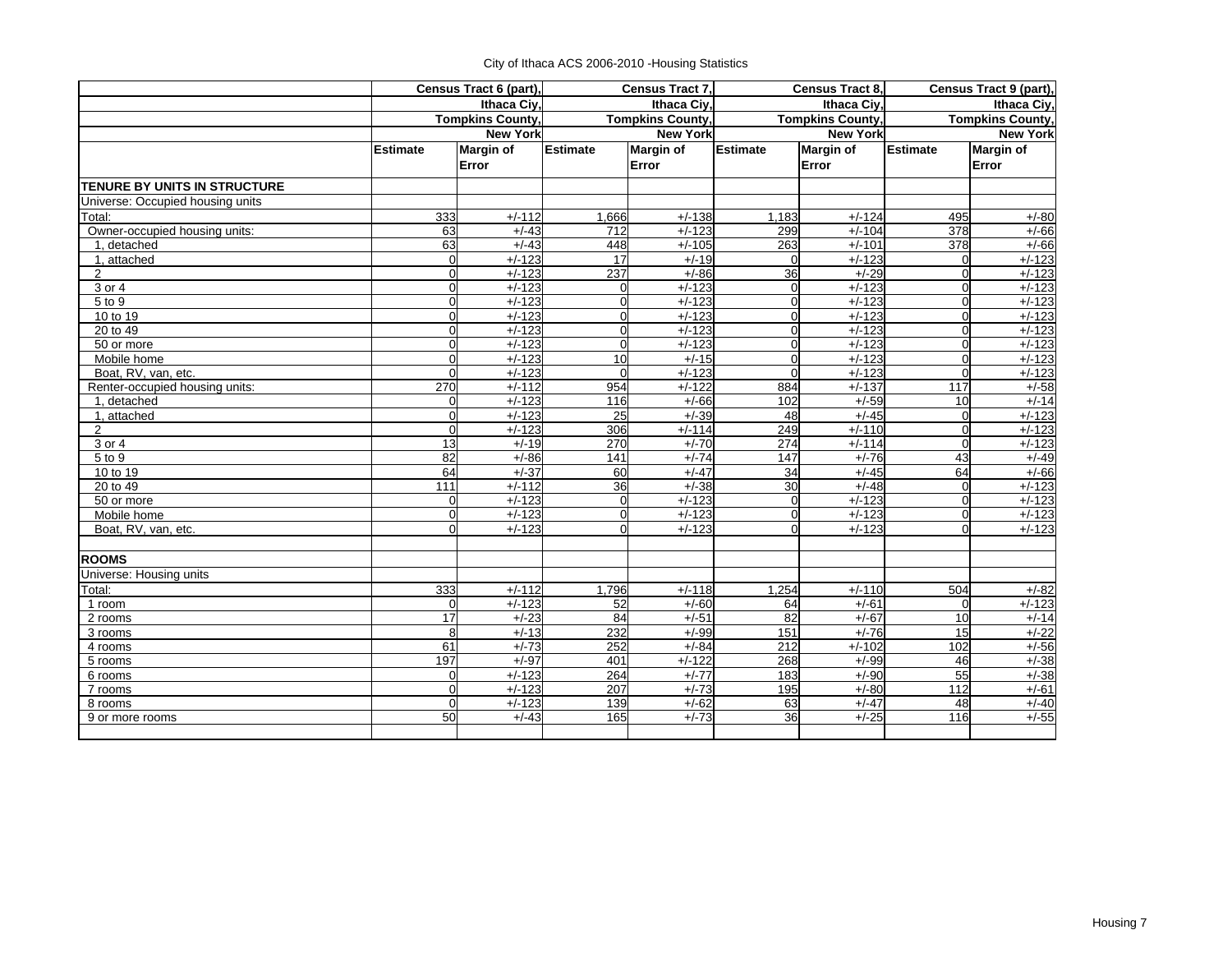|  | City of Ithaca ACS 2006-2010 - Housing Statistics |  |  |
|--|---------------------------------------------------|--|--|
|--|---------------------------------------------------|--|--|

|                                     |                 | Census Tract 6 (part),  |                 | Census Tract 7.         |                 | Census Tract 8,         |                  | Census Tract 9 (part),  |
|-------------------------------------|-----------------|-------------------------|-----------------|-------------------------|-----------------|-------------------------|------------------|-------------------------|
|                                     | Ithaca Civ.     |                         |                 | <b>Ithaca Civ</b>       |                 | Ithaca Civ.             | Ithaca Civ.      |                         |
|                                     |                 | <b>Tompkins County,</b> |                 | <b>Tompkins County,</b> |                 | <b>Tompkins County,</b> |                  | <b>Tompkins County,</b> |
|                                     |                 | <b>New York</b>         |                 | <b>New York</b>         |                 | <b>New York</b>         |                  | <b>New York</b>         |
|                                     | <b>Estimate</b> | <b>Margin of</b>        | <b>Estimate</b> | <b>Margin of</b>        | <b>Estimate</b> | <b>Margin of</b>        | <b>Estimate</b>  | Margin of               |
|                                     |                 | Error                   |                 | Error                   |                 | Error                   |                  | Error                   |
| <b>TENURE BY UNITS IN STRUCTURE</b> |                 |                         |                 |                         |                 |                         |                  |                         |
| Universe: Occupied housing units    |                 |                         |                 |                         |                 |                         |                  |                         |
| Total:                              | 333             | $+/-112$                | 1,666           | $+/-138$                | 1,183           | $+/-124$                | 495              | $+/-80$                 |
| Owner-occupied housing units:       | 63              | $+/-43$                 | 712             | $+/-123$                | 299             | $+/-104$                | 378              | $+/-66$                 |
| 1, detached                         | 63              | $+/-43$                 | 448             | $+/-105$                | 263             | $+/-101$                | 378              | $+/-66$                 |
| 1, attached                         | $\overline{0}$  | $+/-123$                | $\overline{17}$ | $+/-19$                 | $\Omega$        | $+/-123$                | $\Omega$         | $+/-123$                |
| 2                                   | $\overline{0}$  | $+/-123$                | 237             | $+/-86$                 | 36              | $+/-29$                 | $\Omega$         | $+/-123$                |
| 3 or 4                              | $\Omega$        | $+/-123$                | 0               | $+/-123$                | $\overline{0}$  | $+/-123$                | $\Omega$         | $+/-123$                |
| 5 to 9                              | $\mathbf 0$     | $+/-123$                | $\Omega$        | $+/-123$                | $\overline{0}$  | $+/-123$                | $\Omega$         | $+/-123$                |
| 10 to 19                            | $\mathbf 0$     | $+/-123$                | $\Omega$        | $+/-123$                | $\overline{0}$  | $+/-123$                | $\mathbf 0$      | $+/-123$                |
| 20 to 49                            | $\mathbf 0$     | $+/-123$                | $\Omega$        | $+/-123$                | $\overline{0}$  | $+/-123$                | $\Omega$         | $+/-123$                |
| 50 or more                          | $\mathbf 0$     | $+/-123$                | $\overline{0}$  | $+/-123$                | $\overline{0}$  | $+/-123$                | $\mathbf 0$      | $+/-123$                |
| Mobile home                         | $\Omega$        | $+/-123$                | 10              | $+/-15$                 | $\overline{0}$  | $+/-123$                | $\Omega$         | $+/-123$                |
| Boat, RV, van, etc.                 | $\Omega$        | $+/-123$                | $\Omega$        | $+/-123$                | $\mathbf 0$     | $+/-123$                | $\Omega$         | $+/-123$                |
| Renter-occupied housing units:      | 270             | $+/-112$                | 954             | $+/-122$                | 884             | $+/-137$                | $\overline{117}$ | $+/-58$                 |
| 1, detached                         | $\overline{0}$  | $+/-123$                | 116             | $+/-66$                 | 102             | $+/-59$                 | 10               | $+/-14$                 |
| 1, attached                         | $\mathbf 0$     | $+/-123$                | 25              | $+/-39$                 | 48              | $+/-45$                 | $\Omega$         | $+/-123$                |
| $\overline{2}$                      | $\mathbf{0}$    | $+/-123$                | 306             | $+/-114$                | 249             | $+/-110$                | $\Omega$         | $+/-123$                |
| 3 or 4                              | $\overline{a}$  | $+/-19$                 | 270             | $+/-70$                 | 274             | $+/-114$                | $\Omega$         | $+/-123$                |
| 5 to 9                              | 82              | $+/-86$                 | 141             | $+/-74$                 | 147             | $+/-76$                 | 43               | $+/-49$                 |
| 10 to 19                            | 64              | $+/-37$                 | 60              | $+/-47$                 | 34              | $+/-45$                 | 64               | $+/-66$                 |
| 20 to 49                            | 111             | $+/-112$                | 36              | $+/-38$                 | 30              | $+/-48$                 | $\Omega$         | $+/-123$                |
| 50 or more                          | $\Omega$        | $+/-123$                | $\Omega$        | $+/-123$                | $\overline{0}$  | $+/-123$                | $\Omega$         | $+/-123$                |
| Mobile home                         | $\mathbf 0$     | $+/-123$                | $\Omega$        | $+/-123$                | $\overline{0}$  | $+/-123$                | $\Omega$         | $+/-123$                |
| Boat, RV, van, etc.                 | $\mathbf 0$     | $+/-123$                | 0               | $+/-123$                | $\overline{0}$  | $+/-123$                | $\Omega$         | $+/-123$                |
| <b>ROOMS</b>                        |                 |                         |                 |                         |                 |                         |                  |                         |
| <b>Universe: Housing units</b>      |                 |                         |                 |                         |                 |                         |                  |                         |
| Total:                              | 333             | $+/-112$                | 1,796           | $+/-118$                | 1,254           | $+/-110$                | 504              | $+/-82$                 |
| 1 room                              | $\Omega$        | $+/-123$                | 52              | $+/-60$                 | 64              | $+/-61$                 | $\Omega$         | $+/-123$                |
| 2 rooms                             | 17              | $+/-23$                 | 84              | $+/-51$                 | 82              | $+/-67$                 | 10               | $+/-14$                 |
| 3 rooms                             | 8               | $+/-13$                 | 232             | $+/-99$                 | 151             | $+/-76$                 | 15               | $+/-22$                 |
| 4 rooms                             | 61              | $+/-73$                 | 252             | $+/-84$                 | 212             | $+/-102$                | 102              | $+/-56$                 |
| 5 rooms                             | 197             | $+/-97$                 | 401             | $+/-122$                | 268             | $+/-99$                 | 46               | $+/-38$                 |
| 6 rooms                             | $\mathbf 0$     | $+/-123$                | 264             | $+/-77$                 | 183             | $+/-90$                 | 55               | $+/-38$                 |
| 7 rooms                             | $\mathbf 0$     | $+/-123$                | 207             | $+/-73$                 | 195             | $+/-80$                 | 112              | $+/-61$                 |
| 8 rooms                             | $\Omega$        | $+/-123$                | 139             | $+/-62$                 | 63              | $+/-47$                 | 48               | $+/-40$                 |
| 9 or more rooms                     | 50              | $+/-43$                 | 165             | $+/-73$                 | 36              | $+/-25$                 | 116              | $+/-55$                 |
|                                     |                 |                         |                 |                         |                 |                         |                  |                         |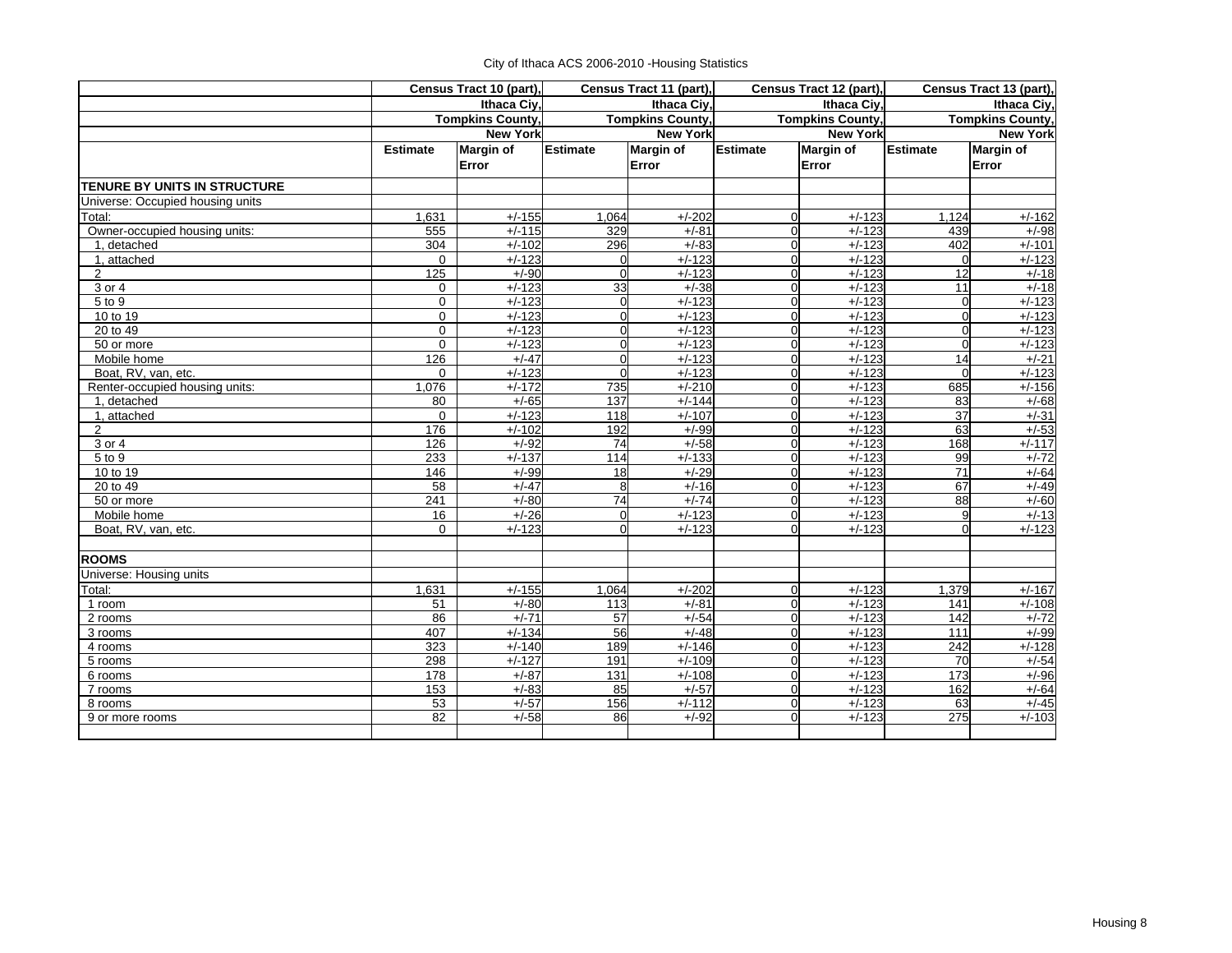|  | City of Ithaca ACS 2006-2010 - Housing Statistics |  |
|--|---------------------------------------------------|--|
|--|---------------------------------------------------|--|

|                                  | Census Tract 10 (part),<br>Ithaca Ciy, |                         |                         | Census Tract 11 (part), | Census Tract 12 (part), |                  | Census Tract 13 (part), |                  |
|----------------------------------|----------------------------------------|-------------------------|-------------------------|-------------------------|-------------------------|------------------|-------------------------|------------------|
|                                  |                                        |                         |                         | Ithaca Civ.             |                         | Ithaca Civ.      | Ithaca Civ.             |                  |
|                                  |                                        | <b>Tompkins County,</b> | <b>Tompkins County,</b> |                         | <b>Tompkins County,</b> |                  | <b>Tompkins County,</b> |                  |
|                                  |                                        | <b>New York</b>         |                         | <b>New York</b>         |                         | <b>New York</b>  | <b>New York</b>         |                  |
|                                  | <b>Estimate</b>                        | <b>Margin of</b>        | <b>Estimate</b>         | <b>Margin of</b>        | <b>Estimate</b>         | <b>Margin of</b> | <b>Estimate</b>         | <b>Margin of</b> |
|                                  |                                        | Error                   |                         | Error                   |                         | Error            |                         | Error            |
| TENURE BY UNITS IN STRUCTURE     |                                        |                         |                         |                         |                         |                  |                         |                  |
| Universe: Occupied housing units |                                        |                         |                         |                         |                         |                  |                         |                  |
| Total:                           | 1.631                                  | $+/-155$                | 1.064                   | $+/-202$                | $\Omega$                | $+/-123$         | 1.124                   | $+/-162$         |
| Owner-occupied housing units:    | 555                                    | $+/-115$                | 329                     | $+/-81$                 | $\mathbf 0$             | $+/-123$         | 439                     | $+/-98$          |
| 1. detached                      | 304                                    | $+/-102$                | 296                     | $+/-83$                 | $\mathbf{0}$            | $+/-123$         | 402                     | $+/-101$         |
| 1, attached                      | $\Omega$                               | $+/-123$                | $\Omega$                | $+/-123$                | $\mathbf 0$             | $+/-123$         |                         | $+/-123$         |
| 2                                | 125                                    | $+/-90$                 | $\mathbf{0}$            | $+/-123$                | $\mathbf 0$             | $+/-123$         | $\overline{12}$         | $+/-18$          |
| 3 or 4                           | $\mathbf 0$                            | $+/-123$                | 33                      | $+/-38$                 | $\mathbf 0$             | $+/-123$         | 11                      | $+/-18$          |
| $5$ to $9$                       | $\Omega$                               | $+/-123$                | $\Omega$                | $+/-123$                | $\mathbf 0$             | $+/-123$         | 0                       | $+/-123$         |
| 10 to 19                         | $\mathbf 0$                            | $+/-123$                | $\Omega$                | $+/-123$                | $\mathbf 0$             | $+/-123$         | $\Omega$                | $+/-123$         |
| 20 to 49                         | $\mathbf 0$                            | $+/-123$                | $\Omega$                | $+/-123$                | $\mathbf 0$             | $+/-123$         | $\Omega$                | $+/-123$         |
| 50 or more                       | $\mathbf 0$                            | $+/-123$                | $\Omega$                | $+/-123$                | $\mathbf 0$             | $+/-123$         | $\Omega$                | $+/-123$         |
| Mobile home                      | 126                                    | $+/-47$                 | $\Omega$                | $+/-123$                | $\mathbf{0}$            | $+/-123$         | $\overline{14}$         | $+/-21$          |
| Boat, RV, van, etc.              | $\Omega$                               | $+/-123$                | $\Omega$                | $+/-123$                | $\mathbf 0$             | $+/-123$         | $\Omega$                | $+/-123$         |
| Renter-occupied housing units:   | 1,076                                  | $+/-172$                | 735                     | $+/-210$                | $\mathbf 0$             | $+/-123$         | 685                     | $+/-156$         |
| 1, detached                      | 80                                     | $+/-65$                 | 137                     | $+/-144$                | $\mathbf 0$             | $+/-123$         | 83                      | $+/-68$          |
| 1, attached                      | $\Omega$                               | $+/-123$                | 118                     | $+/-107$                | $\mathbf 0$             | $+/-123$         | 37                      | $+/-31$          |
| 2                                | 176                                    | $+/-102$                | 192                     | $+/-99$                 | $\mathbf 0$             | $+/-123$         | 63                      | $+/-53$          |
| 3 or 4                           | 126                                    | $+/-92$                 | 74                      | $+/-58$                 | $\mathbf 0$             | $+/-123$         | 168                     | $+/-117$         |
| 5 to 9                           | 233                                    | $+/-137$                | 114                     | $+/-133$                | $\mathbf 0$             | $+/-123$         | 99                      | $+/-72$          |
| 10 to 19                         | 146                                    | $+/-99$                 | 18                      | $+/-29$                 | $\mathbf 0$             | $+/-123$         | 71                      | $+/-64$          |
| 20 to 49                         | 58                                     | $+/-47$                 | 8                       | $+/-16$                 | $\mathbf 0$             | $+/-123$         | 67                      | $+/-49$          |
| 50 or more                       | 241                                    | $+/-80$                 | $\overline{74}$         | $+/-74$                 | $\mathbf{0}$            | $+/-123$         | 88                      | $+/-60$          |
| Mobile home                      | 16                                     | $+/-26$                 | $\overline{0}$          | $+/-123$                | $\mathbf 0$             | $+/-123$         | 9                       | $+/-13$          |
| Boat, RV, van, etc.              | $\Omega$                               | $+/-123$                | $\Omega$                | $+/-123$                | $\Omega$                | $+/-123$         | $\Omega$                | $+/-123$         |
| <b>ROOMS</b>                     |                                        |                         |                         |                         |                         |                  |                         |                  |
| Universe: Housing units          |                                        |                         |                         |                         |                         |                  |                         |                  |
| Total:                           | 1,631                                  | $+/-155$                | 1,064                   | $+/-202$                | $\mathbf 0$             | $+/-123$         | 1,379                   | $+/-167$         |
| 1 room                           | 51                                     | $+/-80$                 | 113                     | $+/-81$                 | $\mathbf 0$             | $+/-123$         | 141                     | $+/-108$         |
| 2 rooms                          | 86                                     | $+/-71$                 | 57                      | $+/-54$                 | $\mathbf 0$             | $+/-123$         | 142                     | $+/-72$          |
| 3 rooms                          | 407                                    | $+/-134$                | 56                      | $+/-48$                 | $\mathbf{0}$            | $+/-123$         | 111                     | $+/-99$          |
| 4 rooms                          | 323                                    | $+/-140$                | 189                     | $+/-146$                | $\mathbf 0$             | $+/-123$         | 242                     | $+/-128$         |
| 5 rooms                          | 298                                    | $+/-127$                | 191                     | $+/-109$                | $\mathbf 0$             | $+/-123$         | 70                      | $+/-54$          |
| 6 rooms                          | 178                                    | $+/-87$                 | 131                     | $+/-108$                | $\mathbf 0$             | $+/-123$         | $\overline{173}$        | $+/-96$          |
| 7 rooms                          | 153                                    | $+/-83$                 | 85                      | $+/-57$                 | $\mathbf 0$             | $+/-123$         | 162                     | $+/-64$          |
| 8 rooms                          | 53                                     | $+/-57$                 | 156                     | $+/-112$                | $\mathbf 0$             | $+/-123$         | 63                      | $+/-45$          |
| 9 or more rooms                  | $\overline{82}$                        | $+/-58$                 | 86                      | $+/-92$                 | $\overline{0}$          | $+/-123$         | 275                     | $+/-103$         |
|                                  |                                        |                         |                         |                         |                         |                  |                         |                  |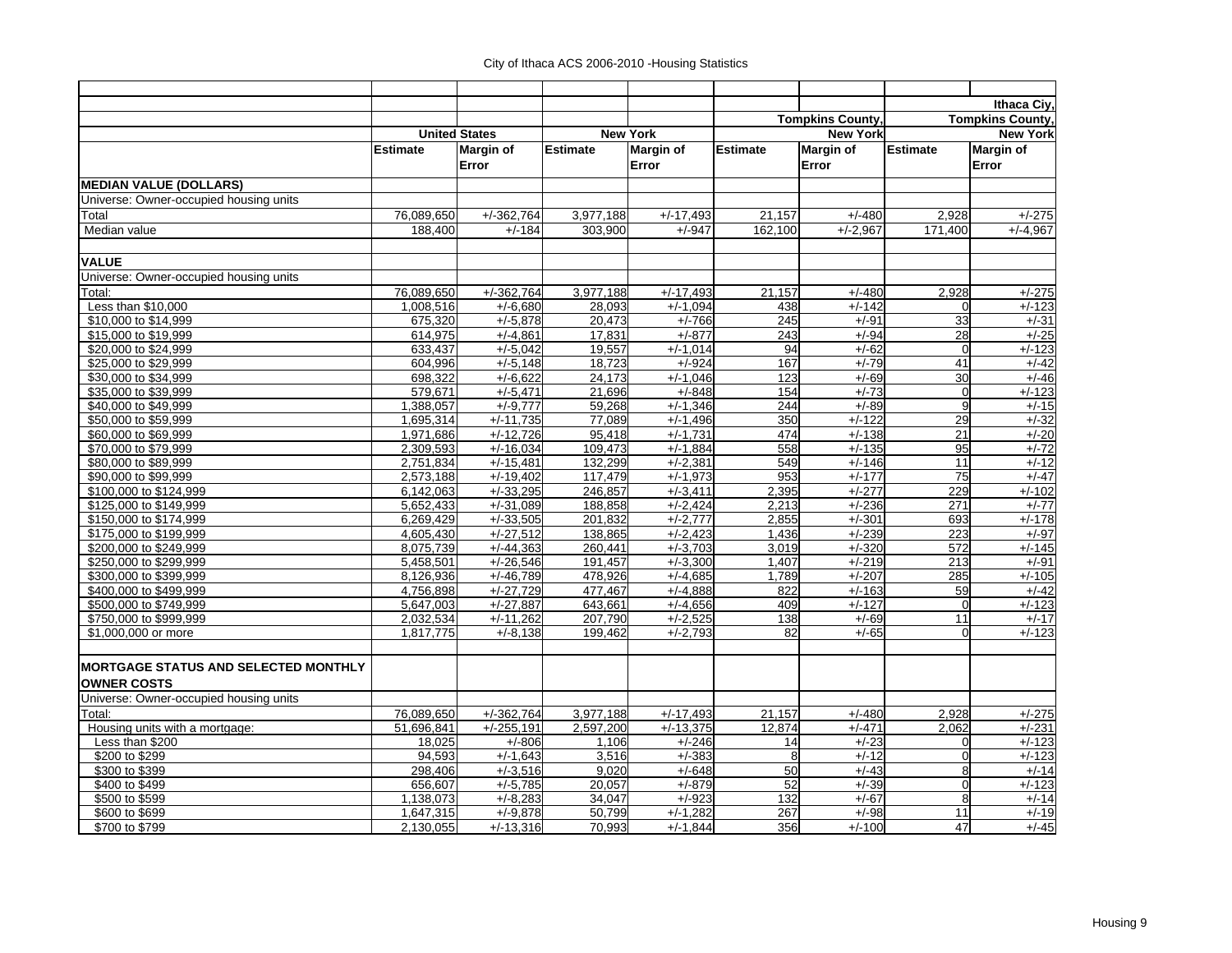|                                                  |                        |                            |                    |                          |                 |                         |                      | Ithaca Civ.             |
|--------------------------------------------------|------------------------|----------------------------|--------------------|--------------------------|-----------------|-------------------------|----------------------|-------------------------|
|                                                  |                        |                            |                    |                          |                 | <b>Tompkins County,</b> |                      | <b>Tompkins County,</b> |
|                                                  |                        | <b>United States</b>       |                    | <b>New York</b>          |                 | <b>New York</b>         | <b>New York</b>      |                         |
|                                                  | <b>Estimate</b>        | Margin of                  | <b>Estimate</b>    | <b>Margin of</b>         | <b>Estimate</b> | <b>Margin of</b>        | <b>Estimate</b>      | Margin of               |
|                                                  |                        | Error                      |                    | Error                    |                 | Error                   |                      | Error                   |
| <b>MEDIAN VALUE (DOLLARS)</b>                    |                        |                            |                    |                          |                 |                         |                      |                         |
| Universe: Owner-occupied housing units           |                        |                            |                    |                          |                 |                         |                      |                         |
| Total                                            | 76,089,650             | $+/-362,764$               | 3,977,188          | $+\frac{1}{17,493}$      | 21,157          | $+/-480$                | 2,928                | $+/-275$                |
| Median value                                     | 188,400                | $+/-184$                   | 303,900            | $+/-947$                 | 162,100         | $+/-2,967$              | $\overline{171,400}$ | $+/-4.967$              |
| <b>VALUE</b>                                     |                        |                            |                    |                          |                 |                         |                      |                         |
| Universe: Owner-occupied housing units           |                        |                            |                    |                          |                 |                         |                      |                         |
| Total:                                           | 76,089,650             | $+/-362,764$               | 3,977,188          | $+/-17,493$              | 21,157          | $+/-480$                | 2,928                | $+/-275$                |
| Less than \$10,000                               | 1,008,516              | $+/-6,680$                 | 28,093             | $+/-1,094$               | 438             | $+/-142$                |                      | $+/-123$                |
| \$10,000 to \$14,999                             | 675,320                | $+/-5.878$                 | 20,473             | $+/-766$                 | 245             | $+/-91$                 | 33                   | $+/-31$                 |
| \$15,000 to \$19,999                             | 614,975                | $+/-4,861$                 | 17,831             | $+/-877$                 | 243             | $+/-94$                 | 28                   | $+/-25$                 |
| \$20,000 to \$24,999                             | 633,437                | $+/-5,042$                 | 19,557             | $+/-1.014$               | 94              | $+/-62$                 | $\mathbf 0$          | $+/-123$                |
| \$25,000 to \$29,999                             | 604,996                | $+/-5,148$                 | 18,723             | $+/-924$                 | 167             | $+/-79$                 | 41                   | $+/-42$                 |
| \$30,000 to \$34,999                             | 698,322                | $+/-6,622$                 | 24,173             | $+/-1,046$               | 123             | $+/-69$                 | 30                   | $+/-46$                 |
| \$35,000 to \$39,999                             | 579,671                | $+/-5,471$                 | 21,696             | $+/-848$                 | 154             | $+/-73$                 | $\mathbf 0$          | $+/-123$                |
| \$40,000 to \$49,999                             | 1,388,057              | $+/-9.777$                 | 59,268             | $+/-1,346$               | 244             | $+/-89$                 | $\overline{9}$       | $+/-15$                 |
| \$50,000 to \$59,999                             | 1,695,314              | $+/-11,735$                | 77,089             | $+/-1,496$               | 350             | $+/-122$                | 29                   | $+/-32$                 |
| \$60,000 to \$69,999                             | 1,971,686              | $+/-12,726$                | 95,418             | $+/-1,731$               | 474             | $+/-138$                | $\overline{21}$      | $+/-20$                 |
| \$70,000 to \$79,999                             | 2,309,593              | $+/-16,034$                | 109,473            | $+/-1,884$               | 558             | $+/-135$                | 95                   | $+/-72$                 |
| \$80,000 to \$89,999                             | 2,751,834              | $+/-15,481$                | 132,299            | $+/-2,381$               | 549             | $+/-146$                | 11                   | $+/-12$                 |
| \$90,000 to \$99,999                             | 2,573,188              | $+/-19,402$                | 117,479            | $+/-1,973$               | 953             | $+/-177$                | $\overline{75}$      | $+/-47$                 |
| \$100,000 to \$124,999                           | 6,142,063              | $+/-33,295$                | 246,857            | $+/-3,411$               | 2,395           | $+/-277$                | 229                  | $+/-102$                |
| \$125,000 to \$149,999                           | 5,652,433              | $+/-31,089$                | 188,858            | $+/-2,424$               | 2,213           | $+/-236$                | 271                  | $+/-77$                 |
| \$150,000 to \$174,999                           | 6,269,429              | $+\frac{7}{33,505}$        | 201,832            | $+/-2,777$               | 2,855           | $+/-301$                | 693                  | $+/-178$                |
| \$175,000 to \$199,999                           | 4,605,430              | $+/-27,512$                | 138,865            | $+/-2,423$               | 1,436           | $+/-239$                | 223                  | $+/-97$                 |
| \$200,000 to \$249,999                           | 8,075,739              | $+/-44,363$                | 260,441            | $+/-3,703$               | 3,019           | $+/-320$                | 572                  | $+/-145$                |
| \$250,000 to \$299,999                           | 5,458,501              | $+/-26,546$                | 191,457            | $+/-3,300$               | 1,407           | $+/-219$                | 213                  | $+/-91$                 |
| \$300,000 to \$399,999                           | 8,126,936              | $+/-46,789$                | 478,926            | $+/-4,685$               | 1,789           | $+/-207$                | 285                  | $+/-105$                |
| \$400,000 to \$499,999                           | 4,756,898              | $+/-27,729$                | 477,467            | $+/-4.888$               | 822<br>409      | $+/-163$                | 59                   | $+/-42$<br>$+/-123$     |
| \$500,000 to \$749,999<br>\$750,000 to \$999,999 | 5,647,003<br>2,032,534 | $+/-27,887$<br>$+/-11,262$ | 643,661<br>207,790 | $+/-4,656$<br>$+/-2,525$ | 138             | $+/-127$<br>$+/-69$     | $\mathbf 0$<br>11    | $+/-17$                 |
| \$1,000,000 or more                              | 1,817,775              | $+/-8,138$                 | 199,462            | $+/-2,793$               | 82              | $+/-65$                 | $\Omega$             | $+/-123$                |
|                                                  |                        |                            |                    |                          |                 |                         |                      |                         |
| <b>MORTGAGE STATUS AND SELECTED MONTHLY</b>      |                        |                            |                    |                          |                 |                         |                      |                         |
| <b>OWNER COSTS</b>                               |                        |                            |                    |                          |                 |                         |                      |                         |
| Universe: Owner-occupied housing units           |                        |                            |                    |                          |                 |                         |                      |                         |
| Total:                                           | 76,089,650             | $+/-362,764$               | 3,977,188          | $+/-17,493$              | 21,157          | $+/-480$                | 2,928                | $+/-275$                |
| Housing units with a mortgage:                   | 51.696.841             | $+/-255,191$               | 2,597,200          | $+/-13,375$              | 12,874          | $+/-471$                | 2.062                | $+/-231$                |
| Less than \$200                                  | 18,025                 | $+/-806$                   | 1,106              | $+/-246$                 | 14              | $+/-23$                 | $\mathbf 0$          | $+/-123$                |
| \$200 to \$299                                   | 94,593                 | $+/-1,643$                 | 3,516              | $+/-383$                 | 8               | $+/-12$                 | $\overline{0}$       | $+/-123$                |
| \$300 to \$399                                   | 298,406                | $+/-3,516$                 | 9.020              | $+/-648$                 | 50              | $+/-43$                 | 8                    | $+/-14$                 |
| \$400 to \$499                                   | 656,607                | $+/-5,785$                 | 20,057             | $+/-879$                 | 52              | $+/-39$                 | $\mathbf 0$          | $+/-123$                |
| \$500 to \$599                                   | 1,138,073              | $+/-8,283$                 | 34,047             | $+/-923$                 | 132             | $+/-67$                 | 8                    | $+/-14$                 |
| \$600 to \$699                                   | 1,647,315              | $+/-9.878$                 | 50,799             | $+/-1,282$               | 267             | $+/-98$                 | 11                   | $+/-19$                 |
| \$700 to \$799                                   | 2,130,055              | $+/-13,316$                | 70,993             | $+/-1,844$               | 356             | $+/-100$                | 47                   | $+/-45$                 |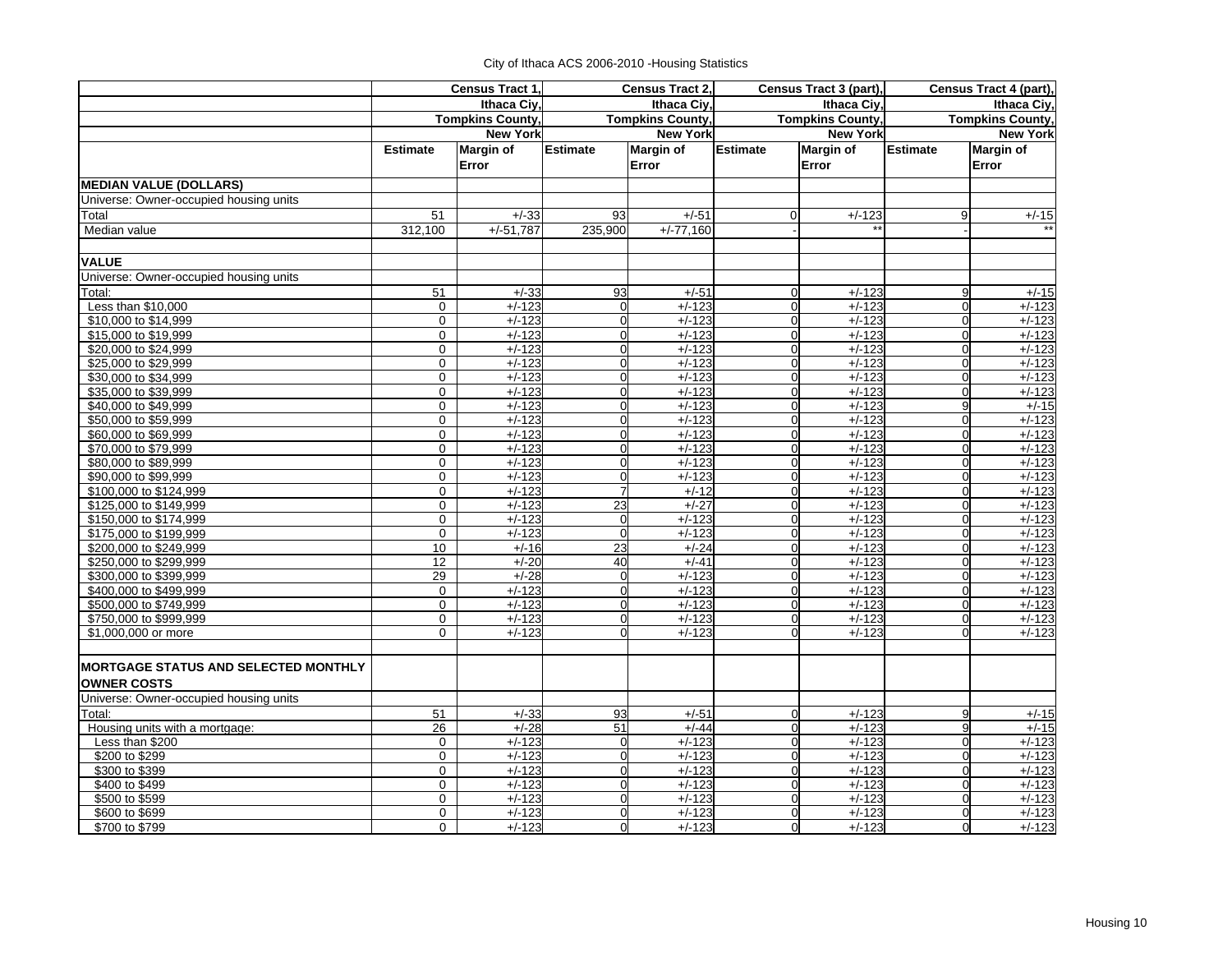|                                             |                         | Census Tract 1   |                 | Census Tract 2,         |                         | Census Tract 3 (part), |                         | Census Tract 4 (part), |
|---------------------------------------------|-------------------------|------------------|-----------------|-------------------------|-------------------------|------------------------|-------------------------|------------------------|
|                                             |                         | Ithaca Civ.      |                 | Ithaca Civ.             |                         | Ithaca Ciy,            |                         | Ithaca Ciy,            |
|                                             | <b>Tompkins County,</b> |                  |                 | <b>Tompkins County,</b> | <b>Tompkins County,</b> |                        | <b>Tompkins County,</b> |                        |
|                                             |                         | <b>New York</b>  |                 | <b>New York</b>         |                         | <b>New York</b>        |                         | <b>New York</b>        |
|                                             | <b>Estimate</b>         | <b>Margin of</b> | <b>Estimate</b> | <b>Margin of</b>        | <b>Estimate</b>         | Margin of              | <b>Estimate</b>         | <b>Margin of</b>       |
|                                             |                         | Error            |                 | Error                   |                         | Error                  |                         | Error                  |
| <b>MEDIAN VALUE (DOLLARS)</b>               |                         |                  |                 |                         |                         |                        |                         |                        |
| Universe: Owner-occupied housing units      |                         |                  |                 |                         |                         |                        |                         |                        |
| Total                                       | 51                      | $+/-33$          | 93              | $+/-51$                 | $\Omega$                | $+/-123$               | 9                       | $+/-15$                |
| Median value                                | 312.100                 | $+/-51.787$      | 235,900         | $+/-77.160$             |                         |                        |                         |                        |
| <b>VALUE</b>                                |                         |                  |                 |                         |                         |                        |                         |                        |
| Universe: Owner-occupied housing units      |                         |                  |                 |                         |                         |                        |                         |                        |
| Total:                                      | 51                      | $+/-33$          | 93              | $+/-51$                 | $\mathbf 0$             | $+/-123$               | 9                       | $+/-15$                |
| Less than \$10,000                          | $\mathsf{O}$            | $+/-123$         | $\overline{0}$  | $+/-123$                | $\overline{0}$          | $+/-123$               | $\mathbf 0$             | $+/-123$               |
| \$10,000 to \$14,999                        | $\mathbf 0$             | $+/-123$         | $\overline{0}$  | $+/-123$                | $\mathbf{0}$            | $+/-123$               | $\Omega$                | $+/-123$               |
| \$15,000 to \$19,999                        | 0                       | $+/-123$         | $\overline{0}$  | $+/-123$                | $\mathbf 0$             | $+/-123$               | $\Omega$                | $+/-123$               |
| \$20,000 to \$24,999                        | $\mathbf 0$             | $+/-123$         | $\mathbf 0$     | $+/-123$                | $\Omega$                | $+/-123$               | $\Omega$                | $+/-123$               |
| \$25,000 to \$29,999                        | $\mathbf 0$             | $+/-123$         | $\overline{0}$  | $+/-123$                | $\mathbf 0$             | $+/-123$               | $\Omega$                | $+/-123$               |
| \$30,000 to \$34,999                        | $\mathbf 0$             | $+/-123$         | $\overline{0}$  | $+/-123$                | $\overline{0}$          | $+/-123$               | $\Omega$                | $+/-123$               |
| \$35,000 to \$39,999                        | $\mathbf 0$             | $+/-123$         | $\overline{0}$  | $+/-123$                | $\mathbf 0$             | $+/-123$               | $\Omega$                | $+/-123$               |
| \$40,000 to \$49,999                        | 0                       | $+/-123$         | $\overline{0}$  | $+/-123$                | $\mathbf 0$             | $+/-123$               | 9                       | $+/-15$                |
| \$50,000 to \$59,999                        | $\mathbf 0$             | $+/-123$         | $\overline{0}$  | $+/-123$                | $\Omega$                | $+/-123$               | $\Omega$                | $+/-123$               |
| \$60,000 to \$69,999                        | $\mathbf 0$             | $+/-123$         | $\overline{0}$  | $+/-123$                | $\overline{0}$          | $+/-123$               | $\Omega$                | $+/-123$               |
| \$70,000 to \$79,999                        | $\mathbf 0$             | $+/-123$         | $\overline{0}$  | $+/-123$                | $\overline{0}$          | $+/-123$               | $\Omega$                | $+/-123$               |
| \$80,000 to \$89,999                        | $\mathbf 0$             | $+/-123$         | $\overline{0}$  | $+/-123$                | $\mathbf 0$             | $+/-123$               | $\Omega$                | $+/-123$               |
| \$90,000 to \$99,999                        | 0                       | $+/-123$         | $\mathbf 0$     | $+/-123$                | $\mathbf 0$             | $+/-123$               | $\Omega$                | $+/-123$               |
| \$100,000 to \$124,999                      | $\mathbf 0$             | $+/-123$         | $\overline{7}$  | $+/-12$                 | $\overline{0}$          | $+/-123$               | $\Omega$                | $+/-123$               |
| \$125,000 to \$149,999                      | $\mathbf 0$             | $+/-123$         | 23              | $+/-27$                 | $\overline{0}$          | $+/-123$               | $\Omega$                | $+/-123$               |
| \$150,000 to \$174,999                      | $\mathbf 0$             | $+/-123$         | $\mathbf 0$     | $+/-123$                | $\overline{0}$          | $+/-123$               | $\Omega$                | $+/-123$               |
| \$175,000 to \$199,999                      | $\mathbf 0$             | $+/-123$         | $\Omega$        | $+/-123$                | $\mathbf 0$             | $+/-123$               | $\Omega$                | $+/-123$               |
| \$200,000 to \$249,999                      | 10                      | $+/-16$          | 23              | $+/-24$                 | $\mathbf 0$             | $+/-123$               | $\mathbf 0$             | $+/-123$               |
| \$250,000 to \$299,999                      | 12                      | $+/-20$          | 40              | $+/-41$                 | $\mathbf 0$             | $+/-123$               | $\Omega$                | $+/-123$               |
| \$300,000 to \$399,999                      | 29                      | $+/-28$          | $\overline{0}$  | $+/-123$                | $\overline{0}$          | $+/-123$               | $\Omega$                | $+/-123$               |
| \$400,000 to \$499,999                      | $\mathbf 0$             | $+/-123$         | $\overline{0}$  | $+/-123$                | $\overline{0}$          | $+/-123$               | $\Omega$                | $+/-123$               |
| \$500,000 to \$749,999                      | $\mathbf 0$             | $+/-123$         | $\mathbf 0$     | $+/-123$                | $\overline{0}$          | $+/-123$               | $\Omega$                | $+/-123$               |
| \$750,000 to \$999,999                      | $\mathbf 0$             | $+/-123$         | $\mathbf 0$     | $+/-123$                | $\mathbf 0$             | $+/-123$               | $\mathbf 0$             | $+/-123$               |
| \$1,000,000 or more                         | $\mathbf 0$             | $+/-123$         | $\Omega$        | $+/-123$                | $\overline{0}$          | $+/-123$               | $\Omega$                | $+/-123$               |
| <b>MORTGAGE STATUS AND SELECTED MONTHLY</b> |                         |                  |                 |                         |                         |                        |                         |                        |
| <b>OWNER COSTS</b>                          |                         |                  |                 |                         |                         |                        |                         |                        |
| Universe: Owner-occupied housing units      |                         |                  |                 |                         |                         |                        |                         |                        |
| Total:                                      | 51                      | $+/-33$          | 93              | $+/-51$                 | 0                       | $+/-123$               | 9                       | $+/-15$                |
| Housing units with a mortgage:              | 26                      | $+/-28$          | 51              | $+/-44$                 | $\overline{0}$          | $+/-123$               | 9                       | $+/-15$                |
| Less than \$200                             | $\mathbf 0$             | $+/-123$         | $\overline{0}$  | $+/-123$                | $\Omega$                | $+/-123$               | $\Omega$                | $+/-123$               |
| \$200 to \$299                              | $\mathbf 0$             | $+/-123$         | $\mathbf 0$     | $+/-123$                | $\overline{0}$          | $+/-123$               | $\Omega$                | $+/-123$               |
| \$300 to \$399                              | $\mathbf 0$             | $+/-123$         | $\mathbf 0$     | $+/-123$                | 0                       | $+/-123$               | $\Omega$                | $+/-123$               |
| \$400 to \$499                              | $\mathbf 0$             | $+/-123$         | $\mathbf 0$     | $+/-123$                | $\overline{0}$          | $+/-123$               | $\Omega$                | $+/-123$               |
| \$500 to \$599                              | $\mathbf 0$             | $+/-123$         | $\overline{0}$  | $+/-123$                | $\overline{0}$          | $+/-123$               | $\Omega$                | $+/-123$               |
| \$600 to \$699                              | $\mathbf 0$             | $+/-123$         | $\overline{0}$  | $+/-123$                | $\overline{0}$          | $+/-123$               | $\Omega$                | $+/-123$               |
| \$700 to \$799                              | $\Omega$                | $+/-123$         | $\Omega$        | $+/-123$                | $\overline{0}$          | $+/-123$               | $\Omega$                | $+/-123$               |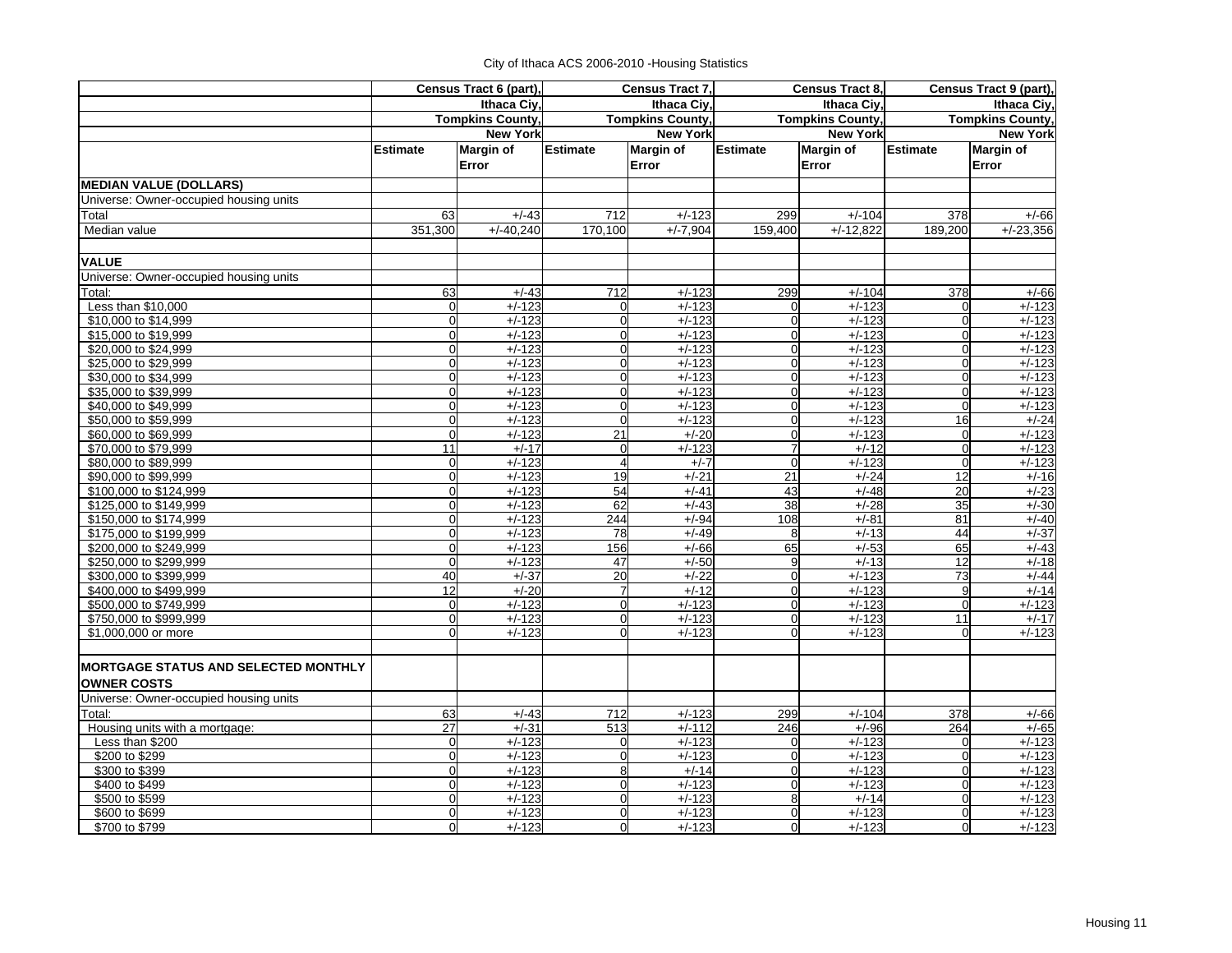|                                                   |                            | Census Tract 6 (part),  |                               | Census Tract 7,         |                            | Census Tract 8,      |                         | Census Tract 9 (part), |
|---------------------------------------------------|----------------------------|-------------------------|-------------------------------|-------------------------|----------------------------|----------------------|-------------------------|------------------------|
|                                                   |                            | Ithaca Civ.             |                               | Ithaca Civ.             |                            | Ithaca Civ.          |                         | Ithaca Civ.            |
|                                                   |                            | <b>Tompkins County,</b> |                               | <b>Tompkins County,</b> | <b>Tompkins County</b>     |                      | <b>Tompkins County,</b> |                        |
|                                                   |                            | <b>New York</b>         |                               | <b>New York</b>         |                            | <b>New York</b>      |                         | <b>New York</b>        |
|                                                   | <b>Estimate</b>            | Margin of               | <b>Estimate</b>               | <b>Margin of</b>        | Estimate                   | <b>Margin of</b>     | <b>Estimate</b>         | <b>Margin of</b>       |
|                                                   |                            | Error                   |                               | Error                   |                            | Error                |                         | Error                  |
| <b>MEDIAN VALUE (DOLLARS)</b>                     |                            |                         |                               |                         |                            |                      |                         |                        |
| Universe: Owner-occupied housing units            |                            |                         |                               |                         |                            |                      |                         |                        |
| Total                                             | 63                         | $+/-43$                 | 712                           | $+/-123$                | 299                        | $+/-104$             | 378                     | $+/-66$                |
| Median value                                      | 351,300                    | $+/-40,240$             | 170,100                       | $+/-7,904$              | 159,400                    | $+/-12,822$          | 189,200                 | $+/-23,356$            |
|                                                   |                            |                         |                               |                         |                            |                      |                         |                        |
| <b>VALUE</b>                                      |                            |                         |                               |                         |                            |                      |                         |                        |
| Universe: Owner-occupied housing units            |                            |                         |                               |                         |                            |                      |                         |                        |
| Total:                                            | 63                         | $+/-43$                 | 712                           | $+/-123$                | 299                        | $+/-104$             | 378                     | $+/-66$                |
| Less than \$10,000                                | $\overline{0}$             | $+/-123$                | $\Omega$                      | $+/-123$                | $\mathbf 0$                | $+/-123$             | $\Omega$                | $+/-123$               |
| \$10,000 to \$14,999                              | $\mathbf 0$                | $+/-123$                | $\mathbf 0$                   | $+/-123$                | $\mathbf 0$                | $+/-123$             | $\Omega$                | $+/-123$               |
| \$15,000 to \$19,999                              | $\mathbf 0$                | $+/-123$                | $\mathbf 0$                   | $+/-123$                | $\mathbf 0$                | $+/-123$             | $\Omega$                | $+/-123$               |
| \$20,000 to \$24,999                              | $\mathbf 0$                | $+/-123$                | $\mathbf 0$                   | $+/-123$                | $\mathbf 0$                | $+/-123$             | $\Omega$                | $+/-123$               |
| \$25,000 to \$29,999                              | $\mathbf 0$<br>$\mathbf 0$ | $+/-123$                | $\mathbf 0$                   | $+/-123$                | $\mathbf 0$                | $+/-123$             | $\overline{0}$          | $+/-123$<br>$+/-123$   |
| \$30,000 to \$34,999                              | $\mathbf 0$                | $+/-123$<br>$+/-123$    | $\mathbf 0$<br>$\overline{0}$ | $+/-123$<br>$+/-123$    | $\mathbf 0$<br>$\mathbf 0$ | $+/-123$<br>$+/-123$ | $\mathbf 0$<br>$\Omega$ |                        |
| \$35,000 to \$39,999                              | $\mathbf 0$                | $+/-123$                | $\mathbf 0$                   | $+/-123$                | $\mathbf 0$                | $+/-123$             | $\Omega$                | $+/-123$<br>$+/-123$   |
| \$40,000 to \$49,999                              | $\mathbf 0$                | $+/-123$                | $\mathbf 0$                   | $+/-123$                | $\mathbf 0$                | $+/-123$             | 16                      | $+/-24$                |
| \$50,000 to \$59,999<br>\$60,000 to \$69,999      | $\mathbf 0$                | $+/-123$                | 21                            | $+/-20$                 | $\mathbf 0$                | $+/-123$             | $\mathbf 0$             | $+/-123$               |
| \$70,000 to \$79,999                              | 11                         | $+/-17$                 | $\mathbf 0$                   | $+/-123$                | $\overline{7}$             | $+/-12$              | $\mathbf 0$             | $+/-123$               |
| \$80,000 to \$89.999                              | $\mathbf 0$                | $+/-123$                | $\overline{\mathbf{4}}$       | $+/-7$                  | $\Omega$                   | $+/-123$             | $\Omega$                | $+/-123$               |
| \$90,000 to \$99,999                              | $\mathbf 0$                | $+/-123$                | 19                            | $+/-21$                 | 21                         | $+/-24$              | 12                      | $+/-16$                |
| \$100,000 to \$124,999                            | $\mathbf 0$                | $+/-123$                | 54                            | $+/-41$                 | 43                         | $+/-48$              | 20                      | $+/-23$                |
| \$125,000 to \$149,999                            | $\mathbf 0$                | $+/-123$                | 62                            | $+/-43$                 | 38                         | $+/-28$              | 35                      | $+/-30$                |
| \$150,000 to \$174,999                            | $\mathbf 0$                | $+/-123$                | 244                           | $+/-94$                 | 108                        | $+/-81$              | 81                      | $+/-40$                |
| \$175,000 to \$199,999                            | $\mathbf 0$                | $+/-123$                | 78                            | $+/-49$                 | 8                          | $+/-13$              | 44                      | $+/-37$                |
| \$200,000 to \$249,999                            | $\mathbf 0$                | $+/-123$                | 156                           | $+/-66$                 | 65                         | $+/-53$              | 65                      | $+/-43$                |
| \$250,000 to \$299,999                            | $\mathbf 0$                | $+/-123$                | 47                            | $+/-50$                 | 9                          | $+/-13$              | 12                      | $+/-18$                |
| \$300,000 to \$399,999                            | 40                         | $+/-37$                 | 20                            | $+/-22$                 | $\mathbf 0$                | $+/-123$             | 73                      | $+/-44$                |
| \$400,000 to \$499,999                            | 12                         | $+/-20$                 | $\overline{7}$                | $+/-12$                 | $\mathbf 0$                | $+/-123$             | 9                       | $+/-14$                |
| \$500,000 to \$749,999                            | $\mathbf 0$                | $+/-123$                | $\mathbf 0$                   | $+/-123$                | $\mathbf 0$                | $+/-123$             | $\Omega$                | $+/-123$               |
| \$750,000 to \$999,999                            | $\mathbf 0$                | $+/-123$                | $\overline{0}$                | $+/-123$                | $\mathbf 0$                | $+/-123$             | 11                      | $+/-17$                |
| \$1,000,000 or more                               | $\mathbf 0$                | $+/-123$                | $\Omega$                      | $+/-123$                | $\Omega$                   | $+/-123$             | $\Omega$                | $+/-123$               |
| <b>MORTGAGE STATUS AND SELECTED MONTHLY</b>       |                            |                         |                               |                         |                            |                      |                         |                        |
| <b>OWNER COSTS</b>                                |                            |                         |                               |                         |                            |                      |                         |                        |
|                                                   |                            |                         |                               |                         |                            |                      |                         |                        |
| Universe: Owner-occupied housing units            |                            |                         | 712                           |                         |                            |                      |                         |                        |
| Total:                                            | 63                         | $+/-43$                 |                               | $+/-123$                | 299                        | $+/-104$             | 378                     | $+/-66$                |
| Housing units with a mortgage:<br>Less than \$200 | 27<br>$\mathbf 0$          | $+/-31$<br>$+/-123$     | 513<br>$\mathbf 0$            | $+/-112$<br>$+/-123$    | 246<br>$\mathbf 0$         | $+/-96$<br>$+/-123$  | 264<br>$\Omega$         | $+/-65$<br>$+/-123$    |
| \$200 to \$299                                    | $\mathbf 0$                | $+/-123$                | $\mathbf 0$                   | $+/-123$                | $\mathbf 0$                | $+/-123$             | $\Omega$                | $+/-123$               |
| \$300 to \$399                                    | $\overline{0}$             | $+/-123$                | 8                             | $+/-14$                 | $\mathbf 0$                | $+/-123$             | $\Omega$                | $+/-123$               |
| \$400 to \$499                                    | $\mathbf 0$                | $+/-123$                | $\mathbf 0$                   | $+/-123$                | $\mathbf 0$                | $+/-123$             | $\overline{0}$          | $+/-123$               |
| \$500 to \$599                                    | $\mathbf 0$                | $+/-123$                | $\mathbf 0$                   | $+/-123$                | 8                          | $+/-14$              | $\mathbf 0$             | $+/-123$               |
| \$600 to \$699                                    | $\Omega$                   | $+/-123$                | $\mathbf 0$                   | $+/-123$                | $\mathbf 0$                | $+/-123$             | $\Omega$                | $+/-123$               |
| \$700 to \$799                                    | $\overline{0}$             | $+/-123$                | $\Omega$                      | $+/-123$                | $\mathbf 0$                | $+/-123$             | $\Omega$                | $+/-123$               |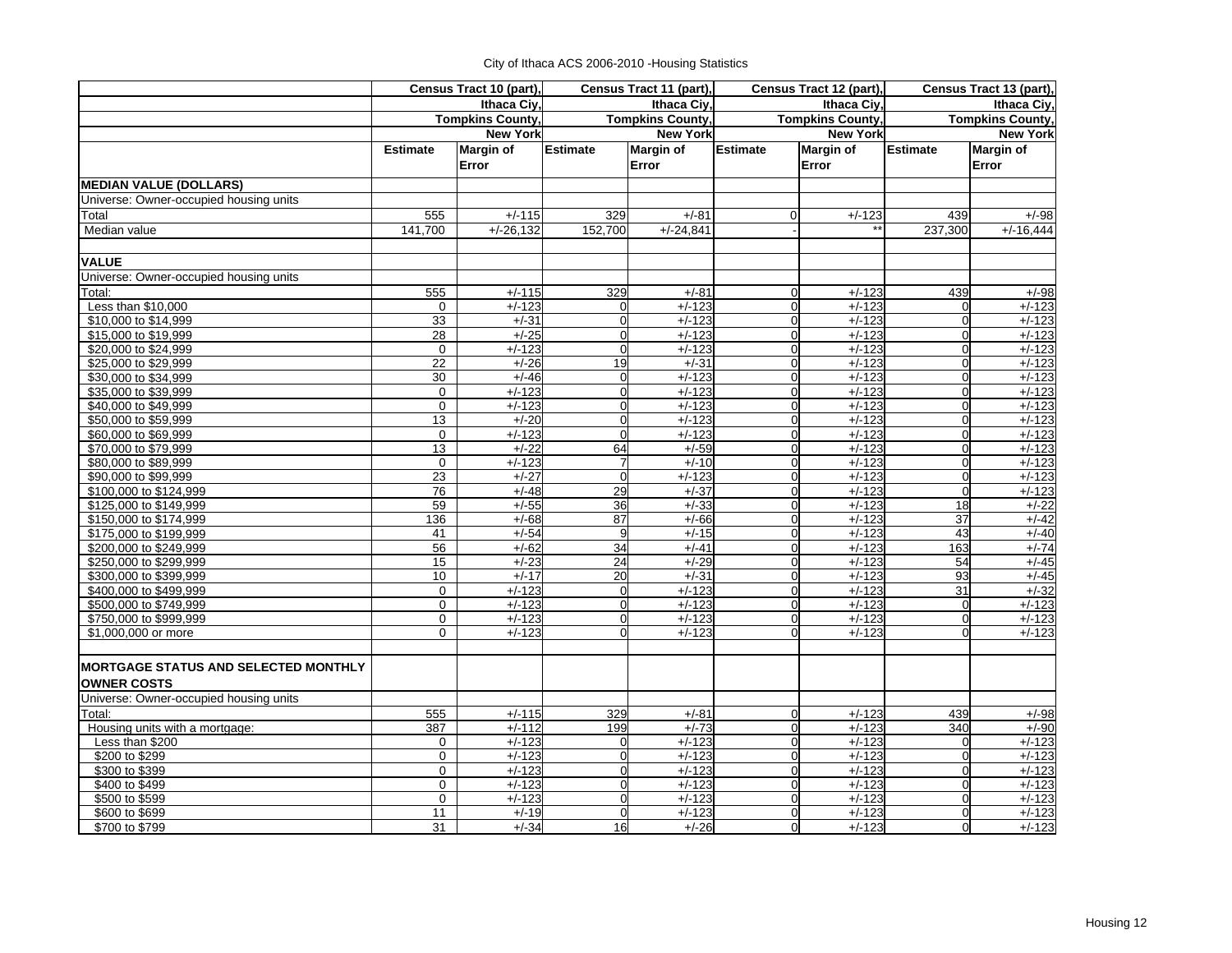|  | City of Ithaca ACS 2006-2010 - Housing Statistics |  |
|--|---------------------------------------------------|--|
|--|---------------------------------------------------|--|

|                                                                   |                                        | Census Tract 10 (part),   |                 | Census Tract 11 (part),   |                 | Census Tract 12 (part), |             | Census Tract 13 (part), |
|-------------------------------------------------------------------|----------------------------------------|---------------------------|-----------------|---------------------------|-----------------|-------------------------|-------------|-------------------------|
|                                                                   | Ithaca Ciy,<br><b>Tompkins County,</b> |                           | Ithaca Ciy,     |                           | Ithaca Ciy,     |                         | Ithaca Ciy, |                         |
|                                                                   |                                        |                           |                 | <b>Tompkins County,</b>   |                 | <b>Tompkins County,</b> |             | <b>Tompkins County,</b> |
|                                                                   |                                        | <b>New York</b>           |                 | <b>New York</b>           |                 | <b>New York</b>         |             | <b>New York</b>         |
|                                                                   | <b>Estimate</b>                        | <b>Margin of</b><br>Error | <b>Estimate</b> | <b>Margin of</b><br>Error | <b>Estimate</b> | Margin of<br>Error      | Estimate    | Margin of<br>Error      |
| <b>MEDIAN VALUE (DOLLARS)</b>                                     |                                        |                           |                 |                           |                 |                         |             |                         |
| Universe: Owner-occupied housing units                            |                                        |                           |                 |                           |                 |                         |             |                         |
| Total                                                             | 555                                    | $+/-115$                  | 329             | $+/-81$                   | $\Omega$        | $+/-123$                | 439         | $+/-98$                 |
| Median value                                                      | 141,700                                | $+/-26,132$               | 152,700         | $+/-24,841$               |                 |                         | 237,300     | $+/-16,444$             |
| <b>VALUE</b>                                                      |                                        |                           |                 |                           |                 |                         |             |                         |
| Universe: Owner-occupied housing units                            |                                        |                           |                 |                           |                 |                         |             |                         |
| Total:                                                            | 555                                    | $+/-115$                  | 329             | $+/-81$                   | $\mathbf 0$     | $+/-123$                | 439         | $+/-98$                 |
| Less than \$10,000                                                | $\mathbf 0$                            | $+/-123$                  | $\overline{0}$  | $+/-123$                  | $\overline{0}$  | $+/-123$                |             | $+/-123$                |
| \$10,000 to \$14,999                                              | 33                                     | $+/-31$                   | $\mathbf 0$     | $+/-123$                  | $\Omega$        | $+/-123$                | $\Omega$    | $+/-123$                |
| \$15,000 to \$19,999                                              | $\overline{28}$                        | $+/-25$                   | $\overline{0}$  | $+/-123$                  | $\overline{0}$  | $+/-123$                | $\Omega$    | $+/-123$                |
| \$20,000 to \$24,999                                              | $\Omega$                               | $+/-123$                  | $\Omega$        | $+/-123$                  | $\overline{0}$  | $+/-123$                | $\Omega$    | $+/-123$                |
| \$25,000 to \$29,999                                              | $\overline{22}$                        | $+/-26$                   | 19              | $+/-31$                   | $\overline{0}$  | $+/-123$                | $\Omega$    | $+/-123$                |
| \$30,000 to \$34,999                                              | 30                                     | $+/-46$                   | $\overline{0}$  | $+/-123$                  | $\overline{0}$  | $+/-123$                | $\Omega$    | $+/-123$                |
| \$35,000 to \$39,999                                              | $\mathbf 0$                            | $+/-123$                  | $\overline{0}$  | $+/-123$                  | $\Omega$        | $+/-123$                | $\Omega$    | $+/-123$                |
| \$40,000 to \$49,999                                              | $\mathbf 0$                            | $+/-123$                  | $\overline{0}$  | $+/-123$                  | $\overline{0}$  | $+/-123$                | $\Omega$    | $+/-123$                |
| \$50,000 to \$59,999                                              | 13                                     | $+/-20$                   | $\overline{0}$  | $+/-123$                  | $\overline{0}$  | $+/-123$                | $\Omega$    | $+/-123$                |
| \$60,000 to \$69,999                                              | $\mathbf 0$                            | $+/-123$                  | $\mathbf 0$     | $+/-123$                  | $\overline{0}$  | $+/-123$                | $\Omega$    | $+/-123$                |
| \$70,000 to \$79,999                                              | 13                                     | $+/-22$                   | 64              | $+/-59$                   | $\overline{0}$  | $+/-123$                | $\Omega$    | $+/-123$                |
| \$80,000 to \$89,999                                              | $\Omega$                               | $+/-123$                  | $\overline{7}$  | $+/-10$                   | $\Omega$        | $+/-123$                | $\Omega$    | $+/-123$                |
| \$90,000 to \$99,999                                              | 23                                     | $+/-27$                   | $\mathbf 0$     | $+/-123$                  | $\overline{0}$  | $+/-123$                | $\Omega$    | $+/-123$                |
| \$100,000 to \$124,999                                            | 76                                     | $+/-48$                   | 29              | $+/-37$                   | Ol              | $+/-123$                | $\Omega$    | $+/-123$                |
| \$125,000 to \$149,999                                            | 59                                     | $+/-55$                   | 36              | $+/-33$                   | $\mathbf{0}$    | $+/-123$                | 18          | $+/-22$                 |
| \$150,000 to \$174,999                                            | 136                                    | $+/-68$                   | 87              | $+/-66$                   | $\overline{0}$  | $+/-123$                | 37          | $+/-42$                 |
| \$175,000 to \$199,999                                            | 41                                     | $+/-54$                   | 9               | $+/-15$                   | $\Omega$        | $+/-123$                | 43          | $+/-40$                 |
| \$200,000 to \$249,999                                            | 56                                     | $+/-62$                   | 34              | $+/-41$                   | $\overline{0}$  | $+/-123$                | 163         | $+/-74$                 |
| \$250,000 to \$299,999                                            | 15                                     | $+/-23$                   | 24              | $+/-29$                   | ol              | $+/-123$                | 54          | $+/-45$                 |
| \$300,000 to \$399,999                                            | 10                                     | $+/-17$                   | 20              | $+/-31$                   | $\mathbf{0}$    | $+/-123$                | 93          | $+/-45$                 |
| \$400,000 to \$499,999                                            | $\mathbf 0$                            | $+/-123$                  | $\mathbf 0$     | $+/-123$                  | $\overline{0}$  | $+/-123$                | 31          | $+/-32$                 |
| \$500,000 to \$749,999                                            | $\mathbf 0$                            | $+/-123$                  | $\overline{0}$  | $+/-123$                  | $\overline{0}$  | $+/-123$                | $\Omega$    | $+/-123$                |
| \$750,000 to \$999,999                                            | 0                                      | $+/-123$                  | $\overline{0}$  | $+/-123$                  | $\mathbf 0$     | $+/-123$                | $\mathbf 0$ | $+/-123$                |
| \$1,000,000 or more                                               | $\Omega$                               | $+/-123$                  | $\Omega$        | $+/-123$                  | O               | $+/-123$                |             | $+/-123$                |
| <b>MORTGAGE STATUS AND SELECTED MONTHLY</b><br><b>OWNER COSTS</b> |                                        |                           |                 |                           |                 |                         |             |                         |
| Universe: Owner-occupied housing units                            |                                        |                           |                 |                           |                 |                         |             |                         |
| Total:                                                            | 555                                    | $+/-115$                  | 329             | $+/-81$                   | $\mathbf 0$     | $+/-123$                | 439         | $+/-98$                 |
| Housing units with a mortgage:                                    | 387                                    | $+/-112$                  | 199             | $+/-73$                   | $\overline{0}$  | $+/-123$                | 340         | $+/-90$                 |
| Less than \$200                                                   | $\mathbf 0$                            | $+/-123$                  | $\overline{0}$  | $+/-123$                  | $\mathbf 0$     | $+/-123$                | $\Omega$    | $+/-123$                |
| \$200 to \$299                                                    | $\mathbf 0$                            | $+/-123$                  | $\overline{0}$  | $+/-123$                  | $\overline{0}$  | $+/-123$                | $\Omega$    | $+/-123$                |
| \$300 to \$399                                                    | 0                                      | $+/-123$                  | $\overline{0}$  | $+/-123$                  | $\overline{0}$  | $+/-123$                | $\Omega$    | $+/-123$                |
| \$400 to \$499                                                    | 0                                      | $+/-123$                  | $\overline{0}$  | $+/-123$                  | $\overline{0}$  | $+/-123$                | $\Omega$    | $+/-123$                |
| \$500 to \$599                                                    | $\Omega$                               | $+/-123$                  | $\overline{0}$  | $+/-123$                  | $\Omega$        | $+/-123$                | $\Omega$    | $+/-123$                |
| \$600 to \$699                                                    | 11                                     | $+/-19$                   | $\overline{0}$  | $+/-123$                  | $\overline{0}$  | $+/-123$                | $\Omega$    | $+/-123$                |
| \$700 to \$799                                                    | 31                                     | $+/-34$                   | 16              | $+/-26$                   | $\Omega$        | $+/-123$                | $\Omega$    | $+/-123$                |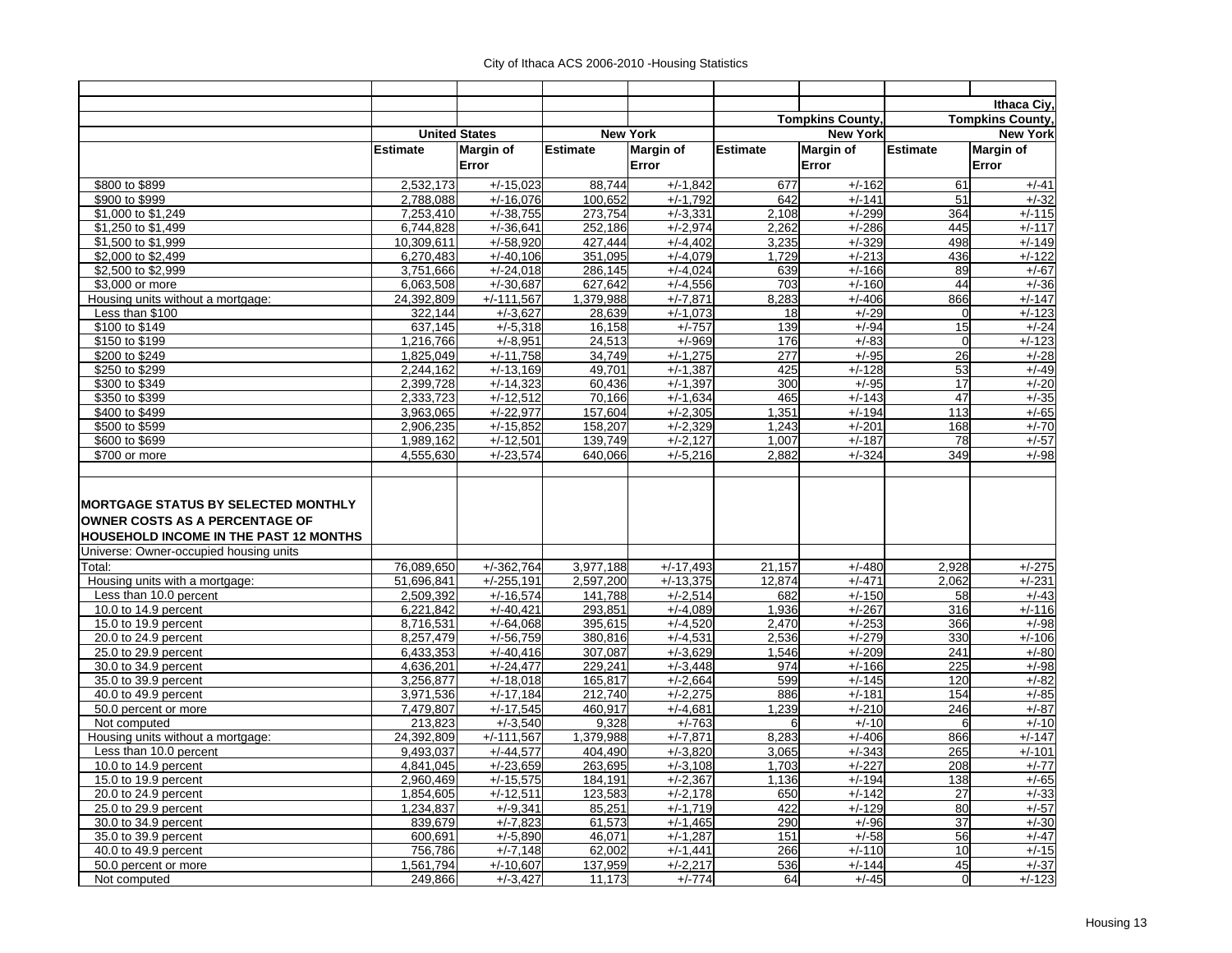|                                                                                        |                 |                      |                 |                       |                 |                         |                   | Ithaca Civ.             |
|----------------------------------------------------------------------------------------|-----------------|----------------------|-----------------|-----------------------|-----------------|-------------------------|-------------------|-------------------------|
|                                                                                        |                 |                      |                 |                       |                 | <b>Tompkins County.</b> |                   | <b>Tompkins County,</b> |
|                                                                                        |                 | <b>United States</b> |                 | <b>New York</b>       |                 | <b>New York</b>         |                   | <b>New York</b>         |
|                                                                                        | <b>Estimate</b> | Margin of            | <b>Estimate</b> | <b>Margin of</b>      | <b>Estimate</b> | Margin of               | <b>Estimate</b>   | <b>Margin of</b>        |
|                                                                                        |                 | Error                |                 | Error                 |                 | Error                   |                   | Error                   |
|                                                                                        |                 |                      |                 |                       |                 |                         |                   |                         |
| \$800 to \$899                                                                         | 2.532.173       | $+/-15.023$          | 88.744          | $+/-1.842$            | 677             | $+/-162$                | 61                | $+/-41$                 |
| \$900 to \$999                                                                         | 2,788,088       | $+/-16,076$          | 100,652         | $+/-1,792$            | 642             | $+/-141$                | 51                | $+/-32$                 |
| \$1,000 to \$1,249                                                                     | 7,253,410       | $+/-38,755$          | 273,754         | $+/-3,331$            | 2,108           | $+/-299$                | 364               | $+/-115$                |
| \$1,250 to \$1,499                                                                     | 6,744,828       | $+/-36.641$          | 252,186         | $+/-2,974$            | 2,262           | $+/-286$                | 445               | $+/-117$                |
| \$1,500 to \$1,999                                                                     | 10,309,611      | $+/-58,920$          | 427,444         | $+/-4,402$            | 3,235           | $+/-329$                | 498               | $+/-149$                |
| \$2,000 to \$2,499                                                                     | 6,270,483       | $+/-40.106$          | 351,095         | $+/-4,079$            | 1.729           | $+/-213$                | 436               | $+/-122$                |
| \$2,500 to \$2,999                                                                     | 3,751,666       | $+/-24.018$          | 286,145         | $+/-4,024$            | 639             | $+/-166$                | 89                | $+/-67$                 |
| \$3,000 or more                                                                        | 6,063,508       | $+/-30,687$          | 627,642         | $+/-4,556$            | 703             | $+/-160$                | 44                | $+/-36$                 |
| Housing units without a mortgage:                                                      | 24,392,809      | $+/-111,567$         | 1,379,988       | $+/-7,871$            | 8,283           | $+/-406$                | 866               | $+/-147$                |
| Less than \$100                                                                        | 322,144         | $+/-3.627$           | 28,639          | $+/-1,073$            | 18              | $+/-29$<br>$+/-94$      | $\mathbf 0$<br>15 | $+/-123$                |
| \$100 to \$149                                                                         | 637,145         | $+/-5,318$           | 16,158          | $+/-757$              | 139             |                         |                   | $+/-24$                 |
| \$150 to \$199                                                                         | 1,216,766       | $+/-8.951$           | 24,513          | $+/-969$              | 176             | $+/-83$                 | $\mathbf 0$       | $+/-123$                |
| \$200 to \$249                                                                         | 1,825,049       | $+/-11,758$          | 34,749          | $+/-1,275$            | 277             | $+/-95$                 | 26                | $+/-28$                 |
| \$250 to \$299                                                                         | 2,244,162       | $+/-13,169$          | 49,701          | $+/-1,387$            | 425             | $+/-128$                | 53                | $+/-49$                 |
| \$300 to \$349                                                                         | 2.399.728       | $+/-14.323$          | 60.436          | $+/-1.397$            | 300             | $+/-95$                 | 17                | $+/-20$                 |
| \$350 to \$399                                                                         | 2,333,723       | $+/-12,512$          | 70,166          | $+/-1,634$            | 465             | $+/-143$                | 47<br>113         | $+/-35$                 |
| \$400 to \$499                                                                         | 3,963,065       | $+/-22.977$          | 157,604         | $+/-2,305$            | 1,351           | $+/-194$                |                   | $+/-65$                 |
| \$500 to \$599                                                                         | 2,906,235       | $+/-15.852$          | 158,207         | $+/-2,329$            | 1,243           | $+/-201$                | 168               | $+/-70$                 |
| \$600 to \$699                                                                         | 1,989,162       | $+/-12,501$          | 139.749         | $+/-2,127$            | 1.007           | $+/-187$                | 78                | $+/-57$                 |
| \$700 or more                                                                          | 4.555.630       | $+/-23,574$          | 640.066         | $+/-5,216$            | 2.882           | $+/-324$                | 349               | $+/-98$                 |
| <b>OWNER COSTS AS A PERCENTAGE OF</b><br><b>HOUSEHOLD INCOME IN THE PAST 12 MONTHS</b> |                 |                      |                 |                       |                 |                         |                   |                         |
| Universe: Owner-occupied housing units                                                 |                 |                      |                 |                       |                 |                         |                   |                         |
| Total:                                                                                 | 76,089,650      | $+/-362,764$         | 3,977,188       | $+/-17,493$           | 21,157          | $+/-480$                | 2,928             | $+/-275$                |
| Housing units with a mortgage:                                                         | 51.696.841      | $+/-255,191$         | 2,597,200       | $+/-13,375$           | 12,874          | $+/-471$                | 2.062             | $+/-231$                |
| Less than 10.0 percent                                                                 | 2,509,392       | $+/-16,574$          | 141,788         | $+/-2,514$            | 682             | $+/-150$                | 58                | $+/-43$                 |
| 10.0 to 14.9 percent                                                                   | 6,221,842       | $+/-40,421$          | 293,851         | $+/-4,089$            | 1.936           | $+/-267$                | 316               | $+/-116$                |
| 15.0 to 19.9 percent                                                                   | 8,716,531       | $+/-64,068$          | 395,615         | $+/-4,520$            | 2,470           | $+/-253$                | 366               | $+/-98$                 |
| 20.0 to 24.9 percent                                                                   | 8,257,479       | $+/-56,759$          | 380,816         | $+/-4,531$            | 2,536           | $+/-279$                | 330               | $+/-106$                |
| 25.0 to 29.9 percent                                                                   | 6,433,353       | $+/-40,416$          | 307,087         | $+/-3,629$            | 1,546           | $+/-209$                | 241               | $+/-80$                 |
| 30.0 to 34.9 percent                                                                   | 4,636,201       | $+/-24,477$          | 229,241         | $+/-3,448$            | 974             | $+/-166$                | 225               | $+/-98$                 |
| 35.0 to 39.9 percent                                                                   | 3,256,877       | $+/-18,018$          | 165,817         | $+/-2,664$            | 599             | $+/-145$                | 120               | $+/-82$                 |
| 40.0 to 49.9 percent                                                                   | 3,971,536       | $+/-17,184$          | 212,740         | $+/-2,275$            | 886             | $+/-181$                | 154               | $+/-85$                 |
| 50.0 percent or more                                                                   | 7,479,807       | $+/-17,545$          | 460,917         | $\overline{+/-4,681}$ | 1,239           | $+/-210$                | 246               | $+/-87$                 |
| Not computed                                                                           | 213.823         | $+/-3.540$           | 9.328           | $+/-763$              | 6               | $+/-10$                 | 6                 | $+/-10$                 |
| Housing units without a mortgage:                                                      | 24,392,809      | $+/-111,567$         | 1,379,988       | $+/-7,871$            | 8,283           | $+/-406$                | 866               | $+/-147$                |
| Less than 10.0 percent                                                                 | 9,493,037       | $+/-44,577$          | 404,490         | $+/-3,820$            | 3,065           | $+/-343$                | 265               | $+/-101$                |
| 10.0 to 14.9 percent                                                                   | 4,841,045       | $+/-23,659$          | 263,695         | $+/-3,108$            | 1,703           | $+/-227$                | 208               | $+/-77$                 |
| 15.0 to 19.9 percent                                                                   | 2,960,469       | $+/-15,575$          | 184,191         | $+/-2,367$            | 1,136           | $+/-194$                | 138               | $+/-65$                 |
| 20.0 to 24.9 percent                                                                   | 1,854,605       | $+/-12,511$          | 123,583         | $+/-2,178$            | 650             | $+/-142$                | 27                | $+/-33$                 |
| 25.0 to 29.9 percent                                                                   | 1,234,837       | $+/-9,341$           | 85,251          | $+/-1,719$            | 422             | $+/-129$                | 80                | $+/-57$                 |
| 30.0 to 34.9 percent                                                                   | 839,679         | $+/-7,823$           | 61,573          | $+/-1,465$            | 290             | $+/-96$                 | 37                | $+/-30$                 |
| 35.0 to 39.9 percent                                                                   | 600,691         | $+/-5,890$           | 46,071          | $+/-1,287$            | 151             | $+/-58$                 | 56                | $+/-47$                 |
| 40.0 to 49.9 percent                                                                   | 756,786         | $+/-7,148$           | 62,002          | $+/-1,441$            | 266             | $+/-110$                | 10                | $+/-15$                 |
| 50.0 percent or more                                                                   | 1.561.794       | $+/-10,607$          | 137,959         | $+/-2.217$            | <b>536</b>      | $+/-144$                | 45                | $+/-37$                 |
| Not computed                                                                           | 249,866         | $+/-3,427$           | 11,173          | $+/-774$              | 64              | $+/-45$                 | $\Omega$          | $+/-123$                |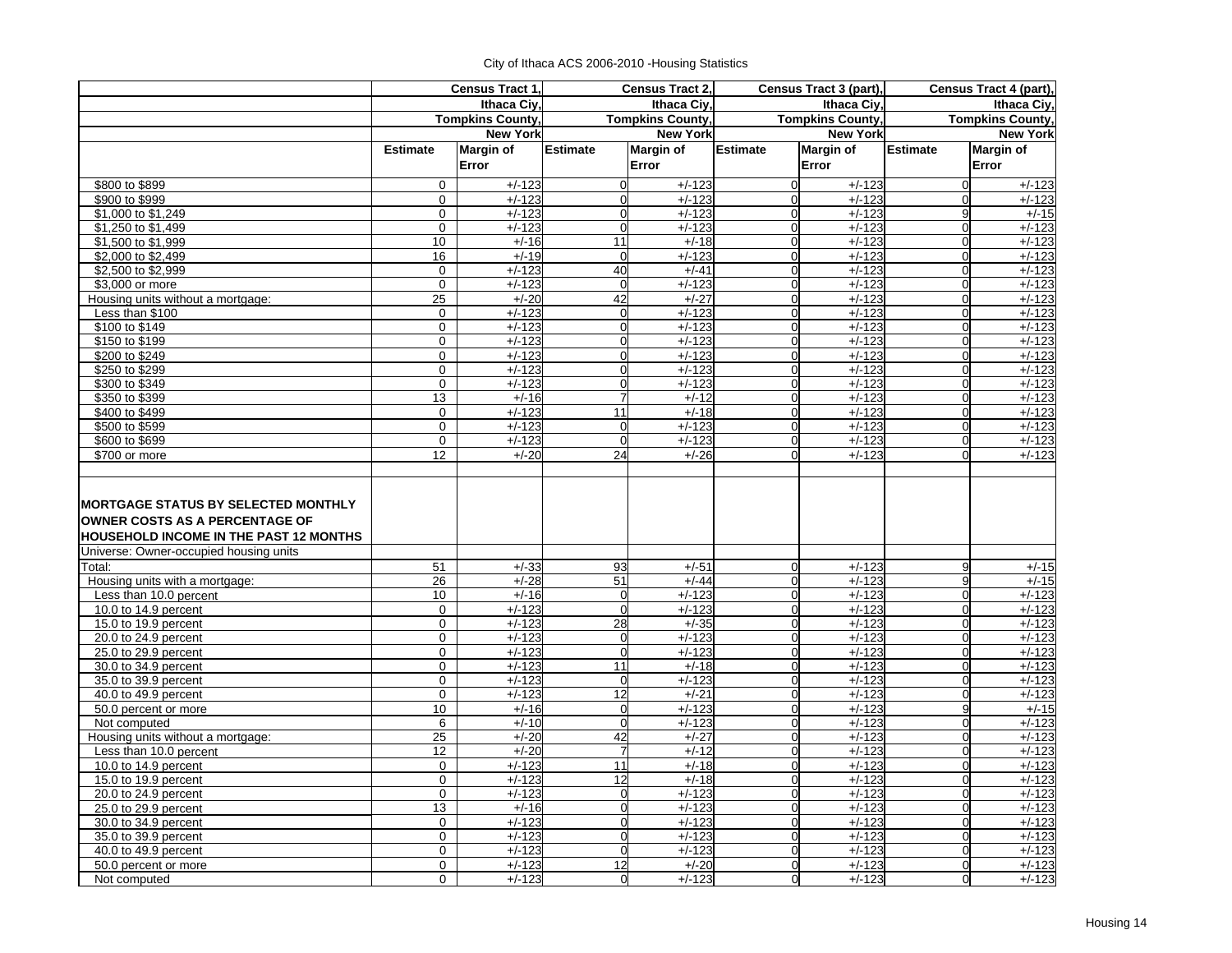|  | City of Ithaca ACS 2006-2010 - Housing Statistics |  |  |
|--|---------------------------------------------------|--|--|
|--|---------------------------------------------------|--|--|

|                                                                                 |                 | Census Tract 1.         |                 | <b>Census Tract 2.</b>  |                               | Census Tract 3 (part),  |                               | Census Tract 4 (part),  |
|---------------------------------------------------------------------------------|-----------------|-------------------------|-----------------|-------------------------|-------------------------------|-------------------------|-------------------------------|-------------------------|
|                                                                                 |                 | <b>Ithaca Civ</b>       |                 | <b>Ithaca Civ</b>       |                               | Ithaca Civ.             |                               | Ithaca Ciy,             |
|                                                                                 |                 | <b>Tompkins County,</b> |                 | <b>Tompkins County,</b> |                               | <b>Tompkins County,</b> |                               | <b>Tompkins County,</b> |
|                                                                                 |                 | <b>New York</b>         |                 | <b>New York</b>         |                               | <b>New York</b>         |                               | <b>New York</b>         |
|                                                                                 | <b>Estimate</b> | <b>Margin of</b>        | <b>Estimate</b> | <b>Margin of</b>        | <b>Estimate</b>               | <b>Margin of</b>        | <b>Estimate</b>               | <b>Margin of</b>        |
|                                                                                 |                 | Error                   |                 | Error                   |                               | Error                   |                               | Error                   |
| \$800 to \$899                                                                  | $\mathbf 0$     | $+/-123$                | $\overline{0}$  | $+/-123$                | $\mathbf 0$                   | $+/-123$                | $\Omega$                      | $+/-123$                |
| \$900 to \$999                                                                  | $\mathbf 0$     | $+/-123$                | $\Omega$        | $+/-123$                | $\mathbf 0$                   | $+/-123$                | $\Omega$                      | $+/-123$                |
| \$1,000 to \$1,249                                                              | $\mathbf 0$     | $+/-123$                | $\Omega$        | $+/-123$                | $\mathbf 0$                   | $+/-123$                | 9                             | $+/-15$                 |
| \$1,250 to \$1,499                                                              | $\mathbf 0$     | $+/-123$                | $\Omega$        | $+/-123$                | $\mathbf 0$                   | $+/-123$                | $\Omega$                      | $+/-123$                |
| \$1,500 to \$1,999                                                              | 10              | $+/-16$                 | 11              | $+/-18$                 | $\mathbf 0$                   | $+/-123$                | $\overline{0}$                | $+/-123$                |
| \$2,000 to \$2,499                                                              | 16              | $+/-19$                 | $\overline{0}$  | $+/-123$                | $\mathbf 0$                   | $+/-123$                | $\mathbf 0$                   | $+/-123$                |
| \$2,500 to \$2,999                                                              | $\mathbf 0$     | $+/-123$                | 40              | $+/-41$                 | $\overline{0}$                | $+/-123$                | $\mathbf{0}$                  | $+/-123$                |
| \$3,000 or more                                                                 | $\mathbf 0$     | $+/-123$                | $\Omega$        | $+/-123$                | $\mathbf 0$                   | $+/-123$                | $\overline{0}$                | $+/-123$                |
| Housing units without a mortgage:                                               | 25              | $+/-20$                 | 42              | $+/-27$                 | $\mathbf 0$                   | $+/-123$                | $\Omega$                      | $+/-123$                |
| Less than \$100                                                                 | $\mathbf 0$     | $+/-123$                | $\overline{0}$  | $+/-123$                | $\Omega$                      | $+/-123$                | $\mathbf 0$                   | $+/-123$                |
| \$100 to \$149                                                                  | $\mathbf 0$     | $+/-123$                | $\overline{0}$  | $+/-123$                | $\overline{0}$                | $+/-123$                | $\mathbf{0}$                  | $+/-123$                |
| \$150 to \$199                                                                  | $\mathbf 0$     | $+/-123$                | $\Omega$        | $+/-123$                | $\mathbf 0$                   | $+/-123$                | $\Omega$                      | $+/-123$                |
| \$200 to \$249                                                                  | $\Omega$        | $+/-123$                | $\Omega$        | $+/-123$                | $\Omega$                      | $+/-123$                | $\Omega$                      | $+/-123$                |
| \$250 to \$299                                                                  | $\mathbf 0$     | $+/-123$                | $\overline{0}$  | $+/-123$                | $\mathbf 0$                   | $+/-123$                | $\mathbf 0$                   | $+/-123$                |
| \$300 to \$349                                                                  | $\mathbf 0$     | $\frac{1}{1}$ /-123     | $\Omega$        | $+/-123$                | $\mathbf 0$                   | $+/-123$                | $\Omega$                      | $+/-123$                |
| \$350 to \$399                                                                  | 13              | $+/-16$                 | $\overline{7}$  | $+/-12$                 | $\mathbf 0$                   | $+/-123$                | $\Omega$                      | $+/-123$                |
| \$400 to \$499                                                                  | $\mathbf 0$     | $+/-123$                | 11              | $+/-18$                 | $\mathbf 0$                   | $+/-123$                | $\overline{0}$                | $+/-123$                |
| \$500 to \$599                                                                  | $\mathbf 0$     | $+/-123$                | $\overline{0}$  | $+/-123$                | $\mathbf 0$                   | $+/-123$                | $\overline{0}$                | $+/-123$                |
| \$600 to \$699                                                                  | $\Omega$        | $+/-123$                | $\Omega$        | $+/-123$                | $\mathbf 0$                   | $+/-123$                | $\Omega$                      | $+/-123$                |
| \$700 or more                                                                   | 12              | $+/-20$                 | 24              | $+/-26$                 | $\Omega$                      | $+/-123$                | $\Omega$                      | $+/-123$                |
| OWNER COSTS AS A PERCENTAGE OF<br><b>HOUSEHOLD INCOME IN THE PAST 12 MONTHS</b> |                 |                         |                 |                         |                               |                         |                               |                         |
| Universe: Owner-occupied housing units                                          |                 |                         |                 |                         |                               |                         |                               |                         |
| Total:                                                                          | 51              | $+/-33$                 | 93              | $+/-51$                 | $\mathbf 0$                   | $+/-123$                | 9                             | $+/-15$                 |
| Housing units with a mortgage:                                                  | 26              | $+/-28$                 | 51              | $+/-44$                 | O                             | $+/-123$                | $\overline{9}$                | $+/-15$                 |
| Less than 10.0 percent                                                          | 10              | $+/-16$                 | $\overline{0}$  | $+/-123$                | $\mathbf 0$                   | $+/-123$                | $\overline{0}$                | $+/-123$                |
| 10.0 to 14.9 percent                                                            | $\mathbf 0$     | $+/-123$                | $\overline{0}$  | $+/-123$                | $\mathbf 0$                   | $+/-123$                | $\overline{0}$                | $+/-123$                |
| 15.0 to 19.9 percent                                                            | $\Omega$        | $+/-123$                | 28              | $+/-35$                 | $\mathbf 0$                   | $+/-123$                | $\Omega$                      | $+/-123$                |
| 20.0 to 24.9 percent                                                            | $\mathbf 0$     | $+/-123$                | $\overline{0}$  | $+/-123$                | $\mathbf 0$                   | $+/-123$                | $\overline{0}$                | $+/-123$                |
| 25.0 to 29.9 percent                                                            | $\mathbf 0$     | $+/-123$                | $\overline{0}$  | $+/-123$                | $\mathbf 0$                   | $+/-123$                | $\overline{0}$                | $+/-123$                |
| 30.0 to 34.9 percent                                                            | $\mathbf 0$     | $+/-123$                | 11              | $+/-18$                 | $\overline{0}$                | $+/-123$                | $\overline{0}$                | $+/-123$                |
| 35.0 to 39.9 percent                                                            | $\mathbf 0$     | $+/-123$                | $\overline{0}$  | $+/-123$                | $\mathbf 0$                   | $+/-123$                | $\overline{0}$                | $+/-123$                |
| 40.0 to 49.9 percent                                                            | $\mathbf 0$     | $+/-123$                | 12              | $+/-21$                 | $\mathbf 0$                   | $+/-123$                | $\overline{0}$                | $+/-123$                |
| 50.0 percent or more                                                            | 10              | $+/-16$                 | $\overline{0}$  | $+/-123$                | $\overline{0}$                | $+/-123$                | 9                             | $+/-15$                 |
| Not computed                                                                    | 6               | $+/-10$<br>$+/-20$      | $\Omega$<br>42  | $+/-123$<br>$+/-27$     | $\overline{0}$<br>$\mathbf 0$ | $+/-123$<br>$+/-123$    | $\mathbf 0$<br>$\overline{0}$ | $+/-123$                |
| Housing units without a mortgage:<br>Less than 10.0 percent                     | 25<br>12        | $+/-20$                 | $\overline{7}$  | $+/-12$                 | $\overline{0}$                | $+/-123$                | $\overline{0}$                | $+/-123$<br>$+/-123$    |
| 10.0 to 14.9 percent                                                            | $\mathbf{0}$    | $+/-123$                | 11              | $+/-18$                 | $\overline{0}$                | $+/-123$                | $\mathbf 0$                   | $+/-123$                |
| 15.0 to 19.9 percent                                                            | $\mathbf 0$     | $+/-123$                | 12              | $+/-18$                 | $\mathbf 0$                   | $+/-123$                | $\overline{0}$                | $+/-123$                |
| 20.0 to 24.9 percent                                                            | $\mathbf 0$     | $+/-123$                | $\overline{0}$  | $+/-123$                | $\mathbf 0$                   | $+/-123$                | $\overline{0}$                | $+/-123$                |
| 25.0 to 29.9 percent                                                            | 13              | $+/-16$                 | $\overline{0}$  | $+/-123$                | $\mathbf 0$                   | $+/-123$                | $\overline{0}$                | $+/-123$                |
| 30.0 to 34.9 percent                                                            | $\Omega$        | $+/-123$                | $\Omega$        | $+/-123$                | $\mathbf{O}$                  | $+/-123$                | $\Omega$                      | $+/-123$                |
| 35.0 to 39.9 percent                                                            | 0               | $+/-123$                | $\overline{0}$  | $+/-123$                | $\mathbf 0$                   | $+/-123$                | $\mathbf 0$                   | $+/-123$                |
| 40.0 to 49.9 percent                                                            | $\mathbf 0$     | $+/-123$                | $\overline{0}$  | $+/-123$                | $\overline{0}$                | $+/-123$                | $\overline{0}$                | $+/-123$                |
| 50.0 percent or more                                                            | $\mathbf 0$     | $+/-123$                | 12              | $+/-20$                 | $\overline{0}$                | $+/-123$                | $\overline{0}$                | $+/-123$                |
| Not computed                                                                    | $\Omega$        | $+/-123$                | $\overline{0}$  | $+/-123$                | 0                             | $+/-123$                | $\Omega$                      | $+/-123$                |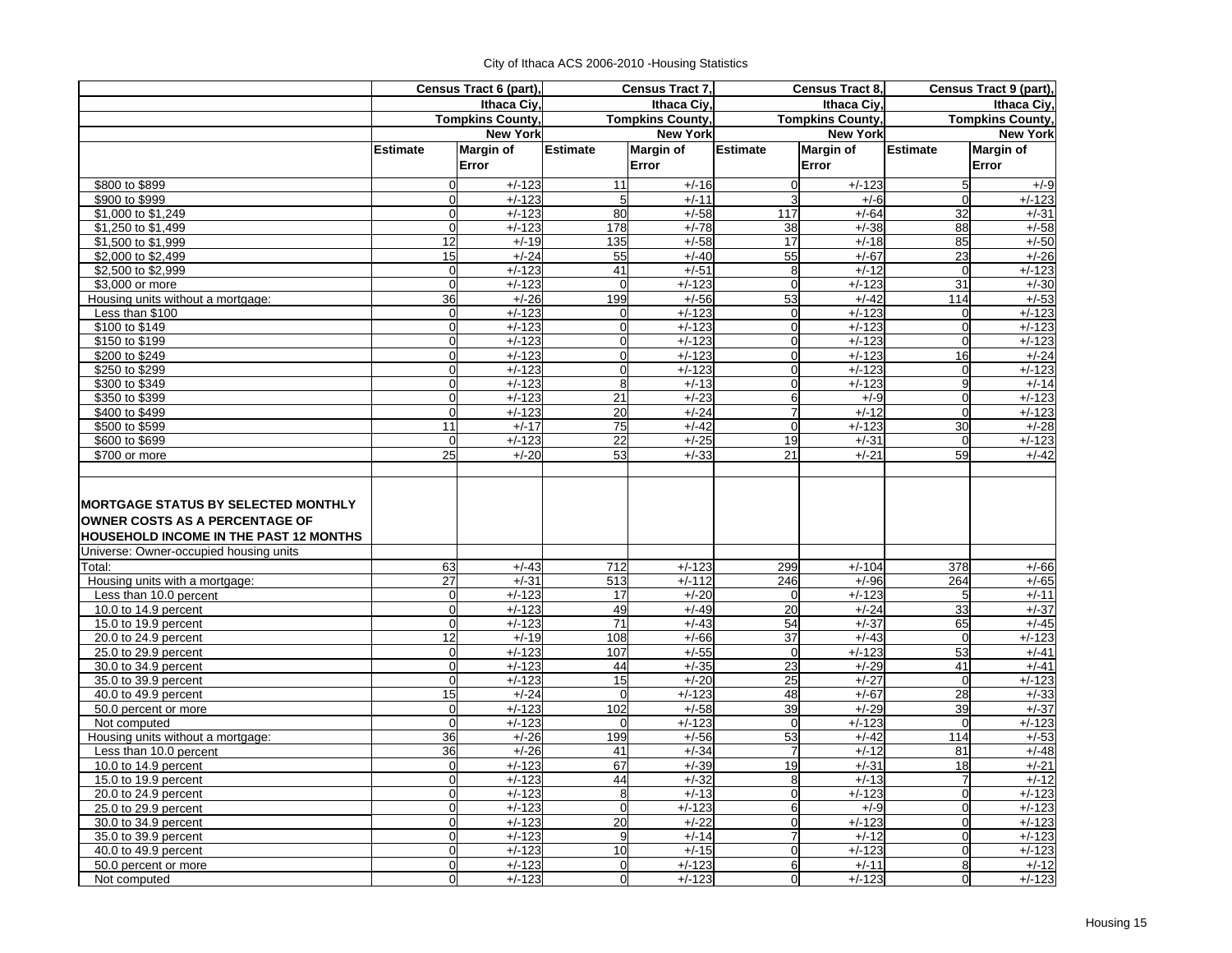|                                                                                        |                                  | Census Tract 6 (part),  |                 | Census Tract 7,         |                         | Census Tract 8,     |                         | Census Tract 9 (part), |
|----------------------------------------------------------------------------------------|----------------------------------|-------------------------|-----------------|-------------------------|-------------------------|---------------------|-------------------------|------------------------|
|                                                                                        |                                  | <b>Ithaca Ciy</b>       |                 | <b>Ithaca Civ</b>       |                         | Ithaca Civ.         |                         | Ithaca Ciy,            |
|                                                                                        |                                  | <b>Tompkins County,</b> |                 | <b>Tompkins County,</b> | <b>Tompkins County,</b> |                     | <b>Tompkins County,</b> |                        |
|                                                                                        |                                  | <b>New York</b>         |                 | <b>New York</b>         |                         | <b>New York</b>     |                         | <b>New York</b>        |
|                                                                                        | <b>Estimate</b>                  | <b>Margin of</b>        | <b>Estimate</b> | <b>Margin of</b>        | <b>Estimate</b>         | <b>Margin of</b>    | <b>Estimate</b>         | <b>Margin of</b>       |
|                                                                                        |                                  | Error                   |                 | Error                   |                         | Error               |                         | Error                  |
| \$800 to \$899                                                                         | $\Omega$                         | $+/-123$                | 11              | $+/-16$                 | $\mathbf 0$             | $+/-123$            | 5                       | $+/-9$                 |
| \$900 to \$999                                                                         | $\overline{0}$                   | $+/-123$                | 5               | $+/-11$                 | 3                       | $+/-6$              | $\Omega$                | $+/-123$               |
| \$1,000 to \$1,249                                                                     | $\Omega$                         | $+/-123$                | 80              | $+/-58$                 | 117                     | $+/-64$             | 32                      | $+/-31$                |
| \$1,250 to \$1,499                                                                     | $\overline{0}$                   | $+/-123$                | 178             | $+/-78$                 | 38                      | $+/-38$             | $\overline{88}$         | $+/-58$                |
| \$1,500 to \$1,999                                                                     | 12                               | $+/-19$                 | 135             | $+/-58$                 | 17                      | $+/-18$             | 85                      | $+/-50$                |
| \$2,000 to \$2,499                                                                     | 15                               | $+/-24$                 | 55              | $+/-40$                 | 55                      | $+/-67$             | 23                      | $+/-26$                |
| \$2,500 to \$2,999                                                                     | $\overline{O}$                   | $+/-123$                | 41              | $+/-51$                 | 8                       | $+/-12$             | $\Omega$                | $+/-123$               |
| \$3,000 or more                                                                        | $\overline{0}$                   | $+/-123$                | $\overline{0}$  | $+/-123$                | $\mathbf 0$             | $+/-123$            | $\overline{31}$         | $+/-30$                |
| Housing units without a mortgage:                                                      | 36                               | $+/-26$                 | 199             | $+/-56$                 | 53                      | $+/-42$             | 114                     | $+/-53$                |
| Less than \$100                                                                        | $\Omega$                         | $+/-123$                | $\Omega$        | $+/-123$                | $\mathbf 0$             | $+/-123$            | $\Omega$                | $+/-123$               |
| \$100 to \$149                                                                         | $\overline{0}$                   | $+/-123$                | $\overline{0}$  | $+/-123$                | $\mathbf 0$             | $+/-123$            | $\mathbf 0$             | $+/-123$               |
| \$150 to \$199                                                                         | $\overline{O}$                   | $+/-123$                | $\overline{0}$  | $+/-123$                | $\mathbf 0$             | $+/-123$            | $\Omega$                | $+/-123$               |
| \$200 to \$249                                                                         | $\Omega$                         | $+/-123$                | $\Omega$        | $+/-123$                | $\mathbf 0$             | $+/-123$            | 16                      | $+/-24$                |
| \$250 to \$299                                                                         | $\Omega$                         | $+/-123$                | $\Omega$        | $+/-123$                | $\mathbf 0$             | $+/-123$            | $\Omega$                | $+/-123$               |
| \$300 to \$349                                                                         | $\Omega$                         | $+/-123$                | 8               | $+/-13$                 | $\mathbf 0$             | $+/-123$            | 9                       | $+/-14$                |
| \$350 to \$399                                                                         | $\overline{O}$                   | $+/-123$                | 21              | $+/-23$                 | 6                       | $+/-9$              | $\overline{0}$          | $+/-123$               |
| \$400 to \$499                                                                         | $\Omega$                         | $+/-123$                | 20              | $+/-24$                 | $\overline{7}$          | $+/-12$             | $\Omega$                | $+/-123$               |
| \$500 to \$599                                                                         | 11                               | $+/-17$                 | 75              | $+/-42$                 | $\Omega$                | $+/-123$            | 30                      | $+/-28$                |
| \$600 to \$699                                                                         | $\overline{0}$                   | $+/-123$                | 22              | $+/-25$                 | 19                      | $+/-31$             | $\mathbf 0$             | $+/-123$               |
| \$700 or more                                                                          | 25                               | $+/-20$                 | 53              | $+/-33$                 | 21                      | $+/-21$             | 59                      | $+/-42$                |
| <b>OWNER COSTS AS A PERCENTAGE OF</b><br><b>HOUSEHOLD INCOME IN THE PAST 12 MONTHS</b> |                                  |                         |                 |                         |                         |                     |                         |                        |
| Universe: Owner-occupied housing units                                                 |                                  |                         |                 |                         |                         |                     |                         |                        |
| Total:                                                                                 | 63                               | $+/-43$                 | 712             | $+/-123$                | 299                     | $+/-104$            | 378                     | $+/-66$                |
| Housing units with a mortgage:                                                         | 27                               | $+/-31$                 | 513             | $+/-112$                | 246                     | $+/-96$             | 264                     | $+/-65$                |
| Less than 10.0 percent                                                                 | $\Omega$                         | $+/-123$                | 17              | $+/-20$                 | $\Omega$                | $+/-123$            | 5                       | $+/-11$                |
| 10.0 to 14.9 percent                                                                   | $\overline{0}$<br>$\overline{0}$ | $+/-123$                | 49              | $+/-49$                 | 20                      | $+/-24$             | 33                      | $+/-37$                |
| 15.0 to 19.9 percent                                                                   | 12                               | $+/-123$                | $\overline{71}$ | $+/-43$                 | 54                      | $+/-37$             | 65                      | $+/-45$                |
| 20.0 to 24.9 percent                                                                   | $\overline{0}$                   | $+/-19$<br>$+/-123$     | 108<br>107      | $+/-66$<br>$+/-55$      | 37<br>$\mathbf 0$       | $+/-43$<br>$+/-123$ | $\Omega$<br>53          | $+/-123$<br>$+/-41$    |
| 25.0 to 29.9 percent<br>30.0 to 34.9 percent                                           | $\overline{O}$                   | $+/-123$                | 44              | $+/-35$                 | 23                      | $+/-29$             | 41                      | $+/-41$                |
| 35.0 to 39.9 percent                                                                   | $\overline{0}$                   | $+/-123$                | 15              | $+/-20$                 | 25                      | $+/-27$             | $\Omega$                | $+/-123$               |
| 40.0 to 49.9 percent                                                                   | 15                               | $+/-24$                 | $\overline{0}$  | $+/-123$                | 48                      | $+/-67$             | 28                      | $+/-33$                |
| 50.0 percent or more                                                                   | $\overline{0}$                   | $+/-123$                | 102             | $+/-58$                 | 39                      | $+/-29$             | 39                      | $+/-37$                |
| Not computed                                                                           | $\Omega$                         | $+/-123$                | $\overline{0}$  | $+/-123$                | $\mathbf 0$             | $+/-123$            | $\mathbf 0$             | $+/-123$               |
| Housing units without a mortgage:                                                      | 36                               | $+/-26$                 | 199             | $+/-56$                 | 53                      | $+/-42$             | 114                     | $+/-53$                |
| Less than 10.0 percent                                                                 | 36                               | $+/-26$                 | 41              | $+/-34$                 | $\overline{7}$          | $+/-12$             | 81                      | $+/-48$                |
| 10.0 to 14.9 percent                                                                   | $\overline{O}$                   | $+/-123$                | 67              | $+/-39$                 | 19                      | $+/-31$             | 18                      | $+/-21$                |
| 15.0 to 19.9 percent                                                                   | $\overline{0}$                   | $+/-123$                | 44              | $+/-32$                 | 8                       | $+/-13$             | $\overline{7}$          | $+/-12$                |
| 20.0 to 24.9 percent                                                                   | $\overline{O}$                   | $+/-123$                | 8               | $+/-13$                 | $\mathbf 0$             | $+/-123$            | $\mathbf 0$             | $+/-123$               |
| 25.0 to 29.9 percent                                                                   | $\Omega$                         | $+/-123$                | $\overline{0}$  | $+/-123$                | 6                       | $+/-9$              | $\Omega$                | $+/-123$               |
| 30.0 to 34.9 percent                                                                   | $\Omega$                         | $+/-123$                | 20              | $+/-22$                 | $\mathbf 0$             | $+/-123$            | $\overline{0}$          | $+/-123$               |
| 35.0 to 39.9 percent                                                                   | $\overline{O}$                   | $+/-123$                | 9               | $+/-14$                 | 7                       | $+/-12$             | $\mathbf 0$             | $+/-123$               |
| 40.0 to 49.9 percent                                                                   | $\Omega$                         | $+/-123$                | 10              | $+/-15$                 | $\mathbf 0$             | $+/-123$            | $\Omega$                | $+/-123$               |
| 50.0 percent or more                                                                   | $\Omega$                         | $+/-123$                | $\Omega$        | $+/-123$                | 6                       | $+/-11$             | 8                       | $+/-12$                |
| Not computed                                                                           | $\overline{O}$                   | $+/-123$                | $\overline{0}$  | $+/-123$                | $\overline{0}$          | $+/-123$            | $\overline{0}$          | $+/-123$               |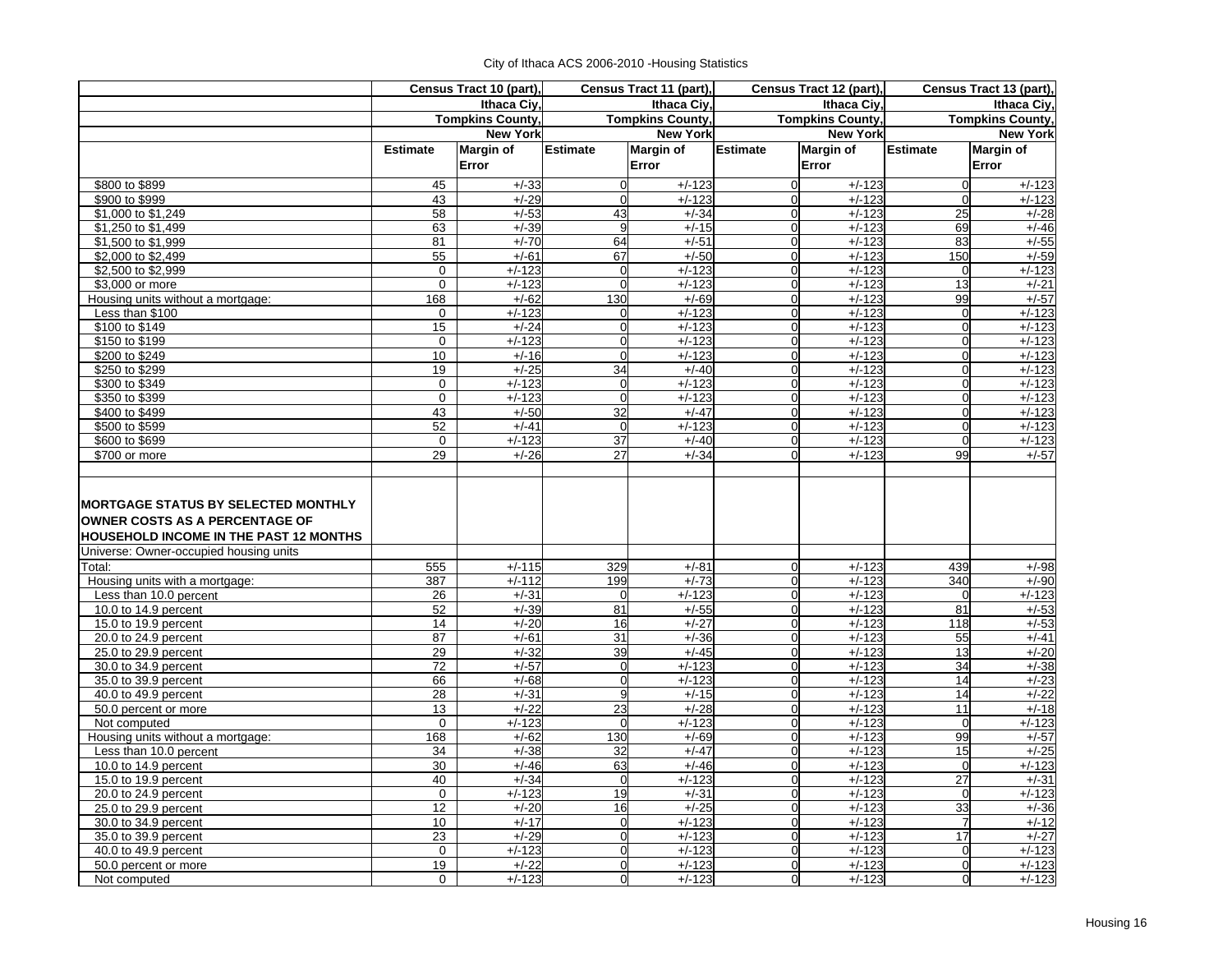|  | City of Ithaca ACS 2006-2010 - Housing Statistics |  |  |
|--|---------------------------------------------------|--|--|
|--|---------------------------------------------------|--|--|

|                                                                                                                                      |                 | Census Tract 10 (part), | Census Tract 11 (part), |                         | Census Tract 12 (part),       |                         | Census Tract 13 (part), |                         |  |
|--------------------------------------------------------------------------------------------------------------------------------------|-----------------|-------------------------|-------------------------|-------------------------|-------------------------------|-------------------------|-------------------------|-------------------------|--|
|                                                                                                                                      |                 | Ithaca Ciy,             |                         | Ithaca Ciy,             |                               | <b>Ithaca Ciy</b>       | Ithaca Ciy,             |                         |  |
|                                                                                                                                      |                 | <b>Tompkins County,</b> |                         | <b>Tompkins County,</b> |                               | <b>Tompkins County,</b> |                         | <b>Tompkins County,</b> |  |
|                                                                                                                                      |                 | <b>New York</b>         |                         | <b>New York</b>         |                               | <b>New York</b>         |                         | <b>New York</b>         |  |
|                                                                                                                                      | <b>Estimate</b> | <b>Margin of</b>        | <b>Estimate</b>         | <b>Margin of</b>        | <b>Estimate</b>               | <b>Margin of</b>        | <b>Estimate</b>         | <b>Margin of</b>        |  |
|                                                                                                                                      |                 | Error                   |                         | Error                   |                               | Error                   |                         | Error                   |  |
| \$800 to \$899                                                                                                                       | 45              | $+/-33$                 | $\overline{0}$          | $+/-123$                | $\mathbf 0$                   | $+/-123$                | $\mathbf 0$             | $+/-123$                |  |
| \$900 to \$999                                                                                                                       | 43              | $+/-29$                 | $\Omega$                | $+/-123$                | $\overline{0}$                | $+/-123$                | $\mathbf 0$             | $+/-123$                |  |
| \$1,000 to \$1,249                                                                                                                   | 58              | $+/-53$                 | 43                      | $+/-34$                 | $\overline{0}$                | $+/-123$                | 25                      | $+/-28$                 |  |
| \$1,250 to \$1,499                                                                                                                   | 63              | $+/-39$                 | 9                       | $+/-15$                 | $\overline{0}$                | $+/-123$                | 69                      | $+/-46$                 |  |
| \$1,500 to \$1,999                                                                                                                   | 81              | $+/-70$                 | 64                      | $+/-51$                 | $\overline{0}$                | $+/-123$                | 83                      | $+/-55$                 |  |
| \$2,000 to \$2,499                                                                                                                   | 55              | $+/-61$                 | 67                      | $+/-50$                 | $\mathbf 0$                   | $+/-123$                | 150                     | $+/-59$                 |  |
| \$2,500 to \$2,999                                                                                                                   | $\mathbf 0$     | $+/-123$                | $\overline{0}$          | $+/-123$                | $\overline{0}$                | $+/-123$                | 0                       | $+/-123$                |  |
| \$3,000 or more                                                                                                                      | $\mathbf 0$     | $+/-123$                | $\overline{0}$          | $+/-123$                | $\overline{0}$                | $+/-123$                | 13                      | $+/-21$                 |  |
| Housing units without a mortgage:                                                                                                    | 168             | $+/-62$                 | 130                     | $+/-69$                 | $\overline{0}$                | $+/-123$                | 99                      | $+/-57$                 |  |
| Less than \$100                                                                                                                      | 0               | $+/-123$                | $\Omega$                | $+/-123$                | $\Omega$                      | $+/-123$                | $\mathbf 0$             | $+/-123$                |  |
| \$100 to \$149                                                                                                                       | 15              | $+/-24$                 | $\mathbf 0$             | $+/-123$                | $\mathbf 0$                   | $+/-123$                | $\mathbf 0$             | $+/-123$                |  |
| \$150 to \$199                                                                                                                       | $\mathbf 0$     | $+/-123$                | $\overline{0}$          | $+/-123$                | $\mathbf 0$                   | $+/-123$                | $\mathbf 0$             | $+/-123$                |  |
| \$200 to \$249                                                                                                                       | 10              | $+/-16$                 | $\Omega$                | $+/-123$                | $\overline{0}$                | $+/-123$                | $\mathbf 0$             | $\frac{1}{1}$ /-123     |  |
| \$250 to \$299                                                                                                                       | 19              | $+/-25$                 | 34                      | $+/-40$                 | $\mathbf 0$                   | $+/-123$                | $\mathbf 0$             | $+/-123$                |  |
| \$300 to \$349                                                                                                                       | $\mathbf 0$     | $+/-123$                | $\overline{0}$          | $+/-123$                | $\mathbf 0$                   | $+/-123$                | $\overline{0}$          | $+/-123$                |  |
| \$350 to \$399                                                                                                                       | $\mathbf 0$     | $+/-123$                | $\overline{0}$          | $+/-123$                | $\overline{0}$                | $+/-123$                | $\mathbf 0$             | $+/-123$                |  |
| \$400 to \$499                                                                                                                       | 43              | $+/-50$                 | 32                      | $+/-47$                 | $\overline{0}$                | $+/-123$                | $\mathbf 0$             | $+/-123$                |  |
| \$500 to \$599                                                                                                                       | 52              | $+/-41$                 | $\Omega$                | $+/-123$                | $\Omega$                      | $+/-123$                | $\mathbf 0$             | $+/-123$                |  |
| \$600 to \$699                                                                                                                       | $\mathbf 0$     | $+/-123$                | 37                      | $+/-40$                 | $\overline{0}$                | $+/-123$                | $\overline{0}$          | $+/-123$                |  |
| \$700 or more                                                                                                                        | 29              | $+/-26$                 | 27                      | $+/-34$                 | $\mathbf{0}$                  | $+/-123$                | 99                      | $+/-57$                 |  |
| <b>MORTGAGE STATUS BY SELECTED MONTHLY</b><br><b>OWNER COSTS AS A PERCENTAGE OF</b><br><b>HOUSEHOLD INCOME IN THE PAST 12 MONTHS</b> |                 |                         |                         |                         |                               |                         |                         |                         |  |
| Universe: Owner-occupied housing units                                                                                               |                 |                         |                         |                         |                               |                         |                         |                         |  |
| Total:                                                                                                                               | 555             | $+/-115$                | 329                     | $+/-81$                 | $\mathbf 0$                   | $+/-123$                | 439                     | $+/-98$                 |  |
| Housing units with a mortgage:                                                                                                       | 387             | $+/-112$                | 199                     | $+/-73$                 | $\mathbf 0$                   | $+/-123$                | 340                     | $+/-90$                 |  |
| Less than 10.0 percent                                                                                                               | 26              | $+/-31$                 | $\Omega$                | $+/-123$                | $\Omega$                      | $+/-123$                | $\Omega$                | $+/-123$                |  |
| 10.0 to 14.9 percent                                                                                                                 | 52              | $+/-39$                 | 81                      | $+/-55$                 | $\overline{0}$                | $+/-123$                | 81                      | $+/-53$                 |  |
| 15.0 to 19.9 percent                                                                                                                 | 14              | $+/-20$                 | 16                      | $+/-27$                 | $\overline{0}$                | $+/-123$                | 118                     | $+/-53$                 |  |
| 20.0 to 24.9 percent                                                                                                                 | 87              | $+/-61$                 | 31                      | $+/-36$                 | $\mathbf 0$                   | $+/-123$                | 55                      | $+/-41$                 |  |
| 25.0 to 29.9 percent                                                                                                                 | 29<br>72        | $+/-32$<br>$+/-57$      | 39<br>$\overline{0}$    | $+/-45$<br>$+/-123$     | $\overline{0}$<br>$\mathbf 0$ | $+/-123$<br>$+/-123$    | 13<br>34                | $+/-20$<br>$+/-38$      |  |
| 30.0 to 34.9 percent<br>35.0 to 39.9 percent                                                                                         | 66              | $+/-68$                 | $\overline{0}$          | $+/-123$                | $\mathbf 0$                   | $+/-123$                | 14                      | $+/-23$                 |  |
| 40.0 to 49.9 percent                                                                                                                 | 28              | $+/-31$                 | 9                       | $+/-15$                 | $\overline{0}$                | $+/-123$                | 14                      | $+/-22$                 |  |
| 50.0 percent or more                                                                                                                 | 13              | $+/-22$                 | 23                      | $+/-28$                 | $\mathbf 0$                   | $+/-123$                | 11                      | $+/-18$                 |  |
| Not computed                                                                                                                         | $\mathbf{0}$    | $+/-123$                | $\overline{0}$          | $+/-123$                | $\overline{0}$                | $+/-123$                | $\mathbf 0$             | $+/-123$                |  |
| Housing units without a mortgage:                                                                                                    | 168             | $+/-62$                 | 130                     | $+/-69$                 | $\mathbf 0$                   | $+/-123$                | 99                      | $+/-57$                 |  |
| Less than 10.0 percent                                                                                                               | 34              | $+/-38$                 | 32                      | $+/-47$                 | $\overline{0}$                | $+/-123$                | 15                      | $+/-25$                 |  |
| 10.0 to 14.9 percent                                                                                                                 | 30              | $+/-46$                 | 63                      | $+/-46$                 | $\mathbf 0$                   | $+/-123$                | $\overline{0}$          | $+/-123$                |  |
| 15.0 to 19.9 percent                                                                                                                 | 40              | $+/-34$                 | $\overline{0}$          | $+/-123$                | $\overline{0}$                | $+/-123$                | $\overline{27}$         | $+/-31$                 |  |
| 20.0 to 24.9 percent                                                                                                                 | $\mathbf 0$     | $+/-123$                | 19                      | $+/-31$                 | $\mathbf 0$                   | $+/-123$                | $\mathbf 0$             | $+/-123$                |  |
| 25.0 to 29.9 percent                                                                                                                 | 12              | $+/-20$                 | 16                      | $+/-25$                 | $\overline{0}$                | $+/-123$                | 33                      | $+/-36$                 |  |
| 30.0 to 34.9 percent                                                                                                                 | 10              | $+/-17$                 | $\overline{0}$          | $+/-123$                | $\mathbf 0$                   | $+/-123$                | $\overline{7}$          | $+/-12$                 |  |
| 35.0 to 39.9 percent                                                                                                                 | 23              | $+/-29$                 | $\overline{0}$          | $+/-123$                | $\mathbf 0$                   | $+/-123$                | 17                      | $+/-27$                 |  |
| 40.0 to 49.9 percent                                                                                                                 | $\Omega$        | $+/-123$                | $\overline{0}$          | $+/-123$                | $\overline{0}$                | $+/-123$                | $\mathbf 0$             | $+/-123$                |  |
| 50.0 percent or more                                                                                                                 | 19              | $+/-22$                 | $\Omega$                | $+/-123$                | $\Omega$                      | $+/-123$                | $\overline{0}$          | $+/-123$                |  |
| Not computed                                                                                                                         | $\mathbf{0}$    | $+/-123$                | $\overline{0}$          | $+/-123$                | $\overline{0}$                | $+/-123$                | $\overline{0}$          | $+/-123$                |  |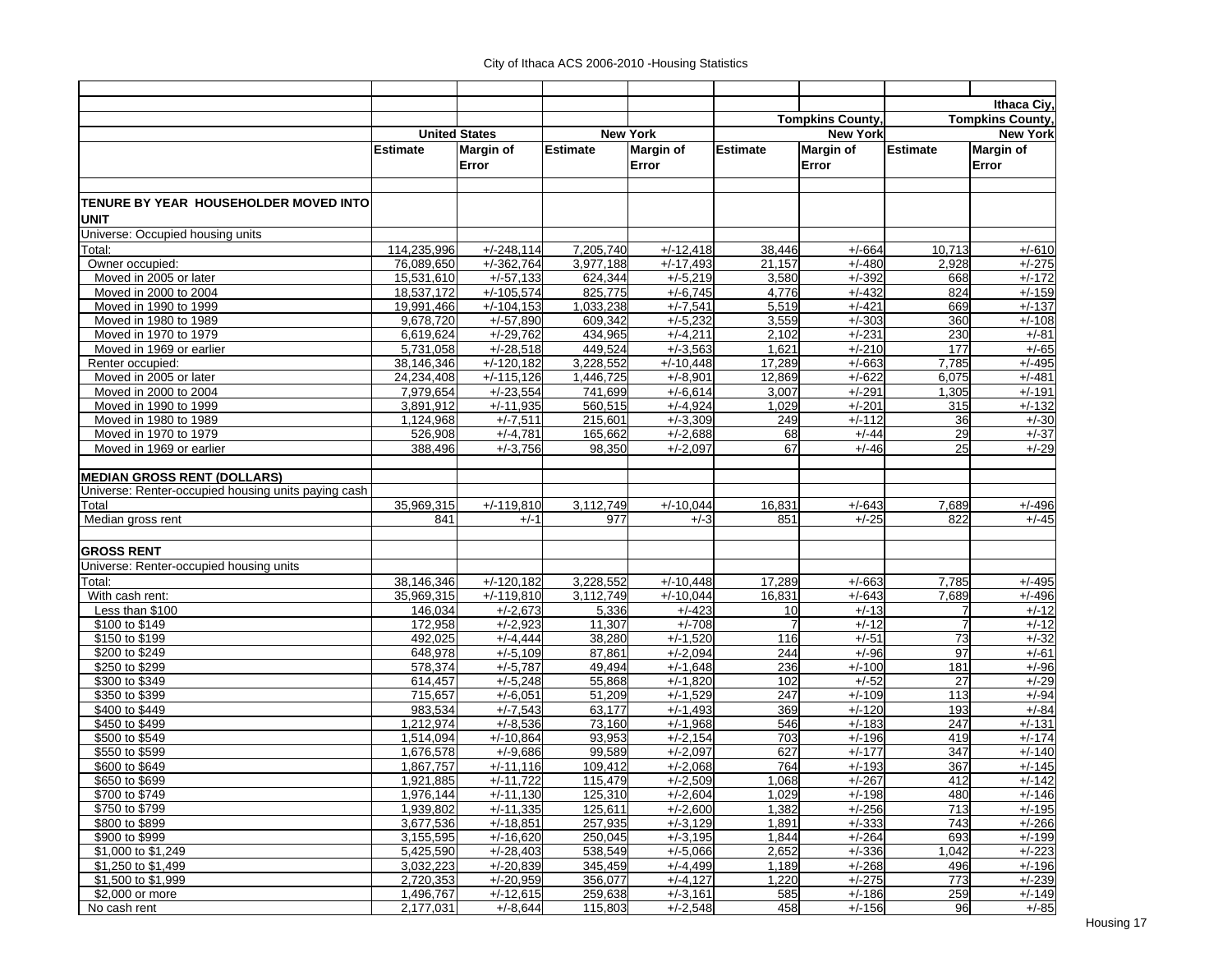|                                                     |                      |                  |           |                   |                |                         |                 | Ithaca Ciy,             |
|-----------------------------------------------------|----------------------|------------------|-----------|-------------------|----------------|-------------------------|-----------------|-------------------------|
|                                                     |                      |                  |           |                   |                | <b>Tompkins County,</b> |                 | <b>Tompkins County,</b> |
|                                                     | <b>United States</b> |                  |           | <b>New York</b>   |                | <b>New York</b>         |                 | <b>New York</b>         |
|                                                     | <b>Estimate</b>      | <b>Margin of</b> | Estimate  | <b>Margin of</b>  | Estimate       | <b>Margin of</b>        | Estimate        | <b>Margin of</b>        |
|                                                     |                      | Error            |           | Error             |                | Error                   |                 | Error                   |
|                                                     |                      |                  |           |                   |                |                         |                 |                         |
|                                                     |                      |                  |           |                   |                |                         |                 |                         |
| TENURE BY YEAR HOUSEHOLDER MOVED INTO<br>UNIT       |                      |                  |           |                   |                |                         |                 |                         |
| Universe: Occupied housing units                    |                      |                  |           |                   |                |                         |                 |                         |
| Total:                                              | 114,235,996          | $+/-248,114$     | 7,205,740 | $+/-12,418$       | 38,446         | $+/-664$                | 10,713          | $+/-610$                |
| Owner occupied:                                     | 76,089,650           | $+/-362,764$     | 3.977.188 | $+\sqrt{-17,493}$ | 21,157         | $+/-480$                | 2,928           | $+/-275$                |
| Moved in 2005 or later                              | 15,531,610           | $+/-57,133$      | 624,344   | $+/-5,219$        | 3,580          | $+/-392$                | 668             | $+/-172$                |
| Moved in 2000 to 2004                               | 18.537.172           | $+/-105,574$     | 825,775   | $+/-6,745$        | 4,776          | $+/-432$                | 824             | $+/-159$                |
| Moved in 1990 to 1999                               | 19,991,466           | $+/-104,153$     | 1,033,238 | $+/-7,541$        | 5,519          | $+/-421$                | 669             | $+/-137$                |
| Moved in 1980 to 1989                               | 9,678,720            | $+/-57,890$      | 609,342   | $+/-5,232$        | 3,559          | $+/-303$                | 360             | $+/-108$                |
| Moved in 1970 to 1979                               | 6,619,624            | $+/-29,762$      | 434,965   | $+/-4,211$        | 2,102          | $+/-231$                | 230             | $+/-81$                 |
| Moved in 1969 or earlier                            | 5,731,058            | $+/-28.518$      | 449,524   | $+/-3,563$        | 1,621          | $+/-210$                | 177             | $+/-65$                 |
| Renter occupied:                                    | 38,146,346           | $+/-120,182$     | 3,228,552 | $+/-10,448$       | 17,289         | $+/-663$                | 7,785           | $+/-495$                |
| Moved in 2005 or later                              | 24,234,408           | $+/-115,126$     | 1,446,725 | $+/-8,901$        | 12,869         | $+/-622$                | 6,075           | $+/-481$                |
| Moved in 2000 to 2004                               | 7,979,654            | $+/-23,554$      | 741,699   | $+/-6,614$        | 3,007          | $+/-291$                | 1,305           | $+/-191$                |
| Moved in 1990 to 1999                               | 3,891,912            | $+/-11,935$      | 560,515   | $+/-4,924$        | 1,029          | $+/-201$                | 315             | $+/-132$                |
| Moved in 1980 to 1989                               | 1,124,968            | $+/-7,511$       | 215,601   | $+/-3,309$        | 249            | $+/-112$                | 36              | $+/-30$                 |
| Moved in 1970 to 1979                               | 526,908              | $+/-4,781$       | 165,662   | $+/-2,688$        | 68             | $+/-44$                 | 29              | $+/-37$                 |
| Moved in 1969 or earlier                            | 388,496              | $+/-3,756$       | 98,350    | $+/-2,097$        | 67             | $+/-46$                 | 25              | $+/-29$                 |
|                                                     |                      |                  |           |                   |                |                         |                 |                         |
| <b>MEDIAN GROSS RENT (DOLLARS)</b>                  |                      |                  |           |                   |                |                         |                 |                         |
| Universe: Renter-occupied housing units paying cash |                      |                  |           |                   |                |                         |                 |                         |
| Total                                               | 35,969,315           | $+/-119,810$     | 3,112,749 | $+/-10,044$       | 16,831         | $+/-643$                | 7,689           | $+/-496$                |
| Median gross rent                                   | 841                  | $+/-1$           | 977       | $+/-3$            | 851            | $+/-25$                 | 822             | $+/-45$                 |
|                                                     |                      |                  |           |                   |                |                         |                 |                         |
| <b>GROSS RENT</b>                                   |                      |                  |           |                   |                |                         |                 |                         |
| Universe: Renter-occupied housing units             |                      |                  |           |                   |                |                         |                 |                         |
| Total:                                              | 38,146,346           | $+/-120,182$     | 3,228,552 | $+/-10,448$       | 17,289         | $+/-663$                | 7,785           | $+/-495$                |
| With cash rent:                                     | 35,969,315           | $+/-119,810$     | 3,112,749 | $+/-10,044$       | 16,831         | $+/-643$                | 7,689           | $+/-496$                |
| Less than \$100                                     | 146,034              | $+/-2,673$       | 5,336     | $+/-423$          | 10             | $+/-13$                 | 7               | $+/-12$                 |
| \$100 to \$149                                      | 172,958              | $+/-2,923$       | 11,307    | $+/-708$          | $\overline{7}$ | $+/-12$                 | $\overline{7}$  | $+/-12$                 |
| \$150 to \$199                                      | 492,025              | $+/-4,444$       | 38,280    | $+/-1,520$        | 116            | $+/-51$                 | $\overline{73}$ | $+/-32$                 |
| \$200 to \$249                                      | 648,978              | $+/-5,109$       | 87,861    | $+/-2,094$        | 244            | $+/-96$                 | 97              | $+/-61$                 |
| \$250 to \$299                                      | 578,374              | $+/-5,787$       | 49,494    | $+/-1,648$        | 236            | $+/-100$                | 181             | $+/-96$                 |
| \$300 to \$349                                      | 614,457              | $+/-5,248$       | 55,868    | $+/-1,820$        | 102            | $+/-52$                 | 27              | $+/-29$                 |
| \$350 to \$399                                      | 715,657              | $+/-6,051$       | 51,209    | $+/-1.529$        | 247            | $+/-109$                | 113             | $+/-94$                 |
| \$400 to \$449                                      | 983,534              | $+/-7,543$       | 63,177    | $+/-1,493$        | 369            | $+/-120$                | 193             | $+/-84$                 |
| \$450 to \$499                                      | 1,212,974            | $+/-8,536$       | 73,160    | $+/-1,968$        | 546            | $+/-183$                | 247             | $+/-131$                |
| \$500 to \$549                                      | 1,514,094            | $+/-10,864$      | 93,953    | $+/-2,154$        | 703            | $+/-196$                | 419             | $+/-174$                |
| \$550 to \$599                                      | 1,676,578            | $+/-9.686$       | 99,589    | $+/-2,097$        | 627            | $+/-177$                | 347             | $+/-140$                |
| \$600 to \$649                                      | 1,867,757            | $+/-11,116$      | 109,412   | $+/-2,068$        | 764            | $+/-193$                | 367             | $+/-145$                |
| \$650 to \$699                                      | 1,921,885            | $+/-11,722$      | 115,479   | $+/-2,509$        | 1,068          | $+/-267$                | 412             | $+/-142$                |
| \$700 to \$749                                      | 1,976,144            | $+/-11,130$      | 125,310   | $+/-2.604$        | 1,029          | $+/-198$                | 480             | $+/-146$                |
| \$750 to \$799                                      | 1,939,802            | $+/-11,335$      | 125,611   | $+/-2,600$        | 1,382          | $+/-256$                | 713             | $+/-195$                |
| \$800 to \$899                                      | 3,677,536            | $+/-18.851$      | 257,935   | $+/-3,129$        | 1,891          | $+/-333$                | 743             | $+/-266$                |
| \$900 to \$999                                      | 3,155,595            | $+/-16,620$      | 250,045   | $+/-3.195$        | 1,844          | $+/-264$                | 693             | $+/-199$                |
| \$1,000 to \$1,249                                  | 5,425,590            | $+/-28,403$      | 538,549   | $+/-5,066$        | 2,652          | $+/-336$                | 1,042           | $+/-223$                |
| \$1,250 to \$1,499                                  | 3,032,223            | $+/-20,839$      | 345,459   | $+/-4,499$        | 1,189          | $+/-268$                | 496             | $+/-196$                |
| \$1,500 to \$1,999                                  | 2,720,353            | $+/-20.959$      | 356,077   | $+/-4.127$        | 1,220          | $+/-275$                | 773             | $+/-239$                |
| \$2,000 or more                                     | 1,496,767            | $+/-12,615$      | 259,638   | $+/-3,161$        | 585            | $+/-186$                | 259             | $+/-149$                |
| No cash rent                                        | 2,177,031            | $+/-8,644$       | 115,803   | $+/-2,548$        | 458            | $+/-156$                | 96              | $+/-85$                 |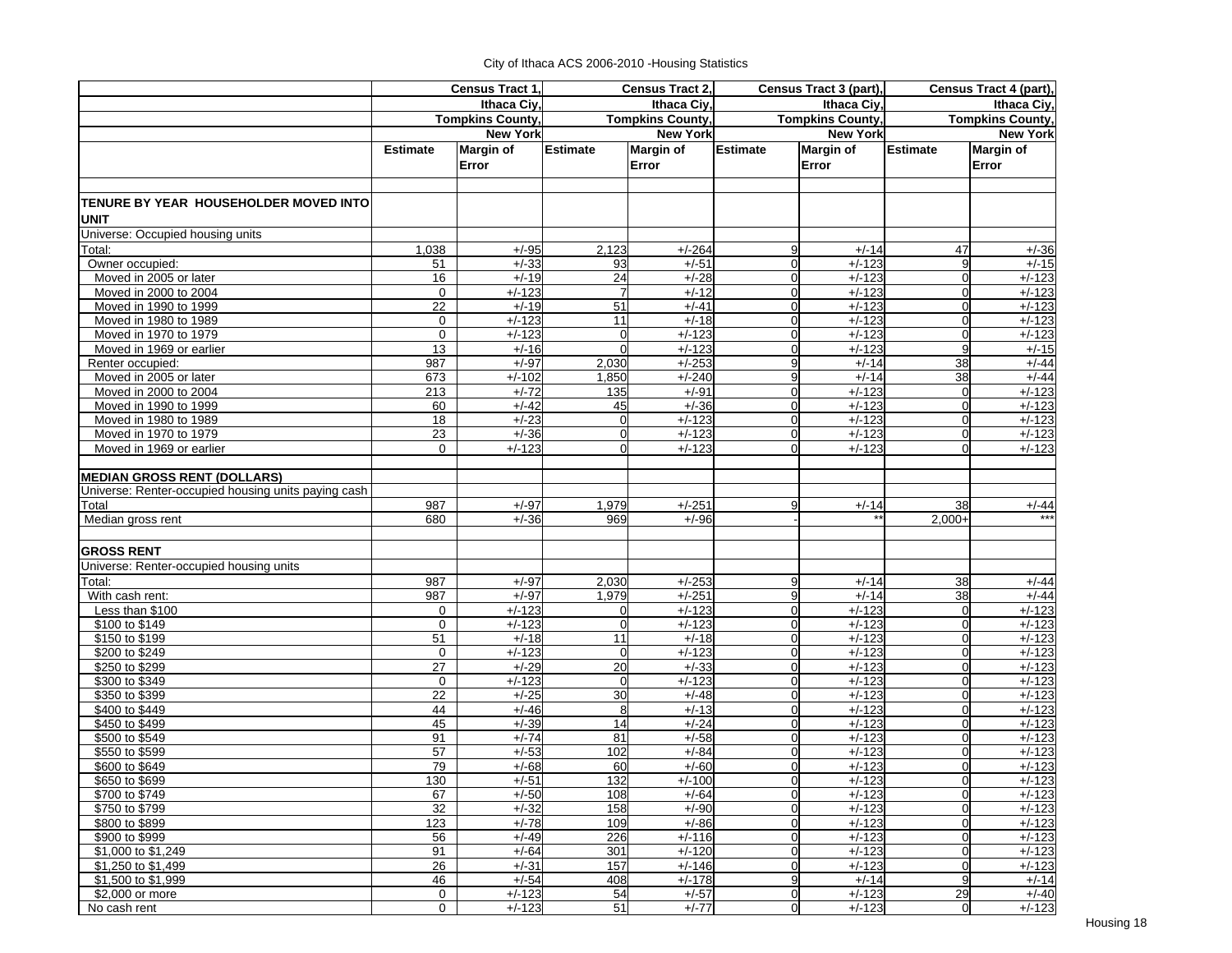|                                                       | Census Tract 1, |                         | Census Tract 2,      |                         | Census Tract 3 (part),           |                         | Census Tract 4 (part),  |                      |
|-------------------------------------------------------|-----------------|-------------------------|----------------------|-------------------------|----------------------------------|-------------------------|-------------------------|----------------------|
|                                                       |                 | <b>Ithaca Civ</b>       |                      | Ithaca Ciy,             |                                  | Ithaca Civ.             | Ithaca Ciy,             |                      |
|                                                       |                 | <b>Tompkins County,</b> |                      | <b>Tompkins County,</b> |                                  | <b>Tompkins County,</b> | <b>Tompkins County,</b> |                      |
|                                                       |                 | <b>New York</b>         |                      | <b>New York</b>         |                                  | <b>New York</b>         |                         | <b>New York</b>      |
|                                                       | <b>Estimate</b> | Margin of               | <b>Estimate</b>      | <b>Margin of</b>        | <b>Estimate</b>                  | <b>Margin of</b>        | Estimate                | <b>Margin of</b>     |
|                                                       |                 | Error                   |                      | Error                   |                                  | Error                   |                         | Error                |
|                                                       |                 |                         |                      |                         |                                  |                         |                         |                      |
|                                                       |                 |                         |                      |                         |                                  |                         |                         |                      |
| TENURE BY YEAR HOUSEHOLDER MOVED INTO <br><b>UNIT</b> |                 |                         |                      |                         |                                  |                         |                         |                      |
| Universe: Occupied housing units                      |                 |                         |                      |                         |                                  |                         |                         |                      |
| Total:                                                | 1,038           | $+/-95$                 | 2,123                | $+/-264$                | 9                                | $+/-14$                 | 47                      | $+/-36$              |
| Owner occupied:                                       | 51              | $+/-33$                 | 93                   | $+/-51$                 | $\overline{0}$                   | $+/-123$                | 9                       | $+/-15$              |
| Moved in 2005 or later                                | 16              | $+/-19$                 | 24                   | $+/-28$                 | $\overline{0}$                   | $+/-123$                | $\mathbf 0$             | $+/-123$             |
| Moved in 2000 to 2004                                 | $\mathbf 0$     | $+/-123$                | $\overline{7}$       | $+/-12$                 | $\overline{0}$                   | $+/-123$                | 0                       | $+/-123$             |
| Moved in 1990 to 1999                                 | 22              | $+/-19$                 | 51                   | $+/-41$                 | $\overline{0}$                   | $+/-123$                | $\mathbf 0$             | $+/-123$             |
| Moved in 1980 to 1989                                 | $\mathbf 0$     | $+/-123$                | 11                   | $+/-18$                 | 0                                | $+/-123$                | $\Omega$                | $+/-123$             |
| Moved in 1970 to 1979                                 | $\mathbf 0$     | $+/-123$                | $\overline{0}$       | $+/-123$                | $\overline{0}$                   | $+/-123$                | $\mathbf 0$             | $+/-123$             |
| Moved in 1969 or earlier                              | 13              | $+/-16$                 | $\Omega$             | $+/-123$                | $\Omega$                         | $+/-123$                | 9                       | $+/-15$              |
| Renter occupied:                                      | 987             | $+/-97$                 | 2,030                | $+/-253$                | 9                                | $+/-14$                 | 38                      | $+/-44$              |
| Moved in 2005 or later                                | 673             | $+/-102$                | 1,850                | $+/-240$                | 9                                | $+/-14$                 | 38                      | $+/-44$              |
| Moved in 2000 to 2004                                 | 213             | $+/-72$                 | 135                  | $+/-91$                 | $\overline{0}$                   | $+/-123$                | $\overline{0}$          | $+/-123$             |
| Moved in 1990 to 1999                                 | 60<br>18        | $+/-42$<br>$+/-23$      | 45<br>$\overline{0}$ | $+/-36$<br>$+/-123$     | 0<br>0                           | $+/-123$<br>$+/-123$    | 0<br>0                  | $+/-123$             |
| Moved in 1980 to 1989<br>Moved in 1970 to 1979        | 23              | $+/-36$                 | $\overline{0}$       | $+/-123$                | $\overline{0}$                   | $+/-123$                | 0                       | $+/-123$<br>$+/-123$ |
| Moved in 1969 or earlier                              | 0               | $+/-123$                | $\Omega$             | $+/-123$                | $\Omega$                         | $+/-123$                | $\Omega$                | $+/-123$             |
|                                                       |                 |                         |                      |                         |                                  |                         |                         |                      |
| <b>MEDIAN GROSS RENT (DOLLARS)</b>                    |                 |                         |                      |                         |                                  |                         |                         |                      |
| Universe: Renter-occupied housing units paying cash   |                 |                         |                      |                         |                                  |                         |                         |                      |
| Total                                                 | 987             | $+/-97$                 | 1,979                | $+/-251$                | 9                                | $+/-14$                 | 38                      | $+/-44$              |
| Median gross rent                                     | 680             | $+/-36$                 | 969                  | $+\sqrt{-96}$           |                                  |                         | $2.000+$                |                      |
|                                                       |                 |                         |                      |                         |                                  |                         |                         |                      |
| <b>GROSS RENT</b>                                     |                 |                         |                      |                         |                                  |                         |                         |                      |
| Universe: Renter-occupied housing units               |                 |                         |                      |                         |                                  |                         |                         |                      |
| Total:                                                | 987             | $+/-97$                 | 2,030                | $+/-253$                | 9                                | $+/-14$                 | 38                      | $+/-44$              |
| With cash rent:                                       | 987             | $+/-97$                 | 1,979                | $+/-251$                | 9                                | $+/-14$                 | 38                      | $+/-44$              |
| Less than \$100                                       | 0               | $+/-123$                | $\overline{0}$       | $+/-123$                | 0                                | $+/-123$                | $\mathbf 0$             | $+/-123$             |
| \$100 to \$149                                        | $\Omega$        | $+/-123$                | $\overline{0}$       | $+/-123$                | $\overline{0}$                   | $+/-123$                | $\mathbf 0$             | $+/-123$             |
| \$150 to \$199                                        | 51              | $+/-18$                 | 11                   | $+/-18$                 | $\Omega$                         | $+/-123$                | $\overline{0}$          | $+/-123$             |
| \$200 to \$249                                        | $\mathbf 0$     | $+/-123$                | $\overline{0}$       | $+/-123$                | $\Omega$                         | $+/-123$                | $\overline{0}$          | $+/-123$             |
| \$250 to \$299                                        | 27              | $+/-29$                 | 20                   | $+/-33$                 | 0                                | $+/-123$                | $\mathbf 0$             | $+/-123$             |
| \$300 to \$349                                        | 0               | $+/-123$                | $\overline{0}$       | $+/-123$                | 0                                | $+/-123$                | $\mathbf 0$             | $+/-123$             |
| \$350 to \$399                                        | 22              | $+/-25$                 | 30                   | $+/-48$                 | 0                                | $+/-123$                | $\mathbf 0$             | $+/-123$             |
| \$400 to \$449                                        | 44              | $+/-46$                 | 8                    | $+/-13$                 | $\overline{0}$                   | $+/-123$                | $\mathbf 0$             | $+/-123$             |
| \$450 to \$499                                        | 45              | $+/-39$                 | 14                   | $+/-24$                 | $\overline{0}$                   | $+/-123$                | $\mathbf 0$             | $+/-123$             |
| \$500 to \$549                                        | 91              | $+/-74$                 | 81                   | $+/-58$                 | $\overline{0}$                   | $+/-123$                | $\Omega$                | $+/-123$             |
| \$550 to \$599                                        | 57              | $+/-53$                 | 102                  | $+/-84$                 | $\Omega$                         | $+/-123$                | $\Omega$                | $+/-123$             |
| \$600 to \$649                                        | 79              | $+/-68$                 | 60                   | $+/-60$                 | $\Omega$                         | $+/-123$                | $\Omega$                | $+/-123$             |
| \$650 to \$699                                        | 130             | $+/-51$                 | 132                  | $+/-100$                | <sub>0</sub>                     | $+/-123$                | U                       | $+/-123$             |
| \$700 to \$749                                        | 67              | $+/-50$                 | 108                  | $+/-64$                 | $\overline{0}$                   | $+/-123$                | $\overline{0}$          | $+/-123$             |
| \$750 to \$799                                        | 32              | $+/-32$                 | 158                  | $+/-90$                 | $\overline{0}$                   | $+/-123$                | $\mathbf 0$             | $+/-123$             |
| \$800 to \$899                                        | 123             | $+/-78$                 | 109                  | $+/-86$                 | $\overline{0}$                   | $+/-123$                | $\mathbf 0$             | $+/-123$             |
| \$900 to \$999                                        | 56<br>91        | $+/-49$<br>$+/-64$      | 226                  | $+/-116$<br>$+/-120$    | $\overline{0}$<br>$\overline{0}$ | $+/-123$<br>$+/-123$    | $\mathbf 0$             | $+/-123$<br>$+/-123$ |
| \$1,000 to \$1,249                                    |                 | $+/-31$                 | 301<br>157           | $+/-146$                | $\overline{0}$                   | $+/-123$                | 0<br>$\mathbf 0$        | $+/-123$             |
| \$1,250 to \$1,499<br>\$1,500 to \$1,999              | 26<br>46        | $+/-54$                 | 408                  | $+/-178$                | 9                                | $+/-14$                 | 9                       | $+/-14$              |
| \$2,000 or more                                       | 0               | $+/-123$                | 54                   | $+/-57$                 | $\overline{0}$                   | $+/-123$                | 29                      | $+/-40$              |
| No cash rent                                          | 0               | $+/-123$                | 51                   | $+/-77$                 | $\overline{0}$                   | $+/-123$                | $\overline{0}$          | $+/-123$             |
|                                                       |                 |                         |                      |                         |                                  |                         |                         |                      |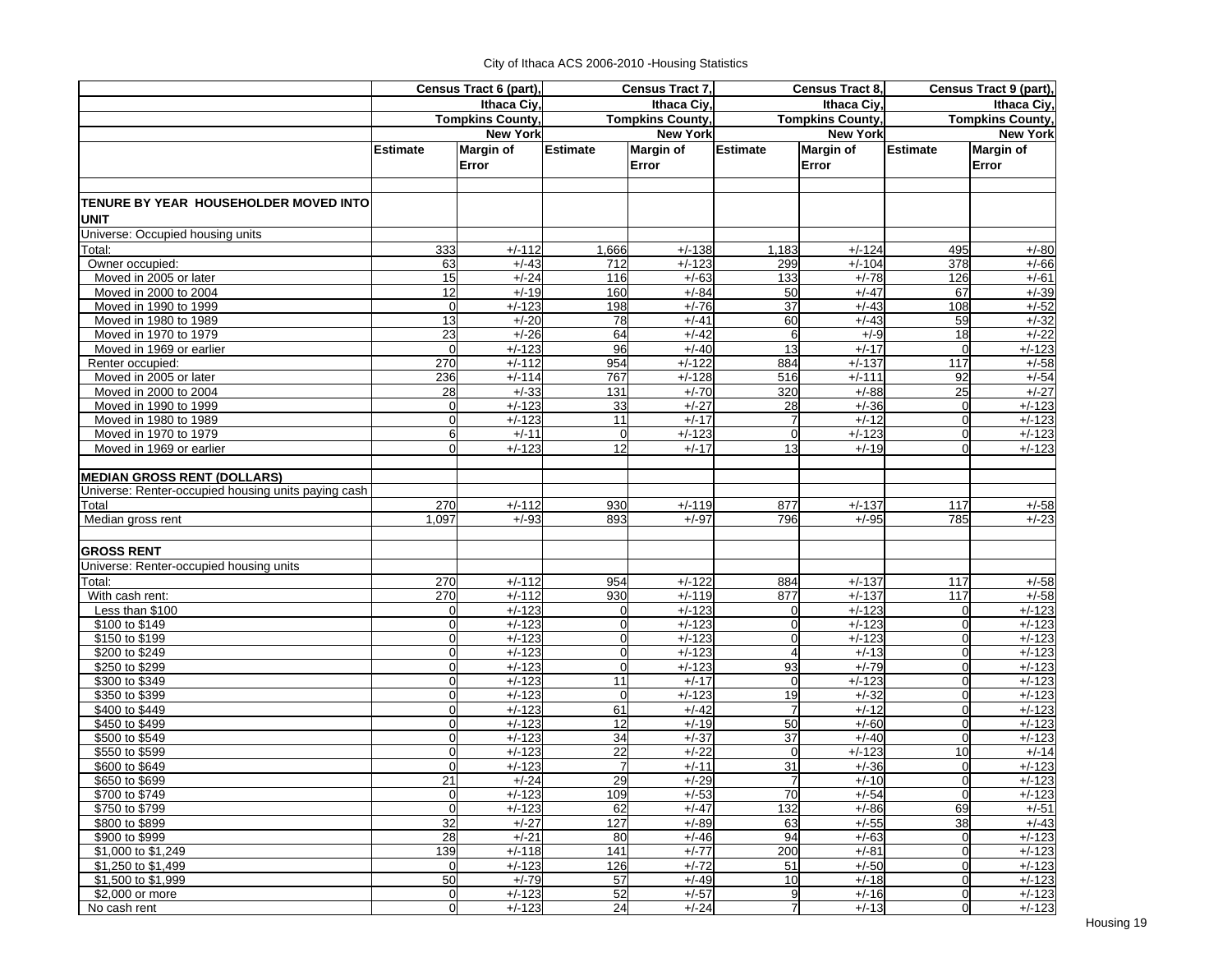|                                                     |                  | Census Tract 6 (part),  | Census Tract 7, |                         |                 | Census Tract 8,         | Census Tract 9 (part),  |                  |  |
|-----------------------------------------------------|------------------|-------------------------|-----------------|-------------------------|-----------------|-------------------------|-------------------------|------------------|--|
|                                                     |                  | Ithaca Ciy,             |                 | Ithaca Civ.             |                 | Ithaca Civ.             | Ithaca Ciy,             |                  |  |
|                                                     |                  | <b>Tompkins County,</b> |                 | <b>Tompkins County,</b> |                 | <b>Tompkins County,</b> | <b>Tompkins County,</b> |                  |  |
|                                                     |                  | <b>New York</b>         |                 | <b>New York</b>         |                 | <b>New York</b>         |                         | <b>New York</b>  |  |
|                                                     | <b>Estimate</b>  | <b>Margin of</b>        | <b>Estimate</b> | <b>Margin of</b>        | <b>Estimate</b> | <b>Margin of</b>        | <b>Estimate</b>         | <b>Margin of</b> |  |
|                                                     |                  | Error                   |                 | Error                   |                 | Error                   |                         | Error            |  |
|                                                     |                  |                         |                 |                         |                 |                         |                         |                  |  |
|                                                     |                  |                         |                 |                         |                 |                         |                         |                  |  |
| TENURE BY YEAR HOUSEHOLDER MOVED INTO               |                  |                         |                 |                         |                 |                         |                         |                  |  |
| <b>UNIT</b>                                         |                  |                         |                 |                         |                 |                         |                         |                  |  |
| Universe: Occupied housing units                    |                  |                         |                 |                         |                 |                         |                         |                  |  |
| Total:                                              | 333              | $+/-112$                | 1,666           | $+/-138$                | 1,183           | $+/-124$                | 495                     | $+/-80$          |  |
| Owner occupied:                                     | 63               | $+/-43$                 | 712             | $+/-123$                | 299             | $+/-104$                | 378                     | $+/-66$          |  |
| Moved in 2005 or later                              | 15               | $+/-24$                 | 116             | $+/-63$                 | 133             | $+/-78$                 | 126                     | $+/-61$          |  |
| Moved in 2000 to 2004                               | 12               | $+/-19$                 | 160             | $+/-84$                 | 50              | $+/-47$                 | 67                      | $+/-39$          |  |
| Moved in 1990 to 1999                               | $\overline{0}$   | $+/-123$                | 198             | $+/-76$                 | 37              | $+/-43$                 | 108                     | $+/-52$          |  |
| Moved in 1980 to 1989                               | 13               | $+/-20$                 | 78              | $+/-41$                 | 60              | $+/-43$                 | 59                      | $+/-32$          |  |
| Moved in 1970 to 1979                               | 23               | $+/-26$                 | 64              | $+/-42$                 | 6               | $+/-9$                  | 18                      | $+/-22$          |  |
| Moved in 1969 or earlier                            | $\Omega$         | $+/-123$                | 96              | $+/-40$                 | 13              | $+/-17$                 | $\Omega$                | $+/-123$         |  |
| Renter occupied:                                    | 270              | $+/-112$                | 954             | $+/-122$                | 884             | $+/-137$                | 117                     | $+/-58$          |  |
| Moved in 2005 or later                              | 236              | $+/-114$                | 767             | $+/-128$                | 516             | $+/-111$                | 92                      | $+/-54$          |  |
| Moved in 2000 to 2004                               | 28               | $+/-33$                 | 131             | $+/-70$                 | 320             | $+/-88$                 | 25                      | $+/-27$          |  |
| Moved in 1990 to 1999                               | $\overline{0}$   | $+/-123$                | 33              | $+/-27$                 | 28              | $+/-36$                 | $\Omega$                | $+/-123$         |  |
| Moved in 1980 to 1989                               | $\Omega$         | $+/-123$                | 11              | $+/-17$                 | $\overline{7}$  | $+/-12$                 | $\Omega$                | $+/-123$         |  |
| Moved in 1970 to 1979                               | $6 \overline{6}$ | $+/-11$                 | $\mathbf 0$     | $+/-123$                | $\mathbf 0$     | $+/-123$                | $\mathbf 0$             | $+/-123$         |  |
| Moved in 1969 or earlier                            | $\Omega$         | $+/-123$                | 12              | $+/-17$                 | 13              | $+/-19$                 | $\Omega$                | $+/-123$         |  |
|                                                     |                  |                         |                 |                         |                 |                         |                         |                  |  |
| <b>MEDIAN GROSS RENT (DOLLARS)</b>                  |                  |                         |                 |                         |                 |                         |                         |                  |  |
| Universe: Renter-occupied housing units paying cash |                  |                         |                 |                         |                 |                         |                         |                  |  |
| Total                                               | 270              | $+/-112$                | 930             | $+/-119$                | 877             | $+/-137$                | 117                     | $+/-58$          |  |
| Median gross rent                                   | 1,097            | $+/-93$                 | 893             | $+/-97$                 | 796             | $+/-95$                 | 785                     | $+/-23$          |  |
|                                                     |                  |                         |                 |                         |                 |                         |                         |                  |  |
| <b>GROSS RENT</b>                                   |                  |                         |                 |                         |                 |                         |                         |                  |  |
| Universe: Renter-occupied housing units             |                  |                         |                 |                         |                 |                         |                         |                  |  |
| Total:                                              | 270              | $+/-112$                | 954             | $+/-122$                | 884             | $+/-137$                | 117                     | $+/-58$          |  |
| With cash rent:                                     | 270              | $+/-112$                | 930             | $+/-119$                | 877             | $+/-137$                | 117                     | $+/-58$          |  |
| Less than \$100                                     | $\overline{0}$   | $+/-123$                | $\overline{0}$  | $+/-123$                | $\Omega$        | $+/-123$                | 0                       | $+/-123$         |  |
| \$100 to \$149                                      | $\Omega$         | $+/-123$                | $\overline{0}$  | $+/-123$                | $\overline{0}$  | $+/-123$                | $\mathbf 0$             | $+/-123$         |  |
| \$150 to \$199                                      | $\Omega$         | $+/-123$                | $\overline{0}$  | $+/-123$                | 0               | $+/-123$                | $\Omega$                | $+/-123$         |  |
| \$200 to \$249                                      | $\overline{0}$   | $+/-123$                | $\overline{0}$  | $+/-123$                | $\overline{4}$  | $+/-13$                 | $\overline{0}$          | $+/-123$         |  |
| \$250 to \$299                                      | $\Omega$         | $+/-123$                | $\mathbf 0$     | $+/-123$                | 93              | $+/-79$                 | $\mathbf 0$             | $+/-123$         |  |
| \$300 to \$349                                      | $\Omega$         | $+/-123$                | 11              | $+/-17$                 | $\overline{0}$  | $+/-123$                | $\overline{0}$          | $+/-123$         |  |
| \$350 to \$399                                      | $\Omega$         | $+/-123$                | $\mathbf 0$     | $+/-123$                | 19              | $+/-32$                 | $\overline{0}$          | $+/-123$         |  |
| \$400 to \$449                                      | $\Omega$         | $+/-123$                | 61              | $+/-42$                 | $\overline{7}$  | $+/-12$                 | 0                       | $+/-123$         |  |
| \$450 to \$499                                      | $\overline{0}$   | $+/-123$                | 12              | $+/-19$                 | 50              | $+/-60$                 | 0                       | $+/-123$         |  |
| \$500 to \$549                                      | $\Omega$         | $+/-123$                | 34              | $+/-37$                 | 37              | $+/-40$                 | $\Omega$                | $+/-123$         |  |
| \$550 to \$599                                      | $\Omega$         | $+/-123$                | 22              | $+/-22$                 | 0               | $+/-123$                | 10                      | $+/-14$          |  |
| \$600 to \$649                                      | $\Omega$         | $+/-123$                | $\overline{7}$  | $+/-11$                 | 31              | $+/-36$                 | 0                       | $+/-123$         |  |
| \$650 to \$699                                      | 21               | $+/-24$                 | 29              | $+/-29$                 |                 | $+/-10$                 | $\overline{0}$          | $+/-123$         |  |
| \$700 to \$749                                      | $\overline{0}$   | $+/-123$                | 109             | $+/-53$                 | 70              | $+/-54$                 | $\mathbf 0$             | $+/-123$         |  |
| \$750 to \$799                                      | $\overline{O}$   | $+/-123$                | 62              | $+/-47$                 | 132             | $+/-86$                 | 69                      | $+/-51$          |  |
| \$800 to \$899                                      | 32               | $+/-27$                 | 127             | $+/-89$                 | 63              | $+/-55$                 | 38                      | $+/-43$          |  |
| \$900 to \$999                                      | 28               | $+/-21$                 | 80              | $+/-46$                 | 94              | $+/-63$                 | 0                       | $+/-123$         |  |
| \$1,000 to \$1,249                                  | 139              | $+/-118$                | 141             | $+/-77$                 | 200             | $+/-81$                 | $\mathbf 0$             | $+/-123$         |  |
| \$1,250 to \$1,499                                  | $\overline{0}$   | $+/-123$                | 126             | $+/-72$                 | 51              | $+/-50$                 | $\mathbf 0$             | $+/-123$         |  |
| \$1,500 to \$1,999                                  | 50               | $+/-79$                 | 57              | $+/-49$                 | 10              | $+/-18$                 | $\overline{0}$          | $+/-123$         |  |
| \$2,000 or more                                     | $\overline{0}$   | $+/-123$                | 52              | $+/-57$                 | 9               | $+/-16$                 | $\overline{0}$          | $+/-123$         |  |
| No cash rent                                        | $\overline{0}$   | $+/-123$                | 24              | $+/-24$                 | $\overline{7}$  | $+/-13$                 | $\overline{0}$          | $+/-123$         |  |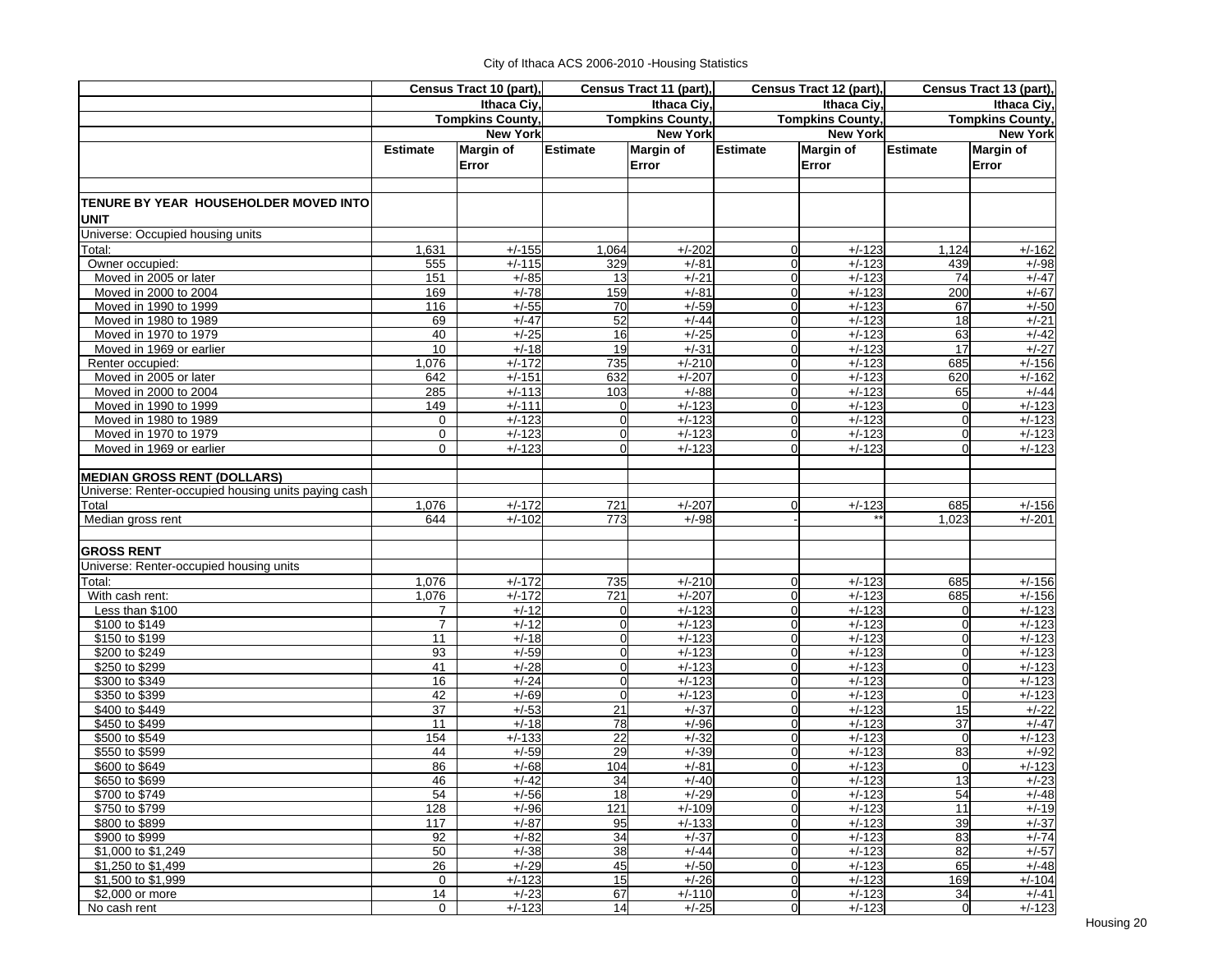|                                                      |                 | Census Tract 10 (part),   | Census Tract 11 (part), |                           | Census Tract 12 (part), |                           | Census Tract 13 (part), |                           |
|------------------------------------------------------|-----------------|---------------------------|-------------------------|---------------------------|-------------------------|---------------------------|-------------------------|---------------------------|
|                                                      |                 | Ithaca Civ.               |                         | Ithaca Ciy,               |                         | Ithaca Ciy,               | Ithaca Ciy,             |                           |
|                                                      |                 | <b>Tompkins County,</b>   |                         | <b>Tompkins County,</b>   |                         | <b>Tompkins County,</b>   | <b>Tompkins County,</b> |                           |
|                                                      |                 | <b>New York</b>           |                         | <b>New York</b>           |                         | <b>New York</b>           |                         | <b>New York</b>           |
|                                                      | <b>Estimate</b> | <b>Margin of</b><br>Error | <b>Estimate</b>         | <b>Margin of</b><br>Error | <b>Estimate</b>         | <b>Margin of</b><br>Error | <b>Estimate</b>         | <b>Margin of</b><br>Error |
| TENURE BY YEAR HOUSEHOLDER MOVED INTO<br><b>UNIT</b> |                 |                           |                         |                           |                         |                           |                         |                           |
| Universe: Occupied housing units                     |                 |                           |                         |                           |                         |                           |                         |                           |
| Total:                                               | 1,631           | $+/-155$                  | 1,064                   | $+/-202$                  | 0                       | $+/-123$                  | 1,124                   | $+/-162$                  |
| Owner occupied:                                      | 555             | $+/-115$                  | 329                     | $+/-81$                   | $\overline{0}$          | $+/-123$                  | 439                     | $+/-98$                   |
| Moved in 2005 or later                               | 151             | $+/-85$                   | 13                      | $+/-21$                   | $\mathbf 0$             | $+/-123$                  | 74                      | $+/-47$                   |
| Moved in 2000 to 2004                                | 169             | $+/-78$                   | 159                     | $+/-81$                   | $\overline{0}$          | $+/-123$                  | 200                     | $+/-67$                   |
| Moved in 1990 to 1999                                | 116             | $+/-55$                   | 70                      | $+/-59$                   | $\overline{0}$          | $+/-123$                  | 67                      | $+/-50$                   |
| Moved in 1980 to 1989                                | 69              | $+/-47$                   | 52                      | $+/-44$                   | 0                       | $+/-123$                  | 18                      | $+/-21$                   |
| Moved in 1970 to 1979                                | 40              | $+/-25$                   | 16                      | $+/-25$                   | 0                       | $+/-123$                  | 63                      | $+/-42$                   |
| Moved in 1969 or earlier                             | 10              | $+/-18$                   | 19                      | $+/-31$                   | $\overline{0}$          | $+/-123$                  | 17                      | $+/-27$                   |
| Renter occupied:                                     | 1,076           | $+/-172$                  | 735                     | $+/-210$                  | $\overline{0}$          | $+/-123$                  | 685                     | $+/-156$                  |
| Moved in 2005 or later                               | 642             | $+/-151$                  | 632                     | $+/-207$                  | $\overline{0}$          | $+/-123$                  | 620                     | $+/-162$                  |
| Moved in 2000 to 2004                                | 285             | $+/-113$                  | 103                     | $+/-88$                   | $\overline{0}$          | $+/-123$                  | 65                      | $+/-44$                   |
| Moved in 1990 to 1999                                | 149             | $+/-111$                  | $\mathbf 0$             | $+/-123$                  | 0                       | $+/-123$                  | $\Omega$                | $+/-123$                  |
| Moved in 1980 to 1989                                | 0               | $+/-123$                  | $\mathbf 0$             | $+/-123$                  | 0                       | $+/-123$                  | 0                       | $+/-123$                  |
| Moved in 1970 to 1979                                | 0<br>$\Omega$   | $+/-123$                  | $\mathbf 0$<br>$\Omega$ | $+/-123$                  | 0<br>0                  | $+/-123$                  | 0<br>$\Omega$           | $+/-123$                  |
| Moved in 1969 or earlier                             |                 | $+/-123$                  |                         | $+/-123$                  |                         | $+/-123$                  |                         | $+/-123$                  |
| <b>MEDIAN GROSS RENT (DOLLARS)</b>                   |                 |                           |                         |                           |                         |                           |                         |                           |
| Universe: Renter-occupied housing units paying cash  |                 |                           |                         |                           |                         |                           |                         |                           |
| Total                                                | 1,076           | $+/-172$                  | 721                     | $+/-207$                  | 0                       | $+/-123$                  | 685                     | $+/-156$                  |
| Median gross rent                                    | 644             | $+/-102$                  | 773                     | $+/-98$                   |                         |                           | 1.023                   | $+/-201$                  |
|                                                      |                 |                           |                         |                           |                         |                           |                         |                           |
| <b>GROSS RENT</b>                                    |                 |                           |                         |                           |                         |                           |                         |                           |
| Universe: Renter-occupied housing units              |                 |                           |                         |                           |                         |                           |                         |                           |
| Total:                                               | 1,076           | $+/-172$                  | 735                     | $+/-210$                  | $\overline{0}$          | $+/-123$                  | 685                     | $+/-156$                  |
| With cash rent:                                      | 1,076           | $+/-172$                  | 721                     | $+/-207$                  | 0                       | $+/-123$                  | 685                     | $+/-156$                  |
| Less than $$100$                                     | 7               | $+/-12$                   | $\overline{0}$          | $+/-123$                  | $\overline{0}$          | $+/-123$                  | $\Omega$                | $+/-123$                  |
| \$100 to \$149                                       | $\overline{7}$  | $+/-12$                   | $\overline{0}$          | $+/-123$                  | 0                       | $+/-123$                  | 0                       | $+/-123$                  |
| \$150 to \$199                                       | 11              | $+/-18$                   | $\overline{0}$          | $+/-123$                  | $\overline{0}$          | $+/-123$                  | 0                       | $+/-123$                  |
| \$200 to \$249                                       | 93              | $+/-59$                   | $\mathbf 0$             | $+/-123$                  | 0                       | $+/-123$                  | $\overline{0}$          | $+/-123$                  |
| \$250 to \$299                                       | 41              | $+/-28$                   | $\overline{0}$          | $+/-123$                  | $\overline{0}$          | $+/-123$                  | $\Omega$                | $+/-123$                  |
| \$300 to \$349                                       | 16              | $+/-24$                   | $\overline{0}$          | $+/-123$                  | $\overline{0}$          | $+/-123$                  | $\Omega$                | $+/-123$                  |
| \$350 to \$399                                       | 42              | $+/-69$                   | $\overline{0}$          | $+/-123$                  | 0                       | $+/-123$                  | $\Omega$                | $+/-123$                  |
| \$400 to \$449                                       | 37              | $+/-53$                   | 21                      | $+/-37$                   | 0                       | $+/-123$                  | 15                      | $+/-22$                   |
| \$450 to \$499                                       | 11              | $+/-18$                   | 78                      | $+/-96$                   | 0                       | $+/-123$                  | 37                      | $+/-47$                   |
| \$500 to \$549                                       | 154             | $+/-133$                  | 22                      | $+/-32$                   | $\overline{0}$          | $+/-123$                  | $\Omega$                | $+/-123$                  |
| \$550 to \$599                                       | 44              | $+/-59$                   | 29                      | $+/-39$                   | $\Omega$                | $+/-123$                  | 83                      | $+/-92$                   |
| \$600 to \$649                                       | 86              | $+/-68$                   | 104                     | $+/-81$                   | 0                       | $+/-123$                  | $\overline{0}$          | $+/-123$                  |
| \$650 to \$699                                       | 46              | $+/-42$                   | 34                      | $+/-40$                   |                         | $+/-123$                  | 13                      | $+/-23$                   |
| \$700 to \$749                                       | 54              | $+/-56$                   | 18                      | $+/-29$                   | $\Omega$                | $+/-123$                  | 54                      | $+/-48$                   |
| \$750 to \$799                                       | 128             | $+/-96$                   | 121                     | $+/-109$                  | 0                       | $+/-123$                  | 11                      | $+/-19$                   |
| \$800 to \$899                                       | 117             | $+/-87$                   | 95                      | $+/-133$                  | $\overline{0}$          | $+/-123$                  | 39                      | $+/-37$                   |
| \$900 to \$999                                       | 92              | $+/-82$                   | 34                      | $+/-37$                   | $\overline{0}$          | $+/-123$                  | 83                      | $+/-74$                   |
| \$1,000 to \$1,249                                   | 50              | $+/-38$                   | 38                      | $+/-44$                   | $\overline{0}$          | $+/-123$                  | 82                      | $+/-57$                   |
| \$1,250 to \$1,499                                   | 26              | $+/-29$                   | 45                      | $+/-50$                   | 0                       | $+/-123$                  | 65                      | $+/-48$                   |
| \$1,500 to \$1,999                                   | 0               | $+/-123$                  | 15                      | $+/-26$                   | $\mathbf 0$             | $+/-123$                  | 169                     | $+/-104$                  |
| \$2,000 or more                                      | 14              | $+/-23$                   | 67                      | $+/-110$                  | 0                       | $+/-123$                  | 34                      | $+/-41$                   |
| No cash rent                                         | $\overline{0}$  | $+/-123$                  | 14                      | $+/-25$                   | $\overline{0}$          | $+/-123$                  | $\overline{0}$          | $+/-123$                  |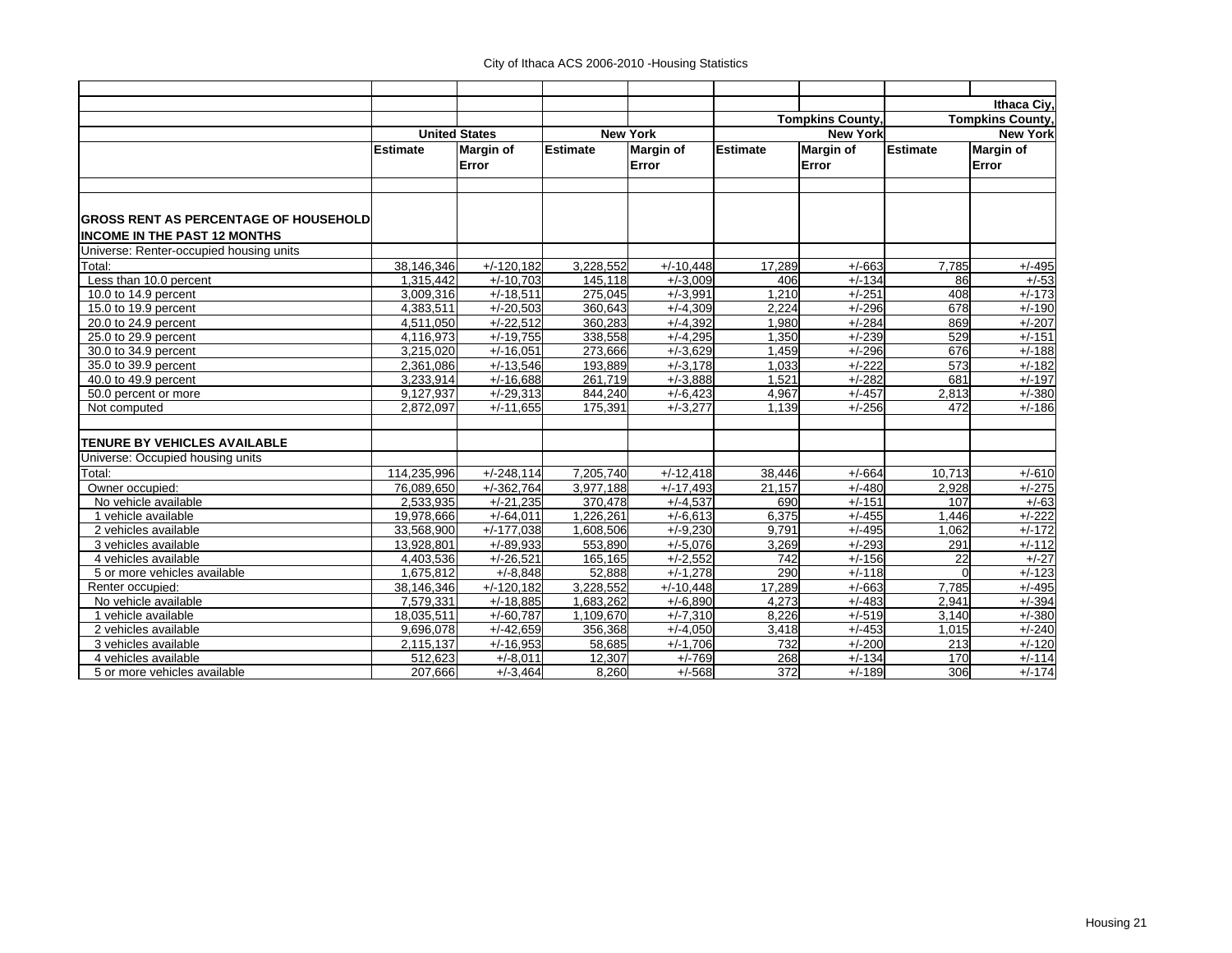|                                              |                 |                      |                 |                  |                 |                         |                 | Ithaca Civ.             |
|----------------------------------------------|-----------------|----------------------|-----------------|------------------|-----------------|-------------------------|-----------------|-------------------------|
|                                              |                 |                      |                 |                  |                 | <b>Tompkins County,</b> |                 | <b>Tompkins County,</b> |
|                                              |                 | <b>United States</b> |                 | <b>New York</b>  |                 | <b>New York</b>         |                 | <b>New York</b>         |
|                                              | <b>Estimate</b> | <b>Margin of</b>     | <b>Estimate</b> | <b>Margin of</b> | <b>Estimate</b> | <b>Margin of</b>        | <b>Estimate</b> | <b>Margin of</b>        |
|                                              |                 | Error                |                 | Error            |                 | Error                   |                 | Error                   |
|                                              |                 |                      |                 |                  |                 |                         |                 |                         |
| <b>GROSS RENT AS PERCENTAGE OF HOUSEHOLD</b> |                 |                      |                 |                  |                 |                         |                 |                         |
| <b>INCOME IN THE PAST 12 MONTHS</b>          |                 |                      |                 |                  |                 |                         |                 |                         |
| Universe: Renter-occupied housing units      |                 |                      |                 |                  |                 |                         |                 |                         |
| Total:                                       | 38,146,346      | $+/-120,182$         | 3,228,552       | $+/-10,448$      | 17,289          | $+/-663$                | 7,785           | $+/-495$                |
| Less than 10.0 percent                       | 1,315,442       | $+/-10.703$          | 145.118         | $+/-3.009$       | 406             | $+/-134$                | 86              | $+/-53$                 |
| 10.0 to 14.9 percent                         | 3,009,316       | $+/-18,511$          | 275,045         | $+/-3,991$       | 1,210           | $+/-251$                | 408             | $+/-173$                |
| 15.0 to 19.9 percent                         | 4,383,511       | $+/-20,503$          | 360,643         | $+/-4,309$       | 2,224           | $+/-296$                | 678             | $+/-190$                |
| 20.0 to 24.9 percent                         | 4,511,050       | $+/-22,512$          | 360,283         | $+/-4,392$       | 1.980           | $+/-284$                | 869             | $+/-207$                |
| 25.0 to 29.9 percent                         | 4,116,973       | $+/-19.755$          | 338,558         | $+/-4,295$       | 1,350           | $+/-239$                | 529             | $+/-151$                |
| 30.0 to 34.9 percent                         | 3.215.020       | $+/-16,051$          | 273,666         | $+/-3.629$       | 1,459           | $+/-296$                | 676             | $+/-188$                |
| 35.0 to 39.9 percent                         | 2.361.086       | $+/-13.546$          | 193,889         | $+/-3.178$       | 1.033           | $+/-222$                | 573             | $+/-182$                |
| 40.0 to 49.9 percent                         | 3,233,914       | $+/-16,688$          | 261,719         | $+/-3,888$       | 1,521           | $+/-282$                | 681             | $+/-197$                |
| 50.0 percent or more                         | 9.127.937       | $+/-29.313$          | 844.240         | $+/-6.423$       | 4.967           | $+/-457$                | 2.813           | $+/-380$                |
| Not computed                                 | 2.872.097       | $+/-11.655$          | 175.391         | $+/-3.277$       | 1.139           | $+/-256$                | 472             | $+/-186$                |
| <b>TENURE BY VEHICLES AVAILABLE</b>          |                 |                      |                 |                  |                 |                         |                 |                         |
| Universe: Occupied housing units             |                 |                      |                 |                  |                 |                         |                 |                         |
| Total:                                       | 114,235,996     | $+/-248,114$         | 7,205,740       | $+/-12,418$      | 38,446          | $+/-664$                | 10,713          | $+/-610$                |
| Owner occupied:                              | 76.089.650      | $+/-362.764$         | 3.977.188       | $+/-17,493$      | 21.157          | $+/-480$                | 2.928           | $+/-275$                |
| No vehicle available                         | 2,533,935       | $+/-21,235$          | 370,478         | $+/-4,537$       | 690             | $+/-151$                | 107             | $+/-63$                 |
| 1 vehicle available                          | 19,978,666      | $+/-64,011$          | 1,226,261       | $+/-6.613$       | 6,375           | $+/-455$                | 1.446           | $+/-222$                |
| 2 vehicles available                         | 33,568,900      | $+/-177.038$         | 1,608,506       | $+/-9,230$       | 9,791           | $+/-495$                | 1.062           | $+/-172$                |
| 3 vehicles available                         | 13.928.801      | $+/-89.933$          | 553,890         | $+/-5,076$       | 3,269           | $+/-293$                | 291             | $+/-112$                |
| 4 vehicles available                         | 4,403,536       | $+/-26.521$          | 165,165         | $+/-2,552$       | 742             | $+/-156$                | 22              | $+/-27$                 |
| 5 or more vehicles available                 | 1,675,812       | $+/-8.848$           | 52,888          | $+/-1,278$       | 290             | $+/-118$                | $\Omega$        | $+/-123$                |
| Renter occupied:                             | 38,146,346      | $+/-120,182$         | 3,228,552       | $+/-10,448$      | 17,289          | $+/-663$                | 7,785           | $+/-495$                |
| No vehicle available                         | 7,579,331       | $+/-18,885$          | 1,683,262       | $+/-6,890$       | 4,273           | $+/-483$                | 2,941           | $+/-394$                |
| 1 vehicle available                          | 18,035,511      | $+/-60.787$          | 1,109,670       | $+/-7,310$       | 8,226           | $+/-519$                | 3,140           | $+/-380$                |
| 2 vehicles available                         | 9,696,078       | $+/-42,659$          | 356,368         | $+/-4,050$       | 3,418           | $+/-453$                | 1,015           | $+/-240$                |
| 3 vehicles available                         | 2,115,137       | $+/-16,953$          | 58,685          | $+/-1,706$       | 732             | $+/-200$                | 213             | $+/-120$                |
| 4 vehicles available                         | 512,623         | $+/-8,011$           | 12,307          | $+/-769$         | 268             | $+/-134$                | 170             | $+/-114$                |
| 5 or more vehicles available                 | 207,666         | $+/-3,464$           | 8,260           | $+/-568$         | 372             | $+/-189$                | 306             | $+/-174$                |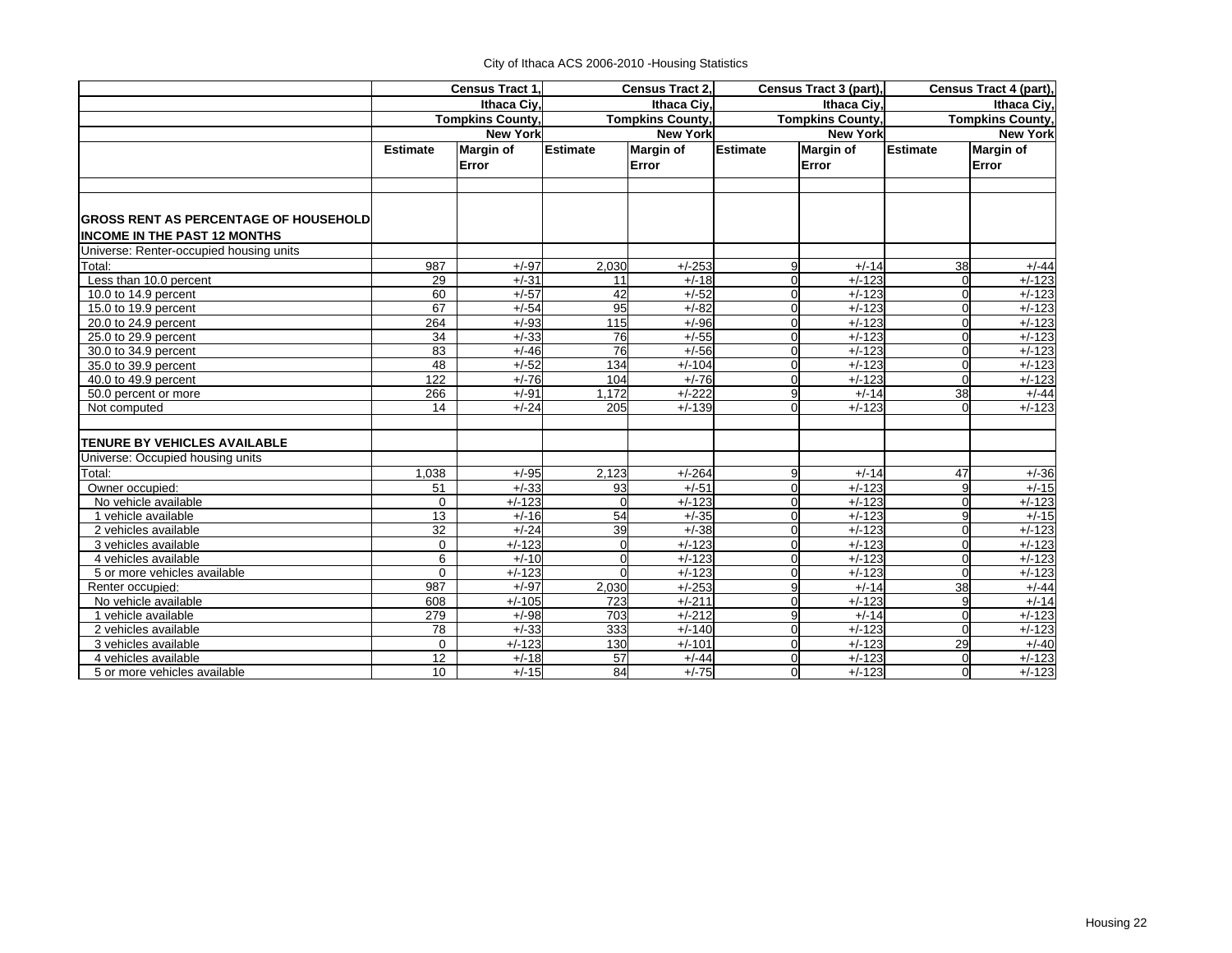|                                                                                |                 | <b>Census Tract 1.</b> |                  | <b>Census Tract 2.</b>  |                 | Census Tract 3 (part), |                 | Census Tract 4 (part), |  |
|--------------------------------------------------------------------------------|-----------------|------------------------|------------------|-------------------------|-----------------|------------------------|-----------------|------------------------|--|
|                                                                                |                 | Ithaca Civ.            |                  | Ithaca Civ.             |                 | Ithaca Civ.            | Ithaca Civ.     |                        |  |
|                                                                                |                 | Tompkins County,       |                  | <b>Tompkins County,</b> |                 | Tompkins County,       |                 | Tompkins County,       |  |
|                                                                                |                 | <b>New York</b>        |                  | <b>New York</b>         |                 | <b>New York</b>        |                 | <b>New York</b>        |  |
|                                                                                | <b>Estimate</b> | <b>Margin of</b>       | <b>Estimate</b>  | <b>Margin of</b>        | <b>Estimate</b> | <b>Margin of</b>       | <b>Estimate</b> | <b>Margin of</b>       |  |
|                                                                                |                 | Error                  |                  | Error                   |                 | Error                  |                 | Error                  |  |
| <b>GROSS RENT AS PERCENTAGE OF HOUSEHOLD</b>                                   |                 |                        |                  |                         |                 |                        |                 |                        |  |
| <b>INCOME IN THE PAST 12 MONTHS</b><br>Universe: Renter-occupied housing units |                 |                        |                  |                         |                 |                        |                 |                        |  |
| Total:                                                                         | 987             | $+/-97$                | 2,030            | $+/-253$                | 9               | $+/-14$                | 38              | $+/-44$                |  |
| Less than 10.0 percent                                                         | 29              | $+/-31$                | 11               | $+/-18$                 | 0               | $+/-123$               |                 | $+/-123$               |  |
| 10.0 to 14.9 percent                                                           | 60              | $+/-57$                | 42               | $+/-52$                 | 0               | $+/-123$               | $\Omega$        | $+/-123$               |  |
| 15.0 to 19.9 percent                                                           | 67              | $+/-54$                | 95               | $+/-82$                 | U               | $+/-123$               | $\Omega$        | $+/-123$               |  |
| 20.0 to 24.9 percent                                                           | 264             | $+/-93$                | 115              | $+/-96$                 | U               | $+/-123$               | $\Omega$        | $+/-123$               |  |
| 25.0 to 29.9 percent                                                           | 34              | $+/-33$                | 76               | $+/-55$                 | 0               | $+/-123$               | ∩               | $+/-123$               |  |
| 30.0 to 34.9 percent                                                           | 83              | $+/-46$                | 76               | $+/-56$                 | U               | $+/-123$               | $\Omega$        | $+/-123$               |  |
| 35.0 to 39.9 percent                                                           | 48              | $+/-52$                | 134              | $+/-104$                | U               | $+/-123$               | $\Omega$        | $+/-123$               |  |
| 40.0 to 49.9 percent                                                           | 122             | $+/-76$                | 104              | $+/-76$                 | 0               | $+/-123$               | $\Omega$        | $+/-123$               |  |
| 50.0 percent or more                                                           | 266             | $+/-91$                | 1.172            | $+/-222$                | 9               | $+/-14$                | 38              | $+/-44$                |  |
| Not computed                                                                   | 14              | $+/-24$                | 205              | $+/-139$                | U               | $+/-123$               |                 | $+/-123$               |  |
| <b>TENURE BY VEHICLES AVAILABLE</b>                                            |                 |                        |                  |                         |                 |                        |                 |                        |  |
| Universe: Occupied housing units                                               |                 |                        |                  |                         |                 |                        |                 |                        |  |
| Total:                                                                         | 1,038           | $+/-95$                | 2,123            | $+/-264$                | 9               | $+/-14$                | 47              | $+/-36$                |  |
| Owner occupied:                                                                | 51              | $+/-33$                | 93               | $+/-51$                 | 0               | $+/-123$               | $\mathbf{Q}$    | $+/-15$                |  |
| No vehicle available                                                           | $\mathbf 0$     | $+/-123$               | $\Omega$         | $+/-123$                | $\Omega$        | $+/-123$               | $\Omega$        | $+/-123$               |  |
| 1 vehicle available                                                            | 13              | $+/-16$                | 54               | $+/-35$                 | ი               | $+/-123$               | $\mathbf{Q}$    | $+/-15$                |  |
| 2 vehicles available                                                           | 32              | $+/-24$                | 39               | $+/-38$                 | n               | $+/-123$               |                 | $+/-123$               |  |
| 3 vehicles available                                                           | $\mathbf 0$     | $+/-123$               | $\mathbf 0$      | $+/-123$                | $\Omega$        | $+/-123$               | $\Omega$        | $+/-123$               |  |
| 4 vehicles available                                                           | 6               | $+/-10$                | $\Omega$         | $+/-123$                | $\Omega$        | $+/-123$               | $\Omega$        | $+/-123$               |  |
| 5 or more vehicles available                                                   | $\Omega$        | $+/-123$               | $\Omega$         | $+/-123$                | 0               | $+/-123$               | $\Omega$        | $+/-123$               |  |
| Renter occupied:                                                               | 987             | $+/-97$                | 2,030            | $+/-253$                | 9               | $+/-14$                | 38              | $+/-44$                |  |
| No vehicle available                                                           | 608             | $+/-105$               | $\overline{723}$ | $+/-211$                | $\Omega$        | $+/-123$               | 9               | $+/-14$                |  |
| 1 vehicle available                                                            | 279             | $+/-98$                | 703              | $+/-212$                | 9               | $+/-14$                | $\Omega$        | $+/-123$               |  |
| 2 vehicles available                                                           | 78              | $+/-33$                | 333              | $+/-140$                | $\Omega$        | $+/-123$               | $\Omega$        | $+/-123$               |  |
| 3 vehicles available                                                           | $\mathbf 0$     | $+/-123$               | 130              | $+/-101$                | 0               | $+/-123$               | 29              | $+/-40$                |  |
| 4 vehicles available                                                           | 12              | $+/-18$                | 57               | $+/-44$                 | $\Omega$        | $+/-123$               | $\Omega$        | $+/-123$               |  |
| 5 or more vehicles available                                                   | 10              | $+/-15$                | 84               | $+/-75$                 | 0               | $+/-123$               | $\Omega$        | $+/-123$               |  |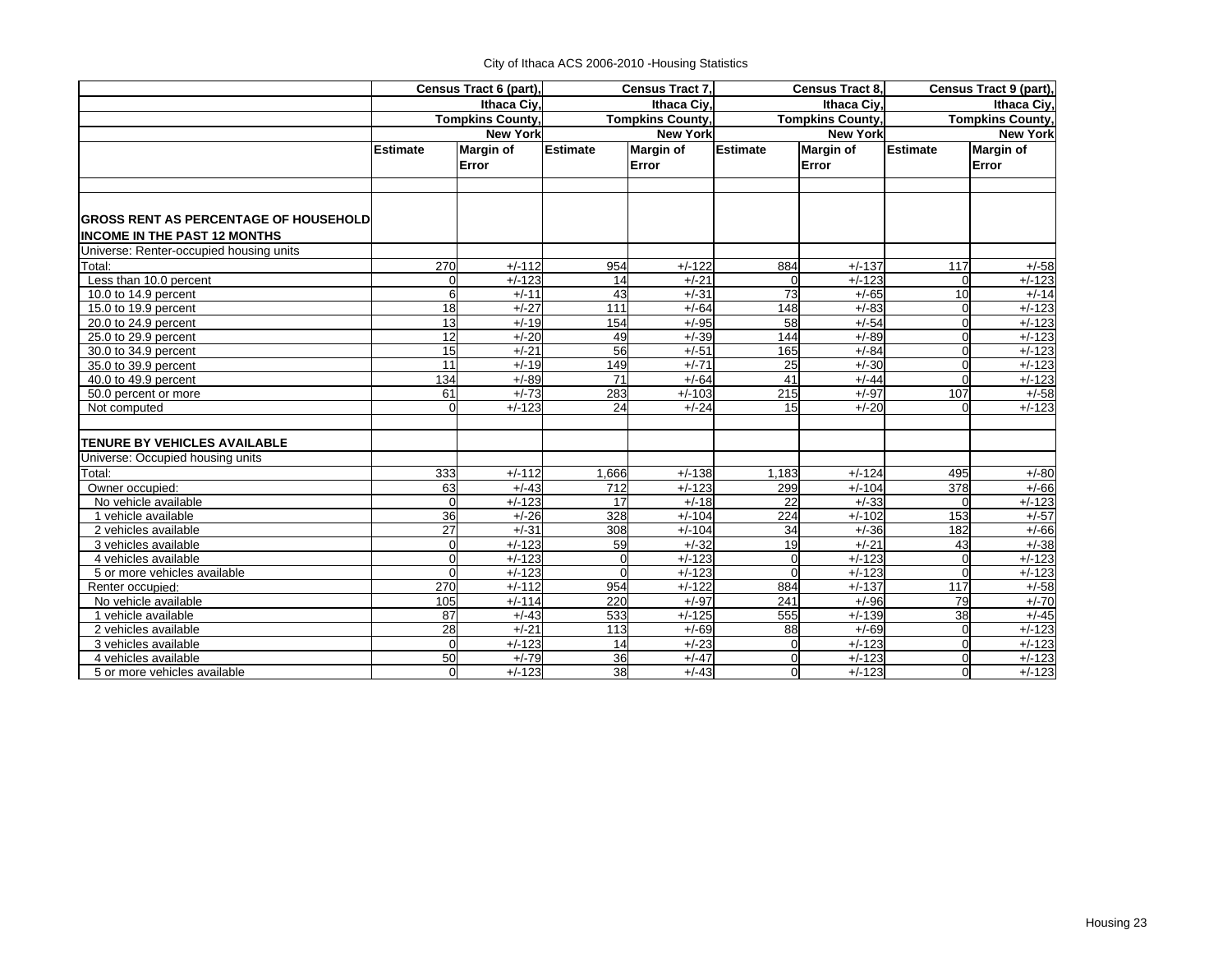|                                              |                 | Census Tract 6 (part),  |                  | <b>Census Tract 7.</b>  |                 | <b>Census Tract 8.</b>  | Census Tract 9 (part), |                         |
|----------------------------------------------|-----------------|-------------------------|------------------|-------------------------|-----------------|-------------------------|------------------------|-------------------------|
|                                              |                 | Ithaca Civ.             |                  | Ithaca Civ.             |                 | Ithaca Ciy,             | Ithaca Civ.            |                         |
|                                              |                 | <b>Tompkins County,</b> |                  | <b>Tompkins County,</b> |                 | <b>Tompkins County,</b> |                        | <b>Tompkins County,</b> |
|                                              |                 | <b>New York</b>         |                  | <b>New York</b>         |                 | <b>New York</b>         | <b>New York</b>        |                         |
|                                              | <b>Estimate</b> | <b>Margin of</b>        | <b>Estimate</b>  | <b>Margin of</b>        | <b>Estimate</b> | <b>Margin of</b>        | <b>Estimate</b>        | <b>Margin of</b>        |
|                                              |                 | Error                   |                  | Error                   |                 | Error                   |                        | Error                   |
|                                              |                 |                         |                  |                         |                 |                         |                        |                         |
|                                              |                 |                         |                  |                         |                 |                         |                        |                         |
|                                              |                 |                         |                  |                         |                 |                         |                        |                         |
| <b>GROSS RENT AS PERCENTAGE OF HOUSEHOLD</b> |                 |                         |                  |                         |                 |                         |                        |                         |
| <b>INCOME IN THE PAST 12 MONTHS</b>          |                 |                         |                  |                         |                 |                         |                        |                         |
| Universe: Renter-occupied housing units      |                 |                         |                  |                         |                 |                         |                        |                         |
| Total:                                       | 270             | $+/-112$                | 954              | $+/-122$                | 884             | $+/-137$                | 117                    | $+/-58$                 |
| Less than 10.0 percent                       | $\Omega$        | $+/-123$                | 14               | $+/-21$                 | $\mathbf 0$     | $+/-123$                | O                      | $+/-123$                |
| 10.0 to 14.9 percent                         | 6               | $+/-11$                 | 43               | $+/-31$                 | $\overline{73}$ | $+/-65$                 | $\overline{10}$        | $+/-14$                 |
| 15.0 to 19.9 percent                         | 18              | $+/-27$                 | 111              | $+/-64$                 | 148             | $+/-83$                 | $\Omega$               | $+/-123$                |
| 20.0 to 24.9 percent                         | 13              | $+/-19$                 | 154              | $+/-95$                 | 58              | $+/-54$                 | $\Omega$               | $+/-123$                |
| 25.0 to 29.9 percent                         | 12              | $+/-20$                 | 49               | $+/-39$                 | 144             | $+/-89$                 | $\Omega$               | $+/-123$                |
| 30.0 to 34.9 percent                         | $\overline{15}$ | $+/-21$                 | 56               | $+/-51$                 | 165             | $+/-84$                 | $\Omega$               | $+/-123$                |
| 35.0 to 39.9 percent                         | 11              | $+/-19$                 | 149              | $+/-71$                 | 25              | $+/-30$                 | $\Omega$               | $+/-123$                |
| 40.0 to 49.9 percent                         | 134             | $+/-89$                 | 71               | $+/-64$                 | 41              | $+/-44$                 | $\Omega$               | $\frac{1}{1}$ +/-123    |
| 50.0 percent or more                         | 61              | $+/-73$                 | 283              | $+/-103$                | 215             | $+/-97$                 | 107                    | $+/-58$                 |
| Not computed                                 | $\Omega$        | $+/-123$                | 24               | $+/-24$                 | 15              | $+/-20$                 |                        | $+/-123$                |
| <b>TENURE BY VEHICLES AVAILABLE</b>          |                 |                         |                  |                         |                 |                         |                        |                         |
| Universe: Occupied housing units             |                 |                         |                  |                         |                 |                         |                        |                         |
| Total:                                       | 333             | $+/-112$                | 1,666            | $+/-138$                | 1,183           | $+/-124$                | 495                    | $+/-80$                 |
| Owner occupied:                              | 63              | $+/-43$                 | 712              | $+/-123$                | 299             | $+/-104$                | 378                    | $+/-66$                 |
| No vehicle available                         | $\Omega$        | $+/-123$                | 17               | $+/-18$                 | 22              | $+/-33$                 |                        | $+/-123$                |
| 1 vehicle available                          | 36              | $+/-26$                 | 328              | $+/-104$                | 224             | $+/-102$                | 153                    | $+/-57$                 |
| 2 vehicles available                         | 27              | $+/-31$                 | $\overline{308}$ | $+/-104$                | 34              | $+/-36$                 | 182                    | $+/-66$                 |
| 3 vehicles available                         | $\mathbf 0$     | $+/-123$                | 59               | $+/-32$                 | 19              | $+/-21$                 | 43                     | $+/-38$                 |
| 4 vehicles available                         | $\mathbf{0}$    | $+/-123$                | 0                | $+/-123$                | $\overline{0}$  | $+/-123$                |                        | $+/-123$                |
| 5 or more vehicles available                 | $\Omega$        | $+/-123$                | O                | $+/-123$                | $\Omega$        | $+/-123$                | $\Omega$               | $+/-123$                |
| Renter occupied:                             | 270             | $+/-112$                | 954              | $+/-122$                | 884             | $+/-137$                | 117                    | $+/-58$                 |
| No vehicle available                         | 105             | $+/-114$                | 220              | $+/-97$                 | 241             | $+/-96$                 | 79                     | $+/-70$                 |
| 1 vehicle available                          | 87              | $+/-43$                 | 533              | $+/-125$                | 555             | $+/-139$                | $\overline{38}$        | $+/-45$                 |
| 2 vehicles available                         | 28              | $+/-21$                 | 113              | $+/-69$                 | 88              | $+/-69$                 |                        | $+/-123$                |
| 3 vehicles available                         | $\Omega$        | $+/-123$                | 14               | $+/-23$                 | $\mathbf 0$     | $+/-123$                | $\Omega$               | $+/-123$                |
| 4 vehicles available                         | 50              | $+/-79$                 | 36               | $+/-47$                 | $\overline{0}$  | $+/-123$                | $\Omega$               | $+/-123$                |
| 5 or more vehicles available                 | $\Omega$        | $+/-123$                | 38               | $+/-43$                 | $\mathbf 0$     | $+/-123$                | $\Omega$               | $+/-123$                |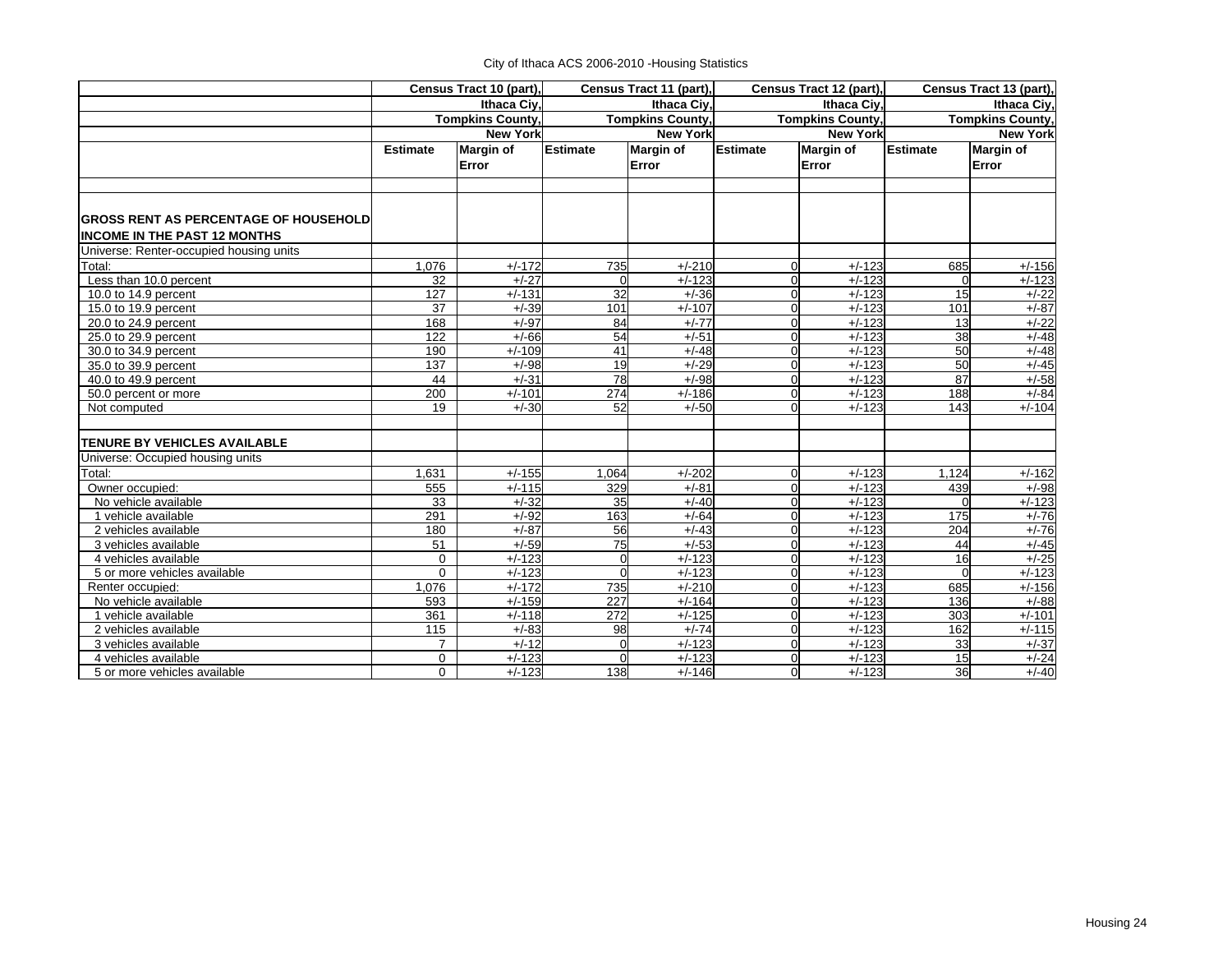|                                              |                 | Census Tract 10 (part), |                  | Census Tract 11 (part), |                 | Census Tract 12 (part), |                 | Census Tract 13 (part), |  |
|----------------------------------------------|-----------------|-------------------------|------------------|-------------------------|-----------------|-------------------------|-----------------|-------------------------|--|
|                                              |                 | Ithaca Civ.             |                  | Ithaca Civ.             |                 | Ithaca Civ.             | Ithaca Civ.     |                         |  |
|                                              |                 | Tompkins County,        |                  | <b>Tompkins County,</b> |                 | Tompkins County,        |                 | Tompkins County,        |  |
|                                              |                 | <b>New York</b>         |                  | <b>New York</b>         |                 | <b>New York</b>         |                 | <b>New York</b>         |  |
|                                              | <b>Estimate</b> | <b>Margin of</b>        | <b>Estimate</b>  | <b>Margin of</b>        | <b>Estimate</b> | <b>Margin of</b>        | <b>Estimate</b> | <b>Margin of</b>        |  |
|                                              |                 | Error                   |                  | Error                   |                 | Error                   |                 | Error                   |  |
| <b>GROSS RENT AS PERCENTAGE OF HOUSEHOLD</b> |                 |                         |                  |                         |                 |                         |                 |                         |  |
| <b>INCOME IN THE PAST 12 MONTHS</b>          |                 |                         |                  |                         |                 |                         |                 |                         |  |
| Universe: Renter-occupied housing units      |                 |                         |                  |                         |                 |                         |                 |                         |  |
| Total:                                       | 1,076           | $+/-172$                | 735              | $+/-210$                | U               | $+/-123$                | 685             | $+/-156$                |  |
| Less than 10.0 percent                       | 32              | $+/-27$                 | $\Omega$         | $+/-123$                | 0               | $+/-123$                |                 | $+/-123$                |  |
| 10.0 to 14.9 percent                         | 127             | $+/-131$                | $\overline{32}$  | $+/-36$                 | 0               | $+/-123$                | 15              | $+/-22$                 |  |
| 15.0 to 19.9 percent                         | 37              | $+/-39$                 | 101              | $+/-107$                | U               | $+/-123$                | 101             | $+/-87$                 |  |
| 20.0 to 24.9 percent                         | 168             | $+/-97$                 | 84               | $+/-77$                 | n               | $+/-123$                | 13              | $+/-22$                 |  |
| 25.0 to 29.9 percent                         | 122             | $+/-66$                 | 54               | $+/-51$                 | 0               | $+/-123$                | 38              | $+/-48$                 |  |
| 30.0 to 34.9 percent                         | 190             | $+/-109$                | 41               | $+/-48$                 | U               | $+/-123$                | 50              | $+/-48$                 |  |
| 35.0 to 39.9 percent                         | 137             | $+/-98$                 | 19               | $+/-29$                 | U               | $+/-123$                | 50              | $+/-45$                 |  |
| 40.0 to 49.9 percent                         | 44              | $+/-31$                 | 78               | $+/-98$                 | 0               | $+/-123$                | 87              | $+/-58$                 |  |
| 50.0 percent or more                         | 200             | $+/-101$                | $\overline{274}$ | $+/-186$                | 0               | $+/-123$                | 188             | $+/-84$                 |  |
| Not computed                                 | 19              | $+/-30$                 | 52               | $+/-50$                 | U               | $+/-123$                | 143             | $+/-104$                |  |
| <b>TENURE BY VEHICLES AVAILABLE</b>          |                 |                         |                  |                         |                 |                         |                 |                         |  |
| Universe: Occupied housing units             |                 |                         |                  |                         |                 |                         |                 |                         |  |
| Total:                                       | 1,631           | $+/-155$                | 1,064            | $+/-202$                | U               | $+/-123$                | 1.124           | $+/-162$                |  |
| Owner occupied:                              | 555             | $+/-115$                | 329              | $+/-81$                 | 0               | $+/-123$                | 439             | $+/-98$                 |  |
| No vehicle available                         | 33              | $+/-32$                 | 35               | $+/-40$                 | $\Omega$        | $+/-123$                |                 | $+/-123$                |  |
| 1 vehicle available                          | 291             | $+/-92$                 | 163              | $+/-64$                 | ი               | $+/-123$                | 175             | $+/-76$                 |  |
| 2 vehicles available                         | 180             | $+/-87$                 | 56               | $+/-43$                 | n               | $+/-123$                | 204             | $+/-76$                 |  |
| 3 vehicles available                         | 51              | $+/-59$                 | 75               | $+/-53$                 | $\Omega$        | $+/-123$                | 44              | $+/-45$                 |  |
| 4 vehicles available                         | $\mathbf 0$     | $+/-123$                | $\Omega$         | $+/-123$                | $\Omega$        | $+/-123$                | 16              | $+/-25$                 |  |
| 5 or more vehicles available                 | $\Omega$        | $+/-123$                | $\Omega$         | $+/-123$                | 0               | $+/-123$                | $\Omega$        | $+/-123$                |  |
| Renter occupied:                             | 1,076           | $+/-172$                | 735              | $+/-210$                | U               | $+/-123$                | 685             | $+/-156$                |  |
| No vehicle available                         | 593             | $+/-159$                | $\overline{227}$ | $+/-164$                | $\Omega$        | $+/-123$                | 136             | $+/-88$                 |  |
| 1 vehicle available                          | 361             | $+/-118$                | 272              | $+/-125$                | 0               | $+/-123$                | 303             | $+/-101$                |  |
| 2 vehicles available                         | 115             | $+/-83$                 | 98               | $+/-74$                 | 0               | $+/-123$                | 162             | $+/-115$                |  |
| 3 vehicles available                         | $\overline{7}$  | $+/-12$                 | $\mathbf 0$      | $+/-123$                | 0               | $+/-123$                | 33              | $+/-37$                 |  |
| 4 vehicles available                         | $\Omega$        | $+/-123$                | $\Omega$         | $+/-123$                | $\Omega$        | $+/-123$                | 15              | $+/-24$                 |  |
| 5 or more vehicles available                 | $\Omega$        | $+/-123$                | 138              | $+/-146$                | 0               | $+/-123$                | 36              | $+/-40$                 |  |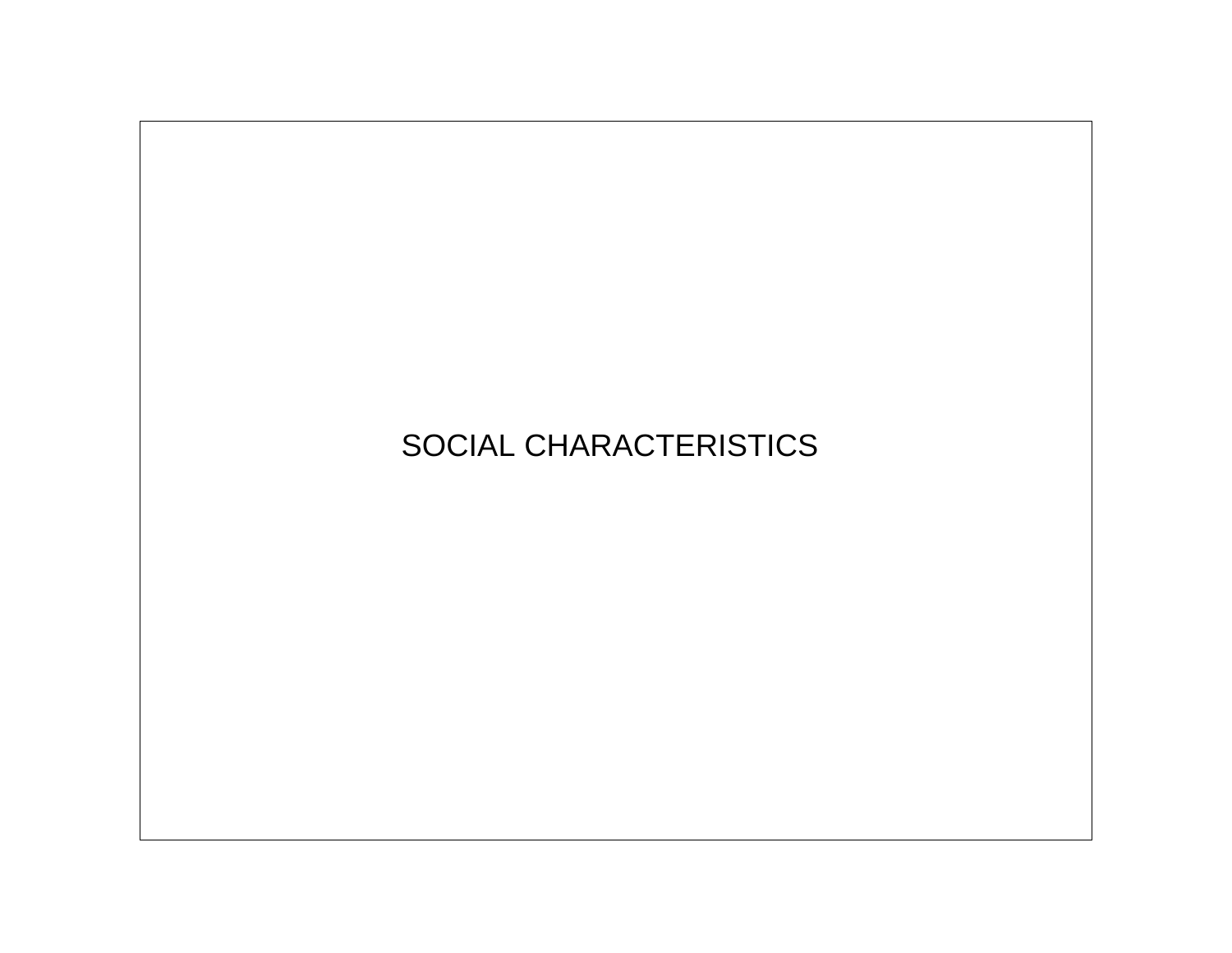## SOCIAL CHARACTERISTICS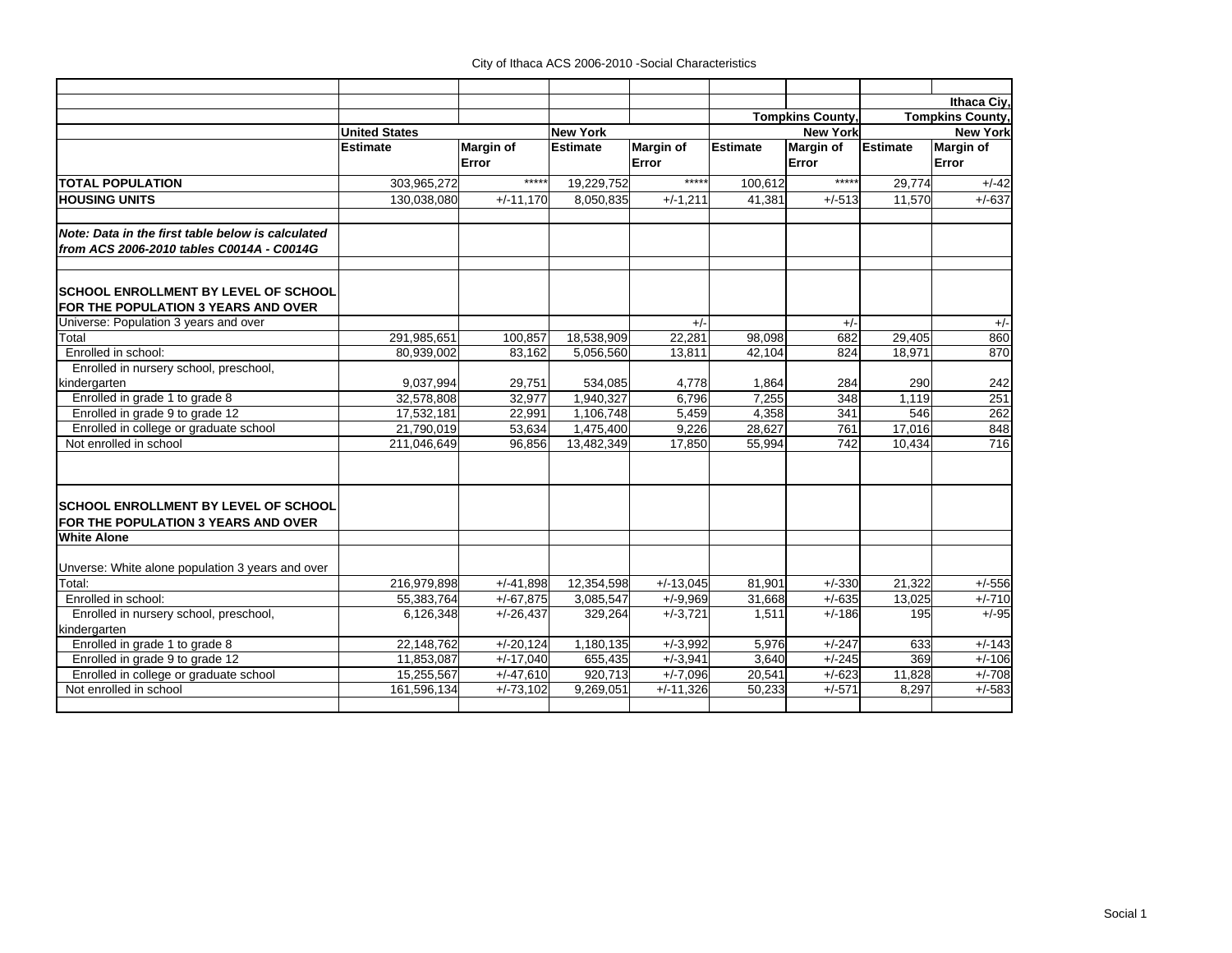|                                                                                    |                      |                  |                 |                  |                 |                         |          | Ithaca Civ.             |
|------------------------------------------------------------------------------------|----------------------|------------------|-----------------|------------------|-----------------|-------------------------|----------|-------------------------|
|                                                                                    |                      |                  |                 |                  |                 | <b>Tompkins County,</b> |          | <b>Tompkins County,</b> |
|                                                                                    | <b>United States</b> |                  | <b>New York</b> |                  |                 | <b>New York</b>         |          | <b>New York</b>         |
|                                                                                    | <b>Estimate</b>      | <b>Margin of</b> | <b>Estimate</b> | <b>Margin of</b> | <b>Estimate</b> | <b>Margin of</b>        | Estimate | <b>Margin of</b>        |
|                                                                                    |                      | Error            |                 | Error            |                 | Error                   |          | Error                   |
| <b>TOTAL POPULATION</b>                                                            | 303,965,272          | *****            | 19,229,752      | *****            | 100,612         | *****                   | 29,774   | $+/-42$                 |
| <b>HOUSING UNITS</b>                                                               | 130.038.080          | $+/-11.170$      | 8,050,835       | $+/-1,211$       | 41.381          | $+/-513$                | 11.570   | $+/-637$                |
| Note: Data in the first table below is calculated                                  |                      |                  |                 |                  |                 |                         |          |                         |
| from ACS 2006-2010 tables C0014A - C0014G                                          |                      |                  |                 |                  |                 |                         |          |                         |
| <b>SCHOOL ENROLLMENT BY LEVEL OF SCHOOL</b>                                        |                      |                  |                 |                  |                 |                         |          |                         |
| FOR THE POPULATION 3 YEARS AND OVER                                                |                      |                  |                 |                  |                 |                         |          |                         |
| Universe: Population 3 years and over                                              |                      |                  |                 | $+/-$            |                 | $+/-$                   |          | $+/-$                   |
| Total                                                                              | 291,985,651          | 100,857          | 18,538,909      | 22,281           | 98,098          | 682                     | 29,405   | 860                     |
| Enrolled in school:                                                                | 80.939.002           | 83.162           | 5,056,560       | 13,811           | 42.104          | 824                     | 18,971   | 870                     |
| Enrolled in nursery school, preschool,                                             |                      |                  |                 |                  |                 |                         |          |                         |
| kindergarten                                                                       | 9,037,994            | 29,751           | 534.085         | 4.778            | 1.864           | 284                     | 290      | 242                     |
| Enrolled in grade 1 to grade 8                                                     | 32,578,808           | 32,977           | 1.940.327       | 6,796            | 7,255           | 348                     | 1,119    | 251                     |
| Enrolled in grade 9 to grade 12                                                    | 17.532.181           | 22.991           | 1.106.748       | 5,459            | 4,358           | 341                     | 546      | 262                     |
| Enrolled in college or graduate school                                             | 21,790,019           | 53,634           | 1,475,400       | 9,226            | 28,627          | 761                     | 17,016   | 848                     |
| Not enrolled in school                                                             | 211,046,649          | 96,856           | 13,482,349      | 17,850           | 55,994          | $\overline{742}$        | 10,434   | 716                     |
| <b>SCHOOL ENROLLMENT BY LEVEL OF SCHOOL</b><br>FOR THE POPULATION 3 YEARS AND OVER |                      |                  |                 |                  |                 |                         |          |                         |
| <b>White Alone</b>                                                                 |                      |                  |                 |                  |                 |                         |          |                         |
|                                                                                    |                      |                  |                 |                  |                 |                         |          |                         |
| Unverse: White alone population 3 years and over                                   |                      |                  |                 |                  |                 |                         |          |                         |
| Total:                                                                             | 216,979,898          | $+/-41.898$      | 12,354,598      | $+/-13,045$      | 81.901          | $+/-330$                | 21.322   | $+/-556$                |
| Enrolled in school:                                                                | 55,383,764           | $+/-67,875$      | 3,085,547       | $+/-9,969$       | 31,668          | $+/-635$                | 13,025   | $+/-710$                |
| Enrolled in nursery school, preschool,                                             | 6,126,348            | $+/-26,437$      | 329,264         | $+/-3.721$       | 1,511           | $+/-186$                | 195      | $+/-95$                 |
| kindergarten                                                                       |                      |                  |                 |                  |                 |                         |          |                         |
| Enrolled in grade 1 to grade 8                                                     | 22,148,762           | $+/-20,124$      | 1,180,135       | $+/-3,992$       | 5,976           | $+/-247$                | 633      | $+/-143$                |
| Enrolled in grade 9 to grade 12                                                    | 11.853.087           | $+/-17,040$      | 655,435         | $+/-3,941$       | 3,640           | $+/-245$                | 369      | $+/-106$                |
| Enrolled in college or graduate school                                             | 15,255,567           | $+/-47,610$      | 920,713         | $+/-7,096$       | 20,541          | $+/-623$                | 11.828   | $+/-708$                |
| Not enrolled in school                                                             | 161,596,134          | $+/-73,102$      | 9,269,051       | $+/-11,326$      | 50,233          | $+/-571$                | 8.297    | $+/-583$                |
|                                                                                    |                      |                  |                 |                  |                 |                         |          |                         |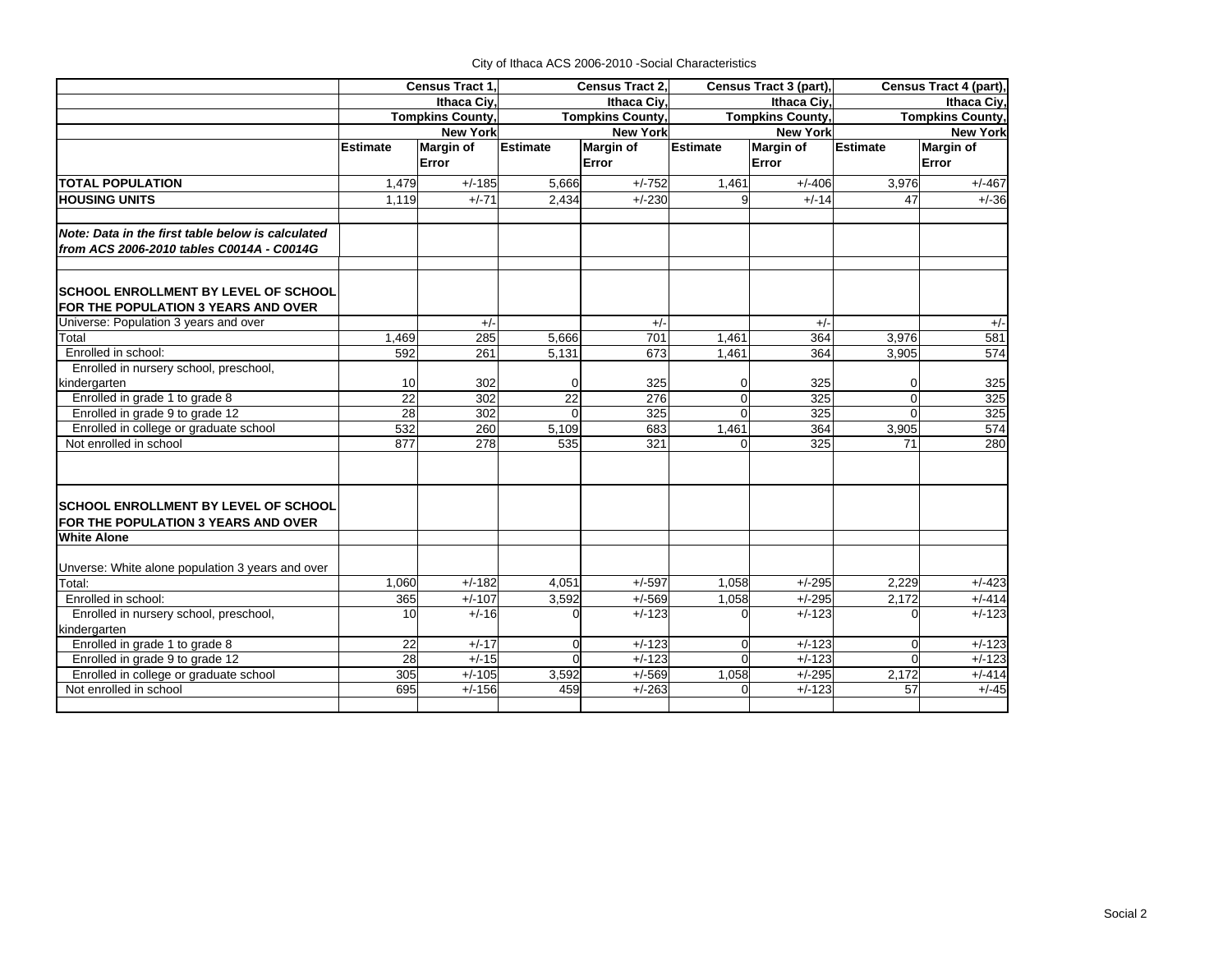|                                                                                    |                 | Census Tract 1.         | Census Tract 2, |                         |                 | Census Tract 3 (part),  | Census Tract 4 (part), |                         |  |
|------------------------------------------------------------------------------------|-----------------|-------------------------|-----------------|-------------------------|-----------------|-------------------------|------------------------|-------------------------|--|
|                                                                                    |                 | <b>Ithaca Civ</b>       |                 | <b>Ithaca Civ</b>       |                 | Ithaca Civ.             |                        | <b>Ithaca Civ</b>       |  |
|                                                                                    |                 | <b>Tompkins County.</b> |                 | <b>Tompkins County,</b> |                 | <b>Tompkins County,</b> |                        | <b>Tompkins County,</b> |  |
|                                                                                    |                 | <b>New York</b>         |                 | <b>New York</b>         | <b>New York</b> |                         | <b>New York</b>        |                         |  |
|                                                                                    | <b>Estimate</b> | <b>Margin of</b>        | <b>Estimate</b> | Margin of               | <b>Estimate</b> | Margin of               | <b>Estimate</b>        | Margin of               |  |
|                                                                                    |                 | Error                   |                 | Error                   |                 | Error                   |                        | Error                   |  |
| <b>TOTAL POPULATION</b>                                                            | 1,479           | $+/-185$                | 5.666           | $+/-752$                | 1,461           | $+/-406$                | 3,976                  | $+/-467$                |  |
| <b>HOUSING UNITS</b>                                                               | 1.119           | $+/-71$                 | 2.434           | $+/-230$                | 9               | $+/-14$                 | 47                     | $+/-36$                 |  |
| Note: Data in the first table below is calculated                                  |                 |                         |                 |                         |                 |                         |                        |                         |  |
| from ACS 2006-2010 tables C0014A - C0014G                                          |                 |                         |                 |                         |                 |                         |                        |                         |  |
|                                                                                    |                 |                         |                 |                         |                 |                         |                        |                         |  |
| <b>SCHOOL ENROLLMENT BY LEVEL OF SCHOOL</b><br>FOR THE POPULATION 3 YEARS AND OVER |                 |                         |                 |                         |                 |                         |                        |                         |  |
| Universe: Population 3 years and over                                              |                 | $+/-$                   |                 | $+/-$                   |                 | $+/-$                   |                        | $+/-$                   |  |
| Total                                                                              | 1,469           | 285                     | 5.666           | 701                     | 1.461           | 364                     | 3,976                  | 581                     |  |
| Enrolled in school:                                                                | 592             | 261                     | 5,131           | 673                     | 1,461           | 364                     | 3,905                  | 574                     |  |
| Enrolled in nursery school, preschool,                                             |                 |                         |                 |                         |                 |                         |                        |                         |  |
| kindergarten                                                                       | 10              | 302                     | 0               | 325                     | 0               | 325                     | 0                      | 325                     |  |
| Enrolled in grade 1 to grade 8                                                     | $\overline{22}$ | 302                     | $\overline{22}$ | 276                     | $\Omega$        | 325                     | $\overline{0}$         | 325                     |  |
| Enrolled in grade 9 to grade 12                                                    | $\overline{28}$ | $\overline{302}$        | $\Omega$        | 325                     | $\Omega$        | 325                     | $\Omega$               | 325                     |  |
| Enrolled in college or graduate school                                             | 532             | 260                     | 5,109           | 683                     | 1,461           | 364                     | 3,905                  | 574                     |  |
| Not enrolled in school                                                             | 877             | 278                     | 535             | $\overline{321}$        | $\Omega$        | 325                     | 71                     | 280                     |  |
| <b>SCHOOL ENROLLMENT BY LEVEL OF SCHOOL</b><br>FOR THE POPULATION 3 YEARS AND OVER |                 |                         |                 |                         |                 |                         |                        |                         |  |
| <b>White Alone</b>                                                                 |                 |                         |                 |                         |                 |                         |                        |                         |  |
|                                                                                    |                 |                         |                 |                         |                 |                         |                        |                         |  |
| Unverse: White alone population 3 years and over                                   |                 |                         |                 |                         |                 |                         |                        |                         |  |
| Total:                                                                             | 1,060           | $+/-182$                | 4.051           | $+/-597$                | 1,058           | $+/-295$                | 2.229                  | $+/-423$                |  |
| Enrolled in school:                                                                | 365             | $+/-107$                | 3,592           | $+/-569$                | 1,058           | $+/-295$                | 2,172                  | $+/-414$                |  |
| Enrolled in nursery school, preschool,                                             | 10              | $+/-16$                 | $\Omega$        | $+/-123$                |                 | $+/-123$                |                        | $+/-123$                |  |
| kindergarten                                                                       |                 |                         |                 |                         |                 |                         |                        |                         |  |
| Enrolled in grade 1 to grade 8                                                     | 22              | $+/-17$                 | $\Omega$        | $+/-123$                | O               | $+/-123$                | $\Omega$               | $+/-123$                |  |
| Enrolled in grade 9 to grade 12                                                    | 28              | $+/-15$                 | $\Omega$        | $+/-123$                | $\Omega$        | $+/-123$                | $\Omega$               | $+/-123$                |  |
| Enrolled in college or graduate school                                             | 305             | $+/-105$                | 3,592           | $+/-569$                | 1,058           | $+/-295$                | 2,172                  | $+/-414$                |  |
| Not enrolled in school                                                             | 695             | $+/-156$                | 459             | $+/-263$                | U               | $+/-123$                | 57                     | $+/-45$                 |  |
|                                                                                    |                 |                         |                 |                         |                 |                         |                        |                         |  |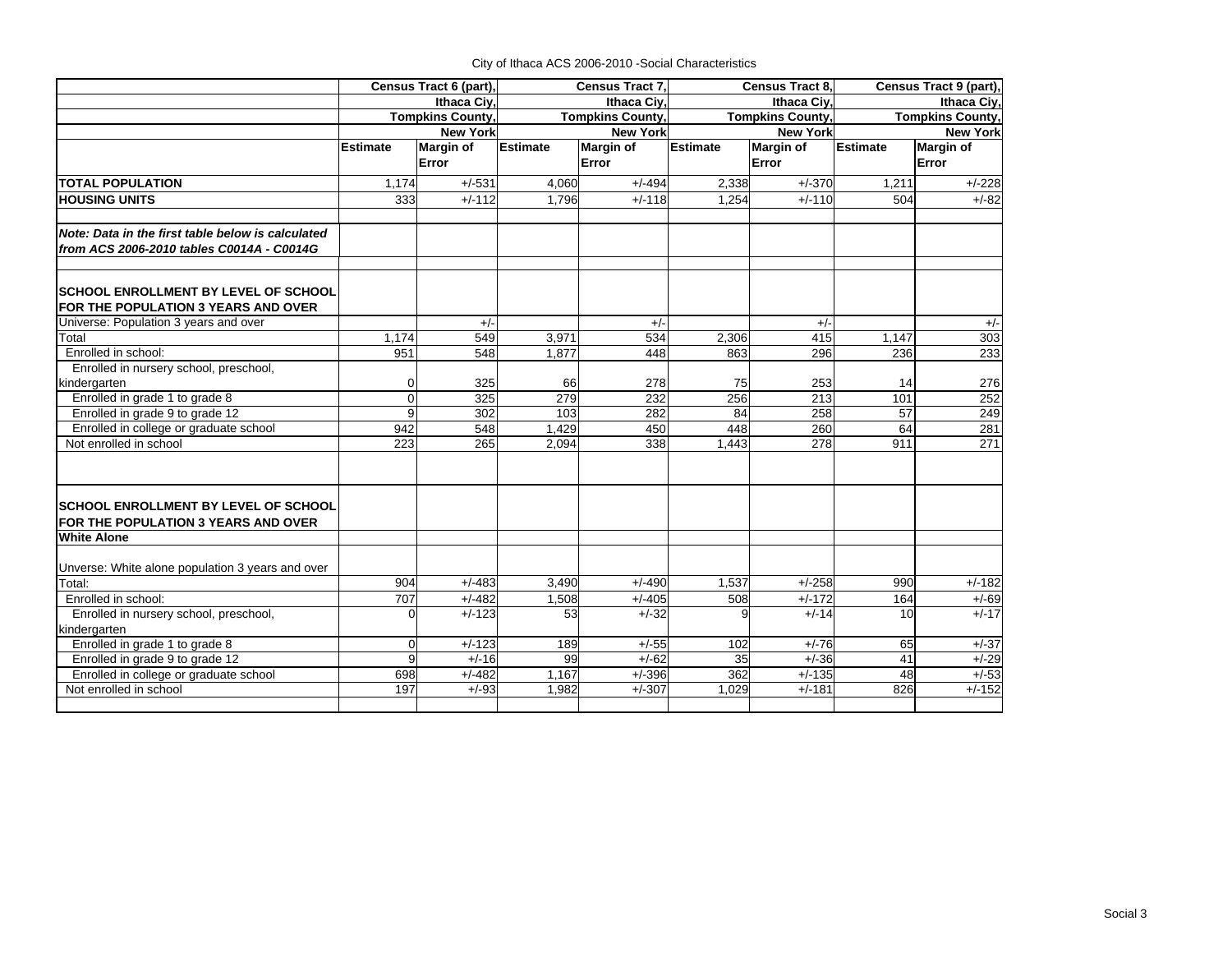|                                                   | Census Tract 6 (part),  |                   | Census Tract 7,         |                  | <b>Census Tract 8.</b>  |                  | Census Tract 9 (part),  |                  |
|---------------------------------------------------|-------------------------|-------------------|-------------------------|------------------|-------------------------|------------------|-------------------------|------------------|
| Ithaca Civ.                                       |                         | <b>Ithaca Civ</b> |                         | Ithaca Civ.      |                         | Ithaca Civ.      |                         |                  |
|                                                   | <b>Tompkins County,</b> |                   | <b>Tompkins County,</b> |                  | <b>Tompkins County,</b> |                  | <b>Tompkins County,</b> |                  |
|                                                   |                         | <b>New York</b>   |                         | <b>New York</b>  |                         | <b>New York</b>  |                         | <b>New York</b>  |
|                                                   | <b>Estimate</b>         | <b>Margin of</b>  | <b>Estimate</b>         | <b>Margin of</b> | Estimate                | <b>Margin of</b> | <b>Estimate</b>         | <b>Margin of</b> |
|                                                   |                         | Error             |                         | Error            |                         | Error            |                         | Error            |
| <b>TOTAL POPULATION</b>                           | 1.174                   | $+/-531$          | 4.060                   | $+/-494$         | 2,338                   | $+/-370$         | 1,211                   | $+/-228$         |
| <b>HOUSING UNITS</b>                              | 333                     | $+/-112$          | 1,796                   | $+/-118$         | 1,254                   | $+/-110$         | 504                     | $+/-82$          |
| Note: Data in the first table below is calculated |                         |                   |                         |                  |                         |                  |                         |                  |
| from ACS 2006-2010 tables C0014A - C0014G         |                         |                   |                         |                  |                         |                  |                         |                  |
|                                                   |                         |                   |                         |                  |                         |                  |                         |                  |
| <b>SCHOOL ENROLLMENT BY LEVEL OF SCHOOL</b>       |                         |                   |                         |                  |                         |                  |                         |                  |
| FOR THE POPULATION 3 YEARS AND OVER               |                         |                   |                         |                  |                         |                  |                         |                  |
| Universe: Population 3 years and over             |                         | $+/-$             |                         | $+/-$            |                         | $+/-$            |                         | $+/-$            |
| Total                                             | 1,174                   | 549               | 3,971                   | 534              | 2,306                   | 415              | 1,147                   | 303              |
| Enrolled in school:                               | 951                     | 548               | 1,877                   | 448              | 863                     | 296              | 236                     | 233              |
| Enrolled in nursery school, preschool,            |                         |                   |                         |                  |                         |                  |                         |                  |
| kindergarten                                      | $\Omega$                | 325               | 66                      | 278              | 75                      | 253              | 14                      | 276              |
| Enrolled in grade 1 to grade 8                    | $\mathbf 0$             | 325               | 279                     | 232              | 256                     | 213              | 101                     | 252              |
| Enrolled in grade 9 to grade 12                   | 9                       | 302               | 103                     | 282              | 84                      | 258              | 57                      | 249              |
| Enrolled in college or graduate school            | 942                     | 548               | 1,429                   | 450              | 448                     | 260              | 64                      | 281              |
| Not enrolled in school                            | $\overline{223}$        | 265               | 2.094                   | 338              | 1.443                   | 278              | 911                     | $\overline{271}$ |
| <b>SCHOOL ENROLLMENT BY LEVEL OF SCHOOL</b>       |                         |                   |                         |                  |                         |                  |                         |                  |
| FOR THE POPULATION 3 YEARS AND OVER               |                         |                   |                         |                  |                         |                  |                         |                  |
| <b>White Alone</b>                                |                         |                   |                         |                  |                         |                  |                         |                  |
| Unverse: White alone population 3 years and over  |                         |                   |                         |                  |                         |                  |                         |                  |
| Total:                                            | 904                     | $+/-483$          | 3,490                   | $+/-490$         | 1,537                   | $+/-258$         | 990                     | $+/-182$         |
| Enrolled in school:                               | 707                     | $+/-482$          | 1,508                   | $+/-405$         | 508                     | $+/-172$         | 164                     | $+/-69$          |
| Enrolled in nursery school, preschool,            | $\Omega$                | $+/-123$          | 53                      | $+/-32$          | q                       | $+/-14$          | 10                      | $+/-17$          |
| kindergarten                                      |                         |                   |                         |                  |                         |                  |                         |                  |
| Enrolled in grade 1 to grade 8                    | $\Omega$                | $+/-123$          | 189                     | $+/-55$          | 102                     | $+/-76$          | 65                      | $+/-37$          |
| Enrolled in grade 9 to grade 12                   | 9                       | $+/-16$           | 99                      | $+/-62$          | 35                      | $+/-36$          | 41                      | $+/-29$          |
| Enrolled in college or graduate school            | 698                     | $+/-482$          | 1,167                   | $+/-396$         | 362                     | $+/-135$         | 48                      | $+/-53$          |
| Not enrolled in school                            | 197                     | $+/-93$           | 1,982                   | $+/-307$         | 1.029                   | $+/-181$         | 826                     | $+/-152$         |
|                                                   |                         |                   |                         |                  |                         |                  |                         |                  |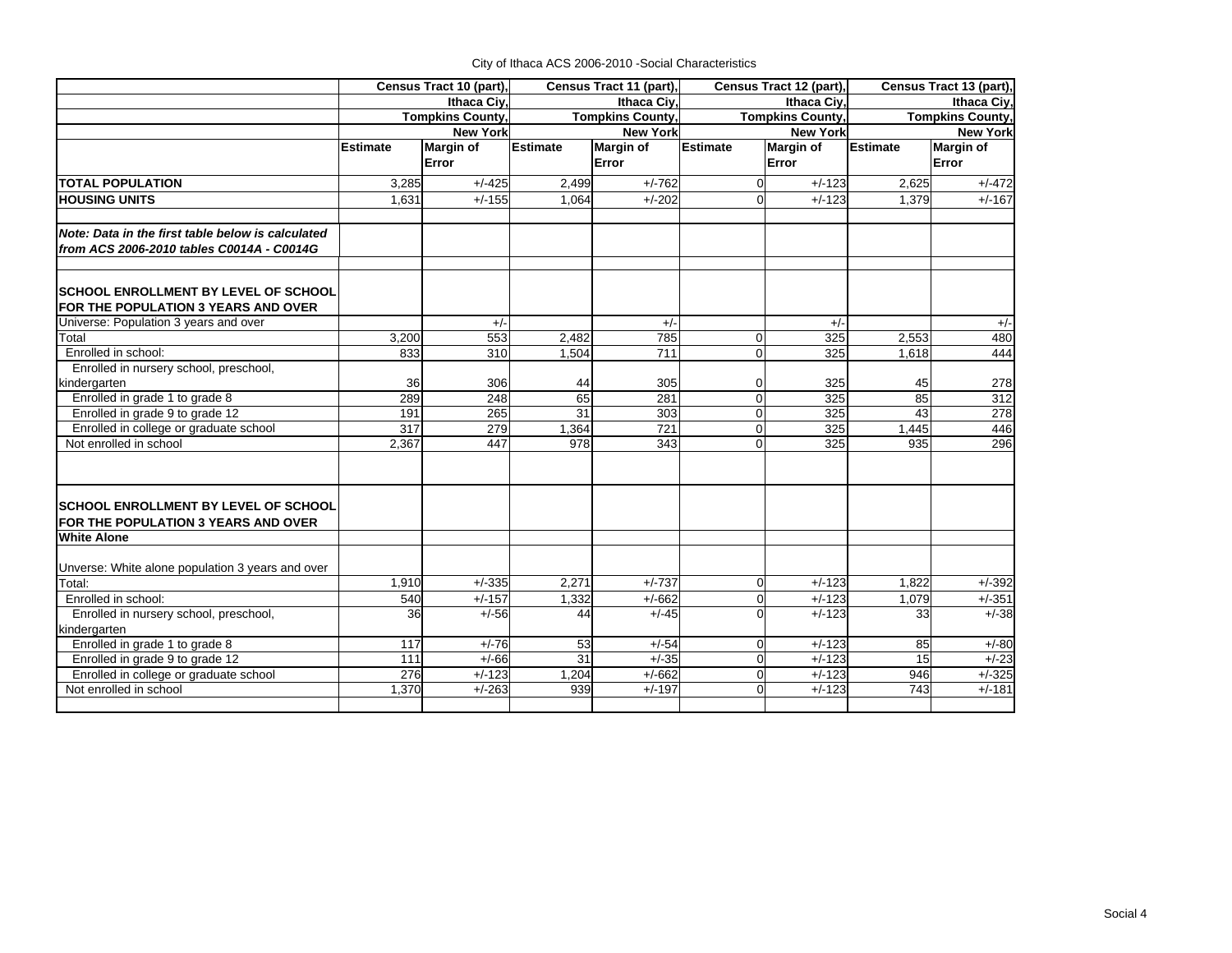|  | City of Ithaca ACS 2006-2010 - Social Characteristics |  |
|--|-------------------------------------------------------|--|
|--|-------------------------------------------------------|--|

| Census Tract 10 (part),                                                            |                         |                  | Census Tract 11 (part), |                  | Census Tract 12 (part), |                  | Census Tract 13 (part), |                  |
|------------------------------------------------------------------------------------|-------------------------|------------------|-------------------------|------------------|-------------------------|------------------|-------------------------|------------------|
| Ithaca Ciy,                                                                        |                         |                  |                         | Ithaca Civ.      |                         | Ithaca Civ.      | Ithaca Ciy,             |                  |
|                                                                                    | <b>Tompkins County,</b> |                  | <b>Tompkins County,</b> |                  | <b>Tompkins County,</b> |                  | <b>Tompkins County,</b> |                  |
|                                                                                    |                         | <b>New York</b>  |                         | <b>New York</b>  |                         | <b>New York</b>  | <b>New York</b>         |                  |
|                                                                                    | Estimate                | <b>Margin of</b> | <b>Estimate</b>         | <b>Margin of</b> | <b>Estimate</b>         | <b>Margin of</b> | <b>Estimate</b>         | <b>Margin of</b> |
|                                                                                    |                         | Error            |                         | Error            |                         | Error            |                         | Error            |
| <b>TOTAL POPULATION</b>                                                            | 3,285                   | $+/-425$         | 2,499                   | $+/-762$         | $\Omega$                | $+/-123$         | 2,625                   | $+/-472$         |
| <b>HOUSING UNITS</b>                                                               | 1.631                   | $+/-155$         | 1,064                   | $+/-202$         | ∩                       | $+/-123$         | 1,379                   | $+/-167$         |
| Note: Data in the first table below is calculated                                  |                         |                  |                         |                  |                         |                  |                         |                  |
| from ACS 2006-2010 tables C0014A - C0014G                                          |                         |                  |                         |                  |                         |                  |                         |                  |
| <b>SCHOOL ENROLLMENT BY LEVEL OF SCHOOL</b>                                        |                         |                  |                         |                  |                         |                  |                         |                  |
| FOR THE POPULATION 3 YEARS AND OVER                                                |                         |                  |                         |                  |                         |                  |                         |                  |
| Universe: Population 3 years and over                                              |                         | $+/-$            |                         | $+/-$            |                         | $+/-$            |                         | $+/-$            |
| Total                                                                              | 3,200                   | 553              | 2,482                   | 785              | $\mathbf 0$             | 325              | 2,553                   | 480              |
| Enrolled in school:                                                                | 833                     | 310              | 1,504                   | 711              | $\Omega$                | 325              | 1,618                   | 444              |
| Enrolled in nursery school, preschool,                                             |                         |                  |                         |                  |                         |                  |                         |                  |
| kindergarten                                                                       | 36                      | 306              | 44                      | 305              | 0                       | 325              | 45                      | 278              |
| Enrolled in grade 1 to grade 8                                                     | 289                     | 248              | 65                      | 281              | $\Omega$                | 325              | 85                      | 312              |
| Enrolled in grade 9 to grade 12                                                    | 191                     | 265              | 31                      | 303              | $\Omega$                | 325              | 43                      | 278              |
| Enrolled in college or graduate school                                             | $\overline{317}$        | 279              | 1,364                   | 721              | $\Omega$                | 325              | 1,445                   | 446              |
| Not enrolled in school                                                             | 2,367                   | 447              | 978                     | 343              | $\Omega$                | 325              | 935                     | 296              |
| <b>SCHOOL ENROLLMENT BY LEVEL OF SCHOOL</b><br>FOR THE POPULATION 3 YEARS AND OVER |                         |                  |                         |                  |                         |                  |                         |                  |
| <b>White Alone</b>                                                                 |                         |                  |                         |                  |                         |                  |                         |                  |
|                                                                                    |                         |                  |                         |                  |                         |                  |                         |                  |
| Unverse: White alone population 3 years and over                                   |                         |                  |                         |                  |                         |                  |                         |                  |
| Total:                                                                             | 1,910                   | $+/-335$         | 2,271                   | $+/-737$         | $\Omega$                | $+/-123$         | 1.822                   | $+/-392$         |
| Enrolled in school:                                                                | 540                     | $+/-157$         | 1,332                   | $+/-662$         | $\Omega$                | $+/-123$         | 1,079                   | $+/-351$         |
| Enrolled in nursery school, preschool,                                             | 36                      | $+/-56$          | 44                      | $+/-45$          |                         | $+/-123$         | 33                      | $+/-38$          |
| kindergarten                                                                       |                         |                  |                         |                  |                         |                  |                         |                  |
| Enrolled in grade 1 to grade 8                                                     | 117                     | $+/-76$          | 53                      | $+/-54$          | $\Omega$                | $+/-123$         | 85                      | $+/-80$          |
| Enrolled in grade 9 to grade 12                                                    | 111                     | $+/-66$          | 31                      | $+/-35$          | $\Omega$                | $+/-123$         | 15                      | $+/-23$          |
| Enrolled in college or graduate school                                             | 276                     | $+/-123$         | 1,204                   | $+/-662$         | $\Omega$                | $+/-123$         | 946                     | $+/-325$         |
| Not enrolled in school                                                             | 1,370                   | $+/-263$         | 939                     | $+/-197$         | $\Omega$                | $+/-123$         | 743                     | $+/-181$         |
|                                                                                    |                         |                  |                         |                  |                         |                  |                         |                  |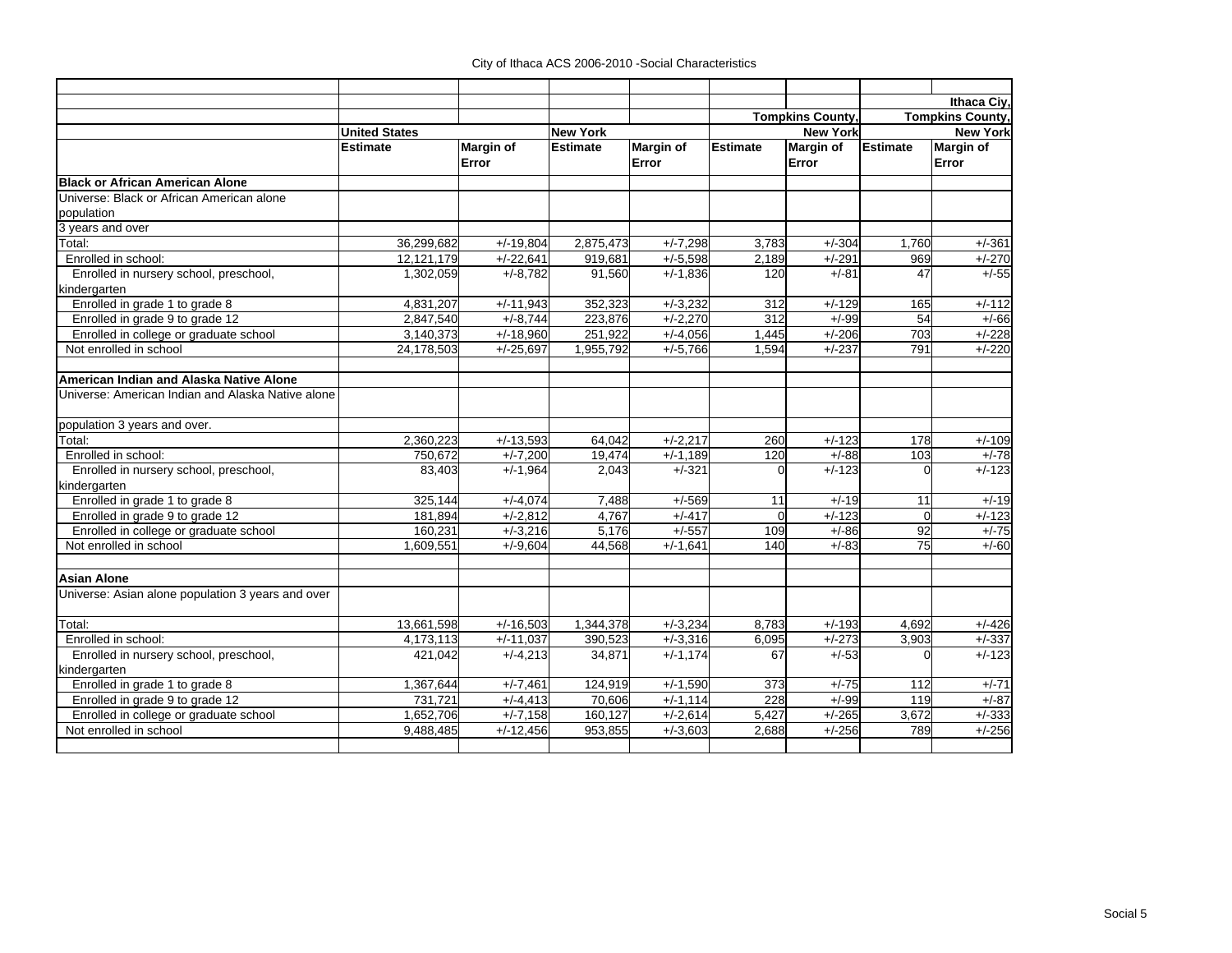|                                                   |                      |                  |                 |                                     |          |                         |                         | Ithaca Civ.      |  |
|---------------------------------------------------|----------------------|------------------|-----------------|-------------------------------------|----------|-------------------------|-------------------------|------------------|--|
|                                                   |                      |                  |                 |                                     |          | <b>Tompkins County,</b> | <b>Tompkins County,</b> |                  |  |
|                                                   | <b>United States</b> |                  | <b>New York</b> |                                     |          | <b>New York</b>         | <b>New York</b>         |                  |  |
|                                                   | <b>Estimate</b>      | <b>Margin of</b> | <b>Estimate</b> | <b>Margin of</b><br><b>Estimate</b> |          | <b>Margin of</b>        | <b>Estimate</b>         | <b>Margin of</b> |  |
|                                                   |                      | Error            |                 | Error                               |          | Error                   |                         | Error            |  |
| <b>Black or African American Alone</b>            |                      |                  |                 |                                     |          |                         |                         |                  |  |
| Universe: Black or African American alone         |                      |                  |                 |                                     |          |                         |                         |                  |  |
| population                                        |                      |                  |                 |                                     |          |                         |                         |                  |  |
| 3 years and over                                  |                      |                  |                 |                                     |          |                         |                         |                  |  |
| Total:                                            | 36,299,682           | $+/-19,804$      | 2,875,473       | $+/-7,298$                          | 3,783    | $+/-304$                | 1.760                   | $+/-361$         |  |
| Enrolled in school:                               | 12,121,179           | $+/-22,641$      | 919,681         | $+/-5,598$                          | 2,189    | $+/-291$                | 969                     | $+/-270$         |  |
| Enrolled in nursery school, preschool,            | 1,302,059            | $+/-8,782$       | 91,560          | $+/-1,836$                          | 120      | $+/-81$                 | 47                      | $+/-55$          |  |
| kindergarten                                      |                      |                  |                 |                                     |          |                         |                         |                  |  |
| Enrolled in grade 1 to grade 8                    | 4,831,207            | $+/-11,943$      | 352,323         | $+/-3,232$                          | 312      | $+/-129$                | 165                     | $+/-112$         |  |
| Enrolled in grade 9 to grade 12                   | 2,847,540            | $+/-8,744$       | 223.876         | $+/-2.270$                          | 312      | $+/-99$                 | 54                      | $+/-66$          |  |
| Enrolled in college or graduate school            | 3,140,373            | $+/-18,960$      | 251,922         | $+/-4,056$                          | 1,445    | $+/-206$                | 703                     | $+/-228$         |  |
| Not enrolled in school                            | 24,178,503           | $+/-25,697$      | 1,955,792       | $+/-5,766$                          | 1,594    | $+/-237$                | 791                     | $+/-220$         |  |
| American Indian and Alaska Native Alone           |                      |                  |                 |                                     |          |                         |                         |                  |  |
| Universe: American Indian and Alaska Native alone |                      |                  |                 |                                     |          |                         |                         |                  |  |
|                                                   |                      |                  |                 |                                     |          |                         |                         |                  |  |
| population 3 years and over.                      |                      |                  |                 |                                     |          |                         |                         |                  |  |
| Total:                                            | 2,360,223            | $+/-13,593$      | 64,042          | $+/-2,217$                          | 260      | $+/-123$                | 178                     | $+/-109$         |  |
| Enrolled in school:                               | 750,672              | $+/-7,200$       | 19,474          | $+/-1,189$                          | 120      | $+/-88$                 | 103                     | $+/-78$          |  |
| Enrolled in nursery school, preschool,            | 83,403               | $+/-1,964$       | 2,043           | $+/-321$                            | $\Omega$ | $+/-123$                | $\Omega$                | $+/-123$         |  |
| kindergarten                                      |                      |                  |                 |                                     |          |                         |                         |                  |  |
| Enrolled in grade 1 to grade 8                    | 325,144              | $+/-4,074$       | 7,488           | $+/-569$                            | 11       | $+/-19$                 | 11                      | $+/-19$          |  |
| Enrolled in grade 9 to grade 12                   | 181,894              | $+/-2.812$       | 4.767           | $+/-417$                            | $\Omega$ | $+/-123$                | $\Omega$                | $+/-123$         |  |
| Enrolled in college or graduate school            | 160,231              | $+/-3,216$       | 5,176           | $+/-557$                            | 109      | $+/-86$                 | 92                      | $+/-75$          |  |
| Not enrolled in school                            | 1.609.551            | $+/-9.604$       | 44.568          | $+/-1.641$                          | 140      | $+/-83$                 | $\overline{75}$         | $+/-60$          |  |
| <b>Asian Alone</b>                                |                      |                  |                 |                                     |          |                         |                         |                  |  |
| Universe: Asian alone population 3 years and over |                      |                  |                 |                                     |          |                         |                         |                  |  |
| Total:                                            | 13,661,598           | $+/-16,503$      | 1,344,378       | $+/-3,234$                          | 8.783    | $+/-193$                | 4.692                   | $+/-426$         |  |
| Enrolled in school:                               | 4,173,113            | $+/-11,037$      | 390.523         | $+/-3.316$                          | 6,095    | $+/-273$                | 3,903                   | $+/-337$         |  |
| Enrolled in nursery school, preschool,            | 421,042              | $+/-4,213$       | 34,871          | $+/-1,174$                          | 67       | $+/-53$                 | U                       | $+/-123$         |  |
| kindergarten                                      |                      |                  |                 |                                     |          |                         |                         |                  |  |
| Enrolled in grade 1 to grade 8                    | 1,367,644            | $+/-7,461$       | 124,919         | $+/-1,590$                          | 373      | $+/-75$                 | 112                     | $+/-71$          |  |
| Enrolled in grade 9 to grade 12                   | 731.721              | $+/-4,413$       | 70.606          | $+/-1.114$                          | 228      | $+/-99$                 | 119                     | $+/-87$          |  |
| Enrolled in college or graduate school            | 1,652,706            | $+/-7,158$       | 160.127         | $+/-2,614$                          | 5,427    | $+/-265$                | 3,672                   | $+/-333$         |  |
| Not enrolled in school                            | 9,488,485            | $+/-12,456$      | 953,855         | $+/-3,603$                          | 2,688    | $+/-256$                | 789                     | $+/-256$         |  |
|                                                   |                      |                  |                 |                                     |          |                         |                         |                  |  |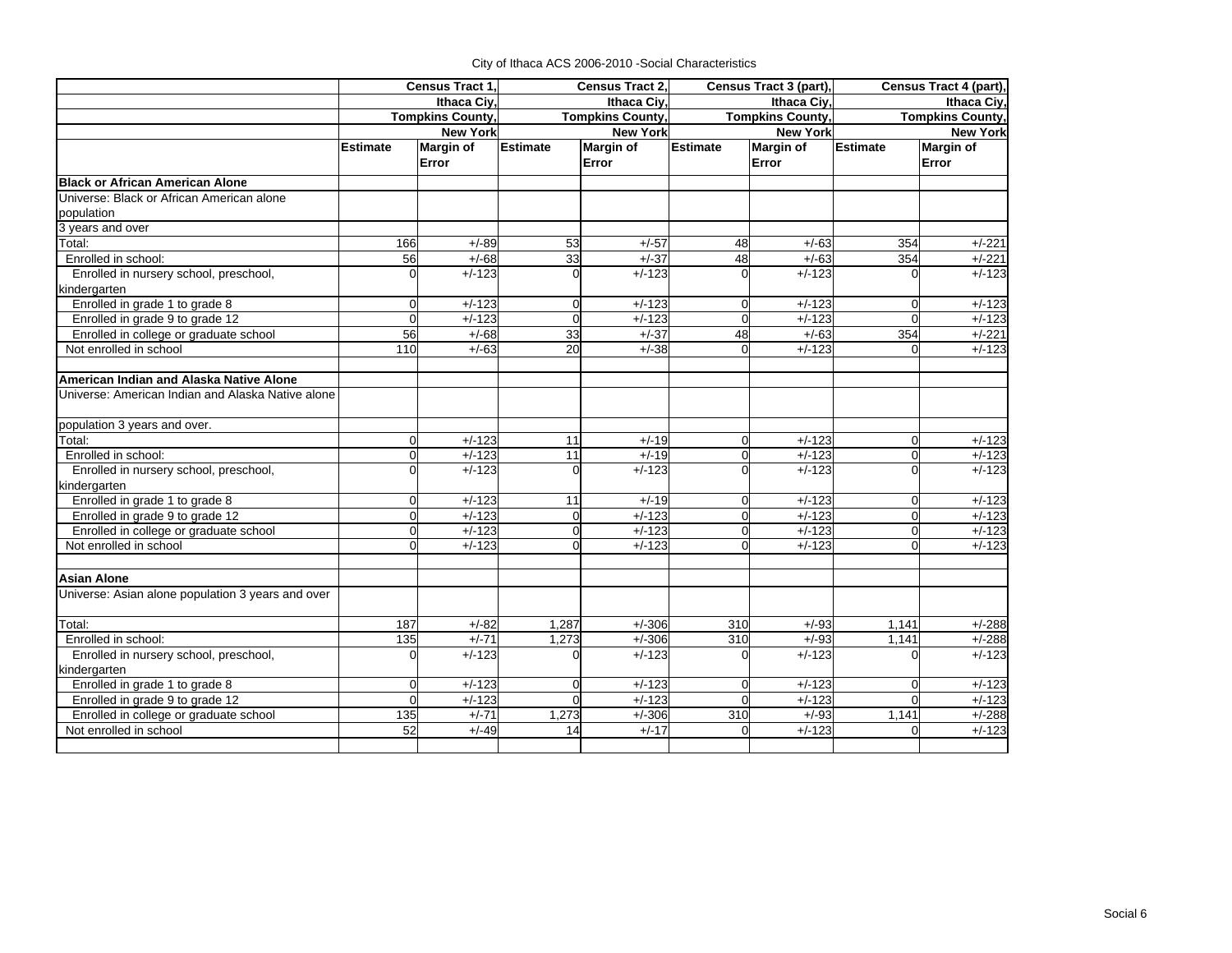|                                                        | Census Tract 1. |                        | Census Tract 2, |                         |                 | Census Tract 3 (part),  | Census Tract 4 (part),                 |                  |  |
|--------------------------------------------------------|-----------------|------------------------|-----------------|-------------------------|-----------------|-------------------------|----------------------------------------|------------------|--|
|                                                        |                 | <b>Ithaca Civ</b>      |                 | Ithaca Ciy,             |                 | Ithaca Ciy,             | Ithaca Civ.<br><b>Tompkins County,</b> |                  |  |
|                                                        |                 | <b>Tompkins County</b> |                 | <b>Tompkins County,</b> |                 | <b>Tompkins County.</b> |                                        |                  |  |
|                                                        |                 | <b>New York</b>        | <b>New York</b> |                         |                 | <b>New York</b>         | <b>New York</b>                        |                  |  |
|                                                        | <b>Estimate</b> | <b>Margin of</b>       | <b>Estimate</b> | Margin of               | <b>Estimate</b> | Margin of               | <b>Estimate</b>                        | <b>Margin of</b> |  |
|                                                        |                 | Error                  |                 | Error                   |                 | Error                   |                                        | Error            |  |
| <b>Black or African American Alone</b>                 |                 |                        |                 |                         |                 |                         |                                        |                  |  |
| Universe: Black or African American alone              |                 |                        |                 |                         |                 |                         |                                        |                  |  |
| population                                             |                 |                        |                 |                         |                 |                         |                                        |                  |  |
| 3 years and over                                       |                 |                        |                 |                         |                 |                         |                                        |                  |  |
| Total:                                                 | 166             | $+/-89$                | 53              | $+/-57$                 | 48              | $+/-63$                 | 354                                    | $+/-221$         |  |
| Enrolled in school:                                    | 56              | $+/-68$                | 33              | $+/-37$                 | 48              | $+/-63$                 | 354                                    | $+/-221$         |  |
| Enrolled in nursery school, preschool,                 | $\Omega$        | $+/-123$               | $\Omega$        | $+/-123$                | $\Omega$        | $+/-123$                | $\Omega$                               | $+\sqrt{-123}$   |  |
| kindergarten                                           |                 |                        |                 |                         |                 |                         |                                        |                  |  |
| Enrolled in grade 1 to grade 8                         | $\Omega$        | $+/-123$               | $\mathbf 0$     | $+/-123$                | $\mathbf 0$     | $+/-123$                | $\overline{0}$                         | $+/-123$         |  |
| Enrolled in grade 9 to grade 12                        | $\Omega$        | $+/-123$               | $\Omega$        | $+\sqrt{-123}$          | $\Omega$        | $+/-123$                | $\Omega$                               | $+/-123$         |  |
| Enrolled in college or graduate school                 | 56              | $+/-68$                | 33              | $+/-37$                 | 48              | $+/-63$                 | 354                                    | $+/-221$         |  |
| Not enrolled in school                                 | 110             | $+/-63$                | 20              | $+/-38$                 | $\mathbf 0$     | $+/-123$                | $\Omega$                               | $+/-123$         |  |
| American Indian and Alaska Native Alone                |                 |                        |                 |                         |                 |                         |                                        |                  |  |
| Universe: American Indian and Alaska Native alone      |                 |                        |                 |                         |                 |                         |                                        |                  |  |
| population 3 years and over.                           |                 |                        |                 |                         |                 |                         |                                        |                  |  |
| Total:                                                 | $\Omega$        | $+/-123$               | 11              | $+/-19$                 | $\Omega$        | $+/-123$                | $\mathbf 0$                            | $+/-123$         |  |
| Enrolled in school:                                    | $\Omega$        | $+/-123$               | 11              | $+/-19$                 | $\Omega$        | $+/-123$                | $\Omega$                               | $+/-123$         |  |
| Enrolled in nursery school, preschool,                 | Ωl              | $+/-123$               | $\Omega$        | $+/-123$                | 0               | $+/-123$                | $\Omega$                               | $+/-123$         |  |
| kindergarten                                           |                 |                        |                 |                         |                 |                         |                                        |                  |  |
| Enrolled in grade 1 to grade 8                         | $\Omega$        | $+/-123$               | 11              | $+/-19$                 | $\overline{0}$  | $+/-123$                | $\Omega$                               | $+/-123$         |  |
| Enrolled in grade 9 to grade 12                        | $\Omega$        | $+/-123$               | $\Omega$        | $+/-123$                | $\overline{0}$  | $+/-123$                | $\Omega$                               | $+/-123$         |  |
| Enrolled in college or graduate school                 | $\Omega$        | $+/-123$               | $\Omega$        | $+/-123$                | 0               | $+/-123$                | $\Omega$                               | $+/-123$         |  |
| Not enrolled in school                                 | $\Omega$        | $+/-123$               | $\Omega$        | $+/-123$                | $\Omega$        | $+/-123$                | $\Omega$                               | $+/-123$         |  |
| <b>Asian Alone</b>                                     |                 |                        |                 |                         |                 |                         |                                        |                  |  |
| Universe: Asian alone population 3 years and over      |                 |                        |                 |                         |                 |                         |                                        |                  |  |
| Total:                                                 | 187             | $+/-82$                | 1,287           | $+/-306$                | 310             | $+/-93$                 | 1,141                                  | $+/-288$         |  |
| Enrolled in school:                                    | 135             | $+/-71$                | 1,273           | $+/-306$                | 310             | $+/-93$                 | 1,141                                  | $+/-288$         |  |
| Enrolled in nursery school, preschool,<br>kindergarten | $\Omega$        | $+/-123$               | O               | $+/-123$                | $\Omega$        | $+/-123$                | $\Omega$                               | $+/-123$         |  |
| Enrolled in grade 1 to grade 8                         | $\Omega$        | $+/-123$               | $\Omega$        | $+/-123$                | 0               | $+/-123$                | $\mathbf 0$                            | $+/-123$         |  |
| Enrolled in grade 9 to grade 12                        | $\Omega$        | $+/-123$               | $\Omega$        | $+/-123$                | $\Omega$        | $+/-123$                | $\Omega$                               | $+/-123$         |  |
| Enrolled in college or graduate school                 | 135             | $+/-71$                | 1,273           | $+/-306$                | 310             | $+/-93$                 | 1,141                                  | $+/-288$         |  |
| Not enrolled in school                                 | 52              | $+/-49$                | 14              | $+/-17$                 | $\Omega$        | $+/-123$                | $\Omega$                               | $+/-123$         |  |
|                                                        |                 |                        |                 |                         |                 |                         |                                        |                  |  |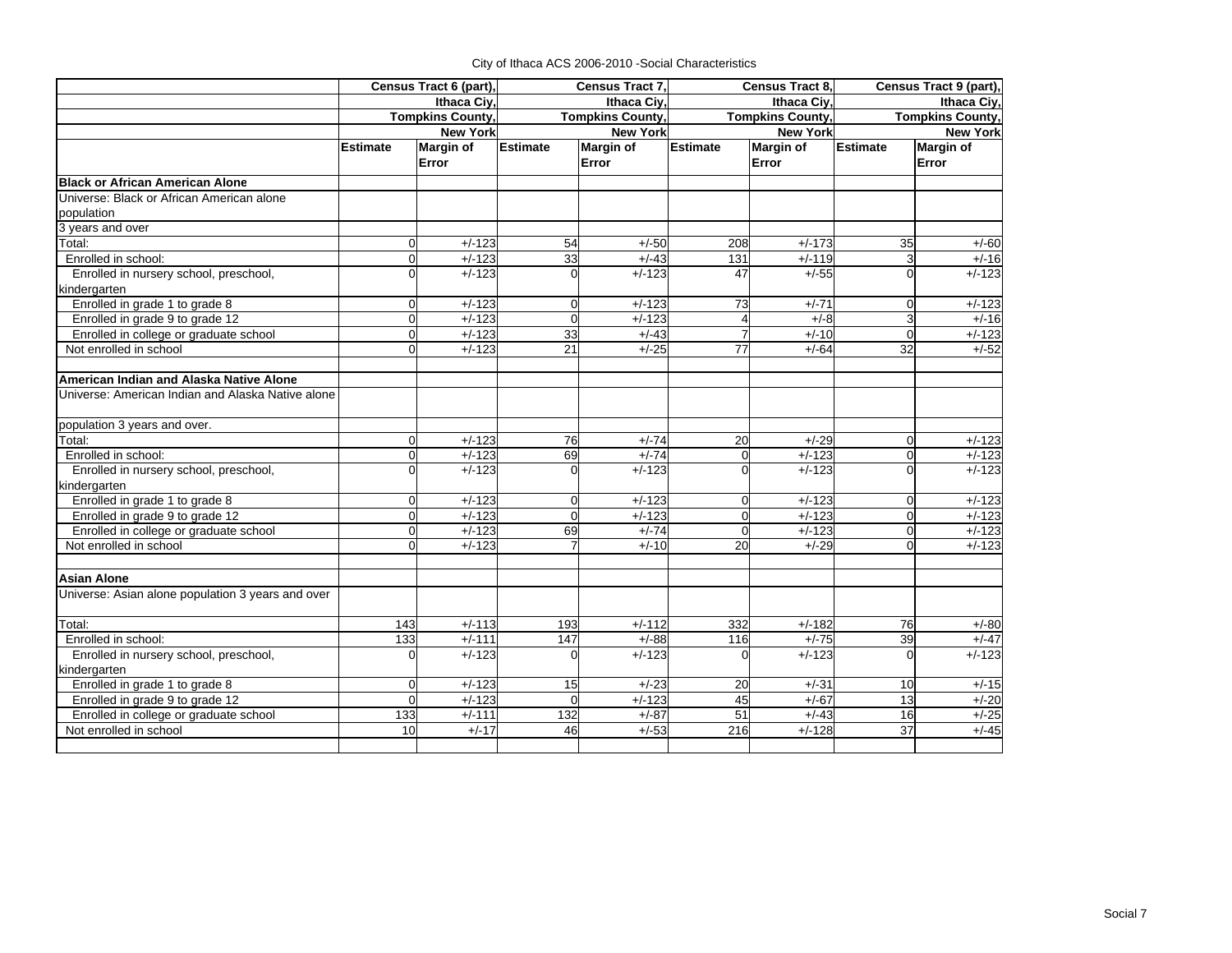|                                                   | Census Tract 6 (part),<br>Ithaca Civ.<br><b>Tompkins County,</b> |                 | Census Tract 7,<br><b>Ithaca Civ</b> |                         |                 | Census Tract 8,         | Census Tract 9 (part)<br>Ithaca Civ. |                     |
|---------------------------------------------------|------------------------------------------------------------------|-----------------|--------------------------------------|-------------------------|-----------------|-------------------------|--------------------------------------|---------------------|
|                                                   |                                                                  |                 |                                      |                         |                 | Ithaca Civ.             |                                      |                     |
|                                                   |                                                                  |                 |                                      | <b>Tompkins County,</b> |                 | <b>Tompkins County,</b> | <b>Tompkins County,</b>              |                     |
|                                                   |                                                                  | <b>New York</b> | <b>New York</b>                      |                         | <b>New York</b> |                         | <b>New York</b>                      |                     |
|                                                   | <b>Estimate</b>                                                  | Margin of       | <b>Estimate</b>                      | Margin of               | Estimate        | <b>Margin of</b>        | <b>Estimate</b>                      | <b>Margin of</b>    |
|                                                   |                                                                  | Error           |                                      | Error                   |                 | Error                   |                                      | Error               |
| <b>Black or African American Alone</b>            |                                                                  |                 |                                      |                         |                 |                         |                                      |                     |
| Universe: Black or African American alone         |                                                                  |                 |                                      |                         |                 |                         |                                      |                     |
| population                                        |                                                                  |                 |                                      |                         |                 |                         |                                      |                     |
| 3 years and over                                  |                                                                  |                 |                                      |                         |                 |                         |                                      |                     |
| Total:                                            | $\Omega$                                                         | $+/-123$        | 54                                   | $+/-50$                 | 208             | $+/-173$                | 35                                   | $+/-60$             |
| Enrolled in school:                               | U                                                                | $+/-123$        | 33                                   | $+/-43$                 | 131             | $+/-119$                | 3                                    | $+/-16$             |
| Enrolled in nursery school, preschool,            | U                                                                | $+/-123$        | $\Omega$                             | $+/-123$                | 47              | $+/-55$                 |                                      | $+/-123$            |
| kindergarten                                      |                                                                  |                 |                                      |                         |                 |                         |                                      |                     |
| Enrolled in grade 1 to grade 8                    | $\Omega$                                                         | $+/-123$        | $\Omega$                             | $+/-123$                | 73              | $+/-71$                 | $\Omega$                             | $+/-123$            |
| Enrolled in grade 9 to grade 12                   | $\overline{0}$                                                   | $+/-123$        | $\Omega$                             | $+/-123$                |                 | $+/-8$                  | 3                                    | $+/-16$             |
| Enrolled in college or graduate school            | $\Omega$                                                         | $+/-123$        | 33                                   | $+/-43$                 |                 | $+/-10$                 | $\Omega$                             | $+/-123$            |
| Not enrolled in school                            | 0                                                                | $+/-123$        | $\overline{21}$                      | $+/-25$                 | $\overline{77}$ | $+/-64$                 | $\overline{32}$                      | $+/-52$             |
| American Indian and Alaska Native Alone           |                                                                  |                 |                                      |                         |                 |                         |                                      |                     |
| Universe: American Indian and Alaska Native alone |                                                                  |                 |                                      |                         |                 |                         |                                      |                     |
|                                                   |                                                                  |                 |                                      |                         |                 |                         |                                      |                     |
| population 3 years and over.                      |                                                                  |                 |                                      |                         |                 |                         |                                      |                     |
| Total:                                            | $\Omega$                                                         | $+/-123$        | 76                                   | $+/-74$                 | 20              | $+/-29$                 | $\Omega$                             | $+/-123$            |
| Enrolled in school:                               | $\overline{0}$                                                   | $+/-123$        | 69                                   | $+/-74$                 | $\Omega$        | $+/-123$                | $\Omega$                             | $\frac{1}{+}$ /-123 |
| Enrolled in nursery school, preschool,            | $\Omega$                                                         | $+/-123$        |                                      | $+/-123$                | $\Omega$        | $+/-123$                |                                      | $+/-123$            |
| kindergarten                                      |                                                                  |                 |                                      |                         |                 |                         |                                      |                     |
| Enrolled in grade 1 to grade 8                    | $\Omega$                                                         | $+/-123$        | $\Omega$                             | $+/-123$                | $\Omega$        | $+/-123$                | $\Omega$                             | $+/-123$            |
| Enrolled in grade 9 to grade 12                   | $\Omega$                                                         | $+/-123$        |                                      | $+/-123$                | $\Omega$        | $+/-123$                |                                      | $+/-123$            |
| Enrolled in college or graduate school            | 0                                                                | $+/-123$        | 69                                   | $+/-74$                 | $\Omega$        | $+/-123$                | $\Omega$                             | $+/-123$            |
| Not enrolled in school                            |                                                                  | $+/-123$        |                                      | $+/-10$                 | $\overline{20}$ | $+/-29$                 |                                      | $+/-123$            |
| <b>Asian Alone</b>                                |                                                                  |                 |                                      |                         |                 |                         |                                      |                     |
| Universe: Asian alone population 3 years and over |                                                                  |                 |                                      |                         |                 |                         |                                      |                     |
| Total:                                            | 143                                                              | $+/-113$        | 193                                  | $+/-112$                | 332             | $+/-182$                | 76                                   | $+/-80$             |
| Enrolled in school:                               | 133                                                              | $+/-111$        | 147                                  | $+/-88$                 | 116             | $+/-75$                 | 39                                   | $+/-47$             |
| Enrolled in nursery school, preschool,            | O                                                                | $+/-123$        |                                      | $+/-123$                | $\Omega$        | $+/-123$                |                                      | $+/-123$            |
| kindergarten                                      |                                                                  |                 |                                      |                         |                 |                         |                                      |                     |
| Enrolled in grade 1 to grade 8                    | $\Omega$                                                         | $+/-123$        | 15                                   | $+/-23$                 | 20              | $+/-31$                 | 10                                   | $+/-15$             |
| Enrolled in grade 9 to grade 12                   | $\Omega$                                                         | $+/-123$        | $\Omega$                             | $+/-123$                | 45              | $+/-67$                 | 13                                   | $+/-20$             |
| Enrolled in college or graduate school            | 133                                                              | $+/-111$        | 132                                  | $+/-87$                 | 51              | $+/-43$                 | 16                                   | $+/-25$             |
| Not enrolled in school                            | 10                                                               | $+/-17$         | 46                                   | $+/-53$                 | 216             | $+/-128$                | 37                                   | $+/-45$             |
|                                                   |                                                                  |                 |                                      |                         |                 |                         |                                      |                     |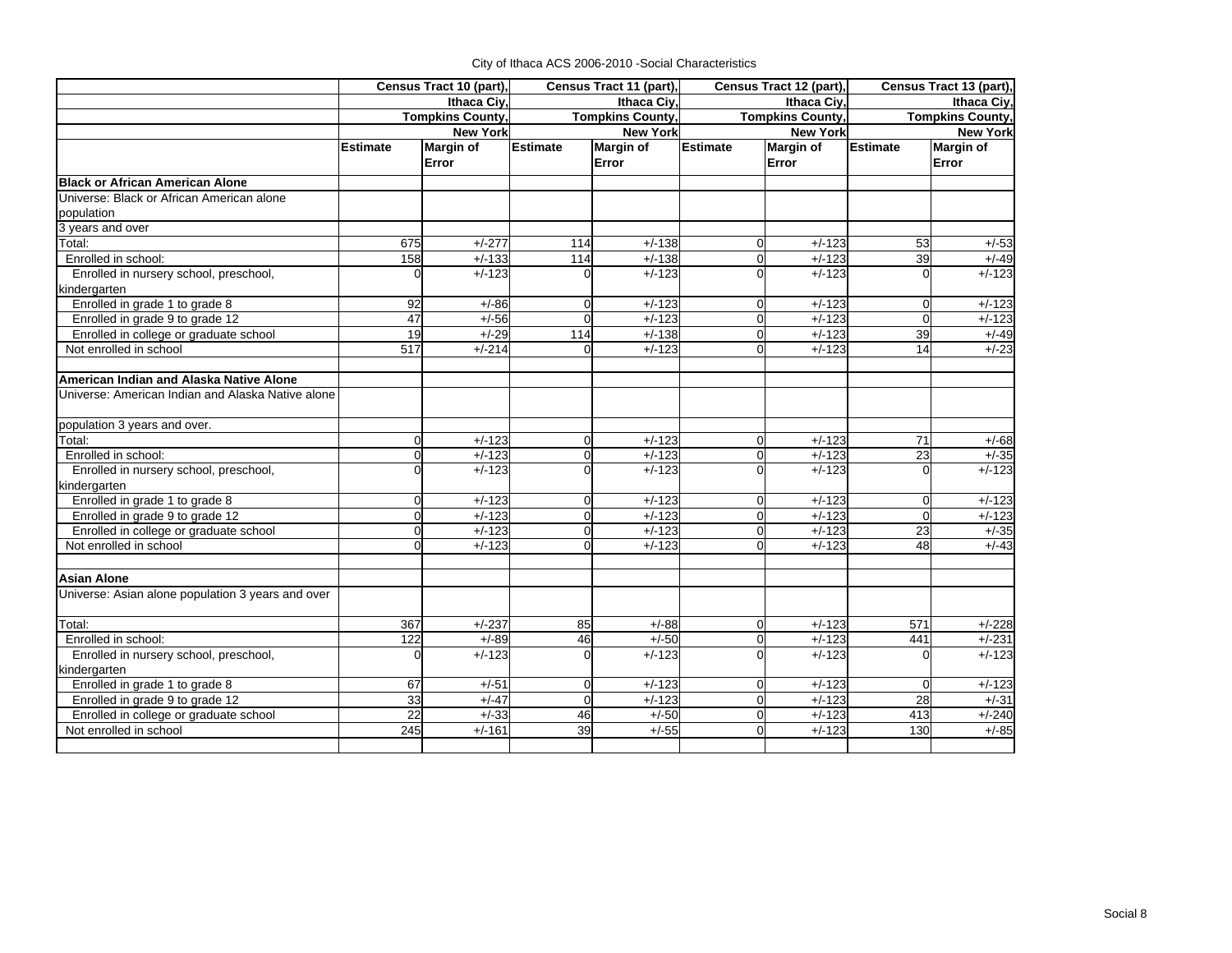|                                                   | Census Tract 10 (part), |                         | Census Tract 11 (part), |                         | Census Tract 12 (part), |                  | Census Tract 13 (part), |                     |
|---------------------------------------------------|-------------------------|-------------------------|-------------------------|-------------------------|-------------------------|------------------|-------------------------|---------------------|
|                                                   |                         | Ithaca Civ.             |                         | Ithaca Civ.             |                         | Ithaca Civ.      | Ithaca Civ.             |                     |
|                                                   |                         | <b>Tompkins County,</b> |                         | <b>Tompkins County,</b> | <b>Tompkins County,</b> |                  | <b>Tompkins County,</b> |                     |
|                                                   |                         | <b>New York</b>         | <b>New York</b>         |                         |                         | <b>New York</b>  | <b>New York</b>         |                     |
|                                                   | <b>Estimate</b>         | <b>Margin of</b>        | <b>Estimate</b>         | <b>Margin of</b>        | <b>Estimate</b>         | <b>Margin of</b> | <b>Estimate</b>         | <b>Margin of</b>    |
|                                                   |                         | Error                   |                         | Error                   |                         | Error            |                         | Error               |
| <b>Black or African American Alone</b>            |                         |                         |                         |                         |                         |                  |                         |                     |
| Universe: Black or African American alone         |                         |                         |                         |                         |                         |                  |                         |                     |
| population                                        |                         |                         |                         |                         |                         |                  |                         |                     |
| 3 years and over                                  |                         |                         |                         |                         |                         |                  |                         |                     |
| Total:                                            | 675                     | $+/-277$                | 114                     | $+/-138$                | $\Omega$                | $+/-123$         | 53                      | $+/-53$             |
| Enrolled in school:                               | 158                     | $+/-133$                | 114                     | $+\sqrt{-138}$          | $\Omega$                | $+/-123$         | 39                      | $+/-49$             |
| Enrolled in nursery school, preschool,            | $\Omega$                | $+/-123$                |                         | $+/-123$                | $\Omega$                | $+/-123$         |                         | $+/-123$            |
| kindergarten                                      |                         |                         |                         |                         |                         |                  |                         |                     |
| Enrolled in grade 1 to grade 8                    | 92                      | $+/-86$                 | $\overline{0}$          | $+/-123$                | $\mathbf 0$             | $+/-123$         | $\mathbf 0$             | $+/-123$            |
| Enrolled in grade 9 to grade 12                   | 47                      | $+/-56$                 | $\Omega$                | $+/-123$                | $\Omega$                | $+/-123$         | $\Omega$                | $+/-123$            |
| Enrolled in college or graduate school            | 19                      | $+/-29$                 | 114                     | $+/-138$                | $\Omega$                | $+/-123$         | 39                      | $+/-49$             |
| Not enrolled in school                            | 517                     | $+/-214$                | 0                       | $+/-123$                | $\Omega$                | $+/-123$         | 14                      | $+/-23$             |
|                                                   |                         |                         |                         |                         |                         |                  |                         |                     |
| American Indian and Alaska Native Alone           |                         |                         |                         |                         |                         |                  |                         |                     |
| Universe: American Indian and Alaska Native alone |                         |                         |                         |                         |                         |                  |                         |                     |
| population 3 years and over.                      |                         |                         |                         |                         |                         |                  |                         |                     |
| Total:                                            | $\mathbf 0$             | $+/-123$                | $\mathbf{0}$            | $+/-123$                | $\mathbf 0$             | $+/-123$         | 71                      | $+/-68$             |
| Enrolled in school:                               | $\overline{0}$          | $+/-123$                | $\Omega$                | $+/-123$                | $\Omega$                | $+/-123$         | 23                      | $+/-35$             |
| Enrolled in nursery school, preschool,            | $\Omega$                | $+/-123$                | n                       | $+/-123$                | $\Omega$                | $+/-123$         |                         | $+/-123$            |
| kindergarten                                      |                         |                         |                         |                         |                         |                  |                         |                     |
| Enrolled in grade 1 to grade 8                    | $\Omega$                | $+/-123$                | $\Omega$                | $+/-123$                | $\Omega$                | $+/-123$         | $\Omega$                | $+/-123$            |
| Enrolled in grade 9 to grade 12                   | $\overline{0}$          | $+/-123$                | 0                       | $+/-123$                | $\Omega$                | $+/-123$         | $\Omega$                | $+/-123$            |
| Enrolled in college or graduate school            | $\overline{0}$          | $+/-123$                | $\Omega$                | $+/-123$                | $\Omega$                | $+/-123$         | $\overline{23}$         | $+/-35$             |
| Not enrolled in school                            | $\Omega$                | $+/-123$                | $\Omega$                | $+/-123$                | $\Omega$                | $+/-123$         | 48                      | $+/-43$             |
|                                                   |                         |                         |                         |                         |                         |                  |                         |                     |
| <b>Asian Alone</b>                                |                         |                         |                         |                         |                         |                  |                         |                     |
| Universe: Asian alone population 3 years and over |                         |                         |                         |                         |                         |                  |                         |                     |
| Total:                                            | 367                     | $+/-237$                | 85                      | $+/-88$                 | $\Omega$                | $+/-123$         | 571                     | $+/-228$            |
| Enrolled in school:                               | $\overline{122}$        | $+/-89$                 | 46                      | $+/-50$                 | $\Omega$                | $+/-123$         | 441                     | $+/-231$            |
| Enrolled in nursery school, preschool,            | $\Omega$                | $+/-123$                |                         | $+/-123$                | $\Omega$                | $+/-123$         |                         | $+/-123$            |
| kindergarten                                      |                         |                         |                         |                         |                         |                  |                         |                     |
| Enrolled in grade 1 to grade 8                    | 67                      | $+/-51$                 | $\Omega$                | $+/-123$                | $\mathbf 0$             | $+/-123$         | $\Omega$                | $\frac{1}{+}$ /-123 |
| Enrolled in grade 9 to grade 12                   | 33                      | $+/-47$                 | $\Omega$                | $+/-123$                | $\Omega$                | $+/-123$         | 28                      | $+/-31$             |
| Enrolled in college or graduate school            | 22                      | $+/-33$                 | 46                      | $+/-50$                 | $\Omega$                | $+/-123$         | 413                     | $+/-240$            |
| Not enrolled in school                            | 245                     | $+/-161$                | 39                      | $+/-55$                 | $\Omega$                | $+/-123$         | 130                     | $+/-85$             |
|                                                   |                         |                         |                         |                         |                         |                  |                         |                     |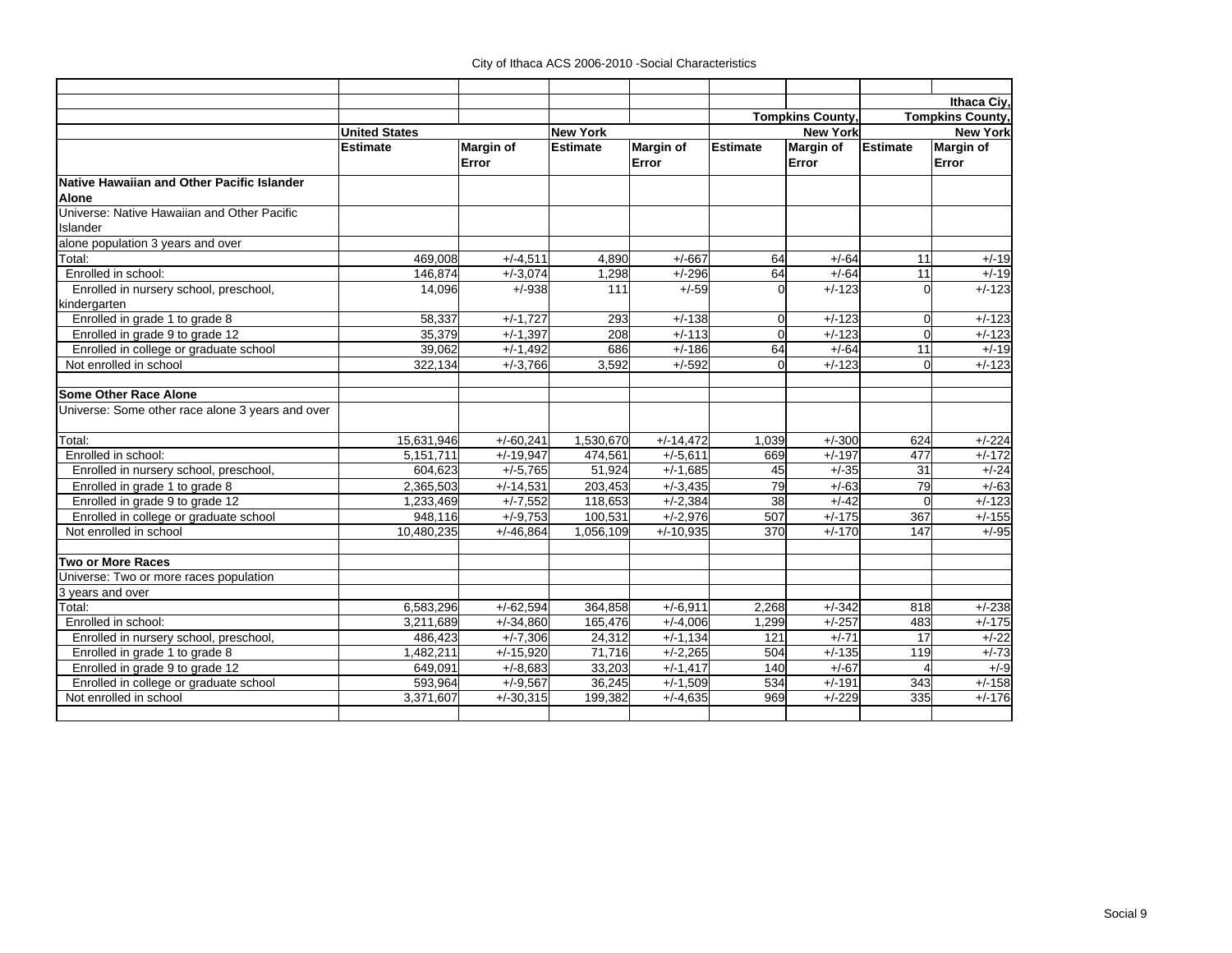|                                                  |                      |                  |                 |                  |                 |                        |                        | Ithaca Civ.             |
|--------------------------------------------------|----------------------|------------------|-----------------|------------------|-----------------|------------------------|------------------------|-------------------------|
|                                                  |                      |                  |                 |                  |                 | <b>Tompkins County</b> |                        | <b>Tompkins County,</b> |
|                                                  | <b>United States</b> |                  | <b>New York</b> |                  |                 | <b>New York</b>        |                        | <b>New York</b>         |
|                                                  | <b>Estimate</b>      | <b>Margin of</b> | <b>Estimate</b> | <b>Margin of</b> | <b>Estimate</b> | <b>Margin of</b>       | <b>Estimate</b>        | Margin of               |
|                                                  |                      | Error            |                 | Error            |                 | Error                  |                        | Error                   |
| Native Hawaiian and Other Pacific Islander       |                      |                  |                 |                  |                 |                        |                        |                         |
| <b>Alone</b>                                     |                      |                  |                 |                  |                 |                        |                        |                         |
| Universe: Native Hawaiian and Other Pacific      |                      |                  |                 |                  |                 |                        |                        |                         |
| Islander                                         |                      |                  |                 |                  |                 |                        |                        |                         |
| alone population 3 years and over                |                      |                  |                 |                  |                 |                        |                        |                         |
| Total:                                           | 469,008              | $+/-4,511$       | 4,890           | $+/-667$         | 64              | $+/-64$                | 11                     | $+/-19$                 |
| Enrolled in school:                              | 146.874              | $+/-3.074$       | 1,298           | $+/-296$         | 64              | $+/-64$                | 11                     | $+/-19$                 |
| Enrolled in nursery school, preschool,           | 14,096               | $+/-938$         | 111             | $+/-59$          | $\Omega$        | $+/-123$               | $\Omega$               | $+/-123$                |
| kindergarten                                     |                      |                  |                 |                  |                 |                        |                        |                         |
| Enrolled in grade 1 to grade 8                   | 58,337               | $+/-1,727$       | 293             | $+/-138$         | $\mathbf 0$     | $+/-123$               | $\overline{0}$         | $+/-123$                |
| Enrolled in grade 9 to grade 12                  | 35,379               | $+/-1,397$       | 208             | $+/-113$         | $\Omega$        | $+/-123$               | $\Omega$               | $+/-123$                |
| Enrolled in college or graduate school           | 39,062               | $+/-1,492$       | 686             | $+/-186$         | 64              | $+/-64$                | 11                     | $+/-19$                 |
| Not enrolled in school                           | 322.134              | $+/-3,766$       | 3,592           | $+/-592$         | $\Omega$        | $+/-123$               | $\Omega$               | $+/-123$                |
| <b>Some Other Race Alone</b>                     |                      |                  |                 |                  |                 |                        |                        |                         |
| Universe: Some other race alone 3 years and over |                      |                  |                 |                  |                 |                        |                        |                         |
| Total:                                           | 15,631,946           | $+/-60,241$      | 1,530,670       | $+/-14,472$      | 1.039           | $+/-300$               | 624                    | $+/-224$                |
| Enrolled in school:                              | 5.151.711            | $+/-19,947$      | 474.561         | $+/-5,611$       | 669             | $+/-197$               | 477                    | $+/-172$                |
| Enrolled in nursery school, preschool,           | 604,623              | $+/-5,765$       | 51,924          | $+/-1,685$       | 45              | $+/-35$                | 31                     | $+/-24$                 |
| Enrolled in grade 1 to grade 8                   | 2,365,503            | $+/-14,531$      | 203,453         | $+/-3,435$       | 79              | $+/-63$                | 79                     | $+/-63$                 |
| Enrolled in grade 9 to grade 12                  | 1,233,469            | $+/-7,552$       | 118,653         | $+/-2,384$       | 38              | $+/-42$                | $\overline{0}$         | $+/-123$                |
| Enrolled in college or graduate school           | 948.116              | $+/-9.753$       | 100,531         | $+/-2,976$       | 507             | $+/-175$               | 367                    | $+/-155$                |
| Not enrolled in school                           | 10.480.235           | $+/-46.864$      | 1.056.109       | $+/-10.935$      | 370             | $+/-170$               | 147                    | $+/-95$                 |
| <b>Two or More Races</b>                         |                      |                  |                 |                  |                 |                        |                        |                         |
| Universe: Two or more races population           |                      |                  |                 |                  |                 |                        |                        |                         |
| 3 years and over                                 |                      |                  |                 |                  |                 |                        |                        |                         |
| Total:                                           | 6,583,296            | $+/-62.594$      | 364.858         | $+/-6.911$       | 2.268           | $+/-342$               | 818                    | $+/-238$                |
| Enrolled in school:                              | 3.211.689            | $+/-34,860$      | 165.476         | $+/-4.006$       | 1,299           | $+/-257$               | 483                    | $+/-175$                |
| Enrolled in nursery school, preschool,           | 486,423              | $+/-7,306$       | 24,312          | $+/-1,134$       | 121             | $+/-71$                | 17                     | $+/-22$                 |
| Enrolled in grade 1 to grade 8                   | 1,482,211            | $+/-15,920$      | 71.716          | $+/-2,265$       | 504             | $+/-135$               | 119                    | $+/-73$                 |
| Enrolled in grade 9 to grade 12                  | 649,091              | $+/-8,683$       | 33,203          | $+/-1,417$       | 140             | $+/-67$                | $\boldsymbol{\Lambda}$ | $+/-9$                  |
| Enrolled in college or graduate school           | 593,964              | $+/-9,567$       | 36,245          | $+/-1.509$       | 534             | $+/-191$               | 343                    | $+/-158$                |
| Not enrolled in school                           | 3,371,607            | $+/-30,315$      | 199,382         | $+/-4.635$       | 969             | $+/-229$               | 335                    | $+/-176$                |
|                                                  |                      |                  |                 |                  |                 |                        |                        |                         |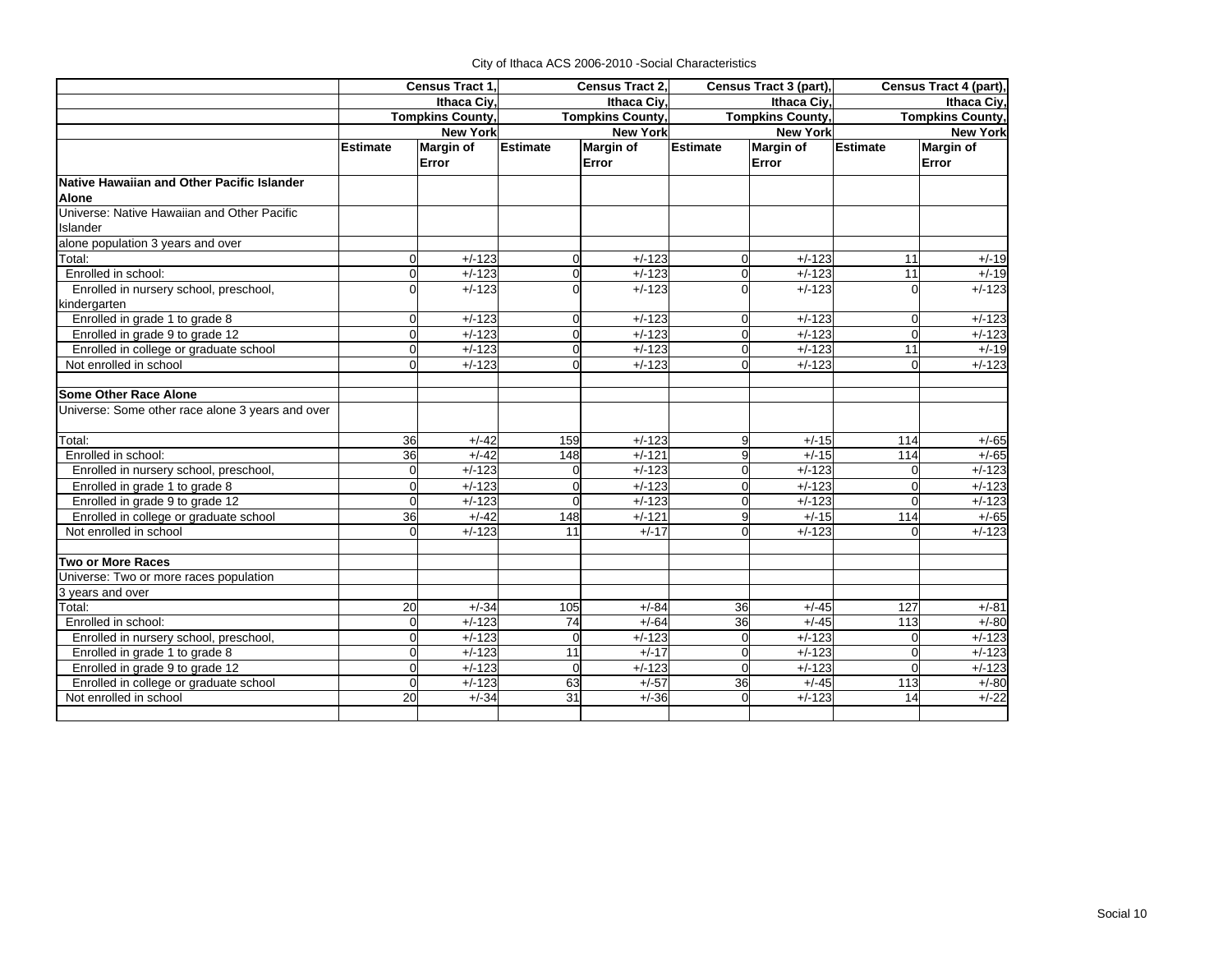|                                                  | Census Tract 1. |                         | Census Tract 2, |                         | Census Tract 3 (part), |                         | Census Tract 4 (part),  |                 |  |
|--------------------------------------------------|-----------------|-------------------------|-----------------|-------------------------|------------------------|-------------------------|-------------------------|-----------------|--|
|                                                  |                 | <b>Ithaca Civ</b>       |                 | Ithaca Civ.             |                        | Ithaca Ciy,             |                         | Ithaca Civ.     |  |
|                                                  |                 | <b>Tompkins County,</b> |                 | <b>Tompkins County,</b> |                        | <b>Tompkins County,</b> | <b>Tompkins County,</b> |                 |  |
|                                                  |                 | <b>New York</b>         | <b>New York</b> |                         |                        | <b>New York</b>         |                         | <b>New York</b> |  |
|                                                  | <b>Estimate</b> | <b>Margin of</b>        | <b>Estimate</b> | <b>Margin of</b>        | Estimate               | <b>Margin of</b>        | <b>Estimate</b>         | Margin of       |  |
|                                                  |                 | Error                   |                 | Error                   |                        | Error                   |                         | Error           |  |
| Native Hawaiian and Other Pacific Islander       |                 |                         |                 |                         |                        |                         |                         |                 |  |
| Alone                                            |                 |                         |                 |                         |                        |                         |                         |                 |  |
| Universe: Native Hawaiian and Other Pacific      |                 |                         |                 |                         |                        |                         |                         |                 |  |
| Islander                                         |                 |                         |                 |                         |                        |                         |                         |                 |  |
| alone population 3 years and over                |                 |                         |                 |                         |                        |                         |                         |                 |  |
| Total:                                           | $\Omega$        | $+/-123$                | $\mathbf 0$     | $+/-123$                | $\Omega$               | $+/-123$                | 11                      | $+/-19$         |  |
| Enrolled in school:                              | $\Omega$        | $+/-123$                | $\mathbf 0$     | $+/-123$                | $\overline{0}$         | $+/-123$                | 11                      | $+/-19$         |  |
| Enrolled in nursery school, preschool,           | U               | $+/-123$                | $\Omega$        | $+/-123$                | $\Omega$               | $+/-123$                | $\Omega$                | $+/-123$        |  |
| kindergarten                                     |                 |                         |                 |                         |                        |                         |                         |                 |  |
| Enrolled in grade 1 to grade 8                   | $\Omega$        | $+/-123$                | $\mathbf 0$     | $+/-123$                | $\Omega$               | $+/-123$                | $\mathbf 0$             | $+/-123$        |  |
| Enrolled in grade 9 to grade 12                  | $\Omega$        | $+/-123$                | $\Omega$        | $+/-123$                | $\Omega$               | $+/-123$                | $\Omega$                | $+/-123$        |  |
| Enrolled in college or graduate school           | $\Omega$        | $+/-123$                | $\Omega$        | $+/-123$                | <sub>0</sub>           | $+/-123$                | $\overline{11}$         | $+/-19$         |  |
| Not enrolled in school                           | $\Omega$        | $+/-123$                | $\Omega$        | $+/-123$                | $\Omega$               | $+/-123$                | $\Omega$                | $+/-123$        |  |
| <b>Some Other Race Alone</b>                     |                 |                         |                 |                         |                        |                         |                         |                 |  |
| Universe: Some other race alone 3 years and over |                 |                         |                 |                         |                        |                         |                         |                 |  |
| Total:                                           | 36              | $+/-42$                 | 159             | $+/-123$                | 9                      | $+/-15$                 | 114                     | $+/-65$         |  |
| Enrolled in school:                              | 36              | $+/-42$                 | 148             | $+/-121$                | 9                      | $+/-15$                 | 114                     | $+/-65$         |  |
| Enrolled in nursery school, preschool,           | $\overline{0}$  | $+/-123$                | $\mathbf 0$     | $+/-123$                | $\Omega$               | $+/-123$                | $\Omega$                | $+/-123$        |  |
| Enrolled in grade 1 to grade 8                   | $\Omega$        | $+/-123$                | $\Omega$        | $+/-123$                | <sub>0</sub>           | $+/-123$                | $\Omega$                | $+/-123$        |  |
| Enrolled in grade 9 to grade 12                  | $\Omega$        | $+/-123$                | $\Omega$        | $+/-123$                | $\Omega$               | $+/-123$                | $\Omega$                | $+/-123$        |  |
| Enrolled in college or graduate school           | 36              | $+/-42$                 | 148             | $+/-121$                | 9                      | $+/-15$                 | 114                     | $+/-65$         |  |
| Not enrolled in school                           | $\Omega$        | $+/-123$                | 11              | $+/-17$                 | $\Omega$               | $+/-123$                |                         | $+/-123$        |  |
| <b>Two or More Races</b>                         |                 |                         |                 |                         |                        |                         |                         |                 |  |
| Universe: Two or more races population           |                 |                         |                 |                         |                        |                         |                         |                 |  |
| 3 years and over                                 |                 |                         |                 |                         |                        |                         |                         |                 |  |
| Total:                                           | 20              | $+/-34$                 | 105             | $+/-84$                 | 36                     | $+/-45$                 | 127                     | $+/-81$         |  |
| Enrolled in school:                              | $\Omega$        | $+/-123$                | 74              | $+/-64$                 | 36                     | $+/-45$                 | 113                     | $+/-80$         |  |
| Enrolled in nursery school, preschool,           | $\Omega$        | $+/-123$                | $\mathbf 0$     | $+/-123$                | $\overline{0}$         | $+/-123$                | $\Omega$                | $+/-123$        |  |
| Enrolled in grade 1 to grade 8                   | oΙ              | $+/-123$                | $\overline{11}$ | $+/-17$                 | $\overline{0}$         | $+/-123$                | $\Omega$                | $+/-123$        |  |
| Enrolled in grade 9 to grade 12                  | oΙ              | $+/-123$                | $\mathbf 0$     | $+/-123$                | $\Omega$               | $+/-123$                | $\Omega$                | $+/-123$        |  |
| Enrolled in college or graduate school           | $\Omega$        | $+/-123$                | 63              | $+/-57$                 | 36                     | $+/-45$                 | 113                     | $+/-80$         |  |
| Not enrolled in school                           | 20              | $+/-34$                 | 31              | $+/-36$                 | $\Omega$               | $+/-123$                | 14                      | $+/-22$         |  |
|                                                  |                 |                         |                 |                         |                        |                         |                         |                 |  |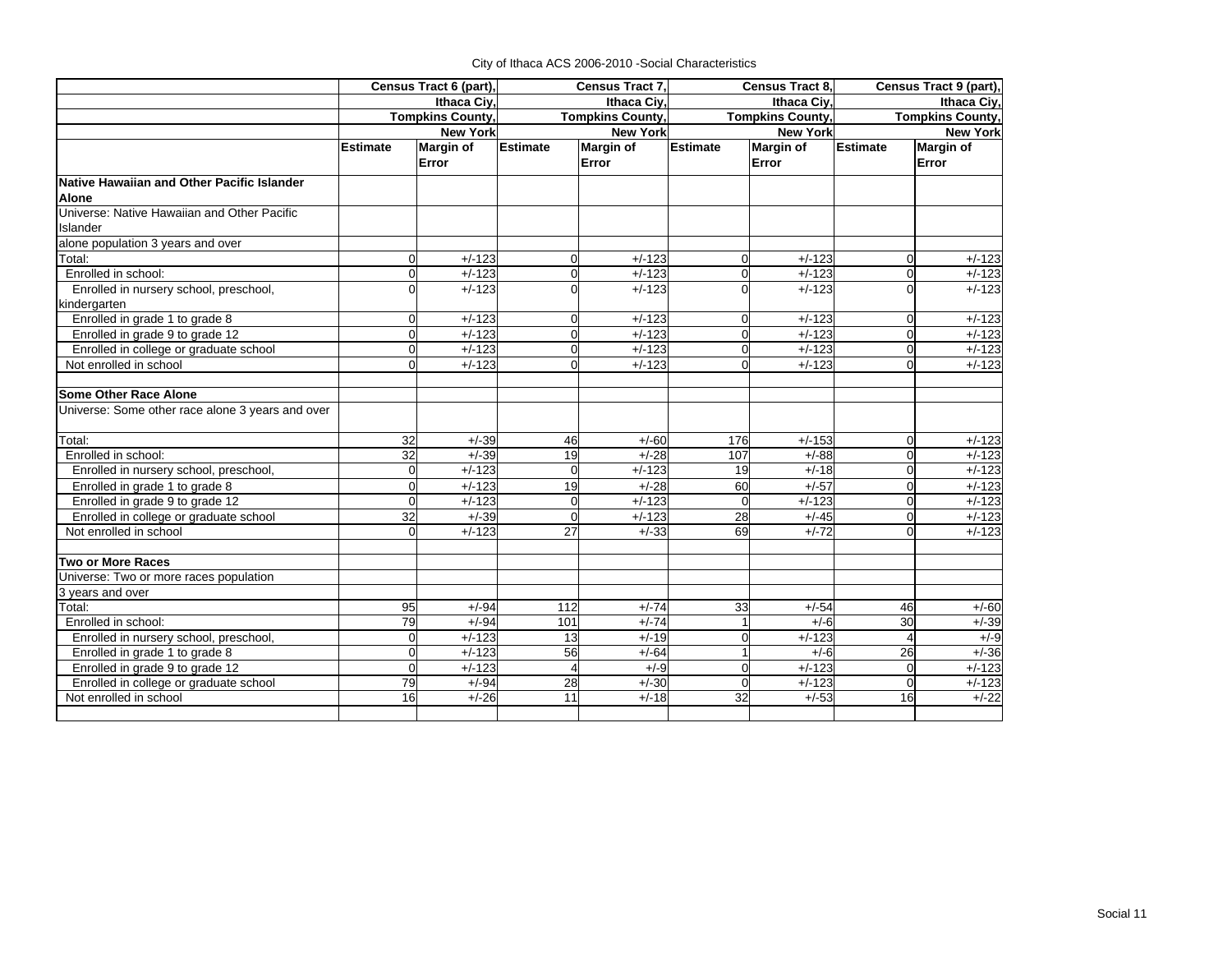|                                                  | Census Tract 6 (part), |                         | Census Tract 7, |                         |                 | Census Tract 8,         | Census Tract 9 (part),  |                  |
|--------------------------------------------------|------------------------|-------------------------|-----------------|-------------------------|-----------------|-------------------------|-------------------------|------------------|
|                                                  |                        | Ithaca Ciy,             | Ithaca Civ.     |                         |                 | Ithaca Civ.             | Ithaca Civ.             |                  |
|                                                  |                        | <b>Tompkins County,</b> |                 | <b>Tompkins County,</b> |                 | <b>Tompkins County,</b> | <b>Tompkins County,</b> |                  |
|                                                  |                        | <b>New York</b>         |                 | <b>New York</b>         |                 | <b>New York</b>         |                         | <b>New York</b>  |
|                                                  | <b>Estimate</b>        | <b>Margin of</b>        | <b>Estimate</b> | <b>Margin of</b>        | <b>Estimate</b> | <b>Margin of</b>        | <b>Estimate</b>         | <b>Margin of</b> |
|                                                  |                        | Error                   |                 | Error                   |                 | Error                   |                         | Error            |
| Native Hawaiian and Other Pacific Islander       |                        |                         |                 |                         |                 |                         |                         |                  |
| <b>Alone</b>                                     |                        |                         |                 |                         |                 |                         |                         |                  |
| Universe: Native Hawaiian and Other Pacific      |                        |                         |                 |                         |                 |                         |                         |                  |
| Islander                                         |                        |                         |                 |                         |                 |                         |                         |                  |
| alone population 3 years and over                |                        |                         |                 |                         |                 |                         |                         |                  |
| Total:                                           | ი                      | $+/-123$                | $\overline{0}$  | $+/-123$                | $\overline{0}$  | $+/-123$                | $\overline{0}$          | $+/-123$         |
| Enrolled in school:                              | O                      | $+/-123$                | $\overline{0}$  | $+/-123$                | $\mathbf 0$     | $+/-123$                | $\overline{0}$          | $+/-123$         |
| Enrolled in nursery school, preschool,           |                        | $+/-123$                | $\Omega$        | $+/-123$                | $\overline{0}$  | $+/-123$                | $\Omega$                | $+/-123$         |
| kindergarten                                     |                        |                         |                 |                         |                 |                         |                         |                  |
| Enrolled in grade 1 to grade 8                   | ი                      | $+/-123$                | $\Omega$        | $+/-123$                | $\overline{0}$  | $+/-123$                | $\Omega$                | $+/-123$         |
| Enrolled in grade 9 to grade 12                  |                        | $+/-123$                | $\Omega$        | $+/-123$                | $\Omega$        | $+/-123$                | $\Omega$                | $+/-123$         |
| Enrolled in college or graduate school           |                        | $+/-123$                | $\Omega$        | $+/-123$                | $\Omega$        | $+/-123$                | $\Omega$                | $+/-123$         |
| Not enrolled in school                           |                        | $+/-123$                | $\Omega$        | $+/-123$                | $\Omega$        | $+/-123$                | $\Omega$                | $+/-123$         |
| Some Other Race Alone                            |                        |                         |                 |                         |                 |                         |                         |                  |
| Universe: Some other race alone 3 years and over |                        |                         |                 |                         |                 |                         |                         |                  |
| Total:                                           | 32                     | $+/-39$                 | 46              | $+/-60$                 | 176             | $+/-153$                | $\overline{0}$          | $+/-123$         |
| Enrolled in school:                              | 32                     | $+/-39$                 | 19              | $+/-28$                 | 107             | $+/-88$                 | $\Omega$                | $+/-123$         |
| Enrolled in nursery school, preschool,           | O                      | $+/-123$                | $\Omega$        | $+/-123$                | 19              | $+/-18$                 | $\Omega$                | $+/-123$         |
| Enrolled in grade 1 to grade 8                   |                        | $+/-123$                | 19              | $+/-28$                 | 60              | $+/-57$                 | $\Omega$                | $+/-123$         |
| Enrolled in grade 9 to grade 12                  | ი                      | $+/-123$                | $\Omega$        | $+/-123$                | $\Omega$        | $+/-123$                | $\Omega$                | $+/-123$         |
| Enrolled in college or graduate school           | 32                     | $+/-39$                 | $\Omega$        | $+/-123$                | 28              | $+/-45$                 | $\Omega$                | $+/-123$         |
| Not enrolled in school                           | $\Omega$               | $+/-123$                | 27              | $+/-33$                 | 69              | $+/-72$                 | $\Omega$                | $+/-123$         |
| <b>Two or More Races</b>                         |                        |                         |                 |                         |                 |                         |                         |                  |
| Universe: Two or more races population           |                        |                         |                 |                         |                 |                         |                         |                  |
| 3 years and over                                 |                        |                         |                 |                         |                 |                         |                         |                  |
| Total:                                           | 95                     | $+/-94$                 | 112             | $+/-74$                 | 33              | $+/-54$                 | 46                      | $+/-60$          |
| Enrolled in school:                              | 79                     | $+/-94$                 | 101             | $+/-74$                 | $\mathbf{1}$    | $+/-6$                  | 30                      | $+/-39$          |
| Enrolled in nursery school, preschool,           | 0                      | $+/-123$                | 13              | $+/-19$                 | $\mathbf 0$     | $+/-123$                | $\overline{4}$          | $+/-9$           |
| Enrolled in grade 1 to grade 8                   | O                      | $+/-123$                | 56              | $+/-64$                 | 1               | $+/-6$                  | 26                      | $+/-36$          |
| Enrolled in grade 9 to grade 12                  | 0                      | $+/-123$                | $\overline{4}$  | $+/-9$                  | $\overline{0}$  | $+/-123$                | $\Omega$                | $+/-123$         |
| Enrolled in college or graduate school           | 79                     | $+/-94$                 | 28              | $+/-30$                 | $\Omega$        | $+/-123$                | $\Omega$                | $+/-123$         |
| Not enrolled in school                           | 16                     | $+/-26$                 | 11              | $+/-18$                 | 32              | $+/-53$                 | 16                      | $+/-22$          |
|                                                  |                        |                         |                 |                         |                 |                         |                         |                  |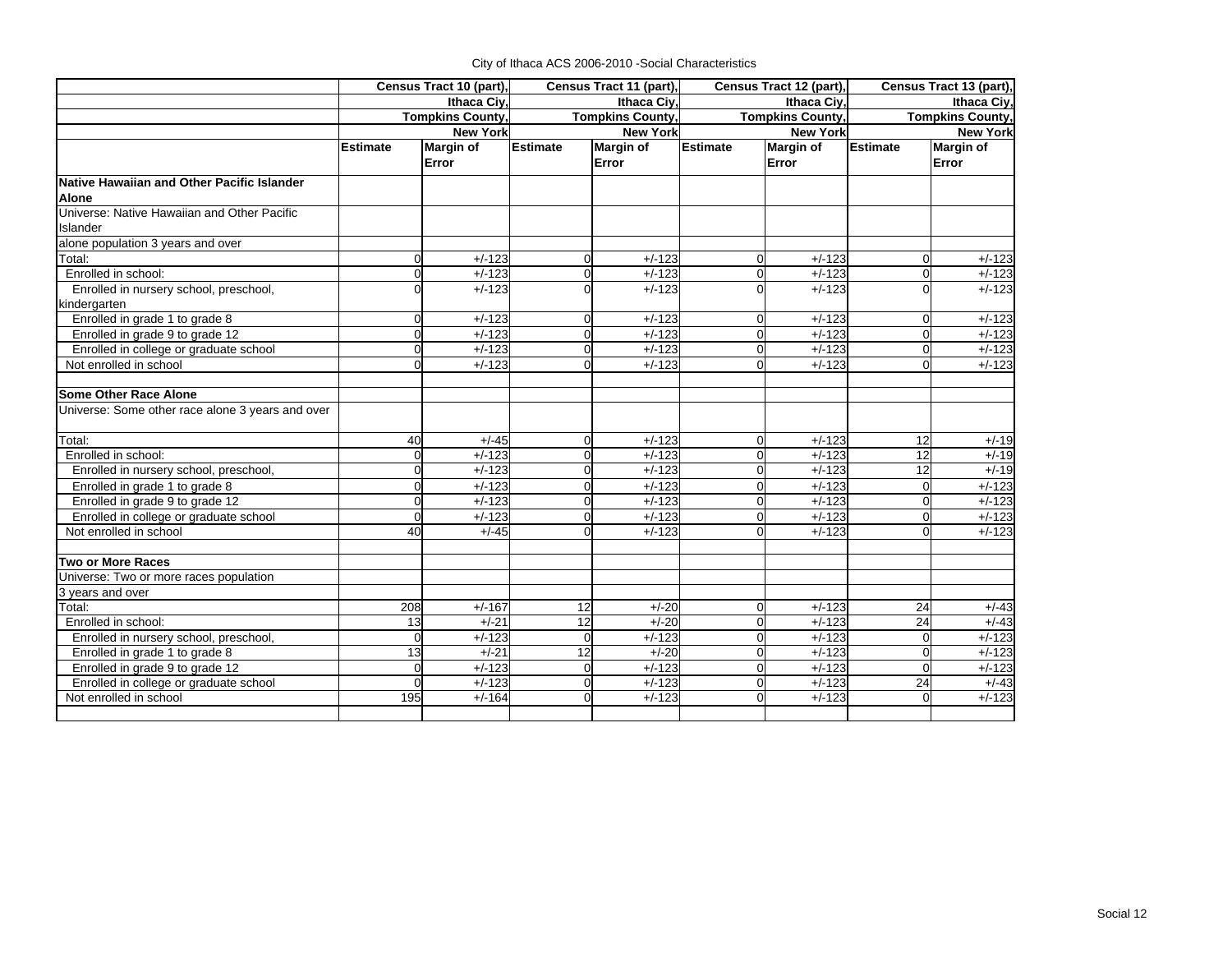|                                                  | Census Tract 10 (part), |                         | Census Tract 11 (part),<br>Census Tract 12 (part), |                         |                         | Census Tract 13 (part), |                         |                  |
|--------------------------------------------------|-------------------------|-------------------------|----------------------------------------------------|-------------------------|-------------------------|-------------------------|-------------------------|------------------|
|                                                  |                         | Ithaca Civ.             |                                                    | Ithaca Civ.             | Ithaca Civ.             |                         | Ithaca Civ.             |                  |
|                                                  |                         | <b>Tompkins County,</b> |                                                    | <b>Tompkins County,</b> | <b>Tompkins County,</b> |                         | <b>Tompkins County,</b> |                  |
|                                                  |                         | <b>New York</b>         |                                                    | <b>New York</b>         |                         | <b>New York</b>         | <b>New York</b>         |                  |
|                                                  | <b>Estimate</b>         | <b>Margin of</b>        | <b>Estimate</b>                                    | <b>Margin of</b>        | <b>Estimate</b>         | <b>Margin of</b>        | <b>Estimate</b>         | <b>Margin of</b> |
|                                                  |                         | Error                   |                                                    | Error                   |                         | Error                   |                         | Error            |
| Native Hawaiian and Other Pacific Islander       |                         |                         |                                                    |                         |                         |                         |                         |                  |
| <b>Alone</b>                                     |                         |                         |                                                    |                         |                         |                         |                         |                  |
| Universe: Native Hawaiian and Other Pacific      |                         |                         |                                                    |                         |                         |                         |                         |                  |
| Islander                                         |                         |                         |                                                    |                         |                         |                         |                         |                  |
| alone population 3 years and over                |                         |                         |                                                    |                         |                         |                         |                         |                  |
| Total:                                           | $\overline{0}$          | $+/-123$                | $\overline{0}$                                     | $+/-123$                | $\Omega$                | $+/-123$                | $\Omega$                | $+/-123$         |
| Enrolled in school:                              | $\mathbf 0$             | $+/-123$                | 0                                                  | $+/-123$                | $\Omega$                | $+/-123$                | 0                       | $+/-123$         |
| Enrolled in nursery school, preschool,           | $\Omega$                | $+/-123$                | $\Omega$                                           | $+/-123$                | $\Omega$                | $+/-123$                | ∩                       | $+/-123$         |
| kindergarten                                     |                         |                         |                                                    |                         |                         |                         |                         |                  |
| Enrolled in grade 1 to grade 8                   | $\overline{0}$          | $+/-123$                | $\Omega$                                           | $+/-123$                | $\Omega$                | $+/-123$                | $\Omega$                | $+/-123$         |
| Enrolled in grade 9 to grade 12                  | $\Omega$                | $+/-123$                | $\Omega$                                           | $+/-123$                | $\Omega$                | $+/-123$                |                         | $+/-123$         |
| Enrolled in college or graduate school           | $\Omega$                | $+/-123$                | $\Omega$                                           | $+/-123$                | $\Omega$                | $+/-123$                | $\Omega$                | $+/-123$         |
| Not enrolled in school                           | $\Omega$                | $+/-123$                | $\Omega$                                           | $+/-123$                | $\Omega$                | $+/-123$                |                         | $+/-123$         |
| <b>Some Other Race Alone</b>                     |                         |                         |                                                    |                         |                         |                         |                         |                  |
| Universe: Some other race alone 3 years and over |                         |                         |                                                    |                         |                         |                         |                         |                  |
|                                                  |                         |                         |                                                    |                         |                         |                         |                         |                  |
| Total:                                           | 40                      | $+/-45$                 | 0                                                  | $+/-123$                | $\Omega$                | $+/-123$                | 12                      | $+/-19$          |
| Enrolled in school:                              | $\Omega$                | $+/-123$                | 0                                                  | $+/-123$                | $\overline{0}$          | $+/-123$                | 12                      | $+/-19$          |
| Enrolled in nursery school, preschool,           | $\overline{0}$          | $+/-123$                | $\Omega$                                           | $+/-123$                | $\Omega$                | $+/-123$                | 12                      | $+/-19$          |
| Enrolled in grade 1 to grade 8                   | $\Omega$                | $+/-123$                | $\Omega$                                           | $+/-123$                | $\Omega$                | $+/-123$                | $\Omega$                | $+/-123$         |
| Enrolled in grade 9 to grade 12                  | $\Omega$                | $+/-123$                | $\Omega$                                           | $+/-123$                | $\Omega$                | $+/-123$                | $\Omega$                | $+/-123$         |
| Enrolled in college or graduate school           | $\Omega$                | $+/-123$                | $\Omega$                                           | $+/-123$                | $\Omega$                | $+/-123$                | $\Omega$                | $+/-123$         |
| Not enrolled in school                           | 40                      | $+/-45$                 | $\Omega$                                           | $+/-123$                | $\Omega$                | $+/-123$                |                         | $+/-123$         |
| <b>Two or More Races</b>                         |                         |                         |                                                    |                         |                         |                         |                         |                  |
| Universe: Two or more races population           |                         |                         |                                                    |                         |                         |                         |                         |                  |
| 3 years and over                                 |                         |                         |                                                    |                         |                         |                         |                         |                  |
| Total:                                           | 208                     | $+/-167$                | 12                                                 | $+/-20$                 | $\Omega$                | $+/-123$                | 24                      | $+/-43$          |
| Enrolled in school:                              | 13                      | $+/-21$                 | 12                                                 | $+/-20$                 | $\Omega$                | $+/-123$                | 24                      | $+/-43$          |
| Enrolled in nursery school, preschool,           | $\overline{0}$          | $+/-123$                | $\Omega$                                           | $+/-123$                | $\Omega$                | $+/-123$                | $\Omega$                | $+/-123$         |
| Enrolled in grade 1 to grade 8                   | 13                      | $+/-21$                 | $\overline{12}$                                    | $+/-20$                 | $\Omega$                | $+/-123$                | $\Omega$                | $+/-123$         |
| Enrolled in grade 9 to grade 12                  | $\overline{0}$          | $+/-123$                | $\Omega$                                           | $+/-123$                | $\Omega$                | $+/-123$                | $\Omega$                | $+/-123$         |
| Enrolled in college or graduate school           | $\Omega$                | $+/-123$                | $\Omega$                                           | $+/-123$                | $\Omega$                | $+/-123$                | 24                      | $+/-43$          |
| Not enrolled in school                           | 195                     | $+/-164$                | $\Omega$                                           | $+/-123$                | $\Omega$                | $+/-123$                | $\Omega$                | $+/-123$         |
|                                                  |                         |                         |                                                    |                         |                         |                         |                         |                  |
|                                                  |                         |                         |                                                    |                         |                         |                         |                         |                  |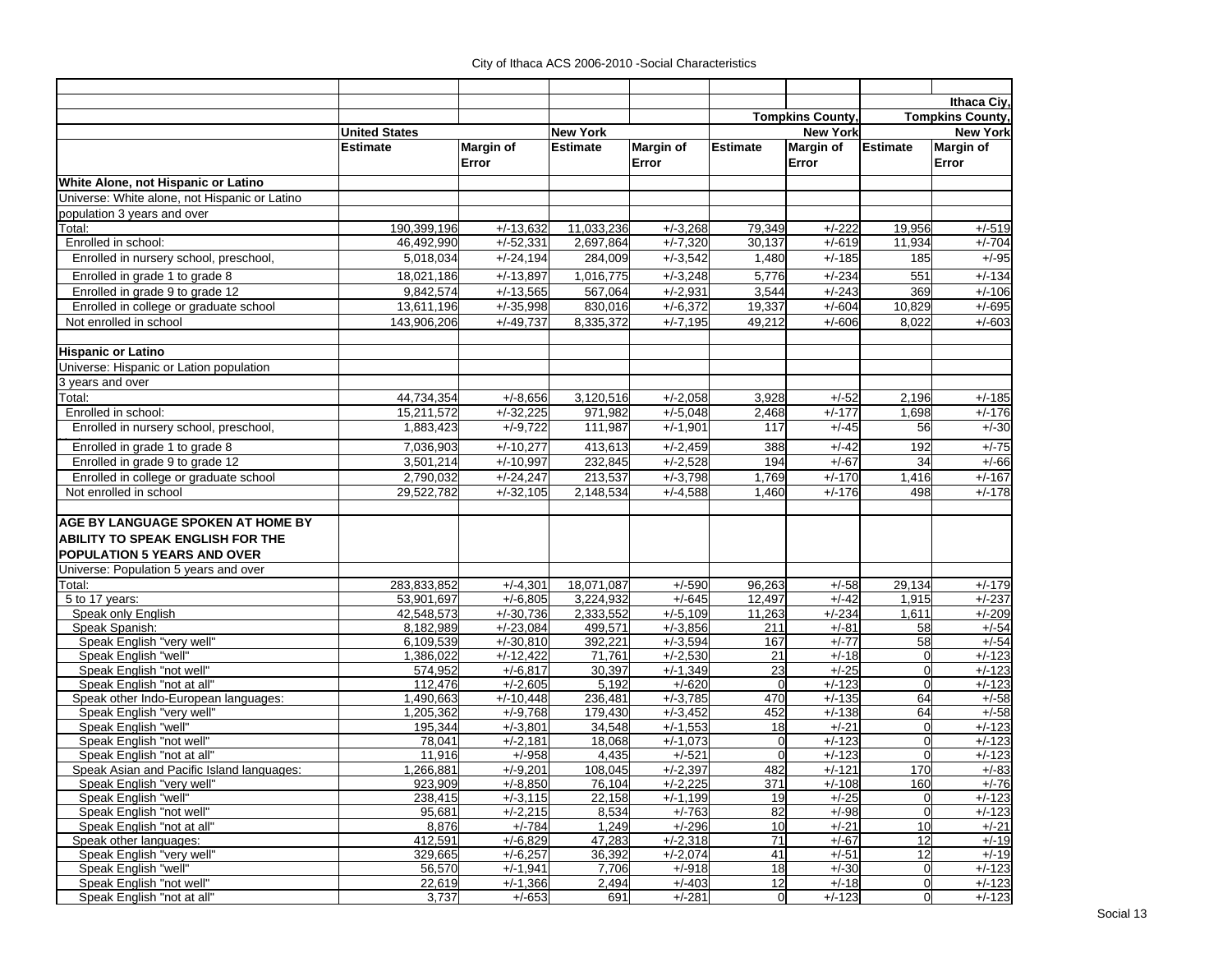|                                               |                        |                            |                    |                          |                         |                    |                         | Ithaca Ciy,        |
|-----------------------------------------------|------------------------|----------------------------|--------------------|--------------------------|-------------------------|--------------------|-------------------------|--------------------|
|                                               |                        |                            |                    |                          | <b>Tompkins County,</b> |                    | <b>Tompkins County,</b> |                    |
|                                               | <b>United States</b>   |                            | <b>New York</b>    |                          |                         | <b>New York</b>    |                         | <b>New York</b>    |
|                                               | <b>Estimate</b>        | Margin of                  | <b>Estimate</b>    | <b>Margin of</b>         | <b>Estimate</b>         | Margin of          | <b>Estimate</b>         | Margin of          |
|                                               |                        | Error                      |                    | Error                    |                         | Error              |                         | Error              |
|                                               |                        |                            |                    |                          |                         |                    |                         |                    |
| White Alone, not Hispanic or Latino           |                        |                            |                    |                          |                         |                    |                         |                    |
| Universe: White alone, not Hispanic or Latino |                        |                            |                    |                          |                         |                    |                         |                    |
| population 3 years and over                   |                        |                            |                    |                          |                         |                    |                         |                    |
| Total:                                        | 190,399,196            | $+/-13,632$                | 11,033,236         | $+/-3,268$               | 79,349                  | $+/-222$           | 19,956                  | $+/-519$           |
| Enrolled in school:                           | 46,492,990             | $+\sqrt{-52,331}$          | 2,697,864          | $+/-7,320$               | 30,137                  | $+/-619$           | 11,934                  | $+/-704$           |
| Enrolled in nursery school, preschool,        | 5,018,034              | $+/-24,194$                | 284,009            | $+/-3,542$               | 1,480                   | $+/-185$           | 185                     | $+/-95$            |
| Enrolled in grade 1 to grade 8                | 18,021,186             | $+/-13,897$                | 1.016.775          | $+/-3,248$               | 5,776                   | $+/-234$           | 551                     | $+/-134$           |
| Enrolled in grade 9 to grade 12               | 9,842,574              | $+/-13,565$                | 567,064            | $+/-2,931$               | 3,544                   | $+/-243$           | 369                     | $+/-106$           |
| Enrolled in college or graduate school        | 13,611,196             | $+/-35,998$                | 830,016            | $+/-6.372$               | 19,337                  | $+/-604$           | 10,829                  | $+/-695$           |
| Not enrolled in school                        | 143,906,206            | $+/-49,737$                | 8,335,372          | $+/-7,195$               | 49,212                  | $+/-606$           | 8,022                   | $+/-603$           |
|                                               |                        |                            |                    |                          |                         |                    |                         |                    |
| <b>Hispanic or Latino</b>                     |                        |                            |                    |                          |                         |                    |                         |                    |
| Universe: Hispanic or Lation population       |                        |                            |                    |                          |                         |                    |                         |                    |
| 3 years and over                              |                        |                            |                    |                          |                         |                    |                         |                    |
| Total:                                        | 44,734,354             | $+/-8,656$                 | 3,120,516          | $+/-2,058$               | 3,928                   | $+/-52$            | 2,196                   | $+/-185$           |
| Enrolled in school:                           | 15,211,572             | $+/-32,225$                | 971,982            | $+/-5,048$               | 2,468                   | $+/-177$           | 1,698                   | $+/-176$           |
| Enrolled in nursery school, preschool,        | 1,883,423              | $+/-9,722$                 | 111,987            | $+/-1,901$               | 117                     | $+/-45$            | 56                      | $+/-30$            |
| Enrolled in grade 1 to grade 8                | 7,036,903              | $+/-10,277$                | 413,613            | $+/-2,459$               | 388                     | $+/-42$            | 192                     | $+/-75$            |
| Enrolled in grade 9 to grade 12               | 3,501,214              | $+/-10,997$                | 232,845            | $+/-2,528$               | 194                     | $+/-67$            | 34                      | $+/-66$            |
| Enrolled in college or graduate school        | 2,790,032              | $+/-24,247$                | 213,537            | $+/-3,798$               | 1,769                   | $+/-170$           | 1,416                   | $+/-167$           |
| Not enrolled in school                        | 29,522,782             | $+/-32,105$                | 2,148,534          | $+/-4,588$               | 1,460                   | $+/-176$           | 498                     | $+/-178$           |
|                                               |                        |                            |                    |                          |                         |                    |                         |                    |
| AGE BY LANGUAGE SPOKEN AT HOME BY             |                        |                            |                    |                          |                         |                    |                         |                    |
|                                               |                        |                            |                    |                          |                         |                    |                         |                    |
| <b>ABILITY TO SPEAK ENGLISH FOR THE</b>       |                        |                            |                    |                          |                         |                    |                         |                    |
| <b>POPULATION 5 YEARS AND OVER</b>            |                        |                            |                    |                          |                         |                    |                         |                    |
| Universe: Population 5 years and over         |                        |                            |                    |                          |                         |                    |                         |                    |
| Total:                                        | 283,833,852            | $+/-4,301$                 | 18,071,087         | $+/-590$                 | 96,263                  | $+/-58$            | 29,134                  | $+/-179$           |
| 5 to 17 years:                                | 53,901,697             | $+/-6,805$                 | 3,224,932          | $+/-645$                 | 12,497                  | $+/-42$            | 1,915                   | $+/-237$           |
| Speak only English                            | 42,548,573             | $+/-30,736$                | 2,333,552          | $+/-5,109$               | 11,263                  | $+/-234$           | $\overline{1,611}$      | $+/-209$           |
| Speak Spanish:<br>Speak English "very well"   | 8,182,989              | $+/-23,084$<br>$+/-30,810$ | 499,571<br>392,221 | $+/-3,856$<br>$+/-3,594$ | 211<br>167              | $+/-81$<br>$+/-77$ | 58<br>58                | $+/-54$<br>$+/-54$ |
| Speak English "well"                          | 6,109,539<br>1,386,022 | $+/-12,422$                | 71,761             | $+/-2,530$               | 21                      | $+/-18$            | $\mathbf 0$             | $+/-123$           |
| Speak English "not well"                      | $\overline{574,952}$   | $+/-6,817$                 | 30,397             | $+/-1,349$               | 23                      | $+/-25$            | $\mathbf 0$             | $+/-123$           |
| Speak English "not at all"                    | 112,476                | $+/-2,605$                 | 5,192              | $+/-620$                 | $\mathbf 0$             | $+/-123$           | $\mathbf 0$             | $+/-123$           |
| Speak other Indo-European languages:          | 1,490,663              | $+/-10,448$                | 236,481            | $+/-3,785$               | 470                     | $+/-135$           | 64                      | $+/-58$            |
| Speak English "very well"                     | 1,205,362              | $+/-9.768$                 | 179,430            | $+/-3,452$               | 452                     | $+/-138$           | 64                      | $+/-58$            |
| Speak English "well'                          | 195.344                | $+\sqrt{-3,801}$           | 34,548             | $+\sqrt{-1,553}$         | 18                      | $+/-21$            | $\mathbf 0$             | $+/-123$           |
| Speak English "not well"                      | 78,041                 | $+/-2,181$                 | 18,068             | $+/-1,073$               | $\mathbf 0$             | $+/-123$           | $\mathbf 0$             | $+/-123$           |
| Speak English "not at all"                    | 11,916                 | $+/-958$                   | 4,435              | $+/-521$                 | $\mathbf 0$             | $+/-123$           | $\Omega$                | $+/-123$           |
| Speak Asian and Pacific Island languages:     | 1,266,881              | $+/-9,201$                 | 108,045            | $+/-2,397$               | 482                     | $+/-121$           | <b>170</b>              | $+/-83$            |
| Speak English "very well"                     | 923,909                | $+/-8,850$                 | 76,104             | $+/-2,225$               | 371                     | $+/-108$           | 160                     | $+/-76$            |
| Speak English "well"                          | 238,415                | $+/-3,115$                 | 22,158             | $+/-1.199$               | 19                      | $+/-25$            | $\overline{0}$          | $+/-123$           |
| Speak English "not well"                      | 95,681                 | $+/-2,215$                 | 8,534              | $+/-763$                 | 82                      | $+/-98$            | $\mathbf 0$             | $+/-123$           |
| Speak English "not at all"                    | 8,876                  | $+/-784$                   | 1,249              | $+/-296$                 | 10                      | $+/-21$            | 10                      | $+/-21$            |
| Speak other languages:                        | 412,591                | $+/-6,829$                 | 47,283             | $+/-2,318$               | 71                      | $+/-67$            | 12                      | $+/-19$            |
| Speak English "very well"                     | 329,665                | $+/-6,257$                 | 36,392             | $+/-2.074$               | 41                      | $+/-51$            | 12                      | $+/-19$            |
| Speak English "well"                          | 56,570                 | $+/-1,941$                 | 7,706              | $+/-918$                 | 18                      | $+/-30$            | $\mathbf 0$             | $+/-123$           |
| Speak English "not well"                      | 22,619                 | $+/-1,366$                 | 2,494              | $+/-403$                 | 12                      | $+/-18$            | $\overline{0}$          | $+/-123$           |
| Speak English "not at all"                    | 3,737                  | $+/-653$                   | 691                | $+/-281$                 | $\overline{0}$          | $+/-123$           | $\mathbf 0$             | $+/-123$           |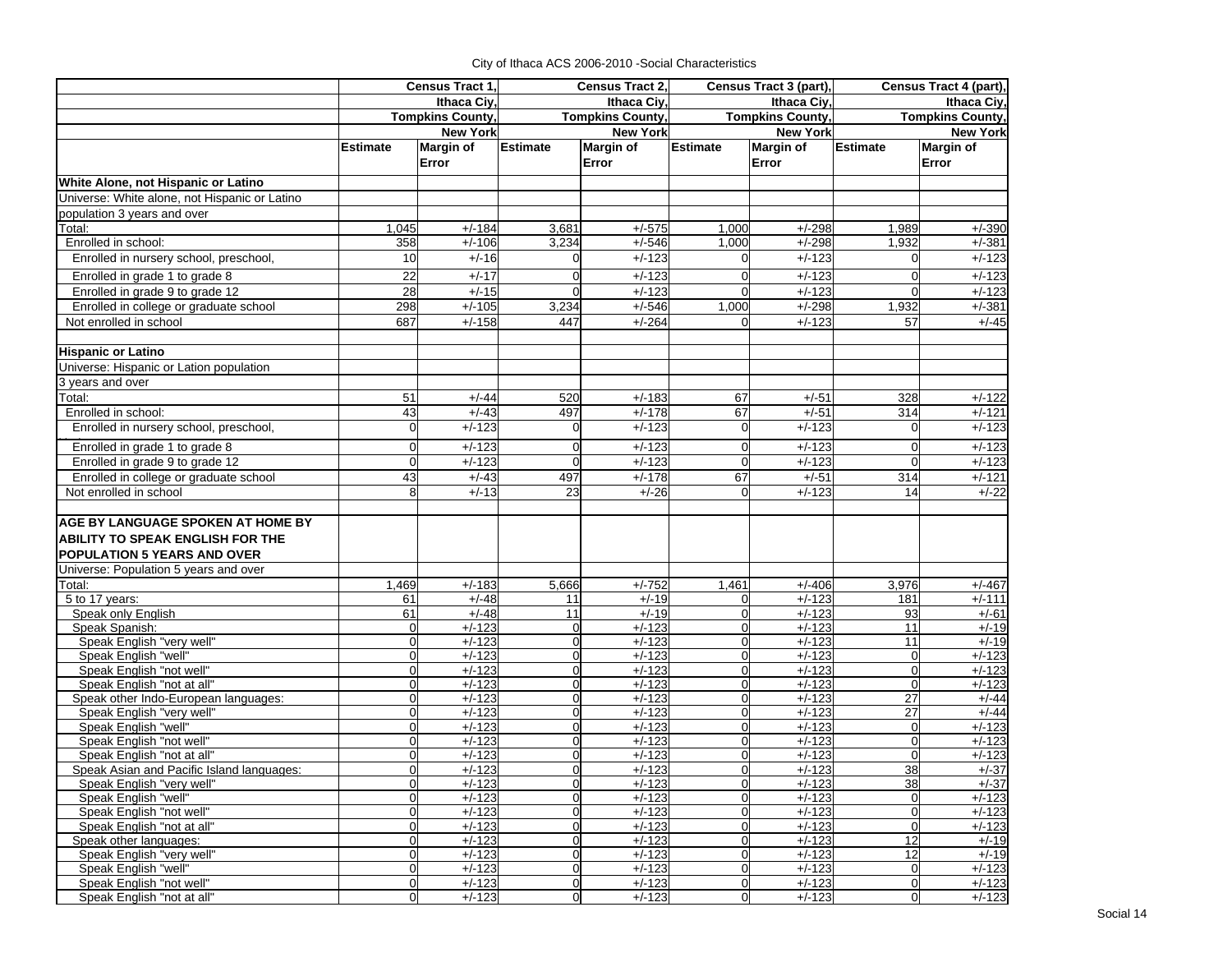|                                                        | Census Tract 1.      |                         | Census Tract 2,            |                      | Census Tract 3 (part), |                         | Census Tract 4 (part),  |                      |  |
|--------------------------------------------------------|----------------------|-------------------------|----------------------------|----------------------|------------------------|-------------------------|-------------------------|----------------------|--|
|                                                        | Ithaca Civ.          |                         |                            | Ithaca Civ.          |                        | Ithaca Ciy,             | Ithaca Ciy,             |                      |  |
|                                                        |                      | <b>Tompkins County,</b> | <b>Tompkins County,</b>    |                      |                        | <b>Tompkins County,</b> | <b>Tompkins County,</b> |                      |  |
|                                                        |                      | <b>New York</b>         |                            | <b>New York</b>      |                        | <b>New York</b>         | <b>New York</b>         |                      |  |
|                                                        | <b>Estimate</b>      | <b>Margin of</b>        | <b>Estimate</b>            | <b>Margin of</b>     | <b>Estimate</b>        | Margin of               | <b>Estimate</b>         | <b>Margin of</b>     |  |
|                                                        |                      | Error                   |                            | Error                |                        | Error                   |                         | Error                |  |
| White Alone, not Hispanic or Latino                    |                      |                         |                            |                      |                        |                         |                         |                      |  |
| Universe: White alone, not Hispanic or Latino          |                      |                         |                            |                      |                        |                         |                         |                      |  |
| population 3 years and over                            |                      |                         |                            |                      |                        |                         |                         |                      |  |
| Total:                                                 | 1,045                | $+/-184$                | 3,681                      | $+/-575$             | 1,000                  | $+/-298$                | 1,989                   | $+/-390$             |  |
| Enrolled in school:                                    | 358                  | $+/-106$                | 3,234                      | $+/-546$             | 1,000                  | $+/-298$                | 1,932                   | $+/-381$             |  |
| Enrolled in nursery school, preschool,                 | 10                   | $+/-16$                 | $\Omega$                   | $+/-123$             |                        | $+/-123$                | $\Omega$                | $+/-123$             |  |
| Enrolled in grade 1 to grade 8                         | 22                   | $+/-17$                 | $\mathbf 0$                | $+/-123$             | $\Omega$               | $+/-123$                | $\overline{0}$          | $+/-123$             |  |
| Enrolled in grade 9 to grade 12                        | 28                   | $+/-15$                 | $\mathbf 0$                | $+/-123$             |                        | $+/-123$                | $\overline{0}$          | $+/-123$             |  |
| Enrolled in college or graduate school                 | 298                  | $+/-105$                | 3,234                      | $+/-546$             | 1,000                  | $+/-298$                | 1,932                   | $+/-381$             |  |
| Not enrolled in school                                 | 687                  | $+/-158$                | 447                        | $+/-264$             |                        | $+/-123$                | 57                      | $+/-45$              |  |
|                                                        |                      |                         |                            |                      |                        |                         |                         |                      |  |
| <b>Hispanic or Latino</b>                              |                      |                         |                            |                      |                        |                         |                         |                      |  |
| Universe: Hispanic or Lation population                |                      |                         |                            |                      |                        |                         |                         |                      |  |
| 3 years and over                                       |                      |                         |                            |                      |                        |                         |                         |                      |  |
| Total:                                                 | 51                   | $+/-44$                 | 520                        | $+/-183$             | 67                     | $+/-51$                 | 328                     | $+\sqrt{-122}$       |  |
| Enrolled in school:                                    | 43                   | $+/-43$                 | 497                        | $+/-178$             | 67                     | $+/-51$                 | 314                     | $+/-121$             |  |
| Enrolled in nursery school, preschool,                 | $\Omega$             | $+/-123$                | $\mathbf 0$                | $+/-123$             | $\Omega$               | $+/-123$                | $\Omega$                | $+/-123$             |  |
| Enrolled in grade 1 to grade 8                         |                      | $+/-123$                | $\mathbf 0$                | $+/-123$             | $\Omega$               | $+/-123$                | $\mathbf 0$             | $+/-123$             |  |
| Enrolled in grade 9 to grade 12                        | $\Omega$             | $+/-123$                | $\mathbf 0$                | $+/-123$             | $\Omega$               | $+/-123$                | $\Omega$                | $+/-123$             |  |
| Enrolled in college or graduate school                 | 43                   | $+/-43$                 | 497                        | $+/-178$             | 67                     | $+/-51$                 | 314                     | $+/-121$             |  |
| Not enrolled in school                                 | 8                    | $+/-13$                 | 23                         | $+/-26$              |                        | $+/-123$                | 14                      | $+/-22$              |  |
|                                                        |                      |                         |                            |                      |                        |                         |                         |                      |  |
| <b>AGE BY LANGUAGE SPOKEN AT HOME BY</b>               |                      |                         |                            |                      |                        |                         |                         |                      |  |
| <b>ABILITY TO SPEAK ENGLISH FOR THE</b>                |                      |                         |                            |                      |                        |                         |                         |                      |  |
| <b>POPULATION 5 YEARS AND OVER</b>                     |                      |                         |                            |                      |                        |                         |                         |                      |  |
| Universe: Population 5 years and over                  |                      |                         |                            |                      |                        |                         |                         |                      |  |
| Total:                                                 | 1,469                | $+/-183$                | 5,666                      | $+/-752$             | 1,461                  | $+/-406$                | 3,976                   | $+/-467$             |  |
| 5 to 17 years:                                         | 61                   | $+/-48$                 | 11                         | $+/-19$              |                        | $+/-123$                | 181                     | $+/-111$             |  |
| Speak only English                                     | 61                   | $+/-48$                 | 11                         | $+/-19$              |                        | $+/-123$                | 93                      | $+/-61$              |  |
| Speak Spanish:                                         | $\Omega$             | $+/-123$                | $\boldsymbol{0}$           | $+/-123$             | $\Omega$               | $+/-123$                | 11                      | $+/-19$              |  |
| Speak English "very well"                              | $\Omega$             | $+/-123$                | $\mathbf 0$                | $+/-123$             | $\Omega$               | $+/-123$                | 11                      | $+/-19$              |  |
| Speak English "well"                                   | $\Omega$             | $+/-123$                | $\mathbf 0$                | $+/-123$             | $\Omega$               | $+/-123$                | $\overline{0}$          | $+/-123$             |  |
| Speak English "not well"                               | $\Omega$             | $+/-123$                | $\mathbf 0$                | $+/-123$             | $\Omega$               | $+/-123$                | $\mathbf 0$             | $+/-123$             |  |
| Speak English "not at all"                             | $\Omega$             | $+/-123$                | $\mathbf 0$                | $+/-123$             | $\Omega$               | $+/-123$                | $\mathbf 0$             | $+/-123$             |  |
| Speak other Indo-European languages:                   | $\Omega$             | $+/-123$                | $\mathbf 0$                | $+/-123$             | $\Omega$               | $+/-123$                | 27                      | $+/-44$              |  |
| Speak English "very well"                              | $\Omega$<br>$\Omega$ | $+/-123$                | $\mathbf 0$                | $+/-123$             | $\Omega$<br>$\Omega$   | $+/-123$                | 27                      | $+/-44$              |  |
| Speak English "well"                                   |                      | $+/-123$<br>$+/-123$    | $\mathbf 0$<br>$\mathbf 0$ | $+/-123$<br>$+/-123$ | $\Omega$               | $+/-123$<br>$+/-123$    | $\mathbf 0$<br>$\Omega$ | $+/-123$<br>$+/-123$ |  |
| Speak English "not well"<br>Speak English "not at all" |                      | $+/-123$                | $\overline{0}$             | $+/-123$             |                        | $+/-123$                | $\overline{0}$          | $+/-123$             |  |
| Speak Asian and Pacific Island languages:              | U                    | $+/-123$                | $\Omega$                   | $+/-123$             | $\Omega$               | $+/-123$                | 38                      | $+/-37$              |  |
| Speak English "very well"                              | $\Omega$             | $+/-123$                | $\mathbf 0$                | $+/-123$             | $\overline{0}$         | $+/-123$                | 38                      | $+/-37$              |  |
| Speak English "well"                                   |                      | $+/-123$                | $\mathbf 0$                | $+/-123$             | $\Omega$               | $+/-123$                | $\mathbf 0$             | $+/-123$             |  |
| Speak English "not well"                               | $\Omega$             | $+/-123$                | $\overline{0}$             | $+/-123$             | $\Omega$               | $+/-123$                | $\mathbf 0$             | $+/-123$             |  |
| Speak English "not at all"                             | $\Omega$             | $+/-123$                | $\overline{0}$             | $+/-123$             | $\Omega$               | $+/-123$                | $\overline{0}$          | $+/-123$             |  |
| Speak other languages:                                 | $\Omega$             | $+/-123$                | $\mathbf 0$                | $+/-123$             | $\overline{0}$         | $+/-123$                | 12                      | $+/-19$              |  |
| Speak English "very well"                              | $\Omega$             | $+/-123$                | $\mathbf 0$                | $+/-123$             | $\overline{0}$         | $+/-123$                | $\overline{12}$         | $+/-19$              |  |
| Speak English "well"                                   | $\Omega$             | $+/-123$                | $\mathbf 0$                | $+/-123$             | $\Omega$               | $+/-123$                | $\overline{0}$          | $+/-123$             |  |
| Speak English "not well"                               | $\overline{0}$       | $+/-123$                | $\mathbf 0$                | $+/-123$             | $\overline{0}$         | $+/-123$                | $\mathbf 0$             | $+/-123$             |  |
| Speak English "not at all"                             | $\overline{0}$       | $+/-123$                | $\overline{0}$             | $+/-123$             | $\overline{0}$         | $+/-123$                | $\overline{0}$          | $+/-123$             |  |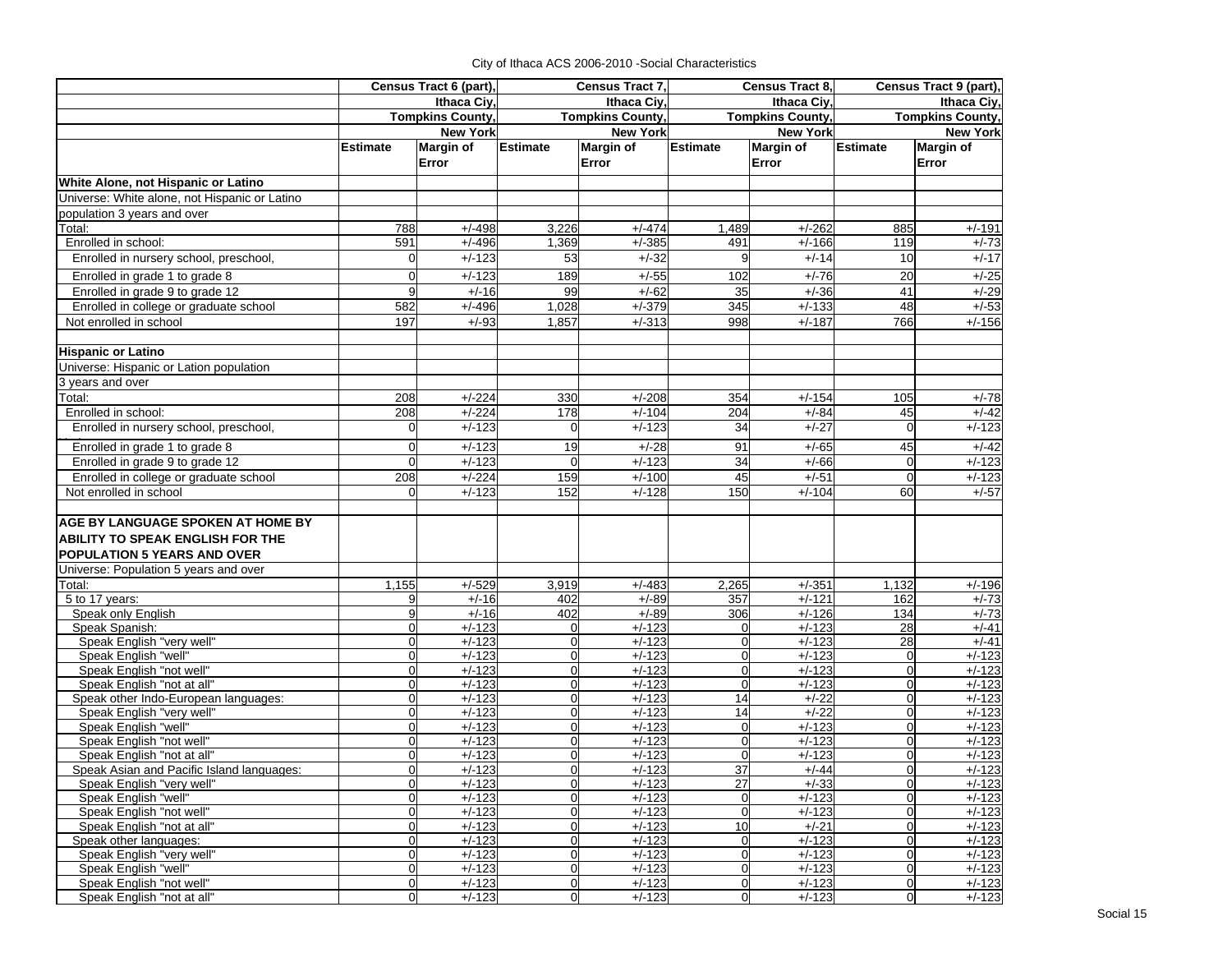|                                                        | Census Tract 6 (part),           |                         | <b>Census Tract 7.</b>     |                           | Census Tract 8,               |                           | Census Tract 9 (part),     |                           |  |
|--------------------------------------------------------|----------------------------------|-------------------------|----------------------------|---------------------------|-------------------------------|---------------------------|----------------------------|---------------------------|--|
|                                                        | Ithaca Civ.                      |                         |                            | Ithaca Civ.               |                               | Ithaca Civ.               | Ithaca Ciy,                |                           |  |
|                                                        |                                  | <b>Tompkins County,</b> | <b>Tompkins County,</b>    |                           | <b>Tompkins County,</b>       |                           | <b>Tompkins County,</b>    |                           |  |
|                                                        |                                  | <b>New York</b>         |                            | <b>New York</b>           |                               | <b>New York</b>           |                            | <b>New York</b>           |  |
|                                                        | <b>Estimate</b>                  | Margin of<br>Error      | <b>Estimate</b>            | <b>Margin of</b><br>Error | <b>Estimate</b>               | <b>Margin of</b><br>Error | <b>Estimate</b>            | <b>Margin of</b><br>Error |  |
| White Alone, not Hispanic or Latino                    |                                  |                         |                            |                           |                               |                           |                            |                           |  |
| Universe: White alone, not Hispanic or Latino          |                                  |                         |                            |                           |                               |                           |                            |                           |  |
| population 3 years and over                            |                                  |                         |                            |                           |                               |                           |                            |                           |  |
| Total:                                                 | 788                              | $+/-498$                | 3,226                      | $+/-474$                  | 1,489                         | $+/-262$                  | 885                        | $+/-191$                  |  |
| Enrolled in school:                                    | 591                              | $+/-496$                | 1,369                      | $+/-385$                  | 491                           | $+/-166$                  | 119                        | $+/-73$                   |  |
| Enrolled in nursery school, preschool,                 | $\Omega$                         | $+/-123$                | 53                         | $+/-32$                   | 9                             | $+/-14$                   | 10                         | $+/-17$                   |  |
| Enrolled in grade 1 to grade 8                         | 0                                | $+/-123$                | 189                        | $+/-55$                   | 102                           | $+/-76$                   | 20                         | $+/-25$                   |  |
| Enrolled in grade 9 to grade 12                        | 9                                | $+/-16$                 | 99                         | $+/-62$                   | 35                            | $+/-36$                   | 41                         | $+/-29$                   |  |
| Enrolled in college or graduate school                 | 582                              | $+/-496$                | 1,028                      | $+/-379$                  | 345                           | $+/-133$                  | 48                         | $+/-53$                   |  |
| Not enrolled in school                                 | 197                              | $+/-93$                 | 1,857                      | $+/-313$                  | 998                           | $+/-187$                  | 766                        | $+/-156$                  |  |
|                                                        |                                  |                         |                            |                           |                               |                           |                            |                           |  |
| <b>Hispanic or Latino</b>                              |                                  |                         |                            |                           |                               |                           |                            |                           |  |
| Universe: Hispanic or Lation population                |                                  |                         |                            |                           |                               |                           |                            |                           |  |
| 3 years and over                                       |                                  |                         |                            |                           |                               |                           |                            |                           |  |
| Total:                                                 | 208                              | $+/-224$                | 330                        | $+/-208$                  | 354                           | $+/-154$                  | 105                        | $+/-78$                   |  |
| Enrolled in school:                                    | 208                              | $+/-224$                | 178                        | $+/-104$                  | 204                           | $+/-84$                   | 45                         | $+/-42$                   |  |
| Enrolled in nursery school, preschool,                 | 0                                | $+/-123$                | 0                          | $+/-123$                  | 34                            | $+/-27$                   | $\Omega$                   | $+/-123$                  |  |
| Enrolled in grade 1 to grade 8                         | 0                                | $+/-123$                | 19                         | $+/-28$                   | 91                            | $+/-65$                   | 45                         | $+/-42$                   |  |
| Enrolled in grade 9 to grade 12                        | $\mathbf 0$                      | $+/-123$                | $\Omega$                   | $+/-123$                  | 34                            | $+/-66$                   | $\Omega$                   | $+/-123$                  |  |
| Enrolled in college or graduate school                 | 208                              | $+/-224$                | 159                        | $+/-100$                  | 45                            | $+/-51$                   | $\Omega$                   | $+/-123$                  |  |
| Not enrolled in school                                 | $\Omega$                         | $+/-123$                | 152                        | $+/-128$                  | 150                           | $+/-104$                  | 60                         | $+/-57$                   |  |
|                                                        |                                  |                         |                            |                           |                               |                           |                            |                           |  |
| AGE BY LANGUAGE SPOKEN AT HOME BY                      |                                  |                         |                            |                           |                               |                           |                            |                           |  |
| ABILITY TO SPEAK ENGLISH FOR THE                       |                                  |                         |                            |                           |                               |                           |                            |                           |  |
| POPULATION 5 YEARS AND OVER                            |                                  |                         |                            |                           |                               |                           |                            |                           |  |
| Universe: Population 5 years and over                  |                                  |                         |                            |                           |                               |                           |                            |                           |  |
| $\overline{T}$ otal:                                   | 1,155                            | $+/-529$                | 3,919                      | $+/-483$                  | 2,265                         | $+/-351$                  | 1,132                      | $+/-196$                  |  |
| 5 to 17 years:                                         | 9                                | $+/-16$                 | 402                        | $+/-89$                   | 357                           | $+/-121$                  | 162                        | $+/-73$                   |  |
| Speak only English                                     | 9                                | $+/-16$                 | 402                        | $+/-89$                   | 306                           | $+/-126$                  | 134                        | $+/-73$                   |  |
| Speak Spanish:                                         | 0                                | $+/-123$                | $\Omega$                   | $+/-123$                  | $\overline{0}$                | $+/-123$                  | 28                         | $+/-41$                   |  |
| Speak English "very well"                              | $\overline{0}$                   | $+/-123$                | $\Omega$                   | $+/-123$                  | $\mathbf 0$                   | $+/-123$                  | 28                         | $+/-41$                   |  |
| Speak English "well"                                   | $\overline{0}$                   | $+/-123$                | $\mathbf 0$                | $+/-123$                  | $\mathbf 0$                   | $+/-123$                  | $\overline{0}$             | $+/-123$                  |  |
| Speak English "not well"<br>Speak English "not at all" | $\overline{0}$<br>$\overline{0}$ | $+/-123$<br>$+/-123$    | $\Omega$<br>$\overline{0}$ | $+/-123$<br>$+/-123$      | $\mathbf 0$<br>$\overline{0}$ | $+/-123$<br>$+/-123$      | $\Omega$<br>$\overline{0}$ | $+/-123$<br>$+/-123$      |  |
| Speak other Indo-European languages:                   | $\Omega$                         | $+/-123$                | $\Omega$                   | $+/-123$                  | 14                            | $+/-22$                   | $\Omega$                   | $+/-123$                  |  |
| Speak English "very well"                              | $\mathbf 0$                      | $+/-123$                | $\Omega$                   | $+/-123$                  | 14                            | $+/-22$                   | 0                          | $+/-123$                  |  |
| Speak English "well"                                   | $\mathbf 0$                      | $+/-123$                | $\Omega$                   | $+/-123$                  | $\mathbf 0$                   | $+/-123$                  | 0                          | $+/-123$                  |  |
| Speak English "not well"                               | $\overline{0}$                   | $+/-123$                | $\Omega$                   | $+/-123$                  | $\mathbf 0$                   | $+/-123$                  | $\Omega$                   | $+/-123$                  |  |
| Speak English "not at all"                             | $\mathbf 0$                      | $+/-123$                | $\Omega$                   | $+/-123$                  | $\mathbf 0$                   | $+/-123$                  | $\Omega$                   | $+/-123$                  |  |
| Speak Asian and Pacific Island languages:              | $\Omega$                         | $+/-123$                | $\Omega$                   | $+/-123$                  | 37                            | $+/-44$                   | $\Omega$                   | $+/-123$                  |  |
| Speak English "very well"                              | $\overline{0}$                   | $+/-123$                | $\Omega$                   | $+/-123$                  | 27                            | $+/-33$                   | $\Omega$                   | $+/-123$                  |  |
| Speak English "well"                                   | 0                                | $+/-123$                | $\Omega$                   | $+/-123$                  | $\overline{0}$                | $+/-123$                  | $\Omega$                   | $+/-123$                  |  |
| Speak English "not well"                               | 0                                | $+/-123$                | $\Omega$                   | $+/-123$                  | $\mathbf 0$                   | $+/-123$                  | $\overline{0}$             | $+/-123$                  |  |
| Speak English "not at all"                             | $\overline{0}$                   | $+/-123$                | $\overline{0}$             | $+/-123$                  | 10                            | $+/-21$                   | $\overline{0}$             | $+/-123$                  |  |
| Speak other languages:                                 | 0                                | $+/-123$                | $\overline{0}$             | $+/-123$                  | $\mathbf 0$                   | $+/-123$                  | $\overline{0}$             | $+/-123$                  |  |
| Speak English "very well"                              | $\overline{0}$                   | $+/-123$                | $\overline{0}$             | $+/-123$                  | $\overline{0}$                | $+/-123$                  | $\overline{0}$             | $+/-123$                  |  |
| Speak English "well"                                   | $\overline{0}$                   | $+/-123$                | $\overline{0}$             | $+/-123$                  | $\overline{0}$                | $+/-123$                  | $\overline{0}$             | $+/-123$                  |  |
| Speak English "not well"                               | $\overline{0}$                   | $+/-123$                | $\overline{0}$             | $+/-123$                  | $\overline{0}$                | $+/-123$                  | $\Omega$                   | $+/-123$                  |  |
| Speak English "not at all"                             | $\overline{0}$                   | $+/-123$                | $\mathbf 0$                | $+/-123$                  | $\overline{0}$                | $+/-123$                  | $\overline{0}$             | $+/-123$                  |  |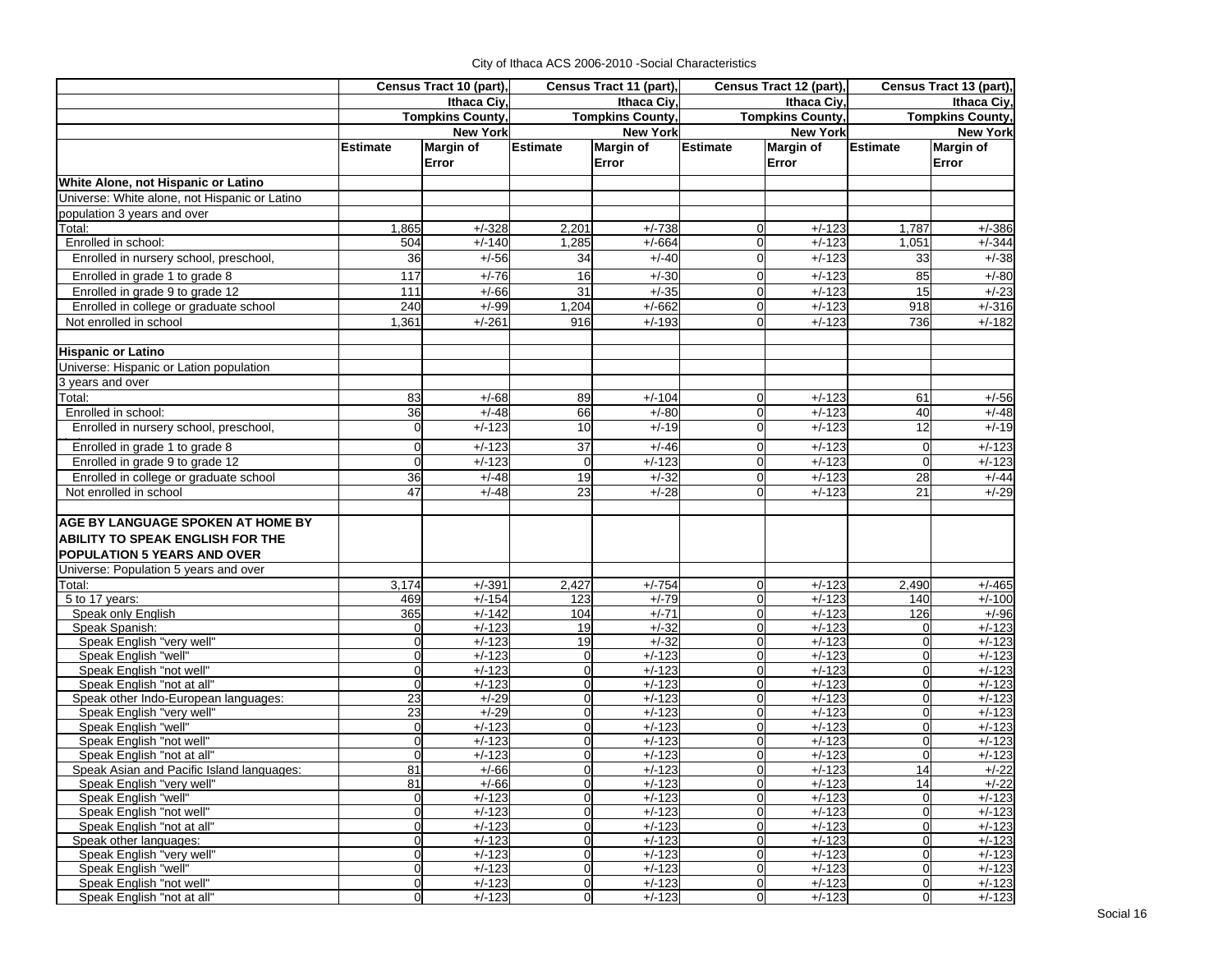| Ithaca Civ.<br>Ithaca Civ.<br>Ithaca Civ.<br>Ithaca Civ.<br><b>Tompkins County,</b><br><b>Tompkins County,</b><br><b>Tompkins County,</b><br><b>Tompkins County,</b><br><b>New York</b><br><b>New York</b><br><b>New York</b><br><b>New York</b><br><b>Margin of</b><br>Margin of<br><b>Margin of</b><br><b>Estimate</b><br><b>Margin of</b><br><b>Estimate</b><br><b>Estimate</b><br><b>Estimate</b><br>Error<br>Error<br>Error<br>Error<br>1,865<br>$+/-328$<br>2,201<br>$+/-738$<br>$+/-123$<br>1,787<br>$+/-386$<br>$\Omega$<br>Enrolled in school:<br>$+/-140$<br>$+/-123$<br>504<br>1,285<br>$+/-664$<br>$\Omega$<br>1,051<br>$+/-344$<br>36<br>$+/-123$<br>Enrolled in nursery school, preschool,<br>$+/-56$<br>34<br>$+/-40$<br>$\mathbf 0$<br>33<br>Enrolled in grade 1 to grade 8<br>$+/-76$<br>16<br>$+/-30$<br>$+/-123$<br>85<br>$+/-80$<br>117<br>$\mathbf 0$<br>$\overline{31}$<br>Enrolled in grade 9 to grade 12<br>111<br>$+/-66$<br>$+/-35$<br>$+/-123$<br>15<br>$+/-23$<br>$\overline{0}$<br>$+/-662$<br>Enrolled in college or graduate school<br>240<br>$+/-99$<br>1,204<br>$+/-123$<br>918<br>$\Omega$<br>Not enrolled in school<br>1,361<br>$+/-261$<br>916<br>$+/-193$<br>$\Omega$<br>$+/-123$<br>736<br>3 years and over<br>83<br>89<br>$+/-123$<br>$+/-68$<br>$+/-104$<br>$\overline{0}$<br>61<br>$+/-56$<br>36<br>66<br>$+/-48$<br>$+/-80$<br>$+/-123$<br>40<br>Enrolled in school:<br>$\overline{0}$<br>Enrolled in nursery school, preschool,<br>$+/-123$<br>10<br>$+/-19$<br>$\overline{0}$<br>$+/-123$<br>12<br>0<br>0<br>37<br>$+/-46$<br>$+/-123$<br>$+/-123$<br>Enrolled in grade 1 to grade 8<br>$+/-123$<br>$\Omega$<br>$\Omega$<br>Enrolled in grade 9 to grade 12<br>$+/-123$<br>$+/-123$<br>$+/-123$<br>$+/-123$<br>0<br>$\overline{0}$<br>$\Omega$<br>$\Omega$<br>$+/-32$<br>Enrolled in college or graduate school<br>36<br>$+/-48$<br>19<br>$+/-123$<br>28<br>$\overline{0}$<br>47<br>$\overline{23}$<br>$+/-29$<br>$+/-48$<br>$+/-28$<br>$+/-123$<br>21<br>Not enrolled in school<br>$\Omega$<br><b>AGE BY LANGUAGE SPOKEN AT HOME BY</b><br><b>ABILITY TO SPEAK ENGLISH FOR THE</b><br>POPULATION 5 YEARS AND OVER<br>Universe: Population 5 years and over<br>Total:<br>3,174<br>$+/-391$<br>2,427<br>$+/-754$<br>2,490<br>$\overline{0}$<br>$+/-123$<br>469<br>$+/-154$<br>123<br>$+/-79$<br>$+/-123$<br>5 to 17 years:<br>$\overline{0}$<br>140<br>$+/-142$<br>104<br>$+/-71$<br>$+/-123$<br>Speak only English<br>365<br>$\overline{0}$<br>126<br>$+/-123$<br>$+/-32$<br>Speak Spanish:<br>19<br>$\overline{0}$<br>$+/-123$<br>0<br>0<br>$+/-32$<br>Speak English "very well"<br>$\overline{0}$<br>$+/-123$<br>19<br>$\Omega$<br>$+/-123$<br>$+/-123$<br>$\Omega$<br>$\mathbf 0$<br>$+/-123$<br>$+/-123$<br>$+/-123$<br>$+/-123$<br>Speak English "well"<br>$\overline{0}$<br>$\overline{0}$<br>0<br>Speak English "not well"<br>$\overline{0}$<br>$+/-123$<br>$+/-123$<br>$\Omega$<br>$+/-123$<br>$+/-123$<br>$\Omega$<br>$\Omega$<br>$+/-123$<br>Speak English "not at all"<br>$\overline{0}$<br>$+/-123$<br>$\overline{0}$<br>$+/-123$<br>$\overline{0}$<br>$\overline{0}$<br>$+/-123$<br>23<br>$+/-29$<br>$\Omega$<br>$+/-123$<br>$\Omega$<br>$+/-123$<br>$\Omega$<br>$+/-123$<br>Speak other Indo-European languages:<br>23<br>Speak English "very well"<br>$+/-29$<br>$\overline{0}$<br>$+/-123$<br>$\overline{0}$<br>$+/-123$<br>0<br>$+/-123$<br>$+/-123$<br>$+/-123$<br>$+/-123$<br>Speak English "well"<br>0<br>$\Omega$<br>$\Omega$<br>$\Omega$<br>Speak English "not well"<br>0<br>$+/-123$<br>$\overline{0}$<br>$+/-123$<br>$+/-123$<br>$\mathbf 0$<br>0<br>0<br>$+/-123$<br>$+/-123$<br>$+/-123$<br>Speak English "not at all"<br>$\Omega$<br>$\Omega$<br>$\Omega$<br>81<br>$+/-123$<br>$+/-123$<br>Speak Asian and Pacific Island languages:<br>$+/-66$<br>$\Omega$<br>$\Omega$<br>14<br>81<br>$+/-66$<br>$+/-123$<br>$+/-123$<br>14<br>Speak English "very well"<br>$\overline{0}$<br>$\overline{0}$<br>$\overline{0}$<br>$+/-123$<br>$\overline{0}$<br>$+/-123$<br>Speak English "well"<br>$\Omega$<br>$+/-123$<br>$\Omega$<br>$\overline{0}$<br>$+/-123$<br>$+/-123$<br>$+/-123$<br>Speak English "not well"<br>$\overline{0}$<br>$\mathbf 0$<br>$\overline{0}$<br>Speak English "not at all"<br>$\overline{0}$<br>$\overline{0}$<br>$+/-123$<br>$+/-123$<br>$+/-123$<br>$\overline{0}$<br>$\overline{0}$<br>$\overline{0}$<br>$+/-123$<br>$\overline{0}$<br>$+/-123$<br>$\mathbf 0$<br>$+/-123$<br>Speak other languages:<br>$\overline{0}$<br>$\overline{0}$<br>$+/-123$<br>$\overline{0}$<br>$+/-123$<br>$+/-123$<br>$\Omega$<br>Speak English "very well"<br>$\overline{0}$<br>$+/-123$<br>$\overline{0}$<br>$+/-123$<br>$\overline{0}$<br>$\mathbf 0$<br>$+/-123$<br>$\Omega$<br>Speak English "well"<br>$\overline{0}$<br>$+/-123$<br>$\overline{0}$<br>$+/-123$<br>$\overline{0}$<br>$+/-123$<br>$\overline{0}$<br>Speak English "not well"<br>0<br>$+/-123$<br>$\Omega$<br>0<br>0 |                                               | Census Tract 10 (part), |          | Census Tract 11 (part), |          | Census Tract 12 (part) |  |  | Census Tract 13 (part), |
|-------------------------------------------------------------------------------------------------------------------------------------------------------------------------------------------------------------------------------------------------------------------------------------------------------------------------------------------------------------------------------------------------------------------------------------------------------------------------------------------------------------------------------------------------------------------------------------------------------------------------------------------------------------------------------------------------------------------------------------------------------------------------------------------------------------------------------------------------------------------------------------------------------------------------------------------------------------------------------------------------------------------------------------------------------------------------------------------------------------------------------------------------------------------------------------------------------------------------------------------------------------------------------------------------------------------------------------------------------------------------------------------------------------------------------------------------------------------------------------------------------------------------------------------------------------------------------------------------------------------------------------------------------------------------------------------------------------------------------------------------------------------------------------------------------------------------------------------------------------------------------------------------------------------------------------------------------------------------------------------------------------------------------------------------------------------------------------------------------------------------------------------------------------------------------------------------------------------------------------------------------------------------------------------------------------------------------------------------------------------------------------------------------------------------------------------------------------------------------------------------------------------------------------------------------------------------------------------------------------------------------------------------------------------------------------------------------------------------------------------------------------------------------------------------------------------------------------------------------------------------------------------------------------------------------------------------------------------------------------------------------------------------------------------------------------------------------------------------------------------------------------------------------------------------------------------------------------------------------------------------------------------------------------------------------------------------------------------------------------------------------------------------------------------------------------------------------------------------------------------------------------------------------------------------------------------------------------------------------------------------------------------------------------------------------------------------------------------------------------------------------------------------------------------------------------------------------------------------------------------------------------------------------------------------------------------------------------------------------------------------------------------------------------------------------------------------------------------------------------------------------------------------------------------------------------------------------------------------------------------------------------------------------------------------------------------------------------------------------------------------------------------------------------------------------------------------------------------------------------------------------------------------------------------------------------------------------------------------------------------------------------------------------------------------------------------------------------------------------------------------------------------------------------------------------------------------------------------------------------------------------------------------------------------------------------------------------------|-----------------------------------------------|-------------------------|----------|-------------------------|----------|------------------------|--|--|-------------------------|
| $+/-38$<br>$+/-316$<br>$+/-182$<br>$+/-48$<br>$+/-19$<br>$+/-44$<br>$+/-465$<br>$+/-100$<br>$+/-96$<br>$+/-123$<br>$+/-123$<br>$+/-123$<br>$+/-123$<br>$+/-22$<br>$+/-22$<br>$+/-123$<br>$+/-123$<br>$+/-123$<br>$+/-123$<br>$+/-123$<br>$+/-123$<br>$+/-123$                                                                                                                                                                                                                                                                                                                                                                                                                                                                                                                                                                                                                                                                                                                                                                                                                                                                                                                                                                                                                                                                                                                                                                                                                                                                                                                                                                                                                                                                                                                                                                                                                                                                                                                                                                                                                                                                                                                                                                                                                                                                                                                                                                                                                                                                                                                                                                                                                                                                                                                                                                                                                                                                                                                                                                                                                                                                                                                                                                                                                                                                                                                                                                                                                                                                                                                                                                                                                                                                                                                                                                                                                                                                                                                                                                                                                                                                                                                                                                                                                                                                                                                                                                                                                                                                                                                                                                                                                                                                                                                                                                                                                                                                                               |                                               |                         |          |                         |          |                        |  |  |                         |
|                                                                                                                                                                                                                                                                                                                                                                                                                                                                                                                                                                                                                                                                                                                                                                                                                                                                                                                                                                                                                                                                                                                                                                                                                                                                                                                                                                                                                                                                                                                                                                                                                                                                                                                                                                                                                                                                                                                                                                                                                                                                                                                                                                                                                                                                                                                                                                                                                                                                                                                                                                                                                                                                                                                                                                                                                                                                                                                                                                                                                                                                                                                                                                                                                                                                                                                                                                                                                                                                                                                                                                                                                                                                                                                                                                                                                                                                                                                                                                                                                                                                                                                                                                                                                                                                                                                                                                                                                                                                                                                                                                                                                                                                                                                                                                                                                                                                                                                                                             |                                               |                         |          |                         |          |                        |  |  |                         |
|                                                                                                                                                                                                                                                                                                                                                                                                                                                                                                                                                                                                                                                                                                                                                                                                                                                                                                                                                                                                                                                                                                                                                                                                                                                                                                                                                                                                                                                                                                                                                                                                                                                                                                                                                                                                                                                                                                                                                                                                                                                                                                                                                                                                                                                                                                                                                                                                                                                                                                                                                                                                                                                                                                                                                                                                                                                                                                                                                                                                                                                                                                                                                                                                                                                                                                                                                                                                                                                                                                                                                                                                                                                                                                                                                                                                                                                                                                                                                                                                                                                                                                                                                                                                                                                                                                                                                                                                                                                                                                                                                                                                                                                                                                                                                                                                                                                                                                                                                             |                                               |                         |          |                         |          |                        |  |  |                         |
|                                                                                                                                                                                                                                                                                                                                                                                                                                                                                                                                                                                                                                                                                                                                                                                                                                                                                                                                                                                                                                                                                                                                                                                                                                                                                                                                                                                                                                                                                                                                                                                                                                                                                                                                                                                                                                                                                                                                                                                                                                                                                                                                                                                                                                                                                                                                                                                                                                                                                                                                                                                                                                                                                                                                                                                                                                                                                                                                                                                                                                                                                                                                                                                                                                                                                                                                                                                                                                                                                                                                                                                                                                                                                                                                                                                                                                                                                                                                                                                                                                                                                                                                                                                                                                                                                                                                                                                                                                                                                                                                                                                                                                                                                                                                                                                                                                                                                                                                                             |                                               |                         |          |                         |          |                        |  |  |                         |
|                                                                                                                                                                                                                                                                                                                                                                                                                                                                                                                                                                                                                                                                                                                                                                                                                                                                                                                                                                                                                                                                                                                                                                                                                                                                                                                                                                                                                                                                                                                                                                                                                                                                                                                                                                                                                                                                                                                                                                                                                                                                                                                                                                                                                                                                                                                                                                                                                                                                                                                                                                                                                                                                                                                                                                                                                                                                                                                                                                                                                                                                                                                                                                                                                                                                                                                                                                                                                                                                                                                                                                                                                                                                                                                                                                                                                                                                                                                                                                                                                                                                                                                                                                                                                                                                                                                                                                                                                                                                                                                                                                                                                                                                                                                                                                                                                                                                                                                                                             |                                               |                         |          |                         |          |                        |  |  |                         |
|                                                                                                                                                                                                                                                                                                                                                                                                                                                                                                                                                                                                                                                                                                                                                                                                                                                                                                                                                                                                                                                                                                                                                                                                                                                                                                                                                                                                                                                                                                                                                                                                                                                                                                                                                                                                                                                                                                                                                                                                                                                                                                                                                                                                                                                                                                                                                                                                                                                                                                                                                                                                                                                                                                                                                                                                                                                                                                                                                                                                                                                                                                                                                                                                                                                                                                                                                                                                                                                                                                                                                                                                                                                                                                                                                                                                                                                                                                                                                                                                                                                                                                                                                                                                                                                                                                                                                                                                                                                                                                                                                                                                                                                                                                                                                                                                                                                                                                                                                             | White Alone, not Hispanic or Latino           |                         |          |                         |          |                        |  |  |                         |
|                                                                                                                                                                                                                                                                                                                                                                                                                                                                                                                                                                                                                                                                                                                                                                                                                                                                                                                                                                                                                                                                                                                                                                                                                                                                                                                                                                                                                                                                                                                                                                                                                                                                                                                                                                                                                                                                                                                                                                                                                                                                                                                                                                                                                                                                                                                                                                                                                                                                                                                                                                                                                                                                                                                                                                                                                                                                                                                                                                                                                                                                                                                                                                                                                                                                                                                                                                                                                                                                                                                                                                                                                                                                                                                                                                                                                                                                                                                                                                                                                                                                                                                                                                                                                                                                                                                                                                                                                                                                                                                                                                                                                                                                                                                                                                                                                                                                                                                                                             | Universe: White alone, not Hispanic or Latino |                         |          |                         |          |                        |  |  |                         |
|                                                                                                                                                                                                                                                                                                                                                                                                                                                                                                                                                                                                                                                                                                                                                                                                                                                                                                                                                                                                                                                                                                                                                                                                                                                                                                                                                                                                                                                                                                                                                                                                                                                                                                                                                                                                                                                                                                                                                                                                                                                                                                                                                                                                                                                                                                                                                                                                                                                                                                                                                                                                                                                                                                                                                                                                                                                                                                                                                                                                                                                                                                                                                                                                                                                                                                                                                                                                                                                                                                                                                                                                                                                                                                                                                                                                                                                                                                                                                                                                                                                                                                                                                                                                                                                                                                                                                                                                                                                                                                                                                                                                                                                                                                                                                                                                                                                                                                                                                             | population 3 years and over                   |                         |          |                         |          |                        |  |  |                         |
|                                                                                                                                                                                                                                                                                                                                                                                                                                                                                                                                                                                                                                                                                                                                                                                                                                                                                                                                                                                                                                                                                                                                                                                                                                                                                                                                                                                                                                                                                                                                                                                                                                                                                                                                                                                                                                                                                                                                                                                                                                                                                                                                                                                                                                                                                                                                                                                                                                                                                                                                                                                                                                                                                                                                                                                                                                                                                                                                                                                                                                                                                                                                                                                                                                                                                                                                                                                                                                                                                                                                                                                                                                                                                                                                                                                                                                                                                                                                                                                                                                                                                                                                                                                                                                                                                                                                                                                                                                                                                                                                                                                                                                                                                                                                                                                                                                                                                                                                                             | Total:                                        |                         |          |                         |          |                        |  |  |                         |
|                                                                                                                                                                                                                                                                                                                                                                                                                                                                                                                                                                                                                                                                                                                                                                                                                                                                                                                                                                                                                                                                                                                                                                                                                                                                                                                                                                                                                                                                                                                                                                                                                                                                                                                                                                                                                                                                                                                                                                                                                                                                                                                                                                                                                                                                                                                                                                                                                                                                                                                                                                                                                                                                                                                                                                                                                                                                                                                                                                                                                                                                                                                                                                                                                                                                                                                                                                                                                                                                                                                                                                                                                                                                                                                                                                                                                                                                                                                                                                                                                                                                                                                                                                                                                                                                                                                                                                                                                                                                                                                                                                                                                                                                                                                                                                                                                                                                                                                                                             |                                               |                         |          |                         |          |                        |  |  |                         |
|                                                                                                                                                                                                                                                                                                                                                                                                                                                                                                                                                                                                                                                                                                                                                                                                                                                                                                                                                                                                                                                                                                                                                                                                                                                                                                                                                                                                                                                                                                                                                                                                                                                                                                                                                                                                                                                                                                                                                                                                                                                                                                                                                                                                                                                                                                                                                                                                                                                                                                                                                                                                                                                                                                                                                                                                                                                                                                                                                                                                                                                                                                                                                                                                                                                                                                                                                                                                                                                                                                                                                                                                                                                                                                                                                                                                                                                                                                                                                                                                                                                                                                                                                                                                                                                                                                                                                                                                                                                                                                                                                                                                                                                                                                                                                                                                                                                                                                                                                             |                                               |                         |          |                         |          |                        |  |  |                         |
|                                                                                                                                                                                                                                                                                                                                                                                                                                                                                                                                                                                                                                                                                                                                                                                                                                                                                                                                                                                                                                                                                                                                                                                                                                                                                                                                                                                                                                                                                                                                                                                                                                                                                                                                                                                                                                                                                                                                                                                                                                                                                                                                                                                                                                                                                                                                                                                                                                                                                                                                                                                                                                                                                                                                                                                                                                                                                                                                                                                                                                                                                                                                                                                                                                                                                                                                                                                                                                                                                                                                                                                                                                                                                                                                                                                                                                                                                                                                                                                                                                                                                                                                                                                                                                                                                                                                                                                                                                                                                                                                                                                                                                                                                                                                                                                                                                                                                                                                                             |                                               |                         |          |                         |          |                        |  |  |                         |
|                                                                                                                                                                                                                                                                                                                                                                                                                                                                                                                                                                                                                                                                                                                                                                                                                                                                                                                                                                                                                                                                                                                                                                                                                                                                                                                                                                                                                                                                                                                                                                                                                                                                                                                                                                                                                                                                                                                                                                                                                                                                                                                                                                                                                                                                                                                                                                                                                                                                                                                                                                                                                                                                                                                                                                                                                                                                                                                                                                                                                                                                                                                                                                                                                                                                                                                                                                                                                                                                                                                                                                                                                                                                                                                                                                                                                                                                                                                                                                                                                                                                                                                                                                                                                                                                                                                                                                                                                                                                                                                                                                                                                                                                                                                                                                                                                                                                                                                                                             |                                               |                         |          |                         |          |                        |  |  |                         |
|                                                                                                                                                                                                                                                                                                                                                                                                                                                                                                                                                                                                                                                                                                                                                                                                                                                                                                                                                                                                                                                                                                                                                                                                                                                                                                                                                                                                                                                                                                                                                                                                                                                                                                                                                                                                                                                                                                                                                                                                                                                                                                                                                                                                                                                                                                                                                                                                                                                                                                                                                                                                                                                                                                                                                                                                                                                                                                                                                                                                                                                                                                                                                                                                                                                                                                                                                                                                                                                                                                                                                                                                                                                                                                                                                                                                                                                                                                                                                                                                                                                                                                                                                                                                                                                                                                                                                                                                                                                                                                                                                                                                                                                                                                                                                                                                                                                                                                                                                             |                                               |                         |          |                         |          |                        |  |  |                         |
|                                                                                                                                                                                                                                                                                                                                                                                                                                                                                                                                                                                                                                                                                                                                                                                                                                                                                                                                                                                                                                                                                                                                                                                                                                                                                                                                                                                                                                                                                                                                                                                                                                                                                                                                                                                                                                                                                                                                                                                                                                                                                                                                                                                                                                                                                                                                                                                                                                                                                                                                                                                                                                                                                                                                                                                                                                                                                                                                                                                                                                                                                                                                                                                                                                                                                                                                                                                                                                                                                                                                                                                                                                                                                                                                                                                                                                                                                                                                                                                                                                                                                                                                                                                                                                                                                                                                                                                                                                                                                                                                                                                                                                                                                                                                                                                                                                                                                                                                                             |                                               |                         |          |                         |          |                        |  |  |                         |
|                                                                                                                                                                                                                                                                                                                                                                                                                                                                                                                                                                                                                                                                                                                                                                                                                                                                                                                                                                                                                                                                                                                                                                                                                                                                                                                                                                                                                                                                                                                                                                                                                                                                                                                                                                                                                                                                                                                                                                                                                                                                                                                                                                                                                                                                                                                                                                                                                                                                                                                                                                                                                                                                                                                                                                                                                                                                                                                                                                                                                                                                                                                                                                                                                                                                                                                                                                                                                                                                                                                                                                                                                                                                                                                                                                                                                                                                                                                                                                                                                                                                                                                                                                                                                                                                                                                                                                                                                                                                                                                                                                                                                                                                                                                                                                                                                                                                                                                                                             |                                               |                         |          |                         |          |                        |  |  |                         |
|                                                                                                                                                                                                                                                                                                                                                                                                                                                                                                                                                                                                                                                                                                                                                                                                                                                                                                                                                                                                                                                                                                                                                                                                                                                                                                                                                                                                                                                                                                                                                                                                                                                                                                                                                                                                                                                                                                                                                                                                                                                                                                                                                                                                                                                                                                                                                                                                                                                                                                                                                                                                                                                                                                                                                                                                                                                                                                                                                                                                                                                                                                                                                                                                                                                                                                                                                                                                                                                                                                                                                                                                                                                                                                                                                                                                                                                                                                                                                                                                                                                                                                                                                                                                                                                                                                                                                                                                                                                                                                                                                                                                                                                                                                                                                                                                                                                                                                                                                             | <b>Hispanic or Latino</b>                     |                         |          |                         |          |                        |  |  |                         |
|                                                                                                                                                                                                                                                                                                                                                                                                                                                                                                                                                                                                                                                                                                                                                                                                                                                                                                                                                                                                                                                                                                                                                                                                                                                                                                                                                                                                                                                                                                                                                                                                                                                                                                                                                                                                                                                                                                                                                                                                                                                                                                                                                                                                                                                                                                                                                                                                                                                                                                                                                                                                                                                                                                                                                                                                                                                                                                                                                                                                                                                                                                                                                                                                                                                                                                                                                                                                                                                                                                                                                                                                                                                                                                                                                                                                                                                                                                                                                                                                                                                                                                                                                                                                                                                                                                                                                                                                                                                                                                                                                                                                                                                                                                                                                                                                                                                                                                                                                             | Universe: Hispanic or Lation population       |                         |          |                         |          |                        |  |  |                         |
|                                                                                                                                                                                                                                                                                                                                                                                                                                                                                                                                                                                                                                                                                                                                                                                                                                                                                                                                                                                                                                                                                                                                                                                                                                                                                                                                                                                                                                                                                                                                                                                                                                                                                                                                                                                                                                                                                                                                                                                                                                                                                                                                                                                                                                                                                                                                                                                                                                                                                                                                                                                                                                                                                                                                                                                                                                                                                                                                                                                                                                                                                                                                                                                                                                                                                                                                                                                                                                                                                                                                                                                                                                                                                                                                                                                                                                                                                                                                                                                                                                                                                                                                                                                                                                                                                                                                                                                                                                                                                                                                                                                                                                                                                                                                                                                                                                                                                                                                                             |                                               |                         |          |                         |          |                        |  |  |                         |
|                                                                                                                                                                                                                                                                                                                                                                                                                                                                                                                                                                                                                                                                                                                                                                                                                                                                                                                                                                                                                                                                                                                                                                                                                                                                                                                                                                                                                                                                                                                                                                                                                                                                                                                                                                                                                                                                                                                                                                                                                                                                                                                                                                                                                                                                                                                                                                                                                                                                                                                                                                                                                                                                                                                                                                                                                                                                                                                                                                                                                                                                                                                                                                                                                                                                                                                                                                                                                                                                                                                                                                                                                                                                                                                                                                                                                                                                                                                                                                                                                                                                                                                                                                                                                                                                                                                                                                                                                                                                                                                                                                                                                                                                                                                                                                                                                                                                                                                                                             | Total:                                        |                         |          |                         |          |                        |  |  |                         |
|                                                                                                                                                                                                                                                                                                                                                                                                                                                                                                                                                                                                                                                                                                                                                                                                                                                                                                                                                                                                                                                                                                                                                                                                                                                                                                                                                                                                                                                                                                                                                                                                                                                                                                                                                                                                                                                                                                                                                                                                                                                                                                                                                                                                                                                                                                                                                                                                                                                                                                                                                                                                                                                                                                                                                                                                                                                                                                                                                                                                                                                                                                                                                                                                                                                                                                                                                                                                                                                                                                                                                                                                                                                                                                                                                                                                                                                                                                                                                                                                                                                                                                                                                                                                                                                                                                                                                                                                                                                                                                                                                                                                                                                                                                                                                                                                                                                                                                                                                             |                                               |                         |          |                         |          |                        |  |  |                         |
|                                                                                                                                                                                                                                                                                                                                                                                                                                                                                                                                                                                                                                                                                                                                                                                                                                                                                                                                                                                                                                                                                                                                                                                                                                                                                                                                                                                                                                                                                                                                                                                                                                                                                                                                                                                                                                                                                                                                                                                                                                                                                                                                                                                                                                                                                                                                                                                                                                                                                                                                                                                                                                                                                                                                                                                                                                                                                                                                                                                                                                                                                                                                                                                                                                                                                                                                                                                                                                                                                                                                                                                                                                                                                                                                                                                                                                                                                                                                                                                                                                                                                                                                                                                                                                                                                                                                                                                                                                                                                                                                                                                                                                                                                                                                                                                                                                                                                                                                                             |                                               |                         |          |                         |          |                        |  |  |                         |
|                                                                                                                                                                                                                                                                                                                                                                                                                                                                                                                                                                                                                                                                                                                                                                                                                                                                                                                                                                                                                                                                                                                                                                                                                                                                                                                                                                                                                                                                                                                                                                                                                                                                                                                                                                                                                                                                                                                                                                                                                                                                                                                                                                                                                                                                                                                                                                                                                                                                                                                                                                                                                                                                                                                                                                                                                                                                                                                                                                                                                                                                                                                                                                                                                                                                                                                                                                                                                                                                                                                                                                                                                                                                                                                                                                                                                                                                                                                                                                                                                                                                                                                                                                                                                                                                                                                                                                                                                                                                                                                                                                                                                                                                                                                                                                                                                                                                                                                                                             |                                               |                         |          |                         |          |                        |  |  |                         |
|                                                                                                                                                                                                                                                                                                                                                                                                                                                                                                                                                                                                                                                                                                                                                                                                                                                                                                                                                                                                                                                                                                                                                                                                                                                                                                                                                                                                                                                                                                                                                                                                                                                                                                                                                                                                                                                                                                                                                                                                                                                                                                                                                                                                                                                                                                                                                                                                                                                                                                                                                                                                                                                                                                                                                                                                                                                                                                                                                                                                                                                                                                                                                                                                                                                                                                                                                                                                                                                                                                                                                                                                                                                                                                                                                                                                                                                                                                                                                                                                                                                                                                                                                                                                                                                                                                                                                                                                                                                                                                                                                                                                                                                                                                                                                                                                                                                                                                                                                             |                                               |                         |          |                         |          |                        |  |  |                         |
|                                                                                                                                                                                                                                                                                                                                                                                                                                                                                                                                                                                                                                                                                                                                                                                                                                                                                                                                                                                                                                                                                                                                                                                                                                                                                                                                                                                                                                                                                                                                                                                                                                                                                                                                                                                                                                                                                                                                                                                                                                                                                                                                                                                                                                                                                                                                                                                                                                                                                                                                                                                                                                                                                                                                                                                                                                                                                                                                                                                                                                                                                                                                                                                                                                                                                                                                                                                                                                                                                                                                                                                                                                                                                                                                                                                                                                                                                                                                                                                                                                                                                                                                                                                                                                                                                                                                                                                                                                                                                                                                                                                                                                                                                                                                                                                                                                                                                                                                                             |                                               |                         |          |                         |          |                        |  |  |                         |
|                                                                                                                                                                                                                                                                                                                                                                                                                                                                                                                                                                                                                                                                                                                                                                                                                                                                                                                                                                                                                                                                                                                                                                                                                                                                                                                                                                                                                                                                                                                                                                                                                                                                                                                                                                                                                                                                                                                                                                                                                                                                                                                                                                                                                                                                                                                                                                                                                                                                                                                                                                                                                                                                                                                                                                                                                                                                                                                                                                                                                                                                                                                                                                                                                                                                                                                                                                                                                                                                                                                                                                                                                                                                                                                                                                                                                                                                                                                                                                                                                                                                                                                                                                                                                                                                                                                                                                                                                                                                                                                                                                                                                                                                                                                                                                                                                                                                                                                                                             |                                               |                         |          |                         |          |                        |  |  |                         |
|                                                                                                                                                                                                                                                                                                                                                                                                                                                                                                                                                                                                                                                                                                                                                                                                                                                                                                                                                                                                                                                                                                                                                                                                                                                                                                                                                                                                                                                                                                                                                                                                                                                                                                                                                                                                                                                                                                                                                                                                                                                                                                                                                                                                                                                                                                                                                                                                                                                                                                                                                                                                                                                                                                                                                                                                                                                                                                                                                                                                                                                                                                                                                                                                                                                                                                                                                                                                                                                                                                                                                                                                                                                                                                                                                                                                                                                                                                                                                                                                                                                                                                                                                                                                                                                                                                                                                                                                                                                                                                                                                                                                                                                                                                                                                                                                                                                                                                                                                             |                                               |                         |          |                         |          |                        |  |  |                         |
|                                                                                                                                                                                                                                                                                                                                                                                                                                                                                                                                                                                                                                                                                                                                                                                                                                                                                                                                                                                                                                                                                                                                                                                                                                                                                                                                                                                                                                                                                                                                                                                                                                                                                                                                                                                                                                                                                                                                                                                                                                                                                                                                                                                                                                                                                                                                                                                                                                                                                                                                                                                                                                                                                                                                                                                                                                                                                                                                                                                                                                                                                                                                                                                                                                                                                                                                                                                                                                                                                                                                                                                                                                                                                                                                                                                                                                                                                                                                                                                                                                                                                                                                                                                                                                                                                                                                                                                                                                                                                                                                                                                                                                                                                                                                                                                                                                                                                                                                                             |                                               |                         |          |                         |          |                        |  |  |                         |
|                                                                                                                                                                                                                                                                                                                                                                                                                                                                                                                                                                                                                                                                                                                                                                                                                                                                                                                                                                                                                                                                                                                                                                                                                                                                                                                                                                                                                                                                                                                                                                                                                                                                                                                                                                                                                                                                                                                                                                                                                                                                                                                                                                                                                                                                                                                                                                                                                                                                                                                                                                                                                                                                                                                                                                                                                                                                                                                                                                                                                                                                                                                                                                                                                                                                                                                                                                                                                                                                                                                                                                                                                                                                                                                                                                                                                                                                                                                                                                                                                                                                                                                                                                                                                                                                                                                                                                                                                                                                                                                                                                                                                                                                                                                                                                                                                                                                                                                                                             |                                               |                         |          |                         |          |                        |  |  |                         |
|                                                                                                                                                                                                                                                                                                                                                                                                                                                                                                                                                                                                                                                                                                                                                                                                                                                                                                                                                                                                                                                                                                                                                                                                                                                                                                                                                                                                                                                                                                                                                                                                                                                                                                                                                                                                                                                                                                                                                                                                                                                                                                                                                                                                                                                                                                                                                                                                                                                                                                                                                                                                                                                                                                                                                                                                                                                                                                                                                                                                                                                                                                                                                                                                                                                                                                                                                                                                                                                                                                                                                                                                                                                                                                                                                                                                                                                                                                                                                                                                                                                                                                                                                                                                                                                                                                                                                                                                                                                                                                                                                                                                                                                                                                                                                                                                                                                                                                                                                             |                                               |                         |          |                         |          |                        |  |  |                         |
|                                                                                                                                                                                                                                                                                                                                                                                                                                                                                                                                                                                                                                                                                                                                                                                                                                                                                                                                                                                                                                                                                                                                                                                                                                                                                                                                                                                                                                                                                                                                                                                                                                                                                                                                                                                                                                                                                                                                                                                                                                                                                                                                                                                                                                                                                                                                                                                                                                                                                                                                                                                                                                                                                                                                                                                                                                                                                                                                                                                                                                                                                                                                                                                                                                                                                                                                                                                                                                                                                                                                                                                                                                                                                                                                                                                                                                                                                                                                                                                                                                                                                                                                                                                                                                                                                                                                                                                                                                                                                                                                                                                                                                                                                                                                                                                                                                                                                                                                                             |                                               |                         |          |                         |          |                        |  |  |                         |
|                                                                                                                                                                                                                                                                                                                                                                                                                                                                                                                                                                                                                                                                                                                                                                                                                                                                                                                                                                                                                                                                                                                                                                                                                                                                                                                                                                                                                                                                                                                                                                                                                                                                                                                                                                                                                                                                                                                                                                                                                                                                                                                                                                                                                                                                                                                                                                                                                                                                                                                                                                                                                                                                                                                                                                                                                                                                                                                                                                                                                                                                                                                                                                                                                                                                                                                                                                                                                                                                                                                                                                                                                                                                                                                                                                                                                                                                                                                                                                                                                                                                                                                                                                                                                                                                                                                                                                                                                                                                                                                                                                                                                                                                                                                                                                                                                                                                                                                                                             |                                               |                         |          |                         |          |                        |  |  |                         |
|                                                                                                                                                                                                                                                                                                                                                                                                                                                                                                                                                                                                                                                                                                                                                                                                                                                                                                                                                                                                                                                                                                                                                                                                                                                                                                                                                                                                                                                                                                                                                                                                                                                                                                                                                                                                                                                                                                                                                                                                                                                                                                                                                                                                                                                                                                                                                                                                                                                                                                                                                                                                                                                                                                                                                                                                                                                                                                                                                                                                                                                                                                                                                                                                                                                                                                                                                                                                                                                                                                                                                                                                                                                                                                                                                                                                                                                                                                                                                                                                                                                                                                                                                                                                                                                                                                                                                                                                                                                                                                                                                                                                                                                                                                                                                                                                                                                                                                                                                             |                                               |                         |          |                         |          |                        |  |  |                         |
|                                                                                                                                                                                                                                                                                                                                                                                                                                                                                                                                                                                                                                                                                                                                                                                                                                                                                                                                                                                                                                                                                                                                                                                                                                                                                                                                                                                                                                                                                                                                                                                                                                                                                                                                                                                                                                                                                                                                                                                                                                                                                                                                                                                                                                                                                                                                                                                                                                                                                                                                                                                                                                                                                                                                                                                                                                                                                                                                                                                                                                                                                                                                                                                                                                                                                                                                                                                                                                                                                                                                                                                                                                                                                                                                                                                                                                                                                                                                                                                                                                                                                                                                                                                                                                                                                                                                                                                                                                                                                                                                                                                                                                                                                                                                                                                                                                                                                                                                                             |                                               |                         |          |                         |          |                        |  |  |                         |
|                                                                                                                                                                                                                                                                                                                                                                                                                                                                                                                                                                                                                                                                                                                                                                                                                                                                                                                                                                                                                                                                                                                                                                                                                                                                                                                                                                                                                                                                                                                                                                                                                                                                                                                                                                                                                                                                                                                                                                                                                                                                                                                                                                                                                                                                                                                                                                                                                                                                                                                                                                                                                                                                                                                                                                                                                                                                                                                                                                                                                                                                                                                                                                                                                                                                                                                                                                                                                                                                                                                                                                                                                                                                                                                                                                                                                                                                                                                                                                                                                                                                                                                                                                                                                                                                                                                                                                                                                                                                                                                                                                                                                                                                                                                                                                                                                                                                                                                                                             |                                               |                         |          |                         |          |                        |  |  |                         |
|                                                                                                                                                                                                                                                                                                                                                                                                                                                                                                                                                                                                                                                                                                                                                                                                                                                                                                                                                                                                                                                                                                                                                                                                                                                                                                                                                                                                                                                                                                                                                                                                                                                                                                                                                                                                                                                                                                                                                                                                                                                                                                                                                                                                                                                                                                                                                                                                                                                                                                                                                                                                                                                                                                                                                                                                                                                                                                                                                                                                                                                                                                                                                                                                                                                                                                                                                                                                                                                                                                                                                                                                                                                                                                                                                                                                                                                                                                                                                                                                                                                                                                                                                                                                                                                                                                                                                                                                                                                                                                                                                                                                                                                                                                                                                                                                                                                                                                                                                             |                                               |                         |          |                         |          |                        |  |  |                         |
|                                                                                                                                                                                                                                                                                                                                                                                                                                                                                                                                                                                                                                                                                                                                                                                                                                                                                                                                                                                                                                                                                                                                                                                                                                                                                                                                                                                                                                                                                                                                                                                                                                                                                                                                                                                                                                                                                                                                                                                                                                                                                                                                                                                                                                                                                                                                                                                                                                                                                                                                                                                                                                                                                                                                                                                                                                                                                                                                                                                                                                                                                                                                                                                                                                                                                                                                                                                                                                                                                                                                                                                                                                                                                                                                                                                                                                                                                                                                                                                                                                                                                                                                                                                                                                                                                                                                                                                                                                                                                                                                                                                                                                                                                                                                                                                                                                                                                                                                                             |                                               |                         |          |                         |          |                        |  |  |                         |
|                                                                                                                                                                                                                                                                                                                                                                                                                                                                                                                                                                                                                                                                                                                                                                                                                                                                                                                                                                                                                                                                                                                                                                                                                                                                                                                                                                                                                                                                                                                                                                                                                                                                                                                                                                                                                                                                                                                                                                                                                                                                                                                                                                                                                                                                                                                                                                                                                                                                                                                                                                                                                                                                                                                                                                                                                                                                                                                                                                                                                                                                                                                                                                                                                                                                                                                                                                                                                                                                                                                                                                                                                                                                                                                                                                                                                                                                                                                                                                                                                                                                                                                                                                                                                                                                                                                                                                                                                                                                                                                                                                                                                                                                                                                                                                                                                                                                                                                                                             |                                               |                         |          |                         |          |                        |  |  |                         |
|                                                                                                                                                                                                                                                                                                                                                                                                                                                                                                                                                                                                                                                                                                                                                                                                                                                                                                                                                                                                                                                                                                                                                                                                                                                                                                                                                                                                                                                                                                                                                                                                                                                                                                                                                                                                                                                                                                                                                                                                                                                                                                                                                                                                                                                                                                                                                                                                                                                                                                                                                                                                                                                                                                                                                                                                                                                                                                                                                                                                                                                                                                                                                                                                                                                                                                                                                                                                                                                                                                                                                                                                                                                                                                                                                                                                                                                                                                                                                                                                                                                                                                                                                                                                                                                                                                                                                                                                                                                                                                                                                                                                                                                                                                                                                                                                                                                                                                                                                             |                                               |                         |          |                         |          |                        |  |  |                         |
|                                                                                                                                                                                                                                                                                                                                                                                                                                                                                                                                                                                                                                                                                                                                                                                                                                                                                                                                                                                                                                                                                                                                                                                                                                                                                                                                                                                                                                                                                                                                                                                                                                                                                                                                                                                                                                                                                                                                                                                                                                                                                                                                                                                                                                                                                                                                                                                                                                                                                                                                                                                                                                                                                                                                                                                                                                                                                                                                                                                                                                                                                                                                                                                                                                                                                                                                                                                                                                                                                                                                                                                                                                                                                                                                                                                                                                                                                                                                                                                                                                                                                                                                                                                                                                                                                                                                                                                                                                                                                                                                                                                                                                                                                                                                                                                                                                                                                                                                                             |                                               |                         |          |                         |          |                        |  |  |                         |
|                                                                                                                                                                                                                                                                                                                                                                                                                                                                                                                                                                                                                                                                                                                                                                                                                                                                                                                                                                                                                                                                                                                                                                                                                                                                                                                                                                                                                                                                                                                                                                                                                                                                                                                                                                                                                                                                                                                                                                                                                                                                                                                                                                                                                                                                                                                                                                                                                                                                                                                                                                                                                                                                                                                                                                                                                                                                                                                                                                                                                                                                                                                                                                                                                                                                                                                                                                                                                                                                                                                                                                                                                                                                                                                                                                                                                                                                                                                                                                                                                                                                                                                                                                                                                                                                                                                                                                                                                                                                                                                                                                                                                                                                                                                                                                                                                                                                                                                                                             |                                               |                         |          |                         |          |                        |  |  |                         |
|                                                                                                                                                                                                                                                                                                                                                                                                                                                                                                                                                                                                                                                                                                                                                                                                                                                                                                                                                                                                                                                                                                                                                                                                                                                                                                                                                                                                                                                                                                                                                                                                                                                                                                                                                                                                                                                                                                                                                                                                                                                                                                                                                                                                                                                                                                                                                                                                                                                                                                                                                                                                                                                                                                                                                                                                                                                                                                                                                                                                                                                                                                                                                                                                                                                                                                                                                                                                                                                                                                                                                                                                                                                                                                                                                                                                                                                                                                                                                                                                                                                                                                                                                                                                                                                                                                                                                                                                                                                                                                                                                                                                                                                                                                                                                                                                                                                                                                                                                             |                                               |                         |          |                         |          |                        |  |  |                         |
|                                                                                                                                                                                                                                                                                                                                                                                                                                                                                                                                                                                                                                                                                                                                                                                                                                                                                                                                                                                                                                                                                                                                                                                                                                                                                                                                                                                                                                                                                                                                                                                                                                                                                                                                                                                                                                                                                                                                                                                                                                                                                                                                                                                                                                                                                                                                                                                                                                                                                                                                                                                                                                                                                                                                                                                                                                                                                                                                                                                                                                                                                                                                                                                                                                                                                                                                                                                                                                                                                                                                                                                                                                                                                                                                                                                                                                                                                                                                                                                                                                                                                                                                                                                                                                                                                                                                                                                                                                                                                                                                                                                                                                                                                                                                                                                                                                                                                                                                                             |                                               |                         |          |                         |          |                        |  |  |                         |
|                                                                                                                                                                                                                                                                                                                                                                                                                                                                                                                                                                                                                                                                                                                                                                                                                                                                                                                                                                                                                                                                                                                                                                                                                                                                                                                                                                                                                                                                                                                                                                                                                                                                                                                                                                                                                                                                                                                                                                                                                                                                                                                                                                                                                                                                                                                                                                                                                                                                                                                                                                                                                                                                                                                                                                                                                                                                                                                                                                                                                                                                                                                                                                                                                                                                                                                                                                                                                                                                                                                                                                                                                                                                                                                                                                                                                                                                                                                                                                                                                                                                                                                                                                                                                                                                                                                                                                                                                                                                                                                                                                                                                                                                                                                                                                                                                                                                                                                                                             |                                               |                         |          |                         |          |                        |  |  |                         |
|                                                                                                                                                                                                                                                                                                                                                                                                                                                                                                                                                                                                                                                                                                                                                                                                                                                                                                                                                                                                                                                                                                                                                                                                                                                                                                                                                                                                                                                                                                                                                                                                                                                                                                                                                                                                                                                                                                                                                                                                                                                                                                                                                                                                                                                                                                                                                                                                                                                                                                                                                                                                                                                                                                                                                                                                                                                                                                                                                                                                                                                                                                                                                                                                                                                                                                                                                                                                                                                                                                                                                                                                                                                                                                                                                                                                                                                                                                                                                                                                                                                                                                                                                                                                                                                                                                                                                                                                                                                                                                                                                                                                                                                                                                                                                                                                                                                                                                                                                             |                                               |                         |          |                         |          |                        |  |  |                         |
|                                                                                                                                                                                                                                                                                                                                                                                                                                                                                                                                                                                                                                                                                                                                                                                                                                                                                                                                                                                                                                                                                                                                                                                                                                                                                                                                                                                                                                                                                                                                                                                                                                                                                                                                                                                                                                                                                                                                                                                                                                                                                                                                                                                                                                                                                                                                                                                                                                                                                                                                                                                                                                                                                                                                                                                                                                                                                                                                                                                                                                                                                                                                                                                                                                                                                                                                                                                                                                                                                                                                                                                                                                                                                                                                                                                                                                                                                                                                                                                                                                                                                                                                                                                                                                                                                                                                                                                                                                                                                                                                                                                                                                                                                                                                                                                                                                                                                                                                                             |                                               |                         |          |                         |          |                        |  |  |                         |
|                                                                                                                                                                                                                                                                                                                                                                                                                                                                                                                                                                                                                                                                                                                                                                                                                                                                                                                                                                                                                                                                                                                                                                                                                                                                                                                                                                                                                                                                                                                                                                                                                                                                                                                                                                                                                                                                                                                                                                                                                                                                                                                                                                                                                                                                                                                                                                                                                                                                                                                                                                                                                                                                                                                                                                                                                                                                                                                                                                                                                                                                                                                                                                                                                                                                                                                                                                                                                                                                                                                                                                                                                                                                                                                                                                                                                                                                                                                                                                                                                                                                                                                                                                                                                                                                                                                                                                                                                                                                                                                                                                                                                                                                                                                                                                                                                                                                                                                                                             |                                               |                         |          |                         |          |                        |  |  |                         |
|                                                                                                                                                                                                                                                                                                                                                                                                                                                                                                                                                                                                                                                                                                                                                                                                                                                                                                                                                                                                                                                                                                                                                                                                                                                                                                                                                                                                                                                                                                                                                                                                                                                                                                                                                                                                                                                                                                                                                                                                                                                                                                                                                                                                                                                                                                                                                                                                                                                                                                                                                                                                                                                                                                                                                                                                                                                                                                                                                                                                                                                                                                                                                                                                                                                                                                                                                                                                                                                                                                                                                                                                                                                                                                                                                                                                                                                                                                                                                                                                                                                                                                                                                                                                                                                                                                                                                                                                                                                                                                                                                                                                                                                                                                                                                                                                                                                                                                                                                             |                                               |                         |          |                         |          |                        |  |  |                         |
|                                                                                                                                                                                                                                                                                                                                                                                                                                                                                                                                                                                                                                                                                                                                                                                                                                                                                                                                                                                                                                                                                                                                                                                                                                                                                                                                                                                                                                                                                                                                                                                                                                                                                                                                                                                                                                                                                                                                                                                                                                                                                                                                                                                                                                                                                                                                                                                                                                                                                                                                                                                                                                                                                                                                                                                                                                                                                                                                                                                                                                                                                                                                                                                                                                                                                                                                                                                                                                                                                                                                                                                                                                                                                                                                                                                                                                                                                                                                                                                                                                                                                                                                                                                                                                                                                                                                                                                                                                                                                                                                                                                                                                                                                                                                                                                                                                                                                                                                                             |                                               |                         |          |                         |          |                        |  |  |                         |
|                                                                                                                                                                                                                                                                                                                                                                                                                                                                                                                                                                                                                                                                                                                                                                                                                                                                                                                                                                                                                                                                                                                                                                                                                                                                                                                                                                                                                                                                                                                                                                                                                                                                                                                                                                                                                                                                                                                                                                                                                                                                                                                                                                                                                                                                                                                                                                                                                                                                                                                                                                                                                                                                                                                                                                                                                                                                                                                                                                                                                                                                                                                                                                                                                                                                                                                                                                                                                                                                                                                                                                                                                                                                                                                                                                                                                                                                                                                                                                                                                                                                                                                                                                                                                                                                                                                                                                                                                                                                                                                                                                                                                                                                                                                                                                                                                                                                                                                                                             |                                               |                         |          |                         |          |                        |  |  |                         |
|                                                                                                                                                                                                                                                                                                                                                                                                                                                                                                                                                                                                                                                                                                                                                                                                                                                                                                                                                                                                                                                                                                                                                                                                                                                                                                                                                                                                                                                                                                                                                                                                                                                                                                                                                                                                                                                                                                                                                                                                                                                                                                                                                                                                                                                                                                                                                                                                                                                                                                                                                                                                                                                                                                                                                                                                                                                                                                                                                                                                                                                                                                                                                                                                                                                                                                                                                                                                                                                                                                                                                                                                                                                                                                                                                                                                                                                                                                                                                                                                                                                                                                                                                                                                                                                                                                                                                                                                                                                                                                                                                                                                                                                                                                                                                                                                                                                                                                                                                             |                                               |                         |          |                         |          |                        |  |  |                         |
|                                                                                                                                                                                                                                                                                                                                                                                                                                                                                                                                                                                                                                                                                                                                                                                                                                                                                                                                                                                                                                                                                                                                                                                                                                                                                                                                                                                                                                                                                                                                                                                                                                                                                                                                                                                                                                                                                                                                                                                                                                                                                                                                                                                                                                                                                                                                                                                                                                                                                                                                                                                                                                                                                                                                                                                                                                                                                                                                                                                                                                                                                                                                                                                                                                                                                                                                                                                                                                                                                                                                                                                                                                                                                                                                                                                                                                                                                                                                                                                                                                                                                                                                                                                                                                                                                                                                                                                                                                                                                                                                                                                                                                                                                                                                                                                                                                                                                                                                                             |                                               |                         |          |                         |          |                        |  |  |                         |
|                                                                                                                                                                                                                                                                                                                                                                                                                                                                                                                                                                                                                                                                                                                                                                                                                                                                                                                                                                                                                                                                                                                                                                                                                                                                                                                                                                                                                                                                                                                                                                                                                                                                                                                                                                                                                                                                                                                                                                                                                                                                                                                                                                                                                                                                                                                                                                                                                                                                                                                                                                                                                                                                                                                                                                                                                                                                                                                                                                                                                                                                                                                                                                                                                                                                                                                                                                                                                                                                                                                                                                                                                                                                                                                                                                                                                                                                                                                                                                                                                                                                                                                                                                                                                                                                                                                                                                                                                                                                                                                                                                                                                                                                                                                                                                                                                                                                                                                                                             | Speak English "not at all"                    |                         | $+/-123$ |                         | $+/-123$ |                        |  |  | $+/-123$                |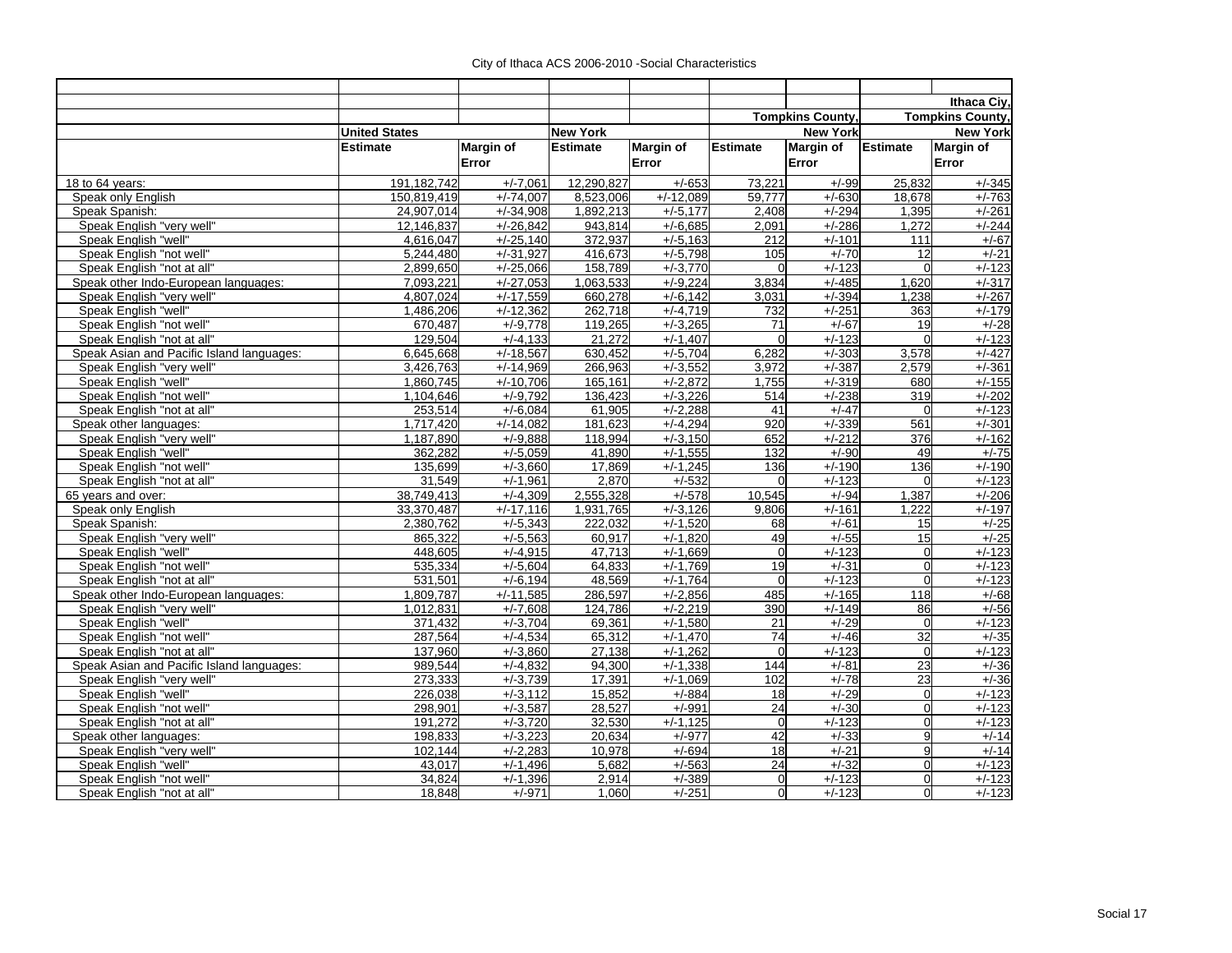|                                           |                      |                     |                 |                      |                  |                         |                 | Ithaca Civ.             |
|-------------------------------------------|----------------------|---------------------|-----------------|----------------------|------------------|-------------------------|-----------------|-------------------------|
|                                           |                      |                     |                 |                      |                  | <b>Tompkins County,</b> |                 | <b>Tompkins County,</b> |
|                                           | <b>United States</b> |                     | <b>New York</b> |                      |                  | <b>New York</b>         |                 | <b>New York</b>         |
|                                           | <b>Estimate</b>      | <b>Margin of</b>    | <b>Estimate</b> | <b>Margin of</b>     | <b>Estimate</b>  | <b>Margin of</b>        | <b>Estimate</b> | Margin of               |
|                                           |                      | Error               |                 | Error                |                  | Error                   |                 | Error                   |
|                                           | 191,182,742          | $+/-7,061$          | 12,290,827      | $+/-653$             |                  | $+/-99$                 | 25,832          | $+/-345$                |
| 18 to 64 years:<br>Speak only English     | 150.819.419          | $+/-74.007$         | 8,523,006       | $+/-12,089$          | 73,221<br>59,777 | $+/-630$                | 18,678          | $+/-763$                |
| Speak Spanish:                            | 24,907,014           | $+\frac{7}{34,908}$ | 1,892,213       | $+/-5,177$           | 2,408            | $+/-294$                | 1,395           | $+/-261$                |
| Speak English "very well"                 | 12,146,837           | $+/-26,842$         | 943,814         | $+/-6,685$           | 2,091            | $+/-286$                | 1,272           | $+/-244$                |
| Speak English "well"                      | 4,616,047            | $+/-25,140$         | 372,937         | $+/-5,163$           | 212              | $+/-101$                | 111             | $+/-67$                 |
| Speak English "not well"                  | 5,244,480            | $+/-31,927$         | 416,673         | $+/-5,798$           | 105              | $+/-70$                 | 12              | $+/-21$                 |
| Speak English "not at all"                | 2.899.650            | $+/-25.066$         | 158,789         | $+/-3.770$           | $\Omega$         | $+/-123$                | $\Omega$        | $+/-123$                |
| Speak other Indo-European languages:      | 7.093.221            | $+/-27,053$         | 1,063,533       | $+/-9,224$           | 3.834            | $+/-485$                | 1,620           | $+/-317$                |
| Speak English "very well"                 | 4,807,024            | $+/-17.559$         | 660,278         | $\frac{+}{-6}$ , 142 | 3,031            | $+/-394$                | 1.238           | $+/-267$                |
| Speak English "well"                      | 1,486,206            | $+/-12,362$         | 262,718         | $+/-4,719$           | 732              | $+/-251$                | 363             | $+/-179$                |
| Speak English "not well'                  | 670,487              | $+/-9,778$          | 119,265         | $+/-3,265$           | 71               | $+/-67$                 | 19              | $+/-28$                 |
| Speak English "not at all"                | 129,504              | $+/-4,133$          | 21,272          | $+/-1,407$           | $\overline{0}$   | $+/-123$                | $\Omega$        | $+/-123$                |
| Speak Asian and Pacific Island languages: | 6,645,668            | $+/-18,567$         | 630,452         | $+/-5,704$           | 6,282            | $+/-303$                | 3,578           | $+/-427$                |
| Speak English "very well"                 | 3,426,763            | $+/-14,969$         | 266,963         | $+/-3,552$           | 3,972            | $+/-387$                | 2,579           | $+/-361$                |
| Speak English "well"                      | 1,860,745            | $+/-10,706$         | 165,161         | $+/-2.872$           | 1,755            | $+/-319$                | 680             | $+/-155$                |
| Speak English "not well"                  | 1,104,646            | $+/-9,792$          | 136,423         | $+/-3,226$           | 514              | $+/-238$                | 319             | $+/-202$                |
| Speak English "not at all"                | 253,514              | $+/-6,084$          | 61,905          | $+/-2,288$           | 41               | $+/-47$                 | $\mathbf 0$     | $+/-123$                |
| Speak other languages:                    | 1,717,420            | $+/-14,082$         | 181,623         | $+/-4,294$           | 920              | $+/-339$                | 561             | $+/-301$                |
| Speak English "very well"                 | 1,187,890            | $+/-9,888$          | 118,994         | $+/-3,150$           | 652              | $+/-212$                | 376             | $+/-162$                |
| Speak English "well"                      | 362,282              | $+/-5,059$          | 41,890          | $+/-1,555$           | 132              | $+/-90$                 | 49              | $+/-75$                 |
| Speak English "not well"                  | 135,699              | $+/-3,660$          | 17,869          | $+/-1,245$           | 136              | $+/-190$                | 136             | $+/-190$                |
| Speak English "not at all"                | 31.549               | $+/-1.961$          | 2,870           | $+/-532$             | $\Omega$         | $+/-123$                | $\Omega$        | $+/-123$                |
| 65 years and over:                        | 38,749,413           | $+/-4,309$          | 2,555,328       | $+/-578$             | 10,545           | $+/-94$                 | 1,387           | $+/-206$                |
| Speak only English                        | 33.370.487           | $+/-17.116$         | 1,931,765       | $+/-3.126$           | 9.806            | $+/-161$                | 1.222           | $+/-197$                |
| Speak Spanish:                            | 2,380,762            | $+/-5,343$          | 222,032         | $+/-1,520$           | 68               | $+/-61$                 | 15              | $+/-25$                 |
| Speak English "very well'                 | 865,322              | $+/-5,563$          | 60,917          | $+/-1,820$           | 49               | $+/-55$                 | 15              | $+/-25$                 |
| Speak English "well"                      | 448,605              | $+/-4,915$          | 47,713          | $+/-1,669$           | $\overline{0}$   | $+/-123$                | 0               | $+/-123$                |
| Speak English "not well"                  | 535,334              | $+/-5,604$          | 64,833          | $+/-1,769$           | 19               | $+/-31$                 | 0l              | $+/-123$                |
| Speak English "not at all"                | 531,501              | $+/-6,194$          | 48,569          | $+/-1,764$           | $\Omega$         | $+/-123$                | $\overline{0}$  | $+/-123$                |
| Speak other Indo-European languages:      | 1,809,787            | $+/-11,585$         | 286,597         | $+/-2,856$           | 485              | $+/-165$                | 118             | $+/-68$                 |
| Speak English "very well"                 | 1,012,831            | $+/-7,608$          | 124,786         | $+/-2,219$           | 390              | $+/-149$                | 86              | $+/-56$                 |
| Speak English "well"                      | 371,432              | $+/-3,704$          | 69,361          | $+/-1,580$           | 21               | $+/-29$                 | $\mathbf 0$     | $+/-123$                |
| Speak English "not well"                  | 287,564              | $+/-4,534$          | 65,312          | $+/-1,470$           | 74               | $+/-46$                 | 32              | $+/-35$                 |
| Speak English "not at all"                | 137,960              | $+/-3,860$          | 27,138          | $+/-1,262$           | $\mathbf 0$      | $+/-123$                | $\overline{0}$  | $+/-123$                |
| Speak Asian and Pacific Island languages: | 989.544              | $+/-4,832$          | 94,300          | $+/-1,338$           | 144              | $+/-81$                 | 23              | $+/-36$                 |
| Speak English "very well"                 | 273,333              | $+/-3.739$          | 17,391          | $+/-1,069$           | 102              | $+/-78$                 | 23              | $+/-36$                 |
| Speak English "well"                      | 226,038              | $+/-3,112$          | 15,852          | $+/-884$             | 18               | $+/-29$                 | $\overline{0}$  | $+/-123$                |
| Speak English "not well"                  | 298,901              | $+/-3,587$          | 28,527          | $+/-991$             | 24               | $+/-30$                 | $\overline{0}$  | $+/-123$                |
| Speak English "not at all"                | 191,272              | $+/-3,720$          | 32,530          | $+/-1,125$           | $\mathbf 0$      | $+/-123$                | $\overline{0}$  | $+/-123$                |
| Speak other languages:                    | 198,833              | $+/-3,223$          | 20,634          | $+/-977$             | 42               | $+/-33$                 | 9               | $+/-14$                 |
| Speak English "very well'                 | 102,144              | $+/-2,283$          | 10,978          | $+/-694$             | $\overline{18}$  | $+/-21$                 | 9               | $+/-14$                 |
| Speak English "well"                      | 43,017               | $+/-1,496$          | 5,682           | $+/-563$             | $\overline{24}$  | $+/-32$                 | $\overline{0}$  | $+/-123$                |
| Speak English "not well"                  | 34,824               | $+/-1,396$          | 2,914           | $+/-389$             | $\overline{0}$   | $+/-123$                | $\overline{0}$  | $+/-123$                |
| Speak English "not at all"                | 18,848               | $+/-971$            | 1,060           | $+/-251$             | $\overline{0}$   | $+/-123$                | 0               | $+/-123$                |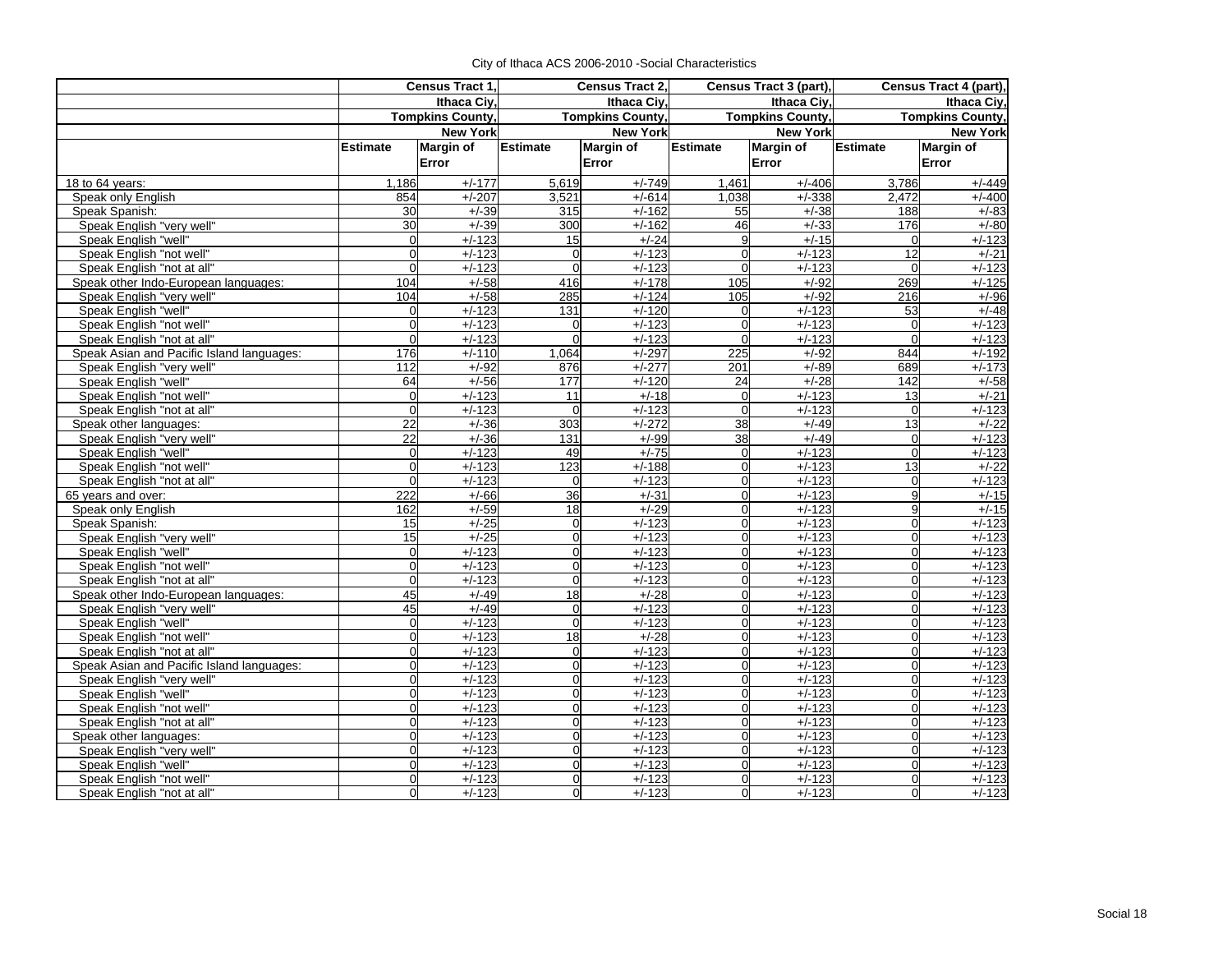|                                                   | Census Tract 1,      |                         | Census Tract 2,  |                         |                 | Census Tract 3 (part),  | Census Tract 4 (part), |                         |  |
|---------------------------------------------------|----------------------|-------------------------|------------------|-------------------------|-----------------|-------------------------|------------------------|-------------------------|--|
|                                                   | Ithaca Civ.          |                         | Ithaca Ciy,      |                         | Ithaca Ciy,     |                         | Ithaca Ciy,            |                         |  |
|                                                   |                      | <b>Tompkins County,</b> |                  | <b>Tompkins County,</b> |                 | <b>Tompkins County,</b> |                        | <b>Tompkins County,</b> |  |
|                                                   |                      | <b>New York</b>         | <b>New York</b>  |                         | <b>New York</b> |                         | <b>New York</b>        |                         |  |
|                                                   | Estimate             | <b>Margin of</b>        | <b>Estimate</b>  | <b>Margin of</b>        | <b>Estimate</b> | <b>Margin of</b>        | Estimate               | <b>Margin of</b>        |  |
|                                                   |                      | Error                   |                  | Error                   |                 | Error                   |                        | Error                   |  |
| 18 to 64 years:                                   | 1,186                | $+/-177$                | 5,619            | $+/-749$                | 1,461           | $+/-406$                | 3,786                  | $+/-449$                |  |
| Speak only English                                | 854                  | $+/-207$                | 3,521            | $+\sqrt{-614}$          | 1.038           | $+/-338$                | 2.472                  | $+/-400$                |  |
| Speak Spanish:                                    | 30                   | $+/-39$                 | 315              | $+/-162$                | 55              | $+/-38$                 | 188                    | $+/-83$                 |  |
| Speak English "very well"                         | 30                   | $+/-39$                 | 300              | $+/-162$                | 46              | $+/-33$                 | 176                    | $+/-80$                 |  |
| Speak English "well"                              | $\Omega$             | $+/-123$                | 15               | $+/-24$                 | 9               | $+/-15$                 | $\Omega$               | $+/-123$                |  |
| Speak English "not well"                          | $\Omega$             | $+/-123$                | $\Omega$         | $+/-123$                | $\Omega$        | $+/-123$                | 12                     | $+/-21$                 |  |
| Speak English "not at all"                        | $\Omega$             | $+/-123$                | $\Omega$         | $+/-123$                | $\Omega$        | $+/-123$                | $\Omega$               | $+/-123$                |  |
| Speak other Indo-European languages:              | 104                  | $+/-58$                 | 416              | $+/-178$                | 105             | $+/-92$                 | 269                    | $+/-125$                |  |
| Speak English "very well"                         | 104                  | $+/-58$                 | 285              | $+/-124$                | 105             | $+/-92$                 | <b>216</b>             | $+/-96$                 |  |
| Speak English "well"                              | $\Omega$             | $+/-123$                | $\overline{131}$ | $+/-120$                | $\mathbf 0$     | $+/-123$                | 53                     | $+/-48$                 |  |
| Speak English "not well"                          | $\Omega$             | $+/-123$                | $\mathbf 0$      | $+/-123$                | $\Omega$        | $+/-123$                | $\Omega$               | $+/-123$                |  |
| Speak English "not at all"                        | $\Omega$             | $+/-123$                | $\Omega$         | $+/-123$                | $\mathbf 0$     | $+/-123$                | $\Omega$               | $+/-123$                |  |
| Speak Asian and Pacific Island languages:         | 176                  | $+/-110$                | 1,064            | $+/-297$                | 225             | $+/-92$                 | 844                    | $+/-192$                |  |
| Speak English "very well"                         | 112                  | $+/-92$                 | 876              | $+/-277$                | 201             | $+/-89$                 | 689                    | $+/-173$                |  |
| Speak English "well"                              | 64                   | $+/-56$                 | 177              | $+/-120$                | 24              | $+/-28$                 | 142                    | $+/-58$                 |  |
| Speak English "not well"                          | $\Omega$<br>$\Omega$ | $+/-123$<br>$+/-123$    | 11               | $+/-18$                 | 0               | $+/-123$                | 13<br>$\Omega$         | $+/-21$                 |  |
| Speak English "not at all"                        |                      |                         | $\Omega$         | $+/-123$                | $\overline{0}$  | $+/-123$<br>$+/-49$     | 13                     | $+/-123$                |  |
| Speak other languages:                            | 22<br>22             | $+/-36$<br>$+/-36$      | 303<br>131       | $+/-272$<br>$+/-99$     | 38<br>38        | $+/-49$                 | $\mathbf 0$            | $+/-22$<br>$+/-123$     |  |
| Speak English "very well"<br>Speak English "well" | $\Omega$             | $+/-123$                | 49               | $+/-75$                 | $\overline{0}$  | $+/-123$                | $\Omega$               | $+/-123$                |  |
| Speak English "not well"                          | $\Omega$             | $+/-123$                | 123              | $+/-188$                | $\overline{0}$  | $+/-123$                | 13                     | $+/-22$                 |  |
| Speak English "not at all"                        | $\Omega$             | $+/-123$                | $\mathbf 0$      | $+/-123$                | $\overline{0}$  | $+/-123$                | $\overline{0}$         | $+/-123$                |  |
| 65 years and over:                                | 222                  | $+/-66$                 | 36               | $+/-31$                 | $\overline{0}$  | $+/-123$                | 9                      | $+/-15$                 |  |
| Speak only English                                | 162                  | $+/-59$                 | 18               | $+/-29$                 | $\overline{0}$  | $+/-123$                | 9                      | $+/-15$                 |  |
| Speak Spanish:                                    | 15                   | $+/-25$                 | $\mathbf 0$      | $+/-123$                | $\overline{0}$  | $+/-123$                | $\mathbf 0$            | $+/-123$                |  |
| Speak English "very well"                         | 15                   | $+/-25$                 | $\mathbf 0$      | $+/-123$                | $\overline{0}$  | $+/-123$                | $\Omega$               | $+/-123$                |  |
| Speak English "well"                              | $\Omega$             | $+/-123$                | $\overline{0}$   | $+/-123$                | $\overline{0}$  | $+/-123$                | $\mathbf 0$            | $+/-123$                |  |
| Speak English "not well"                          | $\Omega$             | $+/-123$                | $\overline{0}$   | $+/-123$                | $\overline{0}$  | $+/-123$                | $\Omega$               | $+/-123$                |  |
| Speak English "not at all"                        | $\Omega$             | $+/-123$                | $\Omega$         | $+/-123$                | 0               | $+/-123$                | $\Omega$               | $+/-123$                |  |
| Speak other Indo-European languages:              | 45                   | $+/-49$                 | $\frac{1}{8}$    | $+/-28$                 | $\overline{0}$  | $+/-123$                | $\Omega$               | $+/-123$                |  |
| Speak English "very well"                         | 45                   | $+/-49$                 | $\mathbf 0$      | $+/-123$                | 0               | $+/-123$                | $\Omega$               | $+/-123$                |  |
| Speak English "well"                              | $\Omega$             | $+/-123$                | $\Omega$         | $+/-123$                | 0               | $+/-123$                | $\Omega$               | $+/-123$                |  |
| Speak English "not well"                          | $\Omega$             | $+/-123$                | $\frac{1}{8}$    | $+/-28$                 | $\overline{0}$  | $+/-123$                | $\Omega$               | $+/-123$                |  |
| Speak English "not at all"                        | <sub>0</sub>         | $+/-123$                | $\mathbf 0$      | $+/-123$                | $\overline{0}$  | $+/-123$                | $\Omega$               | $+/-123$                |  |
| Speak Asian and Pacific Island languages:         | $\Omega$             | $+/-123$                | $\mathbf 0$      | $+/-123$                | $\overline{0}$  | $+/-123$                | $\Omega$               | $+/-123$                |  |
| Speak English "very well"                         | 0l                   | $+/-123$                | $\mathbf 0$      | $+/-123$                | $\overline{0}$  | $+/-123$                | $\mathbf{O}$           | $+/-123$                |  |
| Speak English "well"                              | $\Omega$             | $+/-123$                | $\mathbf 0$      | $+/-123$                | $\overline{0}$  | $+/-123$                | $\mathbf 0$            | $+/-123$                |  |
| Speak English "not well"                          | $\Omega$             | $+/-123$                | $\mathbf 0$      | $+/-123$                | $\overline{0}$  | $+/-123$                | $\mathbf 0$            | $+/-123$                |  |
| Speak English "not at all"                        | $\overline{0}$       | $+/-123$                | $\mathbf 0$      | $+/-123$                | $\overline{0}$  | $+/-123$                | $\mathbf{O}$           | $+/-123$                |  |
| Speak other languages:                            | $\Omega$             | $+/-123$                | $\overline{0}$   | $+/-123$                | 0               | $+/-123$                | $\overline{0}$         | $+/-123$                |  |
| Speak English "very well"                         | $\Omega$             | $+/-123$                | $\Omega$         | $+/-123$                | $\overline{0}$  | $+/-123$                | $\Omega$               | $+/-123$                |  |
| Speak English "well"                              | $\Omega$             | $+/-123$                | $\Omega$         | $+/-123$                | $\overline{0}$  | $+/-123$                | $\Omega$               | $+/-123$                |  |
| Speak English "not well"                          | $\overline{0}$       | $+/-123$                | $\Omega$         | $+/-123$                | $\overline{0}$  | $+/-123$                | $\Omega$               | $+/-123$                |  |
| Speak English "not at all"                        | 0                    | $+/-123$                | $\Omega$         | $+/-123$                | $\overline{0}$  | $+/-123$                | $\Omega$               | $+/-123$                |  |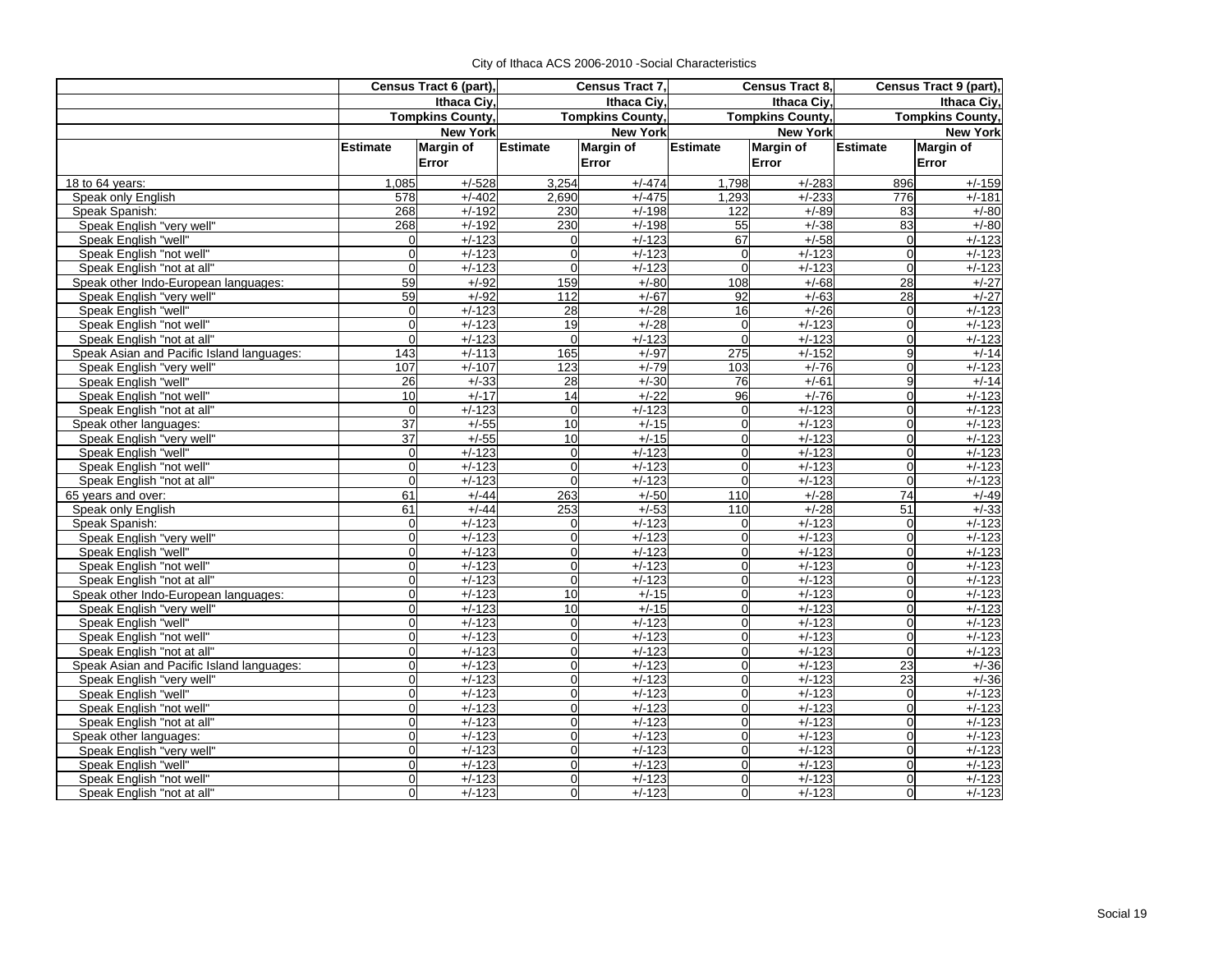|                                           | Census Tract 6 (part), |                         | Census Tract 7,         |                  | Census Tract 8,         |                  | Census Tract 9 (part),  |                  |  |
|-------------------------------------------|------------------------|-------------------------|-------------------------|------------------|-------------------------|------------------|-------------------------|------------------|--|
|                                           | Ithaca Ciy,            |                         |                         | Ithaca Ciy,      |                         | Ithaca Civ.      | Ithaca Ciy,             |                  |  |
|                                           |                        | <b>Tompkins County,</b> | <b>Tompkins County,</b> |                  | <b>Tompkins County,</b> |                  | <b>Tompkins County,</b> |                  |  |
|                                           |                        | <b>New York</b>         | <b>New York</b>         |                  |                         | <b>New York</b>  | <b>New York</b>         |                  |  |
|                                           | <b>Estimate</b>        | <b>Margin of</b>        | <b>Estimate</b>         | <b>Margin of</b> | <b>Estimate</b>         | <b>Margin of</b> | Estimate                | <b>Margin of</b> |  |
|                                           |                        | Error                   |                         | Error            |                         | Error            |                         | Error            |  |
| 18 to 64 years:                           | 1,085                  | $+/-528$                | 3,254                   | $+/-474$         | 1,798                   | $+/-283$         | 896                     | $+/-159$         |  |
| Speak only English                        | 578                    | $+/-402$                | 2.690                   | $+/-475$         | 1.293                   | $+/-233$         | 776                     | $+/-181$         |  |
| Speak Spanish:                            | 268                    | $+/-192$                | 230                     | $+/-198$         | 122                     | $+/-89$          | 83                      | $+/-80$          |  |
| Speak English "very well"                 | 268                    | $+/-192$                | 230                     | $+/-198$         | 55                      | $+/-38$          | 83                      | $+/-80$          |  |
| Speak English "well"                      | $\Omega$               | $+/-123$                | $\Omega$                | $+/-123$         | 67                      | $+/-58$          | $\Omega$                | $+/-123$         |  |
| Speak English "not well"                  | $\mathbf{0}$           | $+/-123$                | $\Omega$                | $+/-123$         | $\overline{0}$          | $+/-123$         | $\Omega$                | $+/-123$         |  |
| Speak English "not at all"                | $\Omega$               | $+/-123$                | $\Omega$                | $+/-123$         | $\Omega$                | $+/-123$         | $\Omega$                | $+/-123$         |  |
| Speak other Indo-European languages:      | 59                     | $+/-92$                 | 159                     | $+/-80$          | 108                     | $+/-68$          | 28                      | $+/-27$          |  |
| Speak English "very well"                 | 59                     | $+/-92$                 | 112                     | $+/-67$          | 92                      | $+/-63$          | 28                      | $+/-27$          |  |
| Speak English "well"                      | $\mathbf 0$            | $+/-123$                | $\overline{28}$         | $+/-28$          | 16                      | $+/-26$          | $\overline{0}$          | $+/-123$         |  |
| Speak English "not well"                  | $\mathbf 0$            | $+/-123$                | $\overline{19}$         | $+/-28$          | $\mathbf 0$             | $+/-123$         | $\Omega$                | $+/-123$         |  |
| Speak English "not at all"                | $\overline{0}$         | $+/-123$                | $\Omega$                | $+/-123$         | $\Omega$                | $+/-123$         | $\Omega$                | $+/-123$         |  |
| Speak Asian and Pacific Island languages: | 143                    | $+/-113$                | 165                     | $+/-97$          | $\overline{275}$        | $+/-152$         | 9                       | $+/-14$          |  |
| Speak English "very well"                 | 107                    | $+/-107$                | 123                     | $+/-79$          | 103                     | $+/-76$          | $\overline{0}$          | $+/-123$         |  |
| Speak English "well"                      | 26                     | $+/-33$                 | $\overline{28}$         | $+/-30$          | 76                      | $+/-61$          | $\overline{9}$          | $+/-14$          |  |
| Speak English "not well"                  | 10                     | $+/-17$                 | 14                      | $+/-22$          | 96                      | $+/-76$          | $\overline{0}$          | $+/-123$         |  |
| Speak English "not at all"                | $\mathbf{0}$           | $+/-123$                | $\Omega$                | $+/-123$         | $\overline{0}$          | $+/-123$         | $\Omega$                | $+/-123$         |  |
| Speak other languages:                    | 37                     | $+/-55$                 | 10                      | $+/-15$          | $\Omega$                | $+/-123$         | $\Omega$                | $+/-123$         |  |
| Speak English "very well"                 | 37                     | $+/-55$                 | 10                      | $+/-15$          | $\Omega$                | $+/-123$         | $\mathbf{0}$            | $+/-123$         |  |
| Speak English "well"                      | $\mathbf 0$            | $+/-123$                | $\overline{0}$          | $+/-123$         | $\overline{0}$          | $+/-123$         | $\Omega$                | $+/-123$         |  |
| Speak English "not well"                  | $\mathbf 0$            | $+/-123$                | $\Omega$                | $+/-123$         | $\Omega$                | $+/-123$         | $\Omega$                | $+/-123$         |  |
| Speak English "not at all"                | $\Omega$               | $+/-123$                | $\Omega$                | $+/-123$         | $\Omega$                | $+/-123$         | $\Omega$                | $+/-123$         |  |
| 65 years and over:                        | 61                     | $+/-44$                 | 263                     | $+/-50$          | 110                     | $+/-28$          | 74                      | $+/-49$          |  |
| Speak only English                        | 61                     | $+/-44$                 | 253                     | $+/-53$          | 110                     | $+/-28$          | 51                      | $+/-33$          |  |
| Speak Spanish:                            | $\mathbf 0$            | $+/-123$                | $\mathbf 0$             | $+/-123$         | $\overline{0}$          | $+/-123$         | $\Omega$                | $+/-123$         |  |
| Speak English "very well"                 | $\overline{0}$         | $+/-123$                | $\overline{0}$          | $+/-123$         | $\overline{0}$          | $+/-123$         | $\Omega$                | $+/-123$         |  |
| Speak English "well"                      | $\overline{0}$         | $+/-123$                | $\overline{0}$          | $+/-123$         | $\overline{0}$          | $+/-123$         | $\overline{0}$          | $+/-123$         |  |
| Speak English "not well"                  | $\overline{0}$         | $+/-123$                | $\Omega$                | $+/-123$         | $\mathbf 0$             | $+/-123$         | $\Omega$                | $+/-123$         |  |
| Speak English "not at all"                | 0                      | $+/-123$                | $\Omega$                | $+/-123$         | $\overline{0}$          | $+/-123$         | $\Omega$                | $+/-123$         |  |
| Speak other Indo-European languages:      | 0                      | $+/-123$                | 10                      | $+/-15$          | $\mathbf{0}$            | $+/-123$         | $\overline{0}$          | $+/-123$         |  |
| Speak English "very well"                 | 0                      | $+/-123$                | 10                      | $+/-15$          | $\Omega$                | $+/-123$         | $\overline{0}$          | $+/-123$         |  |
| Speak English "well"                      | 0                      | $+/-123$                | $\Omega$                | $+/-123$         | $\overline{0}$          | $+/-123$         | $\overline{0}$          | $+/-123$         |  |
| Speak English "not well"                  | $\overline{0}$         | $+/-123$                | $\mathbf 0$             | $+/-123$         | $\mathbf 0$             | $+/-123$         | $\Omega$                | $+/-123$         |  |
| Speak English "not at all"                | $\overline{0}$         | $+/-123$                | $\Omega$                | $+/-123$         | $\mathbf 0$             | $+/-123$         | $\Omega$                | $+/-123$         |  |
| Speak Asian and Pacific Island languages: | $\mathbf 0$            | $+/-123$                | $\Omega$                | $+/-123$         | $\overline{0}$          | $+/-123$         | 23                      | $+/-36$          |  |
| Speak English "very well"                 | 0                      | $+/-123$                | $\mathbf 0$             | $+/-123$         | $\overline{0}$          | $+/-123$         | 23                      | $+/-36$          |  |
| Speak English "well"                      | $\overline{0}$         | $+/-123$                | $\Omega$                | $+/-123$         | $\overline{0}$          | $+/-123$         | $\Omega$                | $+/-123$         |  |
| Speak English "not well"                  | 0                      | $+/-123$                | $\overline{0}$          | $+/-123$         | $\overline{0}$          | $+/-123$         | $\Omega$                | $+/-123$         |  |
| Speak English "not at all"                | $\overline{0}$         | $+/-123$                | $\Omega$                | $+/-123$         | $\mathbf 0$             | $+/-123$         | $\Omega$                | $+/-123$         |  |
| Speak other languages:                    | $\overline{0}$         | $+/-123$                | $\overline{0}$          | $+/-123$         | $\mathbf 0$             | $+/-123$         | $\Omega$                | $+/-123$         |  |
| Speak English "very well"                 | $\overline{0}$         | $+/-123$                | $\Omega$                | $+/-123$         | $\Omega$                | $+/-123$         | $\Omega$                | $+/-123$         |  |
| Speak English "well"                      | 0                      | $+/-123$                | $\Omega$                | $+/-123$         | $\mathbf 0$             | $+/-123$         | $\Omega$                | $+/-123$         |  |
| Speak English "not well"                  | O                      | $+/-123$                | $\Omega$                | $+/-123$         | $\Omega$                | $+/-123$         | $\Omega$                | $+/-123$         |  |
| Speak English "not at all"                | 0                      | $+/-123$                | $\Omega$                | $+/-123$         | $\overline{O}$          | $+/-123$         | $\Omega$                | $+/-123$         |  |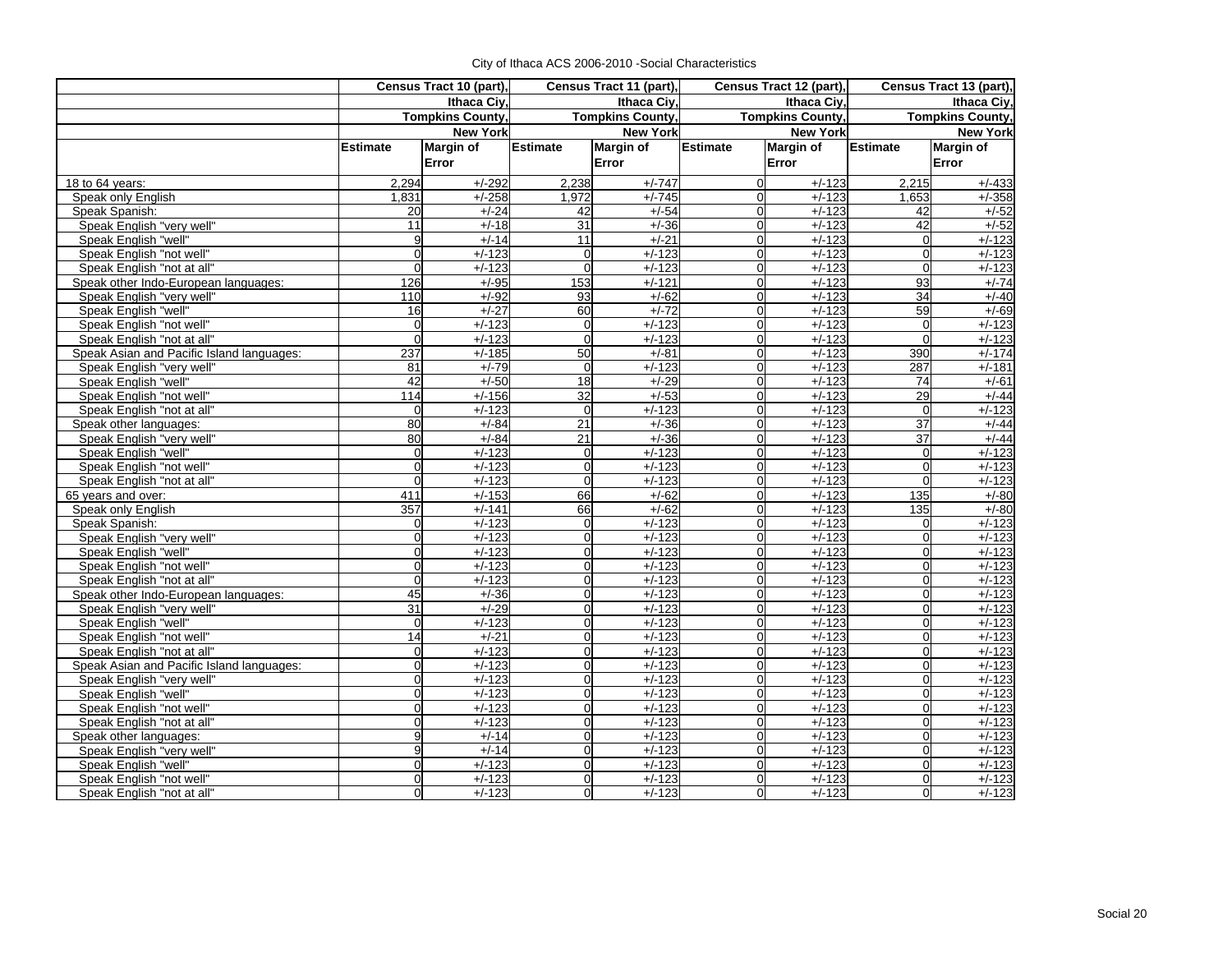|                                           | Census Tract 10 (part), |                 | Census Tract 11 (part), |                  | Census Tract 12 (part), |                  |                 | Census Tract 13 (part), |
|-------------------------------------------|-------------------------|-----------------|-------------------------|------------------|-------------------------|------------------|-----------------|-------------------------|
|                                           | Ithaca Civ.             |                 | Ithaca Ciy,             |                  | Ithaca Civ.             |                  |                 | Ithaca Civ.             |
|                                           | <b>Tompkins County,</b> |                 | <b>Tompkins County,</b> |                  | <b>Tompkins County,</b> |                  |                 | <b>Tompkins County,</b> |
|                                           |                         | <b>New York</b> |                         | <b>New York</b>  |                         | <b>New York</b>  |                 | <b>New York</b>         |
|                                           | <b>Estimate</b>         | Margin of       | Estimate                | <b>Margin of</b> | <b>Estimate</b>         | <b>Margin of</b> | <b>Estimate</b> | <b>Margin of</b>        |
|                                           |                         | Error           |                         | Error            |                         | Error            |                 | Error                   |
| 18 to 64 years:                           | 2,294                   | $+/-292$        | 2,238                   | $+/-747$         | $\Omega$                | $+/-123$         | 2,215           | $+/-433$                |
| Speak only English                        | 1,831                   | $+/-258$        | 1.972                   | $+/-745$         | $\Omega$                | $+/-123$         | 1.653           | $+/-358$                |
| Speak Spanish:                            | 20                      | $+/-24$         | 42                      | $+/-54$          | $\Omega$                | $+/-123$         | 42              | $+/-52$                 |
| Speak English "very well"                 | 11                      | $+/-18$         | 31                      | $+/-36$          | $\Omega$                | $+/-123$         | 42              | $+/-52$                 |
| Speak English "well"                      | 9                       | $+/-14$         | 11                      | $+/-21$          | $\Omega$                | $+/-123$         | $\Omega$        | $+/-123$                |
| Speak English "not well"                  | $\overline{0}$          | $+/-123$        | $\mathbf 0$             | $+/-123$         | $\mathbf 0$             | $+/-123$         | $\overline{0}$  | $+/-123$                |
| Speak English "not at all"                | $\Omega$                | $+/-123$        | $\Omega$                | $+/-123$         | $\Omega$                | $+/-123$         | $\Omega$        | $+/-123$                |
| Speak other Indo-European languages:      | 126                     | $+/-95$         | 153                     | $+/-121$         | $\Omega$                | $+/-123$         | 93              | $+/-74$                 |
| Speak English "very well"                 | 110                     | $+/-92$         | 93                      | $+/-62$          | $\Omega$                | $+/-123$         | 34              | $+/-40$                 |
| Speak English "well"                      | 16                      | $+/-27$         | 60                      | $+/-72$          | $\Omega$                | $+/-123$         | 59              | $+/-69$                 |
| Speak English "not well"                  | $\overline{0}$          | $+/-123$        | $\overline{0}$          | $+/-123$         | $\Omega$                | $+/-123$         | $\overline{0}$  | $+/-123$                |
| Speak English "not at all"                | $\mathbf 0$             | $+/-123$        | $\overline{0}$          | $+/-123$         | $\overline{0}$          | $+/-123$         | $\Omega$        | $+/-123$                |
| Speak Asian and Pacific Island languages: | 237                     | $+/-185$        | 50                      | $+/-81$          | $\Omega$                | $+/-123$         | 390             | $+/-174$                |
| Speak English "very well"                 | 81                      | $+/-79$         | $\Omega$                | $+/-123$         | $\Omega$                | $+/-123$         | 287             | $+/-181$                |
| Speak English "well"                      | 42                      | $+/-50$         | 18                      | $+/-29$          | $\overline{0}$          | $+/-123$         | 74              | $+/-61$                 |
| Speak English "not well"                  | 114                     | $+/-156$        | 32                      | $+/-53$          | $\Omega$                | $+/-123$         | 29              | $+/-44$                 |
| Speak English "not at all"                | $\overline{0}$          | $+/-123$        | $\Omega$                | $+/-123$         | $\Omega$                | $+/-123$         | $\Omega$        | $+/-123$                |
| Speak other languages:                    | 80                      | $+/-84$         | 21                      | $+/-36$          | $\Omega$                | $+/-123$         | 37              | $+/-44$                 |
| Speak English "very well"                 | 80                      | $+/-84$         | 21                      | $+/-36$          | $\Omega$                | $+/-123$         | 37              | $+/-44$                 |
| Speak English "well"                      | $\overline{0}$          | $+/-123$        | $\overline{0}$          | $+/-123$         | $\Omega$                | $+/-123$         | $\Omega$        | $+/-123$                |
| Speak English "not well"                  | $\overline{0}$          | $+/-123$        | $\Omega$                | $+/-123$         | $\Omega$                | $+/-123$         | $\Omega$        | $+/-123$                |
| Speak English "not at all"                | $\Omega$                | $+/-123$        | $\Omega$                | $+/-123$         | $\Omega$                | $+/-123$         | $\Omega$        | $+/-123$                |
| 65 years and over:                        | 411                     | $+/-153$        | 66                      | $+/-62$          | $\Omega$                | $+/-123$         | 135             | $+/-80$                 |
| Speak only English                        | 357                     | $+/-141$        | 66                      | $+/-62$          | $\Omega$                | $+/-123$         | 135             | $+/-80$                 |
| Speak Spanish:                            | 0                       | $+/-123$        | $\overline{0}$          | $+/-123$         | $\Omega$                | $+/-123$         | $\overline{0}$  | $+/-123$                |
| Speak English "very well"                 | $\overline{0}$          | $+/-123$        | $\overline{0}$          | $+/-123$         | $\Omega$                | $+/-123$         | $\mathbf 0$     | $+/-123$                |
| Speak English "well"                      | $\overline{0}$          | $+/-123$        | $\overline{0}$          | $+/-123$         | $\Omega$                | $+/-123$         | $\overline{0}$  | $+/-123$                |
| Speak English "not well"                  | $\Omega$                | $+/-123$        | $\Omega$                | $+/-123$         | $\Omega$                | $+/-123$         | $\Omega$        | $+/-123$                |
| Speak English "not at all"                | $\Omega$                | $+/-123$        | $\Omega$                | $+/-123$         | $\Omega$                | $+/-123$         | $\Omega$        | $+/-123$                |
| Speak other Indo-European languages:      | 45                      | $+/-36$         | $\Omega$                | $+/-123$         | $\Omega$                | $+/-123$         | $\Omega$        | $+/-123$                |
| Speak English "very well"                 | 31                      | $+/-29$         | $\Omega$                | $+/-123$         | $\Omega$                | $+/-123$         | $\Omega$        | $+/-123$                |
| Speak English "well"                      | $\overline{0}$          | $+/-123$        | $\Omega$                | $+/-123$         | $\Omega$                | $+/-123$         | $\Omega$        | $+/-123$                |
| Speak English "not well"                  | $\overline{14}$         | $+/-21$         | $\overline{0}$          | $+/-123$         | $\Omega$                | $+/-123$         | $\Omega$        | $+/-123$                |
| Speak English "not at all"                | $\overline{0}$          | $+/-123$        | $\overline{0}$          | $+/-123$         | $\Omega$                | $+/-123$         | $\mathbf 0$     | $+/-123$                |
| Speak Asian and Pacific Island languages: | $\Omega$                | $+/-123$        | $\Omega$                | $+/-123$         | $\Omega$                | $+/-123$         | $\Omega$        | $+/-123$                |
| Speak English "very well"                 | $\overline{0}$          | $+/-123$        | $\overline{0}$          | $+/-123$         | $\Omega$                | $\frac{+}{123}$  | $\Omega$        | $+/-123$                |
| Speak English "well"                      | $\overline{0}$          | $+/-123$        | $\Omega$                | $+/-123$         | $\Omega$                | $+/-123$         | $\Omega$        | $+/-123$                |
| Speak English "not well"                  | $\overline{0}$          | $+/-123$        | $\overline{0}$          | $+/-123$         | $\Omega$                | $+/-123$         | $\Omega$        | $+/-123$                |
| Speak English "not at all"                | $\overline{0}$          | $+/-123$        | $\Omega$                | $+/-123$         | $\Omega$                | $+/-123$         | $\Omega$        | $+/-123$                |
| Speak other languages:                    | 9                       | $+/-14$         | $\overline{0}$          | $+/-123$         | $\Omega$                | $+/-123$         | $\overline{0}$  | $+/-123$                |
| Speak English "very well"                 | 9                       | $+/-14$         | $\Omega$                | $+/-123$         | $\Omega$                | $+/-123$         | $\overline{0}$  | $+/-123$                |
| Speak English "well"                      | $\overline{0}$          | $+/-123$        | $\Omega$                | $+/-123$         | $\Omega$                | $+/-123$         | $\Omega$        | $+/-123$                |
| Speak English "not well"                  | $\Omega$                | $+/-123$        | Ωl                      | $+/-123$         | $\Omega$                | $+/-123$         | $\Omega$        | $+/-123$                |
| Speak English "not at all"                | $\overline{0}$          | $+/-123$        | Οl                      | $+/-123$         | <sub>0</sub>            | $+/-123$         | $\Omega$        | $+/-123$                |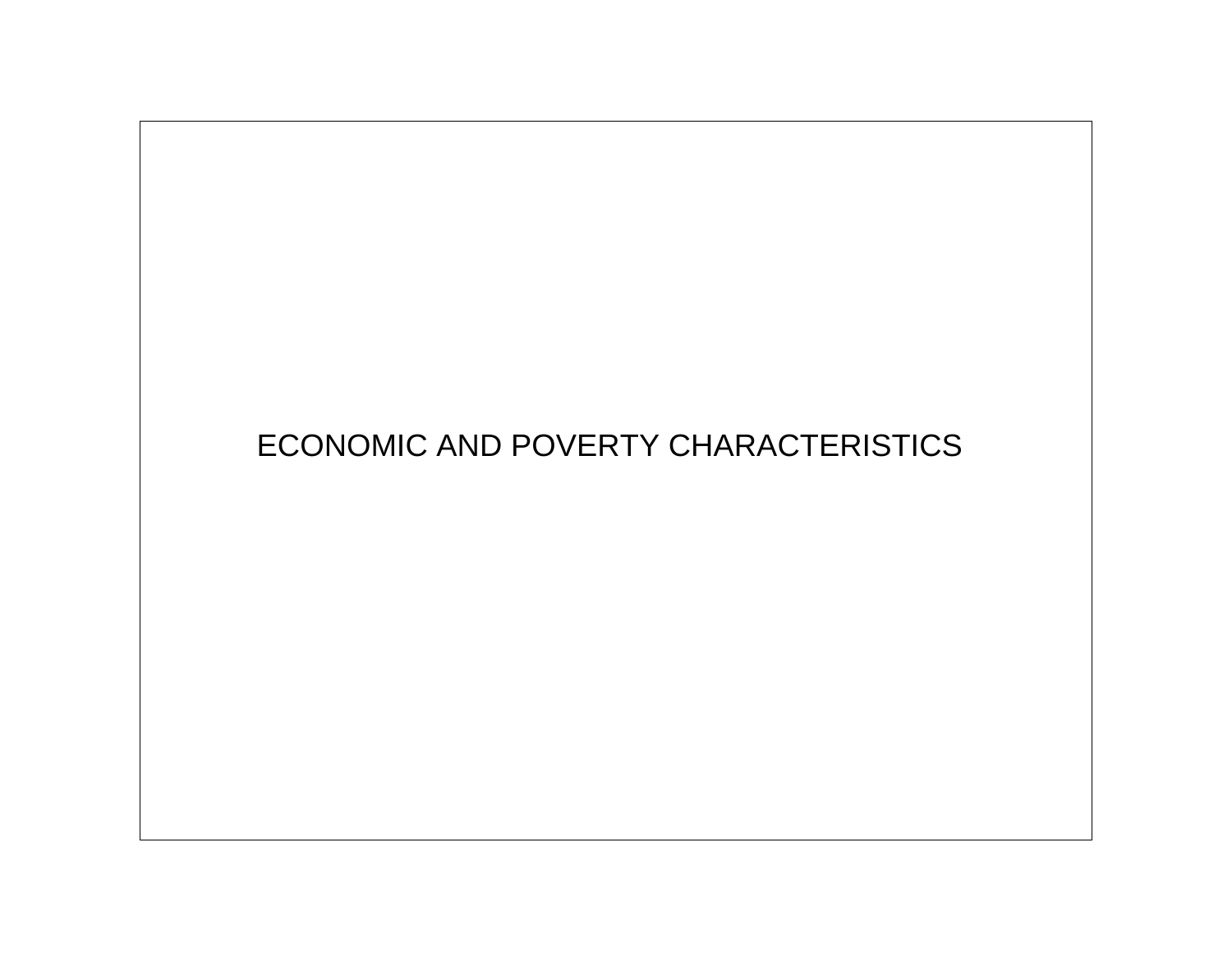# ECONOMIC AND POVERTY CHARACTERISTICS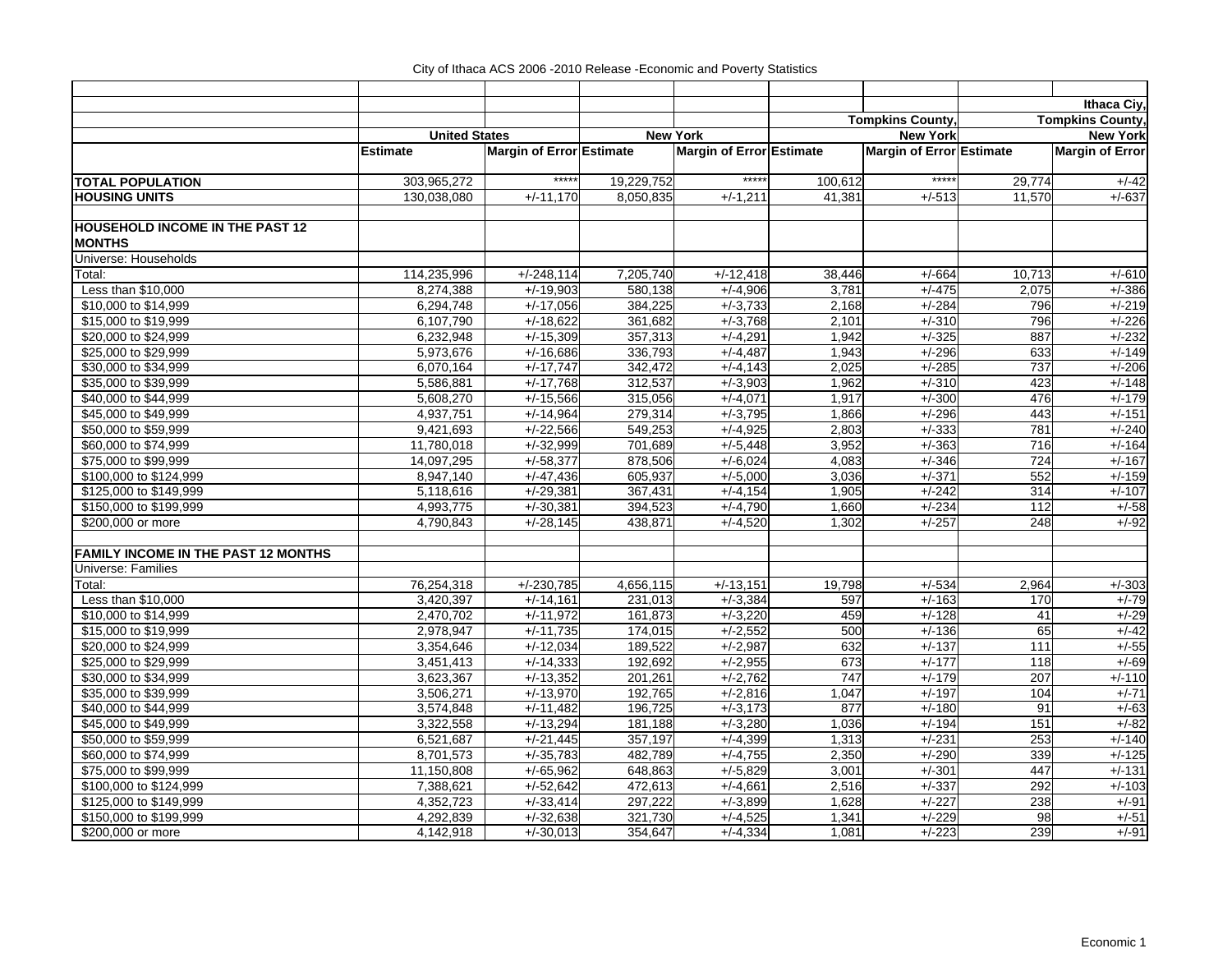|                                                         |                      |                          |            |                          |                        |                          |                         | Ithaca Ciy,            |
|---------------------------------------------------------|----------------------|--------------------------|------------|--------------------------|------------------------|--------------------------|-------------------------|------------------------|
|                                                         |                      |                          |            |                          | <b>Tompkins County</b> |                          | <b>Tompkins County.</b> |                        |
|                                                         | <b>United States</b> |                          |            | <b>New York</b>          |                        | <b>New York</b>          |                         | <b>New York</b>        |
|                                                         | <b>Estimate</b>      | Margin of Error Estimate |            | Margin of Error Estimate |                        | Margin of Error Estimate |                         | <b>Margin of Error</b> |
| <b>TOTAL POPULATION</b>                                 | 303,965,272          | *****                    | 19,229,752 | *****                    | 100,612                | $***$                    | 29,774                  | $+/-42$                |
| <b>HOUSING UNITS</b>                                    | 130,038,080          | $+/-11,170$              | 8,050,835  | $+/-1,211$               | 41,381                 | $+/-513$                 | 11,570                  | $+/-637$               |
| <b>HOUSEHOLD INCOME IN THE PAST 12</b><br><b>MONTHS</b> |                      |                          |            |                          |                        |                          |                         |                        |
| Universe: Households                                    |                      |                          |            |                          |                        |                          |                         |                        |
| Total:                                                  | 114,235,996          | $+/-248,114$             | 7,205,740  | $+/-12,418$              | 38,446                 | $+/-664$                 | 10,713                  | $+/-610$               |
| Less than \$10,000                                      | 8,274,388            | $+/-19,903$              | 580,138    | $+/-4,906$               | 3,781                  | $+/-475$                 | 2,075                   | $+/-386$               |
| \$10,000 to \$14,999                                    | 6,294,748            | $+/-17,056$              | 384,225    | $+/-3,733$               | 2,168                  | $+/-284$                 | 796                     | $+/-219$               |
| \$15,000 to \$19,999                                    | 6,107,790            | $+/-18,622$              | 361,682    | $+/-3,768$               | 2,101                  | $+/-310$                 | 796                     | $+/-226$               |
| \$20,000 to \$24,999                                    | 6,232,948            | $+/-15,309$              | 357,313    | $+/-4,291$               | 1,942                  | $+/-325$                 | 887                     | $+/-232$               |
| \$25,000 to \$29,999                                    | 5,973,676            | $+/-16,686$              | 336,793    | $+/-4,487$               | 1,943                  | $+/-296$                 | 633                     | $+/-149$               |
| \$30,000 to \$34,999                                    | 6,070,164            | $+/-17,747$              | 342,472    | $+/-4,143$               | 2,025                  | $+/-285$                 | 737                     | $+/-206$               |
| \$35,000 to \$39,999                                    | 5,586,881            | $+/-17,768$              | 312,537    | $+/-3,903$               | 1,962                  | $+/-310$                 | 423                     | $+/-148$               |
| \$40,000 to \$44,999                                    | 5,608,270            | $+/-15,566$              | 315,056    | $+/-4,071$               | 1,917                  | $+/-300$                 | 476                     | $+/-179$               |
| \$45,000 to \$49,999                                    | 4,937,751            | $+/-14,964$              | 279,314    | $+/-3,795$               | 1,866                  | $+/-296$                 | 443                     | $+/-151$               |
| \$50,000 to \$59,999                                    | 9,421,693            | $+/-22,566$              | 549,253    | $+/-4,925$               | 2,803                  | $+/-333$                 | 781                     | $+/-240$               |
| \$60,000 to \$74,999                                    | 11,780,018           | $+/-32,999$              | 701,689    | $+/-5,448$               | 3,952                  | $+/-363$                 | 716                     | $+/-164$               |
| \$75,000 to \$99,999                                    | 14,097,295           | $+/-58,377$              | 878,506    | $+/-6,024$               | 4,083                  | $+/-346$                 | 724                     | $+/-167$               |
| \$100,000 to \$124,999                                  | 8,947,140            | $+/-47,436$              | 605,937    | $+/-5,000$               | 3,036                  | $+/-371$                 | 552                     | $+/-159$               |
| \$125,000 to \$149,999                                  | 5,118,616            | $+/-29,381$              | 367,431    | $+/-4,154$               | 1,905                  | $+/-242$                 | 314                     | $+/-107$               |
| \$150,000 to \$199,999                                  | 4,993,775            | $+/-30,381$              | 394,523    | $+/-4,790$               | 1,660                  | $+/-234$                 | 112                     | $+/-58$                |
| \$200,000 or more                                       | 4,790,843            | $+/-28,145$              | 438,871    | $+/-4,520$               | 1,302                  | $+/-257$                 | 248                     | $+/-92$                |
| <b>FAMILY INCOME IN THE PAST 12 MONTHS</b>              |                      |                          |            |                          |                        |                          |                         |                        |
| Universe: Families                                      |                      |                          |            |                          |                        |                          |                         |                        |
| Total:                                                  | 76,254,318           | $+/-230,785$             | 4,656,115  | $+/-13,151$              | 19,798                 | $+/-534$                 | 2,964                   | $+/-303$               |
| Less than \$10,000                                      | 3,420,397            | $+/-14,161$              | 231,013    | $+/-3,384$               | 597                    | $+/-163$                 | 170                     | $+/-79$                |
| \$10,000 to \$14,999                                    | 2,470,702            | $+/-11,972$              | 161,873    | $+/-3,220$               | 459                    | $+/-128$                 | 41                      | $+/-29$                |
| \$15,000 to \$19,999                                    | 2,978,947            | $+/-11,735$              | 174,015    | $+/-2,552$               | 500                    | $+/-136$                 | 65                      | $+/-42$                |
| \$20,000 to \$24,999                                    | 3,354,646            | $+/-12,034$              | 189,522    | $+/-2,987$               | 632                    | $+/-137$                 | 111                     | $+/-55$                |
| \$25,000 to \$29,999                                    | 3,451,413            | $+/-14,333$              | 192,692    | $+/-2,955$               | 673                    | $+/-177$                 | 118                     | $+/-69$                |
| \$30,000 to \$34,999                                    | 3,623,367            | $+/-13,352$              | 201,261    | $+/-2,762$               | $\overline{747}$       | $+/-179$                 | 207                     | $+/-110$               |
| \$35,000 to \$39,999                                    | 3,506,271            | $+/-13,970$              | 192,765    | $+/-2,816$               | 1,047                  | $+/-197$                 | 104                     | $+/-71$                |
| \$40,000 to \$44,999                                    | 3,574,848            | $+/-11,482$              | 196,725    | $+/-3,173$               | 877                    | $+/-180$                 | 91                      | $+/-63$                |
| \$45,000 to \$49,999                                    | 3,322,558            | $+/-13,294$              | 181,188    | $+/-3,280$               | 1,036                  | $+/-194$                 | 151                     | $+/-82$                |
| \$50,000 to \$59,999                                    | 6,521,687            | $+/-21,445$              | 357,197    | $+/-4.399$               | 1,313                  | $+/-231$                 | 253                     | $+/-140$               |
| \$60,000 to \$74,999                                    | 8,701,573            | $+/-35,783$              | 482,789    | $+/-4,755$               | 2,350                  | $+/-290$                 | 339                     | $+/-125$               |
| \$75,000 to \$99,999                                    | 11,150,808           | $+/-65,962$              | 648,863    | $+/-5,829$               | 3,001                  | $+/-301$                 | 447                     | $+/-131$               |
| \$100,000 to \$124,999                                  | 7,388,621            | $+/-52,642$              | 472,613    | $+/-4,661$               | 2,516                  | $+/-337$                 | 292                     | $+/-103$               |
| \$125,000 to \$149,999                                  | 4,352,723            | $+/-33,414$              | 297,222    | $+/-3,899$               | 1,628                  | $+/-227$                 | 238                     | $+/-91$                |
| \$150,000 to \$199,999                                  | 4,292,839            | $+/-32,638$              | 321,730    | $+/-4,525$               | 1,341                  | $+/-229$                 | 98                      | $+/-51$                |
| \$200,000 or more                                       | 4,142,918            | $+/-30,013$              | 354,647    | $+/-4,334$               | 1,081                  | $+/-223$                 | 239                     | $+/-91$                |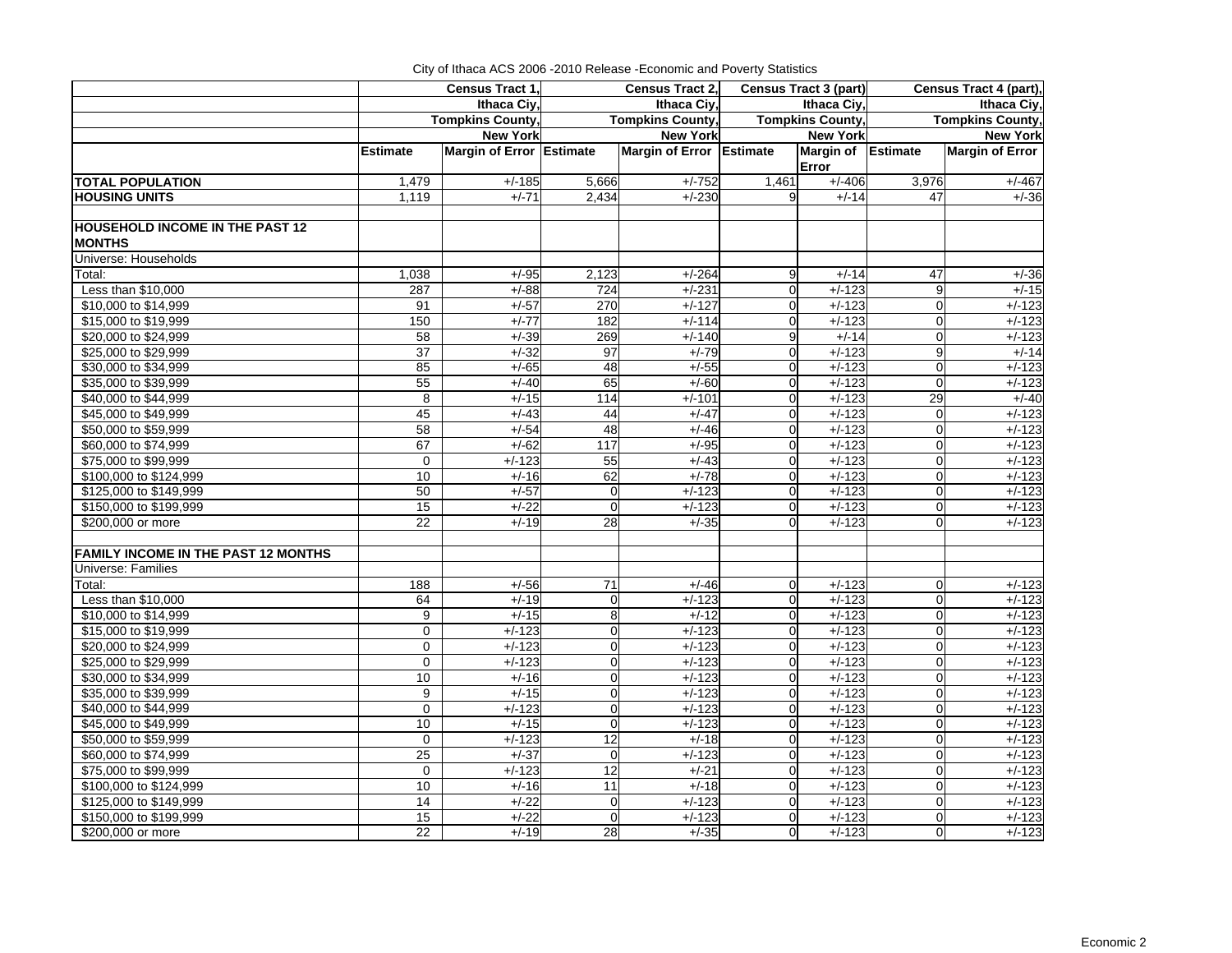| Ithaca Civ.<br>Ithaca Civ.<br>Ithaca Civ.<br>Ithaca Civ.<br><b>Tompkins County,</b><br><b>Tompkins County,</b><br><b>Tompkins County,</b><br><b>Tompkins County,</b><br><b>New York</b><br><b>New York</b><br><b>New York</b><br><b>New York</b><br>Margin of Error Estimate<br>Margin of Error Estimate<br><b>Margin of Error</b><br><b>Estimate</b><br>Margin of Estimate<br>Error<br><b>TOTAL POPULATION</b><br>1,479<br>$+/-185$<br>$+/-752$<br>1,461<br>$+/-406$<br>3,976<br>5,666<br><b>HOUSING UNITS</b><br>1,119<br>$+/-71$<br>2,434<br>$+/-230$<br>9<br>$+/-14$<br>47<br><b>MONTHS</b><br>Universe: Households<br>1,038<br>$+/-264$<br>Total:<br>$+/-95$<br>2,123<br>9<br>$+/-14$<br>47<br>Less than \$10,000<br>$+/-231$<br>$\mathbf 0$<br>$+/-123$<br>9<br>$+/-15$<br>287<br>$+/-88$<br>724<br>\$10,000 to \$14,999<br>$+/-57$<br>270<br>$+/-127$<br>$+/-123$<br>$\mathbf 0$<br>$+/-123$<br>91<br>$\overline{0}$<br>$+/-114$<br>$+/-123$<br>$\mathbf 0$<br>$+/-123$<br>\$15,000 to \$19,999<br>150<br>$+/-77$<br>182<br>$\Omega$<br>\$20,000 to \$24,999<br>269<br>$+/-14$<br>$+/-123$<br>58<br>$+/-39$<br>$+/-140$<br>9<br>$\overline{0}$<br>\$25,000 to \$29,999<br>37<br>$+/-32$<br>97<br>$+/-79$<br>$+/-123$<br>9<br>$+/-14$<br>$\Omega$<br>\$30,000 to \$34,999<br>85<br>$+/-65$<br>48<br>$+/-55$<br>$+/-123$<br>$\overline{0}$<br>$+/-123$<br>$\Omega$<br>$+/-123$<br>\$35,000 to \$39,999<br>55<br>$+/-40$<br>65<br>$+/-60$<br>$+/-123$<br>$\Omega$<br>$\Omega$<br>\$40,000 to \$44,999<br>8<br>$+/-15$<br>$+/-101$<br>$+/-123$<br>29<br>$+/-40$<br>114<br>$\Omega$<br>$+/-123$<br>\$45,000 to \$49,999<br>45<br>$+/-43$<br>44<br>$+/-47$<br>$+/-123$<br>$\Omega$<br>$\mathbf 0$<br>$+/-123$<br>\$50,000 to \$59,999<br>58<br>$+/-54$<br>48<br>$+/-46$<br>$\mathbf 0$<br>$+/-123$<br>$\overline{0}$<br>67<br>$+/-62$<br>117<br>$+/-95$<br>$+/-123$<br>$\mathbf 0$<br>$+/-123$<br>\$60,000 to \$74,999<br>$\overline{0}$<br>55<br>$+/-123$<br>\$75,000 to \$99,999<br>$\mathbf 0$<br>$+/-123$<br>$+/-43$<br>$\mathbf 0$<br>$+/-123$<br>$\overline{0}$<br>\$100,000 to \$124,999<br>10<br>$+/-16$<br>62<br>$+/-78$<br>$+/-123$<br>$\mathbf 0$<br>$+/-123$<br>$\Omega$<br>50<br>\$125,000 to \$149,999<br>$+/-57$<br>$\mathbf 0$<br>$+/-123$<br>$\Omega$<br>$+/-123$<br>$\overline{0}$<br>$+/-123$<br>15<br>$\Omega$<br>\$150,000 to \$199,999<br>$+/-22$<br>$+/-123$<br>$+/-123$<br>$\Omega$<br>$+/-123$<br>$\Omega$<br>\$200,000 or more<br>22<br>28<br>$+/-35$<br>$+/-123$<br>$+/-19$<br>$\Omega$<br>$+/-123$<br>$\Omega$<br><b>FAMILY INCOME IN THE PAST 12 MONTHS</b><br>Universe: Families<br>$\overline{71}$<br>Total:<br>188<br>$+/-56$<br>$+/-46$<br>$+/-123$<br>$+/-123$<br>$\Omega$<br>$\mathbf 0$<br>Less than \$10,000<br>$+/-123$<br>$+/-123$<br>$\mathbf 0$<br>$+/-123$<br>64<br>$+/-19$<br>$\mathbf 0$<br>$\overline{0}$<br>\$10,000 to \$14,999<br>9<br>$+/-15$<br>8<br>$+/-12$<br>$+/-123$<br>$+/-123$<br>$\Omega$<br>$\overline{0}$<br>\$15,000 to \$19,999<br>$+\sqrt{-123}$<br>$+/-123$<br>$\mathbf 0$<br>$\mathbf 0$<br>$+/-123$<br>$\overline{0}$<br>$+/-123$<br>$\overline{0}$<br>$+/-123$<br>$+/-123$<br>\$20,000 to \$24.999<br>$\mathbf 0$<br>$+/-123$<br>$\Omega$<br>$+/-123$<br>$\Omega$<br>$\Omega$<br>\$25,000 to \$29,999<br>$+/-123$<br>$+/-123$<br>$+/-123$<br>$+/-123$<br>$\Omega$<br>$\Omega$<br>$\overline{0}$<br>$\Omega$<br>$+/-123$<br>$+/-123$<br>$+/-123$<br>\$30,000 to \$34,999<br>10<br>$+/-16$<br>$\mathbf 0$<br>$\Omega$<br>$\mathbf 0$<br>$+/-123$<br>\$35,000 to \$39,999<br>9<br>$+/-15$<br>$+/-123$<br>$\overline{0}$<br>$+/-123$<br>$\mathbf 0$<br>$\overline{0}$<br>$+/-123$<br>$+/-123$<br>\$40,000 to \$44,999<br>$\mathbf 0$<br>$\overline{0}$<br>$+/-123$<br>$\overline{0}$<br>$+/-123$<br>$\overline{0}$<br>10<br>$\mathbf 0$<br>$+/-123$<br>$\mathbf 0$<br>$+/-123$<br>\$45,000 to \$49,999<br>$+/-15$<br>$+/-123$<br>$\Omega$<br>$\Omega$<br>$+/-123$<br>12<br>$+/-18$<br>$+/-123$<br>$\mathbf 0$<br>$+/-123$<br>\$50,000 to \$59,999<br>$\Omega$<br>\$60,000 to \$74,999<br>25<br>$+/-123$<br>$+/-123$<br>$+/-123$<br>$+/-37$<br>$\mathbf 0$<br>$\Omega$<br>$\overline{0}$<br>12<br>$+/-123$<br>$+/-123$<br>$\mathbf 0$<br>$+/-123$<br>\$75,000 to \$99,999<br>$\Omega$<br>$+/-21$<br>$\Omega$<br>\$100,000 to \$124,999<br>10<br>$+/-16$<br>11<br>$+/-18$<br>$+/-123$<br>$\mathbf{0}$<br>$+/-123$<br>$\Omega$<br>$+/-123$<br>$+/-123$<br>\$125,000 to \$149,999<br>14<br>$+/-22$<br>$\mathbf 0$<br>$+/-123$<br>$\mathbf 0$<br>$\Omega$<br>$+/-123$<br>\$150,000 to \$199,999<br>15<br>$+/-22$<br>$\mathbf 0$<br>$+/-123$<br>$+/-123$<br>$\mathbf 0$<br>$\Omega$<br>22<br>$+/-35$<br>$+/-123$<br>$+/-123$<br>\$200,000 or more<br>$+/-19$<br>28<br>$\mathbf 0$<br>$\overline{0}$ |                                        | Census Tract 1. |  | Census Tract 2, | <b>Census Tract 3 (part)</b> | Census Tract 4 (part), |          |
|--------------------------------------------------------------------------------------------------------------------------------------------------------------------------------------------------------------------------------------------------------------------------------------------------------------------------------------------------------------------------------------------------------------------------------------------------------------------------------------------------------------------------------------------------------------------------------------------------------------------------------------------------------------------------------------------------------------------------------------------------------------------------------------------------------------------------------------------------------------------------------------------------------------------------------------------------------------------------------------------------------------------------------------------------------------------------------------------------------------------------------------------------------------------------------------------------------------------------------------------------------------------------------------------------------------------------------------------------------------------------------------------------------------------------------------------------------------------------------------------------------------------------------------------------------------------------------------------------------------------------------------------------------------------------------------------------------------------------------------------------------------------------------------------------------------------------------------------------------------------------------------------------------------------------------------------------------------------------------------------------------------------------------------------------------------------------------------------------------------------------------------------------------------------------------------------------------------------------------------------------------------------------------------------------------------------------------------------------------------------------------------------------------------------------------------------------------------------------------------------------------------------------------------------------------------------------------------------------------------------------------------------------------------------------------------------------------------------------------------------------------------------------------------------------------------------------------------------------------------------------------------------------------------------------------------------------------------------------------------------------------------------------------------------------------------------------------------------------------------------------------------------------------------------------------------------------------------------------------------------------------------------------------------------------------------------------------------------------------------------------------------------------------------------------------------------------------------------------------------------------------------------------------------------------------------------------------------------------------------------------------------------------------------------------------------------------------------------------------------------------------------------------------------------------------------------------------------------------------------------------------------------------------------------------------------------------------------------------------------------------------------------------------------------------------------------------------------------------------------------------------------------------------------------------------------------------------------------------------------------------------------------------------------------------------------------------------------------------------------------------------------------------------------------------------------------------------------------------------------------------------------------------------------------------------------------------------------------------------------------------------------------------------------------------------------------------------------------------------------------------------------|----------------------------------------|-----------------|--|-----------------|------------------------------|------------------------|----------|
|                                                                                                                                                                                                                                                                                                                                                                                                                                                                                                                                                                                                                                                                                                                                                                                                                                                                                                                                                                                                                                                                                                                                                                                                                                                                                                                                                                                                                                                                                                                                                                                                                                                                                                                                                                                                                                                                                                                                                                                                                                                                                                                                                                                                                                                                                                                                                                                                                                                                                                                                                                                                                                                                                                                                                                                                                                                                                                                                                                                                                                                                                                                                                                                                                                                                                                                                                                                                                                                                                                                                                                                                                                                                                                                                                                                                                                                                                                                                                                                                                                                                                                                                                                                                                                                                                                                                                                                                                                                                                                                                                                                                                                                                                                                                                              |                                        |                 |  |                 |                              |                        |          |
|                                                                                                                                                                                                                                                                                                                                                                                                                                                                                                                                                                                                                                                                                                                                                                                                                                                                                                                                                                                                                                                                                                                                                                                                                                                                                                                                                                                                                                                                                                                                                                                                                                                                                                                                                                                                                                                                                                                                                                                                                                                                                                                                                                                                                                                                                                                                                                                                                                                                                                                                                                                                                                                                                                                                                                                                                                                                                                                                                                                                                                                                                                                                                                                                                                                                                                                                                                                                                                                                                                                                                                                                                                                                                                                                                                                                                                                                                                                                                                                                                                                                                                                                                                                                                                                                                                                                                                                                                                                                                                                                                                                                                                                                                                                                                              |                                        |                 |  |                 |                              |                        |          |
|                                                                                                                                                                                                                                                                                                                                                                                                                                                                                                                                                                                                                                                                                                                                                                                                                                                                                                                                                                                                                                                                                                                                                                                                                                                                                                                                                                                                                                                                                                                                                                                                                                                                                                                                                                                                                                                                                                                                                                                                                                                                                                                                                                                                                                                                                                                                                                                                                                                                                                                                                                                                                                                                                                                                                                                                                                                                                                                                                                                                                                                                                                                                                                                                                                                                                                                                                                                                                                                                                                                                                                                                                                                                                                                                                                                                                                                                                                                                                                                                                                                                                                                                                                                                                                                                                                                                                                                                                                                                                                                                                                                                                                                                                                                                                              |                                        |                 |  |                 |                              |                        |          |
|                                                                                                                                                                                                                                                                                                                                                                                                                                                                                                                                                                                                                                                                                                                                                                                                                                                                                                                                                                                                                                                                                                                                                                                                                                                                                                                                                                                                                                                                                                                                                                                                                                                                                                                                                                                                                                                                                                                                                                                                                                                                                                                                                                                                                                                                                                                                                                                                                                                                                                                                                                                                                                                                                                                                                                                                                                                                                                                                                                                                                                                                                                                                                                                                                                                                                                                                                                                                                                                                                                                                                                                                                                                                                                                                                                                                                                                                                                                                                                                                                                                                                                                                                                                                                                                                                                                                                                                                                                                                                                                                                                                                                                                                                                                                                              |                                        |                 |  |                 |                              |                        |          |
|                                                                                                                                                                                                                                                                                                                                                                                                                                                                                                                                                                                                                                                                                                                                                                                                                                                                                                                                                                                                                                                                                                                                                                                                                                                                                                                                                                                                                                                                                                                                                                                                                                                                                                                                                                                                                                                                                                                                                                                                                                                                                                                                                                                                                                                                                                                                                                                                                                                                                                                                                                                                                                                                                                                                                                                                                                                                                                                                                                                                                                                                                                                                                                                                                                                                                                                                                                                                                                                                                                                                                                                                                                                                                                                                                                                                                                                                                                                                                                                                                                                                                                                                                                                                                                                                                                                                                                                                                                                                                                                                                                                                                                                                                                                                                              |                                        |                 |  |                 |                              |                        | $+/-467$ |
|                                                                                                                                                                                                                                                                                                                                                                                                                                                                                                                                                                                                                                                                                                                                                                                                                                                                                                                                                                                                                                                                                                                                                                                                                                                                                                                                                                                                                                                                                                                                                                                                                                                                                                                                                                                                                                                                                                                                                                                                                                                                                                                                                                                                                                                                                                                                                                                                                                                                                                                                                                                                                                                                                                                                                                                                                                                                                                                                                                                                                                                                                                                                                                                                                                                                                                                                                                                                                                                                                                                                                                                                                                                                                                                                                                                                                                                                                                                                                                                                                                                                                                                                                                                                                                                                                                                                                                                                                                                                                                                                                                                                                                                                                                                                                              |                                        |                 |  |                 |                              |                        | $+/-36$  |
|                                                                                                                                                                                                                                                                                                                                                                                                                                                                                                                                                                                                                                                                                                                                                                                                                                                                                                                                                                                                                                                                                                                                                                                                                                                                                                                                                                                                                                                                                                                                                                                                                                                                                                                                                                                                                                                                                                                                                                                                                                                                                                                                                                                                                                                                                                                                                                                                                                                                                                                                                                                                                                                                                                                                                                                                                                                                                                                                                                                                                                                                                                                                                                                                                                                                                                                                                                                                                                                                                                                                                                                                                                                                                                                                                                                                                                                                                                                                                                                                                                                                                                                                                                                                                                                                                                                                                                                                                                                                                                                                                                                                                                                                                                                                                              | <b>HOUSEHOLD INCOME IN THE PAST 12</b> |                 |  |                 |                              |                        |          |
|                                                                                                                                                                                                                                                                                                                                                                                                                                                                                                                                                                                                                                                                                                                                                                                                                                                                                                                                                                                                                                                                                                                                                                                                                                                                                                                                                                                                                                                                                                                                                                                                                                                                                                                                                                                                                                                                                                                                                                                                                                                                                                                                                                                                                                                                                                                                                                                                                                                                                                                                                                                                                                                                                                                                                                                                                                                                                                                                                                                                                                                                                                                                                                                                                                                                                                                                                                                                                                                                                                                                                                                                                                                                                                                                                                                                                                                                                                                                                                                                                                                                                                                                                                                                                                                                                                                                                                                                                                                                                                                                                                                                                                                                                                                                                              |                                        |                 |  |                 |                              |                        |          |
|                                                                                                                                                                                                                                                                                                                                                                                                                                                                                                                                                                                                                                                                                                                                                                                                                                                                                                                                                                                                                                                                                                                                                                                                                                                                                                                                                                                                                                                                                                                                                                                                                                                                                                                                                                                                                                                                                                                                                                                                                                                                                                                                                                                                                                                                                                                                                                                                                                                                                                                                                                                                                                                                                                                                                                                                                                                                                                                                                                                                                                                                                                                                                                                                                                                                                                                                                                                                                                                                                                                                                                                                                                                                                                                                                                                                                                                                                                                                                                                                                                                                                                                                                                                                                                                                                                                                                                                                                                                                                                                                                                                                                                                                                                                                                              |                                        |                 |  |                 |                              |                        | $+/-36$  |
|                                                                                                                                                                                                                                                                                                                                                                                                                                                                                                                                                                                                                                                                                                                                                                                                                                                                                                                                                                                                                                                                                                                                                                                                                                                                                                                                                                                                                                                                                                                                                                                                                                                                                                                                                                                                                                                                                                                                                                                                                                                                                                                                                                                                                                                                                                                                                                                                                                                                                                                                                                                                                                                                                                                                                                                                                                                                                                                                                                                                                                                                                                                                                                                                                                                                                                                                                                                                                                                                                                                                                                                                                                                                                                                                                                                                                                                                                                                                                                                                                                                                                                                                                                                                                                                                                                                                                                                                                                                                                                                                                                                                                                                                                                                                                              |                                        |                 |  |                 |                              |                        |          |
|                                                                                                                                                                                                                                                                                                                                                                                                                                                                                                                                                                                                                                                                                                                                                                                                                                                                                                                                                                                                                                                                                                                                                                                                                                                                                                                                                                                                                                                                                                                                                                                                                                                                                                                                                                                                                                                                                                                                                                                                                                                                                                                                                                                                                                                                                                                                                                                                                                                                                                                                                                                                                                                                                                                                                                                                                                                                                                                                                                                                                                                                                                                                                                                                                                                                                                                                                                                                                                                                                                                                                                                                                                                                                                                                                                                                                                                                                                                                                                                                                                                                                                                                                                                                                                                                                                                                                                                                                                                                                                                                                                                                                                                                                                                                                              |                                        |                 |  |                 |                              |                        |          |
|                                                                                                                                                                                                                                                                                                                                                                                                                                                                                                                                                                                                                                                                                                                                                                                                                                                                                                                                                                                                                                                                                                                                                                                                                                                                                                                                                                                                                                                                                                                                                                                                                                                                                                                                                                                                                                                                                                                                                                                                                                                                                                                                                                                                                                                                                                                                                                                                                                                                                                                                                                                                                                                                                                                                                                                                                                                                                                                                                                                                                                                                                                                                                                                                                                                                                                                                                                                                                                                                                                                                                                                                                                                                                                                                                                                                                                                                                                                                                                                                                                                                                                                                                                                                                                                                                                                                                                                                                                                                                                                                                                                                                                                                                                                                                              |                                        |                 |  |                 |                              |                        |          |
|                                                                                                                                                                                                                                                                                                                                                                                                                                                                                                                                                                                                                                                                                                                                                                                                                                                                                                                                                                                                                                                                                                                                                                                                                                                                                                                                                                                                                                                                                                                                                                                                                                                                                                                                                                                                                                                                                                                                                                                                                                                                                                                                                                                                                                                                                                                                                                                                                                                                                                                                                                                                                                                                                                                                                                                                                                                                                                                                                                                                                                                                                                                                                                                                                                                                                                                                                                                                                                                                                                                                                                                                                                                                                                                                                                                                                                                                                                                                                                                                                                                                                                                                                                                                                                                                                                                                                                                                                                                                                                                                                                                                                                                                                                                                                              |                                        |                 |  |                 |                              |                        |          |
|                                                                                                                                                                                                                                                                                                                                                                                                                                                                                                                                                                                                                                                                                                                                                                                                                                                                                                                                                                                                                                                                                                                                                                                                                                                                                                                                                                                                                                                                                                                                                                                                                                                                                                                                                                                                                                                                                                                                                                                                                                                                                                                                                                                                                                                                                                                                                                                                                                                                                                                                                                                                                                                                                                                                                                                                                                                                                                                                                                                                                                                                                                                                                                                                                                                                                                                                                                                                                                                                                                                                                                                                                                                                                                                                                                                                                                                                                                                                                                                                                                                                                                                                                                                                                                                                                                                                                                                                                                                                                                                                                                                                                                                                                                                                                              |                                        |                 |  |                 |                              |                        |          |
|                                                                                                                                                                                                                                                                                                                                                                                                                                                                                                                                                                                                                                                                                                                                                                                                                                                                                                                                                                                                                                                                                                                                                                                                                                                                                                                                                                                                                                                                                                                                                                                                                                                                                                                                                                                                                                                                                                                                                                                                                                                                                                                                                                                                                                                                                                                                                                                                                                                                                                                                                                                                                                                                                                                                                                                                                                                                                                                                                                                                                                                                                                                                                                                                                                                                                                                                                                                                                                                                                                                                                                                                                                                                                                                                                                                                                                                                                                                                                                                                                                                                                                                                                                                                                                                                                                                                                                                                                                                                                                                                                                                                                                                                                                                                                              |                                        |                 |  |                 |                              |                        |          |
|                                                                                                                                                                                                                                                                                                                                                                                                                                                                                                                                                                                                                                                                                                                                                                                                                                                                                                                                                                                                                                                                                                                                                                                                                                                                                                                                                                                                                                                                                                                                                                                                                                                                                                                                                                                                                                                                                                                                                                                                                                                                                                                                                                                                                                                                                                                                                                                                                                                                                                                                                                                                                                                                                                                                                                                                                                                                                                                                                                                                                                                                                                                                                                                                                                                                                                                                                                                                                                                                                                                                                                                                                                                                                                                                                                                                                                                                                                                                                                                                                                                                                                                                                                                                                                                                                                                                                                                                                                                                                                                                                                                                                                                                                                                                                              |                                        |                 |  |                 |                              |                        |          |
|                                                                                                                                                                                                                                                                                                                                                                                                                                                                                                                                                                                                                                                                                                                                                                                                                                                                                                                                                                                                                                                                                                                                                                                                                                                                                                                                                                                                                                                                                                                                                                                                                                                                                                                                                                                                                                                                                                                                                                                                                                                                                                                                                                                                                                                                                                                                                                                                                                                                                                                                                                                                                                                                                                                                                                                                                                                                                                                                                                                                                                                                                                                                                                                                                                                                                                                                                                                                                                                                                                                                                                                                                                                                                                                                                                                                                                                                                                                                                                                                                                                                                                                                                                                                                                                                                                                                                                                                                                                                                                                                                                                                                                                                                                                                                              |                                        |                 |  |                 |                              |                        |          |
|                                                                                                                                                                                                                                                                                                                                                                                                                                                                                                                                                                                                                                                                                                                                                                                                                                                                                                                                                                                                                                                                                                                                                                                                                                                                                                                                                                                                                                                                                                                                                                                                                                                                                                                                                                                                                                                                                                                                                                                                                                                                                                                                                                                                                                                                                                                                                                                                                                                                                                                                                                                                                                                                                                                                                                                                                                                                                                                                                                                                                                                                                                                                                                                                                                                                                                                                                                                                                                                                                                                                                                                                                                                                                                                                                                                                                                                                                                                                                                                                                                                                                                                                                                                                                                                                                                                                                                                                                                                                                                                                                                                                                                                                                                                                                              |                                        |                 |  |                 |                              |                        |          |
|                                                                                                                                                                                                                                                                                                                                                                                                                                                                                                                                                                                                                                                                                                                                                                                                                                                                                                                                                                                                                                                                                                                                                                                                                                                                                                                                                                                                                                                                                                                                                                                                                                                                                                                                                                                                                                                                                                                                                                                                                                                                                                                                                                                                                                                                                                                                                                                                                                                                                                                                                                                                                                                                                                                                                                                                                                                                                                                                                                                                                                                                                                                                                                                                                                                                                                                                                                                                                                                                                                                                                                                                                                                                                                                                                                                                                                                                                                                                                                                                                                                                                                                                                                                                                                                                                                                                                                                                                                                                                                                                                                                                                                                                                                                                                              |                                        |                 |  |                 |                              |                        |          |
|                                                                                                                                                                                                                                                                                                                                                                                                                                                                                                                                                                                                                                                                                                                                                                                                                                                                                                                                                                                                                                                                                                                                                                                                                                                                                                                                                                                                                                                                                                                                                                                                                                                                                                                                                                                                                                                                                                                                                                                                                                                                                                                                                                                                                                                                                                                                                                                                                                                                                                                                                                                                                                                                                                                                                                                                                                                                                                                                                                                                                                                                                                                                                                                                                                                                                                                                                                                                                                                                                                                                                                                                                                                                                                                                                                                                                                                                                                                                                                                                                                                                                                                                                                                                                                                                                                                                                                                                                                                                                                                                                                                                                                                                                                                                                              |                                        |                 |  |                 |                              |                        |          |
|                                                                                                                                                                                                                                                                                                                                                                                                                                                                                                                                                                                                                                                                                                                                                                                                                                                                                                                                                                                                                                                                                                                                                                                                                                                                                                                                                                                                                                                                                                                                                                                                                                                                                                                                                                                                                                                                                                                                                                                                                                                                                                                                                                                                                                                                                                                                                                                                                                                                                                                                                                                                                                                                                                                                                                                                                                                                                                                                                                                                                                                                                                                                                                                                                                                                                                                                                                                                                                                                                                                                                                                                                                                                                                                                                                                                                                                                                                                                                                                                                                                                                                                                                                                                                                                                                                                                                                                                                                                                                                                                                                                                                                                                                                                                                              |                                        |                 |  |                 |                              |                        |          |
|                                                                                                                                                                                                                                                                                                                                                                                                                                                                                                                                                                                                                                                                                                                                                                                                                                                                                                                                                                                                                                                                                                                                                                                                                                                                                                                                                                                                                                                                                                                                                                                                                                                                                                                                                                                                                                                                                                                                                                                                                                                                                                                                                                                                                                                                                                                                                                                                                                                                                                                                                                                                                                                                                                                                                                                                                                                                                                                                                                                                                                                                                                                                                                                                                                                                                                                                                                                                                                                                                                                                                                                                                                                                                                                                                                                                                                                                                                                                                                                                                                                                                                                                                                                                                                                                                                                                                                                                                                                                                                                                                                                                                                                                                                                                                              |                                        |                 |  |                 |                              |                        |          |
|                                                                                                                                                                                                                                                                                                                                                                                                                                                                                                                                                                                                                                                                                                                                                                                                                                                                                                                                                                                                                                                                                                                                                                                                                                                                                                                                                                                                                                                                                                                                                                                                                                                                                                                                                                                                                                                                                                                                                                                                                                                                                                                                                                                                                                                                                                                                                                                                                                                                                                                                                                                                                                                                                                                                                                                                                                                                                                                                                                                                                                                                                                                                                                                                                                                                                                                                                                                                                                                                                                                                                                                                                                                                                                                                                                                                                                                                                                                                                                                                                                                                                                                                                                                                                                                                                                                                                                                                                                                                                                                                                                                                                                                                                                                                                              |                                        |                 |  |                 |                              |                        |          |
|                                                                                                                                                                                                                                                                                                                                                                                                                                                                                                                                                                                                                                                                                                                                                                                                                                                                                                                                                                                                                                                                                                                                                                                                                                                                                                                                                                                                                                                                                                                                                                                                                                                                                                                                                                                                                                                                                                                                                                                                                                                                                                                                                                                                                                                                                                                                                                                                                                                                                                                                                                                                                                                                                                                                                                                                                                                                                                                                                                                                                                                                                                                                                                                                                                                                                                                                                                                                                                                                                                                                                                                                                                                                                                                                                                                                                                                                                                                                                                                                                                                                                                                                                                                                                                                                                                                                                                                                                                                                                                                                                                                                                                                                                                                                                              |                                        |                 |  |                 |                              |                        |          |
|                                                                                                                                                                                                                                                                                                                                                                                                                                                                                                                                                                                                                                                                                                                                                                                                                                                                                                                                                                                                                                                                                                                                                                                                                                                                                                                                                                                                                                                                                                                                                                                                                                                                                                                                                                                                                                                                                                                                                                                                                                                                                                                                                                                                                                                                                                                                                                                                                                                                                                                                                                                                                                                                                                                                                                                                                                                                                                                                                                                                                                                                                                                                                                                                                                                                                                                                                                                                                                                                                                                                                                                                                                                                                                                                                                                                                                                                                                                                                                                                                                                                                                                                                                                                                                                                                                                                                                                                                                                                                                                                                                                                                                                                                                                                                              |                                        |                 |  |                 |                              |                        |          |
|                                                                                                                                                                                                                                                                                                                                                                                                                                                                                                                                                                                                                                                                                                                                                                                                                                                                                                                                                                                                                                                                                                                                                                                                                                                                                                                                                                                                                                                                                                                                                                                                                                                                                                                                                                                                                                                                                                                                                                                                                                                                                                                                                                                                                                                                                                                                                                                                                                                                                                                                                                                                                                                                                                                                                                                                                                                                                                                                                                                                                                                                                                                                                                                                                                                                                                                                                                                                                                                                                                                                                                                                                                                                                                                                                                                                                                                                                                                                                                                                                                                                                                                                                                                                                                                                                                                                                                                                                                                                                                                                                                                                                                                                                                                                                              |                                        |                 |  |                 |                              |                        |          |
|                                                                                                                                                                                                                                                                                                                                                                                                                                                                                                                                                                                                                                                                                                                                                                                                                                                                                                                                                                                                                                                                                                                                                                                                                                                                                                                                                                                                                                                                                                                                                                                                                                                                                                                                                                                                                                                                                                                                                                                                                                                                                                                                                                                                                                                                                                                                                                                                                                                                                                                                                                                                                                                                                                                                                                                                                                                                                                                                                                                                                                                                                                                                                                                                                                                                                                                                                                                                                                                                                                                                                                                                                                                                                                                                                                                                                                                                                                                                                                                                                                                                                                                                                                                                                                                                                                                                                                                                                                                                                                                                                                                                                                                                                                                                                              |                                        |                 |  |                 |                              |                        |          |
|                                                                                                                                                                                                                                                                                                                                                                                                                                                                                                                                                                                                                                                                                                                                                                                                                                                                                                                                                                                                                                                                                                                                                                                                                                                                                                                                                                                                                                                                                                                                                                                                                                                                                                                                                                                                                                                                                                                                                                                                                                                                                                                                                                                                                                                                                                                                                                                                                                                                                                                                                                                                                                                                                                                                                                                                                                                                                                                                                                                                                                                                                                                                                                                                                                                                                                                                                                                                                                                                                                                                                                                                                                                                                                                                                                                                                                                                                                                                                                                                                                                                                                                                                                                                                                                                                                                                                                                                                                                                                                                                                                                                                                                                                                                                                              |                                        |                 |  |                 |                              |                        |          |
|                                                                                                                                                                                                                                                                                                                                                                                                                                                                                                                                                                                                                                                                                                                                                                                                                                                                                                                                                                                                                                                                                                                                                                                                                                                                                                                                                                                                                                                                                                                                                                                                                                                                                                                                                                                                                                                                                                                                                                                                                                                                                                                                                                                                                                                                                                                                                                                                                                                                                                                                                                                                                                                                                                                                                                                                                                                                                                                                                                                                                                                                                                                                                                                                                                                                                                                                                                                                                                                                                                                                                                                                                                                                                                                                                                                                                                                                                                                                                                                                                                                                                                                                                                                                                                                                                                                                                                                                                                                                                                                                                                                                                                                                                                                                                              |                                        |                 |  |                 |                              |                        |          |
|                                                                                                                                                                                                                                                                                                                                                                                                                                                                                                                                                                                                                                                                                                                                                                                                                                                                                                                                                                                                                                                                                                                                                                                                                                                                                                                                                                                                                                                                                                                                                                                                                                                                                                                                                                                                                                                                                                                                                                                                                                                                                                                                                                                                                                                                                                                                                                                                                                                                                                                                                                                                                                                                                                                                                                                                                                                                                                                                                                                                                                                                                                                                                                                                                                                                                                                                                                                                                                                                                                                                                                                                                                                                                                                                                                                                                                                                                                                                                                                                                                                                                                                                                                                                                                                                                                                                                                                                                                                                                                                                                                                                                                                                                                                                                              |                                        |                 |  |                 |                              |                        |          |
|                                                                                                                                                                                                                                                                                                                                                                                                                                                                                                                                                                                                                                                                                                                                                                                                                                                                                                                                                                                                                                                                                                                                                                                                                                                                                                                                                                                                                                                                                                                                                                                                                                                                                                                                                                                                                                                                                                                                                                                                                                                                                                                                                                                                                                                                                                                                                                                                                                                                                                                                                                                                                                                                                                                                                                                                                                                                                                                                                                                                                                                                                                                                                                                                                                                                                                                                                                                                                                                                                                                                                                                                                                                                                                                                                                                                                                                                                                                                                                                                                                                                                                                                                                                                                                                                                                                                                                                                                                                                                                                                                                                                                                                                                                                                                              |                                        |                 |  |                 |                              |                        |          |
|                                                                                                                                                                                                                                                                                                                                                                                                                                                                                                                                                                                                                                                                                                                                                                                                                                                                                                                                                                                                                                                                                                                                                                                                                                                                                                                                                                                                                                                                                                                                                                                                                                                                                                                                                                                                                                                                                                                                                                                                                                                                                                                                                                                                                                                                                                                                                                                                                                                                                                                                                                                                                                                                                                                                                                                                                                                                                                                                                                                                                                                                                                                                                                                                                                                                                                                                                                                                                                                                                                                                                                                                                                                                                                                                                                                                                                                                                                                                                                                                                                                                                                                                                                                                                                                                                                                                                                                                                                                                                                                                                                                                                                                                                                                                                              |                                        |                 |  |                 |                              |                        |          |
|                                                                                                                                                                                                                                                                                                                                                                                                                                                                                                                                                                                                                                                                                                                                                                                                                                                                                                                                                                                                                                                                                                                                                                                                                                                                                                                                                                                                                                                                                                                                                                                                                                                                                                                                                                                                                                                                                                                                                                                                                                                                                                                                                                                                                                                                                                                                                                                                                                                                                                                                                                                                                                                                                                                                                                                                                                                                                                                                                                                                                                                                                                                                                                                                                                                                                                                                                                                                                                                                                                                                                                                                                                                                                                                                                                                                                                                                                                                                                                                                                                                                                                                                                                                                                                                                                                                                                                                                                                                                                                                                                                                                                                                                                                                                                              |                                        |                 |  |                 |                              |                        |          |
|                                                                                                                                                                                                                                                                                                                                                                                                                                                                                                                                                                                                                                                                                                                                                                                                                                                                                                                                                                                                                                                                                                                                                                                                                                                                                                                                                                                                                                                                                                                                                                                                                                                                                                                                                                                                                                                                                                                                                                                                                                                                                                                                                                                                                                                                                                                                                                                                                                                                                                                                                                                                                                                                                                                                                                                                                                                                                                                                                                                                                                                                                                                                                                                                                                                                                                                                                                                                                                                                                                                                                                                                                                                                                                                                                                                                                                                                                                                                                                                                                                                                                                                                                                                                                                                                                                                                                                                                                                                                                                                                                                                                                                                                                                                                                              |                                        |                 |  |                 |                              |                        |          |
|                                                                                                                                                                                                                                                                                                                                                                                                                                                                                                                                                                                                                                                                                                                                                                                                                                                                                                                                                                                                                                                                                                                                                                                                                                                                                                                                                                                                                                                                                                                                                                                                                                                                                                                                                                                                                                                                                                                                                                                                                                                                                                                                                                                                                                                                                                                                                                                                                                                                                                                                                                                                                                                                                                                                                                                                                                                                                                                                                                                                                                                                                                                                                                                                                                                                                                                                                                                                                                                                                                                                                                                                                                                                                                                                                                                                                                                                                                                                                                                                                                                                                                                                                                                                                                                                                                                                                                                                                                                                                                                                                                                                                                                                                                                                                              |                                        |                 |  |                 |                              |                        |          |
|                                                                                                                                                                                                                                                                                                                                                                                                                                                                                                                                                                                                                                                                                                                                                                                                                                                                                                                                                                                                                                                                                                                                                                                                                                                                                                                                                                                                                                                                                                                                                                                                                                                                                                                                                                                                                                                                                                                                                                                                                                                                                                                                                                                                                                                                                                                                                                                                                                                                                                                                                                                                                                                                                                                                                                                                                                                                                                                                                                                                                                                                                                                                                                                                                                                                                                                                                                                                                                                                                                                                                                                                                                                                                                                                                                                                                                                                                                                                                                                                                                                                                                                                                                                                                                                                                                                                                                                                                                                                                                                                                                                                                                                                                                                                                              |                                        |                 |  |                 |                              |                        |          |
|                                                                                                                                                                                                                                                                                                                                                                                                                                                                                                                                                                                                                                                                                                                                                                                                                                                                                                                                                                                                                                                                                                                                                                                                                                                                                                                                                                                                                                                                                                                                                                                                                                                                                                                                                                                                                                                                                                                                                                                                                                                                                                                                                                                                                                                                                                                                                                                                                                                                                                                                                                                                                                                                                                                                                                                                                                                                                                                                                                                                                                                                                                                                                                                                                                                                                                                                                                                                                                                                                                                                                                                                                                                                                                                                                                                                                                                                                                                                                                                                                                                                                                                                                                                                                                                                                                                                                                                                                                                                                                                                                                                                                                                                                                                                                              |                                        |                 |  |                 |                              |                        |          |
|                                                                                                                                                                                                                                                                                                                                                                                                                                                                                                                                                                                                                                                                                                                                                                                                                                                                                                                                                                                                                                                                                                                                                                                                                                                                                                                                                                                                                                                                                                                                                                                                                                                                                                                                                                                                                                                                                                                                                                                                                                                                                                                                                                                                                                                                                                                                                                                                                                                                                                                                                                                                                                                                                                                                                                                                                                                                                                                                                                                                                                                                                                                                                                                                                                                                                                                                                                                                                                                                                                                                                                                                                                                                                                                                                                                                                                                                                                                                                                                                                                                                                                                                                                                                                                                                                                                                                                                                                                                                                                                                                                                                                                                                                                                                                              |                                        |                 |  |                 |                              |                        |          |
|                                                                                                                                                                                                                                                                                                                                                                                                                                                                                                                                                                                                                                                                                                                                                                                                                                                                                                                                                                                                                                                                                                                                                                                                                                                                                                                                                                                                                                                                                                                                                                                                                                                                                                                                                                                                                                                                                                                                                                                                                                                                                                                                                                                                                                                                                                                                                                                                                                                                                                                                                                                                                                                                                                                                                                                                                                                                                                                                                                                                                                                                                                                                                                                                                                                                                                                                                                                                                                                                                                                                                                                                                                                                                                                                                                                                                                                                                                                                                                                                                                                                                                                                                                                                                                                                                                                                                                                                                                                                                                                                                                                                                                                                                                                                                              |                                        |                 |  |                 |                              |                        |          |
|                                                                                                                                                                                                                                                                                                                                                                                                                                                                                                                                                                                                                                                                                                                                                                                                                                                                                                                                                                                                                                                                                                                                                                                                                                                                                                                                                                                                                                                                                                                                                                                                                                                                                                                                                                                                                                                                                                                                                                                                                                                                                                                                                                                                                                                                                                                                                                                                                                                                                                                                                                                                                                                                                                                                                                                                                                                                                                                                                                                                                                                                                                                                                                                                                                                                                                                                                                                                                                                                                                                                                                                                                                                                                                                                                                                                                                                                                                                                                                                                                                                                                                                                                                                                                                                                                                                                                                                                                                                                                                                                                                                                                                                                                                                                                              |                                        |                 |  |                 |                              |                        |          |
|                                                                                                                                                                                                                                                                                                                                                                                                                                                                                                                                                                                                                                                                                                                                                                                                                                                                                                                                                                                                                                                                                                                                                                                                                                                                                                                                                                                                                                                                                                                                                                                                                                                                                                                                                                                                                                                                                                                                                                                                                                                                                                                                                                                                                                                                                                                                                                                                                                                                                                                                                                                                                                                                                                                                                                                                                                                                                                                                                                                                                                                                                                                                                                                                                                                                                                                                                                                                                                                                                                                                                                                                                                                                                                                                                                                                                                                                                                                                                                                                                                                                                                                                                                                                                                                                                                                                                                                                                                                                                                                                                                                                                                                                                                                                                              |                                        |                 |  |                 |                              |                        |          |
|                                                                                                                                                                                                                                                                                                                                                                                                                                                                                                                                                                                                                                                                                                                                                                                                                                                                                                                                                                                                                                                                                                                                                                                                                                                                                                                                                                                                                                                                                                                                                                                                                                                                                                                                                                                                                                                                                                                                                                                                                                                                                                                                                                                                                                                                                                                                                                                                                                                                                                                                                                                                                                                                                                                                                                                                                                                                                                                                                                                                                                                                                                                                                                                                                                                                                                                                                                                                                                                                                                                                                                                                                                                                                                                                                                                                                                                                                                                                                                                                                                                                                                                                                                                                                                                                                                                                                                                                                                                                                                                                                                                                                                                                                                                                                              |                                        |                 |  |                 |                              |                        |          |
|                                                                                                                                                                                                                                                                                                                                                                                                                                                                                                                                                                                                                                                                                                                                                                                                                                                                                                                                                                                                                                                                                                                                                                                                                                                                                                                                                                                                                                                                                                                                                                                                                                                                                                                                                                                                                                                                                                                                                                                                                                                                                                                                                                                                                                                                                                                                                                                                                                                                                                                                                                                                                                                                                                                                                                                                                                                                                                                                                                                                                                                                                                                                                                                                                                                                                                                                                                                                                                                                                                                                                                                                                                                                                                                                                                                                                                                                                                                                                                                                                                                                                                                                                                                                                                                                                                                                                                                                                                                                                                                                                                                                                                                                                                                                                              |                                        |                 |  |                 |                              |                        |          |
|                                                                                                                                                                                                                                                                                                                                                                                                                                                                                                                                                                                                                                                                                                                                                                                                                                                                                                                                                                                                                                                                                                                                                                                                                                                                                                                                                                                                                                                                                                                                                                                                                                                                                                                                                                                                                                                                                                                                                                                                                                                                                                                                                                                                                                                                                                                                                                                                                                                                                                                                                                                                                                                                                                                                                                                                                                                                                                                                                                                                                                                                                                                                                                                                                                                                                                                                                                                                                                                                                                                                                                                                                                                                                                                                                                                                                                                                                                                                                                                                                                                                                                                                                                                                                                                                                                                                                                                                                                                                                                                                                                                                                                                                                                                                                              |                                        |                 |  |                 |                              |                        |          |

City of Ithaca ACS 2006 -2010 Release -Economic and Poverty Statistics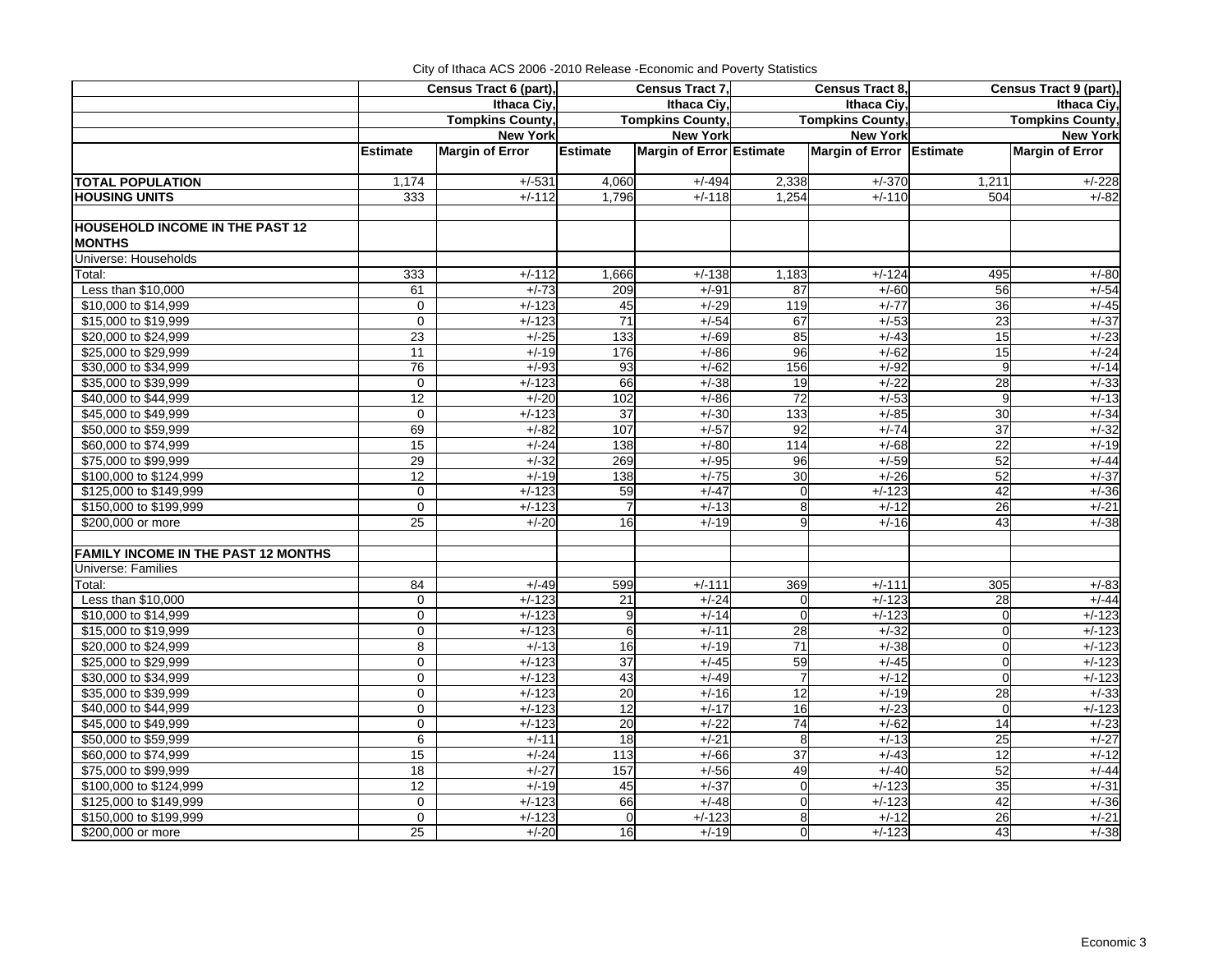|                                            | Census Tract 6 (part), |                         | Census Tract 7, |                          |                 | Census Tract 8,          | Census Tract 9 (part), |                         |
|--------------------------------------------|------------------------|-------------------------|-----------------|--------------------------|-----------------|--------------------------|------------------------|-------------------------|
|                                            |                        | Ithaca Ciy,             |                 | Ithaca Civ.              |                 | Ithaca Civ.              |                        | Ithaca Civ.             |
|                                            |                        | <b>Tompkins County,</b> |                 | Tompkins County,         |                 | <b>Tompkins County,</b>  |                        | <b>Tompkins County,</b> |
|                                            |                        | <b>New York</b>         |                 | <b>New York</b>          |                 | <b>New York</b>          |                        | <b>New York</b>         |
|                                            | <b>Estimate</b>        | <b>Margin of Error</b>  | Estimate        | Margin of Error Estimate |                 | Margin of Error Estimate |                        | <b>Margin of Error</b>  |
|                                            |                        |                         |                 |                          |                 |                          |                        |                         |
| <b>TOTAL POPULATION</b>                    | 1,174                  | $+/-531$                | 4,060           | $+/-494$                 | 2,338           | $+/-370$                 | 1,211                  | $+/-228$                |
| <b>HOUSING UNITS</b>                       | 333                    | $+/-112$                | 1,796           | $+/-118$                 | 1,254           | $+/-110$                 | 504                    | $+/-82$                 |
| <b>HOUSEHOLD INCOME IN THE PAST 12</b>     |                        |                         |                 |                          |                 |                          |                        |                         |
| <b>MONTHS</b>                              |                        |                         |                 |                          |                 |                          |                        |                         |
| Universe: Households                       |                        |                         |                 |                          |                 |                          |                        |                         |
| Total:                                     | 333                    | $+/-112$                | 1,666           | $+/-138$                 | 1,183           | $+/-124$                 | 495                    | $+/-80$                 |
| Less than \$10,000                         | 61                     | $+/-73$                 | 209             | $+/-91$                  | 87              | $+/-60$                  | 56                     | $+/-54$                 |
| \$10,000 to \$14,999                       | $\mathbf 0$            | $+/-123$                | 45              | $+/-29$                  | 119             | $+/-77$                  | 36                     | $+/-45$                 |
| \$15,000 to \$19,999                       | $\mathbf 0$            | $+/-123$                | 71              | $+/-54$                  | 67              | $+/-53$                  | 23                     | $+/-37$                 |
| \$20,000 to \$24,999                       | 23                     | $+/-25$                 | 133             | $+/-69$                  | 85              | $+/-43$                  | 15                     | $+/-23$                 |
| \$25,000 to \$29,999                       | 11                     | $+/-19$                 | 176             | $+/-86$                  | 96              | $+/-62$                  | 15                     | $+/-24$                 |
| \$30,000 to \$34,999                       | 76                     | $+/-93$                 | 93              | $+/-62$                  | 156             | $+/-92$                  | 9                      | $+/-14$                 |
| \$35,000 to \$39,999                       | $\mathbf 0$            | $+/-123$                | 66              | $+/-38$                  | 19              | $+/-22$                  | 28                     | $+/-33$                 |
| \$40,000 to \$44,999                       | 12                     | $+/-20$                 | 102             | $+/-86$                  | 72              | $+/-53$                  | 9                      | $+/-13$                 |
| \$45,000 to \$49,999                       | $\mathbf 0$            | $+/-123$                | 37              | $+/-30$                  | 133             | $+/-85$                  | 30                     | $+/-34$                 |
| \$50,000 to \$59,999                       | 69                     | $+/-82$                 | 107             | $+/-57$                  | 92              | $+/-74$                  | 37                     | $+/-32$                 |
| \$60,000 to \$74,999                       | 15                     | $+/-24$                 | 138             | $+/-80$                  | 114             | $+/-68$                  | $\overline{22}$        | $+/-19$                 |
| \$75,000 to \$99,999                       | 29                     | $+/-32$                 | 269             | $+/-95$                  | 96              | $+/-59$                  | 52                     | $+/-44$                 |
| \$100,000 to \$124,999                     | 12                     | $+/-19$                 | 138             | $+/-75$                  | 30              | $+/-26$                  | 52                     | $+/-37$                 |
| \$125,000 to \$149,999                     | $\mathbf 0$            | $+/-123$                | 59              | $+/-47$                  | 0               | $+/-123$                 | 42                     | $+/-36$                 |
| \$150,000 to \$199,999                     | $\mathbf 0$            | $+/-123$                | $\overline{7}$  | $+/-13$                  | 8               | $+/-12$                  | 26                     | $+/-21$                 |
| \$200,000 or more                          | $\overline{25}$        | $+/-20$                 | 16              | $+/-19$                  | 9               | $+/-16$                  | 43                     | $+/-38$                 |
|                                            |                        |                         |                 |                          |                 |                          |                        |                         |
| <b>FAMILY INCOME IN THE PAST 12 MONTHS</b> |                        |                         |                 |                          |                 |                          |                        |                         |
| Universe: Families                         |                        |                         |                 |                          |                 |                          |                        |                         |
| Total:                                     | 84                     | $+/-49$                 | 599             | $+/-111$                 | 369             | $+/-111$                 | 305                    | $+/-83$                 |
| Less than \$10,000                         | $\mathbf 0$            | $+/-123$                | 21              | $+/-24$                  | $\Omega$        | $+/-123$                 | 28                     | $+/-44$                 |
| \$10,000 to \$14,999                       | $\mathbf 0$            | $+/-123$                | 9               | $+/-14$                  | $\Omega$        | $+/-123$                 | $\Omega$               | $+/-123$                |
| \$15,000 to \$19,999                       | $\mathbf 0$            | $+/-123$                | 6               | $+/-11$                  | $\overline{28}$ | $+/-32$                  | $\overline{0}$         | $+/-123$                |
| \$20,000 to \$24,999                       | 8                      | $+/-13$                 | 16              | $+/-19$                  | 71              | $+/-38$                  | $\Omega$               | $+/-123$                |
| \$25,000 to \$29,999                       | $\mathbf 0$            | $+/-123$                | 37              | $+/-45$                  | 59              | $+/-45$                  | $\overline{0}$         | $+/-123$                |
| \$30,000 to \$34,999                       | $\mathbf 0$            | $+/-123$                | 43              | $+/-49$                  | $\overline{7}$  | $+/-12$                  | $\Omega$               | $+/-123$                |
| \$35,000 to \$39,999                       | $\mathbf 0$            | $+/-123$                | 20              | $+/-16$                  | 12              | $+/-19$                  | 28                     | $+/-33$                 |
| \$40,000 to \$44,999                       | $\Omega$               | $+/-123$                | $\overline{12}$ | $+/-17$                  | 16              | $+/-23$                  | $\Omega$               | $+/-123$                |
| \$45,000 to \$49,999                       | $\mathbf 0$            | $+/-123$                | 20              | $+/-22$                  | 74              | $+/-62$                  | 14                     | $+/-23$                 |
| \$50,000 to \$59,999                       | 6                      | $+/-11$                 | 18              | $+/-21$                  | 8               | $+/-13$                  | 25                     | $+/-27$                 |
| \$60,000 to \$74,999                       | 15                     | $+/-24$                 | 113             | $+/-66$                  | 37              | $+/-43$                  | 12                     | $+/-12$                 |
| \$75,000 to \$99,999                       | 18                     | $+/-27$                 | 157             | $+/-56$                  | 49              | $+/-40$                  | 52                     | $+/-44$                 |
| \$100,000 to \$124,999                     | 12                     | $+/-19$                 | 45              | $+/-37$                  | $\mathbf 0$     | $+/-123$                 | 35                     | $+/-31$                 |
| \$125,000 to \$149,999                     | $\mathbf 0$            | $+/-123$                | 66              | $+/-48$                  | $\Omega$        | $+/-123$                 | 42                     | $+/-36$                 |
| \$150,000 to \$199,999                     | $\mathbf 0$            | $+/-123$                | $\mathbf 0$     | $+/-123$                 | 8               | $+/-12$                  | 26                     | $+/-21$                 |
| \$200,000 or more                          | 25                     | $+/-20$                 | 16              | $+/-19$                  | $\mathbf{0}$    | $+/-123$                 | 43                     | $+/-38$                 |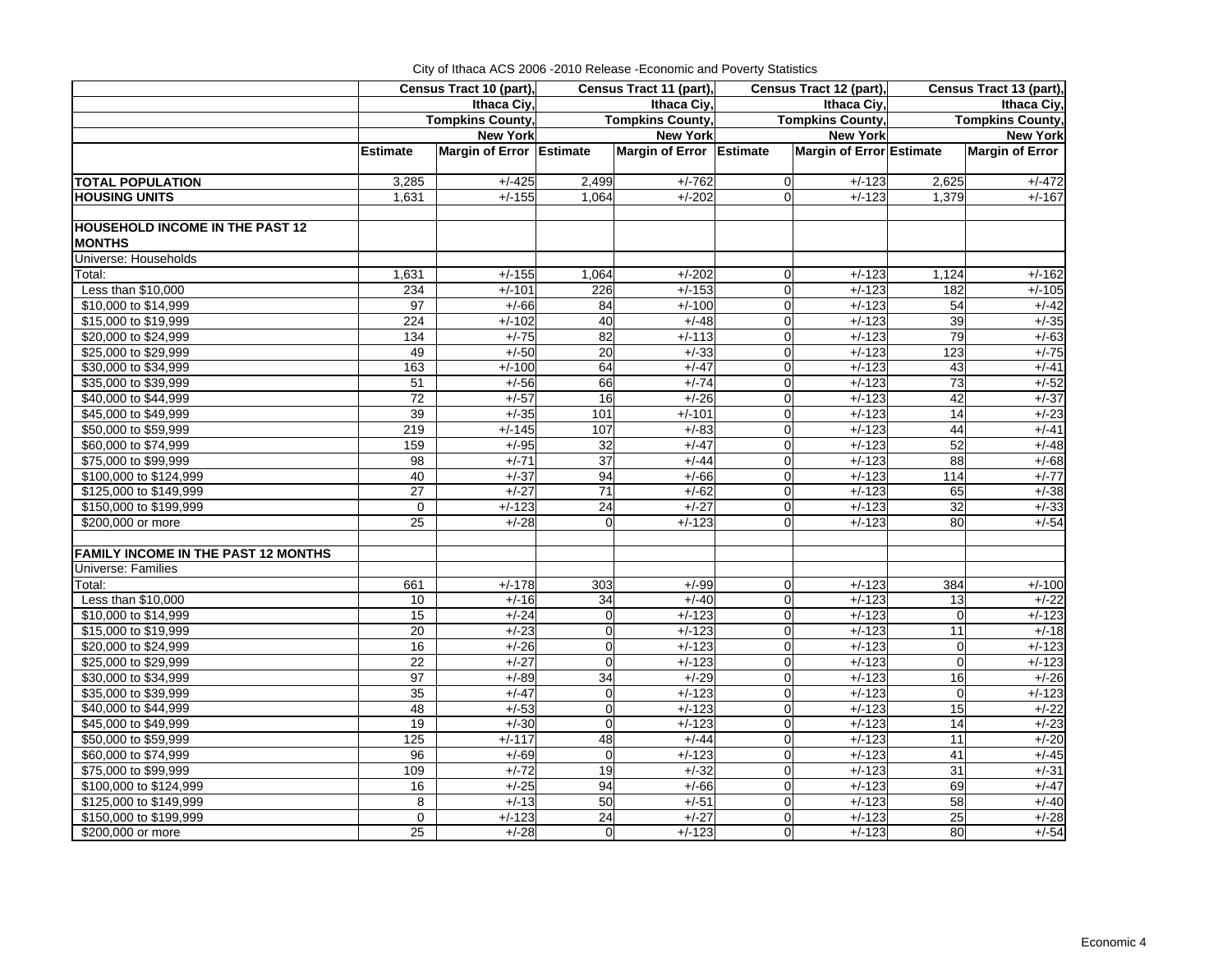| City of Ithaca ACS 2006 - 2010 Release - Economic and Poverty Statistics |  |
|--------------------------------------------------------------------------|--|
|                                                                          |  |

|                                            | Census Tract 10 (part), |                          | Census Tract 11 (part), |                          | Census Tract 12 (part), |                          | Census Tract 13 (part), |                        |  |
|--------------------------------------------|-------------------------|--------------------------|-------------------------|--------------------------|-------------------------|--------------------------|-------------------------|------------------------|--|
|                                            |                         | Ithaca Civ.              |                         | Ithaca Civ.              |                         | Ithaca Ciy,              | Ithaca Ciy,             |                        |  |
|                                            |                         | <b>Tompkins County,</b>  |                         | <b>Tompkins County,</b>  |                         | <b>Tompkins County,</b>  | <b>Tompkins County,</b> |                        |  |
|                                            |                         | <b>New York</b>          |                         | <b>New York</b>          |                         | <b>New York</b>          |                         | <b>New York</b>        |  |
|                                            | <b>Estimate</b>         | Margin of Error Estimate |                         | Margin of Error Estimate |                         | Margin of Error Estimate |                         | <b>Margin of Error</b> |  |
| <b>TOTAL POPULATION</b>                    | 3,285                   | $+/-425$                 | 2,499                   | $+/-762$                 | $\mathbf 0$             | $+/-123$                 | 2,625                   | $+/-472$               |  |
| <b>HOUSING UNITS</b>                       | 1,631                   | $+/-155$                 | 1,064                   | $+/-202$                 | $\Omega$                | $+/-123$                 | 1,379                   | $+/-167$               |  |
| <b>HOUSEHOLD INCOME IN THE PAST 12</b>     |                         |                          |                         |                          |                         |                          |                         |                        |  |
| <b>MONTHS</b>                              |                         |                          |                         |                          |                         |                          |                         |                        |  |
| Universe: Households                       |                         |                          |                         |                          |                         |                          |                         |                        |  |
| Total:                                     | 1,631                   | $+/-155$                 | 1,064                   | $+/-202$                 | $\mathbf 0$             | $+/-123$                 | 1,124                   | $+/-162$               |  |
| Less than \$10,000                         | 234                     | $+/-101$                 | 226                     | $+/-153$                 | $\Omega$                | $+/-123$                 | 182                     | $+/-105$               |  |
| \$10,000 to \$14,999                       | 97                      | $+/-66$                  | 84                      | $+/-100$                 | $\Omega$                | $+/-123$                 | 54                      | $+/-42$                |  |
| \$15,000 to \$19,999                       | 224                     | $+/-102$                 | 40                      | $+/-48$                  | $\Omega$                | $+/-123$                 | 39                      | $+/-35$                |  |
| \$20,000 to \$24,999                       | 134                     | $+/-75$                  | 82                      | $+/-113$                 | $\mathbf 0$             | $+/-123$                 | 79                      | $+/-63$                |  |
| \$25,000 to \$29,999                       | 49                      | $+/-50$                  | 20                      | $+/-33$                  | $\mathbf 0$             | $+/-123$                 | 123                     | $+/-75$                |  |
| \$30,000 to \$34,999                       | 163                     | $+/-100$                 | 64                      | $+/-47$                  | $\mathbf 0$             | $+/-123$                 | 43                      | $+/-41$                |  |
| \$35,000 to \$39,999                       | $\overline{51}$         | $+/-56$                  | 66                      | $+/-74$                  | $\Omega$                | $+/-123$                 | 73                      | $+/-52$                |  |
| \$40,000 to \$44,999                       | 72                      | $+/-57$                  | 16                      | $+/-26$                  | $\mathbf 0$             | $+/-123$                 | 42                      | $+/-37$                |  |
| \$45,000 to \$49,999                       | 39                      | $+/-35$                  | 101                     | $+/-101$                 | $\Omega$                | $+/-123$                 | 14                      | $+/-23$                |  |
| \$50,000 to \$59,999                       | 219                     | $+/-145$                 | 107                     | $+/-83$                  | $\Omega$                | $+/-123$                 | 44                      | $+/-41$                |  |
| \$60,000 to \$74,999                       | 159                     | $+/-95$                  | 32                      | $+/-47$                  | $\mathbf 0$             | $+/-123$                 | 52                      | $+/-48$                |  |
| \$75,000 to \$99,999                       | 98                      | $+/-71$                  | $\overline{37}$         | $+/-44$                  | $\mathbf 0$             | $+/-123$                 | $\overline{88}$         | $+/-68$                |  |
| \$100,000 to \$124,999                     | 40                      | $+/-37$                  | 94                      | $+/-66$                  | $\mathbf 0$             | $+/-123$                 | 114                     | $+/-77$                |  |
| \$125,000 to \$149,999                     | 27                      | $+/-27$                  | $\overline{71}$         | $+/-62$                  | $\mathbf 0$             | $+/-123$                 | 65                      | $+/-38$                |  |
| \$150,000 to \$199,999                     | $\mathbf 0$             | $+/-123$                 | 24                      | $+/-27$                  | $\mathbf 0$             | $+/-123$                 | 32                      | $+/-33$                |  |
| \$200,000 or more                          | $\overline{25}$         | $+/-28$                  | $\overline{0}$          | $+/-123$                 | $\Omega$                | $+/-123$                 | 80                      | $+/-54$                |  |
|                                            |                         |                          |                         |                          |                         |                          |                         |                        |  |
| <b>FAMILY INCOME IN THE PAST 12 MONTHS</b> |                         |                          |                         |                          |                         |                          |                         |                        |  |
| Universe: Families                         |                         |                          |                         |                          |                         |                          |                         |                        |  |
| Total:                                     | 661                     | $+/-178$                 | 303                     | $+/-99$                  | $\mathbf 0$             | $+/-123$                 | 384                     | $+/-100$               |  |
| Less than \$10,000                         | 10                      | $+/-16$                  | 34                      | $+/-40$                  | $\mathbf 0$             | $+/-123$                 | $\overline{13}$         | $+/-22$                |  |
| \$10,000 to \$14,999                       | 15                      | $+/-24$                  | $\mathbf 0$             | $+/-123$                 | $\Omega$                | $+/-123$                 | $\mathbf 0$             | $+/-123$               |  |
| \$15,000 to \$19,999                       | 20                      | $+/-23$                  | $\overline{0}$          | $+/-123$                 | $\mathbf 0$             | $+/-123$                 | 11                      | $+/-18$                |  |
| \$20,000 to \$24,999                       | 16                      | $+/-26$                  | $\Omega$                | $+/-123$                 | $\mathbf{0}$            | $+/-123$                 | $\overline{0}$          | $+/-123$               |  |
| \$25,000 to \$29,999                       | 22                      | $+/-27$                  | $\overline{0}$          | $+/-123$                 | $\mathbf 0$             | $+/-123$                 | $\pmb{0}$               | $+/-123$               |  |
| \$30,000 to \$34,999                       | 97                      | $+/-89$                  | 34                      | $+/-29$                  | $\mathbf 0$             | $+/-123$                 | 16                      | $+/-26$                |  |
| \$35,000 to \$39,999                       | 35                      | $+/-47$                  | $\mathbf 0$             | $+/-123$                 | $\mathbf 0$             | $+/-123$                 | $\mathbf 0$             | $+/-123$               |  |
| \$40,000 to \$44,999                       | 48                      | $+/-53$                  | $\mathbf 0$             | $+/-123$                 | $\mathbf 0$             | $+/-123$                 | 15                      | $+/-22$                |  |
| \$45,000 to \$49,999                       | 19                      | $+/-30$                  | $\mathbf 0$             | $+\sqrt{-123}$           | $\mathbf 0$             | $+\sqrt{-123}$           | 14                      | $+/-23$                |  |
| \$50,000 to \$59,999                       | 125                     | $+/-117$                 | 48                      | $+/-44$                  | $\Omega$                | $+/-123$                 | 11                      | $+/-20$                |  |
| \$60,000 to \$74,999                       | 96                      | $+/-69$                  | $\overline{0}$          | $+/-123$                 | $\Omega$                | $+/-123$                 | 41                      | $+/-45$                |  |
| \$75,000 to \$99,999                       | 109                     | $+/-72$                  | 19                      | $+/-32$                  | $\Omega$                | $+/-123$                 | $\overline{31}$         | $+/-31$                |  |
| \$100,000 to \$124,999                     | 16                      | $+/-25$                  | 94                      | $+/-66$                  | $\mathbf 0$             | $+/-123$                 | 69                      | $+/-47$                |  |
| \$125,000 to \$149,999                     | 8                       | $+/-13$                  | 50                      | $+/-51$                  | $\mathbf 0$             | $+/-123$                 | 58                      | $+/-40$                |  |
| \$150,000 to \$199,999                     | $\mathbf 0$             | $+/-123$                 | 24                      | $+/-27$                  | $\mathbf 0$             | $+/-123$                 | 25                      | $+/-28$                |  |
| \$200,000 or more                          | 25                      | $+/-28$                  | $\overline{0}$          | $+/-123$                 | $\overline{0}$          | $+/-123$                 | 80                      | $+/-54$                |  |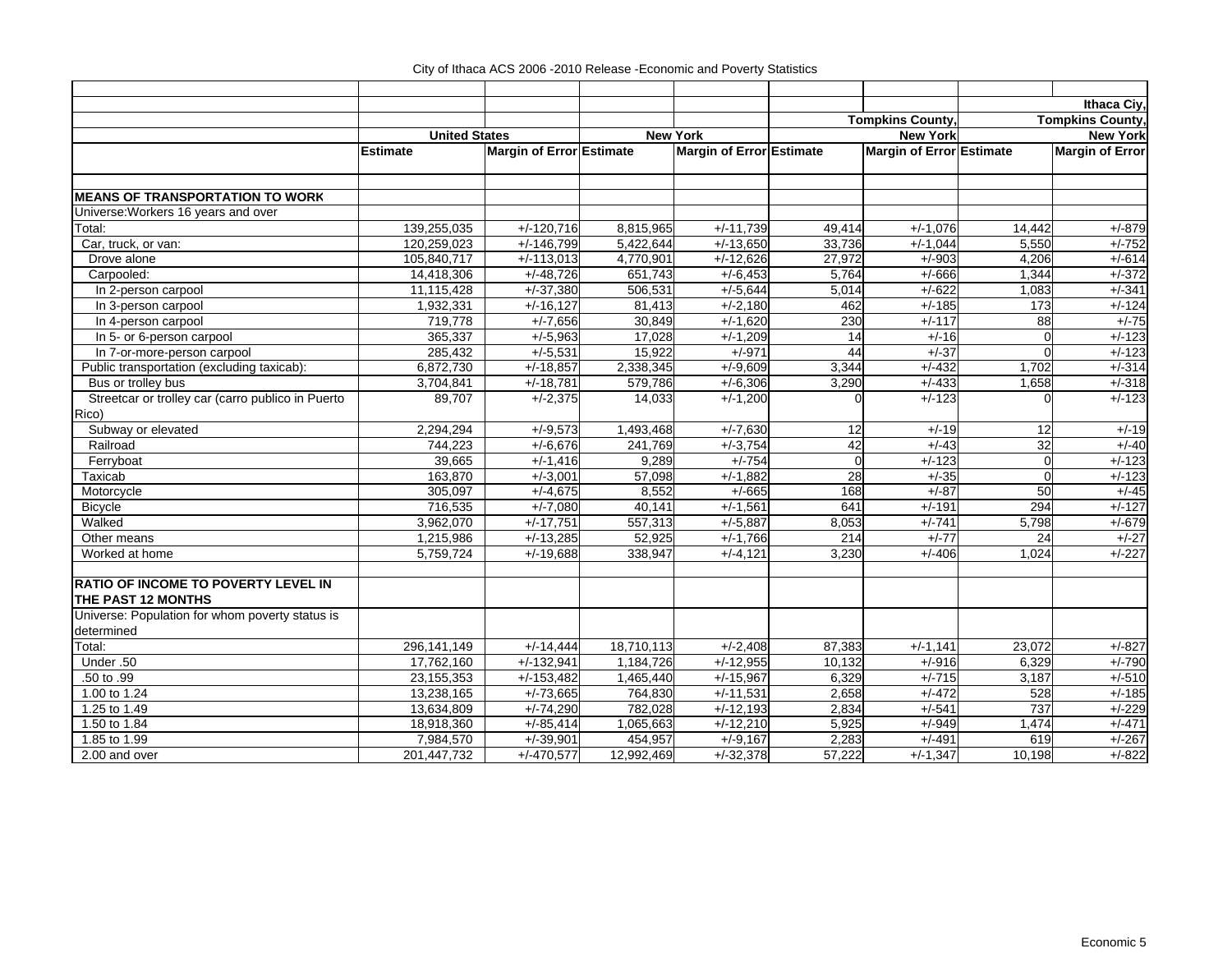|                                                   |                      |                          |            |                          |          |                          |                  | Ithaca Civ.             |
|---------------------------------------------------|----------------------|--------------------------|------------|--------------------------|----------|--------------------------|------------------|-------------------------|
|                                                   |                      |                          |            |                          |          | <b>Tompkins County</b>   |                  | <b>Tompkins County,</b> |
|                                                   | <b>United States</b> |                          |            | <b>New York</b>          |          | <b>New York</b>          |                  | <b>New York</b>         |
|                                                   | <b>Estimate</b>      | Margin of Error Estimate |            | Margin of Error Estimate |          | Margin of Error Estimate |                  | <b>Margin of Error</b>  |
|                                                   |                      |                          |            |                          |          |                          |                  |                         |
|                                                   |                      |                          |            |                          |          |                          |                  |                         |
| <b>MEANS OF TRANSPORTATION TO WORK</b>            |                      |                          |            |                          |          |                          |                  |                         |
| Universe: Workers 16 years and over               |                      |                          |            |                          |          |                          |                  |                         |
| Total:                                            | 139,255,035          | $+/-120,716$             | 8,815,965  | $+/-11,739$              | 49,414   | $+/-1,076$               | 14,442           | $+/-879$                |
| Car, truck, or van:                               | 120,259,023          | $+/-146,799$             | 5,422,644  | $+/-13,650$              | 33,736   | $+/-1,044$               | 5,550            | $+/-752$                |
| Drove alone                                       | 105,840,717          | $+/-113,013$             | 4,770,901  | $+/-12,626$              | 27,972   | $+/-903$                 | 4,206            | $+/-614$                |
| Carpooled:                                        | 14,418,306           | $+/-48,726$              | 651,743    | $+/-6,453$               | 5,764    | $+/-666$                 | 1,344            | $+/-372$                |
| In 2-person carpool                               | 11,115,428           | $+/-37,380$              | 506,531    | $+/-5,644$               | 5,014    | $+/-622$                 | 1,083            | $+/-341$                |
| In 3-person carpool                               | 1,932,331            | $+/-16,127$              | 81,413     | $+/-2,180$               | 462      | $+/-185$                 | $\overline{173}$ | $+/-124$                |
| In 4-person carpool                               | 719,778              | $+/-7,656$               | 30,849     | $+/-1,620$               | 230      | $+/-117$                 | 88               | $+/-75$                 |
| In 5- or 6-person carpool                         | 365,337              | $+/-5,963$               | 17,028     | $+/-1,209$               | 14       | $+/-16$                  | $\Omega$         | $+/-123$                |
| In 7-or-more-person carpool                       | 285,432              | $+/-5,531$               | 15,922     | $+/-971$                 | 44       | $+/-37$                  | O                | $+\sqrt{-123}$          |
| Public transportation (excluding taxicab):        | 6,872,730            | $+/-18,857$              | 2,338,345  | $+/-9,609$               | 3,344    | $+/-432$                 | 1,702            | $+/-314$                |
| Bus or trolley bus                                | 3,704,841            | $+/-18,781$              | 579,786    | $+/-6,306$               | 3,290    | $+/-433$                 | 1,658            | $+/-318$                |
| Streetcar or trolley car (carro publico in Puerto | 89.707               | $+/-2,375$               | 14,033     | $+/-1,200$               |          | $+/-123$                 |                  | $+/-123$                |
| Rico)                                             |                      |                          |            |                          |          |                          |                  |                         |
| Subway or elevated                                | 2,294,294            | $+/-9,573$               | 1,493,468  | $+/-7,630$               | 12       | $+/-19$                  | 12               | $+/-19$                 |
| Railroad                                          | 744,223              | $+/-6,676$               | 241,769    | $+/-3,754$               | 42       | $+/-43$                  | 32               | $+/-40$                 |
| Ferryboat                                         | 39,665               | $+/-1,416$               | 9,289      | $+/-754$                 | $\Omega$ | $+/-123$                 | $\Omega$         | $+/-123$                |
| Taxicab                                           | 163,870              | $+/-3,001$               | 57,098     | $+/-1,882$               | 28       | $+/-35$                  | $\overline{0}$   | $+/-123$                |
| Motorcycle                                        | 305,097              | $+/-4,675$               | 8,552      | $+/-665$                 | 168      | $+/-87$                  | 50               | $+/-45$                 |
| <b>Bicycle</b>                                    | 716,535              | $+/-7,080$               | 40,141     | $+/-1,561$               | 641      | $+/-191$                 | 294              | $+/-127$                |
| Walked                                            | 3,962,070            | $+/-17,751$              | 557,313    | $+/-5,887$               | 8,053    | $+/-741$                 | 5,798            | $+/-679$                |
| Other means                                       | 1,215,986            | $+/-13,285$              | 52,925     | $+/-1,766$               | 214      | $+/-77$                  | 24               | $+/-27$                 |
| Worked at home                                    | 5,759,724            | $+/-19,688$              | 338,947    | $+/-4,121$               | 3,230    | $+/-406$                 | 1,024            | $+/-227$                |
| <b>RATIO OF INCOME TO POVERTY LEVEL IN</b>        |                      |                          |            |                          |          |                          |                  |                         |
| THE PAST 12 MONTHS                                |                      |                          |            |                          |          |                          |                  |                         |
| Universe: Population for whom poverty status is   |                      |                          |            |                          |          |                          |                  |                         |
| determined                                        |                      |                          |            |                          |          |                          |                  |                         |
| Total:                                            | 296,141,149          | $+/-14,444$              | 18,710,113 | $+/-2,408$               | 87,383   | $+/-1,141$               | 23,072           | $+/-827$                |
| Under .50                                         | 17,762,160           | $+/-132,941$             | 1,184,726  | $+/-12,955$              | 10,132   | $+/-916$                 | 6,329            | $+/-790$                |
| .50 to .99                                        | 23, 155, 353         | $+/-153,482$             | 1,465,440  | $+/-15,967$              | 6,329    | $+/715$                  | 3,187            | $+/-510$                |
| 1.00 to 1.24                                      | 13,238,165           | $+/-73,665$              | 764,830    | $+/-11,531$              | 2,658    | $+/-472$                 | 528              | $+/-185$                |
| 1.25 to 1.49                                      | 13,634,809           | $+/-74,290$              | 782,028    | $+/-12,193$              | 2,834    | $+/-541$                 | 737              | $+/-229$                |
| 1.50 to 1.84                                      | 18,918,360           | $+/-85,414$              | 1,065,663  | $+/-12,210$              | 5,925    | $+/-949$                 | 1,474            | $+/-471$                |
| 1.85 to 1.99                                      | 7,984,570            | $+/-39,901$              | 454,957    | $+/-9,167$               | 2,283    | $+/-491$                 | 619              | $+/-267$                |
| 2.00 and over                                     | 201,447,732          | $+/-470,577$             | 12,992,469 | $+/-32,378$              | 57,222   | $+/-1,347$               | 10,198           | $+/-822$                |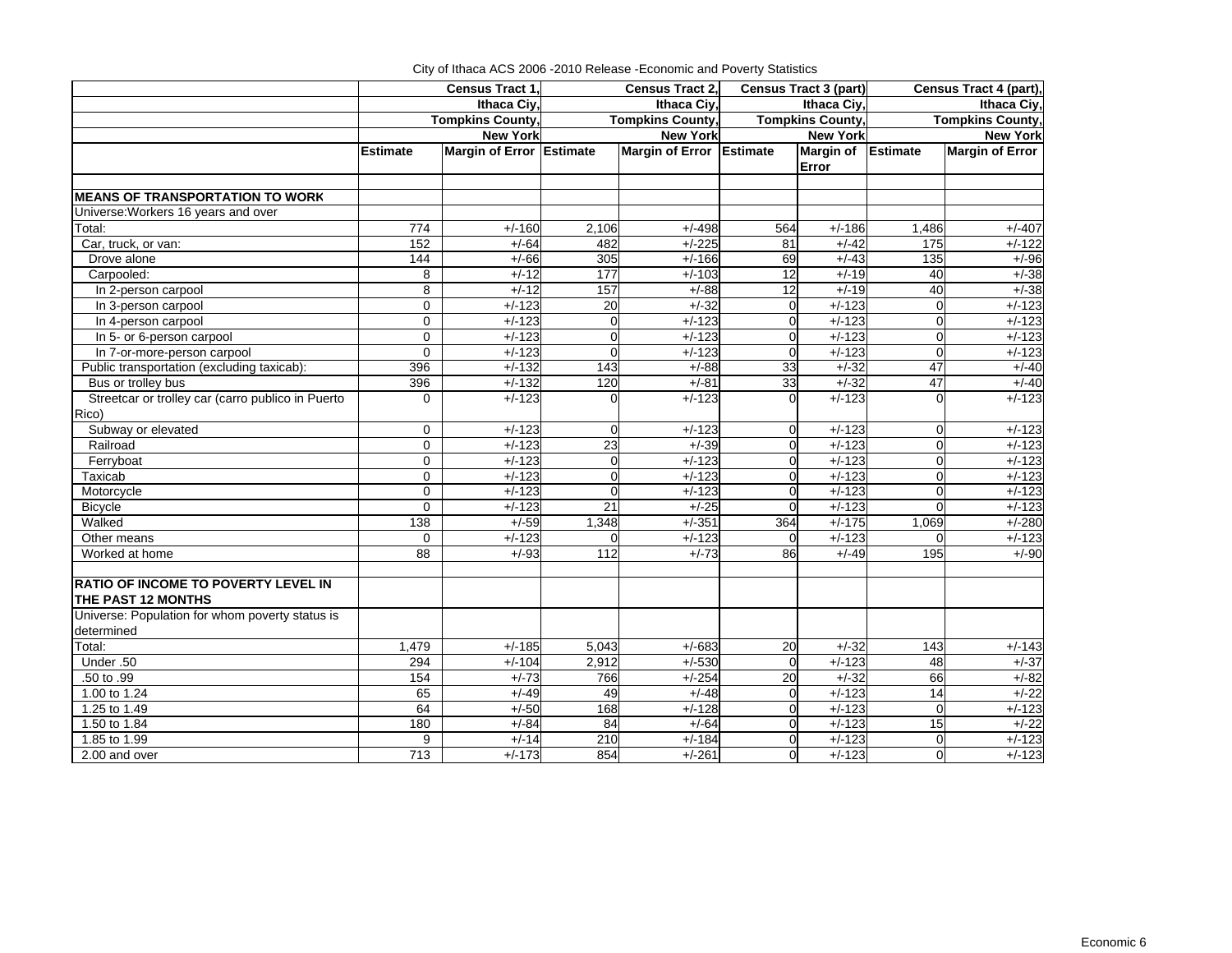|                                                                  | Census Tract 1, |                          | Census Tract 2,  |                          |                 | <b>Census Tract 3 (part)</b> | Census Tract 4 (part), |                         |  |
|------------------------------------------------------------------|-----------------|--------------------------|------------------|--------------------------|-----------------|------------------------------|------------------------|-------------------------|--|
|                                                                  |                 | Ithaca Ciy               |                  | Ithaca Ciy,              |                 | Ithaca Ciy,                  | Ithaca Ciy,            |                         |  |
|                                                                  |                 | <b>Tompkins County,</b>  |                  | <b>Tompkins County,</b>  |                 | <b>Tompkins County,</b>      |                        | <b>Tompkins County,</b> |  |
|                                                                  |                 | <b>New York</b>          |                  | <b>New York</b>          |                 | <b>New York</b>              |                        | <b>New York</b>         |  |
|                                                                  | <b>Estimate</b> | Margin of Error Estimate |                  | Margin of Error Estimate |                 | Margin of Estimate<br>Error  |                        | <b>Margin of Error</b>  |  |
| <b>MEANS OF TRANSPORTATION TO WORK</b>                           |                 |                          |                  |                          |                 |                              |                        |                         |  |
| Universe: Workers 16 years and over                              |                 |                          |                  |                          |                 |                              |                        |                         |  |
| Total:                                                           | 774             | $+/-160$                 | 2,106            | $+/-498$                 | 564             | $+/-186$                     | 1,486                  | $+/-407$                |  |
| Car, truck, or van:                                              | 152             | $+/-64$                  | 482              | $+/-225$                 | 81              | $+/-42$                      | 175                    | $+/-122$                |  |
| Drove alone                                                      | 144             | $+/-66$                  | 305              | $+/-166$                 | 69              | $+/-43$                      | 135                    | $+/-96$                 |  |
| Carpooled:                                                       | 8               | $+/-12$                  | $\overline{177}$ | $+/-103$                 | $\overline{12}$ | $+/-19$                      | 40                     | $+/-38$                 |  |
| In 2-person carpool                                              | 8               | $+/-12$                  | 157              | $+/-88$                  | 12              | $+/-19$                      | 40                     | $+/-38$                 |  |
| In 3-person carpool                                              | $\Omega$        | $+/-123$                 | 20               | $+/-32$                  | $\Omega$        | $+/-123$                     | $\Omega$               | $+/-123$                |  |
| In 4-person carpool                                              | $\mathbf 0$     | $+/-123$                 | $\mathbf 0$      | $+/-123$                 | $\Omega$        | $+/-123$                     | $\mathbf 0$            | $+/-123$                |  |
| In 5- or 6-person carpool                                        | $\mathbf 0$     | $+/-123$                 | $\Omega$         | $+/-123$                 | $\Omega$        | $+/-123$                     | $\mathbf 0$            | $+/-123$                |  |
| In 7-or-more-person carpool                                      | $\Omega$        | $+/-123$                 | $\Omega$         | $+/-123$                 | $\Omega$        | $+/-123$                     | $\Omega$               | $+/-123$                |  |
| Public transportation (excluding taxicab):                       | 396             | $+/-132$                 | 143              | $+/-88$                  | 33              | $+/-32$                      | $\overline{47}$        | $+/-40$                 |  |
| Bus or trolley bus                                               | 396             | $+/-132$                 | 120              | $+/-81$                  | 33              | $+/-32$                      | 47                     | $+/-40$                 |  |
| Streetcar or trolley car (carro publico in Puerto<br>Rico)       | $\Omega$        | $+/-123$                 |                  | $+/-123$                 |                 | $+/-123$                     | $\Omega$               | $+/-123$                |  |
| Subway or elevated                                               | $\Omega$        | $+\sqrt{123}$            | $\Omega$         | $+/-123$                 | $\Omega$        | $+/-123$                     | $\overline{0}$         | $+/-123$                |  |
| Railroad                                                         | $\Omega$        | $+/-123$                 | 23               | $+/-39$                  | $\Omega$        | $+/-123$                     | $\mathbf 0$            | $+/-123$                |  |
| Ferryboat                                                        | $\Omega$        | $+/-123$                 | $\Omega$         | $+/-123$                 | $\Omega$        | $+/-123$                     | $\overline{0}$         | $+/-123$                |  |
| Taxicab                                                          | $\Omega$        | $+/-123$                 | $\Omega$         | $+/-123$                 | $\Omega$        | $+/-123$                     | $\Omega$               | $+/-123$                |  |
| Motorcycle                                                       | $\Omega$        | $+/-123$                 | $\Omega$         | $+/-123$                 | $\Omega$        | $+/-123$                     | $\Omega$               | $+/-123$                |  |
| <b>Bicycle</b>                                                   | $\Omega$        | $+/-123$                 | $\overline{21}$  | $+/-25$                  | $\Omega$        | $+/-123$                     | $\mathbf 0$            | $+/-123$                |  |
| Walked                                                           | 138             | $+/-59$                  | 1,348            | $+/-351$                 | 364             | $+/-175$                     | 1,069                  | $+/-280$                |  |
| Other means                                                      | 0               | $+/-123$                 | $\Omega$         | $+/-123$                 | $\Omega$        | $+/-123$                     | $\Omega$               | $+/-123$                |  |
| Worked at home                                                   | $\overline{88}$ | $+/-93$                  | $\overline{112}$ | $+/-73$                  | 86              | $+/-49$                      | 195                    | $+/-90$                 |  |
| <b>RATIO OF INCOME TO POVERTY LEVEL IN</b><br>THE PAST 12 MONTHS |                 |                          |                  |                          |                 |                              |                        |                         |  |
| Universe: Population for whom poverty status is                  |                 |                          |                  |                          |                 |                              |                        |                         |  |
| determined                                                       |                 |                          |                  |                          |                 |                              |                        |                         |  |
| Total:                                                           | 1,479           | $+/-185$                 | 5,043            | $+/-683$                 | 20              | $+/-32$                      | 143                    | $+/-143$                |  |
| Under .50                                                        | 294             | $+/-104$                 | 2,912            | $+/-530$                 | $\Omega$        | $+/-123$                     | 48                     | $+/-37$                 |  |
| .50 to .99                                                       | 154             | $+/-73$                  | 766              | $+/-254$                 | 20              | $+/-32$                      | 66                     | $+/-82$                 |  |
| 1.00 to 1.24                                                     | 65              | $+/-49$                  | 49               | $+/-48$                  | $\Omega$        | $+/-123$                     | 14                     | $+/-22$                 |  |
| 1.25 to 1.49                                                     | 64              | $+/-50$                  | 168              | $+/-128$                 | $\Omega$        | $+/-123$                     | $\mathbf 0$            | $+/-123$                |  |
| 1.50 to 1.84                                                     | 180             | $+/-84$                  | 84               | $+/-64$                  | $\Omega$        | $+/-123$                     | 15                     | $+/-22$                 |  |
| 1.85 to 1.99                                                     | 9               | $+/-14$                  | 210              | $+/-184$                 | $\Omega$        | $+/-123$                     | $\Omega$               | $+/-123$                |  |
| 2.00 and over                                                    | 713             | $+/-173$                 | 854              | $+/-261$                 | $\Omega$        | $+/-123$                     | $\overline{0}$         | $+/-123$                |  |

City of Ithaca ACS 2006 -2010 Release -Economic and Poverty Statistics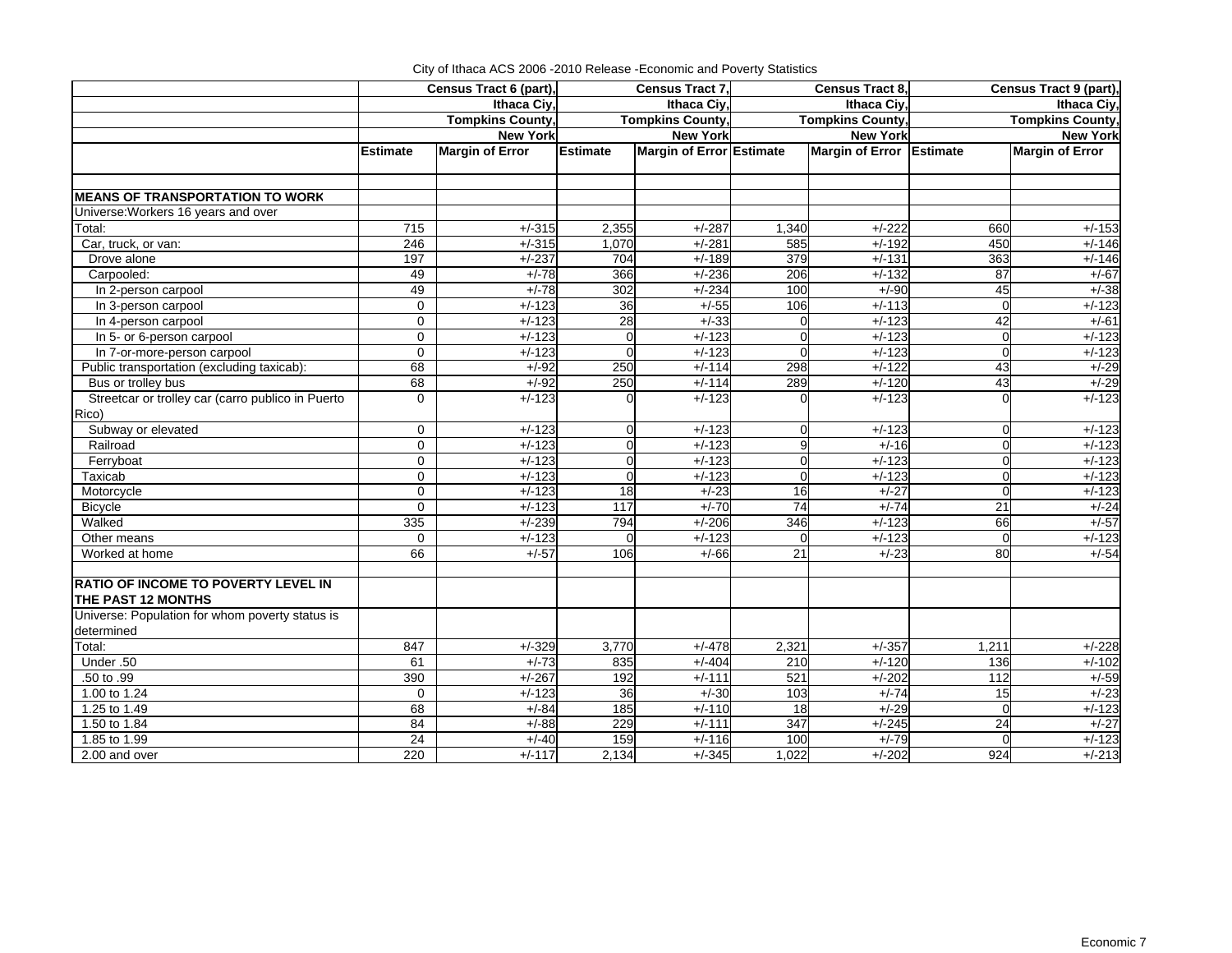|                                                   | Census Tract 6 (part), |                         | Census Tract 7, |                          | Census Tract 8, |                          | Census Tract 9 (part), |                         |  |
|---------------------------------------------------|------------------------|-------------------------|-----------------|--------------------------|-----------------|--------------------------|------------------------|-------------------------|--|
|                                                   |                        | Ithaca Civ.             |                 | Ithaca Civ.              |                 | <b>Ithaca Civ</b>        | Ithaca Civ.            |                         |  |
|                                                   |                        | <b>Tompkins County,</b> |                 | <b>Tompkins County,</b>  |                 | <b>Tompkins County,</b>  |                        | <b>Tompkins County,</b> |  |
|                                                   |                        | <b>New York</b>         |                 | <b>New York</b>          |                 | <b>New York</b>          |                        | <b>New York</b>         |  |
|                                                   | <b>Estimate</b>        | <b>Margin of Error</b>  | <b>Estimate</b> | Margin of Error Estimate |                 | Margin of Error Estimate |                        | <b>Margin of Error</b>  |  |
|                                                   |                        |                         |                 |                          |                 |                          |                        |                         |  |
|                                                   |                        |                         |                 |                          |                 |                          |                        |                         |  |
| <b>MEANS OF TRANSPORTATION TO WORK</b>            |                        |                         |                 |                          |                 |                          |                        |                         |  |
| Universe: Workers 16 years and over               |                        |                         |                 |                          |                 |                          |                        |                         |  |
| Total:                                            | 715                    | $+/-315$                | 2,355           | $+/-287$                 | 1,340           | $+/-222$                 | 660                    | $+/-153$                |  |
| Car, truck, or van:                               | 246                    | $+/-315$                | 1,070           | $+/-281$                 | 585             | $+/-192$                 | 450                    | $+/-146$                |  |
| Drove alone                                       | 197                    | $+/-237$                | 704             | $+/-189$                 | 379             | $+/-131$                 | 363                    | $+/-146$                |  |
| Carpooled:                                        | 49                     | $+/-78$                 | 366             | $+/-236$                 | 206             | $+/-132$                 | 87                     | $+/-67$                 |  |
| In 2-person carpool                               | 49                     | $+/-78$                 | 302             | $+/-234$                 | 100             | $+/-90$                  | 45                     | $+/-38$                 |  |
| In 3-person carpool                               | $\mathbf 0$            | $+/-123$                | 36              | $+/-55$                  | 106             | $+/-113$                 | $\Omega$               | $+/-123$                |  |
| In 4-person carpool                               | $\mathbf 0$            | $+/-123$                | 28              | $+/-33$                  | $\overline{0}$  | $+/-123$                 | 42                     | $+/-61$                 |  |
| In 5- or 6-person carpool                         | $\mathbf 0$            | $+/-123$                | $\Omega$        | $+/-123$                 | $\overline{0}$  | $+/-123$                 | $\Omega$               | $+/-123$                |  |
| In 7-or-more-person carpool                       | $\Omega$               | $+/-123$                |                 | $+/-123$                 | $\overline{0}$  | $+/-123$                 | $\Omega$               | $+/-123$                |  |
| Public transportation (excluding taxicab):        | 68                     | $+/-92$                 | 250             | $+/-114$                 | 298             | $+/-122$                 | 43                     | $+/-29$                 |  |
| Bus or trolley bus                                | 68                     | $+/-92$                 | 250             | $+/-114$                 | 289             | $+/-120$                 | 43                     | $+/-29$                 |  |
| Streetcar or trolley car (carro publico in Puerto | $\Omega$               | $+/-123$                |                 | $+/-123$                 |                 | $+/-123$                 | $\Omega$               | $+/-123$                |  |
| Rico)                                             |                        |                         |                 |                          |                 |                          |                        |                         |  |
| Subway or elevated                                | $\Omega$               | $+/-123$                | $\Omega$        | $+/-123$                 | $\overline{0}$  | $+/-123$                 | $\Omega$               | $+/-123$                |  |
| Railroad                                          | $\mathbf 0$            | $+/-123$                | $\Omega$        | $+/-123$                 | 9               | $+/-16$                  | $\mathbf 0$            | $+/-123$                |  |
| Ferryboat                                         | $\Omega$               | $+/-123$                | $\Omega$        | $+/-123$                 | $\overline{0}$  | $+/-123$                 | $\Omega$               | $+/-123$                |  |
| Taxicab                                           | $\mathbf 0$            | $+/-123$                | $\Omega$        | $+/-123$                 | $\Omega$        | $+/-123$                 | $\Omega$               | $+/-123$                |  |
| Motorcycle                                        | $\mathbf 0$            | $+/-123$                | 18              | $+/-23$                  | 16              | $+/-27$                  | $\Omega$               | $+/-123$                |  |
| <b>Bicycle</b>                                    | $\Omega$               | $+/-123$                | 117             | $+/-70$                  | 74              | $+/-74$                  | 21                     | $+/-24$                 |  |
| Walked                                            | 335                    | $+/-239$                | 794             | $+/-206$                 | 346             | $+/-123$                 | 66                     | $+/-57$                 |  |
| Other means                                       | $\mathbf 0$            | $+/-123$                | $\mathbf 0$     | $+/-123$                 | $\Omega$        | $+/-123$                 | $\mathbf 0$            | $+/-123$                |  |
| Worked at home                                    | 66                     | $+/-57$                 | 106             | $+/-66$                  | 21              | $+/-23$                  | 80                     | $+/-54$                 |  |
|                                                   |                        |                         |                 |                          |                 |                          |                        |                         |  |
| <b>RATIO OF INCOME TO POVERTY LEVEL IN</b>        |                        |                         |                 |                          |                 |                          |                        |                         |  |
| THE PAST 12 MONTHS                                |                        |                         |                 |                          |                 |                          |                        |                         |  |
| Universe: Population for whom poverty status is   |                        |                         |                 |                          |                 |                          |                        |                         |  |
| determined                                        |                        |                         |                 |                          |                 |                          |                        |                         |  |
| Total:                                            | 847                    | $+/-329$                | 3,770           | $+/-478$                 | 2,321           | $+/-357$                 | 1,211                  | $+/-228$                |  |
| Under .50                                         | 61                     | $+/-73$                 | 835             | $+/-404$                 | 210             | $+/-120$                 | 136                    | $+/-102$                |  |
| $.50$ to $.99$                                    | 390                    | $+/-267$                | 192             | $+/-111$                 | 521             | $+/-202$                 | 112                    | $+/-59$                 |  |
| 1.00 to 1.24                                      | $\Omega$               | $+/-123$                | 36              | $+/-30$                  | 103             | $+/-74$                  | 15                     | $+/-23$                 |  |
| 1.25 to 1.49                                      | 68                     | $+/-84$                 | 185             | $+/-110$                 | 18              | $+/-29$                  | $\Omega$               | $+/-123$                |  |
| 1.50 to 1.84                                      | 84                     | $+/-88$                 | 229             | $+/-111$                 | 347             | $+/-245$                 | 24                     | $+/-27$                 |  |
| 1.85 to 1.99                                      | 24                     | $+/-40$                 | 159             | $+/-116$                 | 100             | $+/-79$                  | $\Omega$               | $+/-123$                |  |
| 2.00 and over                                     | 220                    | $+/-117$                | 2,134           | $+/-345$                 | 1,022           | $+/-202$                 | 924                    | $+/-213$                |  |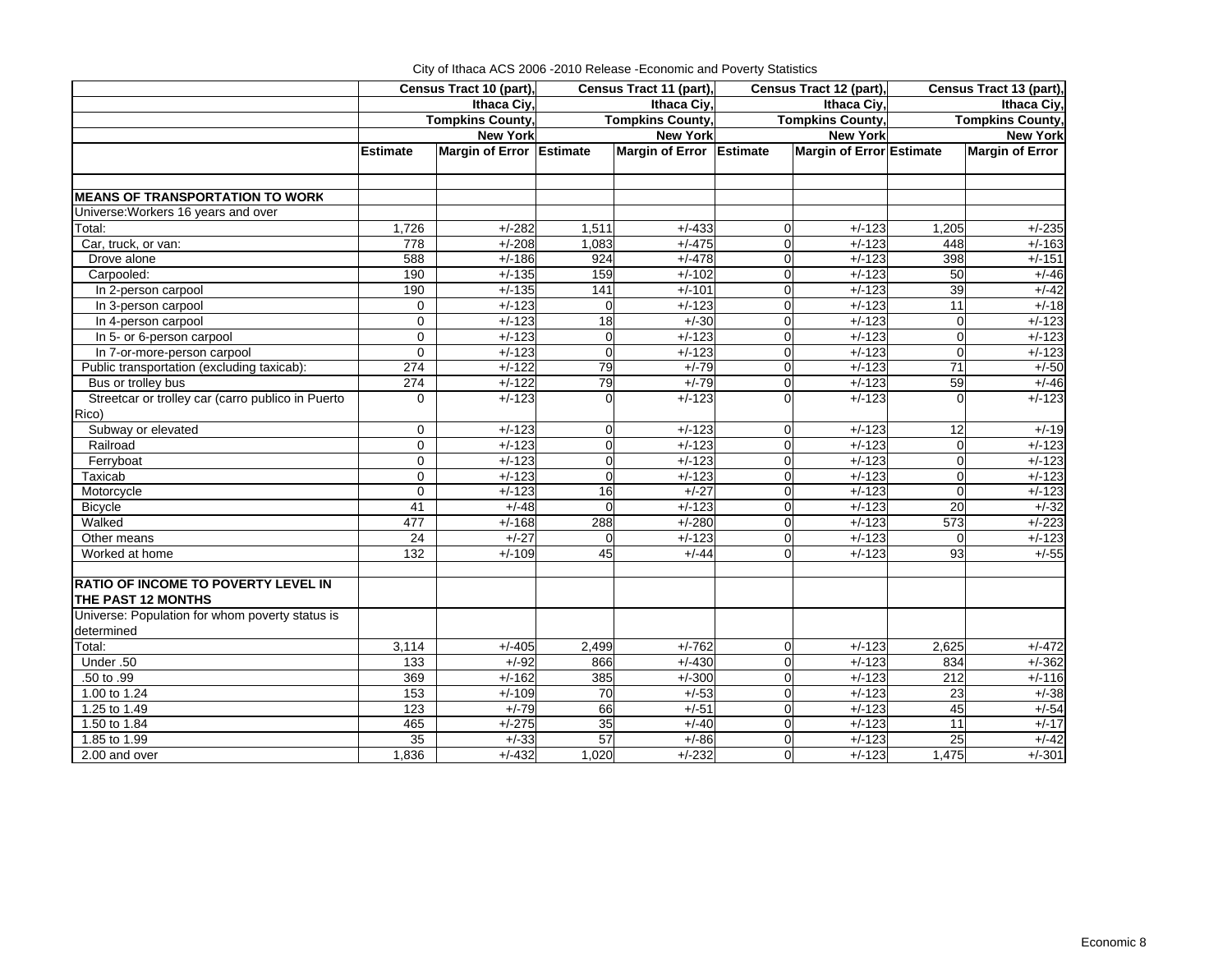|                                                                  |                 | Census Tract 10 (part),  |                | Census Tract 11 (part),  | Census Tract 12 (part)     | Census Tract 13 (part), |                                                                                                                                                                                                                                                                                                                                                                                             |  |  |
|------------------------------------------------------------------|-----------------|--------------------------|----------------|--------------------------|----------------------------|-------------------------|---------------------------------------------------------------------------------------------------------------------------------------------------------------------------------------------------------------------------------------------------------------------------------------------------------------------------------------------------------------------------------------------|--|--|
|                                                                  |                 | Ithaca Civ.              |                | Ithaca Civ.              | Ithaca Civ.                |                         | <b>Ithaca Civ</b><br><b>Tompkins County</b><br><b>New York</b><br><b>Margin of Error</b><br>$+/-235$<br>$+/-163$<br>$+/-151$<br>$+/-46$<br>$+/-42$<br>$+/-18$<br>$+/-123$<br>$+/-123$<br>$+/-123$<br>$+/-50$<br>$+/-46$<br>$+/-123$<br>$+/-19$<br>$+/-123$<br>$+/-123$<br>$+/-123$<br>$+/-123$<br>$+/-32$<br>$+/-223$<br>$+/-123$<br>$+/-55$<br>$+/-472$<br>$+/-362$<br>$+/-116$<br>$+/-38$ |  |  |
|                                                                  |                 | <b>Tompkins County,</b>  |                | <b>Tompkins County,</b>  | <b>Tompkins County,</b>    |                         |                                                                                                                                                                                                                                                                                                                                                                                             |  |  |
|                                                                  |                 | <b>New York</b>          |                | <b>New York</b>          | <b>New York</b>            |                         |                                                                                                                                                                                                                                                                                                                                                                                             |  |  |
|                                                                  | <b>Estimate</b> | Margin of Error Estimate |                | Margin of Error Estimate | Margin of Error Estimate   |                         |                                                                                                                                                                                                                                                                                                                                                                                             |  |  |
| <b>MEANS OF TRANSPORTATION TO WORK</b>                           |                 |                          |                |                          |                            |                         |                                                                                                                                                                                                                                                                                                                                                                                             |  |  |
| Universe: Workers 16 years and over                              |                 |                          |                |                          |                            |                         |                                                                                                                                                                                                                                                                                                                                                                                             |  |  |
| Total:                                                           | 1,726           | $+/-282$                 | 1,511          | $+/-433$                 | $+/-123$<br>$\Omega$       | 1,205                   |                                                                                                                                                                                                                                                                                                                                                                                             |  |  |
| Car, truck, or van:                                              | 778             | $+/-208$                 | 1,083          | $+/-475$                 | $+/-123$<br>$\Omega$       | 448                     |                                                                                                                                                                                                                                                                                                                                                                                             |  |  |
| Drove alone                                                      | 588             | $+/-186$                 | 924            | $+/-478$                 | $+/-123$<br>$\Omega$       | 398                     |                                                                                                                                                                                                                                                                                                                                                                                             |  |  |
| Carpooled:                                                       | 190             | $+/-135$                 | 159            | $+/-102$                 | $+/-123$<br>$\overline{0}$ | 50                      |                                                                                                                                                                                                                                                                                                                                                                                             |  |  |
| In 2-person carpool                                              | 190             | $+/-135$                 | 141            | $+/-101$                 | $+/-123$<br>$\Omega$       | 39                      |                                                                                                                                                                                                                                                                                                                                                                                             |  |  |
| In 3-person carpool                                              | $\mathbf 0$     | $+/-123$                 | $\Omega$       | $+/-123$                 | $+\sqrt{-123}$<br>$\Omega$ | $\overline{11}$         |                                                                                                                                                                                                                                                                                                                                                                                             |  |  |
| In 4-person carpool                                              | $\mathbf 0$     | $+/-123$                 | 18             | $+/-30$                  | $+/-123$<br>$\Omega$       | $\mathbf 0$             |                                                                                                                                                                                                                                                                                                                                                                                             |  |  |
| In 5- or 6-person carpool                                        | $\mathbf 0$     | $+/-123$                 | $\Omega$       | $+/-123$                 | $+/-123$<br>$\Omega$       | $\Omega$                |                                                                                                                                                                                                                                                                                                                                                                                             |  |  |
| In 7-or-more-person carpool                                      | $\Omega$        | $+/-123$                 | $\overline{0}$ | $+/-123$                 | $+/-123$<br>$\Omega$       | $\Omega$                |                                                                                                                                                                                                                                                                                                                                                                                             |  |  |
| Public transportation (excluding taxicab):                       | 274             | $+/-122$                 | 79             | $+/-79$                  | $+/-123$<br>$\mathbf 0$    | 71                      |                                                                                                                                                                                                                                                                                                                                                                                             |  |  |
| Bus or trolley bus                                               | 274             | $+/-122$                 | 79             | $+/-79$                  | $+/-123$<br>$\overline{0}$ | 59                      |                                                                                                                                                                                                                                                                                                                                                                                             |  |  |
| Streetcar or trolley car (carro publico in Puerto<br>Rico)       | $\Omega$        | $+/-123$                 | 0              | $+/-123$                 | $+/-123$                   | $\Omega$                |                                                                                                                                                                                                                                                                                                                                                                                             |  |  |
| Subway or elevated                                               | $\mathbf 0$     | $+/-123$                 | 0              | $+/-123$                 | $+/-123$<br>$\Omega$       | 12                      |                                                                                                                                                                                                                                                                                                                                                                                             |  |  |
| Railroad                                                         | $\mathbf 0$     | $+/-123$                 | $\Omega$       | $+/-123$                 | $+/-123$<br>$\Omega$       | $\mathbf 0$             |                                                                                                                                                                                                                                                                                                                                                                                             |  |  |
| Ferryboat                                                        | 0               | $+/-123$                 | $\Omega$       | $+/-123$                 | $+/-123$<br>0              | $\Omega$                |                                                                                                                                                                                                                                                                                                                                                                                             |  |  |
| Taxicab                                                          | $\overline{0}$  | $+/-123$                 | $\Omega$       | $+/-123$                 | $+/-123$<br>$\Omega$       | $\overline{0}$          |                                                                                                                                                                                                                                                                                                                                                                                             |  |  |
| Motorcycle                                                       | $\Omega$        | $+/-123$                 | 16             | $+/-27$                  | $+/-123$<br>$\Omega$       | $\Omega$                |                                                                                                                                                                                                                                                                                                                                                                                             |  |  |
| <b>Bicycle</b>                                                   | 41              | $+/-48$                  | $\Omega$       | $+/-123$                 | $+/-123$<br>$\Omega$       | 20                      |                                                                                                                                                                                                                                                                                                                                                                                             |  |  |
| Walked                                                           | 477             | $+/-168$                 | 288            | $+/-280$                 | $+/-123$<br>$\overline{0}$ | 573                     |                                                                                                                                                                                                                                                                                                                                                                                             |  |  |
| Other means                                                      | 24              | $+/-27$                  | $\Omega$       | $+/-123$                 | $+/-123$                   |                         |                                                                                                                                                                                                                                                                                                                                                                                             |  |  |
| Worked at home                                                   | 132             | $+/-109$                 | 45             | $+/-44$                  | $+/-123$<br>$\Omega$       | 93                      |                                                                                                                                                                                                                                                                                                                                                                                             |  |  |
| <b>RATIO OF INCOME TO POVERTY LEVEL IN</b><br>THE PAST 12 MONTHS |                 |                          |                |                          |                            |                         |                                                                                                                                                                                                                                                                                                                                                                                             |  |  |
| Universe: Population for whom poverty status is<br>determined    |                 |                          |                |                          |                            |                         |                                                                                                                                                                                                                                                                                                                                                                                             |  |  |
| Total:                                                           | 3,114           | $+/-405$                 | 2,499          | $+/-762$                 | $+/-123$<br>$\Omega$       | 2,625                   |                                                                                                                                                                                                                                                                                                                                                                                             |  |  |
| Under .50                                                        | 133             | $+/-92$                  | 866            | $+/-430$                 | $+/-123$<br>$\Omega$       | 834                     |                                                                                                                                                                                                                                                                                                                                                                                             |  |  |
| .50 to .99                                                       | 369             | $+/-162$                 | 385            | $+/-300$                 | $\overline{0}$<br>$+/-123$ | 212                     |                                                                                                                                                                                                                                                                                                                                                                                             |  |  |
| 1.00 to 1.24                                                     | 153             | $+/-109$                 | 70             | $+/-53$                  | $+/-123$<br>$\Omega$       | 23                      |                                                                                                                                                                                                                                                                                                                                                                                             |  |  |
| 1.25 to 1.49                                                     | 123             | $+/-79$                  | 66             | $+/-51$                  | $+/-123$<br>$\overline{0}$ | 45                      | $+/-54$                                                                                                                                                                                                                                                                                                                                                                                     |  |  |
| 1.50 to 1.84                                                     | 465             | $+/-275$                 | 35             | $+/-40$                  | $+/-123$<br>$\Omega$       | 11                      | $+/-17$                                                                                                                                                                                                                                                                                                                                                                                     |  |  |
| 1.85 to 1.99                                                     | 35              | $+/-33$                  | 57             | $+/-86$                  | $+/-123$<br>$\Omega$       | 25                      | $+/-42$                                                                                                                                                                                                                                                                                                                                                                                     |  |  |
| 2.00 and over                                                    | 1,836           | $+/-432$                 | 1,020          | $+/-232$                 | $+/-123$<br>$\Omega$       | 1,475                   | $+/-301$                                                                                                                                                                                                                                                                                                                                                                                    |  |  |

|  |           |     |  | City of Ithaca ACS 2006 - 2010 Release - Economic and Poverty Statistics |                                           |  |
|--|-----------|-----|--|--------------------------------------------------------------------------|-------------------------------------------|--|
|  | _________ | - - |  | $\sim$ $\sim$                                                            | $\sim$ $\sim$ $\sim$ $\sim$ $\sim$ $\sim$ |  |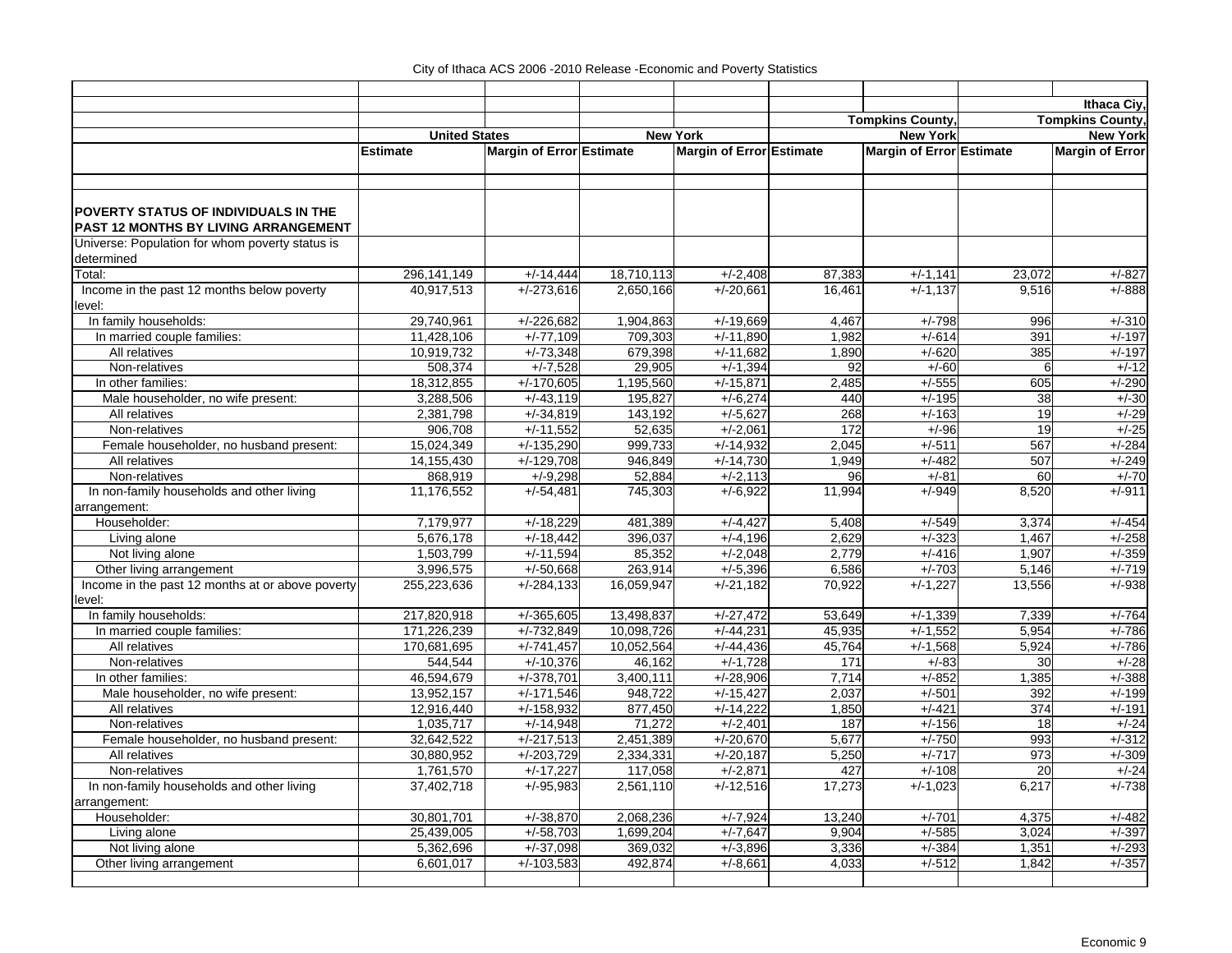|                                                     |                          |                             |                          |                            |                  |                          |                | Ithaca Civ.             |
|-----------------------------------------------------|--------------------------|-----------------------------|--------------------------|----------------------------|------------------|--------------------------|----------------|-------------------------|
|                                                     |                          |                             |                          |                            |                  | <b>Tompkins County,</b>  |                | <b>Tompkins County,</b> |
|                                                     | <b>United States</b>     |                             |                          | <b>New York</b>            |                  | <b>New York</b>          |                | <b>New York</b>         |
|                                                     | <b>Estimate</b>          | Margin of Error Estimate    |                          | Margin of Error Estimate   |                  | Margin of Error Estimate |                | <b>Margin of Error</b>  |
|                                                     |                          |                             |                          |                            |                  |                          |                |                         |
|                                                     |                          |                             |                          |                            |                  |                          |                |                         |
|                                                     |                          |                             |                          |                            |                  |                          |                |                         |
| POVERTY STATUS OF INDIVIDUALS IN THE                |                          |                             |                          |                            |                  |                          |                |                         |
| PAST 12 MONTHS BY LIVING ARRANGEMENT                |                          |                             |                          |                            |                  |                          |                |                         |
| Universe: Population for whom poverty status is     |                          |                             |                          |                            |                  |                          |                |                         |
| determined                                          |                          |                             |                          |                            |                  |                          |                |                         |
| Total:                                              | 296, 141, 149            | $+/-14,444$                 | 18,710,113               | $+/-2,408$                 | 87,383           | $+/-1,141$               | 23,072         | $+/-827$                |
| Income in the past 12 months below poverty          | 40,917,513               | $+/-273,616$                | 2,650,166                | $+/-20,661$                | 16,461           | $+/-1,137$               | 9,516          | $+/-888$                |
| level:                                              |                          |                             |                          |                            |                  |                          |                |                         |
| In family households:                               | 29,740,961               | $+/-226,682$                | 1,904,863                | $+/-19,669$                | 4,467            | $+/-798$                 | 996            | $+/-310$                |
| In married couple families:                         | 11.428.106               | $+/-77.109$                 | 709.303                  | $+/-11.890$                | 1.982            | $+/-614$                 | 391            | $+/-197$                |
| All relatives                                       | 10,919,732               | $+/-73,348$                 | 679,398                  | $+/-11,682$                | 1,890            | $+/-620$                 | 385            | $+/-197$                |
| Non-relatives                                       | 508,374                  | $+/-7,528$                  | 29,905                   | $+/-1,394$                 | 92               | $+/-60$                  | 6              | $+/-12$                 |
| In other families:                                  | 18,312,855               | $+/-170,605$                | 1,195,560                | $+/-15,871$                | 2,485            | $+/-555$                 | 605            | $+/-290$                |
| Male householder, no wife present:                  | 3,288,506                | $+/-43,119$                 | 195,827                  | $+/-6,274$                 | 440              | $+/-195$                 | 38             | $+/-30$                 |
| All relatives                                       | 2.381.798                | $+/-34.819$                 | 143.192                  | $+/-5,627$                 | 268              | $+/-163$                 | 19             | $+/-29$                 |
| Non-relatives                                       | 906,708                  | $+\sqrt{-11,552}$           | 52,635                   | $+/-2,061$                 | 172              | $+/-96$                  | 19             | $+/-25$                 |
| Female householder, no husband present:             | 15,024,349               | $+/-135,290$                | 999,733                  | $+/-14,932$                | 2.045            | $+/-511$                 | 567            | $+/-284$                |
| All relatives                                       | 14,155,430               | $+/-129,708$                | 946,849                  | $+/-14,730$                | 1,949            | $+/-482$                 | 507            | $+/-249$                |
| Non-relatives                                       | 868,919                  | $+/-9,298$                  | 52,884                   | $+/-2,113$                 | 96               | $+/-81$                  | 60             | $+/-70$                 |
| In non-family households and other living           | 11,176,552               | $+/-54,481$                 | 745,303                  | $+/-6,922$                 | 11,994           | $+/-949$                 | 8,520          | $+/-911$                |
| arrangement:                                        |                          |                             |                          |                            |                  |                          |                |                         |
| Householder:                                        | 7,179,977                | $+/-18,229$                 | 481,389                  | $+/-4,427$                 | 5,408            | $+/-549$                 | 3,374          | $+/-454$                |
| Living alone                                        | 5,676,178                | $+/-18,442$                 | 396,037                  | $+/-4,196$                 | 2,629            | $+/-323$                 | 1,467          | $+/-258$                |
| Not living alone                                    | 1,503,799                | $+/-11.594$                 | 85,352                   | $+/-2,048$                 | 2.779            | $+/-416$                 | 1,907          | $+/-359$                |
| Other living arrangement                            | 3,996,575                | $+/-50,668$                 | 263,914                  | $+/-5,396$                 | 6,586            | $+/-703$                 | 5,146          | $+/-719$                |
| Income in the past 12 months at or above poverty    | 255,223,636              | $+/-284,133$                | 16,059,947               | $+/-21,182$                | 70,922           | $+/-1,227$               | 13,556         | $+/-938$                |
| level:                                              |                          |                             |                          |                            |                  |                          |                |                         |
| In family households:                               | 217,820,918              | $+/-365,605$                | 13,498,837               | $+/-27,472$<br>$+/-44,231$ | 53,649<br>45,935 | $+/-1,339$<br>$+/-1,552$ | 7,339          | $+/-764$                |
| In married couple families:                         | 171,226,239              | $+/-732,849$                | 10,098,726<br>10,052,564 | $+/-44,436$                |                  |                          | 5,954<br>5,924 | $+/-786$<br>$+/-786$    |
| All relatives<br>Non-relatives                      | 170,681,695<br>544.544   | $+/-741,457$                |                          | $+/-1.728$                 | 45,764<br>171    | $+/-1,568$               | 30             | $+/-28$                 |
| In other families:                                  | 46,594,679               | $+/-10,376$<br>$+/-378,701$ | 46,162                   | $+/-28,906$                | 7,714            | $+/-83$<br>$+/-852$      |                | $+/-388$                |
|                                                     |                          | $+/-171.546$                | 3,400,111<br>948.722     |                            |                  | $+/-501$                 | 1,385<br>392   | $+/-199$                |
| Male householder, no wife present:<br>All relatives | 13,952,157<br>12,916,440 | $+/-158,932$                | 877,450                  | $+/-15,427$<br>$+/-14,222$ | 2,037<br>1,850   | $+/-421$                 | 374            | $+/-191$                |
| Non-relatives                                       | 1,035,717                | $+/-14,948$                 | 71,272                   | $+/-2,401$                 | 187              | $+/-156$                 | 18             | $+/-24$                 |
| Female householder, no husband present:             | 32,642,522               | $+/-217,513$                | 2,451,389                | $+/-20,670$                | 5,677            | $+/-750$                 | 993            | $+/-312$                |
| All relatives                                       | 30,880,952               | $+/-203,729$                | 2,334,331                | $+/-20,187$                | 5,250            | $+/-717$                 | 973            | $+/-309$                |
| Non-relatives                                       | 1,761,570                | $+/-17,227$                 | 117,058                  | $+/-2,871$                 | 427              | $+/-108$                 | 20             | $+/-24$                 |
| In non-family households and other living           | 37,402,718               | $+/-95,983$                 | 2,561,110                | $+/-12,516$                | 17,273           | $+/-1,023$               | 6,217          | $+/-738$                |
| arrangement:                                        |                          |                             |                          |                            |                  |                          |                |                         |
| Householder:                                        | 30,801,701               | $+/-38,870$                 | 2,068,236                | $+/-7,924$                 | 13,240           | $+/-701$                 | 4,375          | $+/-482$                |
| Living alone                                        | 25,439,005               | $+/-58,703$                 | 1,699,204                | $+/-7,647$                 | 9,904            | $+/-585$                 | 3,024          | $+/-397$                |
| Not living alone                                    | 5,362,696                | $+/-37,098$                 | 369,032                  | $+/-3,896$                 | 3,336            | $+/-384$                 | 1,351          | $+/-293$                |
| Other living arrangement                            | 6,601,017                | $+/-103,583$                | 492,874                  | $+/-8,661$                 | 4,033            | $+/-512$                 | 1,842          | $+/-357$                |
|                                                     |                          |                             |                          |                            |                  |                          |                |                         |
|                                                     |                          |                             |                          |                            |                  |                          |                |                         |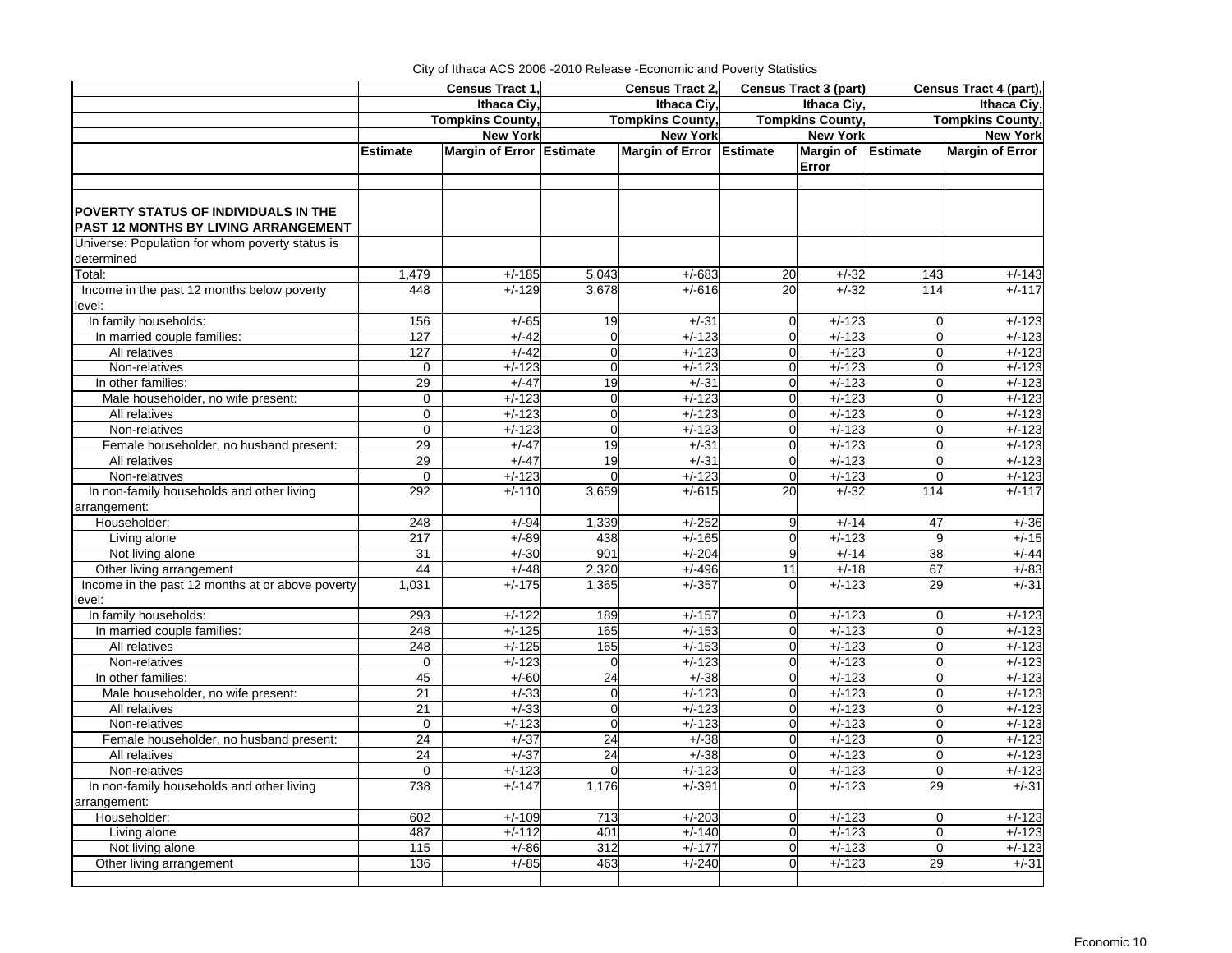|                                                            |                   | Census Tract 1           |                | Census Tract 2,          |                | <b>Census Tract 3 (part)</b> |                | Census Tract 4 (part),  |
|------------------------------------------------------------|-------------------|--------------------------|----------------|--------------------------|----------------|------------------------------|----------------|-------------------------|
|                                                            |                   | Ithaca Civ.              |                | Ithaca Civ.              |                | Ithaca Civ.                  | Ithaca Civ.    |                         |
|                                                            |                   | <b>Tompkins County,</b>  |                | <b>Tompkins County,</b>  |                | <b>Tompkins County,</b>      |                | <b>Tompkins County,</b> |
|                                                            |                   | <b>New York</b>          |                | <b>New York</b>          |                | <b>New York</b>              |                | <b>New York</b>         |
|                                                            | <b>Estimate</b>   | Margin of Error Estimate |                | Margin of Error Estimate |                | Margin of Estimate           |                | <b>Margin of Error</b>  |
|                                                            |                   |                          |                |                          |                | Error                        |                |                         |
|                                                            |                   |                          |                |                          |                |                              |                |                         |
| POVERTY STATUS OF INDIVIDUALS IN THE                       |                   |                          |                |                          |                |                              |                |                         |
| PAST 12 MONTHS BY LIVING ARRANGEMENT                       |                   |                          |                |                          |                |                              |                |                         |
| Universe: Population for whom poverty status is            |                   |                          |                |                          |                |                              |                |                         |
| determined                                                 |                   |                          |                |                          |                |                              |                |                         |
| Total:                                                     | 1,479             | $+/-185$                 | 5,043          | $+/-683$                 | 20             | $+/-32$                      | 143            | $+/-143$                |
| Income in the past 12 months below poverty<br>level:       | 448               | $+/-129$                 | 3,678          | $+/-616$                 | 20             | $+\sqrt{-32}$                | 114            | $+/-117$                |
| In family households:                                      | 156               | $+/-65$                  | 19             | $+/-31$                  | $\mathbf 0$    | $+/-123$                     | $\mathbf 0$    | $+/-123$                |
| In married couple families:                                | 127               | $+/-42$                  | $\mathbf 0$    | $+/-123$                 | $\Omega$       | $+/-123$                     | $\mathbf 0$    | $+/-123$                |
| All relatives                                              | 127               | $+/-42$                  | $\mathbf 0$    | $+/-123$                 | $\overline{0}$ | $+/-123$                     | $\mathbf 0$    | $+/-123$                |
| Non-relatives                                              | $\mathbf 0$       | $+/-123$                 | $\overline{0}$ | $+/-123$                 | $\overline{0}$ | $+/-123$                     | $\mathbf 0$    | $+/-123$                |
| In other families:                                         | 29                | $+/-47$                  | 19             | $+/-31$                  | $\Omega$       | $+/-123$                     | $\mathbf 0$    | $+/-123$                |
| Male householder, no wife present:                         | $\mathbf 0$       | $+/-123$                 | $\Omega$       | $+/-123$                 | $\Omega$       | $+/-123$                     | $\mathbf 0$    | $+/-123$                |
| All relatives                                              | $\mathbf 0$       | $+/-123$                 | $\overline{0}$ | $+/-123$                 | $\Omega$       | $+/-123$                     | $\mathbf 0$    | $+/-123$                |
| Non-relatives                                              | $\mathbf 0$       | $+/-123$                 | $\mathbf 0$    | $+/-123$                 | $\Omega$       | $+/-123$                     | $\mathbf 0$    | $+/-123$                |
| Female householder, no husband present:                    | 29                | $+/-47$                  | 19             | $+/-31$                  | $\Omega$       | $+/-123$                     | $\mathbf 0$    | $+/-123$                |
| All relatives                                              | 29                | $+/-47$                  | 19             | $+/-31$                  | $\Omega$       | $+/-123$                     | $\mathbf 0$    | $+/-123$                |
| Non-relatives                                              | $\mathbf 0$       | $+/-123$                 | $\Omega$       | $+/-123$                 | $\Omega$       | $+/-123$                     | $\Omega$       | $+/-123$                |
| In non-family households and other living                  | 292               | $+/-110$                 | 3,659          | $+/-615$                 | 20             | $+/-32$                      | 114            | $+/-117$                |
| arrangement:                                               |                   |                          |                |                          |                |                              |                |                         |
| Householder:                                               | 248               | $+/-94$                  | 1,339          | $+/-252$                 | 9              | $+/-14$                      | 47             | $+/-36$                 |
| Living alone                                               | 217               | $+/-89$                  | 438            | $+/-165$                 | $\Omega$       | $+/-123$                     | 9              | $+/-15$                 |
| Not living alone                                           | 31                | $+/-30$                  | 901            | $+/-204$                 | 9              | $+/-14$                      | 38             | $+/-44$                 |
| Other living arrangement                                   | 44                | $+/-48$                  | 2,320          | $+/-496$                 | 11             | $+/-18$                      | 67             | $+/-83$                 |
| Income in the past 12 months at or above poverty<br>level: | 1,031             | $+/-175$                 | 1,365          | $+/-357$                 | 0              | $+/-123$                     | 29             | $+/-31$                 |
| In family households:                                      | 293               | $+/-122$                 | 189            | $+/-157$                 | $\Omega$       | $+/-123$                     | $\mathbf 0$    | $+/-123$                |
| In married couple families:                                | 248               | $+/-125$                 | 165            | $+/-153$                 | $\Omega$       | $+/-123$                     | $\mathbf 0$    | $+/-123$                |
| All relatives                                              | 248               | $+/-125$                 | 165            | $+/-153$                 | $\Omega$       | $+/-123$                     | $\overline{0}$ | $+/-123$                |
| Non-relatives                                              | $\mathbf 0$       | $+/-123$                 | $\mathbf 0$    | $+/-123$                 | $\Omega$       | $+/-123$                     | $\mathbf 0$    | $+/-123$                |
| In other families:                                         | 45                | $+/-60$                  | 24             | $+/-38$                  | $\overline{0}$ | $+/-123$                     | $\mathbf 0$    | $+/-123$                |
| Male householder, no wife present:                         | 21                | $+/-33$                  | $\mathbf 0$    | $+/-123$                 | $\Omega$       | $+/-123$                     | $\mathbf 0$    | $+/-123$                |
| All relatives                                              | 21                | $+/-33$                  | $\overline{0}$ | $+/-123$                 | $\Omega$       | $+/-123$                     | $\overline{0}$ | $+/-123$                |
| Non-relatives                                              | $\mathbf 0$       | $+/-123$                 | $\mathbf 0$    | $+/-123$                 | $\Omega$       | $+/-123$                     | $\mathbf 0$    | $+/-123$                |
| Female householder, no husband present:                    | 24                | $+/-37$                  | 24             | $+/-38$                  | $\overline{0}$ | $+/-123$                     | $\overline{0}$ | $+/-123$                |
| All relatives                                              | 24                | $+/-37$                  | 24             | $+/-38$                  | $\overline{0}$ | $+/-123$                     | $\overline{0}$ | $+/-123$                |
| Non-relatives                                              | $\Omega$          | $+/-123$                 | $\Omega$       | $+/-123$                 | $\Omega$       | $+/-123$                     | $\overline{0}$ | $+/-123$                |
| In non-family households and other living                  | 738               | $+/-147$                 | 1,176          | $+/-391$                 | $\Omega$       | $+/-123$                     | 29             | $+/-31$                 |
| arrangement:                                               |                   |                          |                |                          |                |                              |                |                         |
| Householder:                                               | 602               | $+/-109$                 | 713            | $+/-203$                 | $\Omega$       | $+/-123$                     | $\mathbf 0$    | $+/-123$                |
| Living alone                                               | 487               | $+/-112$                 | 401            | $+/-140$                 | $\Omega$       | $+/-123$                     | $\overline{0}$ | $+/-123$                |
| Not living alone                                           | $\frac{115}{115}$ | $+/-86$                  | 312            | $+/-177$                 | $\overline{0}$ | $+/-123$                     | $\overline{0}$ | $+/-123$                |
| Other living arrangement                                   | 136               | $+/-85$                  | 463            | $+/-240$                 | $\Omega$       | $+/-123$                     | 29             | $+/-31$                 |
|                                                            |                   |                          |                |                          |                |                              |                |                         |

City of Ithaca ACS 2006 -2010 Release -Economic and Poverty Statistics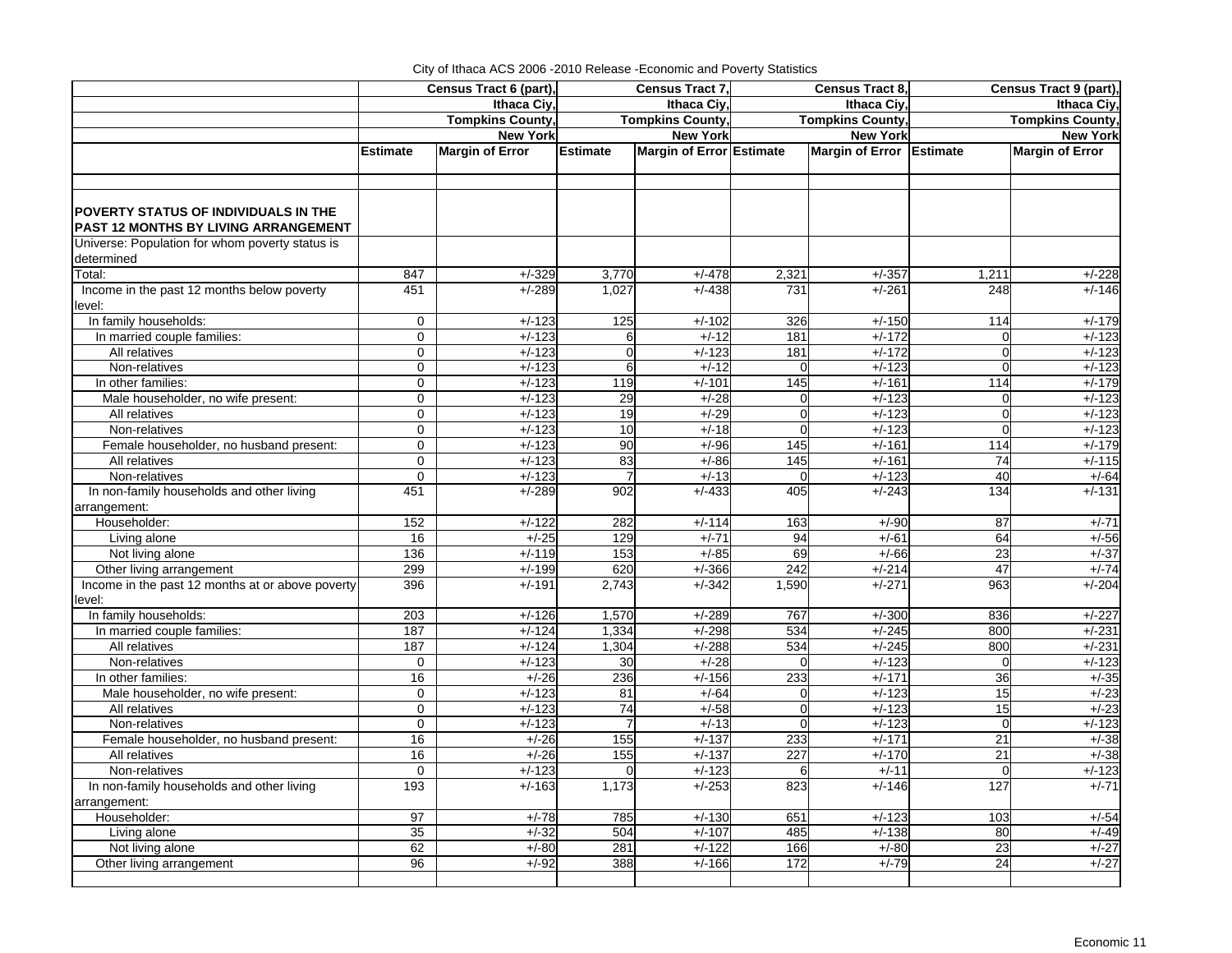|                                                                                     |                 | Census Tract 6 (part), |                 | Census Tract 7,          |             | Census Tract 8,          |                  | Census Tract 9 (part), |  |
|-------------------------------------------------------------------------------------|-----------------|------------------------|-----------------|--------------------------|-------------|--------------------------|------------------|------------------------|--|
|                                                                                     |                 | Ithaca Civ.            |                 | Ithaca Civ.              |             | Ithaca Civ.              |                  | Ithaca Civ.            |  |
|                                                                                     |                 | <b>Tompkins County</b> |                 | <b>Tompkins County,</b>  |             | <b>Tompkins County,</b>  |                  | <b>Tompkins County</b> |  |
|                                                                                     |                 | <b>New York</b>        |                 | <b>New York</b>          |             | <b>New York</b>          |                  | <b>New York</b>        |  |
|                                                                                     | <b>Estimate</b> | <b>Margin of Error</b> | <b>Estimate</b> | Margin of Error Estimate |             | Margin of Error Estimate |                  | <b>Margin of Error</b> |  |
|                                                                                     |                 |                        |                 |                          |             |                          |                  |                        |  |
|                                                                                     |                 |                        |                 |                          |             |                          |                  |                        |  |
| <b>POVERTY STATUS OF INDIVIDUALS IN THE</b><br>PAST 12 MONTHS BY LIVING ARRANGEMENT |                 |                        |                 |                          |             |                          |                  |                        |  |
| Universe: Population for whom poverty status is                                     |                 |                        |                 |                          |             |                          |                  |                        |  |
| determined                                                                          |                 |                        |                 |                          |             |                          |                  |                        |  |
| Total:                                                                              | 847             | $+/-329$               | 3,770           | $+/-478$                 | 2,321       | $+/-357$                 | 1,211            | $+/-228$               |  |
| Income in the past 12 months below poverty                                          | 451             | $+/-289$               | 1,027           | $+/-438$                 | 731         | $+/-261$                 | 248              | $+/-146$               |  |
| level:                                                                              |                 |                        |                 |                          |             |                          |                  |                        |  |
| In family households:                                                               | 0               | $+/-123$               | 125             | $+/-102$                 | 326         | $+/-150$                 | 114              | $+/-179$               |  |
| In married couple families:                                                         | $\mathbf 0$     | $+/-123$               | 6               | $+/-12$                  | 181         | $+/-172$                 | $\Omega$         | $+/-123$               |  |
| All relatives                                                                       | $\mathbf 0$     | $+/-123$               | $\overline{0}$  | $+/-123$                 | 181         | $+/-172$                 | $\overline{0}$   | $+/-123$               |  |
| Non-relatives                                                                       | $\mathbf 0$     | $+/-123$               | 6               | $+/-12$                  | $\Omega$    | $+/-123$                 | $\Omega$         | $+/-123$               |  |
| In other families:                                                                  | $\mathbf 0$     | $+/-123$               | 119             | $+/-101$                 | 145         | $+/-161$                 | 114              | $+/-179$               |  |
| Male householder, no wife present:                                                  | 0               | $+/-123$               | 29              | $+/-28$                  | $\mathbf 0$ | $+/-123$                 | $\overline{0}$   | $+/-123$               |  |
| All relatives                                                                       | $\mathbf 0$     | $+/-123$               | 19              | $+/-29$                  | $\Omega$    | $+/-123$                 | $\overline{0}$   | $+/-123$               |  |
| Non-relatives                                                                       | 0               | $+/-123$               | 10              | $+/-18$                  | $\Omega$    | $+/-123$                 | $\Omega$         | $+/-123$               |  |
| Female householder, no husband present:                                             | $\Omega$        | $+/-123$               | 90              | $+/-96$                  | 145         | $+/-161$                 | 114              | $+/-179$               |  |
| All relatives                                                                       | $\mathbf 0$     | $+/-123$               | 83              | $+/-86$                  | 145         | $+/-161$                 | 74               | $+/-115$               |  |
| Non-relatives                                                                       | $\Omega$        | $+/-123$               | 7               | $+/-13$                  | $\Omega$    | $+/-123$                 | 40               | $+/-64$                |  |
| In non-family households and other living                                           | 451             | $+/-289$               | 902             | $+/-433$                 | 405         | $+/-243$                 | 134              | $+/-131$               |  |
| arrangement:                                                                        |                 |                        |                 |                          |             |                          |                  |                        |  |
| Householder:                                                                        | 152             | $+/-122$               | 282             | $+/-114$                 | 163         | $+/-90$                  | 87               | $+/-71$                |  |
| Living alone                                                                        | 16              | $+/-25$                | 129             | $+/-71$                  | 94          | $+/-61$                  | 64               | $+/-56$                |  |
| Not living alone                                                                    | 136             | $+/-119$               | 153             | $+/-85$                  | 69          | $+/-66$                  | 23               | $+/-37$                |  |
| Other living arrangement                                                            | 299             | $+/-199$               | 620             | $+/-366$                 | 242         | $+/-214$                 | 47               | $+/-74$                |  |
| Income in the past 12 months at or above poverty<br>level:                          | 396             | $+/-191$               | 2,743           | $+/-342$                 | 1,590       | $+/-271$                 | 963              | $+/-204$               |  |
| In family households:                                                               | 203             | $+/-126$               | 1,570           | $+/-289$                 | 767         | $+/-300$                 | 836              | $+/-227$               |  |
| In married couple families:                                                         | 187             | $+/-124$               | 1,334           | $+/-298$                 | 534         | $+/-245$                 | 800              | $+/-231$               |  |
| All relatives                                                                       | 187             | $+/-124$               | 1,304           | $+/-288$                 | 534         | $+/-245$                 | 800              | $+/-231$               |  |
| Non-relatives                                                                       | $\Omega$        | $+/-123$               | 30              | $+/-28$                  | $\Omega$    | $+/-123$                 | $\Omega$         | $+/-123$               |  |
| In other families:                                                                  | 16              | $+/-26$                | 236             | $+/-156$                 | 233         | $+/-171$                 | 36               | $+/-35$                |  |
| Male householder, no wife present:                                                  | 0               | $+/-123$               | 81              | $+/-64$                  |             | $+/-123$                 | 15               | $+/-23$                |  |
| All relatives                                                                       | $\mathbf 0$     | $+/-123$               | 74              | $+/-58$                  | $\Omega$    | $+/-123$                 | 15               | $+/-23$                |  |
| Non-relatives                                                                       | $\mathbf 0$     | $+/-123$               | $\overline{7}$  | $+/-13$                  | $\Omega$    | $+/-123$                 | $\overline{0}$   | $+/-123$               |  |
| Female householder, no husband present:                                             | 16              | $+/-26$                | 155             | $+/-137$                 | 233         | $+/-171$                 | 21               | $+/-38$                |  |
| All relatives                                                                       | 16              | $+/-26$                | 155             | $+/-137$                 | 227         | $+/-170$                 | 21               | $+/-38$                |  |
| Non-relatives                                                                       | $\mathbf 0$     | $+/-123$               | $\mathbf 0$     | $+/-123$                 | 6           | $+/-11$                  | $\overline{0}$   | $+/-123$               |  |
| In non-family households and other living                                           | 193             | $+/-163$               | 1,173           | $+/-253$                 | 823         | $+/-146$                 | $\overline{127}$ | $+/-71$                |  |
| arrangement:                                                                        |                 |                        |                 |                          |             |                          |                  |                        |  |
| Householder:                                                                        | 97              | $+/-78$                | 785<br>504      | $+/-130$<br>$+/-107$     | 651         | $+/-123$                 | 103              | $+/-54$                |  |
| Living alone                                                                        | 35              | $+/-32$                |                 |                          | 485         | $+/-138$                 | 80               | $+/-49$<br>$+/-27$     |  |
| Not living alone                                                                    | 62<br>96        | $+/-80$<br>$+/-92$     | 281<br>388      | $+/-122$<br>$+/-166$     | 166<br>172  | $+/-80$<br>$+/-79$       | 23<br>24         | $+/-27$                |  |
| Other living arrangement                                                            |                 |                        |                 |                          |             |                          |                  |                        |  |
|                                                                                     |                 |                        |                 |                          |             |                          |                  |                        |  |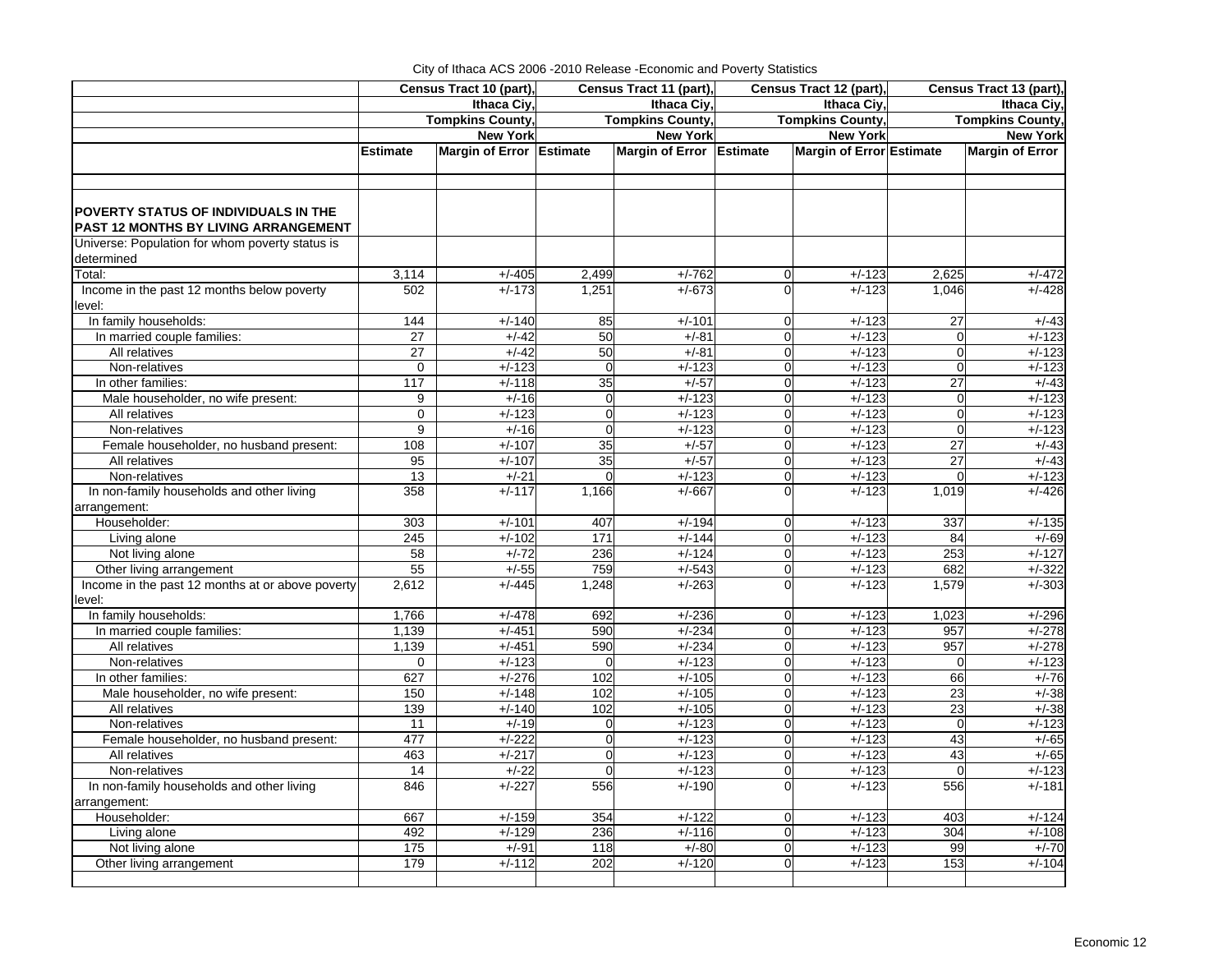| City of Ithaca ACS 2006 - 2010 Release - Economic and Poverty Statistics |  |
|--------------------------------------------------------------------------|--|
|                                                                          |  |

|                                                               |                 | Census Tract 10 (part),  |                | Census Tract 11 (part),  |                | Census Tract 12 (part),         | Census Tract 13 (part), |                        |  |
|---------------------------------------------------------------|-----------------|--------------------------|----------------|--------------------------|----------------|---------------------------------|-------------------------|------------------------|--|
|                                                               |                 | Ithaca Ciy,              |                | Ithaca Ciy               |                | Ithaca Ciy                      | Ithaca Ciy,             |                        |  |
|                                                               |                 | <b>Tompkins County,</b>  |                | <b>Tompkins County,</b>  |                | <b>Tompkins County</b>          | <b>Tompkins County,</b> |                        |  |
|                                                               |                 | <b>New York</b>          |                | <b>New York</b>          |                | <b>New York</b>                 |                         | <b>New York</b>        |  |
|                                                               | <b>Estimate</b> | Margin of Error Estimate |                | Margin of Error Estimate |                | <b>Margin of Error Estimate</b> |                         | <b>Margin of Error</b> |  |
|                                                               |                 |                          |                |                          |                |                                 |                         |                        |  |
|                                                               |                 |                          |                |                          |                |                                 |                         |                        |  |
|                                                               |                 |                          |                |                          |                |                                 |                         |                        |  |
| POVERTY STATUS OF INDIVIDUALS IN THE                          |                 |                          |                |                          |                |                                 |                         |                        |  |
| PAST 12 MONTHS BY LIVING ARRANGEMENT                          |                 |                          |                |                          |                |                                 |                         |                        |  |
| Universe: Population for whom poverty status is<br>determined |                 |                          |                |                          |                |                                 |                         |                        |  |
| Total:                                                        |                 | $+/-405$                 |                | $+/-762$                 | $\mathbf 0$    | $+/-123$                        | 2,625                   |                        |  |
| Income in the past 12 months below poverty                    | 3,114<br>502    | $+/-173$                 | 2,499<br>1,251 | $+/-673$                 | $\overline{0}$ | $+/-123$                        | 1,046                   | $+/-472$<br>$+/-428$   |  |
|                                                               |                 |                          |                |                          |                |                                 |                         |                        |  |
| level:<br>In family households:                               | 144             | $+/-140$                 | 85             | $+/-101$                 | $\overline{0}$ | $+/-123$                        | 27                      | $+/-43$                |  |
| In married couple families:                                   | 27              | $+/-42$                  | 50             | $+/-81$                  | $\Omega$       | $+/-123$                        | $\overline{0}$          | $+/-123$               |  |
| All relatives                                                 | 27              | $+/-42$                  | 50             | $+/-81$                  | $\mathbf 0$    | $+/-123$                        | $\mathbf 0$             | $+/-123$               |  |
| Non-relatives                                                 | $\mathbf 0$     | $+/-123$                 | $\overline{0}$ | $+/-123$                 | $\overline{0}$ | $+/-123$                        | $\mathbf 0$             | $+/-123$               |  |
| In other families:                                            | 117             | $+/-118$                 | 35             | $+/-57$                  | $\overline{0}$ | $+/-123$                        | 27                      | $+/-43$                |  |
| Male householder, no wife present:                            | 9               | $+/-16$                  | $\overline{0}$ | $+/-123$                 | $\mathbf 0$    | $+/-123$                        | $\overline{0}$          | $+/-123$               |  |
| All relatives                                                 | $\mathbf 0$     | $+/-123$                 | $\overline{0}$ | $+/-123$                 | $\mathbf 0$    | $+/-123$                        | $\mathbf 0$             | $+/-123$               |  |
| Non-relatives                                                 | 9               | $+/-16$                  | $\mathbf 0$    | $+/-123$                 | $\mathbf 0$    | $+/-123$                        | $\overline{0}$          | $+/-123$               |  |
| Female householder, no husband present:                       | 108             | $+/-107$                 | 35             | $+/-57$                  | $\Omega$       | $+/-123$                        | 27                      | $+/-43$                |  |
| All relatives                                                 | 95              | $+/-107$                 | 35             | $+/-57$                  | $\mathbf 0$    | $+/-123$                        | 27                      | $+/-43$                |  |
| Non-relatives                                                 | 13              | $+/-21$                  | $\Omega$       | $+/-123$                 | $\Omega$       | $+/-123$                        | $\Omega$                | $+/-123$               |  |
| In non-family households and other living                     | 358             | $+/-117$                 | 1,166          | $+/-667$                 | $\Omega$       | $+/-123$                        | 1,019                   | $+/-426$               |  |
| arrangement:                                                  |                 |                          |                |                          |                |                                 |                         |                        |  |
| Householder:                                                  | 303             | $+/-101$                 | 407            | $+/-194$                 | $\overline{0}$ | $+/-123$                        | 337                     | $+/-135$               |  |
| Living alone                                                  | 245             | $+/-102$                 | 171            | $+/-144$                 | $\mathbf 0$    | $+/-123$                        | 84                      | $+/-69$                |  |
| Not living alone                                              | 58              | $+/-72$                  | 236            | $+/-124$                 | $\mathbf 0$    | $+/-123$                        | 253                     | $+/-127$               |  |
| Other living arrangement                                      | 55              | $+/-55$                  | 759            | $+/-543$                 | $\mathbf 0$    | $+/-123$                        | 682                     | $+/-322$               |  |
| Income in the past 12 months at or above poverty              | 2,612           | $+/-445$                 | 1,248          | $+/-263$                 | $\Omega$       | $+/-123$                        | 1,579                   | $+/-303$               |  |
| level:                                                        |                 |                          |                |                          |                |                                 |                         |                        |  |
| In family households:                                         | 1,766           | $+/-478$                 | 692            | $+/-236$                 | $\overline{0}$ | $+/-123$                        | 1,023                   | $+/-296$               |  |
| In married couple families:                                   | 1,139           | $+/-451$                 | 590            | $+/-234$                 | $\overline{0}$ | $+/-123$                        | 957                     | $+/-278$               |  |
| All relatives                                                 | 1,139           | $+/-451$                 | 590            | $+/-234$                 | $\Omega$       | $+/-123$                        | 957                     | $+/-278$               |  |
| Non-relatives                                                 | $\mathbf 0$     | $+/-123$                 | $\overline{0}$ | $+/-123$                 | $\overline{0}$ | $+/-123$                        | $\overline{0}$          | $+/-123$               |  |
| In other families:                                            | 627             | $+/-276$                 | 102            | $+/-105$                 | $\Omega$       | $+/-123$                        | 66                      | $+/-76$                |  |
| Male householder, no wife present:                            | 150             | $+/-148$                 | 102            | $+/-105$                 | $\overline{0}$ | $+/-123$                        | $\overline{23}$         | $+/-38$                |  |
| All relatives                                                 | 139             | $+/-140$                 | 102            | $+/-105$                 | $\mathbf 0$    | $+/-123$                        | 23                      | $+/-38$                |  |
| Non-relatives                                                 | 11              | $+/-19$                  | $\overline{0}$ | $+/-123$                 | $\overline{0}$ | $+/-123$                        | $\mathbf 0$             | $+/-123$               |  |
| Female householder, no husband present:                       | 477             | $+/-222$                 | $\overline{0}$ | $+/-123$                 | $\mathbf 0$    | $+/-123$                        | 43                      | $+/-65$                |  |
| All relatives                                                 | 463             | $+/-217$                 | $\Omega$       | $+/-123$                 | $\Omega$       | $+/-123$                        | 43                      | $+/-65$                |  |
| Non-relatives                                                 | 14              | $+/-22$                  | $\overline{0}$ | $+/-123$                 | $\overline{0}$ | $+/-123$                        | $\overline{0}$          | $+/-123$               |  |
| In non-family households and other living                     | 846             | $+/-227$                 | 556            | $+/-190$                 | $\Omega$       | $+/-123$                        | 556                     | $+/-181$               |  |
| arrangement:                                                  |                 |                          |                |                          |                |                                 |                         |                        |  |
| Householder:                                                  | 667             | $+/-159$                 | 354            | $+/-122$                 | $\Omega$       | $+/-123$                        | 403                     | $+/-124$               |  |
| Living alone                                                  | 492             | $+/-129$                 | 236            | $+/-116$                 | $\Omega$       | $+/-123$                        | $\overline{304}$        | $+/-108$               |  |
| Not living alone                                              | 175             | $+/-91$                  | 118            | $+/-80$                  | $\mathbf 0$    | $+/-123$                        | 99                      | $+/-70$                |  |
| Other living arrangement                                      | 179             | $+/-112$                 | 202            | $+/-120$                 | $\Omega$       | $+/-123$                        | 153                     | $+/-104$               |  |
|                                                               |                 |                          |                |                          |                |                                 |                         |                        |  |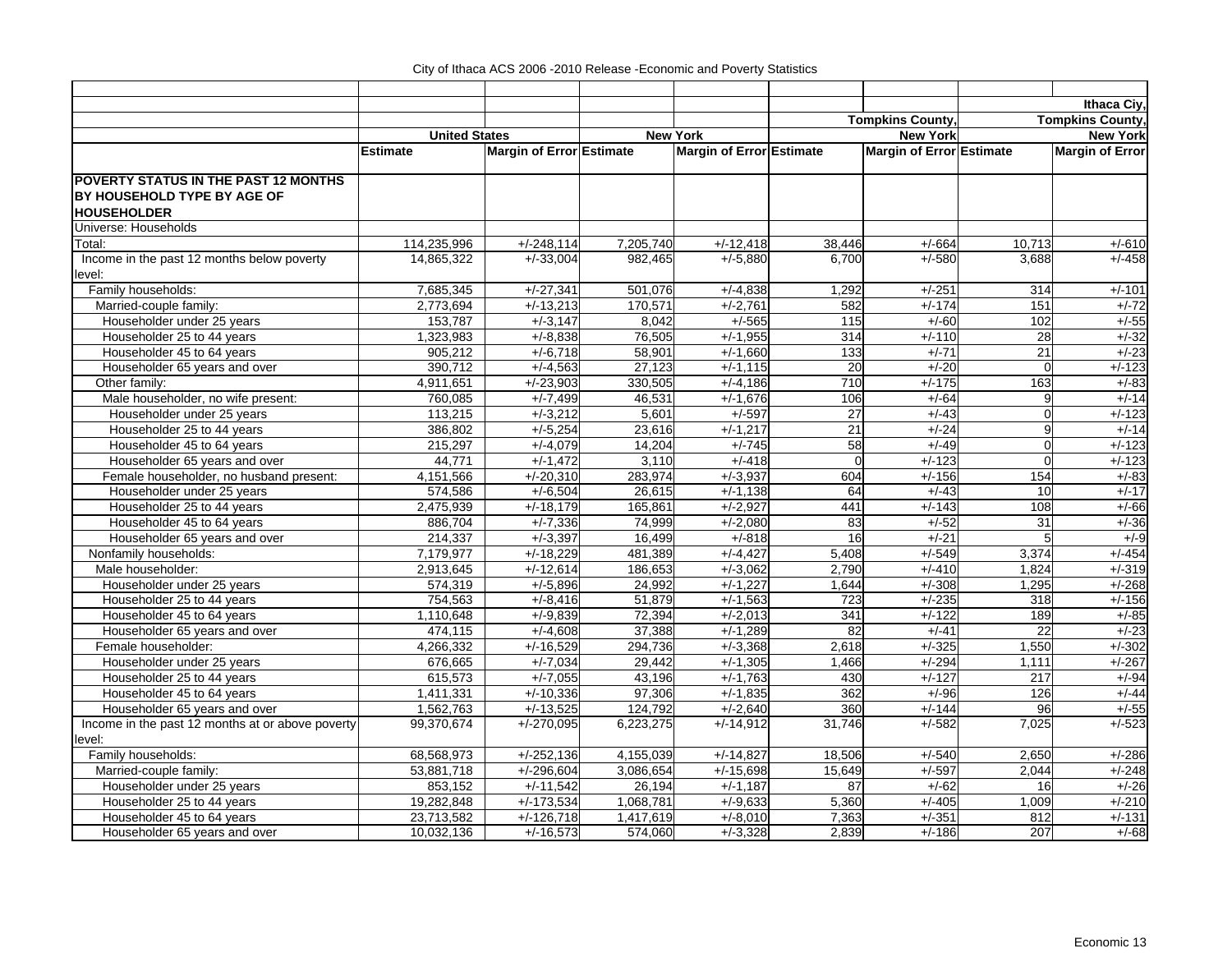|                                                      |                      |                          |                      |                          |                |                          |                 | Ithaca Ciy,             |
|------------------------------------------------------|----------------------|--------------------------|----------------------|--------------------------|----------------|--------------------------|-----------------|-------------------------|
|                                                      |                      |                          |                      |                          |                | <b>Tompkins County</b>   |                 | <b>Tompkins County,</b> |
|                                                      | <b>United States</b> |                          |                      | <b>New York</b>          |                | <b>New York</b>          |                 | <b>New York</b>         |
|                                                      | <b>Estimate</b>      | Margin of Error Estimate |                      | Margin of Error Estimate |                | Margin of Error Estimate |                 | <b>Margin of Error</b>  |
| <b>POVERTY STATUS IN THE PAST 12 MONTHS</b>          |                      |                          |                      |                          |                |                          |                 |                         |
| BY HOUSEHOLD TYPE BY AGE OF                          |                      |                          |                      |                          |                |                          |                 |                         |
| <b>HOUSEHOLDER</b>                                   |                      |                          |                      |                          |                |                          |                 |                         |
| Universe: Households                                 |                      |                          |                      |                          |                |                          |                 |                         |
| Total:                                               | 114,235,996          | $+/-248,114$             | 7,205,740            | $+/-12,418$              | 38,446         | $+/-664$                 | 10,713          | $+/-610$                |
| Income in the past 12 months below poverty<br>level: | 14,865,322           | $+/-33,004$              | 982,465              | $+/-5,880$               | 6,700          | $+/-580$                 | 3,688           | $+/-458$                |
| Family households:                                   | 7,685,345            | $+/-27,341$              | 501,076              | $+/-4,838$               | 1,292          | $+/-251$                 | 314             | $+/-101$                |
| Married-couple family:                               | 2,773,694            | $+/-13,213$              | 170,571              | $+/-2,761$               | 582            | $+/-174$                 | 151             | $+/-72$                 |
| Householder under 25 years                           | 153,787              | $+/-3,147$               | 8,042                | $+/-565$                 | 115            | $+/-60$                  | 102             | $+/-55$                 |
| Householder 25 to 44 years                           | 1,323,983            | $+/-8,838$               | 76,505               | $+/-1,955$               | 314            | $+/-110$                 | 28              | $+/-32$                 |
| Householder 45 to 64 years                           | 905,212              | $+/-6,718$               | 58,901               | $+/-1,660$               | 133            | $+/-71$                  | 21              | $+/-23$                 |
| Householder 65 years and over                        | 390,712              | $+/-4,563$               | 27,123               | $+/-1,115$               | 20             | $+/-20$                  | $\Omega$        | $+/-123$                |
| Other family:                                        | 4,911,651            | $+/-23,903$              | 330.505              | $+/-4.186$               | 710            | $+/-175$                 | 163             | $+/-83$                 |
| Male householder, no wife present:                   | 760,085              | $+/-7,499$               | 46,531               | $+/-1,676$               | 106            | $+/-64$                  | 9               | $+/-14$                 |
| Householder under 25 years                           | 113,215              | $+/-3,212$               | 5,601                | $+/-597$                 | 27             | $+/-43$                  | $\Omega$        | $+/-123$                |
| Householder 25 to 44 years                           | 386,802              | $+/-5,254$               | 23,616               | $+/-1,217$               | 21             | $+/-24$                  | 9               | $+/-14$                 |
| Householder 45 to 64 years                           | 215,297              | $+/-4,079$               | 14,204               | $+/-745$                 | 58             | $+/-49$                  | $\Omega$        | $+/-123$                |
| Householder 65 years and over                        | 44,771               | $+/-1,472$               | 3,110                | $+/-418$                 | $\overline{0}$ | $+/-123$                 | $\mathbf 0$     | $+/-123$                |
| Female householder, no husband present:              | 4,151,566            | $+/-20,310$              | 283,974              | $+/-3,937$               | 604            | $+/-156$                 | 154             | $+/-83$                 |
| Householder under 25 years                           | 574,586              | $+/-6,504$               | 26,615               | $+/-1,138$               | 64             | $+/-43$                  | 10              | $+/-17$                 |
| Householder 25 to 44 years                           | 2,475,939            | $+/-18,179$              | 165,861              | $+/-2,927$               | 441            | $+/-143$                 | 108             | $+/-66$                 |
| Householder 45 to 64 years                           | 886,704              | $+/-7,336$               | 74,999               | $+/-2,080$               | 83             | $+/-52$                  | 31              | $+/-36$                 |
| Householder 65 years and over                        | 214,337              | $+/-3,397$               | 16,499               | $+/-818$                 | 16             | $+/-21$                  | 5               | $+/-9$                  |
| Nonfamily households:                                | 7,179,977            | $+/-18,229$              | 481,389              | $+/-4,427$               | 5,408          | $+/-549$                 | 3,374           | $+/-454$                |
| Male householder:                                    | 2,913,645            | $+/-12,614$              | 186,653              | $+/-3,062$               | 2,790          | $+/-410$                 | 1,824           | $+/-319$                |
| Householder under 25 years                           | 574,319              | $+/-5,896$               | 24,992               | $+/-1,227$               | 1,644          | $+/-308$                 | 1,295           | $+/-268$                |
| Householder 25 to 44 years                           | 754,563              | $+/-8,416$               | 51,879               | $+/-1,563$               | 723            | $+/-235$                 | 318             | $+/-156$                |
| Householder 45 to 64 years                           | 1,110,648            | $+/-9,839$               | 72,394               | $+/-2,013$               | 341            | $+/-122$                 | 189             | $+/-85$                 |
| Householder 65 years and over                        | 474,115              | $+/-4,608$               | 37,388               | $+/-1,289$               | 82             | $+/-41$                  | $\overline{22}$ | $+/-23$                 |
| Female householder:                                  | 4,266,332            | $+/-16,529$              | 294,736              | $+/-3,368$               | 2,618          | $+/-325$                 | 1,550           | $+/-302$                |
| Householder under 25 years                           | 676,665              | $+/-7,034$               | 29,442               | $+/-1,305$               | 1,466          | $+/-294$                 | 1,111           | $+/-267$                |
| Householder 25 to 44 years                           | 615,573              | $+/-7,055$               | 43,196               | $+/-1,763$               | 430            | $+/-127$                 | 217             | $+/-94$                 |
| Householder 45 to 64 years                           | 1,411,331            | $+/-10,336$              | 97,306               | $+/-1,835$               | 362            | $+/-96$                  | 126             | $+/-44$                 |
| Householder 65 years and over                        | 1,562,763            | $+/-13,525$              | 124,792              | $+/-2,640$               | 360            | $+/-144$                 | 96              | $+/-55$                 |
| Income in the past 12 months at or above poverty     | 99,370,674           | $+/-270,095$             | 6,223,275            | $+/-14,912$              | 31,746         | $+/-582$                 | 7,025           | $+/-523$                |
| level:                                               |                      |                          |                      |                          |                |                          |                 |                         |
| Family households:                                   | 68,568,973           | $+/-252,136$             | 4,155,039            | $+/-14,827$              | 18,506         | $+/-540$                 | 2,650           | $+/-286$                |
| Married-couple family:                               | 53,881,718           | $+/-296,604$             | 3,086,654            | $+/-15,698$              | 15,649         | $+/-597$                 | 2,044           | $+/-248$                |
| Householder under 25 years                           | 853,152              | $+/-11,542$              | $\overline{26, 194}$ | $+/-1,187$               | 87             | $+/-62$                  | 16              | $+/-26$                 |
| Householder 25 to 44 years                           | 19,282,848           | $+/-173,534$             | 1,068,781            | $+/-9,633$               | 5,360          | $+/-405$                 | 1,009           | $+/-210$                |
| Householder 45 to 64 years                           | 23,713,582           | $+/-126,718$             | 1,417,619            | $+/-8,010$               | 7,363          | $+/-351$                 | 812             | $+/-131$                |
| Householder 65 years and over                        | 10,032,136           | $+/-16,573$              | 574,060              | $+/-3,328$               | 2,839          | $+/-186$                 | 207             | $+/-68$                 |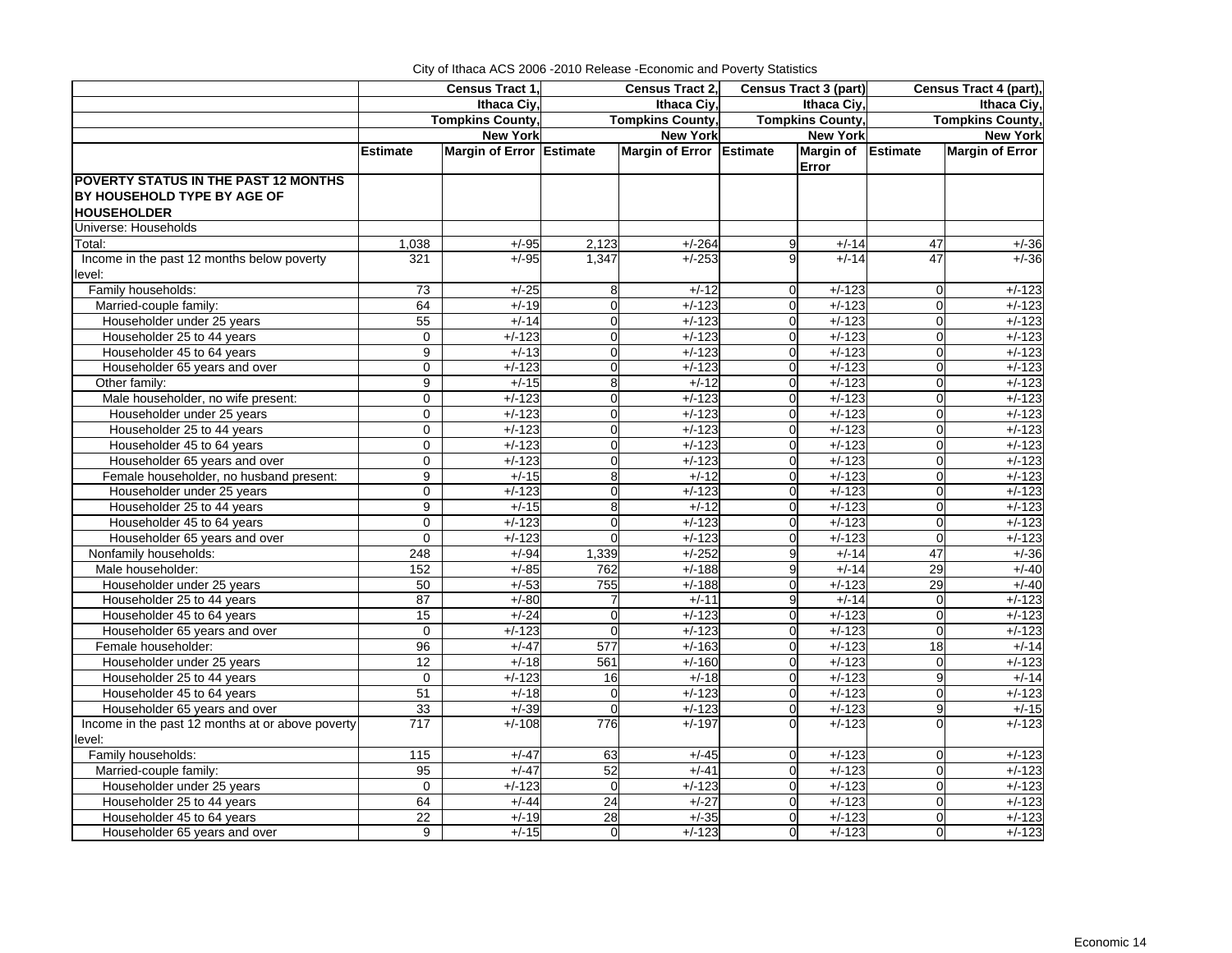|                                                  |                   | Census Tract 1,          |                | <b>Census Tract 2,</b>   |                | Census Tract 3 (part)       | Census Tract 4 (part),<br>Ithaca Ciy, |                         |  |
|--------------------------------------------------|-------------------|--------------------------|----------------|--------------------------|----------------|-----------------------------|---------------------------------------|-------------------------|--|
|                                                  |                   | Ithaca Civ.              |                | Ithaca Ciy,              |                | Ithaca Ciy,                 |                                       |                         |  |
|                                                  |                   | <b>Tompkins County,</b>  |                | <b>Tompkins County,</b>  |                | <b>Tompkins County,</b>     |                                       | <b>Tompkins County,</b> |  |
|                                                  |                   | <b>New York</b>          |                | <b>New York</b>          |                | <b>New York</b>             |                                       | <b>New York</b>         |  |
|                                                  | <b>Estimate</b>   | Margin of Error Estimate |                | Margin of Error Estimate |                | Margin of Estimate<br>Error |                                       | <b>Margin of Error</b>  |  |
| <b>POVERTY STATUS IN THE PAST 12 MONTHS</b>      |                   |                          |                |                          |                |                             |                                       |                         |  |
| BY HOUSEHOLD TYPE BY AGE OF                      |                   |                          |                |                          |                |                             |                                       |                         |  |
| <b>HOUSEHOLDER</b>                               |                   |                          |                |                          |                |                             |                                       |                         |  |
| Universe: Households                             |                   |                          |                |                          |                |                             |                                       |                         |  |
| Total:                                           | 1,038             | $+/-95$                  | 2,123          | $+/-264$                 | 9              | $+/-14$                     | 47                                    | $+/-36$                 |  |
| Income in the past 12 months below poverty       | 321               | $+/-95$                  | 1,347          | $+/-253$                 |                | $+/-14$                     | 47                                    | $+/-36$                 |  |
| level:                                           |                   |                          |                |                          |                |                             |                                       |                         |  |
| Family households:                               | 73                | $+/-25$                  | 8              | $+/-12$                  | $\Omega$       | $+/-123$                    | $\mathbf 0$                           | $+/-123$                |  |
| Married-couple family:                           | 64                | $+/-19$                  | 0              | $+/-123$                 | $\Omega$       | $+/-123$                    | $\mathbf 0$                           | $+/-123$                |  |
| Householder under 25 years                       | 55                | $+/-14$                  | 0              | $+/-123$                 | $\Omega$       | $+/-123$                    | $\mathbf 0$                           | $+/-123$                |  |
| Householder 25 to 44 years                       | 0                 | $+/-123$                 | $\mathbf 0$    | $+/-123$                 | $\overline{0}$ | $+/-123$                    | $\mathbf 0$                           | $+/-123$                |  |
| Householder 45 to 64 years                       | 9                 | $+/-13$                  | $\overline{0}$ | $+/-123$                 | $\overline{0}$ | $+/-123$                    | $\overline{0}$                        | $+/-123$                |  |
| Householder 65 years and over                    | 0                 | $+/-123$                 | $\mathbf 0$    | $+/-123$                 | $\overline{0}$ | $+/-123$                    | $\mathbf 0$                           | $+/-123$                |  |
| Other family:                                    | 9                 | $+/-15$                  | 8              | $+/-12$                  | $\Omega$       | $+/-123$                    | $\mathbf 0$                           | $+/-123$                |  |
| Male householder, no wife present:               | 0                 | $+/-123$                 | $\mathbf 0$    | $+/-123$                 | $\overline{0}$ | $+/-123$                    | $\mathbf 0$                           | $+/-123$                |  |
| Householder under 25 years                       | 0                 | $+/-123$                 | 0              | $+/-123$                 | $\Omega$       | $+/-123$                    | 0                                     | $+/-123$                |  |
| Householder 25 to 44 years                       | 0                 | $+/-123$                 | $\mathbf 0$    | $+/-123$                 | $\overline{0}$ | $+/-123$                    | $\mathbf 0$                           | $+/-123$                |  |
| Householder 45 to 64 years                       | $\Omega$          | $+/-123$                 | $\Omega$       | $+/-123$                 | $\Omega$       | $+/-123$                    | $\Omega$                              | $+/-123$                |  |
| Householder 65 years and over                    | 0                 | $+/-123$                 | $\mathbf 0$    | $+/-123$                 | $\Omega$       | $+/-123$                    | $\mathbf 0$                           | $+/-123$                |  |
| Female householder, no husband present:          | 9                 | $+/-15$                  | 8              | $+/-12$                  | $\Omega$       | $+/-123$                    | $\Omega$                              | $+/-123$                |  |
| Householder under 25 years                       | $\Omega$          | $+/-123$                 | $\Omega$       | $+/-123$                 | $\Omega$       | $+/-123$                    | $\Omega$                              | $+/-123$                |  |
| Householder 25 to 44 years                       | 9                 | $+/-15$                  | 8              | $+/-12$                  | $\Omega$       | $+/-123$                    | $\mathbf 0$                           | $+/-123$                |  |
| Householder 45 to 64 years                       | 0                 | $+/-123$                 | 0              | $+/-123$                 | $\Omega$       | $+/-123$                    | $\mathbf 0$                           | $+/-123$                |  |
| Householder 65 years and over                    | $\mathbf 0$       | $+/-123$                 | $\Omega$       | $+/-123$                 | $\Omega$       | $+/-123$                    | $\overline{0}$                        | $+/-123$                |  |
| Nonfamily households:                            | 248               | $+/-94$                  | 1,339          | $+/-252$                 | 9              | $+/-14$                     | 47                                    | $+/-36$                 |  |
| Male householder:                                | 152               | $+/-85$                  | 762            | $+/-188$                 | $\overline{9}$ | $+/-14$                     | 29                                    | $+/-40$                 |  |
| Householder under 25 years                       | 50                | $+/-53$                  | 755            | $+/-188$                 | $\Omega$       | $+/-123$                    | 29                                    | $+/-40$                 |  |
| Householder 25 to 44 years                       | 87                | $+/-80$                  | 7              | $+/-11$                  | 9              | $+/-14$                     | $\overline{0}$                        | $+/-123$                |  |
| Householder 45 to 64 years                       | 15                | $+/-24$                  | $\mathbf 0$    | $+/-123$                 | $\Omega$       | $+/-123$                    | $\mathbf 0$                           | $+/-123$                |  |
| Householder 65 years and over                    | 0                 | $+/-123$                 | $\mathbf 0$    | $+/-123$                 | $\overline{0}$ | $+/-123$                    | $\mathbf 0$                           | $+/-123$                |  |
| Female householder:                              | 96                | $+/-47$                  | 577            | $+/-163$                 | $\Omega$       | $+/-123$                    | 18                                    | $+/-14$                 |  |
| Householder under 25 years                       | 12                | $+/-18$                  | 561            | $+/-160$                 | $\Omega$       | $+/-123$                    | $\mathbf 0$                           | $+/-123$                |  |
| Householder 25 to 44 years                       | 0                 | $+/-123$                 | 16             | $+/-18$                  | $\Omega$       | $+/-123$                    | 9                                     | $+/-14$                 |  |
| Householder 45 to 64 years                       | 51                | $+/-18$                  | $\mathbf 0$    | $+/-123$                 | $\Omega$       | $+/-123$                    | $\overline{0}$                        | $+/-123$                |  |
| Householder 65 years and over                    | 33                | $+/-39$                  | $\mathbf 0$    | $+/-123$                 | $\Omega$       | $+/-123$                    | 9                                     | $+/-15$                 |  |
| Income in the past 12 months at or above poverty | 717               | $+/-108$                 | 776            | $+/-197$                 | $\Omega$       | $+/-123$                    | $\overline{0}$                        | $+/-123$                |  |
| level:                                           |                   |                          |                |                          |                |                             |                                       |                         |  |
| Family households:                               | $\frac{115}{115}$ | $+/-47$                  | 63             | $+/-45$                  | $\Omega$       | $+/-123$                    | $\mathbf 0$                           | $+/-123$                |  |
| Married-couple family:                           | 95                | $+/-47$                  | 52             | $+/-41$                  | $\overline{0}$ | $+/-123$                    | $\mathbf 0$                           | $+/-123$                |  |
| Householder under 25 years                       | $\Omega$          | $+/-123$                 | $\Omega$       | $+/-123$                 | $\Omega$       | $+/-123$                    | $\Omega$                              | $+/-123$                |  |
| Householder 25 to 44 years                       | 64                | $+/-44$                  | 24             | $+/-27$                  | $\Omega$       | $+/-123$                    | $\mathbf 0$                           | $+/-123$                |  |
| Householder 45 to 64 years                       | $\overline{22}$   | $+/-19$                  | 28             | $+/-35$                  | $\Omega$       | $+/-123$                    | $\Omega$                              | $+/-123$                |  |
| Householder 65 years and over                    | 9                 | $+/-15$                  | $\mathbf 0$    | $+/-123$                 | $\Omega$       | $+/-123$                    | $\Omega$                              | $+/-123$                |  |

City of Ithaca ACS 2006 -2010 Release -Economic and Poverty Statistics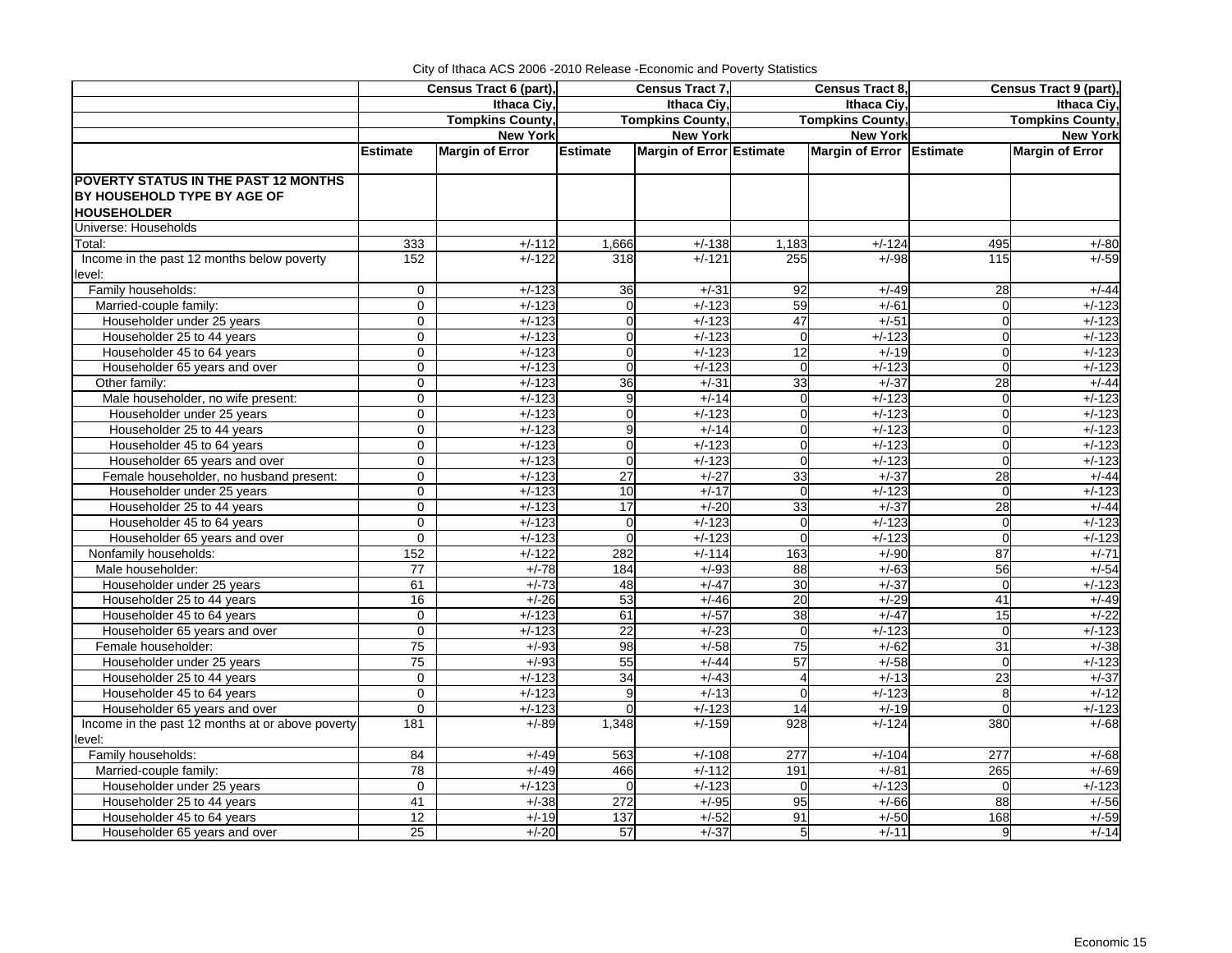|                                                                       |                            | Census Tract 6 (part),  | Census Tract 7,                |                                 |                               | <b>Census Tract 8,</b>   | Census Tract 9 (part),     |                         |  |
|-----------------------------------------------------------------------|----------------------------|-------------------------|--------------------------------|---------------------------------|-------------------------------|--------------------------|----------------------------|-------------------------|--|
|                                                                       |                            | Ithaca Ciy,             |                                | Ithaca Civ.                     |                               | <b>Ithaca Civ</b>        |                            | Ithaca Ciy,             |  |
|                                                                       |                            | <b>Tompkins County,</b> |                                | <b>Tompkins County,</b>         |                               | <b>Tompkins County,</b>  |                            | <b>Tompkins County,</b> |  |
|                                                                       |                            | <b>New York</b>         |                                | <b>New York</b>                 |                               | <b>New York</b>          |                            | <b>New York</b>         |  |
|                                                                       | <b>Estimate</b>            | <b>Margin of Error</b>  | <b>Estimate</b>                | <b>Margin of Error Estimate</b> |                               | Margin of Error Estimate |                            | <b>Margin of Error</b>  |  |
| <b>POVERTY STATUS IN THE PAST 12 MONTHS</b>                           |                            |                         |                                |                                 |                               |                          |                            |                         |  |
| BY HOUSEHOLD TYPE BY AGE OF                                           |                            |                         |                                |                                 |                               |                          |                            |                         |  |
| <b>HOUSEHOLDER</b>                                                    |                            |                         |                                |                                 |                               |                          |                            |                         |  |
| Universe: Households                                                  |                            |                         |                                |                                 |                               |                          |                            |                         |  |
| Total:                                                                | 333                        | $+/-112$                | 1,666                          | $+/-138$                        | 1,183                         | $+/-124$                 | 495                        | $+/-80$                 |  |
| Income in the past 12 months below poverty                            | 152                        | $+/-122$                | 318                            | $+/-121$                        | 255                           | $+/-98$                  | 115                        | $+/-59$                 |  |
| level:                                                                |                            |                         |                                |                                 |                               |                          |                            |                         |  |
| Family households:                                                    | $\mathbf 0$                | $+/-123$                | 36                             | $+/-31$                         | 92                            | $+/-49$                  | 28                         | $+/-44$                 |  |
| Married-couple family:                                                | $\mathbf 0$                | $+/-123$                | $\Omega$                       | $+/-123$                        | 59                            | $+/-61$                  | $\mathbf 0$                | $+/-123$                |  |
| Householder under 25 years                                            | $\mathbf 0$                | $+/-123$                | $\Omega$                       | $+/-123$                        | 47                            | $+/-51$                  | $\mathbf 0$                | $+/-123$                |  |
| Householder 25 to 44 years                                            | $\Omega$                   | $+/-123$                | $\Omega$                       | $+/-123$                        | $\Omega$                      | $+/-123$                 | $\mathbf 0$                | $+/-123$                |  |
| Householder 45 to 64 years                                            | $\Omega$                   | $+/-123$                | $\Omega$                       | $+/-123$                        | 12                            | $+/-19$                  | $\Omega$                   | $+/-123$                |  |
| Householder 65 years and over                                         | $\mathbf 0$                | $+/-123$                | $\mathbf 0$                    | $+/-123$                        | $\overline{0}$                | $+/-123$                 | $\mathbf 0$                | $+/-123$                |  |
| Other family:                                                         | $\mathbf 0$                | $+/-123$                | $\overline{36}$                | $+/-31$                         | 33                            | $+/-37$                  | 28                         | $+/-44$                 |  |
| Male householder, no wife present:                                    | $\Omega$                   | $+/-123$                | 9                              |                                 | $\Omega$                      | $+/-123$                 |                            | $+/-123$                |  |
|                                                                       | $\Omega$                   | $+/-123$                | $\Omega$                       | $+/-14$<br>$+/-123$             | $\Omega$                      | $+/-123$                 | $\mathbf 0$<br>$\mathbf 0$ | $+/-123$                |  |
| Householder under 25 years                                            | $\Omega$                   |                         | 9                              |                                 | $\Omega$                      |                          |                            |                         |  |
| Householder 25 to 44 years                                            |                            | $+/-123$                |                                | $+/-14$                         |                               | $+/-123$                 | $\mathbf 0$                | $+/-123$                |  |
| Householder 45 to 64 years                                            | $\mathbf 0$                | $+/-123$                | $\overline{0}$                 | $+/-123$                        | $\mathbf 0$<br>$\overline{0}$ | $+/-123$                 | $\mathbf 0$                | $+/-123$                |  |
| Householder 65 years and over                                         | 0                          | $+/-123$<br>$+/-123$    | $\mathbf 0$<br>$\overline{27}$ | $+/-123$                        | 33                            | $+/-123$<br>$+/-37$      | $\mathbf 0$                | $+/-123$                |  |
| Female householder, no husband present:<br>Householder under 25 years | $\mathbf{0}$               | $+/-123$                | 10                             | $+/-27$<br>$+/-17$              |                               | $+/-123$                 | 28                         | $+/-44$<br>$+/-123$     |  |
|                                                                       | $\mathbf 0$                |                         |                                |                                 | $\overline{0}$                |                          | $\mathbf 0$                |                         |  |
| Householder 25 to 44 years                                            | $\mathbf 0$<br>$\mathbf 0$ | $+/-123$<br>$+/-123$    | 17                             | $+/-20$<br>$+/-123$             | 33                            | $+/-37$                  | 28                         | $+/-44$<br>$+/-123$     |  |
| Householder 45 to 64 years                                            | $\mathbf 0$                | $+/-123$                | $\overline{0}$<br>$\mathbf 0$  |                                 | $\overline{0}$<br>$\mathbf 0$ | $+/-123$<br>$+/-123$     | $\mathbf 0$<br>$\mathbf 0$ | $+/-123$                |  |
| Householder 65 years and over<br>Nonfamily households:                | 152                        | $+/-122$                | 282                            | $+/-123$<br>$+/-114$            | 163                           | $+/-90$                  | 87                         | $+/-71$                 |  |
|                                                                       |                            | $+/-78$                 | 184                            | $+/-93$                         | 88                            |                          | 56                         | $+/-54$                 |  |
| Male householder:                                                     | 77                         |                         |                                | $+/-47$                         |                               | $+/-63$<br>$+/-37$       |                            | $+/-123$                |  |
| Householder under 25 years                                            | 61<br>16                   | $+/-73$                 | 48                             |                                 | 30                            |                          | $\mathbf 0$                |                         |  |
| Householder 25 to 44 years                                            | $\Omega$                   | $+/-26$<br>$+/-123$     | 53                             | $+/-46$<br>$+/-57$              | 20<br>38                      | $+/-29$<br>$+/-47$       | 41<br>15                   | $+/-49$<br>$+/-22$      |  |
| Householder 45 to 64 years<br>Householder 65 years and over           | $\mathbf 0$                | $+/-123$                | 61                             | $+/-23$                         | $\mathbf 0$                   | $+/-123$                 |                            | $+/-123$                |  |
|                                                                       | 75                         | $+/-93$                 | 22<br>98                       | $+/-58$                         | $\overline{75}$               | $+/-62$                  | $\mathbf 0$<br>31          | $+/-38$                 |  |
| Female householder:<br>Householder under 25 years                     | 75                         | $+/-93$                 |                                |                                 | 57                            |                          |                            | $+/-123$                |  |
| Householder 25 to 44 years                                            | $\mathbf 0$                | $+/-123$                | 55<br>34                       | $+/-44$<br>$+/-43$              | 4                             | $+/-58$<br>$+/-13$       | $\mathbf 0$<br>23          | $+/-37$                 |  |
| Householder 45 to 64 years                                            | $\Omega$                   | $+/-123$                | 9                              | $+/-13$                         | $\Omega$                      | $+/-123$                 |                            | $+/-12$                 |  |
| Householder 65 years and over                                         | $\Omega$                   | $+/-123$                | $\Omega$                       | $+/-123$                        | 14                            | $+/-19$                  | 8<br>$\Omega$              | $+/-123$                |  |
| Income in the past 12 months at or above poverty                      | 181                        | $+/-89$                 | 1,348                          | $+/-159$                        | 928                           | $+/-124$                 | 380                        | $+/-68$                 |  |
| level:                                                                |                            |                         |                                |                                 |                               |                          |                            |                         |  |
| Family households:                                                    | 84                         | $+/-49$                 | 563                            | $+/-108$                        | 277                           | $+/-104$                 | 277                        | $+/-68$                 |  |
| Married-couple family:                                                | $\overline{78}$            | $+/-49$                 | 466                            | $+/-112$                        | 191                           | $+/-81$                  | 265                        | $+/-69$                 |  |
| Householder under 25 years                                            | 0                          | $+/-123$                | $\Omega$                       | $+/-123$                        | $\Omega$                      | $+/-123$                 | $\Omega$                   | $+/-123$                |  |
| Householder 25 to 44 years                                            | 41                         | $+/-38$                 | 272                            | $+/-95$                         | 95                            | $+/-66$                  | 88                         | $+/-56$                 |  |
| Householder 45 to 64 years                                            | 12                         | $+/-19$                 | 137                            | $+/-52$                         | 91                            | $+/-50$                  | 168                        | $+/-59$                 |  |
| Householder 65 years and over                                         | 25                         | $+/-20$                 | 57                             | $+/-37$                         | 5 <sub>l</sub>                | $+/-11$                  | 9                          | $+/-14$                 |  |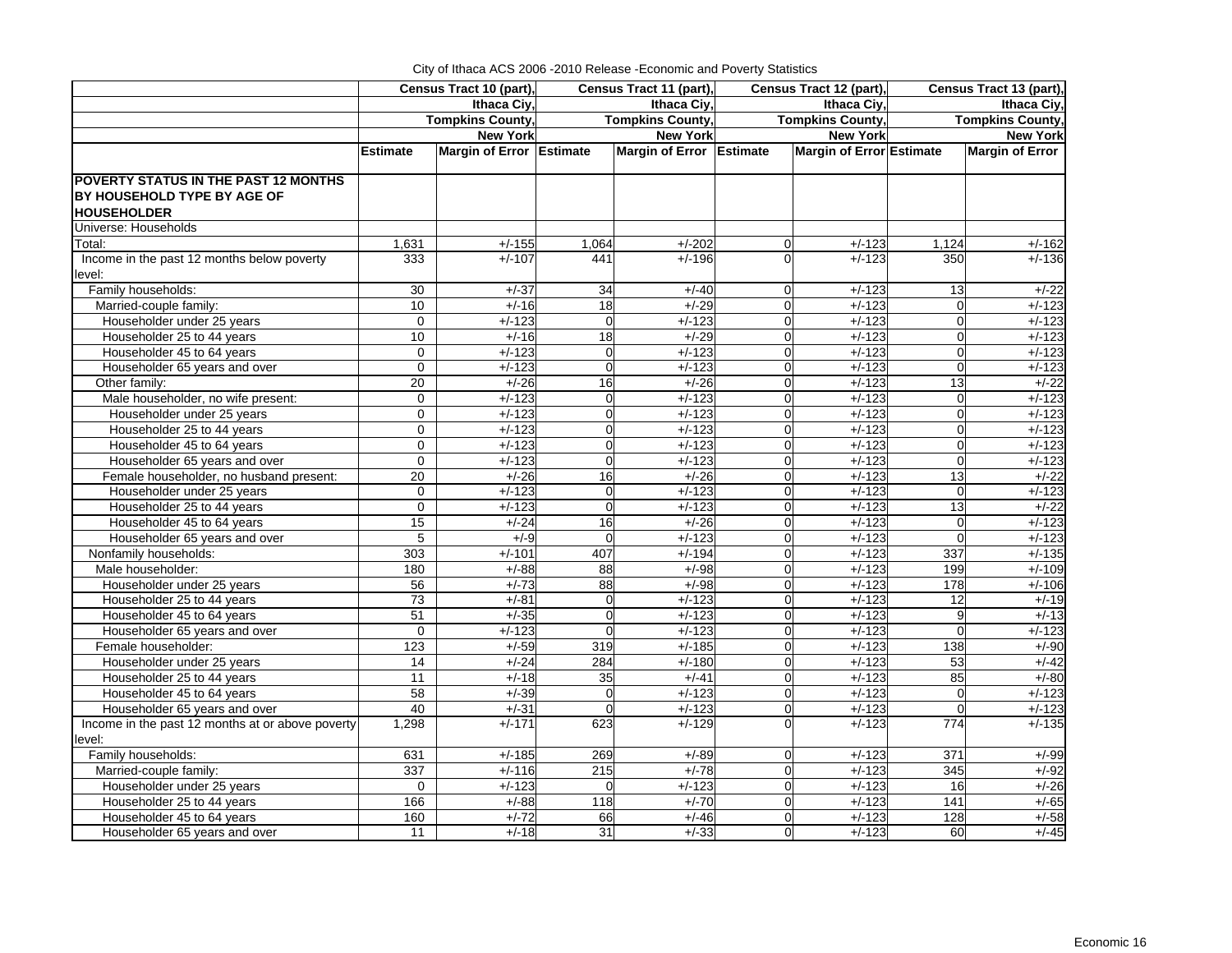| City of Ithaca ACS 2006 - 2010 Release - Economic and Poverty Statistics |  |
|--------------------------------------------------------------------------|--|
|                                                                          |  |

| Ithaca Ciy,<br>Ithaca Ciy,<br>Ithaca Ciy,<br>Ithaca Civ.<br><b>Tompkins County,</b><br><b>Tompkins County,</b><br><b>Tompkins County,</b><br><b>Tompkins County,</b><br><b>New York</b><br><b>New York</b><br><b>New York</b><br><b>New York</b><br>Margin of Error Estimate<br>Margin of Error Estimate<br><b>Margin of Error Estimate</b><br><b>Margin of Error</b><br><b>Estimate</b><br>POVERTY STATUS IN THE PAST 12 MONTHS<br>BY HOUSEHOLD TYPE BY AGE OF<br><b>HOUSEHOLDER</b><br>Universe: Households<br>1,631<br>$+/-155$<br>1,064<br>$+/-202$<br>$+/-123$<br>Total:<br>$\mathbf 0$<br>1,124<br>$+/-162$<br>Income in the past 12 months below poverty<br>333<br>$+/-107$<br>441<br>$+/-196$<br>$+/-123$<br>350<br>$+/-136$<br>$\Omega$<br>level:<br>Family households:<br>30<br>$+/-37$<br>34<br>$+/-40$<br>$+/-123$<br>$+/-22$<br>$\Omega$<br>13<br>$+/-16$<br>$+/-29$<br>Married-couple family:<br>10<br>18<br>$\mathbf 0$<br>$+/-123$<br>$\mathbf 0$<br>$+/-123$<br>$+/-123$<br>$+/-123$<br>$\mathbf 0$<br>Householder under 25 years<br>$\mathbf 0$<br>$\overline{0}$<br>$+/-123$<br>$\mathbf 0$<br>$+/-123$<br>18<br>$\overline{0}$<br>10<br>$+/-16$<br>$+/-29$<br>$+/-123$<br>$+/-123$<br>Householder 25 to 44 years<br>$\mathbf 0$<br>$+/-123$<br>$+/-123$<br>$\overline{0}$<br>Householder 45 to 64 years<br>$\mathbf 0$<br>$\Omega$<br>$+/-123$<br>$\Omega$<br>$+/-123$<br>$+/-123$<br>$\overline{0}$<br>$+/-123$<br>Householder 65 years and over<br>$\mathbf 0$<br>$+/-123$<br>$\mathbf 0$<br>$+/-123$<br>$\Omega$<br>16<br>$+/-26$<br>$+/-123$<br>13<br>$+/-22$<br>Other family:<br>20<br>$+/-26$<br>$\overline{0}$<br>Male householder, no wife present:<br>$+/-123$<br>$+/-123$<br>$+/-123$<br>$+/-123$<br>$\mathbf 0$<br>$\mathbf 0$<br>$\mathbf 0$<br>$\mathbf 0$<br>$+/-123$<br>$\overline{0}$<br>$+/-123$<br>$\overline{0}$<br>$+/-123$<br>Householder under 25 years<br>$\mathbf 0$<br>$+/-123$<br>$\Omega$<br>Householder 25 to 44 years<br>$\Omega$<br>$+/-123$<br>$\Omega$<br>$+/-123$<br>$+/-123$<br>$\Omega$<br>$+/-123$<br>$\Omega$<br>$+/-123$<br>$+/-123$<br>$+/-123$<br>Householder 45 to 64 years<br>$\Omega$<br>$\Omega$<br>$+/-123$<br>$\Omega$<br>$\Omega$<br>$+/-123$<br>Householder 65 years and over<br>0<br>$\Omega$<br>$+/-123$<br>$\Omega$<br>$+/-123$<br>$\mathbf 0$<br>$+/-123$<br>Female householder, no husband present:<br>20<br>$+/-26$<br>16<br>$+/-26$<br>$+/-123$<br>13<br>$+/-22$<br>$\mathbf 0$<br>$+/-123$<br>$\overline{0}$<br>$+/-123$<br>$+/-123$<br>$+/-123$<br>Householder under 25 years<br>$\mathbf 0$<br>$\Omega$<br>$\mathbf 0$<br>$+/-123$<br>$\overline{0}$<br>$+/-123$<br>$+/-123$<br>13<br>$+/-22$<br>Householder 25 to 44 years<br>$\mathbf 0$<br>$\Omega$<br>15<br>$+/-24$<br>16<br>$+/-26$<br>$+/-123$<br>$+/-123$<br>Householder 45 to 64 years<br>$\Omega$<br>$\mathbf 0$<br>$5\phantom{.0}$<br>$+/-123$<br>$+/-123$<br>$\overline{0}$<br>$+/-123$<br>Householder 65 years and over<br>$+/-9$<br>$\mathbf 0$<br>$\mathbf 0$<br>$+/-101$<br>Nonfamily households:<br>303<br>407<br>$+/-194$<br>$+/-123$<br>337<br>$+/-135$<br>$\overline{0}$<br>180<br>$+/-88$<br>88<br>$+/-98$<br>$+/-123$<br>199<br>Male householder:<br>$\mathbf 0$<br>$+/-109$<br>$+/-73$<br>88<br>$+/-98$<br>$+/-123$<br>178<br>Householder under 25 years<br>56<br>$\Omega$<br>$+/-106$<br>Householder 25 to 44 years<br>73<br>$+/-81$<br>$+/-123$<br>$\mathbf 0$<br>$+/-123$<br>$\overline{12}$<br>$+/-19$<br>$\overline{0}$<br>Householder 45 to 64 years<br>51<br>$+/-35$<br>$\Omega$<br>$+/-123$<br>$+/-123$<br>9<br>$+/-13$<br>$\Omega$<br>$+/-123$<br>$+/-123$<br>$\overline{0}$<br>$+/-123$<br>Householder 65 years and over<br>$\mathbf 0$<br>$\Omega$<br>$+/-123$<br>$\mathbf 0$<br>$+/-90$<br>123<br>$+/-59$<br>319<br>$+/-185$<br>$\Omega$<br>$+/-123$<br>138<br>Female householder:<br>284<br>53<br>Householder under 25 years<br>14<br>$+/-24$<br>$+/-180$<br>$\mathbf 0$<br>$+/-123$<br>$+/-18$<br>35<br>$+/-123$<br>85<br>$+/-80$<br>Householder 25 to 44 years<br>11<br>$+/-41$<br>$\mathbf 0$<br>58<br>Householder 45 to 64 years<br>$+/-39$<br>$\Omega$<br>$+/-123$<br>$+/-123$<br>$\mathbf 0$<br>$\mathbf 0$<br>40<br>$+/-31$<br>$\Omega$<br>$+/-123$<br>$\Omega$<br>$+/-123$<br>$\Omega$<br>$+/-123$<br>Householder 65 years and over<br>Income in the past 12 months at or above poverty<br>1,298<br>$+/-171$<br>$+/-129$<br>$+/-123$<br>774<br>$+/-135$<br>623<br>$\Omega$<br>level:<br>Family households:<br>631<br>$+/-185$<br>269<br>$+/-89$<br>$+/-123$<br>371<br>$+/-99$<br>$\mathbf 0$<br>337<br>$+/-116$<br>215<br>$+/-78$<br>$+/-123$<br>$\overline{345}$<br>Married-couple family:<br>$\Omega$<br>$+/-92$<br>Householder under 25 years<br>$+/-123$<br>$+/-123$<br>$+/-123$<br>16<br>$+/-26$<br>$\mathbf 0$<br>$\Omega$<br>$\Omega$<br>$+/-70$<br>141<br>$+/-65$<br>Householder 25 to 44 years<br>166<br>$+/-88$<br>118<br>$+/-123$<br>$\Omega$<br>Householder 45 to 64 years<br>160<br>$+/-72$<br>66<br>$+/-46$<br>$+/-123$<br>128<br>$\Omega$ |                               |    | Census Tract 10 (part), |    | Census Tract 11 (part), |             | Census Tract 12 (part), | Census Tract 13 (part), |         |  |
|-----------------------------------------------------------------------------------------------------------------------------------------------------------------------------------------------------------------------------------------------------------------------------------------------------------------------------------------------------------------------------------------------------------------------------------------------------------------------------------------------------------------------------------------------------------------------------------------------------------------------------------------------------------------------------------------------------------------------------------------------------------------------------------------------------------------------------------------------------------------------------------------------------------------------------------------------------------------------------------------------------------------------------------------------------------------------------------------------------------------------------------------------------------------------------------------------------------------------------------------------------------------------------------------------------------------------------------------------------------------------------------------------------------------------------------------------------------------------------------------------------------------------------------------------------------------------------------------------------------------------------------------------------------------------------------------------------------------------------------------------------------------------------------------------------------------------------------------------------------------------------------------------------------------------------------------------------------------------------------------------------------------------------------------------------------------------------------------------------------------------------------------------------------------------------------------------------------------------------------------------------------------------------------------------------------------------------------------------------------------------------------------------------------------------------------------------------------------------------------------------------------------------------------------------------------------------------------------------------------------------------------------------------------------------------------------------------------------------------------------------------------------------------------------------------------------------------------------------------------------------------------------------------------------------------------------------------------------------------------------------------------------------------------------------------------------------------------------------------------------------------------------------------------------------------------------------------------------------------------------------------------------------------------------------------------------------------------------------------------------------------------------------------------------------------------------------------------------------------------------------------------------------------------------------------------------------------------------------------------------------------------------------------------------------------------------------------------------------------------------------------------------------------------------------------------------------------------------------------------------------------------------------------------------------------------------------------------------------------------------------------------------------------------------------------------------------------------------------------------------------------------------------------------------------------------------------------------------------------------------------------------------------------------------------------------------------------------------------------------------------------------------------------------------------------------------------------------------------------------------------------------------------------------------------------------------------------------------------------------------------------------------------------------------------------------------------------------------------------------------------------------------------------------------------------------------------------------------------------------------------------------------------------------------------------------------------------------------------------------------------------------------------------------|-------------------------------|----|-------------------------|----|-------------------------|-------------|-------------------------|-------------------------|---------|--|
|                                                                                                                                                                                                                                                                                                                                                                                                                                                                                                                                                                                                                                                                                                                                                                                                                                                                                                                                                                                                                                                                                                                                                                                                                                                                                                                                                                                                                                                                                                                                                                                                                                                                                                                                                                                                                                                                                                                                                                                                                                                                                                                                                                                                                                                                                                                                                                                                                                                                                                                                                                                                                                                                                                                                                                                                                                                                                                                                                                                                                                                                                                                                                                                                                                                                                                                                                                                                                                                                                                                                                                                                                                                                                                                                                                                                                                                                                                                                                                                                                                                                                                                                                                                                                                                                                                                                                                                                                                                                                                                                                                                                                                                                                                                                                                                                                                                                                                                                                                                                                                   |                               |    |                         |    |                         |             |                         |                         |         |  |
|                                                                                                                                                                                                                                                                                                                                                                                                                                                                                                                                                                                                                                                                                                                                                                                                                                                                                                                                                                                                                                                                                                                                                                                                                                                                                                                                                                                                                                                                                                                                                                                                                                                                                                                                                                                                                                                                                                                                                                                                                                                                                                                                                                                                                                                                                                                                                                                                                                                                                                                                                                                                                                                                                                                                                                                                                                                                                                                                                                                                                                                                                                                                                                                                                                                                                                                                                                                                                                                                                                                                                                                                                                                                                                                                                                                                                                                                                                                                                                                                                                                                                                                                                                                                                                                                                                                                                                                                                                                                                                                                                                                                                                                                                                                                                                                                                                                                                                                                                                                                                                   |                               |    |                         |    |                         |             |                         |                         |         |  |
|                                                                                                                                                                                                                                                                                                                                                                                                                                                                                                                                                                                                                                                                                                                                                                                                                                                                                                                                                                                                                                                                                                                                                                                                                                                                                                                                                                                                                                                                                                                                                                                                                                                                                                                                                                                                                                                                                                                                                                                                                                                                                                                                                                                                                                                                                                                                                                                                                                                                                                                                                                                                                                                                                                                                                                                                                                                                                                                                                                                                                                                                                                                                                                                                                                                                                                                                                                                                                                                                                                                                                                                                                                                                                                                                                                                                                                                                                                                                                                                                                                                                                                                                                                                                                                                                                                                                                                                                                                                                                                                                                                                                                                                                                                                                                                                                                                                                                                                                                                                                                                   |                               |    |                         |    |                         |             |                         |                         |         |  |
|                                                                                                                                                                                                                                                                                                                                                                                                                                                                                                                                                                                                                                                                                                                                                                                                                                                                                                                                                                                                                                                                                                                                                                                                                                                                                                                                                                                                                                                                                                                                                                                                                                                                                                                                                                                                                                                                                                                                                                                                                                                                                                                                                                                                                                                                                                                                                                                                                                                                                                                                                                                                                                                                                                                                                                                                                                                                                                                                                                                                                                                                                                                                                                                                                                                                                                                                                                                                                                                                                                                                                                                                                                                                                                                                                                                                                                                                                                                                                                                                                                                                                                                                                                                                                                                                                                                                                                                                                                                                                                                                                                                                                                                                                                                                                                                                                                                                                                                                                                                                                                   |                               |    |                         |    |                         |             |                         |                         |         |  |
|                                                                                                                                                                                                                                                                                                                                                                                                                                                                                                                                                                                                                                                                                                                                                                                                                                                                                                                                                                                                                                                                                                                                                                                                                                                                                                                                                                                                                                                                                                                                                                                                                                                                                                                                                                                                                                                                                                                                                                                                                                                                                                                                                                                                                                                                                                                                                                                                                                                                                                                                                                                                                                                                                                                                                                                                                                                                                                                                                                                                                                                                                                                                                                                                                                                                                                                                                                                                                                                                                                                                                                                                                                                                                                                                                                                                                                                                                                                                                                                                                                                                                                                                                                                                                                                                                                                                                                                                                                                                                                                                                                                                                                                                                                                                                                                                                                                                                                                                                                                                                                   |                               |    |                         |    |                         |             |                         |                         |         |  |
|                                                                                                                                                                                                                                                                                                                                                                                                                                                                                                                                                                                                                                                                                                                                                                                                                                                                                                                                                                                                                                                                                                                                                                                                                                                                                                                                                                                                                                                                                                                                                                                                                                                                                                                                                                                                                                                                                                                                                                                                                                                                                                                                                                                                                                                                                                                                                                                                                                                                                                                                                                                                                                                                                                                                                                                                                                                                                                                                                                                                                                                                                                                                                                                                                                                                                                                                                                                                                                                                                                                                                                                                                                                                                                                                                                                                                                                                                                                                                                                                                                                                                                                                                                                                                                                                                                                                                                                                                                                                                                                                                                                                                                                                                                                                                                                                                                                                                                                                                                                                                                   |                               |    |                         |    |                         |             |                         |                         |         |  |
|                                                                                                                                                                                                                                                                                                                                                                                                                                                                                                                                                                                                                                                                                                                                                                                                                                                                                                                                                                                                                                                                                                                                                                                                                                                                                                                                                                                                                                                                                                                                                                                                                                                                                                                                                                                                                                                                                                                                                                                                                                                                                                                                                                                                                                                                                                                                                                                                                                                                                                                                                                                                                                                                                                                                                                                                                                                                                                                                                                                                                                                                                                                                                                                                                                                                                                                                                                                                                                                                                                                                                                                                                                                                                                                                                                                                                                                                                                                                                                                                                                                                                                                                                                                                                                                                                                                                                                                                                                                                                                                                                                                                                                                                                                                                                                                                                                                                                                                                                                                                                                   |                               |    |                         |    |                         |             |                         |                         |         |  |
|                                                                                                                                                                                                                                                                                                                                                                                                                                                                                                                                                                                                                                                                                                                                                                                                                                                                                                                                                                                                                                                                                                                                                                                                                                                                                                                                                                                                                                                                                                                                                                                                                                                                                                                                                                                                                                                                                                                                                                                                                                                                                                                                                                                                                                                                                                                                                                                                                                                                                                                                                                                                                                                                                                                                                                                                                                                                                                                                                                                                                                                                                                                                                                                                                                                                                                                                                                                                                                                                                                                                                                                                                                                                                                                                                                                                                                                                                                                                                                                                                                                                                                                                                                                                                                                                                                                                                                                                                                                                                                                                                                                                                                                                                                                                                                                                                                                                                                                                                                                                                                   |                               |    |                         |    |                         |             |                         |                         |         |  |
| $+/-42$<br>$+/-123$<br>$+/-58$                                                                                                                                                                                                                                                                                                                                                                                                                                                                                                                                                                                                                                                                                                                                                                                                                                                                                                                                                                                                                                                                                                                                                                                                                                                                                                                                                                                                                                                                                                                                                                                                                                                                                                                                                                                                                                                                                                                                                                                                                                                                                                                                                                                                                                                                                                                                                                                                                                                                                                                                                                                                                                                                                                                                                                                                                                                                                                                                                                                                                                                                                                                                                                                                                                                                                                                                                                                                                                                                                                                                                                                                                                                                                                                                                                                                                                                                                                                                                                                                                                                                                                                                                                                                                                                                                                                                                                                                                                                                                                                                                                                                                                                                                                                                                                                                                                                                                                                                                                                                    |                               |    |                         |    |                         |             |                         |                         |         |  |
|                                                                                                                                                                                                                                                                                                                                                                                                                                                                                                                                                                                                                                                                                                                                                                                                                                                                                                                                                                                                                                                                                                                                                                                                                                                                                                                                                                                                                                                                                                                                                                                                                                                                                                                                                                                                                                                                                                                                                                                                                                                                                                                                                                                                                                                                                                                                                                                                                                                                                                                                                                                                                                                                                                                                                                                                                                                                                                                                                                                                                                                                                                                                                                                                                                                                                                                                                                                                                                                                                                                                                                                                                                                                                                                                                                                                                                                                                                                                                                                                                                                                                                                                                                                                                                                                                                                                                                                                                                                                                                                                                                                                                                                                                                                                                                                                                                                                                                                                                                                                                                   |                               |    |                         |    |                         |             |                         |                         |         |  |
|                                                                                                                                                                                                                                                                                                                                                                                                                                                                                                                                                                                                                                                                                                                                                                                                                                                                                                                                                                                                                                                                                                                                                                                                                                                                                                                                                                                                                                                                                                                                                                                                                                                                                                                                                                                                                                                                                                                                                                                                                                                                                                                                                                                                                                                                                                                                                                                                                                                                                                                                                                                                                                                                                                                                                                                                                                                                                                                                                                                                                                                                                                                                                                                                                                                                                                                                                                                                                                                                                                                                                                                                                                                                                                                                                                                                                                                                                                                                                                                                                                                                                                                                                                                                                                                                                                                                                                                                                                                                                                                                                                                                                                                                                                                                                                                                                                                                                                                                                                                                                                   |                               |    |                         |    |                         |             |                         |                         |         |  |
|                                                                                                                                                                                                                                                                                                                                                                                                                                                                                                                                                                                                                                                                                                                                                                                                                                                                                                                                                                                                                                                                                                                                                                                                                                                                                                                                                                                                                                                                                                                                                                                                                                                                                                                                                                                                                                                                                                                                                                                                                                                                                                                                                                                                                                                                                                                                                                                                                                                                                                                                                                                                                                                                                                                                                                                                                                                                                                                                                                                                                                                                                                                                                                                                                                                                                                                                                                                                                                                                                                                                                                                                                                                                                                                                                                                                                                                                                                                                                                                                                                                                                                                                                                                                                                                                                                                                                                                                                                                                                                                                                                                                                                                                                                                                                                                                                                                                                                                                                                                                                                   |                               |    |                         |    |                         |             |                         |                         |         |  |
|                                                                                                                                                                                                                                                                                                                                                                                                                                                                                                                                                                                                                                                                                                                                                                                                                                                                                                                                                                                                                                                                                                                                                                                                                                                                                                                                                                                                                                                                                                                                                                                                                                                                                                                                                                                                                                                                                                                                                                                                                                                                                                                                                                                                                                                                                                                                                                                                                                                                                                                                                                                                                                                                                                                                                                                                                                                                                                                                                                                                                                                                                                                                                                                                                                                                                                                                                                                                                                                                                                                                                                                                                                                                                                                                                                                                                                                                                                                                                                                                                                                                                                                                                                                                                                                                                                                                                                                                                                                                                                                                                                                                                                                                                                                                                                                                                                                                                                                                                                                                                                   |                               |    |                         |    |                         |             |                         |                         |         |  |
|                                                                                                                                                                                                                                                                                                                                                                                                                                                                                                                                                                                                                                                                                                                                                                                                                                                                                                                                                                                                                                                                                                                                                                                                                                                                                                                                                                                                                                                                                                                                                                                                                                                                                                                                                                                                                                                                                                                                                                                                                                                                                                                                                                                                                                                                                                                                                                                                                                                                                                                                                                                                                                                                                                                                                                                                                                                                                                                                                                                                                                                                                                                                                                                                                                                                                                                                                                                                                                                                                                                                                                                                                                                                                                                                                                                                                                                                                                                                                                                                                                                                                                                                                                                                                                                                                                                                                                                                                                                                                                                                                                                                                                                                                                                                                                                                                                                                                                                                                                                                                                   |                               |    |                         |    |                         |             |                         |                         |         |  |
|                                                                                                                                                                                                                                                                                                                                                                                                                                                                                                                                                                                                                                                                                                                                                                                                                                                                                                                                                                                                                                                                                                                                                                                                                                                                                                                                                                                                                                                                                                                                                                                                                                                                                                                                                                                                                                                                                                                                                                                                                                                                                                                                                                                                                                                                                                                                                                                                                                                                                                                                                                                                                                                                                                                                                                                                                                                                                                                                                                                                                                                                                                                                                                                                                                                                                                                                                                                                                                                                                                                                                                                                                                                                                                                                                                                                                                                                                                                                                                                                                                                                                                                                                                                                                                                                                                                                                                                                                                                                                                                                                                                                                                                                                                                                                                                                                                                                                                                                                                                                                                   |                               |    |                         |    |                         |             |                         |                         |         |  |
|                                                                                                                                                                                                                                                                                                                                                                                                                                                                                                                                                                                                                                                                                                                                                                                                                                                                                                                                                                                                                                                                                                                                                                                                                                                                                                                                                                                                                                                                                                                                                                                                                                                                                                                                                                                                                                                                                                                                                                                                                                                                                                                                                                                                                                                                                                                                                                                                                                                                                                                                                                                                                                                                                                                                                                                                                                                                                                                                                                                                                                                                                                                                                                                                                                                                                                                                                                                                                                                                                                                                                                                                                                                                                                                                                                                                                                                                                                                                                                                                                                                                                                                                                                                                                                                                                                                                                                                                                                                                                                                                                                                                                                                                                                                                                                                                                                                                                                                                                                                                                                   |                               |    |                         |    |                         |             |                         |                         |         |  |
|                                                                                                                                                                                                                                                                                                                                                                                                                                                                                                                                                                                                                                                                                                                                                                                                                                                                                                                                                                                                                                                                                                                                                                                                                                                                                                                                                                                                                                                                                                                                                                                                                                                                                                                                                                                                                                                                                                                                                                                                                                                                                                                                                                                                                                                                                                                                                                                                                                                                                                                                                                                                                                                                                                                                                                                                                                                                                                                                                                                                                                                                                                                                                                                                                                                                                                                                                                                                                                                                                                                                                                                                                                                                                                                                                                                                                                                                                                                                                                                                                                                                                                                                                                                                                                                                                                                                                                                                                                                                                                                                                                                                                                                                                                                                                                                                                                                                                                                                                                                                                                   |                               |    |                         |    |                         |             |                         |                         |         |  |
|                                                                                                                                                                                                                                                                                                                                                                                                                                                                                                                                                                                                                                                                                                                                                                                                                                                                                                                                                                                                                                                                                                                                                                                                                                                                                                                                                                                                                                                                                                                                                                                                                                                                                                                                                                                                                                                                                                                                                                                                                                                                                                                                                                                                                                                                                                                                                                                                                                                                                                                                                                                                                                                                                                                                                                                                                                                                                                                                                                                                                                                                                                                                                                                                                                                                                                                                                                                                                                                                                                                                                                                                                                                                                                                                                                                                                                                                                                                                                                                                                                                                                                                                                                                                                                                                                                                                                                                                                                                                                                                                                                                                                                                                                                                                                                                                                                                                                                                                                                                                                                   |                               |    |                         |    |                         |             |                         |                         |         |  |
|                                                                                                                                                                                                                                                                                                                                                                                                                                                                                                                                                                                                                                                                                                                                                                                                                                                                                                                                                                                                                                                                                                                                                                                                                                                                                                                                                                                                                                                                                                                                                                                                                                                                                                                                                                                                                                                                                                                                                                                                                                                                                                                                                                                                                                                                                                                                                                                                                                                                                                                                                                                                                                                                                                                                                                                                                                                                                                                                                                                                                                                                                                                                                                                                                                                                                                                                                                                                                                                                                                                                                                                                                                                                                                                                                                                                                                                                                                                                                                                                                                                                                                                                                                                                                                                                                                                                                                                                                                                                                                                                                                                                                                                                                                                                                                                                                                                                                                                                                                                                                                   |                               |    |                         |    |                         |             |                         |                         |         |  |
|                                                                                                                                                                                                                                                                                                                                                                                                                                                                                                                                                                                                                                                                                                                                                                                                                                                                                                                                                                                                                                                                                                                                                                                                                                                                                                                                                                                                                                                                                                                                                                                                                                                                                                                                                                                                                                                                                                                                                                                                                                                                                                                                                                                                                                                                                                                                                                                                                                                                                                                                                                                                                                                                                                                                                                                                                                                                                                                                                                                                                                                                                                                                                                                                                                                                                                                                                                                                                                                                                                                                                                                                                                                                                                                                                                                                                                                                                                                                                                                                                                                                                                                                                                                                                                                                                                                                                                                                                                                                                                                                                                                                                                                                                                                                                                                                                                                                                                                                                                                                                                   |                               |    |                         |    |                         |             |                         |                         |         |  |
|                                                                                                                                                                                                                                                                                                                                                                                                                                                                                                                                                                                                                                                                                                                                                                                                                                                                                                                                                                                                                                                                                                                                                                                                                                                                                                                                                                                                                                                                                                                                                                                                                                                                                                                                                                                                                                                                                                                                                                                                                                                                                                                                                                                                                                                                                                                                                                                                                                                                                                                                                                                                                                                                                                                                                                                                                                                                                                                                                                                                                                                                                                                                                                                                                                                                                                                                                                                                                                                                                                                                                                                                                                                                                                                                                                                                                                                                                                                                                                                                                                                                                                                                                                                                                                                                                                                                                                                                                                                                                                                                                                                                                                                                                                                                                                                                                                                                                                                                                                                                                                   |                               |    |                         |    |                         |             |                         |                         |         |  |
|                                                                                                                                                                                                                                                                                                                                                                                                                                                                                                                                                                                                                                                                                                                                                                                                                                                                                                                                                                                                                                                                                                                                                                                                                                                                                                                                                                                                                                                                                                                                                                                                                                                                                                                                                                                                                                                                                                                                                                                                                                                                                                                                                                                                                                                                                                                                                                                                                                                                                                                                                                                                                                                                                                                                                                                                                                                                                                                                                                                                                                                                                                                                                                                                                                                                                                                                                                                                                                                                                                                                                                                                                                                                                                                                                                                                                                                                                                                                                                                                                                                                                                                                                                                                                                                                                                                                                                                                                                                                                                                                                                                                                                                                                                                                                                                                                                                                                                                                                                                                                                   |                               |    |                         |    |                         |             |                         |                         |         |  |
|                                                                                                                                                                                                                                                                                                                                                                                                                                                                                                                                                                                                                                                                                                                                                                                                                                                                                                                                                                                                                                                                                                                                                                                                                                                                                                                                                                                                                                                                                                                                                                                                                                                                                                                                                                                                                                                                                                                                                                                                                                                                                                                                                                                                                                                                                                                                                                                                                                                                                                                                                                                                                                                                                                                                                                                                                                                                                                                                                                                                                                                                                                                                                                                                                                                                                                                                                                                                                                                                                                                                                                                                                                                                                                                                                                                                                                                                                                                                                                                                                                                                                                                                                                                                                                                                                                                                                                                                                                                                                                                                                                                                                                                                                                                                                                                                                                                                                                                                                                                                                                   |                               |    |                         |    |                         |             |                         |                         |         |  |
|                                                                                                                                                                                                                                                                                                                                                                                                                                                                                                                                                                                                                                                                                                                                                                                                                                                                                                                                                                                                                                                                                                                                                                                                                                                                                                                                                                                                                                                                                                                                                                                                                                                                                                                                                                                                                                                                                                                                                                                                                                                                                                                                                                                                                                                                                                                                                                                                                                                                                                                                                                                                                                                                                                                                                                                                                                                                                                                                                                                                                                                                                                                                                                                                                                                                                                                                                                                                                                                                                                                                                                                                                                                                                                                                                                                                                                                                                                                                                                                                                                                                                                                                                                                                                                                                                                                                                                                                                                                                                                                                                                                                                                                                                                                                                                                                                                                                                                                                                                                                                                   |                               |    |                         |    |                         |             |                         |                         |         |  |
|                                                                                                                                                                                                                                                                                                                                                                                                                                                                                                                                                                                                                                                                                                                                                                                                                                                                                                                                                                                                                                                                                                                                                                                                                                                                                                                                                                                                                                                                                                                                                                                                                                                                                                                                                                                                                                                                                                                                                                                                                                                                                                                                                                                                                                                                                                                                                                                                                                                                                                                                                                                                                                                                                                                                                                                                                                                                                                                                                                                                                                                                                                                                                                                                                                                                                                                                                                                                                                                                                                                                                                                                                                                                                                                                                                                                                                                                                                                                                                                                                                                                                                                                                                                                                                                                                                                                                                                                                                                                                                                                                                                                                                                                                                                                                                                                                                                                                                                                                                                                                                   |                               |    |                         |    |                         |             |                         |                         |         |  |
|                                                                                                                                                                                                                                                                                                                                                                                                                                                                                                                                                                                                                                                                                                                                                                                                                                                                                                                                                                                                                                                                                                                                                                                                                                                                                                                                                                                                                                                                                                                                                                                                                                                                                                                                                                                                                                                                                                                                                                                                                                                                                                                                                                                                                                                                                                                                                                                                                                                                                                                                                                                                                                                                                                                                                                                                                                                                                                                                                                                                                                                                                                                                                                                                                                                                                                                                                                                                                                                                                                                                                                                                                                                                                                                                                                                                                                                                                                                                                                                                                                                                                                                                                                                                                                                                                                                                                                                                                                                                                                                                                                                                                                                                                                                                                                                                                                                                                                                                                                                                                                   |                               |    |                         |    |                         |             |                         |                         |         |  |
|                                                                                                                                                                                                                                                                                                                                                                                                                                                                                                                                                                                                                                                                                                                                                                                                                                                                                                                                                                                                                                                                                                                                                                                                                                                                                                                                                                                                                                                                                                                                                                                                                                                                                                                                                                                                                                                                                                                                                                                                                                                                                                                                                                                                                                                                                                                                                                                                                                                                                                                                                                                                                                                                                                                                                                                                                                                                                                                                                                                                                                                                                                                                                                                                                                                                                                                                                                                                                                                                                                                                                                                                                                                                                                                                                                                                                                                                                                                                                                                                                                                                                                                                                                                                                                                                                                                                                                                                                                                                                                                                                                                                                                                                                                                                                                                                                                                                                                                                                                                                                                   |                               |    |                         |    |                         |             |                         |                         |         |  |
|                                                                                                                                                                                                                                                                                                                                                                                                                                                                                                                                                                                                                                                                                                                                                                                                                                                                                                                                                                                                                                                                                                                                                                                                                                                                                                                                                                                                                                                                                                                                                                                                                                                                                                                                                                                                                                                                                                                                                                                                                                                                                                                                                                                                                                                                                                                                                                                                                                                                                                                                                                                                                                                                                                                                                                                                                                                                                                                                                                                                                                                                                                                                                                                                                                                                                                                                                                                                                                                                                                                                                                                                                                                                                                                                                                                                                                                                                                                                                                                                                                                                                                                                                                                                                                                                                                                                                                                                                                                                                                                                                                                                                                                                                                                                                                                                                                                                                                                                                                                                                                   |                               |    |                         |    |                         |             |                         |                         |         |  |
|                                                                                                                                                                                                                                                                                                                                                                                                                                                                                                                                                                                                                                                                                                                                                                                                                                                                                                                                                                                                                                                                                                                                                                                                                                                                                                                                                                                                                                                                                                                                                                                                                                                                                                                                                                                                                                                                                                                                                                                                                                                                                                                                                                                                                                                                                                                                                                                                                                                                                                                                                                                                                                                                                                                                                                                                                                                                                                                                                                                                                                                                                                                                                                                                                                                                                                                                                                                                                                                                                                                                                                                                                                                                                                                                                                                                                                                                                                                                                                                                                                                                                                                                                                                                                                                                                                                                                                                                                                                                                                                                                                                                                                                                                                                                                                                                                                                                                                                                                                                                                                   |                               |    |                         |    |                         |             |                         |                         |         |  |
|                                                                                                                                                                                                                                                                                                                                                                                                                                                                                                                                                                                                                                                                                                                                                                                                                                                                                                                                                                                                                                                                                                                                                                                                                                                                                                                                                                                                                                                                                                                                                                                                                                                                                                                                                                                                                                                                                                                                                                                                                                                                                                                                                                                                                                                                                                                                                                                                                                                                                                                                                                                                                                                                                                                                                                                                                                                                                                                                                                                                                                                                                                                                                                                                                                                                                                                                                                                                                                                                                                                                                                                                                                                                                                                                                                                                                                                                                                                                                                                                                                                                                                                                                                                                                                                                                                                                                                                                                                                                                                                                                                                                                                                                                                                                                                                                                                                                                                                                                                                                                                   |                               |    |                         |    |                         |             |                         |                         |         |  |
|                                                                                                                                                                                                                                                                                                                                                                                                                                                                                                                                                                                                                                                                                                                                                                                                                                                                                                                                                                                                                                                                                                                                                                                                                                                                                                                                                                                                                                                                                                                                                                                                                                                                                                                                                                                                                                                                                                                                                                                                                                                                                                                                                                                                                                                                                                                                                                                                                                                                                                                                                                                                                                                                                                                                                                                                                                                                                                                                                                                                                                                                                                                                                                                                                                                                                                                                                                                                                                                                                                                                                                                                                                                                                                                                                                                                                                                                                                                                                                                                                                                                                                                                                                                                                                                                                                                                                                                                                                                                                                                                                                                                                                                                                                                                                                                                                                                                                                                                                                                                                                   |                               |    |                         |    |                         |             |                         |                         |         |  |
|                                                                                                                                                                                                                                                                                                                                                                                                                                                                                                                                                                                                                                                                                                                                                                                                                                                                                                                                                                                                                                                                                                                                                                                                                                                                                                                                                                                                                                                                                                                                                                                                                                                                                                                                                                                                                                                                                                                                                                                                                                                                                                                                                                                                                                                                                                                                                                                                                                                                                                                                                                                                                                                                                                                                                                                                                                                                                                                                                                                                                                                                                                                                                                                                                                                                                                                                                                                                                                                                                                                                                                                                                                                                                                                                                                                                                                                                                                                                                                                                                                                                                                                                                                                                                                                                                                                                                                                                                                                                                                                                                                                                                                                                                                                                                                                                                                                                                                                                                                                                                                   |                               |    |                         |    |                         |             |                         |                         |         |  |
|                                                                                                                                                                                                                                                                                                                                                                                                                                                                                                                                                                                                                                                                                                                                                                                                                                                                                                                                                                                                                                                                                                                                                                                                                                                                                                                                                                                                                                                                                                                                                                                                                                                                                                                                                                                                                                                                                                                                                                                                                                                                                                                                                                                                                                                                                                                                                                                                                                                                                                                                                                                                                                                                                                                                                                                                                                                                                                                                                                                                                                                                                                                                                                                                                                                                                                                                                                                                                                                                                                                                                                                                                                                                                                                                                                                                                                                                                                                                                                                                                                                                                                                                                                                                                                                                                                                                                                                                                                                                                                                                                                                                                                                                                                                                                                                                                                                                                                                                                                                                                                   |                               |    |                         |    |                         |             |                         |                         |         |  |
|                                                                                                                                                                                                                                                                                                                                                                                                                                                                                                                                                                                                                                                                                                                                                                                                                                                                                                                                                                                                                                                                                                                                                                                                                                                                                                                                                                                                                                                                                                                                                                                                                                                                                                                                                                                                                                                                                                                                                                                                                                                                                                                                                                                                                                                                                                                                                                                                                                                                                                                                                                                                                                                                                                                                                                                                                                                                                                                                                                                                                                                                                                                                                                                                                                                                                                                                                                                                                                                                                                                                                                                                                                                                                                                                                                                                                                                                                                                                                                                                                                                                                                                                                                                                                                                                                                                                                                                                                                                                                                                                                                                                                                                                                                                                                                                                                                                                                                                                                                                                                                   |                               |    |                         |    |                         |             |                         |                         |         |  |
|                                                                                                                                                                                                                                                                                                                                                                                                                                                                                                                                                                                                                                                                                                                                                                                                                                                                                                                                                                                                                                                                                                                                                                                                                                                                                                                                                                                                                                                                                                                                                                                                                                                                                                                                                                                                                                                                                                                                                                                                                                                                                                                                                                                                                                                                                                                                                                                                                                                                                                                                                                                                                                                                                                                                                                                                                                                                                                                                                                                                                                                                                                                                                                                                                                                                                                                                                                                                                                                                                                                                                                                                                                                                                                                                                                                                                                                                                                                                                                                                                                                                                                                                                                                                                                                                                                                                                                                                                                                                                                                                                                                                                                                                                                                                                                                                                                                                                                                                                                                                                                   |                               |    |                         |    |                         |             |                         |                         |         |  |
|                                                                                                                                                                                                                                                                                                                                                                                                                                                                                                                                                                                                                                                                                                                                                                                                                                                                                                                                                                                                                                                                                                                                                                                                                                                                                                                                                                                                                                                                                                                                                                                                                                                                                                                                                                                                                                                                                                                                                                                                                                                                                                                                                                                                                                                                                                                                                                                                                                                                                                                                                                                                                                                                                                                                                                                                                                                                                                                                                                                                                                                                                                                                                                                                                                                                                                                                                                                                                                                                                                                                                                                                                                                                                                                                                                                                                                                                                                                                                                                                                                                                                                                                                                                                                                                                                                                                                                                                                                                                                                                                                                                                                                                                                                                                                                                                                                                                                                                                                                                                                                   |                               |    |                         |    |                         |             |                         |                         |         |  |
|                                                                                                                                                                                                                                                                                                                                                                                                                                                                                                                                                                                                                                                                                                                                                                                                                                                                                                                                                                                                                                                                                                                                                                                                                                                                                                                                                                                                                                                                                                                                                                                                                                                                                                                                                                                                                                                                                                                                                                                                                                                                                                                                                                                                                                                                                                                                                                                                                                                                                                                                                                                                                                                                                                                                                                                                                                                                                                                                                                                                                                                                                                                                                                                                                                                                                                                                                                                                                                                                                                                                                                                                                                                                                                                                                                                                                                                                                                                                                                                                                                                                                                                                                                                                                                                                                                                                                                                                                                                                                                                                                                                                                                                                                                                                                                                                                                                                                                                                                                                                                                   |                               |    |                         |    |                         |             |                         |                         |         |  |
|                                                                                                                                                                                                                                                                                                                                                                                                                                                                                                                                                                                                                                                                                                                                                                                                                                                                                                                                                                                                                                                                                                                                                                                                                                                                                                                                                                                                                                                                                                                                                                                                                                                                                                                                                                                                                                                                                                                                                                                                                                                                                                                                                                                                                                                                                                                                                                                                                                                                                                                                                                                                                                                                                                                                                                                                                                                                                                                                                                                                                                                                                                                                                                                                                                                                                                                                                                                                                                                                                                                                                                                                                                                                                                                                                                                                                                                                                                                                                                                                                                                                                                                                                                                                                                                                                                                                                                                                                                                                                                                                                                                                                                                                                                                                                                                                                                                                                                                                                                                                                                   |                               |    |                         |    |                         |             |                         |                         |         |  |
|                                                                                                                                                                                                                                                                                                                                                                                                                                                                                                                                                                                                                                                                                                                                                                                                                                                                                                                                                                                                                                                                                                                                                                                                                                                                                                                                                                                                                                                                                                                                                                                                                                                                                                                                                                                                                                                                                                                                                                                                                                                                                                                                                                                                                                                                                                                                                                                                                                                                                                                                                                                                                                                                                                                                                                                                                                                                                                                                                                                                                                                                                                                                                                                                                                                                                                                                                                                                                                                                                                                                                                                                                                                                                                                                                                                                                                                                                                                                                                                                                                                                                                                                                                                                                                                                                                                                                                                                                                                                                                                                                                                                                                                                                                                                                                                                                                                                                                                                                                                                                                   |                               |    |                         |    |                         |             |                         |                         |         |  |
|                                                                                                                                                                                                                                                                                                                                                                                                                                                                                                                                                                                                                                                                                                                                                                                                                                                                                                                                                                                                                                                                                                                                                                                                                                                                                                                                                                                                                                                                                                                                                                                                                                                                                                                                                                                                                                                                                                                                                                                                                                                                                                                                                                                                                                                                                                                                                                                                                                                                                                                                                                                                                                                                                                                                                                                                                                                                                                                                                                                                                                                                                                                                                                                                                                                                                                                                                                                                                                                                                                                                                                                                                                                                                                                                                                                                                                                                                                                                                                                                                                                                                                                                                                                                                                                                                                                                                                                                                                                                                                                                                                                                                                                                                                                                                                                                                                                                                                                                                                                                                                   |                               |    |                         |    |                         |             |                         |                         |         |  |
|                                                                                                                                                                                                                                                                                                                                                                                                                                                                                                                                                                                                                                                                                                                                                                                                                                                                                                                                                                                                                                                                                                                                                                                                                                                                                                                                                                                                                                                                                                                                                                                                                                                                                                                                                                                                                                                                                                                                                                                                                                                                                                                                                                                                                                                                                                                                                                                                                                                                                                                                                                                                                                                                                                                                                                                                                                                                                                                                                                                                                                                                                                                                                                                                                                                                                                                                                                                                                                                                                                                                                                                                                                                                                                                                                                                                                                                                                                                                                                                                                                                                                                                                                                                                                                                                                                                                                                                                                                                                                                                                                                                                                                                                                                                                                                                                                                                                                                                                                                                                                                   |                               |    |                         |    |                         |             |                         |                         |         |  |
|                                                                                                                                                                                                                                                                                                                                                                                                                                                                                                                                                                                                                                                                                                                                                                                                                                                                                                                                                                                                                                                                                                                                                                                                                                                                                                                                                                                                                                                                                                                                                                                                                                                                                                                                                                                                                                                                                                                                                                                                                                                                                                                                                                                                                                                                                                                                                                                                                                                                                                                                                                                                                                                                                                                                                                                                                                                                                                                                                                                                                                                                                                                                                                                                                                                                                                                                                                                                                                                                                                                                                                                                                                                                                                                                                                                                                                                                                                                                                                                                                                                                                                                                                                                                                                                                                                                                                                                                                                                                                                                                                                                                                                                                                                                                                                                                                                                                                                                                                                                                                                   |                               |    |                         |    |                         |             |                         |                         |         |  |
|                                                                                                                                                                                                                                                                                                                                                                                                                                                                                                                                                                                                                                                                                                                                                                                                                                                                                                                                                                                                                                                                                                                                                                                                                                                                                                                                                                                                                                                                                                                                                                                                                                                                                                                                                                                                                                                                                                                                                                                                                                                                                                                                                                                                                                                                                                                                                                                                                                                                                                                                                                                                                                                                                                                                                                                                                                                                                                                                                                                                                                                                                                                                                                                                                                                                                                                                                                                                                                                                                                                                                                                                                                                                                                                                                                                                                                                                                                                                                                                                                                                                                                                                                                                                                                                                                                                                                                                                                                                                                                                                                                                                                                                                                                                                                                                                                                                                                                                                                                                                                                   |                               |    |                         |    |                         |             |                         |                         |         |  |
|                                                                                                                                                                                                                                                                                                                                                                                                                                                                                                                                                                                                                                                                                                                                                                                                                                                                                                                                                                                                                                                                                                                                                                                                                                                                                                                                                                                                                                                                                                                                                                                                                                                                                                                                                                                                                                                                                                                                                                                                                                                                                                                                                                                                                                                                                                                                                                                                                                                                                                                                                                                                                                                                                                                                                                                                                                                                                                                                                                                                                                                                                                                                                                                                                                                                                                                                                                                                                                                                                                                                                                                                                                                                                                                                                                                                                                                                                                                                                                                                                                                                                                                                                                                                                                                                                                                                                                                                                                                                                                                                                                                                                                                                                                                                                                                                                                                                                                                                                                                                                                   |                               |    |                         |    |                         |             |                         |                         |         |  |
|                                                                                                                                                                                                                                                                                                                                                                                                                                                                                                                                                                                                                                                                                                                                                                                                                                                                                                                                                                                                                                                                                                                                                                                                                                                                                                                                                                                                                                                                                                                                                                                                                                                                                                                                                                                                                                                                                                                                                                                                                                                                                                                                                                                                                                                                                                                                                                                                                                                                                                                                                                                                                                                                                                                                                                                                                                                                                                                                                                                                                                                                                                                                                                                                                                                                                                                                                                                                                                                                                                                                                                                                                                                                                                                                                                                                                                                                                                                                                                                                                                                                                                                                                                                                                                                                                                                                                                                                                                                                                                                                                                                                                                                                                                                                                                                                                                                                                                                                                                                                                                   |                               |    |                         |    |                         |             |                         |                         |         |  |
|                                                                                                                                                                                                                                                                                                                                                                                                                                                                                                                                                                                                                                                                                                                                                                                                                                                                                                                                                                                                                                                                                                                                                                                                                                                                                                                                                                                                                                                                                                                                                                                                                                                                                                                                                                                                                                                                                                                                                                                                                                                                                                                                                                                                                                                                                                                                                                                                                                                                                                                                                                                                                                                                                                                                                                                                                                                                                                                                                                                                                                                                                                                                                                                                                                                                                                                                                                                                                                                                                                                                                                                                                                                                                                                                                                                                                                                                                                                                                                                                                                                                                                                                                                                                                                                                                                                                                                                                                                                                                                                                                                                                                                                                                                                                                                                                                                                                                                                                                                                                                                   |                               |    |                         |    |                         |             |                         |                         |         |  |
|                                                                                                                                                                                                                                                                                                                                                                                                                                                                                                                                                                                                                                                                                                                                                                                                                                                                                                                                                                                                                                                                                                                                                                                                                                                                                                                                                                                                                                                                                                                                                                                                                                                                                                                                                                                                                                                                                                                                                                                                                                                                                                                                                                                                                                                                                                                                                                                                                                                                                                                                                                                                                                                                                                                                                                                                                                                                                                                                                                                                                                                                                                                                                                                                                                                                                                                                                                                                                                                                                                                                                                                                                                                                                                                                                                                                                                                                                                                                                                                                                                                                                                                                                                                                                                                                                                                                                                                                                                                                                                                                                                                                                                                                                                                                                                                                                                                                                                                                                                                                                                   | Householder 65 years and over | 11 | $+/-18$                 | 31 | $+/-33$                 | $\mathbf 0$ | $+/-123$                | 60                      | $+/-45$ |  |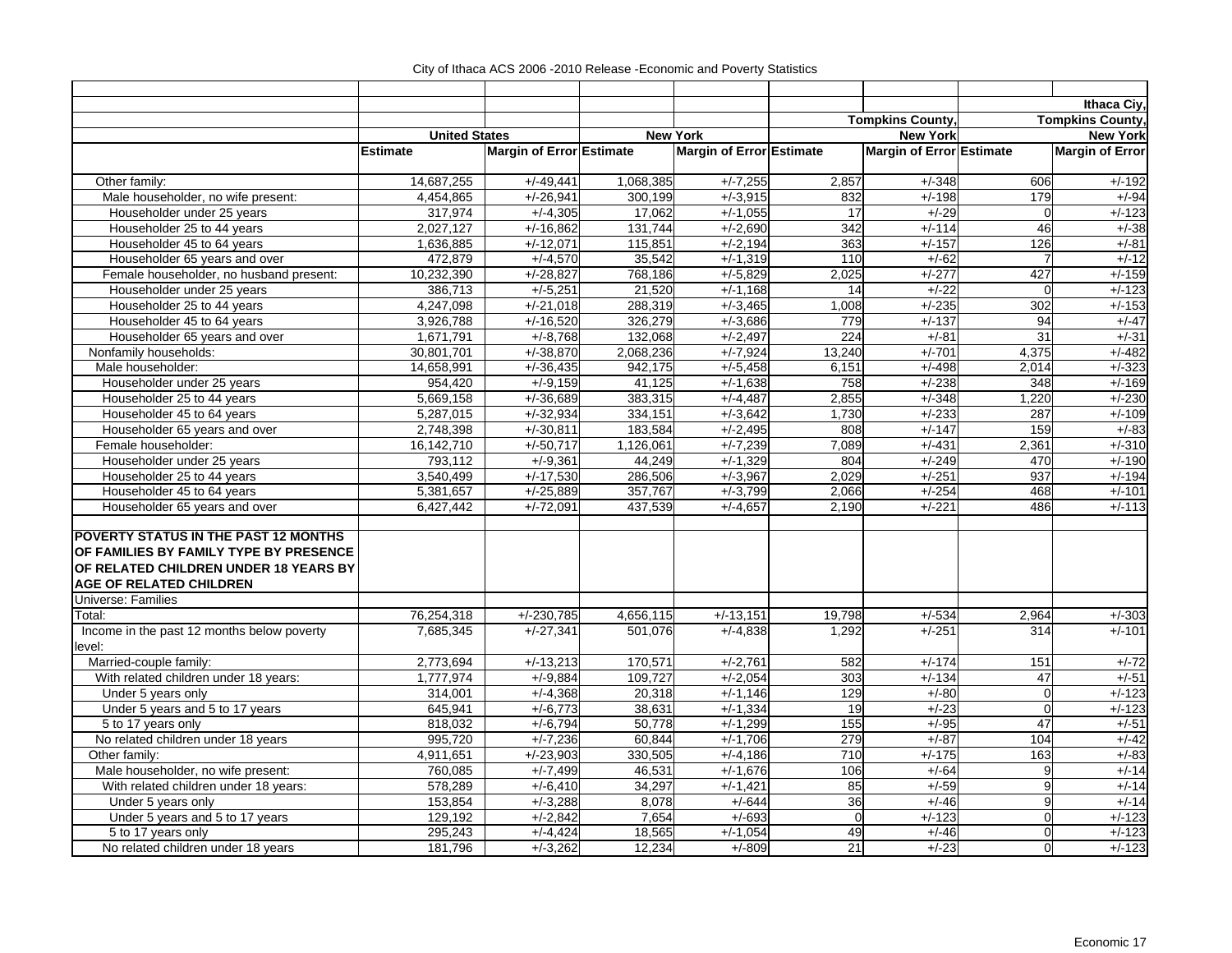|                                                      |                      |                          |           |                          |             |                          |                | Ithaca Ciy,             |
|------------------------------------------------------|----------------------|--------------------------|-----------|--------------------------|-------------|--------------------------|----------------|-------------------------|
|                                                      |                      |                          |           |                          |             | <b>Tompkins County</b>   |                | <b>Tompkins County,</b> |
|                                                      | <b>United States</b> |                          |           | <b>New York</b>          |             | <b>New York</b>          |                | <b>New York</b>         |
|                                                      | <b>Estimate</b>      | Margin of Error Estimate |           | Margin of Error Estimate |             | Margin of Error Estimate |                | <b>Margin of Error</b>  |
| Other family:                                        | 14,687,255           | $+/-49,441$              | 1,068,385 | $+/-7,255$               | 2,857       | $+/-348$                 | 606            | $+/-192$                |
| Male householder, no wife present:                   | 4,454,865            | $+/-26,941$              | 300,199   | $+/-3,915$               | 832         | $+/-198$                 | 179            | $+/-94$                 |
| Householder under 25 years                           | 317,974              | $+/-4,305$               | 17,062    | $+/-1,055$               | 17          | $+/-29$                  | $\mathbf 0$    | $+/-123$                |
| Householder 25 to 44 years                           | 2,027,127            | $+/-16,862$              | 131,744   | $+/-2,690$               | 342         | $+/-114$                 | 46             | $+/-38$                 |
| Householder 45 to 64 years                           | 1,636,885            | $+/-12,071$              | 115,851   | $+/-2,194$               | 363         | $+/-157$                 | 126            | $+/-81$                 |
| Householder 65 years and over                        | 472,879              | $+/-4,570$               | 35,542    | $+/-1,319$               | 110         | $+/-62$                  | $\overline{7}$ | $+/-12$                 |
| Female householder, no husband present:              | 10,232,390           | $+/-28,827$              | 768,186   | $+/-5.829$               | 2,025       | $+/-277$                 | 427            | $+/-159$                |
| Householder under 25 years                           | 386,713              | $+/-5,251$               | 21,520    | $+/-1,168$               | 14          | $+/-22$                  | $\mathbf 0$    | $+/-123$                |
| Householder 25 to 44 years                           | 4,247,098            | $+/-21,018$              | 288,319   | $+/-3,465$               | 1,008       | $+/-235$                 | 302            | $+/-153$                |
| Householder 45 to 64 years                           | 3,926,788            | $+/-16,520$              | 326,279   | $+/-3,686$               | 779         | $+/-137$                 | 94             | $+/-47$                 |
| Householder 65 years and over                        | 1,671,791            | $+/-8,768$               | 132,068   | $+/-2,497$               | 224         | $+/-81$                  | 31             | $+/-31$                 |
| Nonfamily households:                                | 30,801,701           | $+/-38,870$              | 2,068,236 | $+/-7,924$               | 13,240      | $+/-701$                 | 4,375          | $+/-482$                |
| Male householder:                                    | 14,658,991           | $+/-36,435$              | 942,175   | $+/-5,458$               | 6,151       | $+/-498$                 | 2,014          | $+/-323$                |
| Householder under 25 years                           | 954,420              | $+/-9,159$               | 41,125    | $+/-1,638$               | 758         | $+/-238$                 | 348            | $+/-169$                |
| Householder 25 to 44 years                           | 5,669,158            | $+/-36.689$              | 383,315   | $+/-4.487$               | 2,855       | $+/-348$                 | 1,220          | $+/-230$                |
| Householder 45 to 64 years                           | 5,287,015            | $+/-32,934$              | 334,151   | $+/-3,642$               | 1,730       | $+/-233$                 | 287            | $+/-109$                |
| Householder 65 years and over                        | 2,748,398            | $\frac{+7}{-30,811}$     | 183,584   | $+/-2,495$               | 808         | $+/-147$                 | 159            | $+/-83$                 |
| Female householder:                                  | 16, 142, 710         | $+/-50,717$              | 1,126,061 | $+/-7,239$               | 7,089       | $+/-431$                 | 2,361          | $+/-310$                |
| Householder under 25 years                           | 793,112              | $+/-9,361$               | 44,249    | $+/-1,329$               | 804         | $+/-249$                 | 470            | $+/-190$                |
| Householder 25 to 44 years                           | 3,540,499            | $+/-17,530$              | 286,506   | $+/-3,967$               | 2,029       | $+/-251$                 | 937            | $+/-194$                |
| Householder 45 to 64 years                           | 5,381,657            | $+/-25,889$              | 357,767   | $+/-3,799$               | 2,066       | $+/-254$                 | 468            | $+/-101$                |
| Householder 65 years and over                        | 6,427,442            | $+/-72,091$              | 437,539   | $+/-4,657$               | 2,190       | $+/-221$                 | 486            | $+/-113$                |
|                                                      |                      |                          |           |                          |             |                          |                |                         |
| POVERTY STATUS IN THE PAST 12 MONTHS                 |                      |                          |           |                          |             |                          |                |                         |
| OF FAMILIES BY FAMILY TYPE BY PRESENCE               |                      |                          |           |                          |             |                          |                |                         |
| OF RELATED CHILDREN UNDER 18 YEARS BY                |                      |                          |           |                          |             |                          |                |                         |
| <b>AGE OF RELATED CHILDREN</b>                       |                      |                          |           |                          |             |                          |                |                         |
| <b>Universe: Families</b>                            |                      |                          |           |                          |             |                          |                |                         |
| Total:                                               | 76,254,318           | $+/-230,785$             | 4,656,115 | $+/-13,151$              | 19,798      | $+/-534$                 | 2,964          | $+/-303$<br>$+/-101$    |
| Income in the past 12 months below poverty<br>level: | 7,685,345            | $+/-27,341$              | 501,076   | $+/-4,838$               | 1,292       | $+/-251$                 | 314            |                         |
| Married-couple family:                               | 2,773,694            | $+/-13,213$              | 170,571   | $+/-2,761$               | 582         | $+/-174$                 | 151            | $+/-72$                 |
| With related children under 18 years:                | 1,777,974            | $+/-9,884$               | 109,727   | $+/-2,054$               | 303         | $+/-134$                 | 47             | $+/-51$                 |
| Under 5 years only                                   | 314,001              | $+/-4,368$               | 20,318    | $+/-1,146$               | 129         | $+/-80$                  | $\mathbf 0$    | $+/-123$                |
| Under 5 years and 5 to 17 years                      | 645,941              | $+/-6,773$               | 38,631    | $+/-1,334$               | 19          | $+/-23$                  | $\mathbf 0$    | $+/-123$                |
| 5 to 17 years only                                   | 818,032              | $+/-6,794$               | 50,778    | $+/-1,299$               | 155         | $+/-95$                  | 47             | $+/-51$                 |
| No related children under 18 years                   | 995,720              | $+/-7,236$               | 60,844    | $+/-1.706$               | 279         | $+/-87$                  | 104            | $+/-42$                 |
| Other family:                                        | 4,911,651            | $+/-23,903$              | 330,505   | $+/-4,186$               | 710         | $+/-175$                 | 163            | $+/-83$                 |
| Male householder, no wife present:                   | 760,085              | $+/-7,499$               | 46,531    | $+/-1,676$               | 106         | $+/-64$                  | 9              | $+/-14$                 |
| With related children under 18 years:                | 578,289              | $+/-6,410$               | 34,297    | $+/-1,421$               | 85          | $+/-59$                  | 9              | $+/-14$                 |
| Under 5 years only                                   | 153,854              | $+/-3,288$               | 8,078     | $+/-644$                 | 36          | $+/-46$                  | 9              | $+/-14$                 |
| Under 5 years and 5 to 17 years                      | 129,192              | $+/-2,842$               | 7,654     | $+/-693$                 | $\mathbf 0$ | $+/-123$                 | $\mathbf 0$    | $+/-123$                |
| 5 to 17 years only                                   | 295,243              | $+/-4,424$               | 18,565    | $+/-1,054$               | 49          | $+/-46$                  | $\overline{0}$ | $+/-123$                |
| No related children under 18 years                   | 181,796              | $+/-3,262$               | 12,234    | $+/-809$                 | 21          | $+/-23$                  | $\overline{0}$ | $+/-123$                |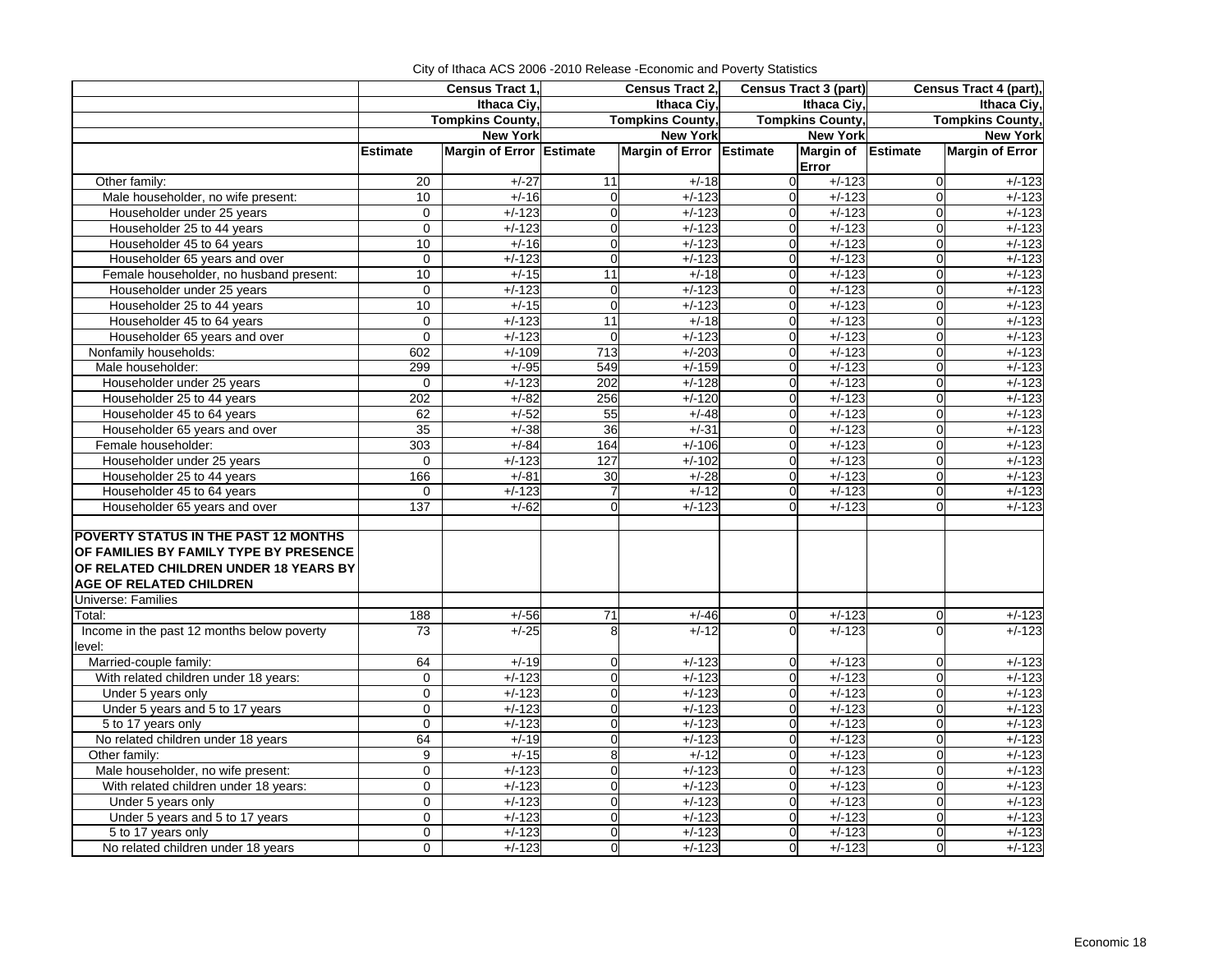|                                            |                 | Census Tract 1,          |                | Census Tract 2,          | <b>Census Tract 3 (part)</b> |                             |                         | Census Tract 4 (part), |  |
|--------------------------------------------|-----------------|--------------------------|----------------|--------------------------|------------------------------|-----------------------------|-------------------------|------------------------|--|
|                                            |                 | Ithaca Civ.              |                | Ithaca Civ.              |                              | Ithaca Civ.                 |                         | Ithaca Civ.            |  |
|                                            |                 | <b>Tompkins County,</b>  |                | <b>Tompkins County,</b>  |                              | <b>Tompkins County,</b>     | <b>Tompkins County,</b> |                        |  |
|                                            |                 | <b>New York</b>          |                | <b>New York</b>          |                              | <b>New York</b>             |                         | <b>New York</b>        |  |
|                                            | <b>Estimate</b> | Margin of Error Estimate |                | Margin of Error Estimate |                              | Margin of Estimate<br>Error |                         | <b>Margin of Error</b> |  |
| Other family:                              | 20              | $+/-27$                  | 11             | $+/-18$                  | $\Omega$                     | $+/-123$                    | $\mathbf 0$             | $+/-123$               |  |
| Male householder, no wife present:         | 10              | $+/-16$                  | $\mathbf 0$    | $+/-123$                 | $\overline{0}$               | $+/-123$                    | $\mathbf 0$             | $+/-123$               |  |
| Householder under 25 years                 | $\mathbf 0$     | $+/-123$                 | $\mathbf{0}$   | $+/-123$                 | $\Omega$                     | $+/-123$                    | $\Omega$                | $+/-123$               |  |
| Householder 25 to 44 years                 | 0               | $+/-123$                 | $\mathbf 0$    | $+/-123$                 | $\overline{0}$               | $+/-123$                    | $\mathbf 0$             | $+/-123$               |  |
| Householder 45 to 64 years                 | 10              | $+/-16$                  | $\Omega$       | $+/-123$                 | $\Omega$                     | $+/-123$                    | $\Omega$                | $+/-123$               |  |
| Householder 65 years and over              | 0               | $+/-123$                 | $\mathbf 0$    | $+/-123$                 | $\Omega$                     | $+/-123$                    | $\mathbf 0$             | $+/-123$               |  |
| Female householder, no husband present:    | 10              | $+/-15$                  | 11             | $+/-18$                  | $\Omega$                     | $+/-123$                    | $\Omega$                | $+/-123$               |  |
| Householder under 25 years                 | 0               | $+/-123$                 | $\mathbf 0$    | $+/-123$                 | $\Omega$                     | $+/-123$                    | $\mathbf 0$             | $+/-123$               |  |
| Householder 25 to 44 years                 | 10              | $+/-15$                  | $\mathbf 0$    | $+/-123$                 | $\Omega$                     | $+/-123$                    | $\mathbf 0$             | $+/-123$               |  |
| Householder 45 to 64 years                 | $\mathbf 0$     | $+/-123$                 | 11             | $+/-18$                  | $\Omega$                     | $+/-123$                    | $\mathbf 0$             | $+/-123$               |  |
| Householder 65 years and over              | $\mathbf 0$     | $+/-123$                 | $\mathbf{0}$   | $+/-123$                 | $\Omega$                     | $+/-123$                    | $\Omega$                | $+/-123$               |  |
| Nonfamily households:                      | 602             | $+/-109$                 | 713            | $+/-203$                 | $\Omega$                     | $+/-123$                    | $\mathbf 0$             | $+/-123$               |  |
| Male householder:                          | 299             | $+/-95$                  | 549            | $+/-159$                 | $\Omega$                     | $+/-123$                    | $\mathbf 0$             | $+/-123$               |  |
| Householder under 25 years                 | 0               | $+/-123$                 | 202            | $+/-128$                 | $\Omega$                     | $+/-123$                    | 0                       | $+/-123$               |  |
| Householder 25 to 44 years                 | 202             | $+/-82$                  | 256            | $+/-120$                 | $\Omega$                     | $+/-123$                    | $\mathbf 0$             | $+/-123$               |  |
| Householder 45 to 64 years                 | 62              | $+/-52$                  | 55             | $+/-48$                  | $\overline{O}$               | $+/-123$                    | $\mathbf 0$             | $+/-123$               |  |
| Householder 65 years and over              | 35              | $+/-38$                  | 36             | $+/-31$                  | $\Omega$                     | $+/-123$                    | $\Omega$                | $+/-123$               |  |
| Female householder:                        | 303             | $+/-84$                  | 164            | $+/-106$                 | $\Omega$                     | $+/-123$                    | $\mathbf 0$             | $+/-123$               |  |
| Householder under 25 years                 | 0               | $+/-123$                 | 127            | $+/-102$                 | $\Omega$                     | $+/-123$                    | $\Omega$                | $+/-123$               |  |
| Householder 25 to 44 years                 | 166             | $+/-81$                  | 30             | $+/-28$                  | $\overline{0}$               | $+/-123$                    | $\mathbf 0$             | $+/-123$               |  |
| Householder 45 to 64 years                 | $\pmb{0}$       | $+/-123$                 | $\overline{7}$ | $+/-12$                  | $\Omega$                     | $+/-123$                    | $\mathbf 0$             | $+/-123$               |  |
| Householder 65 years and over              | 137             | $+/-62$                  | $\mathbf{0}$   | $+/-123$                 | $\Omega$                     | $+/-123$                    | $\Omega$                | $+/-123$               |  |
|                                            |                 |                          |                |                          |                              |                             |                         |                        |  |
| POVERTY STATUS IN THE PAST 12 MONTHS       |                 |                          |                |                          |                              |                             |                         |                        |  |
| OF FAMILIES BY FAMILY TYPE BY PRESENCE     |                 |                          |                |                          |                              |                             |                         |                        |  |
| OF RELATED CHILDREN UNDER 18 YEARS BY      |                 |                          |                |                          |                              |                             |                         |                        |  |
| <b>AGE OF RELATED CHILDREN</b>             |                 |                          |                |                          |                              |                             |                         |                        |  |
| <b>Universe: Families</b>                  |                 |                          |                |                          |                              |                             |                         |                        |  |
| Total:                                     | 188             | $+/-56$                  | 71             | $+/-46$                  | $\Omega$                     | $+/-123$                    | $\mathbf 0$             | $+/-123$               |  |
| Income in the past 12 months below poverty | 73              | $+/-25$                  | 8              | $+/-12$                  | $\Omega$                     | $+/-123$                    | $\Omega$                | $+/-123$               |  |
| level:                                     |                 |                          |                |                          |                              |                             |                         |                        |  |
| Married-couple family:                     | 64              | $+/-19$                  | $\mathbf 0$    | $+/-123$                 | $\Omega$                     | $+/-123$                    | $\mathbf 0$             | $+/-123$               |  |
| With related children under 18 years:      | $\pmb{0}$       | $+/-123$                 | $\Omega$       | $+/-123$                 | $\Omega$                     | $+/-123$                    | $\Omega$                | $+/-123$               |  |
| Under 5 years only                         | $\mathbf 0$     | $+/-123$                 | $\Omega$       | $+/-123$                 | $\Omega$                     | $+/-123$                    | $\mathbf 0$             | $+/-123$               |  |
| Under 5 years and 5 to 17 years            | 0               | $+/-123$                 | $\mathbf 0$    | $+/-123$                 | $\Omega$                     | $+/-123$                    | $\mathbf 0$             | $+/-123$               |  |
| 5 to 17 years only                         | $\mathbf 0$     | $+/-123$                 | $\Omega$       | $+/-123$                 | $\Omega$                     | $+/-123$                    | $\mathbf 0$             | $+/-123$               |  |
| No related children under 18 years         | 64              | $+/-19$                  | $\mathbf 0$    | $+/-123$                 | $\Omega$                     | $+/-123$                    | $\mathbf 0$             | $+/-123$               |  |
| Other family:                              | 9               | $+/-15$                  | 8              | $+/-12$                  | $\Omega$                     | $+/-123$                    | $\mathbf 0$             | $+/-123$               |  |
| Male householder, no wife present:         | 0               | $+/-123$                 | 0              | $+/-123$                 | $\Omega$                     | $+/-123$                    | $\mathbf 0$             | $+/-123$               |  |
| With related children under 18 years:      | 0               | $+/-123$                 | $\mathbf 0$    | $+/-123$                 | $\overline{0}$               | $+/-123$                    | $\mathbf 0$             | $+/-123$               |  |
| Under 5 years only                         | $\mathbf 0$     | $+/-123$                 | $\Omega$       | $+/-123$                 | $\Omega$                     | $+/-123$                    | $\Omega$                | $+/-123$               |  |
| Under 5 years and 5 to 17 years            | 0               | $+/-123$                 | $\mathbf 0$    | $+/-123$                 | $\overline{O}$               | $+/-123$                    | $\mathbf 0$             | $+/-123$               |  |
| 5 to 17 years only                         | 0               | $+/-123$                 | $\Omega$       | $+/-123$                 | $\Omega$                     | $+/-123$                    | $\Omega$                | $+/-123$               |  |
| No related children under 18 years         | $\Omega$        | $+/-123$                 | $\mathbf 0$    | $+/-123$                 | $\overline{0}$               | $+/-123$                    | $\overline{0}$          | $+/-123$               |  |

City of Ithaca ACS 2006 -2010 Release -Economic and Poverty Statistics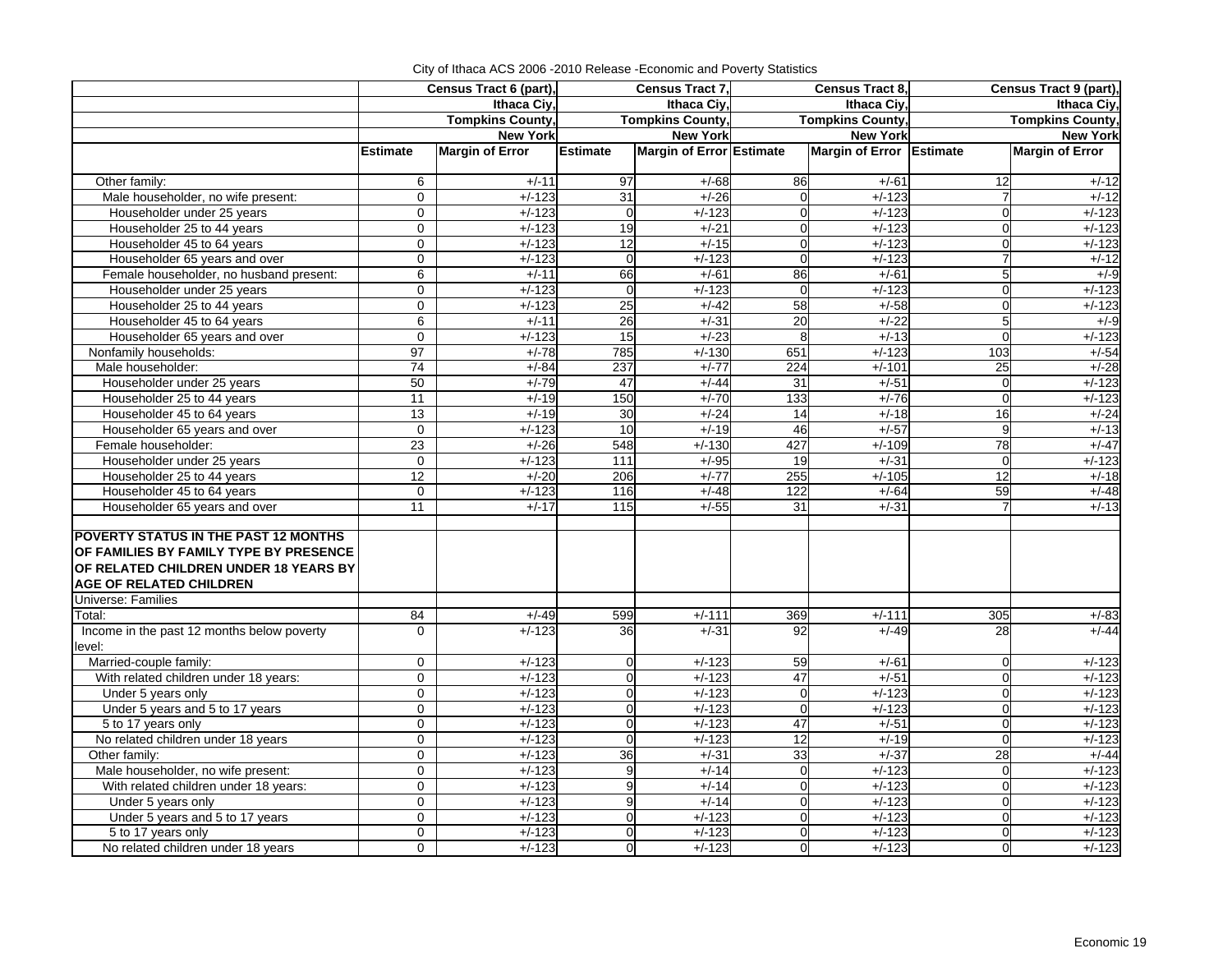|                                                                                                                                                                  |                     | Census Tract 6 (part),  | Census Tract 7, |                          |                | Census Tract 8.          | Census Tract 9 (part), |                         |  |
|------------------------------------------------------------------------------------------------------------------------------------------------------------------|---------------------|-------------------------|-----------------|--------------------------|----------------|--------------------------|------------------------|-------------------------|--|
|                                                                                                                                                                  |                     | Ithaca Civ.             |                 | Ithaca Civ.              |                | Ithaca Civ.              |                        | Ithaca Civ.             |  |
|                                                                                                                                                                  |                     | <b>Tompkins County,</b> |                 | <b>Tompkins County,</b>  |                | <b>Tompkins County,</b>  |                        | <b>Tompkins County,</b> |  |
|                                                                                                                                                                  |                     | <b>New York</b>         |                 | <b>New York</b>          |                | <b>New York</b>          |                        | <b>New York</b>         |  |
|                                                                                                                                                                  | <b>Estimate</b>     | <b>Margin of Error</b>  | Estimate        | Margin of Error Estimate |                | Margin of Error Estimate |                        | <b>Margin of Error</b>  |  |
| Other family:                                                                                                                                                    | 6                   | $+/-11$                 | 97              | $+/-68$                  | 86             | $+/-61$                  | 12                     | $+/-12$                 |  |
| Male householder, no wife present:                                                                                                                               | $\mathbf 0$         | $+/-123$                | 31              | $+/-26$                  | $\mathbf 0$    | $+/-123$                 | $\overline{7}$         | $+/-12$                 |  |
| Householder under 25 years                                                                                                                                       | $\Omega$            | $+/-123$                | $\mathbf 0$     | $+/-123$                 | $\mathbf 0$    | $+/-123$                 | $\Omega$               | $+/-123$                |  |
| Householder 25 to 44 years                                                                                                                                       | $\mathbf 0$         | $+/-123$                | 19              | $+/-21$                  | $\overline{0}$ | $+/-123$                 | $\Omega$               | $+/-123$                |  |
| Householder 45 to 64 years                                                                                                                                       | $\mathbf 0$         | $+/-123$                | 12              | $+/-15$                  | $\overline{0}$ | $+/-123$                 | $\Omega$               | $+/-123$                |  |
| Householder 65 years and over                                                                                                                                    | $\mathbf 0$         | $+/-123$                | $\mathbf 0$     | $+/-123$                 | $\mathbf 0$    | $+/-123$                 | $\overline{7}$         | $+/-12$                 |  |
| Female householder, no husband present:                                                                                                                          | $\overline{6}$      | $+/-11$                 | 66              | $+/-61$                  | 86             | $+/-61$                  | 5                      | $+/-9$                  |  |
| Householder under 25 years                                                                                                                                       | $\mathbf 0$         | $+/-123$                | $\mathbf 0$     | $+/-123$                 | $\overline{0}$ | $+/-123$                 | $\overline{0}$         | $+/-123$                |  |
| Householder 25 to 44 years                                                                                                                                       | $\mathbf 0$         | $+/-123$                | 25              | $+/-42$                  | 58             | $+/-58$                  | $\Omega$               | $+/-123$                |  |
| Householder 45 to 64 years                                                                                                                                       | 6                   | $+/-11$                 | 26              | $+/-31$                  | 20             | $+/-22$                  | 5                      | $+/-9$                  |  |
| Householder 65 years and over                                                                                                                                    | $\mathbf 0$         | $+/-123$                | 15              | $+/-23$                  | 8              | $+/-13$                  | $\Omega$               | $+/-123$                |  |
| Nonfamily households:                                                                                                                                            | 97                  | $+/-78$                 | 785             | $+/-130$                 | 651            | $+/-123$                 | 103                    | $+/-54$                 |  |
| Male householder:                                                                                                                                                | $\overline{74}$     | $+/-84$                 | 237             | $+/-77$                  | 224            | $+/-101$                 | 25                     | $+/-28$                 |  |
| Householder under 25 years                                                                                                                                       | 50                  | $+/-79$                 | 47              | $+/-44$                  | 31             | $+/-51$                  | $\overline{0}$         | $+/-123$                |  |
| Householder 25 to 44 years                                                                                                                                       | 11                  | $+/-19$                 | 150             | $+/-70$                  | 133            | $+/-76$                  | $\Omega$               | $+/-123$                |  |
| Householder 45 to 64 years                                                                                                                                       | 13                  | $+/-19$                 | 30              | $+/-24$                  | 14             | $+/-18$                  | 16                     | $+/-24$                 |  |
| Householder 65 years and over                                                                                                                                    | $\mathbf 0$         | $+/-123$                | 10              | $+/-19$                  | 46             | $+/-57$                  | 9                      | $+/-13$                 |  |
| Female householder:                                                                                                                                              | $\overline{23}$     | $+/-26$                 | 548             | $+/-130$                 | 427            | $+/-109$                 | 78                     | $+/-47$                 |  |
| Householder under 25 years                                                                                                                                       | $\mathbf 0$         | $+/-123$                | 111             | $+/-95$                  | 19             | $+/-31$                  | $\Omega$               | $+/-123$                |  |
| Householder 25 to 44 years                                                                                                                                       | 12                  | $+/-20$                 | 206             | $+/-77$                  | 255            | $+/-105$                 | 12                     | $+/-18$                 |  |
| Householder 45 to 64 years                                                                                                                                       | $\mathbf 0$         | $+/-123$                | 116             | $+/-48$                  | 122            | $+/-64$                  | 59                     | $+/-48$                 |  |
| Householder 65 years and over                                                                                                                                    | 11                  | $+/-17$                 | 115             | $+/-55$                  | 31             | $+/-31$                  |                        | $+/-13$                 |  |
| <b>POVERTY STATUS IN THE PAST 12 MONTHS</b><br>OF FAMILIES BY FAMILY TYPE BY PRESENCE<br>OF RELATED CHILDREN UNDER 18 YEARS BY<br><b>AGE OF RELATED CHILDREN</b> |                     |                         |                 |                          |                |                          |                        |                         |  |
| <b>Universe: Families</b>                                                                                                                                        |                     |                         |                 |                          |                |                          |                        |                         |  |
| Total:                                                                                                                                                           | 84                  | $+/-49$                 | 599             | $+/-111$                 | 369            | $+/-111$                 | 305                    | $+/-83$                 |  |
| Income in the past 12 months below poverty<br>level:                                                                                                             | $\mathbf 0$         | $+/-123$                | 36              | $+/-31$                  | 92             | $+/-49$                  | 28                     | $+/-44$                 |  |
| Married-couple family:                                                                                                                                           | 0                   | $+/-123$                | 0               | $+/-123$                 | 59             | $+/-61$                  | $\Omega$               | $+/-123$                |  |
| With related children under 18 years:                                                                                                                            | $\mathsf{O}\xspace$ | $+/-123$                | $\overline{0}$  | $+/-123$                 | 47             | $+/-51$                  | $\Omega$               | $+/-123$                |  |
| Under 5 years only                                                                                                                                               | $\mathbf 0$         | $+/-123$                | $\mathbf 0$     | $+/-123$                 | $\mathbf 0$    | $+/-123$                 | $\overline{0}$         | $+/-123$                |  |
| Under 5 years and 5 to 17 years                                                                                                                                  | 0                   | $+/-123$                | $\mathbf 0$     | $+/-123$                 | $\mathbf 0$    | $+/-123$                 | $\Omega$               | $+/-123$                |  |
| 5 to 17 years only                                                                                                                                               | $\mathbf 0$         | $+/-123$                | $\overline{0}$  | $+/-123$                 | 47             | $+/-51$                  | $\overline{0}$         | $+/-123$                |  |
| No related children under 18 years                                                                                                                               | 0                   | $+/-123$                | $\mathbf 0$     | $+/-123$                 | 12             | $+/-19$                  | $\Omega$               | $+/-123$                |  |
| Other family:                                                                                                                                                    | 0                   | $+/-123$                | 36              | $+/-31$                  | 33             | $+/-37$                  | $\overline{28}$        | $+/-44$                 |  |
| Male householder, no wife present:                                                                                                                               | $\overline{0}$      | $+/-123$                | 9               | $+/-14$                  | $\mathbf 0$    | $+/-123$                 | $\Omega$               | $+/-123$                |  |
| With related children under 18 years:                                                                                                                            | 0                   | $+/-123$                | 9               | $+/-14$                  | 0              | $+/-123$                 | $\overline{0}$         | $+/-123$                |  |
| Under 5 years only                                                                                                                                               | 0                   | $+/-123$                | 9               | $+/-14$                  | $\mathbf 0$    | $+/-123$                 | $\Omega$               | $+/-123$                |  |
| Under 5 years and 5 to 17 years                                                                                                                                  | $\mathbf 0$         | $+/-123$                | $\mathbf 0$     | $+/-123$                 | $\mathbf{0}$   | $+/-123$                 | $\Omega$               | $+/-123$                |  |
| 5 to 17 years only                                                                                                                                               | 0                   | $+/-123$                | $\overline{0}$  | $+/-123$                 | $\overline{0}$ | $+/-123$                 | $\Omega$               | $+/-123$                |  |
| No related children under 18 years                                                                                                                               | $\mathbf 0$         | $+/-123$                | $\mathbf 0$     | $+/-123$                 | $\mathbf 0$    | $+/-123$                 | $\overline{0}$         | $+/-123$                |  |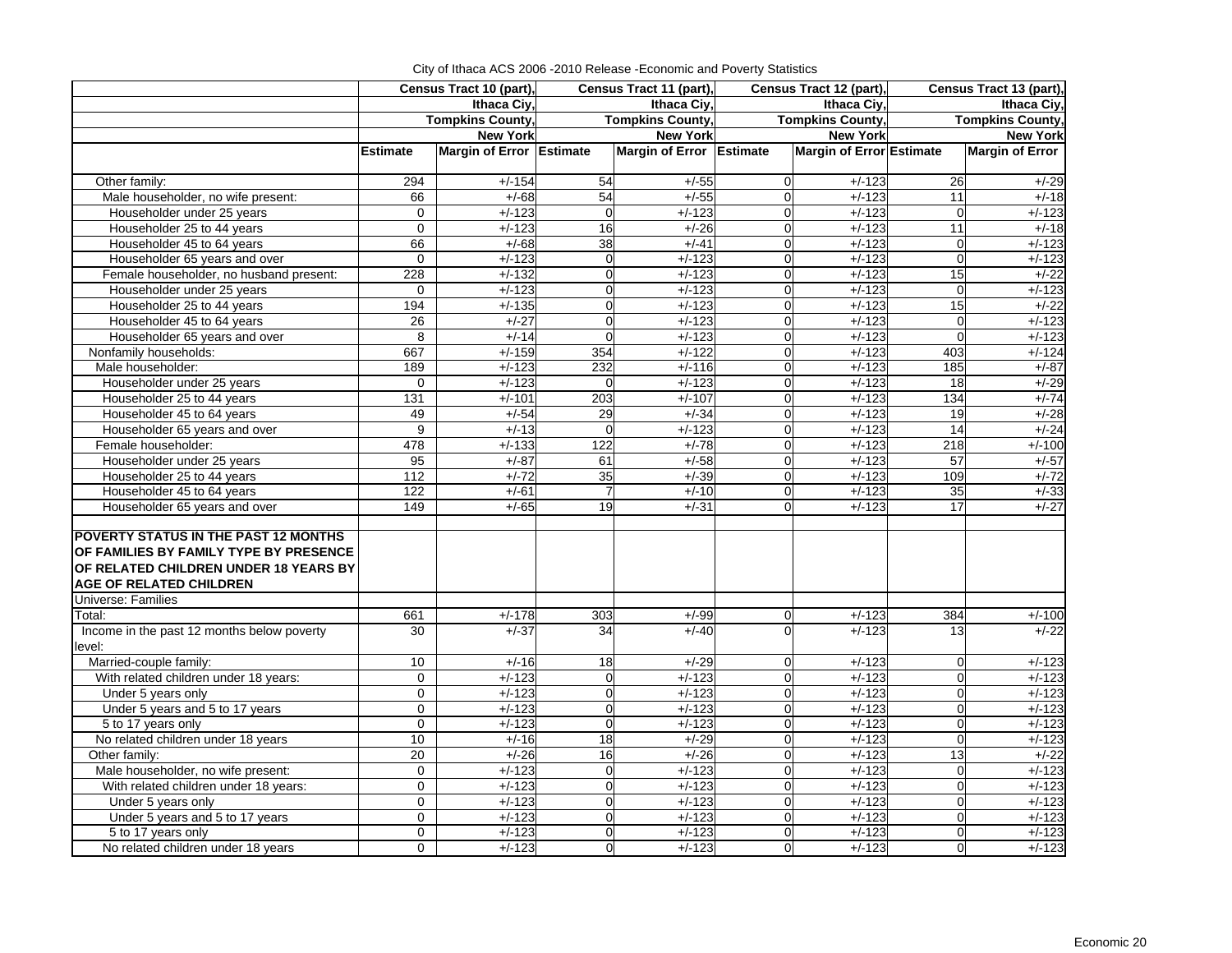|                                             |                 | Census Tract 10 (part),  | Census Tract 11 (part), |                          |                | Census Tract 12 (part),         | Census Tract 13 (part), |                        |
|---------------------------------------------|-----------------|--------------------------|-------------------------|--------------------------|----------------|---------------------------------|-------------------------|------------------------|
|                                             |                 | Ithaca Civ.              |                         | Ithaca Civ.              |                | Ithaca Civ.                     | Ithaca Ciy,             |                        |
|                                             |                 | <b>Tompkins County,</b>  | <b>Tompkins County,</b> |                          |                | <b>Tompkins County,</b>         | <b>Tompkins County,</b> |                        |
|                                             |                 | <b>New York</b>          |                         | <b>New York</b>          |                | <b>New York</b>                 |                         | <b>New York</b>        |
|                                             | <b>Estimate</b> | Margin of Error Estimate |                         | Margin of Error Estimate |                | <b>Margin of Error Estimate</b> |                         | <b>Margin of Error</b> |
|                                             |                 |                          |                         |                          |                |                                 |                         |                        |
| Other family:                               | 294             | $+/-154$                 | 54                      | $+/-55$                  | $\Omega$       | $+/-123$                        | 26                      | $+/-29$                |
| Male householder, no wife present:          | 66              | $+/-68$                  | 54                      | $+/-55$                  | $\mathbf 0$    | $+/-123$                        | 11                      | $+/-18$                |
| Householder under 25 years                  | 0               | $+/-123$                 | $\mathbf 0$             | $+/-123$                 | $\mathbf 0$    | $+/-123$                        | $\mathbf 0$             | $+/-123$               |
| Householder 25 to 44 years                  | $\overline{0}$  | $+/-123$                 | 16                      | $+/-26$                  | $\mathbf 0$    | $+/-123$                        | 11                      | $+/-18$                |
| Householder 45 to 64 years                  | 66              | $+/-68$                  | 38                      | $+/-41$                  | $\mathbf 0$    | $+/-123$                        | $\overline{0}$          | $+/-123$               |
| Householder 65 years and over               | $\mathbf 0$     | $+/-123$                 | $\mathbf 0$             | $+/-123$                 | $\mathbf 0$    | $+/-123$                        | $\mathbf 0$             | $+/-123$               |
| Female householder, no husband present:     | 228             | $+/-132$                 | $\overline{0}$          | $+/-123$                 | $\mathbf 0$    | $+/-123$                        | 15                      | $+/-22$                |
| Householder under 25 years                  | 0               | $+/-123$                 | $\mathbf 0$             | $+/-123$                 | $\mathbf 0$    | $+/-123$                        | $\mathbf 0$             | $+/-123$               |
| Householder 25 to 44 years                  | 194             | $+/-135$                 | $\overline{0}$          | $+/-123$                 | $\Omega$       | $+/-123$                        | 15                      | $+/-22$                |
| Householder 45 to 64 years                  | 26              | $+/-27$                  | $\overline{0}$          | $+/-123$                 | $\mathbf 0$    | $+/-123$                        | $\mathbf 0$             | $+/-123$               |
| Householder 65 years and over               | 8               | $+/-14$                  | $\Omega$                | $+/-123$                 | $\Omega$       | $+/-123$                        | $\Omega$                | $+/-123$               |
| Nonfamily households:                       | 667             | $+/-159$                 | 354                     | $+/-122$                 | $\mathbf 0$    | $+/-123$                        | 403                     | $+/-124$               |
| Male householder:                           | 189             | $+/-123$                 | 232                     | $+/-116$                 | $\overline{0}$ | $+/-123$                        | 185                     | $+/-87$                |
| Householder under 25 years                  | 0               | $+/-123$                 | $\mathbf 0$             | $+/-123$                 | $\mathbf 0$    | $+/-123$                        | 18                      | $+/-29$                |
| Householder 25 to 44 years                  | 131             | $+/-101$                 | 203                     | $+/-107$                 | $\overline{0}$ | $+/-123$                        | 134                     | $+/-74$                |
| Householder 45 to 64 years                  | 49              | $+/-54$                  | 29                      | $+/-34$                  | $\mathbf 0$    | $+/-123$                        | 19                      | $+/-28$                |
| Householder 65 years and over               | 9               | $+/-13$                  | $\Omega$                | $+/-123$                 | $\overline{0}$ | $+/-123$                        | 14                      | $+/-24$                |
| Female householder:                         | 478             | $+/-133$                 | 122                     | $+/-78$                  | $\overline{0}$ | $+/-123$                        | 218                     | $+/-100$               |
| Householder under 25 years                  | 95              | $+/-87$                  | 61                      | $+/-58$                  | $\Omega$       | $+/-123$                        | 57                      | $+/-57$                |
| Householder 25 to 44 years                  | 112             | $+/-72$                  | 35                      | $+/-39$                  | $\overline{0}$ | $+/-123$                        | 109                     | $+/-72$                |
| Householder 45 to 64 years                  | 122             | $+/-61$                  |                         | $+/-10$                  | $\Omega$       | $+/-123$                        | 35                      | $+/-33$                |
| Householder 65 years and over               | 149             | $+/-65$                  | 19                      | $+/-31$                  | $\Omega$       | $+/-123$                        | 17                      | $+/-27$                |
|                                             |                 |                          |                         |                          |                |                                 |                         |                        |
| <b>POVERTY STATUS IN THE PAST 12 MONTHS</b> |                 |                          |                         |                          |                |                                 |                         |                        |
| OF FAMILIES BY FAMILY TYPE BY PRESENCE      |                 |                          |                         |                          |                |                                 |                         |                        |
| OF RELATED CHILDREN UNDER 18 YEARS BY       |                 |                          |                         |                          |                |                                 |                         |                        |
| <b>AGE OF RELATED CHILDREN</b>              |                 |                          |                         |                          |                |                                 |                         |                        |
| <b>Universe: Families</b>                   |                 |                          |                         |                          |                |                                 |                         |                        |
| Total:                                      | 661             | $+/-178$                 | 303                     | $+/-99$                  | 0              | $+/-123$                        | 384                     | $+/-100$               |
| Income in the past 12 months below poverty  | 30              | $+/-37$                  | 34                      | $+/-40$                  | $\Omega$       | $+/-123$                        | 13                      | $+/-22$                |
| level:                                      |                 |                          |                         |                          |                |                                 |                         |                        |
| Married-couple family:                      | 10              | $+/-16$                  | 18                      | $+/-29$                  | $\overline{0}$ | $+/-123$                        | $\mathbf 0$             | $+/-123$               |
| With related children under 18 years:       | $\Omega$        | $+/-123$                 | $\Omega$                | $+/-123$                 | $\Omega$       | $+/-123$                        | $\Omega$                | $+/-123$               |
| Under 5 years only                          | 0               | $+/-123$                 | $\overline{0}$          | $+\frac{1}{2}$           | $\mathbf 0$    | $+/-123$                        | $\overline{0}$          | $+/-123$               |
| Under 5 years and 5 to 17 years             | 0               | $+/-123$                 | $\overline{0}$          | $+/-123$                 | $\overline{0}$ | $+/-123$                        | $\mathbf 0$             | $+/-123$               |
| 5 to 17 years only                          | 0               | $+/-123$                 | $\mathbf 0$             | $+/-123$                 | $\mathbf 0$    | $+/-123$                        | $\mathbf 0$             | $+/-123$               |
| No related children under 18 years          | 10              | $+/-16$                  | 18                      | $+/-29$                  | $\mathbf 0$    | $+/-123$                        | $\mathbf 0$             | $+/-123$               |
| Other family:                               | 20              | $+/-26$                  | 16                      | $+/-26$                  | $\mathbf 0$    | $+/-123$                        | $\overline{13}$         | $+/-22$                |
| Male householder, no wife present:          | $\overline{0}$  | $+/-123$                 | $\overline{0}$          | $+/-123$                 | $\mathbf 0$    | $+/-123$                        | $\mathbf 0$             | $+/-123$               |
| With related children under 18 years:       | 0               | $+/-123$                 | $\overline{0}$          | $+/-123$                 | $\mathbf 0$    | $+/-123$                        | $\mathbf 0$             | $+/-123$               |
| Under 5 years only                          | $\overline{0}$  | $+/-123$                 | $\Omega$                | $+/-123$                 | $\Omega$       | $+/-123$                        | $\overline{0}$          | $+/-123$               |
| Under 5 years and 5 to 17 years             | 0               | $+/-123$                 | $\overline{0}$          | $+/-123$                 | $\mathbf 0$    | $+/-123$                        | $\mathbf 0$             | $+/-123$               |
| 5 to 17 years only                          | $\overline{0}$  | $+/-123$                 | $\Omega$                | $+/-123$                 | $\Omega$       | $+/-123$                        | $\Omega$                | $+/-123$               |
| No related children under 18 years          | $\overline{0}$  | $+/-123$                 | $\overline{0}$          | $+/-123$                 | $\Omega$       | $+/-123$                        | $\Omega$                | $+/-123$               |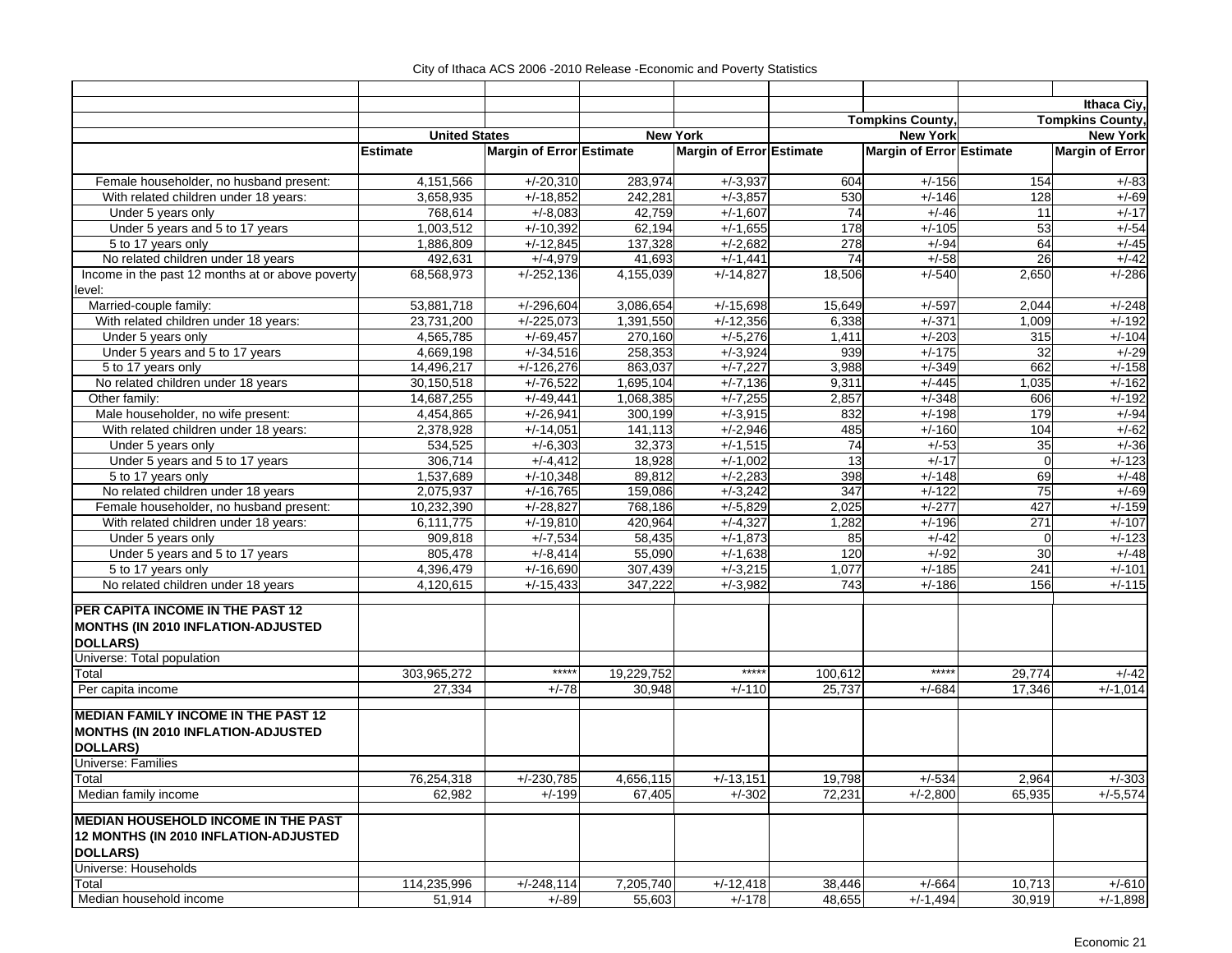| Ithaca Ciy,<br><b>Tompkins County,</b><br><b>Tompkins County,</b><br><b>New York</b><br><b>New York</b><br><b>United States</b><br><b>New York</b><br>Margin of Error Estimate<br>Margin of Error Estimate<br>Margin of Error Estimate<br><b>Margin of Error</b><br><b>Estimate</b><br>604<br>$+/-156$<br>154<br>Female householder, no husband present:<br>4,151,566<br>$+/-20,310$<br>283,974<br>$+/-3,937$<br>$+/-83$<br>$+/-18,852$<br>530<br>With related children under 18 years:<br>3,658,935<br>242,281<br>$+/-3,857$<br>$+/-146$<br>128<br>$+/-69$<br>768,614<br>42,759<br>$+/-1,607$<br>74<br>$+/-46$<br>$+/-17$<br>Under 5 years only<br>$+/-8,083$<br>11<br>53<br>$+/-54$<br>Under 5 years and 5 to 17 years<br>1,003,512<br>$+/-10,392$<br>62,194<br>$+/-1,655$<br>178<br>$+/-105$<br>278<br>$+/-45$<br>1,886,809<br>$+/-12,845$<br>137,328<br>$+/-2,682$<br>$+/-94$<br>64<br>5 to 17 years only<br>74<br>26<br>$+/-42$<br>No related children under 18 years<br>492,631<br>$+/-4,979$<br>41,693<br>$+/-1,441$<br>$+/-58$<br>$+/-286$<br>Income in the past 12 months at or above poverty<br>$+/-252,136$<br>$+/-14,827$<br>18,506<br>$+/-540$<br>2,650<br>68,568,973<br>4,155,039<br>Married-couple family:<br>53,881,718<br>$+/-296,604$<br>3,086,654<br>$+/-15,698$<br>15,649<br>$+/-597$<br>2,044<br>$+/-248$<br>With related children under 18 years:<br>$+/-225,073$<br>1,391,550<br>$+/-12,356$<br>6,338<br>$+/-371$<br>$+/-192$<br>23,731,200<br>1,009<br>$+/-69,457$<br>270,160<br>$+/-5,276$<br>$+/-203$<br>Under 5 years only<br>4,565,785<br>1,411<br>315<br>$+/-104$<br>258,353<br>939<br>$+/-175$<br>32<br>$+/-29$<br>Under 5 years and 5 to 17 years<br>4,669,198<br>$+/-34,516$<br>$+/-3,924$<br>$+/-7,227$<br>662<br>$+/-158$<br>$+/-126,276$<br>863,037<br>3,988<br>$+/-349$<br>5 to 17 years only<br>14,496,217<br>No related children under 18 years<br>$+/-76,522$<br>$+/-162$<br>30,150,518<br>1,695,104<br>$+/-7,136$<br>9,311<br>$+/-445$<br>1,035<br>$+/-7,255$<br>$+/-348$<br>$+/-192$<br>Other family:<br>14,687,255<br>$+/-49,441$<br>1,068,385<br>2,857<br>606<br>179<br>$+/-94$<br>Male householder, no wife present:<br>4,454,865<br>$+/-26,941$<br>300,199<br>$+/-3,915$<br>832<br>$+/-198$<br>With related children under 18 years:<br>$+/-160$<br>$+/-62$<br>2,378,928<br>$+/-14,051$<br>141,113<br>$+/-2,946$<br>485<br>104<br>$+/-36$<br>32,373<br>74<br>$+/-53$<br>35<br>Under 5 years only<br>534,525<br>$+/-6,303$<br>$+/-1,515$<br>13<br>$+/-123$<br>Under 5 years and 5 to 17 years<br>306,714<br>$+/-4,412$<br>18,928<br>$+/-1,002$<br>$+/-17$<br>$\Omega$<br>69<br>$+/-48$<br>5 to 17 years only<br>1,537,689<br>$+/-10,348$<br>89,812<br>$+/-2,283$<br>398<br>$+/-148$<br>No related children under 18 years<br>159,086<br>347<br>$+/-122$<br>75<br>$+/-69$<br>2,075,937<br>$+/-16,765$<br>$+/-3,242$<br>$+/-159$<br>Female householder, no husband present:<br>10,232,390<br>$+/-28,827$<br>768,186<br>$+/-5,829$<br>2,025<br>$+/-277$<br>427<br>With related children under 18 years:<br>6,111,775<br>$+/-19,810$<br>420,964<br>$+/-4,327$<br>1,282<br>$+/-196$<br>271<br>$+/-107$<br>$+/-123$<br>909,818<br>$+/-7,534$<br>58,435<br>$+/-1,873$<br>85<br>Under 5 years only<br>$+/-42$<br>$\Omega$<br>805,478<br>$+/-8,414$<br>55,090<br>120<br>$+/-92$<br>30<br>$+/-48$<br>Under 5 years and 5 to 17 years<br>$+/-1,638$<br>$+/-101$<br>5 to 17 years only<br>4,396,479<br>$+/-16,690$<br>$+/-3,215$<br>1,077<br>$+/-185$<br>241<br>307,439<br>No related children under 18 years<br>4,120,615<br>347,222<br>$+/-3,982$<br>743<br>$+/-186$<br>156<br>$+/-115$<br>$+/-15,433$<br>PER CAPITA INCOME IN THE PAST 12<br>MONTHS (IN 2010 INFLATION-ADJUSTED<br><b>DOLLARS)</b><br>Universe: Total population<br>*****<br>$***$<br>*****<br>Total<br>303,965,272<br>19,229,752<br>100,612<br>29,774<br>$+/-42$<br>Per capita income<br>27,334<br>$+/-78$<br>30,948<br>25,737<br>17,346<br>$+/-1,014$<br>$+/-110$<br>$+/-684$<br><b>MEDIAN FAMILY INCOME IN THE PAST 12</b><br>MONTHS (IN 2010 INFLATION-ADJUSTED<br><b>DOLLARS)</b><br>Universe: Families<br>Total<br>76,254,318<br>$+/-230,785$<br>4,656,115<br>$+/-13,151$<br>19,798<br>$+/-534$<br>2,964<br>$+/-303$<br>Median family income<br>$+/-5,574$<br>62,982<br>$+/-199$<br>67,405<br>$+/-302$<br>72,231<br>$+/-2,800$<br>65,935<br><b>MEDIAN HOUSEHOLD INCOME IN THE PAST</b><br>12 MONTHS (IN 2010 INFLATION-ADJUSTED<br><b>DOLLARS)</b><br>Universe: Households<br>Total<br>114,235,996<br>$+/-248,114$<br>7,205,740<br>$+/-12,418$<br>38,446<br>$+/-664$<br>10,713<br>$+/-610$<br>$+/-178$<br>Median household income<br>51,914<br>$+/-89$<br>55,603<br>48,655<br>$+/-1,494$<br>30,919<br>$+/-1,898$ |        |  |  |  |  |
|---------------------------------------------------------------------------------------------------------------------------------------------------------------------------------------------------------------------------------------------------------------------------------------------------------------------------------------------------------------------------------------------------------------------------------------------------------------------------------------------------------------------------------------------------------------------------------------------------------------------------------------------------------------------------------------------------------------------------------------------------------------------------------------------------------------------------------------------------------------------------------------------------------------------------------------------------------------------------------------------------------------------------------------------------------------------------------------------------------------------------------------------------------------------------------------------------------------------------------------------------------------------------------------------------------------------------------------------------------------------------------------------------------------------------------------------------------------------------------------------------------------------------------------------------------------------------------------------------------------------------------------------------------------------------------------------------------------------------------------------------------------------------------------------------------------------------------------------------------------------------------------------------------------------------------------------------------------------------------------------------------------------------------------------------------------------------------------------------------------------------------------------------------------------------------------------------------------------------------------------------------------------------------------------------------------------------------------------------------------------------------------------------------------------------------------------------------------------------------------------------------------------------------------------------------------------------------------------------------------------------------------------------------------------------------------------------------------------------------------------------------------------------------------------------------------------------------------------------------------------------------------------------------------------------------------------------------------------------------------------------------------------------------------------------------------------------------------------------------------------------------------------------------------------------------------------------------------------------------------------------------------------------------------------------------------------------------------------------------------------------------------------------------------------------------------------------------------------------------------------------------------------------------------------------------------------------------------------------------------------------------------------------------------------------------------------------------------------------------------------------------------------------------------------------------------------------------------------------------------------------------------------------------------------------------------------------------------------------------------------------------------------------------------------------------------------------------------------------------------------------------------------------------------------------------------------------------------------------------------------------------------------------------------------------------------------------------------------------------------------------------------------------------------------------------------------------------------------------------------------------------------------------------------------------------------------------------------------------------------------------------------------------------------------------------------------------------------------------|--------|--|--|--|--|
|                                                                                                                                                                                                                                                                                                                                                                                                                                                                                                                                                                                                                                                                                                                                                                                                                                                                                                                                                                                                                                                                                                                                                                                                                                                                                                                                                                                                                                                                                                                                                                                                                                                                                                                                                                                                                                                                                                                                                                                                                                                                                                                                                                                                                                                                                                                                                                                                                                                                                                                                                                                                                                                                                                                                                                                                                                                                                                                                                                                                                                                                                                                                                                                                                                                                                                                                                                                                                                                                                                                                                                                                                                                                                                                                                                                                                                                                                                                                                                                                                                                                                                                                                                                                                                                                                                                                                                                                                                                                                                                                                                                                                                                                                                                           |        |  |  |  |  |
|                                                                                                                                                                                                                                                                                                                                                                                                                                                                                                                                                                                                                                                                                                                                                                                                                                                                                                                                                                                                                                                                                                                                                                                                                                                                                                                                                                                                                                                                                                                                                                                                                                                                                                                                                                                                                                                                                                                                                                                                                                                                                                                                                                                                                                                                                                                                                                                                                                                                                                                                                                                                                                                                                                                                                                                                                                                                                                                                                                                                                                                                                                                                                                                                                                                                                                                                                                                                                                                                                                                                                                                                                                                                                                                                                                                                                                                                                                                                                                                                                                                                                                                                                                                                                                                                                                                                                                                                                                                                                                                                                                                                                                                                                                                           |        |  |  |  |  |
|                                                                                                                                                                                                                                                                                                                                                                                                                                                                                                                                                                                                                                                                                                                                                                                                                                                                                                                                                                                                                                                                                                                                                                                                                                                                                                                                                                                                                                                                                                                                                                                                                                                                                                                                                                                                                                                                                                                                                                                                                                                                                                                                                                                                                                                                                                                                                                                                                                                                                                                                                                                                                                                                                                                                                                                                                                                                                                                                                                                                                                                                                                                                                                                                                                                                                                                                                                                                                                                                                                                                                                                                                                                                                                                                                                                                                                                                                                                                                                                                                                                                                                                                                                                                                                                                                                                                                                                                                                                                                                                                                                                                                                                                                                                           |        |  |  |  |  |
|                                                                                                                                                                                                                                                                                                                                                                                                                                                                                                                                                                                                                                                                                                                                                                                                                                                                                                                                                                                                                                                                                                                                                                                                                                                                                                                                                                                                                                                                                                                                                                                                                                                                                                                                                                                                                                                                                                                                                                                                                                                                                                                                                                                                                                                                                                                                                                                                                                                                                                                                                                                                                                                                                                                                                                                                                                                                                                                                                                                                                                                                                                                                                                                                                                                                                                                                                                                                                                                                                                                                                                                                                                                                                                                                                                                                                                                                                                                                                                                                                                                                                                                                                                                                                                                                                                                                                                                                                                                                                                                                                                                                                                                                                                                           |        |  |  |  |  |
|                                                                                                                                                                                                                                                                                                                                                                                                                                                                                                                                                                                                                                                                                                                                                                                                                                                                                                                                                                                                                                                                                                                                                                                                                                                                                                                                                                                                                                                                                                                                                                                                                                                                                                                                                                                                                                                                                                                                                                                                                                                                                                                                                                                                                                                                                                                                                                                                                                                                                                                                                                                                                                                                                                                                                                                                                                                                                                                                                                                                                                                                                                                                                                                                                                                                                                                                                                                                                                                                                                                                                                                                                                                                                                                                                                                                                                                                                                                                                                                                                                                                                                                                                                                                                                                                                                                                                                                                                                                                                                                                                                                                                                                                                                                           |        |  |  |  |  |
|                                                                                                                                                                                                                                                                                                                                                                                                                                                                                                                                                                                                                                                                                                                                                                                                                                                                                                                                                                                                                                                                                                                                                                                                                                                                                                                                                                                                                                                                                                                                                                                                                                                                                                                                                                                                                                                                                                                                                                                                                                                                                                                                                                                                                                                                                                                                                                                                                                                                                                                                                                                                                                                                                                                                                                                                                                                                                                                                                                                                                                                                                                                                                                                                                                                                                                                                                                                                                                                                                                                                                                                                                                                                                                                                                                                                                                                                                                                                                                                                                                                                                                                                                                                                                                                                                                                                                                                                                                                                                                                                                                                                                                                                                                                           |        |  |  |  |  |
|                                                                                                                                                                                                                                                                                                                                                                                                                                                                                                                                                                                                                                                                                                                                                                                                                                                                                                                                                                                                                                                                                                                                                                                                                                                                                                                                                                                                                                                                                                                                                                                                                                                                                                                                                                                                                                                                                                                                                                                                                                                                                                                                                                                                                                                                                                                                                                                                                                                                                                                                                                                                                                                                                                                                                                                                                                                                                                                                                                                                                                                                                                                                                                                                                                                                                                                                                                                                                                                                                                                                                                                                                                                                                                                                                                                                                                                                                                                                                                                                                                                                                                                                                                                                                                                                                                                                                                                                                                                                                                                                                                                                                                                                                                                           |        |  |  |  |  |
|                                                                                                                                                                                                                                                                                                                                                                                                                                                                                                                                                                                                                                                                                                                                                                                                                                                                                                                                                                                                                                                                                                                                                                                                                                                                                                                                                                                                                                                                                                                                                                                                                                                                                                                                                                                                                                                                                                                                                                                                                                                                                                                                                                                                                                                                                                                                                                                                                                                                                                                                                                                                                                                                                                                                                                                                                                                                                                                                                                                                                                                                                                                                                                                                                                                                                                                                                                                                                                                                                                                                                                                                                                                                                                                                                                                                                                                                                                                                                                                                                                                                                                                                                                                                                                                                                                                                                                                                                                                                                                                                                                                                                                                                                                                           |        |  |  |  |  |
|                                                                                                                                                                                                                                                                                                                                                                                                                                                                                                                                                                                                                                                                                                                                                                                                                                                                                                                                                                                                                                                                                                                                                                                                                                                                                                                                                                                                                                                                                                                                                                                                                                                                                                                                                                                                                                                                                                                                                                                                                                                                                                                                                                                                                                                                                                                                                                                                                                                                                                                                                                                                                                                                                                                                                                                                                                                                                                                                                                                                                                                                                                                                                                                                                                                                                                                                                                                                                                                                                                                                                                                                                                                                                                                                                                                                                                                                                                                                                                                                                                                                                                                                                                                                                                                                                                                                                                                                                                                                                                                                                                                                                                                                                                                           |        |  |  |  |  |
|                                                                                                                                                                                                                                                                                                                                                                                                                                                                                                                                                                                                                                                                                                                                                                                                                                                                                                                                                                                                                                                                                                                                                                                                                                                                                                                                                                                                                                                                                                                                                                                                                                                                                                                                                                                                                                                                                                                                                                                                                                                                                                                                                                                                                                                                                                                                                                                                                                                                                                                                                                                                                                                                                                                                                                                                                                                                                                                                                                                                                                                                                                                                                                                                                                                                                                                                                                                                                                                                                                                                                                                                                                                                                                                                                                                                                                                                                                                                                                                                                                                                                                                                                                                                                                                                                                                                                                                                                                                                                                                                                                                                                                                                                                                           |        |  |  |  |  |
|                                                                                                                                                                                                                                                                                                                                                                                                                                                                                                                                                                                                                                                                                                                                                                                                                                                                                                                                                                                                                                                                                                                                                                                                                                                                                                                                                                                                                                                                                                                                                                                                                                                                                                                                                                                                                                                                                                                                                                                                                                                                                                                                                                                                                                                                                                                                                                                                                                                                                                                                                                                                                                                                                                                                                                                                                                                                                                                                                                                                                                                                                                                                                                                                                                                                                                                                                                                                                                                                                                                                                                                                                                                                                                                                                                                                                                                                                                                                                                                                                                                                                                                                                                                                                                                                                                                                                                                                                                                                                                                                                                                                                                                                                                                           |        |  |  |  |  |
|                                                                                                                                                                                                                                                                                                                                                                                                                                                                                                                                                                                                                                                                                                                                                                                                                                                                                                                                                                                                                                                                                                                                                                                                                                                                                                                                                                                                                                                                                                                                                                                                                                                                                                                                                                                                                                                                                                                                                                                                                                                                                                                                                                                                                                                                                                                                                                                                                                                                                                                                                                                                                                                                                                                                                                                                                                                                                                                                                                                                                                                                                                                                                                                                                                                                                                                                                                                                                                                                                                                                                                                                                                                                                                                                                                                                                                                                                                                                                                                                                                                                                                                                                                                                                                                                                                                                                                                                                                                                                                                                                                                                                                                                                                                           |        |  |  |  |  |
|                                                                                                                                                                                                                                                                                                                                                                                                                                                                                                                                                                                                                                                                                                                                                                                                                                                                                                                                                                                                                                                                                                                                                                                                                                                                                                                                                                                                                                                                                                                                                                                                                                                                                                                                                                                                                                                                                                                                                                                                                                                                                                                                                                                                                                                                                                                                                                                                                                                                                                                                                                                                                                                                                                                                                                                                                                                                                                                                                                                                                                                                                                                                                                                                                                                                                                                                                                                                                                                                                                                                                                                                                                                                                                                                                                                                                                                                                                                                                                                                                                                                                                                                                                                                                                                                                                                                                                                                                                                                                                                                                                                                                                                                                                                           | level: |  |  |  |  |
|                                                                                                                                                                                                                                                                                                                                                                                                                                                                                                                                                                                                                                                                                                                                                                                                                                                                                                                                                                                                                                                                                                                                                                                                                                                                                                                                                                                                                                                                                                                                                                                                                                                                                                                                                                                                                                                                                                                                                                                                                                                                                                                                                                                                                                                                                                                                                                                                                                                                                                                                                                                                                                                                                                                                                                                                                                                                                                                                                                                                                                                                                                                                                                                                                                                                                                                                                                                                                                                                                                                                                                                                                                                                                                                                                                                                                                                                                                                                                                                                                                                                                                                                                                                                                                                                                                                                                                                                                                                                                                                                                                                                                                                                                                                           |        |  |  |  |  |
|                                                                                                                                                                                                                                                                                                                                                                                                                                                                                                                                                                                                                                                                                                                                                                                                                                                                                                                                                                                                                                                                                                                                                                                                                                                                                                                                                                                                                                                                                                                                                                                                                                                                                                                                                                                                                                                                                                                                                                                                                                                                                                                                                                                                                                                                                                                                                                                                                                                                                                                                                                                                                                                                                                                                                                                                                                                                                                                                                                                                                                                                                                                                                                                                                                                                                                                                                                                                                                                                                                                                                                                                                                                                                                                                                                                                                                                                                                                                                                                                                                                                                                                                                                                                                                                                                                                                                                                                                                                                                                                                                                                                                                                                                                                           |        |  |  |  |  |
|                                                                                                                                                                                                                                                                                                                                                                                                                                                                                                                                                                                                                                                                                                                                                                                                                                                                                                                                                                                                                                                                                                                                                                                                                                                                                                                                                                                                                                                                                                                                                                                                                                                                                                                                                                                                                                                                                                                                                                                                                                                                                                                                                                                                                                                                                                                                                                                                                                                                                                                                                                                                                                                                                                                                                                                                                                                                                                                                                                                                                                                                                                                                                                                                                                                                                                                                                                                                                                                                                                                                                                                                                                                                                                                                                                                                                                                                                                                                                                                                                                                                                                                                                                                                                                                                                                                                                                                                                                                                                                                                                                                                                                                                                                                           |        |  |  |  |  |
|                                                                                                                                                                                                                                                                                                                                                                                                                                                                                                                                                                                                                                                                                                                                                                                                                                                                                                                                                                                                                                                                                                                                                                                                                                                                                                                                                                                                                                                                                                                                                                                                                                                                                                                                                                                                                                                                                                                                                                                                                                                                                                                                                                                                                                                                                                                                                                                                                                                                                                                                                                                                                                                                                                                                                                                                                                                                                                                                                                                                                                                                                                                                                                                                                                                                                                                                                                                                                                                                                                                                                                                                                                                                                                                                                                                                                                                                                                                                                                                                                                                                                                                                                                                                                                                                                                                                                                                                                                                                                                                                                                                                                                                                                                                           |        |  |  |  |  |
|                                                                                                                                                                                                                                                                                                                                                                                                                                                                                                                                                                                                                                                                                                                                                                                                                                                                                                                                                                                                                                                                                                                                                                                                                                                                                                                                                                                                                                                                                                                                                                                                                                                                                                                                                                                                                                                                                                                                                                                                                                                                                                                                                                                                                                                                                                                                                                                                                                                                                                                                                                                                                                                                                                                                                                                                                                                                                                                                                                                                                                                                                                                                                                                                                                                                                                                                                                                                                                                                                                                                                                                                                                                                                                                                                                                                                                                                                                                                                                                                                                                                                                                                                                                                                                                                                                                                                                                                                                                                                                                                                                                                                                                                                                                           |        |  |  |  |  |
|                                                                                                                                                                                                                                                                                                                                                                                                                                                                                                                                                                                                                                                                                                                                                                                                                                                                                                                                                                                                                                                                                                                                                                                                                                                                                                                                                                                                                                                                                                                                                                                                                                                                                                                                                                                                                                                                                                                                                                                                                                                                                                                                                                                                                                                                                                                                                                                                                                                                                                                                                                                                                                                                                                                                                                                                                                                                                                                                                                                                                                                                                                                                                                                                                                                                                                                                                                                                                                                                                                                                                                                                                                                                                                                                                                                                                                                                                                                                                                                                                                                                                                                                                                                                                                                                                                                                                                                                                                                                                                                                                                                                                                                                                                                           |        |  |  |  |  |
|                                                                                                                                                                                                                                                                                                                                                                                                                                                                                                                                                                                                                                                                                                                                                                                                                                                                                                                                                                                                                                                                                                                                                                                                                                                                                                                                                                                                                                                                                                                                                                                                                                                                                                                                                                                                                                                                                                                                                                                                                                                                                                                                                                                                                                                                                                                                                                                                                                                                                                                                                                                                                                                                                                                                                                                                                                                                                                                                                                                                                                                                                                                                                                                                                                                                                                                                                                                                                                                                                                                                                                                                                                                                                                                                                                                                                                                                                                                                                                                                                                                                                                                                                                                                                                                                                                                                                                                                                                                                                                                                                                                                                                                                                                                           |        |  |  |  |  |
|                                                                                                                                                                                                                                                                                                                                                                                                                                                                                                                                                                                                                                                                                                                                                                                                                                                                                                                                                                                                                                                                                                                                                                                                                                                                                                                                                                                                                                                                                                                                                                                                                                                                                                                                                                                                                                                                                                                                                                                                                                                                                                                                                                                                                                                                                                                                                                                                                                                                                                                                                                                                                                                                                                                                                                                                                                                                                                                                                                                                                                                                                                                                                                                                                                                                                                                                                                                                                                                                                                                                                                                                                                                                                                                                                                                                                                                                                                                                                                                                                                                                                                                                                                                                                                                                                                                                                                                                                                                                                                                                                                                                                                                                                                                           |        |  |  |  |  |
|                                                                                                                                                                                                                                                                                                                                                                                                                                                                                                                                                                                                                                                                                                                                                                                                                                                                                                                                                                                                                                                                                                                                                                                                                                                                                                                                                                                                                                                                                                                                                                                                                                                                                                                                                                                                                                                                                                                                                                                                                                                                                                                                                                                                                                                                                                                                                                                                                                                                                                                                                                                                                                                                                                                                                                                                                                                                                                                                                                                                                                                                                                                                                                                                                                                                                                                                                                                                                                                                                                                                                                                                                                                                                                                                                                                                                                                                                                                                                                                                                                                                                                                                                                                                                                                                                                                                                                                                                                                                                                                                                                                                                                                                                                                           |        |  |  |  |  |
|                                                                                                                                                                                                                                                                                                                                                                                                                                                                                                                                                                                                                                                                                                                                                                                                                                                                                                                                                                                                                                                                                                                                                                                                                                                                                                                                                                                                                                                                                                                                                                                                                                                                                                                                                                                                                                                                                                                                                                                                                                                                                                                                                                                                                                                                                                                                                                                                                                                                                                                                                                                                                                                                                                                                                                                                                                                                                                                                                                                                                                                                                                                                                                                                                                                                                                                                                                                                                                                                                                                                                                                                                                                                                                                                                                                                                                                                                                                                                                                                                                                                                                                                                                                                                                                                                                                                                                                                                                                                                                                                                                                                                                                                                                                           |        |  |  |  |  |
|                                                                                                                                                                                                                                                                                                                                                                                                                                                                                                                                                                                                                                                                                                                                                                                                                                                                                                                                                                                                                                                                                                                                                                                                                                                                                                                                                                                                                                                                                                                                                                                                                                                                                                                                                                                                                                                                                                                                                                                                                                                                                                                                                                                                                                                                                                                                                                                                                                                                                                                                                                                                                                                                                                                                                                                                                                                                                                                                                                                                                                                                                                                                                                                                                                                                                                                                                                                                                                                                                                                                                                                                                                                                                                                                                                                                                                                                                                                                                                                                                                                                                                                                                                                                                                                                                                                                                                                                                                                                                                                                                                                                                                                                                                                           |        |  |  |  |  |
|                                                                                                                                                                                                                                                                                                                                                                                                                                                                                                                                                                                                                                                                                                                                                                                                                                                                                                                                                                                                                                                                                                                                                                                                                                                                                                                                                                                                                                                                                                                                                                                                                                                                                                                                                                                                                                                                                                                                                                                                                                                                                                                                                                                                                                                                                                                                                                                                                                                                                                                                                                                                                                                                                                                                                                                                                                                                                                                                                                                                                                                                                                                                                                                                                                                                                                                                                                                                                                                                                                                                                                                                                                                                                                                                                                                                                                                                                                                                                                                                                                                                                                                                                                                                                                                                                                                                                                                                                                                                                                                                                                                                                                                                                                                           |        |  |  |  |  |
|                                                                                                                                                                                                                                                                                                                                                                                                                                                                                                                                                                                                                                                                                                                                                                                                                                                                                                                                                                                                                                                                                                                                                                                                                                                                                                                                                                                                                                                                                                                                                                                                                                                                                                                                                                                                                                                                                                                                                                                                                                                                                                                                                                                                                                                                                                                                                                                                                                                                                                                                                                                                                                                                                                                                                                                                                                                                                                                                                                                                                                                                                                                                                                                                                                                                                                                                                                                                                                                                                                                                                                                                                                                                                                                                                                                                                                                                                                                                                                                                                                                                                                                                                                                                                                                                                                                                                                                                                                                                                                                                                                                                                                                                                                                           |        |  |  |  |  |
|                                                                                                                                                                                                                                                                                                                                                                                                                                                                                                                                                                                                                                                                                                                                                                                                                                                                                                                                                                                                                                                                                                                                                                                                                                                                                                                                                                                                                                                                                                                                                                                                                                                                                                                                                                                                                                                                                                                                                                                                                                                                                                                                                                                                                                                                                                                                                                                                                                                                                                                                                                                                                                                                                                                                                                                                                                                                                                                                                                                                                                                                                                                                                                                                                                                                                                                                                                                                                                                                                                                                                                                                                                                                                                                                                                                                                                                                                                                                                                                                                                                                                                                                                                                                                                                                                                                                                                                                                                                                                                                                                                                                                                                                                                                           |        |  |  |  |  |
|                                                                                                                                                                                                                                                                                                                                                                                                                                                                                                                                                                                                                                                                                                                                                                                                                                                                                                                                                                                                                                                                                                                                                                                                                                                                                                                                                                                                                                                                                                                                                                                                                                                                                                                                                                                                                                                                                                                                                                                                                                                                                                                                                                                                                                                                                                                                                                                                                                                                                                                                                                                                                                                                                                                                                                                                                                                                                                                                                                                                                                                                                                                                                                                                                                                                                                                                                                                                                                                                                                                                                                                                                                                                                                                                                                                                                                                                                                                                                                                                                                                                                                                                                                                                                                                                                                                                                                                                                                                                                                                                                                                                                                                                                                                           |        |  |  |  |  |
|                                                                                                                                                                                                                                                                                                                                                                                                                                                                                                                                                                                                                                                                                                                                                                                                                                                                                                                                                                                                                                                                                                                                                                                                                                                                                                                                                                                                                                                                                                                                                                                                                                                                                                                                                                                                                                                                                                                                                                                                                                                                                                                                                                                                                                                                                                                                                                                                                                                                                                                                                                                                                                                                                                                                                                                                                                                                                                                                                                                                                                                                                                                                                                                                                                                                                                                                                                                                                                                                                                                                                                                                                                                                                                                                                                                                                                                                                                                                                                                                                                                                                                                                                                                                                                                                                                                                                                                                                                                                                                                                                                                                                                                                                                                           |        |  |  |  |  |
|                                                                                                                                                                                                                                                                                                                                                                                                                                                                                                                                                                                                                                                                                                                                                                                                                                                                                                                                                                                                                                                                                                                                                                                                                                                                                                                                                                                                                                                                                                                                                                                                                                                                                                                                                                                                                                                                                                                                                                                                                                                                                                                                                                                                                                                                                                                                                                                                                                                                                                                                                                                                                                                                                                                                                                                                                                                                                                                                                                                                                                                                                                                                                                                                                                                                                                                                                                                                                                                                                                                                                                                                                                                                                                                                                                                                                                                                                                                                                                                                                                                                                                                                                                                                                                                                                                                                                                                                                                                                                                                                                                                                                                                                                                                           |        |  |  |  |  |
|                                                                                                                                                                                                                                                                                                                                                                                                                                                                                                                                                                                                                                                                                                                                                                                                                                                                                                                                                                                                                                                                                                                                                                                                                                                                                                                                                                                                                                                                                                                                                                                                                                                                                                                                                                                                                                                                                                                                                                                                                                                                                                                                                                                                                                                                                                                                                                                                                                                                                                                                                                                                                                                                                                                                                                                                                                                                                                                                                                                                                                                                                                                                                                                                                                                                                                                                                                                                                                                                                                                                                                                                                                                                                                                                                                                                                                                                                                                                                                                                                                                                                                                                                                                                                                                                                                                                                                                                                                                                                                                                                                                                                                                                                                                           |        |  |  |  |  |
|                                                                                                                                                                                                                                                                                                                                                                                                                                                                                                                                                                                                                                                                                                                                                                                                                                                                                                                                                                                                                                                                                                                                                                                                                                                                                                                                                                                                                                                                                                                                                                                                                                                                                                                                                                                                                                                                                                                                                                                                                                                                                                                                                                                                                                                                                                                                                                                                                                                                                                                                                                                                                                                                                                                                                                                                                                                                                                                                                                                                                                                                                                                                                                                                                                                                                                                                                                                                                                                                                                                                                                                                                                                                                                                                                                                                                                                                                                                                                                                                                                                                                                                                                                                                                                                                                                                                                                                                                                                                                                                                                                                                                                                                                                                           |        |  |  |  |  |
|                                                                                                                                                                                                                                                                                                                                                                                                                                                                                                                                                                                                                                                                                                                                                                                                                                                                                                                                                                                                                                                                                                                                                                                                                                                                                                                                                                                                                                                                                                                                                                                                                                                                                                                                                                                                                                                                                                                                                                                                                                                                                                                                                                                                                                                                                                                                                                                                                                                                                                                                                                                                                                                                                                                                                                                                                                                                                                                                                                                                                                                                                                                                                                                                                                                                                                                                                                                                                                                                                                                                                                                                                                                                                                                                                                                                                                                                                                                                                                                                                                                                                                                                                                                                                                                                                                                                                                                                                                                                                                                                                                                                                                                                                                                           |        |  |  |  |  |
|                                                                                                                                                                                                                                                                                                                                                                                                                                                                                                                                                                                                                                                                                                                                                                                                                                                                                                                                                                                                                                                                                                                                                                                                                                                                                                                                                                                                                                                                                                                                                                                                                                                                                                                                                                                                                                                                                                                                                                                                                                                                                                                                                                                                                                                                                                                                                                                                                                                                                                                                                                                                                                                                                                                                                                                                                                                                                                                                                                                                                                                                                                                                                                                                                                                                                                                                                                                                                                                                                                                                                                                                                                                                                                                                                                                                                                                                                                                                                                                                                                                                                                                                                                                                                                                                                                                                                                                                                                                                                                                                                                                                                                                                                                                           |        |  |  |  |  |
|                                                                                                                                                                                                                                                                                                                                                                                                                                                                                                                                                                                                                                                                                                                                                                                                                                                                                                                                                                                                                                                                                                                                                                                                                                                                                                                                                                                                                                                                                                                                                                                                                                                                                                                                                                                                                                                                                                                                                                                                                                                                                                                                                                                                                                                                                                                                                                                                                                                                                                                                                                                                                                                                                                                                                                                                                                                                                                                                                                                                                                                                                                                                                                                                                                                                                                                                                                                                                                                                                                                                                                                                                                                                                                                                                                                                                                                                                                                                                                                                                                                                                                                                                                                                                                                                                                                                                                                                                                                                                                                                                                                                                                                                                                                           |        |  |  |  |  |
|                                                                                                                                                                                                                                                                                                                                                                                                                                                                                                                                                                                                                                                                                                                                                                                                                                                                                                                                                                                                                                                                                                                                                                                                                                                                                                                                                                                                                                                                                                                                                                                                                                                                                                                                                                                                                                                                                                                                                                                                                                                                                                                                                                                                                                                                                                                                                                                                                                                                                                                                                                                                                                                                                                                                                                                                                                                                                                                                                                                                                                                                                                                                                                                                                                                                                                                                                                                                                                                                                                                                                                                                                                                                                                                                                                                                                                                                                                                                                                                                                                                                                                                                                                                                                                                                                                                                                                                                                                                                                                                                                                                                                                                                                                                           |        |  |  |  |  |
|                                                                                                                                                                                                                                                                                                                                                                                                                                                                                                                                                                                                                                                                                                                                                                                                                                                                                                                                                                                                                                                                                                                                                                                                                                                                                                                                                                                                                                                                                                                                                                                                                                                                                                                                                                                                                                                                                                                                                                                                                                                                                                                                                                                                                                                                                                                                                                                                                                                                                                                                                                                                                                                                                                                                                                                                                                                                                                                                                                                                                                                                                                                                                                                                                                                                                                                                                                                                                                                                                                                                                                                                                                                                                                                                                                                                                                                                                                                                                                                                                                                                                                                                                                                                                                                                                                                                                                                                                                                                                                                                                                                                                                                                                                                           |        |  |  |  |  |
|                                                                                                                                                                                                                                                                                                                                                                                                                                                                                                                                                                                                                                                                                                                                                                                                                                                                                                                                                                                                                                                                                                                                                                                                                                                                                                                                                                                                                                                                                                                                                                                                                                                                                                                                                                                                                                                                                                                                                                                                                                                                                                                                                                                                                                                                                                                                                                                                                                                                                                                                                                                                                                                                                                                                                                                                                                                                                                                                                                                                                                                                                                                                                                                                                                                                                                                                                                                                                                                                                                                                                                                                                                                                                                                                                                                                                                                                                                                                                                                                                                                                                                                                                                                                                                                                                                                                                                                                                                                                                                                                                                                                                                                                                                                           |        |  |  |  |  |
|                                                                                                                                                                                                                                                                                                                                                                                                                                                                                                                                                                                                                                                                                                                                                                                                                                                                                                                                                                                                                                                                                                                                                                                                                                                                                                                                                                                                                                                                                                                                                                                                                                                                                                                                                                                                                                                                                                                                                                                                                                                                                                                                                                                                                                                                                                                                                                                                                                                                                                                                                                                                                                                                                                                                                                                                                                                                                                                                                                                                                                                                                                                                                                                                                                                                                                                                                                                                                                                                                                                                                                                                                                                                                                                                                                                                                                                                                                                                                                                                                                                                                                                                                                                                                                                                                                                                                                                                                                                                                                                                                                                                                                                                                                                           |        |  |  |  |  |
|                                                                                                                                                                                                                                                                                                                                                                                                                                                                                                                                                                                                                                                                                                                                                                                                                                                                                                                                                                                                                                                                                                                                                                                                                                                                                                                                                                                                                                                                                                                                                                                                                                                                                                                                                                                                                                                                                                                                                                                                                                                                                                                                                                                                                                                                                                                                                                                                                                                                                                                                                                                                                                                                                                                                                                                                                                                                                                                                                                                                                                                                                                                                                                                                                                                                                                                                                                                                                                                                                                                                                                                                                                                                                                                                                                                                                                                                                                                                                                                                                                                                                                                                                                                                                                                                                                                                                                                                                                                                                                                                                                                                                                                                                                                           |        |  |  |  |  |
|                                                                                                                                                                                                                                                                                                                                                                                                                                                                                                                                                                                                                                                                                                                                                                                                                                                                                                                                                                                                                                                                                                                                                                                                                                                                                                                                                                                                                                                                                                                                                                                                                                                                                                                                                                                                                                                                                                                                                                                                                                                                                                                                                                                                                                                                                                                                                                                                                                                                                                                                                                                                                                                                                                                                                                                                                                                                                                                                                                                                                                                                                                                                                                                                                                                                                                                                                                                                                                                                                                                                                                                                                                                                                                                                                                                                                                                                                                                                                                                                                                                                                                                                                                                                                                                                                                                                                                                                                                                                                                                                                                                                                                                                                                                           |        |  |  |  |  |
|                                                                                                                                                                                                                                                                                                                                                                                                                                                                                                                                                                                                                                                                                                                                                                                                                                                                                                                                                                                                                                                                                                                                                                                                                                                                                                                                                                                                                                                                                                                                                                                                                                                                                                                                                                                                                                                                                                                                                                                                                                                                                                                                                                                                                                                                                                                                                                                                                                                                                                                                                                                                                                                                                                                                                                                                                                                                                                                                                                                                                                                                                                                                                                                                                                                                                                                                                                                                                                                                                                                                                                                                                                                                                                                                                                                                                                                                                                                                                                                                                                                                                                                                                                                                                                                                                                                                                                                                                                                                                                                                                                                                                                                                                                                           |        |  |  |  |  |
|                                                                                                                                                                                                                                                                                                                                                                                                                                                                                                                                                                                                                                                                                                                                                                                                                                                                                                                                                                                                                                                                                                                                                                                                                                                                                                                                                                                                                                                                                                                                                                                                                                                                                                                                                                                                                                                                                                                                                                                                                                                                                                                                                                                                                                                                                                                                                                                                                                                                                                                                                                                                                                                                                                                                                                                                                                                                                                                                                                                                                                                                                                                                                                                                                                                                                                                                                                                                                                                                                                                                                                                                                                                                                                                                                                                                                                                                                                                                                                                                                                                                                                                                                                                                                                                                                                                                                                                                                                                                                                                                                                                                                                                                                                                           |        |  |  |  |  |
|                                                                                                                                                                                                                                                                                                                                                                                                                                                                                                                                                                                                                                                                                                                                                                                                                                                                                                                                                                                                                                                                                                                                                                                                                                                                                                                                                                                                                                                                                                                                                                                                                                                                                                                                                                                                                                                                                                                                                                                                                                                                                                                                                                                                                                                                                                                                                                                                                                                                                                                                                                                                                                                                                                                                                                                                                                                                                                                                                                                                                                                                                                                                                                                                                                                                                                                                                                                                                                                                                                                                                                                                                                                                                                                                                                                                                                                                                                                                                                                                                                                                                                                                                                                                                                                                                                                                                                                                                                                                                                                                                                                                                                                                                                                           |        |  |  |  |  |
|                                                                                                                                                                                                                                                                                                                                                                                                                                                                                                                                                                                                                                                                                                                                                                                                                                                                                                                                                                                                                                                                                                                                                                                                                                                                                                                                                                                                                                                                                                                                                                                                                                                                                                                                                                                                                                                                                                                                                                                                                                                                                                                                                                                                                                                                                                                                                                                                                                                                                                                                                                                                                                                                                                                                                                                                                                                                                                                                                                                                                                                                                                                                                                                                                                                                                                                                                                                                                                                                                                                                                                                                                                                                                                                                                                                                                                                                                                                                                                                                                                                                                                                                                                                                                                                                                                                                                                                                                                                                                                                                                                                                                                                                                                                           |        |  |  |  |  |
|                                                                                                                                                                                                                                                                                                                                                                                                                                                                                                                                                                                                                                                                                                                                                                                                                                                                                                                                                                                                                                                                                                                                                                                                                                                                                                                                                                                                                                                                                                                                                                                                                                                                                                                                                                                                                                                                                                                                                                                                                                                                                                                                                                                                                                                                                                                                                                                                                                                                                                                                                                                                                                                                                                                                                                                                                                                                                                                                                                                                                                                                                                                                                                                                                                                                                                                                                                                                                                                                                                                                                                                                                                                                                                                                                                                                                                                                                                                                                                                                                                                                                                                                                                                                                                                                                                                                                                                                                                                                                                                                                                                                                                                                                                                           |        |  |  |  |  |
|                                                                                                                                                                                                                                                                                                                                                                                                                                                                                                                                                                                                                                                                                                                                                                                                                                                                                                                                                                                                                                                                                                                                                                                                                                                                                                                                                                                                                                                                                                                                                                                                                                                                                                                                                                                                                                                                                                                                                                                                                                                                                                                                                                                                                                                                                                                                                                                                                                                                                                                                                                                                                                                                                                                                                                                                                                                                                                                                                                                                                                                                                                                                                                                                                                                                                                                                                                                                                                                                                                                                                                                                                                                                                                                                                                                                                                                                                                                                                                                                                                                                                                                                                                                                                                                                                                                                                                                                                                                                                                                                                                                                                                                                                                                           |        |  |  |  |  |
|                                                                                                                                                                                                                                                                                                                                                                                                                                                                                                                                                                                                                                                                                                                                                                                                                                                                                                                                                                                                                                                                                                                                                                                                                                                                                                                                                                                                                                                                                                                                                                                                                                                                                                                                                                                                                                                                                                                                                                                                                                                                                                                                                                                                                                                                                                                                                                                                                                                                                                                                                                                                                                                                                                                                                                                                                                                                                                                                                                                                                                                                                                                                                                                                                                                                                                                                                                                                                                                                                                                                                                                                                                                                                                                                                                                                                                                                                                                                                                                                                                                                                                                                                                                                                                                                                                                                                                                                                                                                                                                                                                                                                                                                                                                           |        |  |  |  |  |
|                                                                                                                                                                                                                                                                                                                                                                                                                                                                                                                                                                                                                                                                                                                                                                                                                                                                                                                                                                                                                                                                                                                                                                                                                                                                                                                                                                                                                                                                                                                                                                                                                                                                                                                                                                                                                                                                                                                                                                                                                                                                                                                                                                                                                                                                                                                                                                                                                                                                                                                                                                                                                                                                                                                                                                                                                                                                                                                                                                                                                                                                                                                                                                                                                                                                                                                                                                                                                                                                                                                                                                                                                                                                                                                                                                                                                                                                                                                                                                                                                                                                                                                                                                                                                                                                                                                                                                                                                                                                                                                                                                                                                                                                                                                           |        |  |  |  |  |
|                                                                                                                                                                                                                                                                                                                                                                                                                                                                                                                                                                                                                                                                                                                                                                                                                                                                                                                                                                                                                                                                                                                                                                                                                                                                                                                                                                                                                                                                                                                                                                                                                                                                                                                                                                                                                                                                                                                                                                                                                                                                                                                                                                                                                                                                                                                                                                                                                                                                                                                                                                                                                                                                                                                                                                                                                                                                                                                                                                                                                                                                                                                                                                                                                                                                                                                                                                                                                                                                                                                                                                                                                                                                                                                                                                                                                                                                                                                                                                                                                                                                                                                                                                                                                                                                                                                                                                                                                                                                                                                                                                                                                                                                                                                           |        |  |  |  |  |
|                                                                                                                                                                                                                                                                                                                                                                                                                                                                                                                                                                                                                                                                                                                                                                                                                                                                                                                                                                                                                                                                                                                                                                                                                                                                                                                                                                                                                                                                                                                                                                                                                                                                                                                                                                                                                                                                                                                                                                                                                                                                                                                                                                                                                                                                                                                                                                                                                                                                                                                                                                                                                                                                                                                                                                                                                                                                                                                                                                                                                                                                                                                                                                                                                                                                                                                                                                                                                                                                                                                                                                                                                                                                                                                                                                                                                                                                                                                                                                                                                                                                                                                                                                                                                                                                                                                                                                                                                                                                                                                                                                                                                                                                                                                           |        |  |  |  |  |
|                                                                                                                                                                                                                                                                                                                                                                                                                                                                                                                                                                                                                                                                                                                                                                                                                                                                                                                                                                                                                                                                                                                                                                                                                                                                                                                                                                                                                                                                                                                                                                                                                                                                                                                                                                                                                                                                                                                                                                                                                                                                                                                                                                                                                                                                                                                                                                                                                                                                                                                                                                                                                                                                                                                                                                                                                                                                                                                                                                                                                                                                                                                                                                                                                                                                                                                                                                                                                                                                                                                                                                                                                                                                                                                                                                                                                                                                                                                                                                                                                                                                                                                                                                                                                                                                                                                                                                                                                                                                                                                                                                                                                                                                                                                           |        |  |  |  |  |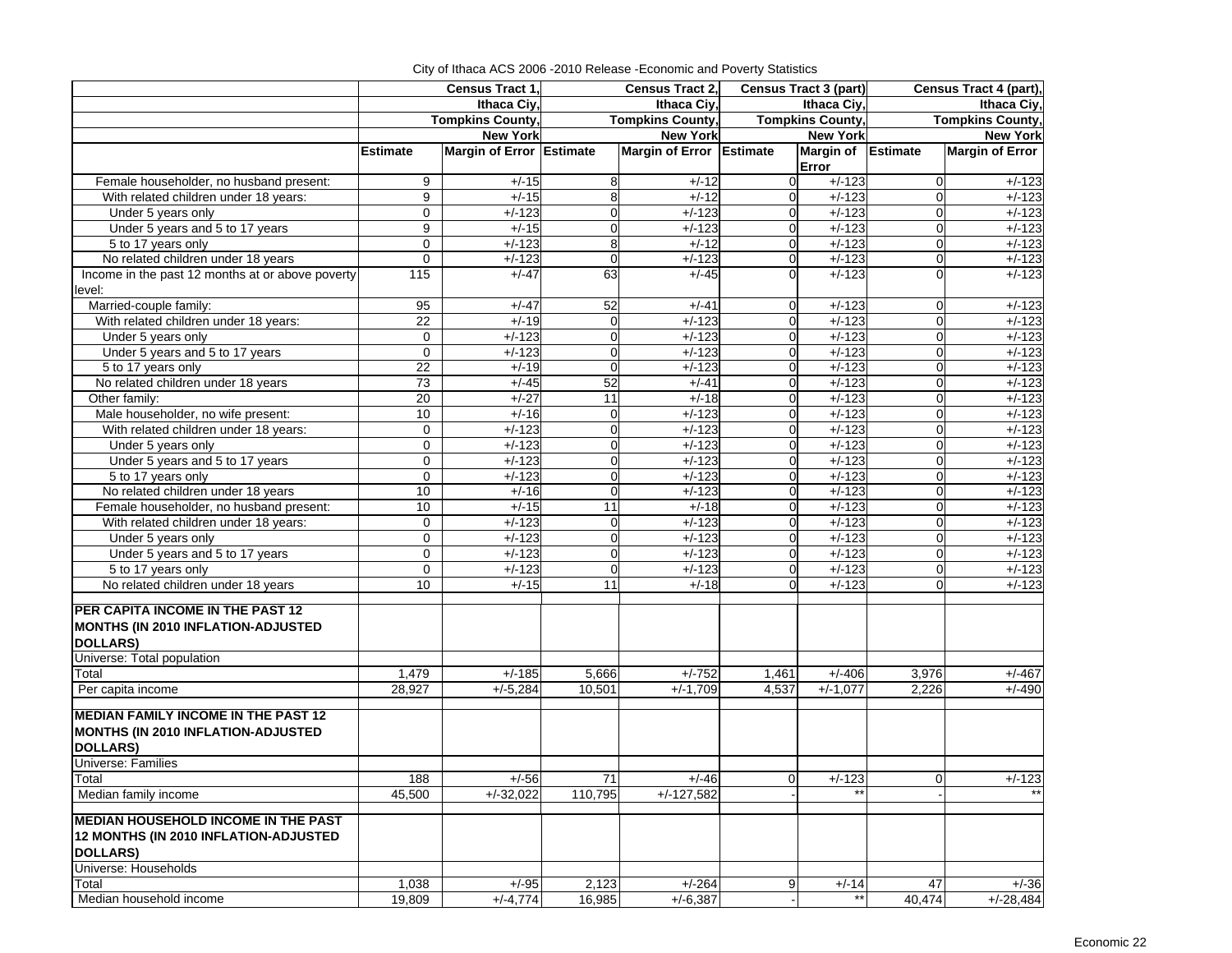|                                                  | Census Tract 1,         |                          | Census Tract 2,         |                          | <b>Census Tract 3 (part)</b> |                    | Census Tract 4 (part),  |                        |
|--------------------------------------------------|-------------------------|--------------------------|-------------------------|--------------------------|------------------------------|--------------------|-------------------------|------------------------|
|                                                  | Ithaca Civ.             |                          | Ithaca Civ.             |                          | Ithaca Ciy,                  |                    | Ithaca Civ.             |                        |
|                                                  | <b>Tompkins County,</b> |                          | <b>Tompkins County,</b> |                          | <b>Tompkins County,</b>      |                    | <b>Tompkins County,</b> |                        |
|                                                  | <b>New York</b>         |                          | <b>New York</b>         |                          | <b>New York</b>              |                    | <b>New York</b>         |                        |
|                                                  | <b>Estimate</b>         | Margin of Error Estimate |                         | Margin of Error Estimate |                              | Margin of Estimate |                         | <b>Margin of Error</b> |
|                                                  |                         |                          |                         |                          |                              | Error              |                         |                        |
| Female householder, no husband present:          | 9                       | $+/-15$                  | 8                       | $+/-12$                  | $\Omega$                     | $+/-123$           | $\mathbf 0$             | $+/-123$               |
| With related children under 18 years:            | 9                       | $+/-15$                  | 8                       | $+/-12$                  | $\overline{0}$               | $+/-123$           | $\mathbf 0$             | $+/-123$               |
| Under 5 years only                               | $\mathbf 0$             | $+/-123$                 | $\mathbf 0$             | $+/-123$                 | $\overline{0}$               | $+/-123$           | 0                       | $+/-123$               |
| Under 5 years and 5 to 17 years                  | 9                       | $+/-15$                  | $\mathbf 0$             | $+/-123$                 | $\Omega$                     | $+/-123$           | $\mathbf 0$             | $+/-123$               |
| 5 to 17 years only                               | 0                       | $+/-123$                 | 8                       | $+/-12$                  | $\overline{0}$               | $+/-123$           | $\mathbf 0$             | $+/-123$               |
| No related children under 18 years               | $\mathbf 0$             | $+/-123$                 | $\mathbf 0$             | $+/-123$                 | $\overline{0}$               | $+/-123$           | 0                       | $+/-123$               |
| Income in the past 12 months at or above poverty | $\frac{115}{2}$         | $+/-47$                  | 63                      | $+/-45$                  |                              | $+/-123$           | $\Omega$                | $+/-123$               |
| level:                                           |                         |                          |                         |                          |                              |                    |                         |                        |
| Married-couple family:                           | 95                      | $+/-47$                  | 52                      | $+/-41$                  | $\Omega$                     | $+/-123$           | 0                       | $+/-123$               |
| With related children under 18 years:            | 22                      | $+/-19$                  | 0                       | $+/-123$                 | $\Omega$                     | $+/-123$           | $\mathbf 0$             | $+/-123$               |
| Under 5 years only                               | 0                       | $+/-123$                 | 0                       | $+/-123$                 | $\Omega$                     | $+/-123$           | $\mathbf 0$             | $+/-123$               |
| Under 5 years and 5 to 17 years                  | $\mathbf 0$             | $+/-123$                 | $\mathbf 0$             | $+/-123$                 | $\overline{0}$               | $+/-123$           | $\mathbf 0$             | $+/-123$               |
| 5 to 17 years only                               | 22                      | $+/-19$                  | $\Omega$                | $+/-123$                 | $\Omega$                     | $+/-123$           | $\mathbf 0$             | $+/-123$               |
| No related children under 18 years               | 73                      | $+/-45$                  | 52                      | $+/-41$                  | $\Omega$                     | $+/-123$           | $\mathbf 0$             | $+/-123$               |
| Other family:                                    | 20                      | $+/-27$                  | 11                      | $+/-18$                  | $\Omega$                     | $+/-123$           | $\mathbf 0$             | $+/-123$               |
| Male householder, no wife present:               | 10                      | $+/-16$                  | 0                       | $+/-123$                 | 0                            | $+/-123$           | $\mathbf 0$             | $+/-123$               |
| With related children under 18 years:            | 0                       | $+/-123$                 | 0                       | $+/-123$                 | $\Omega$                     | $+/-123$           | $\mathbf 0$             | $+/-123$               |
| Under 5 years only                               | $\mathbf 0$             | $+/-123$                 | $\mathbf 0$             | $+/-123$                 | $\overline{0}$               | $+/-123$           | $\mathbf 0$             | $+/-123$               |
| Under 5 years and 5 to 17 years                  | $\mathbf 0$             | $+/-123$                 | $\mathbf 0$             | $+/-123$                 | $\Omega$                     | $+/-123$           | $\mathbf 0$             | $+/-123$               |
| 5 to 17 years only                               | $\mathbf 0$             | $+/-123$                 | 0                       | $+/-123$                 | $\Omega$                     | $+/-123$           | $\mathbf 0$             | $+/-123$               |
| No related children under 18 years               | 10                      | $+/-16$                  | $\mathbf 0$             | $+/-123$                 | 0                            | $+/-123$           | $\mathbf 0$             | $+/-123$               |
| Female householder, no husband present:          | 10                      | $+/-15$                  | 11                      | $+/-18$                  | $\Omega$                     | $+/-123$           | $\mathbf 0$             | $+/-123$               |
| With related children under 18 years:            | $\mathbf 0$             | $+/-123$                 | $\mathbf 0$             | $+/-123$                 | $\Omega$                     | $+/-123$           | 0                       | $+/-123$               |
| Under 5 years only                               | $\mathbf 0$             | $+/-123$                 | $\mathbf 0$             | $+/-123$                 | 0                            | $+/-123$           | $\mathbf 0$             | $+/-123$               |
| Under 5 years and 5 to 17 years                  | $\mathbf 0$             | $+/-123$                 | $\mathbf 0$             | $+/-123$                 | $\Omega$                     | $+/-123$           | $\mathbf 0$             | $+/-123$               |
| 5 to 17 years only                               | $\mathbf 0$             | $+/-123$                 | $\mathbf 0$             | $+/-123$                 | $\Omega$                     | $+/-123$           | $\mathbf 0$             | $+/-123$               |
| No related children under 18 years               | 10                      | $+/-15$                  | 11                      | $+/-18$                  | $\Omega$                     | $+/-123$           | $\Omega$                | $+/-123$               |
|                                                  |                         |                          |                         |                          |                              |                    |                         |                        |
| PER CAPITA INCOME IN THE PAST 12                 |                         |                          |                         |                          |                              |                    |                         |                        |
| MONTHS (IN 2010 INFLATION-ADJUSTED               |                         |                          |                         |                          |                              |                    |                         |                        |
| <b>DOLLARS)</b>                                  |                         |                          |                         |                          |                              |                    |                         |                        |
| Universe: Total population                       |                         |                          |                         |                          |                              |                    |                         |                        |
| Total                                            | 1,479                   | $+/-185$                 | 5,666                   | $+/-752$                 | 1,461                        | $+/-406$           | 3,976                   | $+/-467$               |
| Per capita income                                | 28,927                  | $+/-5,284$               | 10,501                  | $+/-1,709$               | 4,537                        | $+/-1.077$         | 2,226                   | $+/-490$               |
| <b>MEDIAN FAMILY INCOME IN THE PAST 12</b>       |                         |                          |                         |                          |                              |                    |                         |                        |
| MONTHS (IN 2010 INFLATION-ADJUSTED               |                         |                          |                         |                          |                              |                    |                         |                        |
| <b>DOLLARS)</b>                                  |                         |                          |                         |                          |                              |                    |                         |                        |
| Universe: Families                               |                         |                          |                         |                          |                              |                    |                         |                        |
| Total                                            | 188                     |                          | 71                      |                          | $\Omega$                     |                    |                         |                        |
| Median family income                             |                         | $+/-56$<br>$+/-32,022$   | 110,795                 | $+/-46$<br>$+/-127,582$  |                              | $+/-123$<br>$***$  | $\overline{0}$          | $+/-123$<br>$**$       |
|                                                  | 45,500                  |                          |                         |                          |                              |                    |                         |                        |
| <b>MEDIAN HOUSEHOLD INCOME IN THE PAST</b>       |                         |                          |                         |                          |                              |                    |                         |                        |
| 12 MONTHS (IN 2010 INFLATION-ADJUSTED            |                         |                          |                         |                          |                              |                    |                         |                        |
| <b>DOLLARS)</b>                                  |                         |                          |                         |                          |                              |                    |                         |                        |
| Universe: Households                             |                         |                          |                         |                          |                              |                    |                         |                        |
| Total                                            | 1,038                   | $+/-95$                  | 2,123                   | $+/-264$                 | 9                            | $+/-14$            | 47                      | $+/-36$                |
| Median household income                          | 19,809                  | $+/-4,774$               | 16,985                  | $+/-6,387$               |                              | $***$              | 40,474                  | $+/-28,484$            |

City of Ithaca ACS 2006 -2010 Release -Economic and Poverty Statistics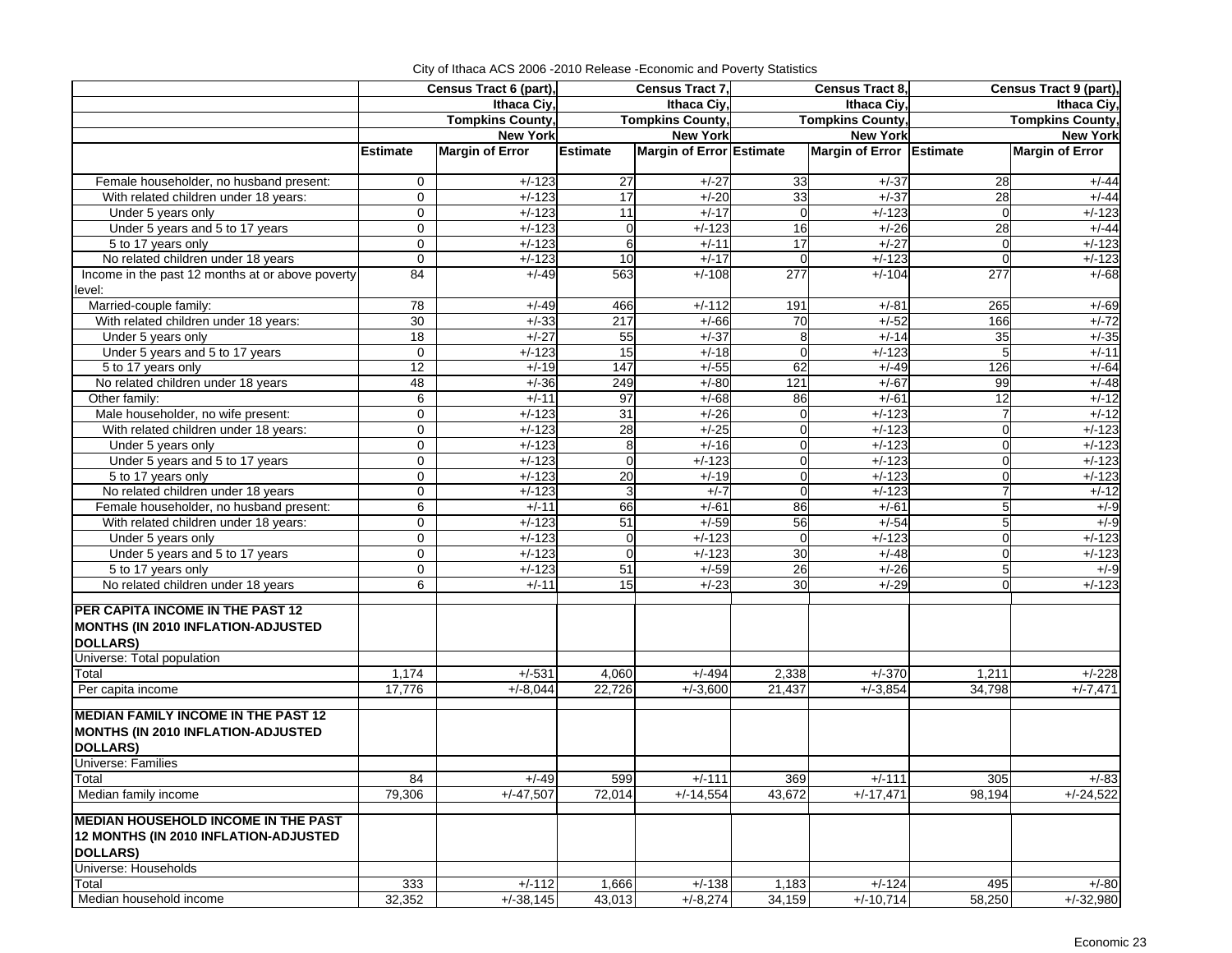| Ithaca Ciy,<br>Ithaca Civ.<br>Ithaca Civ.<br>Ithaca Ciy,<br><b>Tompkins County,</b><br><b>Tompkins County,</b><br><b>Tompkins County,</b><br><b>Tompkins County,</b><br><b>New York</b><br><b>New York</b><br><b>New York</b><br><b>New York</b><br><b>Margin of Error</b><br>Margin of Error Estimate<br><b>Margin of Error</b><br><b>Estimate</b><br><b>Estimate</b><br>Margin of Error Estimate<br>$+/-123$<br>$\overline{27}$<br>$+/-27$<br>33<br>Female householder, no husband present:<br>0<br>$+/-37$<br>28<br>$+/-44$<br>33<br>With related children under 18 years:<br>$+/-123$<br>17<br>$+/-20$<br>$+/-37$<br>28<br>$+/-44$<br>0<br>$+/-123$<br>Under 5 years only<br>$\mathbf 0$<br>$+/-123$<br>$+/-17$<br>$+/-123$<br>11<br>$\overline{0}$<br>0<br>28<br>Under 5 years and 5 to 17 years<br>$\mathbf 0$<br>$+/-123$<br>$+/-123$<br>16<br>$+/-26$<br>$+/-44$<br>$\mathbf 0$<br>5 to 17 years only<br>0<br>$+/-123$<br>6<br>17<br>$+/-27$<br>$+/-123$<br>$+/-11$<br>$\mathbf 0$<br>No related children under 18 years<br>10<br>$+/-17$<br>$+/-123$<br>$\mathbf 0$<br>$+/-123$<br>$+/-123$<br>$\overline{0}$<br>0<br>Income in the past 12 months at or above poverty<br>84<br>563<br>$+/-68$<br>$+/-49$<br>$+/-108$<br>277<br>$+/-104$<br>277<br>level:<br>Married-couple family:<br>78<br>$+/-112$<br>$+/-49$<br>466<br>191<br>$+/-81$<br>265<br>$+/-69$<br>With related children under 18 years:<br>30<br>$+/-33$<br>217<br>166<br>$+/-66$<br>70<br>$+/-52$<br>$+/-72$<br>$\overline{18}$<br>$+/-27$<br>55<br>$+/-37$<br>35<br>$+/-35$<br>Under 5 years only<br>8<br>$+/-14$<br>Under 5 years and 5 to 17 years<br>$+/-123$<br>15<br>$+/-18$<br>$+/-123$<br>$5\overline{)}$<br>$+/-11$<br>$\mathbf 0$<br>$\overline{0}$<br>147<br>$+/-64$<br>12<br>$+/-19$<br>$+/-55$<br>62<br>$+/-49$<br>126<br>5 to 17 years only<br>No related children under 18 years<br>48<br>249<br>$+/-48$<br>$+/-36$<br>$+/-80$<br>121<br>$+/-67$<br>99<br>$+/-12$<br>6<br>$+/-11$<br>97<br>$+/-68$<br>$+/-61$<br>12<br>Other family:<br>86<br>Male householder, no wife present:<br>31<br>$+/-123$<br>$+/-12$<br>$+/-123$<br>$+/-26$<br>$\overline{7}$<br>$\mathbf 0$<br>With related children under 18 years:<br>$\mathbf 0$<br>$+/-123$<br>0<br>$+/-123$<br>28<br>$+/-25$<br>$\Omega$<br>$+/-123$<br>$+/-123$<br>$+/-123$<br>8<br>$+/-16$<br>$+/-123$<br>$\mathbf 0$<br>Under 5 years only<br>0<br>0<br>Under 5 years and 5 to 17 years<br>0<br>$+/-123$<br>$\Omega$<br>$+/-123$<br>$\Omega$<br>$+/-123$<br>$\mathbf 0$<br>$+/-123$<br>20<br>$+/-123$<br>5 to 17 years only<br>0<br>$+/-123$<br>$+/-19$<br>$\Omega$<br>$+/-123$<br>$\overline{O}$<br>$+/-123$<br>3<br>$+/-7$<br>$+/-123$<br>$\overline{7}$<br>$+/-12$<br>No related children under 18 years<br>0<br>$\overline{0}$<br>5<br>6<br>$+/-11$<br>66<br>$+/-61$<br>$+/-61$<br>$+/-9$<br>Female householder, no husband present:<br>86<br>$+/-123$<br>51<br>$\overline{56}$<br>5 <sub>l</sub><br>$+/-9$<br>With related children under 18 years:<br>0<br>$+/-59$<br>$+/-54$<br>$+/-123$<br>$\mathbf 0$<br>$+/-123$<br>$+/-123$<br>$\mathbf 0$<br>$+/-123$<br>Under 5 years only<br>0<br>0<br>Under 5 years and 5 to 17 years<br>$\mathbf 0$<br>$+/-123$<br>$+/-123$<br>30<br>$+/-48$<br>$\overline{0}$<br>$+/-123$<br>$\Omega$<br>$+/-123$<br>51<br>5 <sub>l</sub><br>5 to 17 years only<br>0<br>$+/-59$<br>26<br>$+/-26$<br>$+/-9$<br>15<br>$+/-23$<br>30<br>$+/-29$<br>$+/-123$<br>No related children under 18 years<br>6<br>$+/-11$<br>$\Omega$<br>PER CAPITA INCOME IN THE PAST 12<br>MONTHS (IN 2010 INFLATION-ADJUSTED<br><b>DOLLARS)</b><br>Universe: Total population<br>Total<br>1,174<br>$+/-531$<br>4,060<br>$+/-494$<br>2,338<br>$+/-370$<br>1,211<br>$+/-228$<br>Per capita income<br>17,776<br>$+/-8.044$<br>22,726<br>$+/-3,600$<br>21,437<br>$+/-3,854$<br>34,798<br>$+/-7,471$<br><b>MEDIAN FAMILY INCOME IN THE PAST 12</b><br>MONTHS (IN 2010 INFLATION-ADJUSTED<br>DOLLARS)<br>Universe: Families<br>Total<br>369<br>84<br>$+/-49$<br>599<br>$+/-111$<br>$+/-111$<br>305<br>$+/-83$<br>Median family income<br>$+/-47,507$<br>$+/-17,471$<br>98,194<br>$+/-24,522$<br>79,306<br>72,014<br>$+/-14,554$<br>43,672<br><b>MEDIAN HOUSEHOLD INCOME IN THE PAST</b><br>12 MONTHS (IN 2010 INFLATION-ADJUSTED<br>DOLLARS)<br>Universe: Households<br>Total<br>333<br>$+/-112$<br>1,666<br>$+/-138$<br>1,183<br>$+/-124$<br>495<br>$+/-80$<br>Median household income<br>32,352<br>43,013<br>$+/-8,274$<br>34,159<br>$+/-10,714$<br>58,250<br>$+/-32,980$<br>$+/-38,145$ |  |  | Census Tract 6 (part), |  | Census Tract 7, |  | Census Tract 8, |  | Census Tract 9 (part), |
|---------------------------------------------------------------------------------------------------------------------------------------------------------------------------------------------------------------------------------------------------------------------------------------------------------------------------------------------------------------------------------------------------------------------------------------------------------------------------------------------------------------------------------------------------------------------------------------------------------------------------------------------------------------------------------------------------------------------------------------------------------------------------------------------------------------------------------------------------------------------------------------------------------------------------------------------------------------------------------------------------------------------------------------------------------------------------------------------------------------------------------------------------------------------------------------------------------------------------------------------------------------------------------------------------------------------------------------------------------------------------------------------------------------------------------------------------------------------------------------------------------------------------------------------------------------------------------------------------------------------------------------------------------------------------------------------------------------------------------------------------------------------------------------------------------------------------------------------------------------------------------------------------------------------------------------------------------------------------------------------------------------------------------------------------------------------------------------------------------------------------------------------------------------------------------------------------------------------------------------------------------------------------------------------------------------------------------------------------------------------------------------------------------------------------------------------------------------------------------------------------------------------------------------------------------------------------------------------------------------------------------------------------------------------------------------------------------------------------------------------------------------------------------------------------------------------------------------------------------------------------------------------------------------------------------------------------------------------------------------------------------------------------------------------------------------------------------------------------------------------------------------------------------------------------------------------------------------------------------------------------------------------------------------------------------------------------------------------------------------------------------------------------------------------------------------------------------------------------------------------------------------------------------------------------------------------------------------------------------------------------------------------------------------------------------------------------------------------------------------------------------------------------------------------------------------------------------------------------------------------------------------------------------------------------------------------------------------------------------------------------------------------------------------------------------------------------------------------------------------------------------------------------------------------------------------------------------------------------------------------------------------------------------------------------------------------------------------------------------------------------------------------------------------------------------------------------------------------------------------------------------------------------------------|--|--|------------------------|--|-----------------|--|-----------------|--|------------------------|
|                                                                                                                                                                                                                                                                                                                                                                                                                                                                                                                                                                                                                                                                                                                                                                                                                                                                                                                                                                                                                                                                                                                                                                                                                                                                                                                                                                                                                                                                                                                                                                                                                                                                                                                                                                                                                                                                                                                                                                                                                                                                                                                                                                                                                                                                                                                                                                                                                                                                                                                                                                                                                                                                                                                                                                                                                                                                                                                                                                                                                                                                                                                                                                                                                                                                                                                                                                                                                                                                                                                                                                                                                                                                                                                                                                                                                                                                                                                                                                                                                                                                                                                                                                                                                                                                                                                                                                                                                                                                                                                                       |  |  |                        |  |                 |  |                 |  |                        |
|                                                                                                                                                                                                                                                                                                                                                                                                                                                                                                                                                                                                                                                                                                                                                                                                                                                                                                                                                                                                                                                                                                                                                                                                                                                                                                                                                                                                                                                                                                                                                                                                                                                                                                                                                                                                                                                                                                                                                                                                                                                                                                                                                                                                                                                                                                                                                                                                                                                                                                                                                                                                                                                                                                                                                                                                                                                                                                                                                                                                                                                                                                                                                                                                                                                                                                                                                                                                                                                                                                                                                                                                                                                                                                                                                                                                                                                                                                                                                                                                                                                                                                                                                                                                                                                                                                                                                                                                                                                                                                                                       |  |  |                        |  |                 |  |                 |  |                        |
|                                                                                                                                                                                                                                                                                                                                                                                                                                                                                                                                                                                                                                                                                                                                                                                                                                                                                                                                                                                                                                                                                                                                                                                                                                                                                                                                                                                                                                                                                                                                                                                                                                                                                                                                                                                                                                                                                                                                                                                                                                                                                                                                                                                                                                                                                                                                                                                                                                                                                                                                                                                                                                                                                                                                                                                                                                                                                                                                                                                                                                                                                                                                                                                                                                                                                                                                                                                                                                                                                                                                                                                                                                                                                                                                                                                                                                                                                                                                                                                                                                                                                                                                                                                                                                                                                                                                                                                                                                                                                                                                       |  |  |                        |  |                 |  |                 |  |                        |
|                                                                                                                                                                                                                                                                                                                                                                                                                                                                                                                                                                                                                                                                                                                                                                                                                                                                                                                                                                                                                                                                                                                                                                                                                                                                                                                                                                                                                                                                                                                                                                                                                                                                                                                                                                                                                                                                                                                                                                                                                                                                                                                                                                                                                                                                                                                                                                                                                                                                                                                                                                                                                                                                                                                                                                                                                                                                                                                                                                                                                                                                                                                                                                                                                                                                                                                                                                                                                                                                                                                                                                                                                                                                                                                                                                                                                                                                                                                                                                                                                                                                                                                                                                                                                                                                                                                                                                                                                                                                                                                                       |  |  |                        |  |                 |  |                 |  |                        |
|                                                                                                                                                                                                                                                                                                                                                                                                                                                                                                                                                                                                                                                                                                                                                                                                                                                                                                                                                                                                                                                                                                                                                                                                                                                                                                                                                                                                                                                                                                                                                                                                                                                                                                                                                                                                                                                                                                                                                                                                                                                                                                                                                                                                                                                                                                                                                                                                                                                                                                                                                                                                                                                                                                                                                                                                                                                                                                                                                                                                                                                                                                                                                                                                                                                                                                                                                                                                                                                                                                                                                                                                                                                                                                                                                                                                                                                                                                                                                                                                                                                                                                                                                                                                                                                                                                                                                                                                                                                                                                                                       |  |  |                        |  |                 |  |                 |  |                        |
|                                                                                                                                                                                                                                                                                                                                                                                                                                                                                                                                                                                                                                                                                                                                                                                                                                                                                                                                                                                                                                                                                                                                                                                                                                                                                                                                                                                                                                                                                                                                                                                                                                                                                                                                                                                                                                                                                                                                                                                                                                                                                                                                                                                                                                                                                                                                                                                                                                                                                                                                                                                                                                                                                                                                                                                                                                                                                                                                                                                                                                                                                                                                                                                                                                                                                                                                                                                                                                                                                                                                                                                                                                                                                                                                                                                                                                                                                                                                                                                                                                                                                                                                                                                                                                                                                                                                                                                                                                                                                                                                       |  |  |                        |  |                 |  |                 |  |                        |
|                                                                                                                                                                                                                                                                                                                                                                                                                                                                                                                                                                                                                                                                                                                                                                                                                                                                                                                                                                                                                                                                                                                                                                                                                                                                                                                                                                                                                                                                                                                                                                                                                                                                                                                                                                                                                                                                                                                                                                                                                                                                                                                                                                                                                                                                                                                                                                                                                                                                                                                                                                                                                                                                                                                                                                                                                                                                                                                                                                                                                                                                                                                                                                                                                                                                                                                                                                                                                                                                                                                                                                                                                                                                                                                                                                                                                                                                                                                                                                                                                                                                                                                                                                                                                                                                                                                                                                                                                                                                                                                                       |  |  |                        |  |                 |  |                 |  |                        |
|                                                                                                                                                                                                                                                                                                                                                                                                                                                                                                                                                                                                                                                                                                                                                                                                                                                                                                                                                                                                                                                                                                                                                                                                                                                                                                                                                                                                                                                                                                                                                                                                                                                                                                                                                                                                                                                                                                                                                                                                                                                                                                                                                                                                                                                                                                                                                                                                                                                                                                                                                                                                                                                                                                                                                                                                                                                                                                                                                                                                                                                                                                                                                                                                                                                                                                                                                                                                                                                                                                                                                                                                                                                                                                                                                                                                                                                                                                                                                                                                                                                                                                                                                                                                                                                                                                                                                                                                                                                                                                                                       |  |  |                        |  |                 |  |                 |  |                        |
|                                                                                                                                                                                                                                                                                                                                                                                                                                                                                                                                                                                                                                                                                                                                                                                                                                                                                                                                                                                                                                                                                                                                                                                                                                                                                                                                                                                                                                                                                                                                                                                                                                                                                                                                                                                                                                                                                                                                                                                                                                                                                                                                                                                                                                                                                                                                                                                                                                                                                                                                                                                                                                                                                                                                                                                                                                                                                                                                                                                                                                                                                                                                                                                                                                                                                                                                                                                                                                                                                                                                                                                                                                                                                                                                                                                                                                                                                                                                                                                                                                                                                                                                                                                                                                                                                                                                                                                                                                                                                                                                       |  |  |                        |  |                 |  |                 |  |                        |
|                                                                                                                                                                                                                                                                                                                                                                                                                                                                                                                                                                                                                                                                                                                                                                                                                                                                                                                                                                                                                                                                                                                                                                                                                                                                                                                                                                                                                                                                                                                                                                                                                                                                                                                                                                                                                                                                                                                                                                                                                                                                                                                                                                                                                                                                                                                                                                                                                                                                                                                                                                                                                                                                                                                                                                                                                                                                                                                                                                                                                                                                                                                                                                                                                                                                                                                                                                                                                                                                                                                                                                                                                                                                                                                                                                                                                                                                                                                                                                                                                                                                                                                                                                                                                                                                                                                                                                                                                                                                                                                                       |  |  |                        |  |                 |  |                 |  |                        |
|                                                                                                                                                                                                                                                                                                                                                                                                                                                                                                                                                                                                                                                                                                                                                                                                                                                                                                                                                                                                                                                                                                                                                                                                                                                                                                                                                                                                                                                                                                                                                                                                                                                                                                                                                                                                                                                                                                                                                                                                                                                                                                                                                                                                                                                                                                                                                                                                                                                                                                                                                                                                                                                                                                                                                                                                                                                                                                                                                                                                                                                                                                                                                                                                                                                                                                                                                                                                                                                                                                                                                                                                                                                                                                                                                                                                                                                                                                                                                                                                                                                                                                                                                                                                                                                                                                                                                                                                                                                                                                                                       |  |  |                        |  |                 |  |                 |  |                        |
|                                                                                                                                                                                                                                                                                                                                                                                                                                                                                                                                                                                                                                                                                                                                                                                                                                                                                                                                                                                                                                                                                                                                                                                                                                                                                                                                                                                                                                                                                                                                                                                                                                                                                                                                                                                                                                                                                                                                                                                                                                                                                                                                                                                                                                                                                                                                                                                                                                                                                                                                                                                                                                                                                                                                                                                                                                                                                                                                                                                                                                                                                                                                                                                                                                                                                                                                                                                                                                                                                                                                                                                                                                                                                                                                                                                                                                                                                                                                                                                                                                                                                                                                                                                                                                                                                                                                                                                                                                                                                                                                       |  |  |                        |  |                 |  |                 |  |                        |
|                                                                                                                                                                                                                                                                                                                                                                                                                                                                                                                                                                                                                                                                                                                                                                                                                                                                                                                                                                                                                                                                                                                                                                                                                                                                                                                                                                                                                                                                                                                                                                                                                                                                                                                                                                                                                                                                                                                                                                                                                                                                                                                                                                                                                                                                                                                                                                                                                                                                                                                                                                                                                                                                                                                                                                                                                                                                                                                                                                                                                                                                                                                                                                                                                                                                                                                                                                                                                                                                                                                                                                                                                                                                                                                                                                                                                                                                                                                                                                                                                                                                                                                                                                                                                                                                                                                                                                                                                                                                                                                                       |  |  |                        |  |                 |  |                 |  |                        |
|                                                                                                                                                                                                                                                                                                                                                                                                                                                                                                                                                                                                                                                                                                                                                                                                                                                                                                                                                                                                                                                                                                                                                                                                                                                                                                                                                                                                                                                                                                                                                                                                                                                                                                                                                                                                                                                                                                                                                                                                                                                                                                                                                                                                                                                                                                                                                                                                                                                                                                                                                                                                                                                                                                                                                                                                                                                                                                                                                                                                                                                                                                                                                                                                                                                                                                                                                                                                                                                                                                                                                                                                                                                                                                                                                                                                                                                                                                                                                                                                                                                                                                                                                                                                                                                                                                                                                                                                                                                                                                                                       |  |  |                        |  |                 |  |                 |  |                        |
|                                                                                                                                                                                                                                                                                                                                                                                                                                                                                                                                                                                                                                                                                                                                                                                                                                                                                                                                                                                                                                                                                                                                                                                                                                                                                                                                                                                                                                                                                                                                                                                                                                                                                                                                                                                                                                                                                                                                                                                                                                                                                                                                                                                                                                                                                                                                                                                                                                                                                                                                                                                                                                                                                                                                                                                                                                                                                                                                                                                                                                                                                                                                                                                                                                                                                                                                                                                                                                                                                                                                                                                                                                                                                                                                                                                                                                                                                                                                                                                                                                                                                                                                                                                                                                                                                                                                                                                                                                                                                                                                       |  |  |                        |  |                 |  |                 |  |                        |
|                                                                                                                                                                                                                                                                                                                                                                                                                                                                                                                                                                                                                                                                                                                                                                                                                                                                                                                                                                                                                                                                                                                                                                                                                                                                                                                                                                                                                                                                                                                                                                                                                                                                                                                                                                                                                                                                                                                                                                                                                                                                                                                                                                                                                                                                                                                                                                                                                                                                                                                                                                                                                                                                                                                                                                                                                                                                                                                                                                                                                                                                                                                                                                                                                                                                                                                                                                                                                                                                                                                                                                                                                                                                                                                                                                                                                                                                                                                                                                                                                                                                                                                                                                                                                                                                                                                                                                                                                                                                                                                                       |  |  |                        |  |                 |  |                 |  |                        |
|                                                                                                                                                                                                                                                                                                                                                                                                                                                                                                                                                                                                                                                                                                                                                                                                                                                                                                                                                                                                                                                                                                                                                                                                                                                                                                                                                                                                                                                                                                                                                                                                                                                                                                                                                                                                                                                                                                                                                                                                                                                                                                                                                                                                                                                                                                                                                                                                                                                                                                                                                                                                                                                                                                                                                                                                                                                                                                                                                                                                                                                                                                                                                                                                                                                                                                                                                                                                                                                                                                                                                                                                                                                                                                                                                                                                                                                                                                                                                                                                                                                                                                                                                                                                                                                                                                                                                                                                                                                                                                                                       |  |  |                        |  |                 |  |                 |  |                        |
|                                                                                                                                                                                                                                                                                                                                                                                                                                                                                                                                                                                                                                                                                                                                                                                                                                                                                                                                                                                                                                                                                                                                                                                                                                                                                                                                                                                                                                                                                                                                                                                                                                                                                                                                                                                                                                                                                                                                                                                                                                                                                                                                                                                                                                                                                                                                                                                                                                                                                                                                                                                                                                                                                                                                                                                                                                                                                                                                                                                                                                                                                                                                                                                                                                                                                                                                                                                                                                                                                                                                                                                                                                                                                                                                                                                                                                                                                                                                                                                                                                                                                                                                                                                                                                                                                                                                                                                                                                                                                                                                       |  |  |                        |  |                 |  |                 |  |                        |
|                                                                                                                                                                                                                                                                                                                                                                                                                                                                                                                                                                                                                                                                                                                                                                                                                                                                                                                                                                                                                                                                                                                                                                                                                                                                                                                                                                                                                                                                                                                                                                                                                                                                                                                                                                                                                                                                                                                                                                                                                                                                                                                                                                                                                                                                                                                                                                                                                                                                                                                                                                                                                                                                                                                                                                                                                                                                                                                                                                                                                                                                                                                                                                                                                                                                                                                                                                                                                                                                                                                                                                                                                                                                                                                                                                                                                                                                                                                                                                                                                                                                                                                                                                                                                                                                                                                                                                                                                                                                                                                                       |  |  |                        |  |                 |  |                 |  |                        |
|                                                                                                                                                                                                                                                                                                                                                                                                                                                                                                                                                                                                                                                                                                                                                                                                                                                                                                                                                                                                                                                                                                                                                                                                                                                                                                                                                                                                                                                                                                                                                                                                                                                                                                                                                                                                                                                                                                                                                                                                                                                                                                                                                                                                                                                                                                                                                                                                                                                                                                                                                                                                                                                                                                                                                                                                                                                                                                                                                                                                                                                                                                                                                                                                                                                                                                                                                                                                                                                                                                                                                                                                                                                                                                                                                                                                                                                                                                                                                                                                                                                                                                                                                                                                                                                                                                                                                                                                                                                                                                                                       |  |  |                        |  |                 |  |                 |  |                        |
|                                                                                                                                                                                                                                                                                                                                                                                                                                                                                                                                                                                                                                                                                                                                                                                                                                                                                                                                                                                                                                                                                                                                                                                                                                                                                                                                                                                                                                                                                                                                                                                                                                                                                                                                                                                                                                                                                                                                                                                                                                                                                                                                                                                                                                                                                                                                                                                                                                                                                                                                                                                                                                                                                                                                                                                                                                                                                                                                                                                                                                                                                                                                                                                                                                                                                                                                                                                                                                                                                                                                                                                                                                                                                                                                                                                                                                                                                                                                                                                                                                                                                                                                                                                                                                                                                                                                                                                                                                                                                                                                       |  |  |                        |  |                 |  |                 |  |                        |
|                                                                                                                                                                                                                                                                                                                                                                                                                                                                                                                                                                                                                                                                                                                                                                                                                                                                                                                                                                                                                                                                                                                                                                                                                                                                                                                                                                                                                                                                                                                                                                                                                                                                                                                                                                                                                                                                                                                                                                                                                                                                                                                                                                                                                                                                                                                                                                                                                                                                                                                                                                                                                                                                                                                                                                                                                                                                                                                                                                                                                                                                                                                                                                                                                                                                                                                                                                                                                                                                                                                                                                                                                                                                                                                                                                                                                                                                                                                                                                                                                                                                                                                                                                                                                                                                                                                                                                                                                                                                                                                                       |  |  |                        |  |                 |  |                 |  |                        |
|                                                                                                                                                                                                                                                                                                                                                                                                                                                                                                                                                                                                                                                                                                                                                                                                                                                                                                                                                                                                                                                                                                                                                                                                                                                                                                                                                                                                                                                                                                                                                                                                                                                                                                                                                                                                                                                                                                                                                                                                                                                                                                                                                                                                                                                                                                                                                                                                                                                                                                                                                                                                                                                                                                                                                                                                                                                                                                                                                                                                                                                                                                                                                                                                                                                                                                                                                                                                                                                                                                                                                                                                                                                                                                                                                                                                                                                                                                                                                                                                                                                                                                                                                                                                                                                                                                                                                                                                                                                                                                                                       |  |  |                        |  |                 |  |                 |  |                        |
|                                                                                                                                                                                                                                                                                                                                                                                                                                                                                                                                                                                                                                                                                                                                                                                                                                                                                                                                                                                                                                                                                                                                                                                                                                                                                                                                                                                                                                                                                                                                                                                                                                                                                                                                                                                                                                                                                                                                                                                                                                                                                                                                                                                                                                                                                                                                                                                                                                                                                                                                                                                                                                                                                                                                                                                                                                                                                                                                                                                                                                                                                                                                                                                                                                                                                                                                                                                                                                                                                                                                                                                                                                                                                                                                                                                                                                                                                                                                                                                                                                                                                                                                                                                                                                                                                                                                                                                                                                                                                                                                       |  |  |                        |  |                 |  |                 |  |                        |
|                                                                                                                                                                                                                                                                                                                                                                                                                                                                                                                                                                                                                                                                                                                                                                                                                                                                                                                                                                                                                                                                                                                                                                                                                                                                                                                                                                                                                                                                                                                                                                                                                                                                                                                                                                                                                                                                                                                                                                                                                                                                                                                                                                                                                                                                                                                                                                                                                                                                                                                                                                                                                                                                                                                                                                                                                                                                                                                                                                                                                                                                                                                                                                                                                                                                                                                                                                                                                                                                                                                                                                                                                                                                                                                                                                                                                                                                                                                                                                                                                                                                                                                                                                                                                                                                                                                                                                                                                                                                                                                                       |  |  |                        |  |                 |  |                 |  |                        |
|                                                                                                                                                                                                                                                                                                                                                                                                                                                                                                                                                                                                                                                                                                                                                                                                                                                                                                                                                                                                                                                                                                                                                                                                                                                                                                                                                                                                                                                                                                                                                                                                                                                                                                                                                                                                                                                                                                                                                                                                                                                                                                                                                                                                                                                                                                                                                                                                                                                                                                                                                                                                                                                                                                                                                                                                                                                                                                                                                                                                                                                                                                                                                                                                                                                                                                                                                                                                                                                                                                                                                                                                                                                                                                                                                                                                                                                                                                                                                                                                                                                                                                                                                                                                                                                                                                                                                                                                                                                                                                                                       |  |  |                        |  |                 |  |                 |  |                        |
|                                                                                                                                                                                                                                                                                                                                                                                                                                                                                                                                                                                                                                                                                                                                                                                                                                                                                                                                                                                                                                                                                                                                                                                                                                                                                                                                                                                                                                                                                                                                                                                                                                                                                                                                                                                                                                                                                                                                                                                                                                                                                                                                                                                                                                                                                                                                                                                                                                                                                                                                                                                                                                                                                                                                                                                                                                                                                                                                                                                                                                                                                                                                                                                                                                                                                                                                                                                                                                                                                                                                                                                                                                                                                                                                                                                                                                                                                                                                                                                                                                                                                                                                                                                                                                                                                                                                                                                                                                                                                                                                       |  |  |                        |  |                 |  |                 |  |                        |
|                                                                                                                                                                                                                                                                                                                                                                                                                                                                                                                                                                                                                                                                                                                                                                                                                                                                                                                                                                                                                                                                                                                                                                                                                                                                                                                                                                                                                                                                                                                                                                                                                                                                                                                                                                                                                                                                                                                                                                                                                                                                                                                                                                                                                                                                                                                                                                                                                                                                                                                                                                                                                                                                                                                                                                                                                                                                                                                                                                                                                                                                                                                                                                                                                                                                                                                                                                                                                                                                                                                                                                                                                                                                                                                                                                                                                                                                                                                                                                                                                                                                                                                                                                                                                                                                                                                                                                                                                                                                                                                                       |  |  |                        |  |                 |  |                 |  |                        |
|                                                                                                                                                                                                                                                                                                                                                                                                                                                                                                                                                                                                                                                                                                                                                                                                                                                                                                                                                                                                                                                                                                                                                                                                                                                                                                                                                                                                                                                                                                                                                                                                                                                                                                                                                                                                                                                                                                                                                                                                                                                                                                                                                                                                                                                                                                                                                                                                                                                                                                                                                                                                                                                                                                                                                                                                                                                                                                                                                                                                                                                                                                                                                                                                                                                                                                                                                                                                                                                                                                                                                                                                                                                                                                                                                                                                                                                                                                                                                                                                                                                                                                                                                                                                                                                                                                                                                                                                                                                                                                                                       |  |  |                        |  |                 |  |                 |  |                        |
|                                                                                                                                                                                                                                                                                                                                                                                                                                                                                                                                                                                                                                                                                                                                                                                                                                                                                                                                                                                                                                                                                                                                                                                                                                                                                                                                                                                                                                                                                                                                                                                                                                                                                                                                                                                                                                                                                                                                                                                                                                                                                                                                                                                                                                                                                                                                                                                                                                                                                                                                                                                                                                                                                                                                                                                                                                                                                                                                                                                                                                                                                                                                                                                                                                                                                                                                                                                                                                                                                                                                                                                                                                                                                                                                                                                                                                                                                                                                                                                                                                                                                                                                                                                                                                                                                                                                                                                                                                                                                                                                       |  |  |                        |  |                 |  |                 |  |                        |
|                                                                                                                                                                                                                                                                                                                                                                                                                                                                                                                                                                                                                                                                                                                                                                                                                                                                                                                                                                                                                                                                                                                                                                                                                                                                                                                                                                                                                                                                                                                                                                                                                                                                                                                                                                                                                                                                                                                                                                                                                                                                                                                                                                                                                                                                                                                                                                                                                                                                                                                                                                                                                                                                                                                                                                                                                                                                                                                                                                                                                                                                                                                                                                                                                                                                                                                                                                                                                                                                                                                                                                                                                                                                                                                                                                                                                                                                                                                                                                                                                                                                                                                                                                                                                                                                                                                                                                                                                                                                                                                                       |  |  |                        |  |                 |  |                 |  |                        |
|                                                                                                                                                                                                                                                                                                                                                                                                                                                                                                                                                                                                                                                                                                                                                                                                                                                                                                                                                                                                                                                                                                                                                                                                                                                                                                                                                                                                                                                                                                                                                                                                                                                                                                                                                                                                                                                                                                                                                                                                                                                                                                                                                                                                                                                                                                                                                                                                                                                                                                                                                                                                                                                                                                                                                                                                                                                                                                                                                                                                                                                                                                                                                                                                                                                                                                                                                                                                                                                                                                                                                                                                                                                                                                                                                                                                                                                                                                                                                                                                                                                                                                                                                                                                                                                                                                                                                                                                                                                                                                                                       |  |  |                        |  |                 |  |                 |  |                        |
|                                                                                                                                                                                                                                                                                                                                                                                                                                                                                                                                                                                                                                                                                                                                                                                                                                                                                                                                                                                                                                                                                                                                                                                                                                                                                                                                                                                                                                                                                                                                                                                                                                                                                                                                                                                                                                                                                                                                                                                                                                                                                                                                                                                                                                                                                                                                                                                                                                                                                                                                                                                                                                                                                                                                                                                                                                                                                                                                                                                                                                                                                                                                                                                                                                                                                                                                                                                                                                                                                                                                                                                                                                                                                                                                                                                                                                                                                                                                                                                                                                                                                                                                                                                                                                                                                                                                                                                                                                                                                                                                       |  |  |                        |  |                 |  |                 |  |                        |
|                                                                                                                                                                                                                                                                                                                                                                                                                                                                                                                                                                                                                                                                                                                                                                                                                                                                                                                                                                                                                                                                                                                                                                                                                                                                                                                                                                                                                                                                                                                                                                                                                                                                                                                                                                                                                                                                                                                                                                                                                                                                                                                                                                                                                                                                                                                                                                                                                                                                                                                                                                                                                                                                                                                                                                                                                                                                                                                                                                                                                                                                                                                                                                                                                                                                                                                                                                                                                                                                                                                                                                                                                                                                                                                                                                                                                                                                                                                                                                                                                                                                                                                                                                                                                                                                                                                                                                                                                                                                                                                                       |  |  |                        |  |                 |  |                 |  |                        |
|                                                                                                                                                                                                                                                                                                                                                                                                                                                                                                                                                                                                                                                                                                                                                                                                                                                                                                                                                                                                                                                                                                                                                                                                                                                                                                                                                                                                                                                                                                                                                                                                                                                                                                                                                                                                                                                                                                                                                                                                                                                                                                                                                                                                                                                                                                                                                                                                                                                                                                                                                                                                                                                                                                                                                                                                                                                                                                                                                                                                                                                                                                                                                                                                                                                                                                                                                                                                                                                                                                                                                                                                                                                                                                                                                                                                                                                                                                                                                                                                                                                                                                                                                                                                                                                                                                                                                                                                                                                                                                                                       |  |  |                        |  |                 |  |                 |  |                        |
|                                                                                                                                                                                                                                                                                                                                                                                                                                                                                                                                                                                                                                                                                                                                                                                                                                                                                                                                                                                                                                                                                                                                                                                                                                                                                                                                                                                                                                                                                                                                                                                                                                                                                                                                                                                                                                                                                                                                                                                                                                                                                                                                                                                                                                                                                                                                                                                                                                                                                                                                                                                                                                                                                                                                                                                                                                                                                                                                                                                                                                                                                                                                                                                                                                                                                                                                                                                                                                                                                                                                                                                                                                                                                                                                                                                                                                                                                                                                                                                                                                                                                                                                                                                                                                                                                                                                                                                                                                                                                                                                       |  |  |                        |  |                 |  |                 |  |                        |
|                                                                                                                                                                                                                                                                                                                                                                                                                                                                                                                                                                                                                                                                                                                                                                                                                                                                                                                                                                                                                                                                                                                                                                                                                                                                                                                                                                                                                                                                                                                                                                                                                                                                                                                                                                                                                                                                                                                                                                                                                                                                                                                                                                                                                                                                                                                                                                                                                                                                                                                                                                                                                                                                                                                                                                                                                                                                                                                                                                                                                                                                                                                                                                                                                                                                                                                                                                                                                                                                                                                                                                                                                                                                                                                                                                                                                                                                                                                                                                                                                                                                                                                                                                                                                                                                                                                                                                                                                                                                                                                                       |  |  |                        |  |                 |  |                 |  |                        |
|                                                                                                                                                                                                                                                                                                                                                                                                                                                                                                                                                                                                                                                                                                                                                                                                                                                                                                                                                                                                                                                                                                                                                                                                                                                                                                                                                                                                                                                                                                                                                                                                                                                                                                                                                                                                                                                                                                                                                                                                                                                                                                                                                                                                                                                                                                                                                                                                                                                                                                                                                                                                                                                                                                                                                                                                                                                                                                                                                                                                                                                                                                                                                                                                                                                                                                                                                                                                                                                                                                                                                                                                                                                                                                                                                                                                                                                                                                                                                                                                                                                                                                                                                                                                                                                                                                                                                                                                                                                                                                                                       |  |  |                        |  |                 |  |                 |  |                        |
|                                                                                                                                                                                                                                                                                                                                                                                                                                                                                                                                                                                                                                                                                                                                                                                                                                                                                                                                                                                                                                                                                                                                                                                                                                                                                                                                                                                                                                                                                                                                                                                                                                                                                                                                                                                                                                                                                                                                                                                                                                                                                                                                                                                                                                                                                                                                                                                                                                                                                                                                                                                                                                                                                                                                                                                                                                                                                                                                                                                                                                                                                                                                                                                                                                                                                                                                                                                                                                                                                                                                                                                                                                                                                                                                                                                                                                                                                                                                                                                                                                                                                                                                                                                                                                                                                                                                                                                                                                                                                                                                       |  |  |                        |  |                 |  |                 |  |                        |
|                                                                                                                                                                                                                                                                                                                                                                                                                                                                                                                                                                                                                                                                                                                                                                                                                                                                                                                                                                                                                                                                                                                                                                                                                                                                                                                                                                                                                                                                                                                                                                                                                                                                                                                                                                                                                                                                                                                                                                                                                                                                                                                                                                                                                                                                                                                                                                                                                                                                                                                                                                                                                                                                                                                                                                                                                                                                                                                                                                                                                                                                                                                                                                                                                                                                                                                                                                                                                                                                                                                                                                                                                                                                                                                                                                                                                                                                                                                                                                                                                                                                                                                                                                                                                                                                                                                                                                                                                                                                                                                                       |  |  |                        |  |                 |  |                 |  |                        |
|                                                                                                                                                                                                                                                                                                                                                                                                                                                                                                                                                                                                                                                                                                                                                                                                                                                                                                                                                                                                                                                                                                                                                                                                                                                                                                                                                                                                                                                                                                                                                                                                                                                                                                                                                                                                                                                                                                                                                                                                                                                                                                                                                                                                                                                                                                                                                                                                                                                                                                                                                                                                                                                                                                                                                                                                                                                                                                                                                                                                                                                                                                                                                                                                                                                                                                                                                                                                                                                                                                                                                                                                                                                                                                                                                                                                                                                                                                                                                                                                                                                                                                                                                                                                                                                                                                                                                                                                                                                                                                                                       |  |  |                        |  |                 |  |                 |  |                        |
|                                                                                                                                                                                                                                                                                                                                                                                                                                                                                                                                                                                                                                                                                                                                                                                                                                                                                                                                                                                                                                                                                                                                                                                                                                                                                                                                                                                                                                                                                                                                                                                                                                                                                                                                                                                                                                                                                                                                                                                                                                                                                                                                                                                                                                                                                                                                                                                                                                                                                                                                                                                                                                                                                                                                                                                                                                                                                                                                                                                                                                                                                                                                                                                                                                                                                                                                                                                                                                                                                                                                                                                                                                                                                                                                                                                                                                                                                                                                                                                                                                                                                                                                                                                                                                                                                                                                                                                                                                                                                                                                       |  |  |                        |  |                 |  |                 |  |                        |
|                                                                                                                                                                                                                                                                                                                                                                                                                                                                                                                                                                                                                                                                                                                                                                                                                                                                                                                                                                                                                                                                                                                                                                                                                                                                                                                                                                                                                                                                                                                                                                                                                                                                                                                                                                                                                                                                                                                                                                                                                                                                                                                                                                                                                                                                                                                                                                                                                                                                                                                                                                                                                                                                                                                                                                                                                                                                                                                                                                                                                                                                                                                                                                                                                                                                                                                                                                                                                                                                                                                                                                                                                                                                                                                                                                                                                                                                                                                                                                                                                                                                                                                                                                                                                                                                                                                                                                                                                                                                                                                                       |  |  |                        |  |                 |  |                 |  |                        |
|                                                                                                                                                                                                                                                                                                                                                                                                                                                                                                                                                                                                                                                                                                                                                                                                                                                                                                                                                                                                                                                                                                                                                                                                                                                                                                                                                                                                                                                                                                                                                                                                                                                                                                                                                                                                                                                                                                                                                                                                                                                                                                                                                                                                                                                                                                                                                                                                                                                                                                                                                                                                                                                                                                                                                                                                                                                                                                                                                                                                                                                                                                                                                                                                                                                                                                                                                                                                                                                                                                                                                                                                                                                                                                                                                                                                                                                                                                                                                                                                                                                                                                                                                                                                                                                                                                                                                                                                                                                                                                                                       |  |  |                        |  |                 |  |                 |  |                        |
|                                                                                                                                                                                                                                                                                                                                                                                                                                                                                                                                                                                                                                                                                                                                                                                                                                                                                                                                                                                                                                                                                                                                                                                                                                                                                                                                                                                                                                                                                                                                                                                                                                                                                                                                                                                                                                                                                                                                                                                                                                                                                                                                                                                                                                                                                                                                                                                                                                                                                                                                                                                                                                                                                                                                                                                                                                                                                                                                                                                                                                                                                                                                                                                                                                                                                                                                                                                                                                                                                                                                                                                                                                                                                                                                                                                                                                                                                                                                                                                                                                                                                                                                                                                                                                                                                                                                                                                                                                                                                                                                       |  |  |                        |  |                 |  |                 |  |                        |
|                                                                                                                                                                                                                                                                                                                                                                                                                                                                                                                                                                                                                                                                                                                                                                                                                                                                                                                                                                                                                                                                                                                                                                                                                                                                                                                                                                                                                                                                                                                                                                                                                                                                                                                                                                                                                                                                                                                                                                                                                                                                                                                                                                                                                                                                                                                                                                                                                                                                                                                                                                                                                                                                                                                                                                                                                                                                                                                                                                                                                                                                                                                                                                                                                                                                                                                                                                                                                                                                                                                                                                                                                                                                                                                                                                                                                                                                                                                                                                                                                                                                                                                                                                                                                                                                                                                                                                                                                                                                                                                                       |  |  |                        |  |                 |  |                 |  |                        |
|                                                                                                                                                                                                                                                                                                                                                                                                                                                                                                                                                                                                                                                                                                                                                                                                                                                                                                                                                                                                                                                                                                                                                                                                                                                                                                                                                                                                                                                                                                                                                                                                                                                                                                                                                                                                                                                                                                                                                                                                                                                                                                                                                                                                                                                                                                                                                                                                                                                                                                                                                                                                                                                                                                                                                                                                                                                                                                                                                                                                                                                                                                                                                                                                                                                                                                                                                                                                                                                                                                                                                                                                                                                                                                                                                                                                                                                                                                                                                                                                                                                                                                                                                                                                                                                                                                                                                                                                                                                                                                                                       |  |  |                        |  |                 |  |                 |  |                        |
|                                                                                                                                                                                                                                                                                                                                                                                                                                                                                                                                                                                                                                                                                                                                                                                                                                                                                                                                                                                                                                                                                                                                                                                                                                                                                                                                                                                                                                                                                                                                                                                                                                                                                                                                                                                                                                                                                                                                                                                                                                                                                                                                                                                                                                                                                                                                                                                                                                                                                                                                                                                                                                                                                                                                                                                                                                                                                                                                                                                                                                                                                                                                                                                                                                                                                                                                                                                                                                                                                                                                                                                                                                                                                                                                                                                                                                                                                                                                                                                                                                                                                                                                                                                                                                                                                                                                                                                                                                                                                                                                       |  |  |                        |  |                 |  |                 |  |                        |
|                                                                                                                                                                                                                                                                                                                                                                                                                                                                                                                                                                                                                                                                                                                                                                                                                                                                                                                                                                                                                                                                                                                                                                                                                                                                                                                                                                                                                                                                                                                                                                                                                                                                                                                                                                                                                                                                                                                                                                                                                                                                                                                                                                                                                                                                                                                                                                                                                                                                                                                                                                                                                                                                                                                                                                                                                                                                                                                                                                                                                                                                                                                                                                                                                                                                                                                                                                                                                                                                                                                                                                                                                                                                                                                                                                                                                                                                                                                                                                                                                                                                                                                                                                                                                                                                                                                                                                                                                                                                                                                                       |  |  |                        |  |                 |  |                 |  |                        |
|                                                                                                                                                                                                                                                                                                                                                                                                                                                                                                                                                                                                                                                                                                                                                                                                                                                                                                                                                                                                                                                                                                                                                                                                                                                                                                                                                                                                                                                                                                                                                                                                                                                                                                                                                                                                                                                                                                                                                                                                                                                                                                                                                                                                                                                                                                                                                                                                                                                                                                                                                                                                                                                                                                                                                                                                                                                                                                                                                                                                                                                                                                                                                                                                                                                                                                                                                                                                                                                                                                                                                                                                                                                                                                                                                                                                                                                                                                                                                                                                                                                                                                                                                                                                                                                                                                                                                                                                                                                                                                                                       |  |  |                        |  |                 |  |                 |  |                        |
|                                                                                                                                                                                                                                                                                                                                                                                                                                                                                                                                                                                                                                                                                                                                                                                                                                                                                                                                                                                                                                                                                                                                                                                                                                                                                                                                                                                                                                                                                                                                                                                                                                                                                                                                                                                                                                                                                                                                                                                                                                                                                                                                                                                                                                                                                                                                                                                                                                                                                                                                                                                                                                                                                                                                                                                                                                                                                                                                                                                                                                                                                                                                                                                                                                                                                                                                                                                                                                                                                                                                                                                                                                                                                                                                                                                                                                                                                                                                                                                                                                                                                                                                                                                                                                                                                                                                                                                                                                                                                                                                       |  |  |                        |  |                 |  |                 |  |                        |
|                                                                                                                                                                                                                                                                                                                                                                                                                                                                                                                                                                                                                                                                                                                                                                                                                                                                                                                                                                                                                                                                                                                                                                                                                                                                                                                                                                                                                                                                                                                                                                                                                                                                                                                                                                                                                                                                                                                                                                                                                                                                                                                                                                                                                                                                                                                                                                                                                                                                                                                                                                                                                                                                                                                                                                                                                                                                                                                                                                                                                                                                                                                                                                                                                                                                                                                                                                                                                                                                                                                                                                                                                                                                                                                                                                                                                                                                                                                                                                                                                                                                                                                                                                                                                                                                                                                                                                                                                                                                                                                                       |  |  |                        |  |                 |  |                 |  |                        |

## City of Ithaca ACS 2006 -2010 Release -Economic and Poverty Statistics